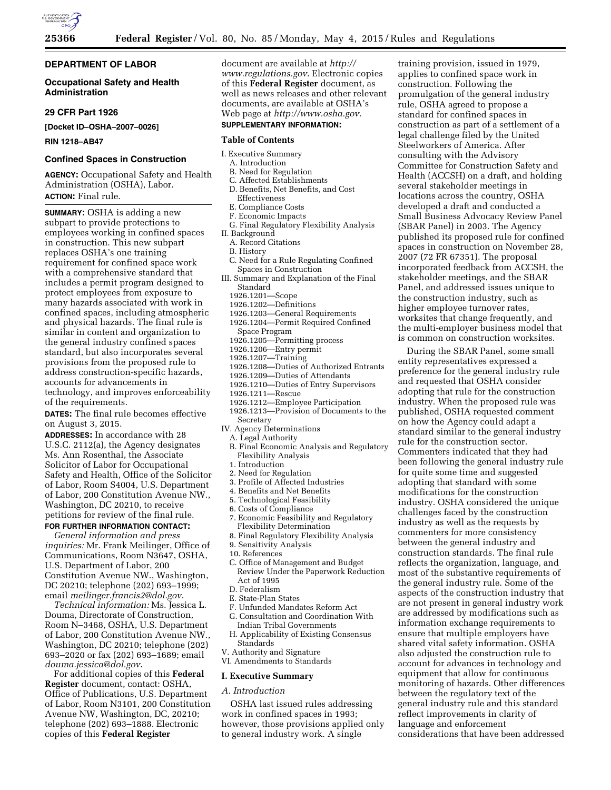

# **DEPARTMENT OF LABOR**

# **Occupational Safety and Health Administration**

## **29 CFR Part 1926**

**[Docket ID–OSHA–2007–0026]** 

## **RIN 1218–AB47**

## **Confined Spaces in Construction**

**AGENCY:** Occupational Safety and Health Administration (OSHA), Labor. **ACTION:** Final rule.

**SUMMARY:** OSHA is adding a new subpart to provide protections to employees working in confined spaces in construction. This new subpart replaces OSHA's one training requirement for confined space work with a comprehensive standard that includes a permit program designed to protect employees from exposure to many hazards associated with work in confined spaces, including atmospheric and physical hazards. The final rule is similar in content and organization to the general industry confined spaces standard, but also incorporates several provisions from the proposed rule to address construction-specific hazards, accounts for advancements in technology, and improves enforceability of the requirements.

**DATES:** The final rule becomes effective on August 3, 2015.

**ADDRESSES:** In accordance with 28 U.S.C. 2112(a), the Agency designates Ms. Ann Rosenthal, the Associate Solicitor of Labor for Occupational Safety and Health, Office of the Solicitor of Labor, Room S4004, U.S. Department of Labor, 200 Constitution Avenue NW., Washington, DC 20210, to receive petitions for review of the final rule.

## **FOR FURTHER INFORMATION CONTACT:**

*General information and press inquiries:* Mr. Frank Meilinger, Office of Communications, Room N3647, OSHA, U.S. Department of Labor, 200 Constitution Avenue NW., Washington, DC 20210; telephone (202) 693–1999; email *[meilinger.francis2@dol.gov](mailto:meilinger.francis2@dol.gov)*.

*Technical information:* Ms. Jessica L. Douma, Directorate of Construction, Room N–3468, OSHA, U.S. Department of Labor, 200 Constitution Avenue NW., Washington, DC 20210; telephone (202) 693–2020 or fax (202) 693–1689; email *[douma.jessica@dol.gov](mailto:douma.jessica@dol.gov)*.

For additional copies of this **Federal Register** document, contact: OSHA, Office of Publications, U.S. Department of Labor, Room N3101, 200 Constitution Avenue NW, Washington, DC, 20210; telephone (202) 693–1888. Electronic copies of this **Federal Register** 

document are available at *[http://](http://www.regulations.gov) [www.regulations.gov](http://www.regulations.gov)*. Electronic copies of this **Federal Register** document, as well as news releases and other relevant documents, are available at OSHA's Web page at *<http://www.osha.gov>*.

# **SUPPLEMENTARY INFORMATION:**

# **Table of Contents**

- I. Executive Summary
	- A. Introduction
	- B. Need for Regulation
	- C. Affected Establishments D. Benefits, Net Benefits, and Cost
	- Effectiveness
	- E. Compliance Costs
	- F. Economic Impacts
	- G. Final Regulatory Flexibility Analysis
- II. Background
	- A. Record Citations
	- B. History
	- C. Need for a Rule Regulating Confined
- Spaces in Construction III. Summary and Explanation of the Final Standard
	- 1926.1201—Scope
	- 1926.1202—Definitions
	- 1926.1203—General Requirements
	- 1926.1204—Permit Required Confined
	- Space Program
	- 1926.1205—Permitting process
	- 1926.1206—Entry permit
	- 1926.1207—Training
	- 1926.1208—Duties of Authorized Entrants
	- 1926.1209—Duties of Attendants
	- 1926.1210—Duties of Entry Supervisors 1926.1211—Rescue
	- 1926.1212—Employee Participation
	- 1926.1213—Provision of Documents to the
- Secretary
- IV. Agency Determinations
	- A. Legal Authority
	- B. Final Economic Analysis and Regulatory Flexibility Analysis
	- 1. Introduction
	- 2. Need for Regulation
	- 3. Profile of Affected Industries
	- 4. Benefits and Net Benefits
	- 5. Technological Feasibility
	- 6. Costs of Compliance
	- 7. Economic Feasibility and Regulatory Flexibility Determination
- 8. Final Regulatory Flexibility Analysis
- 9. Sensitivity Analysis
- 10. References
- C. Office of Management and Budget Review Under the Paperwork Reduction Act of 1995
- D. Federalism
- E. State-Plan States
- F. Unfunded Mandates Reform Act
- G. Consultation and Coordination With
- Indian Tribal Governments H. Applicability of Existing Consensus Standards
- V. Authority and Signature
- VI. Amendments to Standards

## **I. Executive Summary**

#### *A. Introduction*

OSHA last issued rules addressing work in confined spaces in 1993; however, those provisions applied only to general industry work. A single

training provision, issued in 1979, applies to confined space work in construction. Following the promulgation of the general industry rule, OSHA agreed to propose a standard for confined spaces in construction as part of a settlement of a legal challenge filed by the United Steelworkers of America. After consulting with the Advisory Committee for Construction Safety and Health (ACCSH) on a draft, and holding several stakeholder meetings in locations across the country, OSHA developed a draft and conducted a Small Business Advocacy Review Panel (SBAR Panel) in 2003. The Agency published its proposed rule for confined spaces in construction on November 28, 2007 (72 FR 67351). The proposal incorporated feedback from ACCSH, the stakeholder meetings, and the SBAR Panel, and addressed issues unique to the construction industry, such as higher employee turnover rates, worksites that change frequently, and the multi-employer business model that is common on construction worksites.

During the SBAR Panel, some small entity representatives expressed a preference for the general industry rule and requested that OSHA consider adopting that rule for the construction industry. When the proposed rule was published, OSHA requested comment on how the Agency could adapt a standard similar to the general industry rule for the construction sector. Commenters indicated that they had been following the general industry rule for quite some time and suggested adopting that standard with some modifications for the construction industry. OSHA considered the unique challenges faced by the construction industry as well as the requests by commenters for more consistency between the general industry and construction standards. The final rule reflects the organization, language, and most of the substantive requirements of the general industry rule. Some of the aspects of the construction industry that are not present in general industry work are addressed by modifications such as information exchange requirements to ensure that multiple employers have shared vital safety information. OSHA also adjusted the construction rule to account for advances in technology and equipment that allow for continuous monitoring of hazards. Other differences between the regulatory text of the general industry rule and this standard reflect improvements in clarity of language and enforcement considerations that have been addressed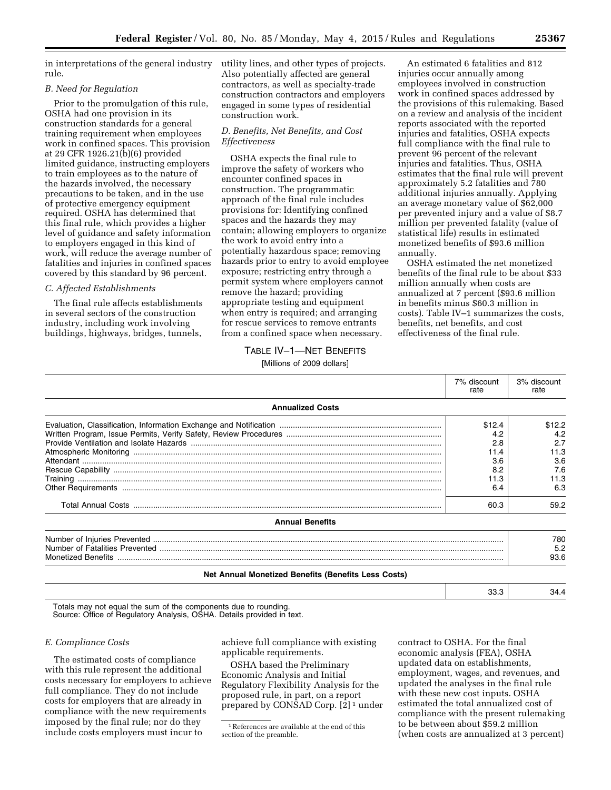in interpretations of the general industry rule.

## *B. Need for Regulation*

Prior to the promulgation of this rule, OSHA had one provision in its construction standards for a general training requirement when employees work in confined spaces. This provision at 29 CFR 1926.21(b)(6) provided limited guidance, instructing employers to train employees as to the nature of the hazards involved, the necessary precautions to be taken, and in the use of protective emergency equipment required. OSHA has determined that this final rule, which provides a higher level of guidance and safety information to employers engaged in this kind of work, will reduce the average number of fatalities and injuries in confined spaces covered by this standard by 96 percent.

# *C. Affected Establishments*

The final rule affects establishments in several sectors of the construction industry, including work involving buildings, highways, bridges, tunnels,

utility lines, and other types of projects. Also potentially affected are general contractors, as well as specialty-trade construction contractors and employers engaged in some types of residential construction work.

# *D. Benefits, Net Benefits, and Cost Effectiveness*

OSHA expects the final rule to improve the safety of workers who encounter confined spaces in construction. The programmatic approach of the final rule includes provisions for: Identifying confined spaces and the hazards they may contain; allowing employers to organize the work to avoid entry into a potentially hazardous space; removing hazards prior to entry to avoid employee exposure; restricting entry through a permit system where employers cannot remove the hazard; providing appropriate testing and equipment when entry is required; and arranging for rescue services to remove entrants from a confined space when necessary.

An estimated 6 fatalities and 812 injuries occur annually among employees involved in construction work in confined spaces addressed by the provisions of this rulemaking. Based on a review and analysis of the incident reports associated with the reported injuries and fatalities, OSHA expects full compliance with the final rule to prevent 96 percent of the relevant injuries and fatalities. Thus, OSHA estimates that the final rule will prevent approximately 5.2 fatalities and 780 additional injuries annually. Applying an average monetary value of \$62,000 per prevented injury and a value of \$8.7 million per prevented fatality (value of statistical life) results in estimated monetized benefits of \$93.6 million annually.

OSHA estimated the net monetized benefits of the final rule to be about \$33 million annually when costs are annualized at 7 percent (\$93.6 million in benefits minus \$60.3 million in costs). Table IV–1 summarizes the costs, benefits, net benefits, and cost effectiveness of the final rule.

Т

# TABLE IV–1—NET BENEFITS

[Millions of 2009 dollars]

|                                                     | 7% discount<br>rate  | 3% discount<br>rate  |
|-----------------------------------------------------|----------------------|----------------------|
| <b>Annualized Costs</b>                             |                      |                      |
|                                                     | \$12.4<br>4.2<br>2.8 | \$12.2<br>4.2<br>2.7 |
|                                                     | 11.4<br>3.6<br>8.2   | 11.3<br>3.6<br>7.6   |
|                                                     | 11.3<br>6.4          | 11.3<br>6.3          |
|                                                     | 60.3                 | 59.2                 |
| <b>Annual Benefits</b>                              |                      |                      |
| Monetized Benefits                                  |                      | 780<br>5.2<br>93.6   |
| Net Annual Monetized Benefits (Benefits Less Costs) |                      |                      |
|                                                     | 33.3                 | 34.4                 |

Totals may not equal the sum of the components due to rounding. Source: Office of Regulatory Analysis, OSHA. Details provided in text.

# *E. Compliance Costs*

The estimated costs of compliance with this rule represent the additional costs necessary for employers to achieve full compliance. They do not include costs for employers that are already in compliance with the new requirements imposed by the final rule; nor do they include costs employers must incur to

achieve full compliance with existing applicable requirements.

OSHA based the Preliminary Economic Analysis and Initial Regulatory Flexibility Analysis for the proposed rule, in part, on a report prepared by CONSAD Corp. [2] 1 under contract to OSHA. For the final economic analysis (FEA), OSHA updated data on establishments, employment, wages, and revenues, and updated the analyses in the final rule with these new cost inputs. OSHA estimated the total annualized cost of compliance with the present rulemaking to be between about \$59.2 million (when costs are annualized at 3 percent)

<sup>1</sup>References are available at the end of this section of the preamble.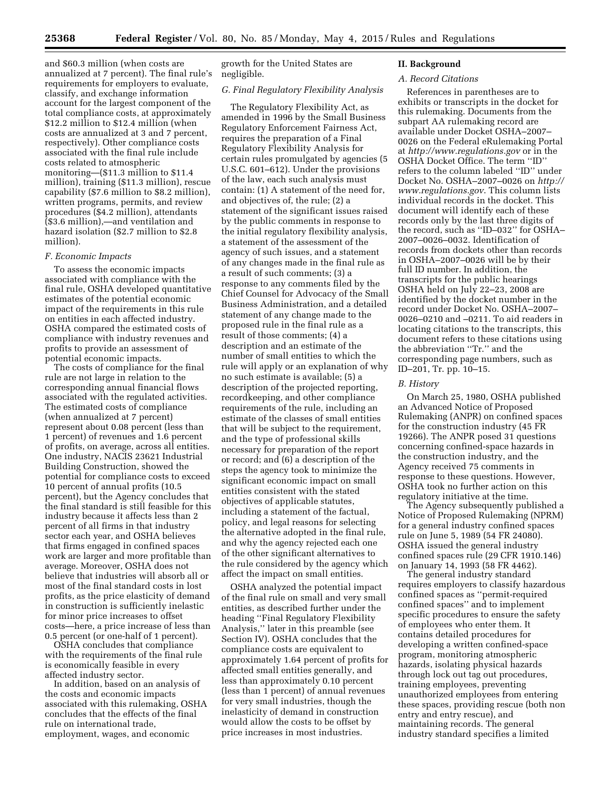and \$60.3 million (when costs are annualized at 7 percent). The final rule's requirements for employers to evaluate, classify, and exchange information account for the largest component of the total compliance costs, at approximately \$12.2 million to \$12.4 million (when costs are annualized at 3 and 7 percent, respectively). Other compliance costs associated with the final rule include costs related to atmospheric monitoring—(\$11.3 million to \$11.4 million), training (\$11.3 million), rescue capability (\$7.6 million to \$8.2 million), written programs, permits, and review procedures (\$4.2 million), attendants (\$3.6 million),—and ventilation and hazard isolation (\$2.7 million to \$2.8 million).

## *F. Economic Impacts*

To assess the economic impacts associated with compliance with the final rule, OSHA developed quantitative estimates of the potential economic impact of the requirements in this rule on entities in each affected industry. OSHA compared the estimated costs of compliance with industry revenues and profits to provide an assessment of potential economic impacts.

The costs of compliance for the final rule are not large in relation to the corresponding annual financial flows associated with the regulated activities. The estimated costs of compliance (when annualized at 7 percent) represent about 0.08 percent (less than 1 percent) of revenues and 1.6 percent of profits, on average, across all entities. One industry, NACIS 23621 Industrial Building Construction, showed the potential for compliance costs to exceed 10 percent of annual profits (10.5 percent), but the Agency concludes that the final standard is still feasible for this industry because it affects less than 2 percent of all firms in that industry sector each year, and OSHA believes that firms engaged in confined spaces work are larger and more profitable than average. Moreover, OSHA does not believe that industries will absorb all or most of the final standard costs in lost profits, as the price elasticity of demand in construction is sufficiently inelastic for minor price increases to offset costs—here, a price increase of less than 0.5 percent (or one-half of 1 percent).

OSHA concludes that compliance with the requirements of the final rule is economically feasible in every affected industry sector.

In addition, based on an analysis of the costs and economic impacts associated with this rulemaking, OSHA concludes that the effects of the final rule on international trade, employment, wages, and economic

growth for the United States are negligible.

## *G. Final Regulatory Flexibility Analysis*

The Regulatory Flexibility Act, as amended in 1996 by the Small Business Regulatory Enforcement Fairness Act, requires the preparation of a Final Regulatory Flexibility Analysis for certain rules promulgated by agencies (5 U.S.C. 601–612). Under the provisions of the law, each such analysis must contain: (1) A statement of the need for, and objectives of, the rule; (2) a statement of the significant issues raised by the public comments in response to the initial regulatory flexibility analysis, a statement of the assessment of the agency of such issues, and a statement of any changes made in the final rule as a result of such comments; (3) a response to any comments filed by the Chief Counsel for Advocacy of the Small Business Administration, and a detailed statement of any change made to the proposed rule in the final rule as a result of those comments; (4) a description and an estimate of the number of small entities to which the rule will apply or an explanation of why no such estimate is available; (5) a description of the projected reporting, recordkeeping, and other compliance requirements of the rule, including an estimate of the classes of small entities that will be subject to the requirement, and the type of professional skills necessary for preparation of the report or record; and (6) a description of the steps the agency took to minimize the significant economic impact on small entities consistent with the stated objectives of applicable statutes, including a statement of the factual, policy, and legal reasons for selecting the alternative adopted in the final rule, and why the agency rejected each one of the other significant alternatives to the rule considered by the agency which affect the impact on small entities.

OSHA analyzed the potential impact of the final rule on small and very small entities, as described further under the heading ''Final Regulatory Flexibility Analysis,'' later in this preamble (see Section IV). OSHA concludes that the compliance costs are equivalent to approximately 1.64 percent of profits for affected small entities generally, and less than approximately 0.10 percent (less than 1 percent) of annual revenues for very small industries, though the inelasticity of demand in construction would allow the costs to be offset by price increases in most industries.

# **II. Background**

# *A. Record Citations*

References in parentheses are to exhibits or transcripts in the docket for this rulemaking. Documents from the subpart AA rulemaking record are available under Docket OSHA–2007– 0026 on the Federal eRulemaking Portal at *<http://www.regulations.gov>* or in the OSHA Docket Office. The term ''ID'' refers to the column labeled ''ID'' under Docket No. OSHA–2007–0026 on *[http://](http://www.regulations.gov) [www.regulations.gov](http://www.regulations.gov)*. This column lists individual records in the docket. This document will identify each of these records only by the last three digits of the record, such as ''ID–032'' for OSHA– 2007–0026–0032. Identification of records from dockets other than records in OSHA–2007–0026 will be by their full ID number. In addition, the transcripts for the public hearings OSHA held on July 22–23, 2008 are identified by the docket number in the record under Docket No. OSHA–2007– 0026–0210 and –0211. To aid readers in locating citations to the transcripts, this document refers to these citations using the abbreviation ''Tr.'' and the corresponding page numbers, such as ID–201, Tr. pp. 10–15.

## *B. History*

On March 25, 1980, OSHA published an Advanced Notice of Proposed Rulemaking (ANPR) on confined spaces for the construction industry (45 FR 19266). The ANPR posed 31 questions concerning confined-space hazards in the construction industry, and the Agency received 75 comments in response to these questions. However, OSHA took no further action on this regulatory initiative at the time.

The Agency subsequently published a Notice of Proposed Rulemaking (NPRM) for a general industry confined spaces rule on June 5, 1989 (54 FR 24080). OSHA issued the general industry confined spaces rule (29 CFR 1910.146) on January 14, 1993 (58 FR 4462).

The general industry standard requires employers to classify hazardous confined spaces as ''permit-required confined spaces'' and to implement specific procedures to ensure the safety of employees who enter them. It contains detailed procedures for developing a written confined-space program, monitoring atmospheric hazards, isolating physical hazards through lock out tag out procedures, training employees, preventing unauthorized employees from entering these spaces, providing rescue (both non entry and entry rescue), and maintaining records. The general industry standard specifies a limited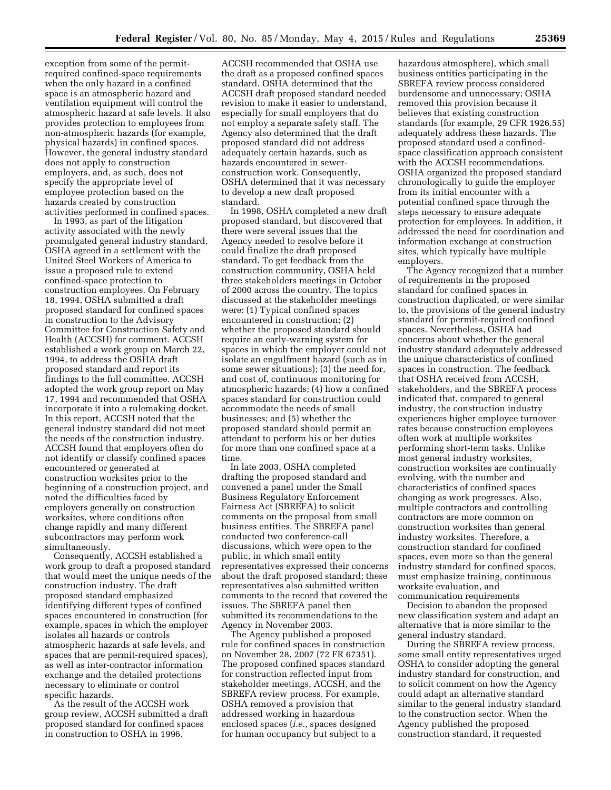exception from some of the permitrequired confined-space requirements when the only hazard in a confined space is an atmospheric hazard and ventilation equipment will control the atmospheric hazard at safe levels. It also provides protection to employees from non-atmospheric hazards (for example, physical hazards) in confined spaces. However, the general industry standard does not apply to construction employers, and, as such, does not specify the appropriate level of employee protection based on the hazards created by construction activities performed in confined spaces.

In 1993, as part of the litigation activity associated with the newly promulgated general industry standard, OSHA agreed in a settlement with the United Steel Workers of America to issue a proposed rule to extend confined-space protection to construction employees. On February 18, 1994, OSHA submitted a draft proposed standard for confined spaces in construction to the Advisory Committee for Construction Safety and Health (ACCSH) for comment. ACCSH established a work group on March 22, 1994, to address the OSHA draft proposed standard and report its findings to the full committee. ACCSH adopted the work group report on May 17, 1994 and recommended that OSHA incorporate it into a rulemaking docket. In this report, ACCSH noted that the general industry standard did not meet the needs of the construction industry. ACCSH found that employers often do not identify or classify confined spaces encountered or generated at construction worksites prior to the beginning of a construction project, and noted the difficulties faced by employers generally on construction worksites, where conditions often change rapidly and many different subcontractors may perform work simultaneously.

Consequently, ACCSH established a work group to draft a proposed standard that would meet the unique needs of the construction industry. The draft proposed standard emphasized identifying different types of confined spaces encountered in construction (for example, spaces in which the employer isolates all hazards or controls atmospheric hazards at safe levels, and spaces that are permit-required spaces), as well as inter-contractor information exchange and the detailed protections necessary to eliminate or control specific hazards.

As the result of the ACCSH work group review, ACCSH submitted a draft proposed standard for confined spaces in construction to OSHA in 1996.

ACCSH recommended that OSHA use the draft as a proposed confined spaces standard. OSHA determined that the ACCSH draft proposed standard needed revision to make it easier to understand, especially for small employers that do not employ a separate safety staff. The Agency also determined that the draft proposed standard did not address adequately certain hazards, such as hazards encountered in sewerconstruction work. Consequently, OSHA determined that it was necessary to develop a new draft proposed standard.

In 1998, OSHA completed a new draft proposed standard, but discovered that there were several issues that the Agency needed to resolve before it could finalize the draft proposed standard. To get feedback from the construction community, OSHA held three stakeholders meetings in October of 2000 across the country. The topics discussed at the stakeholder meetings were: (1) Typical confined spaces encountered in construction; (2) whether the proposed standard should require an early-warning system for spaces in which the employer could not isolate an engulfment hazard (such as in some sewer situations); (3) the need for, and cost of, continuous monitoring for atmospheric hazards; (4) how a confined spaces standard for construction could accommodate the needs of small businesses; and (5) whether the proposed standard should permit an attendant to perform his or her duties for more than one confined space at a time.

In late 2003, OSHA completed drafting the proposed standard and convened a panel under the Small Business Regulatory Enforcement Fairness Act (SBREFA) to solicit comments on the proposal from small business entities. The SBREFA panel conducted two conference-call discussions, which were open to the public, in which small entity representatives expressed their concerns about the draft proposed standard; these representatives also submitted written comments to the record that covered the issues. The SBREFA panel then submitted its recommendations to the Agency in November 2003.

The Agency published a proposed rule for confined spaces in construction on November 28, 2007 (72 FR 67351). The proposed confined spaces standard for construction reflected input from stakeholder meetings, ACCSH, and the SBREFA review process. For example, OSHA removed a provision that addressed working in hazardous enclosed spaces (*i.e.,* spaces designed for human occupancy but subject to a

hazardous atmosphere), which small business entities participating in the SBREFA review process considered burdensome and unnecessary; OSHA removed this provision because it believes that existing construction standards (for example, 29 CFR 1926.55) adequately address these hazards. The proposed standard used a confinedspace classification approach consistent with the ACCSH recommendations. OSHA organized the proposed standard chronologically to guide the employer from its initial encounter with a potential confined space through the steps necessary to ensure adequate protection for employees. In addition, it addressed the need for coordination and information exchange at construction sites, which typically have multiple employers.

The Agency recognized that a number of requirements in the proposed standard for confined spaces in construction duplicated, or were similar to, the provisions of the general industry standard for permit-required confined spaces. Nevertheless, OSHA had concerns about whether the general industry standard adequately addressed the unique characteristics of confined spaces in construction. The feedback that OSHA received from ACCSH, stakeholders, and the SBREFA process indicated that, compared to general industry, the construction industry experiences higher employee turnover rates because construction employees often work at multiple worksites performing short-term tasks. Unlike most general industry worksites, construction worksites are continually evolving, with the number and characteristics of confined spaces changing as work progresses. Also, multiple contractors and controlling contractors are more common on construction worksites than general industry worksites. Therefore, a construction standard for confined spaces, even more so than the general industry standard for confined spaces, must emphasize training, continuous worksite evaluation, and communication requirements

Decision to abandon the proposed new classification system and adapt an alternative that is more similar to the general industry standard.

During the SBREFA review process, some small entity representatives urged OSHA to consider adopting the general industry standard for construction, and to solicit comment on how the Agency could adapt an alternative standard similar to the general industry standard to the construction sector. When the Agency published the proposed construction standard, it requested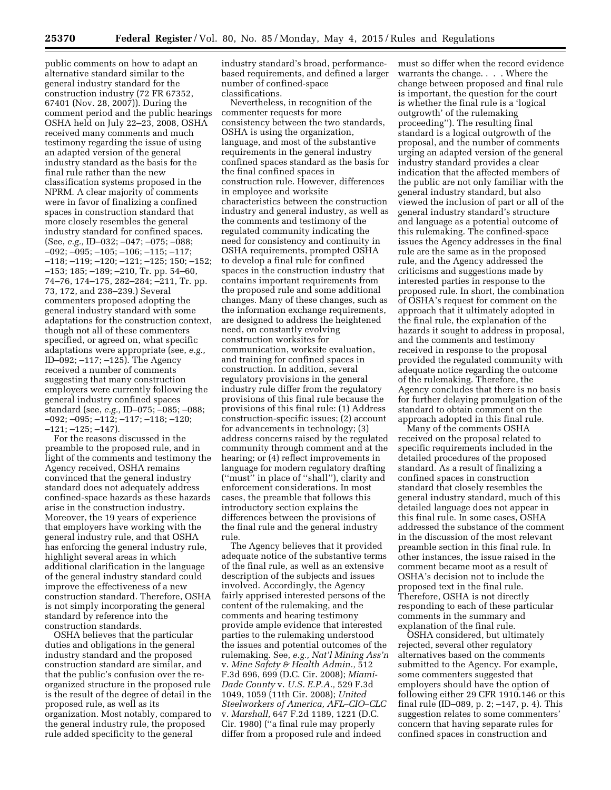public comments on how to adapt an alternative standard similar to the general industry standard for the construction industry (72 FR 67352, 67401 (Nov. 28, 2007)). During the comment period and the public hearings OSHA held on July 22–23, 2008, OSHA received many comments and much testimony regarding the issue of using an adapted version of the general industry standard as the basis for the final rule rather than the new classification systems proposed in the NPRM. A clear majority of comments were in favor of finalizing a confined spaces in construction standard that more closely resembles the general industry standard for confined spaces. (See, *e.g.,* ID–032; –047; –075; –088; –092; –095; –105; –106; –115; –117;  $-118$ ;  $-119$ ;  $-120$ ;  $-121$ ;  $-125$ ;  $150$ ;  $-152$ ; –153; 185; –189; –210, Tr. pp. 54–60, 74–76, 174–175, 282–284; –211, Tr. pp. 73, 172, and 238–239.) Several commenters proposed adopting the general industry standard with some adaptations for the construction context, though not all of these commenters specified, or agreed on, what specific adaptations were appropriate (see, *e.g.,*  ID–092; –117; –125). The Agency received a number of comments suggesting that many construction employers were currently following the general industry confined spaces standard (see, *e.g.,* ID–075; –085; –088; –092; –095; –112; –117; –118; –120;  $-121; -125; -147$ ).

For the reasons discussed in the preamble to the proposed rule, and in light of the comments and testimony the Agency received, OSHA remains convinced that the general industry standard does not adequately address confined-space hazards as these hazards arise in the construction industry. Moreover, the 19 years of experience that employers have working with the general industry rule, and that OSHA has enforcing the general industry rule, highlight several areas in which additional clarification in the language of the general industry standard could improve the effectiveness of a new construction standard. Therefore, OSHA is not simply incorporating the general standard by reference into the construction standards.

OSHA believes that the particular duties and obligations in the general industry standard and the proposed construction standard are similar, and that the public's confusion over the reorganized structure in the proposed rule is the result of the degree of detail in the proposed rule, as well as its organization. Most notably, compared to the general industry rule, the proposed rule added specificity to the general

industry standard's broad, performancebased requirements, and defined a larger number of confined-space classifications.

Nevertheless, in recognition of the commenter requests for more consistency between the two standards, OSHA is using the organization, language, and most of the substantive requirements in the general industry confined spaces standard as the basis for the final confined spaces in construction rule. However, differences in employee and worksite characteristics between the construction industry and general industry, as well as the comments and testimony of the regulated community indicating the need for consistency and continuity in OSHA requirements, prompted OSHA to develop a final rule for confined spaces in the construction industry that contains important requirements from the proposed rule and some additional changes. Many of these changes, such as the information exchange requirements, are designed to address the heightened need, on constantly evolving construction worksites for communication, worksite evaluation, and training for confined spaces in construction. In addition, several regulatory provisions in the general industry rule differ from the regulatory provisions of this final rule because the provisions of this final rule: (1) Address construction-specific issues; (2) account for advancements in technology; (3) address concerns raised by the regulated community through comment and at the hearing; or (4) reflect improvements in language for modern regulatory drafting (''must'' in place of ''shall''), clarity and enforcement considerations. In most cases, the preamble that follows this introductory section explains the differences between the provisions of the final rule and the general industry rule.

The Agency believes that it provided adequate notice of the substantive terms of the final rule, as well as an extensive description of the subjects and issues involved. Accordingly, the Agency fairly apprised interested persons of the content of the rulemaking, and the comments and hearing testimony provide ample evidence that interested parties to the rulemaking understood the issues and potential outcomes of the rulemaking. See, *e.g., Nat'l Mining Ass'n*  v. *Mine Safety & Health Admin.,* 512 F.3d 696, 699 (D.C. Cir. 2008); *Miami-Dade County* v. *U.S. E.P.A.,* 529 F.3d 1049, 1059 (11th Cir. 2008); *United Steelworkers of America, AFL–CIO–CLC*  v. *Marshall,* 647 F.2d 1189, 1221 (D.C. Cir. 1980) (''a final rule may properly differ from a proposed rule and indeed

must so differ when the record evidence warrants the change. . . . Where the change between proposed and final rule is important, the question for the court is whether the final rule is a 'logical outgrowth' of the rulemaking proceeding''). The resulting final standard is a logical outgrowth of the proposal, and the number of comments urging an adapted version of the general industry standard provides a clear indication that the affected members of the public are not only familiar with the general industry standard, but also viewed the inclusion of part or all of the general industry standard's structure and language as a potential outcome of this rulemaking. The confined-space issues the Agency addresses in the final rule are the same as in the proposed rule, and the Agency addressed the criticisms and suggestions made by interested parties in response to the proposed rule. In short, the combination of OSHA's request for comment on the approach that it ultimately adopted in the final rule, the explanation of the hazards it sought to address in proposal, and the comments and testimony received in response to the proposal provided the regulated community with adequate notice regarding the outcome of the rulemaking. Therefore, the Agency concludes that there is no basis for further delaying promulgation of the standard to obtain comment on the approach adopted in this final rule.

Many of the comments OSHA received on the proposal related to specific requirements included in the detailed procedures of the proposed standard. As a result of finalizing a confined spaces in construction standard that closely resembles the general industry standard, much of this detailed language does not appear in this final rule. In some cases, OSHA addressed the substance of the comment in the discussion of the most relevant preamble section in this final rule. In other instances, the issue raised in the comment became moot as a result of OSHA's decision not to include the proposed text in the final rule. Therefore, OSHA is not directly responding to each of these particular comments in the summary and explanation of the final rule.

OSHA considered, but ultimately rejected, several other regulatory alternatives based on the comments submitted to the Agency. For example, some commenters suggested that employers should have the option of following either 29 CFR 1910.146 or this final rule (ID–089, p. 2; –147, p. 4). This suggestion relates to some commenters' concern that having separate rules for confined spaces in construction and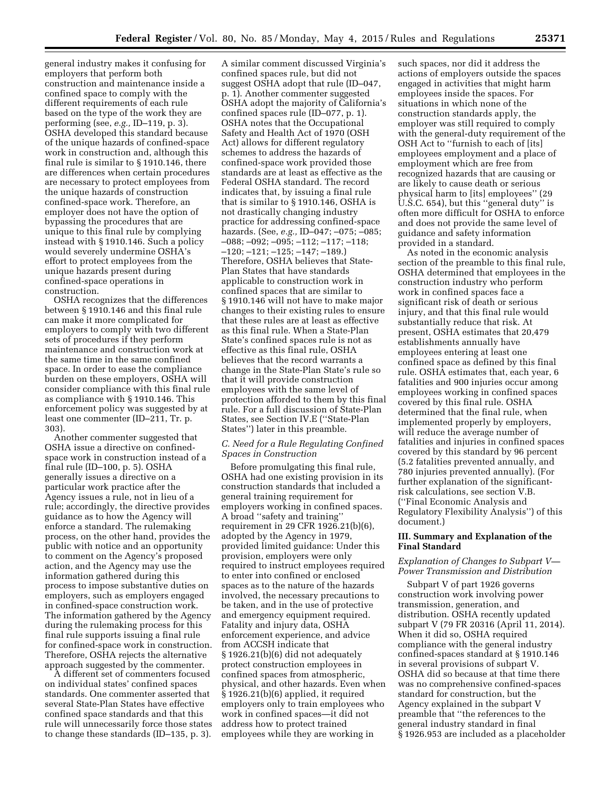general industry makes it confusing for employers that perform both construction and maintenance inside a confined space to comply with the different requirements of each rule based on the type of the work they are performing (see, *e.g.,* ID–119, p. 3). OSHA developed this standard because of the unique hazards of confined-space work in construction and, although this final rule is similar to § 1910.146, there are differences when certain procedures are necessary to protect employees from the unique hazards of construction confined-space work. Therefore, an employer does not have the option of bypassing the procedures that are unique to this final rule by complying instead with § 1910.146. Such a policy would severely undermine OSHA's effort to protect employees from the unique hazards present during confined-space operations in construction.

OSHA recognizes that the differences between § 1910.146 and this final rule can make it more complicated for employers to comply with two different sets of procedures if they perform maintenance and construction work at the same time in the same confined space. In order to ease the compliance burden on these employers, OSHA will consider compliance with this final rule as compliance with § 1910.146. This enforcement policy was suggested by at least one commenter (ID–211, Tr. p. 303).

Another commenter suggested that OSHA issue a directive on confinedspace work in construction instead of a final rule (ID–100, p. 5). OSHA generally issues a directive on a particular work practice after the Agency issues a rule, not in lieu of a rule; accordingly, the directive provides guidance as to how the Agency will enforce a standard. The rulemaking process, on the other hand, provides the public with notice and an opportunity to comment on the Agency's proposed action, and the Agency may use the information gathered during this process to impose substantive duties on employers, such as employers engaged in confined-space construction work. The information gathered by the Agency during the rulemaking process for this final rule supports issuing a final rule for confined-space work in construction. Therefore, OSHA rejects the alternative approach suggested by the commenter.

A different set of commenters focused on individual states' confined spaces standards. One commenter asserted that several State-Plan States have effective confined space standards and that this rule will unnecessarily force those states to change these standards (ID–135, p. 3).

A similar comment discussed Virginia's confined spaces rule, but did not suggest OSHA adopt that rule (ID–047, p. 1). Another commenter suggested OSHA adopt the majority of California's confined spaces rule (ID–077, p. 1). OSHA notes that the Occupational Safety and Health Act of 1970 (OSH Act) allows for different regulatory schemes to address the hazards of confined-space work provided those standards are at least as effective as the Federal OSHA standard. The record indicates that, by issuing a final rule that is similar to § 1910.146, OSHA is not drastically changing industry practice for addressing confined-space hazards. (See, *e.g.,* ID–047; –075; –085; –088; –092; –095; –112; –117; –118; –120; –121; –125; –147; –189.) Therefore, OSHA believes that State-Plan States that have standards applicable to construction work in confined spaces that are similar to § 1910.146 will not have to make major changes to their existing rules to ensure that these rules are at least as effective as this final rule. When a State-Plan State's confined spaces rule is not as effective as this final rule, OSHA believes that the record warrants a change in the State-Plan State's rule so that it will provide construction employees with the same level of protection afforded to them by this final rule. For a full discussion of State-Plan States, see Section IV.E (''State-Plan States'') later in this preamble.

# *C. Need for a Rule Regulating Confined Spaces in Construction*

Before promulgating this final rule, OSHA had one existing provision in its construction standards that included a general training requirement for employers working in confined spaces. A broad ''safety and training'' requirement in 29 CFR 1926.21(b)(6), adopted by the Agency in 1979, provided limited guidance: Under this provision, employers were only required to instruct employees required to enter into confined or enclosed spaces as to the nature of the hazards involved, the necessary precautions to be taken, and in the use of protective and emergency equipment required. Fatality and injury data, OSHA enforcement experience, and advice from ACCSH indicate that § 1926.21(b)(6) did not adequately protect construction employees in confined spaces from atmospheric, physical, and other hazards. Even when § 1926.21(b)(6) applied, it required employers only to train employees who work in confined spaces—it did not address how to protect trained employees while they are working in

such spaces, nor did it address the actions of employers outside the spaces engaged in activities that might harm employees inside the spaces. For situations in which none of the construction standards apply, the employer was still required to comply with the general-duty requirement of the OSH Act to ''furnish to each of [its] employees employment and a place of employment which are free from recognized hazards that are causing or are likely to cause death or serious physical harm to [its] employees'' (29 U.S.C. 654), but this ''general duty'' is often more difficult for OSHA to enforce and does not provide the same level of guidance and safety information provided in a standard.

As noted in the economic analysis section of the preamble to this final rule, OSHA determined that employees in the construction industry who perform work in confined spaces face a significant risk of death or serious injury, and that this final rule would substantially reduce that risk. At present, OSHA estimates that 20,479 establishments annually have employees entering at least one confined space as defined by this final rule. OSHA estimates that, each year, 6 fatalities and 900 injuries occur among employees working in confined spaces covered by this final rule. OSHA determined that the final rule, when implemented properly by employers, will reduce the average number of fatalities and injuries in confined spaces covered by this standard by 96 percent (5.2 fatalities prevented annually, and 780 injuries prevented annually). (For further explanation of the significantrisk calculations, see section V.B. (''Final Economic Analysis and Regulatory Flexibility Analysis'') of this document.)

# **III. Summary and Explanation of the Final Standard**

# *Explanation of Changes to Subpart V— Power Transmission and Distribution*

Subpart V of part 1926 governs construction work involving power transmission, generation, and distribution. OSHA recently updated subpart V (79 FR 20316 (April 11, 2014). When it did so, OSHA required compliance with the general industry confined-spaces standard at § 1910.146 in several provisions of subpart V. OSHA did so because at that time there was no comprehensive confined-spaces standard for construction, but the Agency explained in the subpart V preamble that ''the references to the general industry standard in final § 1926.953 are included as a placeholder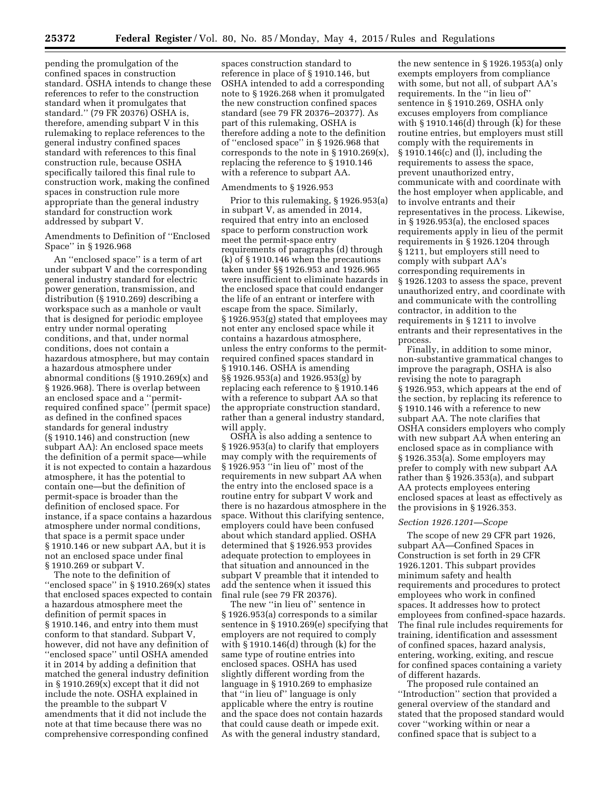pending the promulgation of the confined spaces in construction standard. OSHA intends to change these references to refer to the construction standard when it promulgates that standard.'' (79 FR 20376) OSHA is, therefore, amending subpart V in this rulemaking to replace references to the general industry confined spaces standard with references to this final construction rule, because OSHA specifically tailored this final rule to construction work, making the confined spaces in construction rule more appropriate than the general industry standard for construction work addressed by subpart V.

# Amendments to Definition of ''Enclosed Space'' in § 1926.968

An ''enclosed space'' is a term of art under subpart V and the corresponding general industry standard for electric power generation, transmission, and distribution (§ 1910.269) describing a workspace such as a manhole or vault that is designed for periodic employee entry under normal operating conditions, and that, under normal conditions, does not contain a hazardous atmosphere, but may contain a hazardous atmosphere under abnormal conditions (§ 1910.269(x) and § 1926.968). There is overlap between an enclosed space and a ''permitrequired confined space'' (permit space) as defined in the confined spaces standards for general industry (§ 1910.146) and construction (new subpart AA): An enclosed space meets the definition of a permit space—while it is not expected to contain a hazardous atmosphere, it has the potential to contain one—but the definition of permit-space is broader than the definition of enclosed space. For instance, if a space contains a hazardous atmosphere under normal conditions, that space is a permit space under § 1910.146 or new subpart AA, but it is not an enclosed space under final § 1910.269 or subpart V.

The note to the definition of ''enclosed space'' in § 1910.269(x) states that enclosed spaces expected to contain a hazardous atmosphere meet the definition of permit spaces in § 1910.146, and entry into them must conform to that standard. Subpart V, however, did not have any definition of ''enclosed space'' until OSHA amended it in 2014 by adding a definition that matched the general industry definition in § 1910.269(x) except that it did not include the note. OSHA explained in the preamble to the subpart V amendments that it did not include the note at that time because there was no comprehensive corresponding confined

spaces construction standard to reference in place of § 1910.146, but OSHA intended to add a corresponding note to § 1926.268 when it promulgated the new construction confined spaces standard (see 79 FR 20376–20377). As part of this rulemaking, OSHA is therefore adding a note to the definition of ''enclosed space'' in § 1926.968 that corresponds to the note in  $\S 1910.269(x)$ , replacing the reference to § 1910.146 with a reference to subpart AA.

## Amendments to § 1926.953

Prior to this rulemaking, § 1926.953(a) in subpart V, as amended in 2014, required that entry into an enclosed space to perform construction work meet the permit-space entry requirements of paragraphs (d) through (k) of § 1910.146 when the precautions taken under §§ 1926.953 and 1926.965 were insufficient to eliminate hazards in the enclosed space that could endanger the life of an entrant or interfere with escape from the space. Similarly, § 1926.953(g) stated that employees may not enter any enclosed space while it contains a hazardous atmosphere, unless the entry conforms to the permitrequired confined spaces standard in § 1910.146. OSHA is amending §§ 1926.953(a) and 1926.953(g) by replacing each reference to § 1910.146 with a reference to subpart AA so that the appropriate construction standard, rather than a general industry standard, will apply.

OSHA is also adding a sentence to § 1926.953(a) to clarify that employers may comply with the requirements of § 1926.953 ''in lieu of'' most of the requirements in new subpart AA when the entry into the enclosed space is a routine entry for subpart V work and there is no hazardous atmosphere in the space. Without this clarifying sentence, employers could have been confused about which standard applied. OSHA determined that § 1926.953 provides adequate protection to employees in that situation and announced in the subpart V preamble that it intended to add the sentence when it issued this final rule (see 79 FR 20376).

The new ''in lieu of'' sentence in § 1926.953(a) corresponds to a similar sentence in § 1910.269(e) specifying that employers are not required to comply with § 1910.146(d) through (k) for the same type of routine entries into enclosed spaces. OSHA has used slightly different wording from the language in § 1910.269 to emphasize that ''in lieu of'' language is only applicable where the entry is routine and the space does not contain hazards that could cause death or impede exit. As with the general industry standard,

the new sentence in § 1926.1953(a) only exempts employers from compliance with some, but not all, of subpart AA's requirements. In the ''in lieu of'' sentence in § 1910.269, OSHA only excuses employers from compliance with  $\S 1910.146(d)$  through (k) for these routine entries, but employers must still comply with the requirements in § 1910.146(c) and (l), including the requirements to assess the space, prevent unauthorized entry, communicate with and coordinate with the host employer when applicable, and to involve entrants and their representatives in the process. Likewise, in § 1926.953(a), the enclosed spaces requirements apply in lieu of the permit requirements in § 1926.1204 through § 1211, but employers still need to comply with subpart AA's corresponding requirements in § 1926.1203 to assess the space, prevent unauthorized entry, and coordinate with and communicate with the controlling contractor, in addition to the requirements in § 1211 to involve entrants and their representatives in the process.

Finally, in addition to some minor, non-substantive grammatical changes to improve the paragraph, OSHA is also revising the note to paragraph § 1926.953, which appears at the end of the section, by replacing its reference to § 1910.146 with a reference to new subpart AA. The note clarifies that OSHA considers employers who comply with new subpart AA when entering an enclosed space as in compliance with § 1926.353(a). Some employers may prefer to comply with new subpart AA rather than § 1926.353(a), and subpart AA protects employees entering enclosed spaces at least as effectively as the provisions in § 1926.353.

# *Section 1926.1201—Scope*

The scope of new 29 CFR part 1926, subpart AA—Confined Spaces in Construction is set forth in 29 CFR 1926.1201. This subpart provides minimum safety and health requirements and procedures to protect employees who work in confined spaces. It addresses how to protect employees from confined-space hazards. The final rule includes requirements for training, identification and assessment of confined spaces, hazard analysis, entering, working, exiting, and rescue for confined spaces containing a variety of different hazards.

The proposed rule contained an ''Introduction'' section that provided a general overview of the standard and stated that the proposed standard would cover ''working within or near a confined space that is subject to a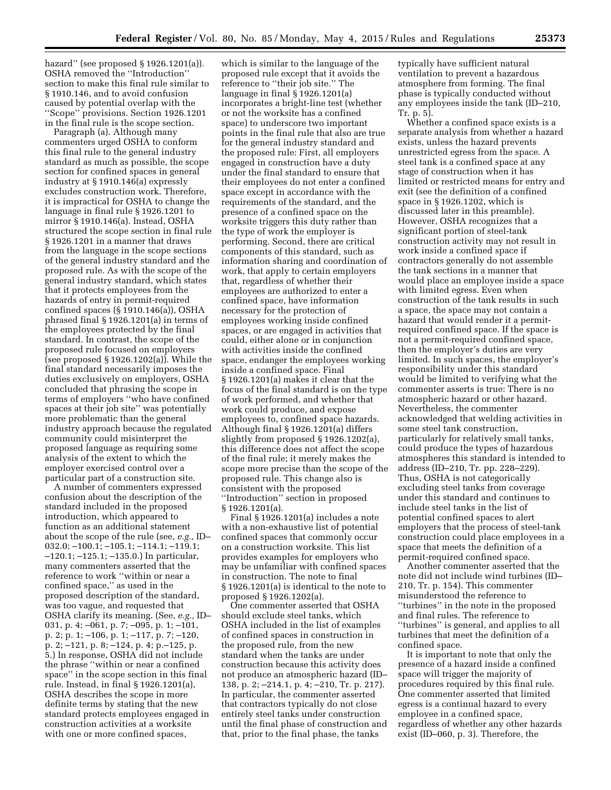hazard'' (see proposed § 1926.1201(a)). OSHA removed the ''Introduction'' section to make this final rule similar to § 1910.146, and to avoid confusion caused by potential overlap with the ''Scope'' provisions. Section 1926.1201 in the final rule is the scope section.

Paragraph (a). Although many commenters urged OSHA to conform this final rule to the general industry standard as much as possible, the scope section for confined spaces in general industry at § 1910.146(a) expressly excludes construction work. Therefore, it is impractical for OSHA to change the language in final rule § 1926.1201 to mirror § 1910.146(a). Instead, OSHA structured the scope section in final rule § 1926.1201 in a manner that draws from the language in the scope sections of the general industry standard and the proposed rule. As with the scope of the general industry standard, which states that it protects employees from the hazards of entry in permit-required confined spaces (§ 1910.146(a)), OSHA phrased final § 1926.1201(a) in terms of the employees protected by the final standard. In contrast, the scope of the proposed rule focused on employers (see proposed § 1926.1202(a)). While the final standard necessarily imposes the duties exclusively on employers, OSHA concluded that phrasing the scope in terms of employers ''who have confined spaces at their job site'' was potentially more problematic than the general industry approach because the regulated community could misinterpret the proposed language as requiring some analysis of the extent to which the employer exercised control over a particular part of a construction site.

A number of commenters expressed confusion about the description of the standard included in the proposed introduction, which appeared to function as an additional statement about the scope of the rule (see, *e.g.,* ID– 032.0; –100.1; –105.1; –114.1; –119.1; –120.1; –125.1; –135.0.) In particular, many commenters asserted that the reference to work ''within or near a confined space,'' as used in the proposed description of the standard, was too vague, and requested that OSHA clarify its meaning. (See, *e.g.,* ID– 031, p. 4; –061, p. 7; –095, p. 1; –101, p. 2; p. 1; –106, p. 1; –117, p. 7; –120, p. 2; –121, p. 8; –124, p. 4; p.–125, p. 5.) In response, OSHA did not include the phrase ''within or near a confined space'' in the scope section in this final rule. Instead, in final § 1926.1201(a), OSHA describes the scope in more definite terms by stating that the new standard protects employees engaged in construction activities at a worksite with one or more confined spaces,

which is similar to the language of the proposed rule except that it avoids the reference to ''their job site.'' The language in final § 1926.1201(a) incorporates a bright-line test (whether or not the worksite has a confined space) to underscore two important points in the final rule that also are true for the general industry standard and the proposed rule: First, all employers engaged in construction have a duty under the final standard to ensure that their employees do not enter a confined space except in accordance with the requirements of the standard, and the presence of a confined space on the worksite triggers this duty rather than the type of work the employer is performing. Second, there are critical components of this standard, such as information sharing and coordination of work, that apply to certain employers that, regardless of whether their employees are authorized to enter a confined space, have information necessary for the protection of employees working inside confined spaces, or are engaged in activities that could, either alone or in conjunction with activities inside the confined space, endanger the employees working inside a confined space. Final § 1926.1201(a) makes it clear that the focus of the final standard is on the type of work performed, and whether that work could produce, and expose employees to, confined space hazards. Although final § 1926.1201(a) differs slightly from proposed § 1926.1202(a), this difference does not affect the scope of the final rule; it merely makes the scope more precise than the scope of the proposed rule. This change also is consistent with the proposed ''Introduction'' section in proposed § 1926.1201(a).

Final § 1926.1201(a) includes a note with a non-exhaustive list of potential confined spaces that commonly occur on a construction worksite. This list provides examples for employers who may be unfamiliar with confined spaces in construction. The note to final § 1926.1201(a) is identical to the note to proposed § 1926.1202(a).

One commenter asserted that OSHA should exclude steel tanks, which OSHA included in the list of examples of confined spaces in construction in the proposed rule, from the new standard when the tanks are under construction because this activity does not produce an atmospheric hazard (ID– 138, p. 2; –214.1, p. 4; –210, Tr. p. 217). In particular, the commenter asserted that contractors typically do not close entirely steel tanks under construction until the final phase of construction and that, prior to the final phase, the tanks

typically have sufficient natural ventilation to prevent a hazardous atmosphere from forming. The final phase is typically conducted without any employees inside the tank (ID–210, Tr. p. 5).

Whether a confined space exists is a separate analysis from whether a hazard exists, unless the hazard prevents unrestricted egress from the space. A steel tank is a confined space at any stage of construction when it has limited or restricted means for entry and exit (see the definition of a confined space in § 1926.1202, which is discussed later in this preamble). However, OSHA recognizes that a significant portion of steel-tank construction activity may not result in work inside a confined space if contractors generally do not assemble the tank sections in a manner that would place an employee inside a space with limited egress. Even when construction of the tank results in such a space, the space may not contain a hazard that would render it a permitrequired confined space. If the space is not a permit-required confined space, then the employer's duties are very limited. In such spaces, the employer's responsibility under this standard would be limited to verifying what the commenter asserts is true: There is no atmospheric hazard or other hazard. Nevertheless, the commenter acknowledged that welding activities in some steel tank construction, particularly for relatively small tanks, could produce the types of hazardous atmospheres this standard is intended to address (ID–210, Tr. pp. 228–229). Thus, OSHA is not categorically excluding steel tanks from coverage under this standard and continues to include steel tanks in the list of potential confined spaces to alert employers that the process of steel-tank construction could place employees in a space that meets the definition of a permit-required confined space.

Another commenter asserted that the note did not include wind turbines (ID– 210, Tr. p. 154). This commenter misunderstood the reference to ''turbines'' in the note in the proposed and final rules. The reference to ''turbines'' is general, and applies to all turbines that meet the definition of a confined space.

It is important to note that only the presence of a hazard inside a confined space will trigger the majority of procedures required by this final rule. One commenter asserted that limited egress is a continual hazard to every employee in a confined space, regardless of whether any other hazards exist (ID–060, p. 3). Therefore, the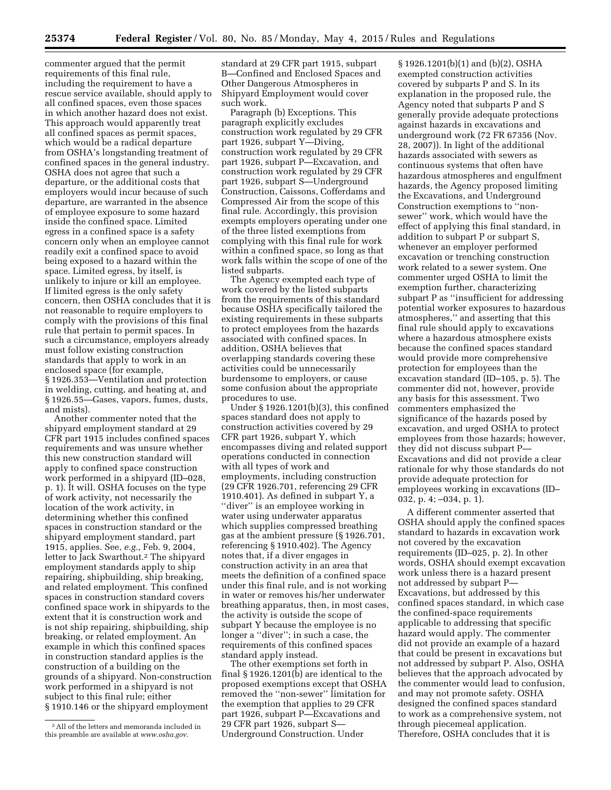commenter argued that the permit requirements of this final rule, including the requirement to have a rescue service available, should apply to all confined spaces, even those spaces in which another hazard does not exist. This approach would apparently treat all confined spaces as permit spaces, which would be a radical departure from OSHA's longstanding treatment of confined spaces in the general industry. OSHA does not agree that such a departure, or the additional costs that employers would incur because of such departure, are warranted in the absence of employee exposure to some hazard inside the confined space. Limited egress in a confined space is a safety concern only when an employee cannot readily exit a confined space to avoid being exposed to a hazard within the space. Limited egress, by itself, is unlikely to injure or kill an employee. If limited egress is the only safety concern, then OSHA concludes that it is not reasonable to require employers to comply with the provisions of this final rule that pertain to permit spaces. In such a circumstance, employers already must follow existing construction standards that apply to work in an enclosed space (for example, § 1926.353—Ventilation and protection in welding, cutting, and heating at, and § 1926.55—Gases, vapors, fumes, dusts, and mists).

Another commenter noted that the shipyard employment standard at 29 CFR part 1915 includes confined spaces requirements and was unsure whether this new construction standard will apply to confined space construction work performed in a shipyard (ID–028, p. 1). It will. OSHA focuses on the type of work activity, not necessarily the location of the work activity, in determining whether this confined spaces in construction standard or the shipyard employment standard, part 1915, applies. See, *e.g.,* Feb. 9, 2004, letter to Jack Swarthout.2 The shipyard employment standards apply to ship repairing, shipbuilding, ship breaking, and related employment. This confined spaces in construction standard covers confined space work in shipyards to the extent that it is construction work and is not ship repairing, shipbuilding, ship breaking, or related employment. An example in which this confined spaces in construction standard applies is the construction of a building on the grounds of a shipyard. Non-construction work performed in a shipyard is not subject to this final rule; either § 1910.146 or the shipyard employment

standard at 29 CFR part 1915, subpart B—Confined and Enclosed Spaces and Other Dangerous Atmospheres in Shipyard Employment would cover such work.

Paragraph (b) Exceptions. This paragraph explicitly excludes construction work regulated by 29 CFR part 1926, subpart Y—Diving, construction work regulated by 29 CFR part 1926, subpart P—Excavation, and construction work regulated by 29 CFR part 1926, subpart S—Underground Construction, Caissons, Cofferdams and Compressed Air from the scope of this final rule. Accordingly, this provision exempts employers operating under one of the three listed exemptions from complying with this final rule for work within a confined space, so long as that work falls within the scope of one of the listed subparts.

The Agency exempted each type of work covered by the listed subparts from the requirements of this standard because OSHA specifically tailored the existing requirements in these subparts to protect employees from the hazards associated with confined spaces. In addition, OSHA believes that overlapping standards covering these activities could be unnecessarily burdensome to employers, or cause some confusion about the appropriate procedures to use.

Under § 1926.1201(b)(3), this confined spaces standard does not apply to construction activities covered by 29 CFR part 1926, subpart Y, which encompasses diving and related support operations conducted in connection with all types of work and employments, including construction (29 CFR 1926.701, referencing 29 CFR 1910.401). As defined in subpart Y, a ''diver'' is an employee working in water using underwater apparatus which supplies compressed breathing gas at the ambient pressure (§ 1926.701, referencing § 1910.402). The Agency notes that, if a diver engages in construction activity in an area that meets the definition of a confined space under this final rule, and is not working in water or removes his/her underwater breathing apparatus, then, in most cases, the activity is outside the scope of subpart Y because the employee is no longer a ''diver''; in such a case, the requirements of this confined spaces standard apply instead.

The other exemptions set forth in final § 1926.1201(b) are identical to the proposed exemptions except that OSHA removed the ''non-sewer'' limitation for the exemption that applies to 29 CFR part 1926, subpart P—Excavations and 29 CFR part 1926, subpart S— Underground Construction. Under

§ 1926.1201(b)(1) and (b)(2), OSHA exempted construction activities covered by subparts P and S. In its explanation in the proposed rule, the Agency noted that subparts P and S generally provide adequate protections against hazards in excavations and underground work (72 FR 67356 (Nov. 28, 2007)). In light of the additional hazards associated with sewers as continuous systems that often have hazardous atmospheres and engulfment hazards, the Agency proposed limiting the Excavations, and Underground Construction exemptions to ''nonsewer'' work, which would have the effect of applying this final standard, in addition to subpart P or subpart S, whenever an employer performed excavation or trenching construction work related to a sewer system. One commenter urged OSHA to limit the exemption further, characterizing subpart P as ''insufficient for addressing potential worker exposures to hazardous atmospheres,'' and asserting that this final rule should apply to excavations where a hazardous atmosphere exists because the confined spaces standard would provide more comprehensive protection for employees than the excavation standard (ID–105, p. 5). The commenter did not, however, provide any basis for this assessment. Two commenters emphasized the significance of the hazards posed by excavation, and urged OSHA to protect employees from those hazards; however, they did not discuss subpart P— Excavations and did not provide a clear rationale for why those standards do not provide adequate protection for employees working in excavations (ID– 032, p. 4; –034, p. 1).

A different commenter asserted that OSHA should apply the confined spaces standard to hazards in excavation work not covered by the excavation requirements (ID–025, p. 2). In other words, OSHA should exempt excavation work unless there is a hazard present not addressed by subpart P— Excavations, but addressed by this confined spaces standard, in which case the confined-space requirements applicable to addressing that specific hazard would apply. The commenter did not provide an example of a hazard that could be present in excavations but not addressed by subpart P. Also, OSHA believes that the approach advocated by the commenter would lead to confusion, and may not promote safety. OSHA designed the confined spaces standard to work as a comprehensive system, not through piecemeal application. Therefore, OSHA concludes that it is

<sup>2</sup>All of the letters and memoranda included in this preamble are available at *[www.osha.gov](http://www.osha.gov)*.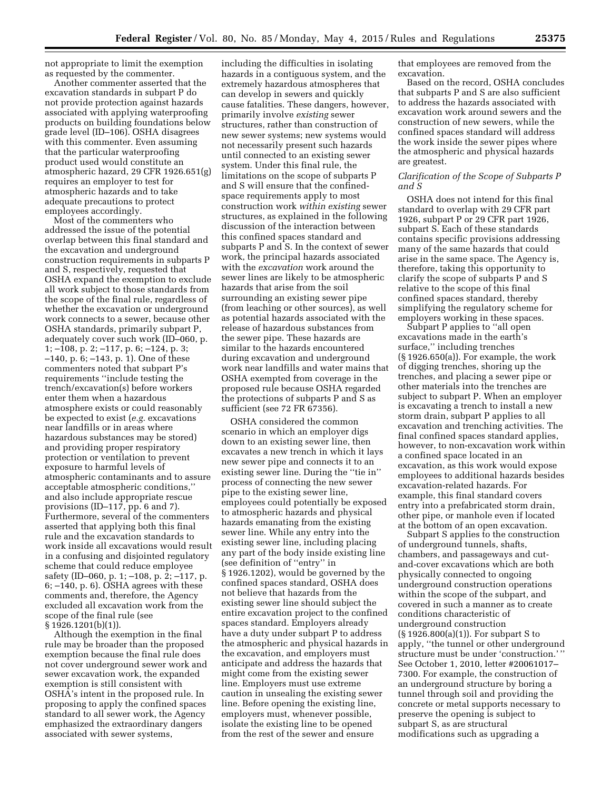not appropriate to limit the exemption as requested by the commenter.

Another commenter asserted that the excavation standards in subpart P do not provide protection against hazards associated with applying waterproofing products on building foundations below grade level (ID–106). OSHA disagrees with this commenter. Even assuming that the particular waterproofing product used would constitute an atmospheric hazard, 29 CFR 1926.651(g) requires an employer to test for atmospheric hazards and to take adequate precautions to protect employees accordingly.

Most of the commenters who addressed the issue of the potential overlap between this final standard and the excavation and underground construction requirements in subparts P and S, respectively, requested that OSHA expand the exemption to exclude all work subject to those standards from the scope of the final rule, regardless of whether the excavation or underground work connects to a sewer, because other OSHA standards, primarily subpart P, adequately cover such work (ID–060, p. 1; –108, p. 2; –117, p. 6; –124, p. 3; –140, p. 6; –143, p. 1). One of these commenters noted that subpart P's requirements ''include testing the trench/excavation(s) before workers enter them when a hazardous atmosphere exists or could reasonably be expected to exist (*e.g.* excavations near landfills or in areas where hazardous substances may be stored) and providing proper respiratory protection or ventilation to prevent exposure to harmful levels of atmospheric contaminants and to assure acceptable atmospheric conditions,'' and also include appropriate rescue provisions (ID–117, pp. 6 and 7). Furthermore, several of the commenters asserted that applying both this final rule and the excavation standards to work inside all excavations would result in a confusing and disjointed regulatory scheme that could reduce employee safety (ID–060, p. 1; –108, p. 2; –117, p. 6; –140, p. 6). OSHA agrees with these comments and, therefore, the Agency excluded all excavation work from the scope of the final rule (see § 1926.1201(b)(1)).

Although the exemption in the final rule may be broader than the proposed exemption because the final rule does not cover underground sewer work and sewer excavation work, the expanded exemption is still consistent with OSHA's intent in the proposed rule. In proposing to apply the confined spaces standard to all sewer work, the Agency emphasized the extraordinary dangers associated with sewer systems,

including the difficulties in isolating hazards in a contiguous system, and the extremely hazardous atmospheres that can develop in sewers and quickly cause fatalities. These dangers, however, primarily involve *existing* sewer structures, rather than construction of new sewer systems; new systems would not necessarily present such hazards until connected to an existing sewer system. Under this final rule, the limitations on the scope of subparts P and S will ensure that the confinedspace requirements apply to most construction work *within existing* sewer structures, as explained in the following discussion of the interaction between this confined spaces standard and subparts P and S. In the context of sewer work, the principal hazards associated with the *excavation* work around the sewer lines are likely to be atmospheric hazards that arise from the soil surrounding an existing sewer pipe (from leaching or other sources), as well as potential hazards associated with the release of hazardous substances from the sewer pipe. These hazards are similar to the hazards encountered during excavation and underground work near landfills and water mains that OSHA exempted from coverage in the proposed rule because OSHA regarded the protections of subparts P and S as sufficient (see 72 FR 67356).

OSHA considered the common scenario in which an employer digs down to an existing sewer line, then excavates a new trench in which it lays new sewer pipe and connects it to an existing sewer line. During the ''tie in'' process of connecting the new sewer pipe to the existing sewer line, employees could potentially be exposed to atmospheric hazards and physical hazards emanating from the existing sewer line. While any entry into the existing sewer line, including placing any part of the body inside existing line (see definition of ''entry'' in § 1926.1202), would be governed by the confined spaces standard, OSHA does not believe that hazards from the existing sewer line should subject the entire excavation project to the confined spaces standard. Employers already have a duty under subpart P to address the atmospheric and physical hazards in the excavation, and employers must anticipate and address the hazards that might come from the existing sewer line. Employers must use extreme caution in unsealing the existing sewer line. Before opening the existing line, employers must, whenever possible, isolate the existing line to be opened from the rest of the sewer and ensure

that employees are removed from the excavation.

Based on the record, OSHA concludes that subparts P and S are also sufficient to address the hazards associated with excavation work around sewers and the construction of new sewers, while the confined spaces standard will address the work inside the sewer pipes where the atmospheric and physical hazards are greatest.

# *Clarification of the Scope of Subparts P and S*

OSHA does not intend for this final standard to overlap with 29 CFR part 1926, subpart P or 29 CFR part 1926, subpart S. Each of these standards contains specific provisions addressing many of the same hazards that could arise in the same space. The Agency is, therefore, taking this opportunity to clarify the scope of subparts P and S relative to the scope of this final confined spaces standard, thereby simplifying the regulatory scheme for employers working in these spaces.

Subpart P applies to ''all open excavations made in the earth's surface,'' including trenches (§ 1926.650(a)). For example, the work of digging trenches, shoring up the trenches, and placing a sewer pipe or other materials into the trenches are subject to subpart P. When an employer is excavating a trench to install a new storm drain, subpart P applies to all excavation and trenching activities. The final confined spaces standard applies, however, to non-excavation work within a confined space located in an excavation, as this work would expose employees to additional hazards besides excavation-related hazards. For example, this final standard covers entry into a prefabricated storm drain, other pipe, or manhole even if located at the bottom of an open excavation.

Subpart S applies to the construction of underground tunnels, shafts, chambers, and passageways and cutand-cover excavations which are both physically connected to ongoing underground construction operations within the scope of the subpart, and covered in such a manner as to create conditions characteristic of underground construction (§ 1926.800(a)(1)). For subpart S to apply, ''the tunnel or other underground structure must be under 'construction.' '' See October 1, 2010, letter #20061017– 7300. For example, the construction of an underground structure by boring a tunnel through soil and providing the concrete or metal supports necessary to preserve the opening is subject to subpart S, as are structural modifications such as upgrading a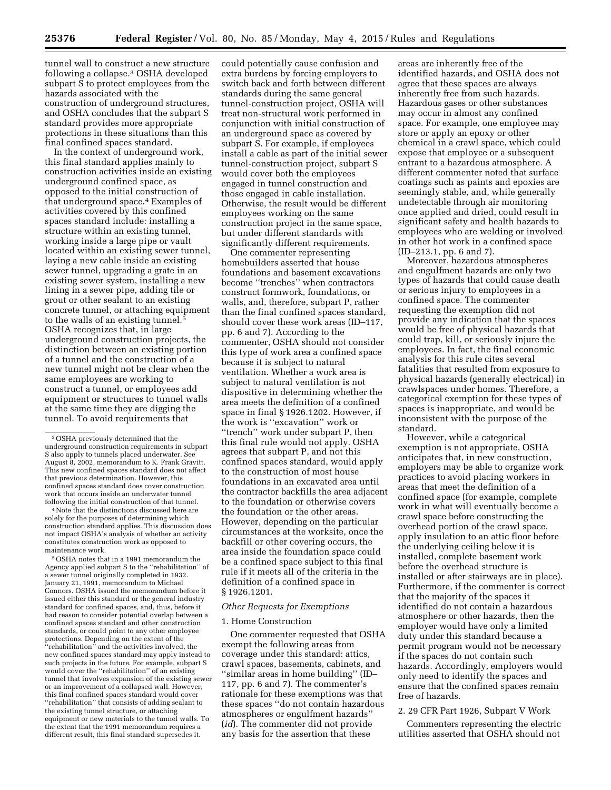tunnel wall to construct a new structure following a collapse.3 OSHA developed subpart S to protect employees from the hazards associated with the construction of underground structures, and OSHA concludes that the subpart S standard provides more appropriate protections in these situations than this final confined spaces standard.

In the context of underground work, this final standard applies mainly to construction activities inside an existing underground confined space, as opposed to the initial construction of that underground space.4 Examples of activities covered by this confined spaces standard include: installing a structure within an existing tunnel, working inside a large pipe or vault located within an existing sewer tunnel, laying a new cable inside an existing sewer tunnel, upgrading a grate in an existing sewer system, installing a new lining in a sewer pipe, adding tile or grout or other sealant to an existing concrete tunnel, or attaching equipment to the walls of an existing tunnel.5 OSHA recognizes that, in large underground construction projects, the distinction between an existing portion of a tunnel and the construction of a new tunnel might not be clear when the same employees are working to construct a tunnel, or employees add equipment or structures to tunnel walls at the same time they are digging the tunnel. To avoid requirements that

4Note that the distinctions discussed here are solely for the purposes of determining which construction standard applies. This discussion does not impact OSHA's analysis of whether an activity constitutes construction work as opposed to maintenance work.

5OSHA notes that in a 1991 memorandum the Agency applied subpart S to the ''rehabilitation'' of a sewer tunnel originally completed in 1932. January 21, 1991, memorandum to Michael Connors. OSHA issued the memorandum before it issued either this standard or the general industry standard for confined spaces, and, thus, before it had reason to consider potential overlap between a confined spaces standard and other construction standards, or could point to any other employee protections. Depending on the extent of the ''rehabilitation'' and the activities involved, the new confined spaces standard may apply instead to such projects in the future. For example, subpart S would cover the ''rehabilitation'' of an existing tunnel that involves expansion of the existing sewer or an improvement of a collapsed wall. However, this final confined spaces standard would cover ''rehabilitation'' that consists of adding sealant to the existing tunnel structure, or attaching equipment or new materials to the tunnel walls. To the extent that the 1991 memorandum requires a different result, this final standard supersedes it.

could potentially cause confusion and extra burdens by forcing employers to switch back and forth between different standards during the same general tunnel-construction project, OSHA will treat non-structural work performed in conjunction with initial construction of an underground space as covered by subpart S. For example, if employees install a cable as part of the initial sewer tunnel-construction project, subpart S would cover both the employees engaged in tunnel construction and those engaged in cable installation. Otherwise, the result would be different employees working on the same construction project in the same space, but under different standards with significantly different requirements.

One commenter representing homebuilders asserted that house foundations and basement excavations become ''trenches'' when contractors construct formwork, foundations, or walls, and, therefore, subpart P, rather than the final confined spaces standard, should cover these work areas (ID–117, pp. 6 and 7). According to the commenter, OSHA should not consider this type of work area a confined space because it is subject to natural ventilation. Whether a work area is subject to natural ventilation is not dispositive in determining whether the area meets the definition of a confined space in final § 1926.1202. However, if the work is ''excavation'' work or ''trench'' work under subpart P, then this final rule would not apply. OSHA agrees that subpart P, and not this confined spaces standard, would apply to the construction of most house foundations in an excavated area until the contractor backfills the area adjacent to the foundation or otherwise covers the foundation or the other areas. However, depending on the particular circumstances at the worksite, once the backfill or other covering occurs, the area inside the foundation space could be a confined space subject to this final rule if it meets all of the criteria in the definition of a confined space in § 1926.1201.

## *Other Requests for Exemptions*

# 1. Home Construction

One commenter requested that OSHA exempt the following areas from coverage under this standard: attics, crawl spaces, basements, cabinets, and ''similar areas in home building'' (ID– 117, pp. 6 and 7). The commenter's rationale for these exemptions was that these spaces ''do not contain hazardous atmospheres or engulfment hazards'' (*id*). The commenter did not provide any basis for the assertion that these

areas are inherently free of the identified hazards, and OSHA does not agree that these spaces are always inherently free from such hazards. Hazardous gases or other substances may occur in almost any confined space. For example, one employee may store or apply an epoxy or other chemical in a crawl space, which could expose that employee or a subsequent entrant to a hazardous atmosphere. A different commenter noted that surface coatings such as paints and epoxies are seemingly stable, and, while generally undetectable through air monitoring once applied and dried, could result in significant safety and health hazards to employees who are welding or involved in other hot work in a confined space (ID–213.1, pp. 6 and 7).

Moreover, hazardous atmospheres and engulfment hazards are only two types of hazards that could cause death or serious injury to employees in a confined space. The commenter requesting the exemption did not provide any indication that the spaces would be free of physical hazards that could trap, kill, or seriously injure the employees. In fact, the final economic analysis for this rule cites several fatalities that resulted from exposure to physical hazards (generally electrical) in crawlspaces under homes. Therefore, a categorical exemption for these types of spaces is inappropriate, and would be inconsistent with the purpose of the standard.

However, while a categorical exemption is not appropriate, OSHA anticipates that, in new construction, employers may be able to organize work practices to avoid placing workers in areas that meet the definition of a confined space (for example, complete work in what will eventually become a crawl space before constructing the overhead portion of the crawl space, apply insulation to an attic floor before the underlying ceiling below it is installed, complete basement work before the overhead structure is installed or after stairways are in place). Furthermore, if the commenter is correct that the majority of the spaces it identified do not contain a hazardous atmosphere or other hazards, then the employer would have only a limited duty under this standard because a permit program would not be necessary if the spaces do not contain such hazards. Accordingly, employers would only need to identify the spaces and ensure that the confined spaces remain free of hazards.

#### 2. 29 CFR Part 1926, Subpart V Work

Commenters representing the electric utilities asserted that OSHA should not

<sup>3</sup>OSHA previously determined that the underground construction requirements in subpart S also apply to tunnels placed underwater. See August 8, 2002, memorandum to K. Frank Gravitt. This new confined spaces standard does not affect that previous determination. However, this confined spaces standard does cover construction work that occurs inside an underwater tunnel following the initial construction of that tunnel.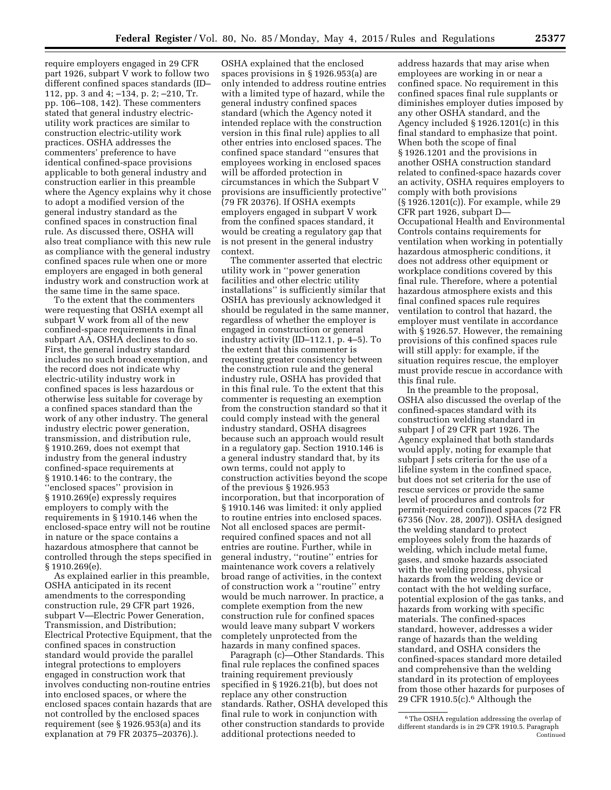require employers engaged in 29 CFR part 1926, subpart V work to follow two different confined spaces standards (ID– 112, pp. 3 and 4; –134, p. 2; –210, Tr. pp. 106–108, 142). These commenters stated that general industry electricutility work practices are similar to construction electric-utility work practices. OSHA addresses the commenters' preference to have identical confined-space provisions applicable to both general industry and construction earlier in this preamble where the Agency explains why it chose to adopt a modified version of the general industry standard as the confined spaces in construction final rule. As discussed there, OSHA will also treat compliance with this new rule as compliance with the general industry confined spaces rule when one or more employers are engaged in both general industry work and construction work at the same time in the same space.

To the extent that the commenters were requesting that OSHA exempt all subpart V work from all of the new confined-space requirements in final subpart AA, OSHA declines to do so. First, the general industry standard includes no such broad exemption, and the record does not indicate why electric-utility industry work in confined spaces is less hazardous or otherwise less suitable for coverage by a confined spaces standard than the work of any other industry. The general industry electric power generation, transmission, and distribution rule, § 1910.269, does not exempt that industry from the general industry confined-space requirements at § 1910.146: to the contrary, the ''enclosed spaces'' provision in § 1910.269(e) expressly requires employers to comply with the requirements in § 1910.146 when the enclosed-space entry will not be routine in nature or the space contains a hazardous atmosphere that cannot be controlled through the steps specified in § 1910.269(e).

As explained earlier in this preamble, OSHA anticipated in its recent amendments to the corresponding construction rule, 29 CFR part 1926, subpart V—Electric Power Generation, Transmission, and Distribution; Electrical Protective Equipment, that the confined spaces in construction standard would provide the parallel integral protections to employers engaged in construction work that involves conducting non-routine entries into enclosed spaces, or where the enclosed spaces contain hazards that are not controlled by the enclosed spaces requirement (see § 1926.953(a) and its explanation at 79 FR 20375–20376).).

OSHA explained that the enclosed spaces provisions in § 1926.953(a) are only intended to address routine entries with a limited type of hazard, while the general industry confined spaces standard (which the Agency noted it intended replace with the construction version in this final rule) applies to all other entries into enclosed spaces. The confined space standard ''ensures that employees working in enclosed spaces will be afforded protection in circumstances in which the Subpart V provisions are insufficiently protective'' (79 FR 20376). If OSHA exempts employers engaged in subpart V work from the confined spaces standard, it would be creating a regulatory gap that is not present in the general industry context.

The commenter asserted that electric utility work in ''power generation facilities and other electric utility installations'' is sufficiently similar that OSHA has previously acknowledged it should be regulated in the same manner, regardless of whether the employer is engaged in construction or general industry activity (ID–112.1, p. 4–5). To the extent that this commenter is requesting greater consistency between the construction rule and the general industry rule, OSHA has provided that in this final rule. To the extent that this commenter is requesting an exemption from the construction standard so that it could comply instead with the general industry standard, OSHA disagrees because such an approach would result in a regulatory gap. Section 1910.146 is a general industry standard that, by its own terms, could not apply to construction activities beyond the scope of the previous § 1926.953 incorporation, but that incorporation of § 1910.146 was limited: it only applied to routine entries into enclosed spaces. Not all enclosed spaces are permitrequired confined spaces and not all entries are routine. Further, while in general industry, ''routine'' entries for maintenance work covers a relatively broad range of activities, in the context of construction work a ''routine'' entry would be much narrower. In practice, a complete exemption from the new construction rule for confined spaces would leave many subpart V workers completely unprotected from the hazards in many confined spaces.

Paragraph (c)—Other Standards. This final rule replaces the confined spaces training requirement previously specified in § 1926.21(b), but does not replace any other construction standards. Rather, OSHA developed this final rule to work in conjunction with other construction standards to provide additional protections needed to

address hazards that may arise when employees are working in or near a confined space. No requirement in this confined spaces final rule supplants or diminishes employer duties imposed by any other OSHA standard, and the Agency included § 1926.1201(c) in this final standard to emphasize that point. When both the scope of final § 1926.1201 and the provisions in another OSHA construction standard related to confined-space hazards cover an activity, OSHA requires employers to comply with both provisions (§ 1926.1201(c)). For example, while 29 CFR part 1926, subpart D— Occupational Health and Environmental Controls contains requirements for ventilation when working in potentially hazardous atmospheric conditions, it does not address other equipment or workplace conditions covered by this final rule. Therefore, where a potential hazardous atmosphere exists and this final confined spaces rule requires ventilation to control that hazard, the employer must ventilate in accordance with § 1926.57. However, the remaining provisions of this confined spaces rule will still apply: for example, if the situation requires rescue, the employer must provide rescue in accordance with this final rule.

In the preamble to the proposal, OSHA also discussed the overlap of the confined-spaces standard with its construction welding standard in subpart J of 29 CFR part 1926. The Agency explained that both standards would apply, noting for example that subpart J sets criteria for the use of a lifeline system in the confined space, but does not set criteria for the use of rescue services or provide the same level of procedures and controls for permit-required confined spaces (72 FR 67356 (Nov. 28, 2007)). OSHA designed the welding standard to protect employees solely from the hazards of welding, which include metal fume, gases, and smoke hazards associated with the welding process, physical hazards from the welding device or contact with the hot welding surface, potential explosion of the gas tanks, and hazards from working with specific materials. The confined-spaces standard, however, addresses a wider range of hazards than the welding standard, and OSHA considers the confined-spaces standard more detailed and comprehensive than the welding standard in its protection of employees from those other hazards for purposes of 29 CFR 1910.5(c).6 Although the

<sup>6</sup>The OSHA regulation addressing the overlap of different standards is in 29 CFR 1910.5. Paragraph Continued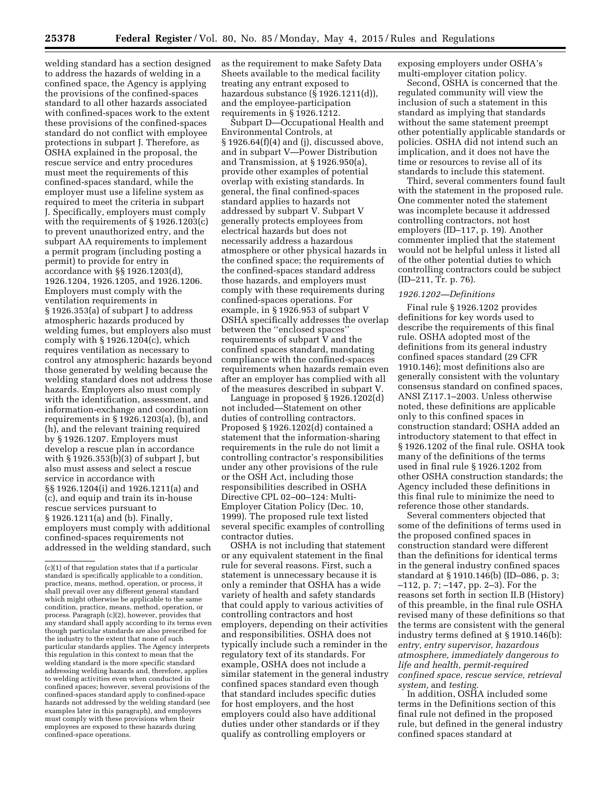welding standard has a section designed to address the hazards of welding in a confined space, the Agency is applying the provisions of the confined-spaces standard to all other hazards associated with confined-spaces work to the extent these provisions of the confined-spaces standard do not conflict with employee protections in subpart J. Therefore, as OSHA explained in the proposal, the rescue service and entry procedures must meet the requirements of this confined-spaces standard, while the employer must use a lifeline system as required to meet the criteria in subpart J. Specifically, employers must comply with the requirements of § 1926.1203(c) to prevent unauthorized entry, and the subpart AA requirements to implement a permit program (including posting a permit) to provide for entry in accordance with §§ 1926.1203(d), 1926.1204, 1926.1205, and 1926.1206. Employers must comply with the ventilation requirements in § 1926.353(a) of subpart J to address atmospheric hazards produced by welding fumes, but employers also must comply with § 1926.1204(c), which requires ventilation as necessary to control any atmospheric hazards beyond those generated by welding because the welding standard does not address those hazards. Employers also must comply with the identification, assessment, and information-exchange and coordination requirements in § 1926.1203(a), (b), and (h), and the relevant training required by § 1926.1207. Employers must develop a rescue plan in accordance with § 1926.353(b)(3) of subpart J, but also must assess and select a rescue service in accordance with §§ 1926.1204(i) and 1926.1211(a) and (c), and equip and train its in-house rescue services pursuant to § 1926.1211(a) and (b). Finally, employers must comply with additional confined-spaces requirements not addressed in the welding standard, such

as the requirement to make Safety Data Sheets available to the medical facility treating any entrant exposed to hazardous substance (§ 1926.1211(d)), and the employee-participation requirements in § 1926.1212.

Subpart D—Occupational Health and Environmental Controls, at § 1926.64(f)(4) and (j), discussed above, and in subpart V—Power Distribution and Transmission, at § 1926.950(a), provide other examples of potential overlap with existing standards. In general, the final confined-spaces standard applies to hazards not addressed by subpart V. Subpart V generally protects employees from electrical hazards but does not necessarily address a hazardous atmosphere or other physical hazards in the confined space; the requirements of the confined-spaces standard address those hazards, and employers must comply with these requirements during confined-spaces operations. For example, in § 1926.953 of subpart V OSHA specifically addresses the overlap between the ''enclosed spaces'' requirements of subpart V and the confined spaces standard, mandating compliance with the confined-spaces requirements when hazards remain even after an employer has complied with all of the measures described in subpart V.

Language in proposed § 1926.1202(d) not included—Statement on other duties of controlling contractors. Proposed § 1926.1202(d) contained a statement that the information-sharing requirements in the rule do not limit a controlling contractor's responsibilities under any other provisions of the rule or the OSH Act, including those responsibilities described in OSHA Directive CPL 02–00–124: Multi-Employer Citation Policy (Dec. 10, 1999). The proposed rule text listed several specific examples of controlling contractor duties.

OSHA is not including that statement or any equivalent statement in the final rule for several reasons. First, such a statement is unnecessary because it is only a reminder that OSHA has a wide variety of health and safety standards that could apply to various activities of controlling contractors and host employers, depending on their activities and responsibilities. OSHA does not typically include such a reminder in the regulatory text of its standards. For example, OSHA does not include a similar statement in the general industry confined spaces standard even though that standard includes specific duties for host employers, and the host employers could also have additional duties under other standards or if they qualify as controlling employers or

exposing employers under OSHA's multi-employer citation policy.

Second, OSHA is concerned that the regulated community will view the inclusion of such a statement in this standard as implying that standards without the same statement preempt other potentially applicable standards or policies. OSHA did not intend such an implication, and it does not have the time or resources to revise all of its standards to include this statement.

Third, several commenters found fault with the statement in the proposed rule. One commenter noted the statement was incomplete because it addressed controlling contractors, not host employers (ID–117, p. 19). Another commenter implied that the statement would not be helpful unless it listed all of the other potential duties to which controlling contractors could be subject (ID–211, Tr. p. 76).

# *1926.1202—Definitions*

Final rule § 1926.1202 provides definitions for key words used to describe the requirements of this final rule. OSHA adopted most of the definitions from its general industry confined spaces standard (29 CFR 1910.146); most definitions also are generally consistent with the voluntary consensus standard on confined spaces, ANSI Z117.1–2003. Unless otherwise noted, these definitions are applicable only to this confined spaces in construction standard; OSHA added an introductory statement to that effect in § 1926.1202 of the final rule. OSHA took many of the definitions of the terms used in final rule § 1926.1202 from other OSHA construction standards; the Agency included these definitions in this final rule to minimize the need to reference those other standards.

Several commenters objected that some of the definitions of terms used in the proposed confined spaces in construction standard were different than the definitions for identical terms in the general industry confined spaces standard at § 1910.146(b) (ID–086, p. 3; –112, p. 7; –147, pp. 2–3). For the reasons set forth in section II.B (History) of this preamble, in the final rule OSHA revised many of these definitions so that the terms are consistent with the general industry terms defined at § 1910.146(b): *entry, entry supervisor, hazardous atmosphere, immediately dangerous to life and health, permit-required confined space, rescue service, retrieval system,* and *testing.* 

In addition, OSHA included some terms in the Definitions section of this final rule not defined in the proposed rule, but defined in the general industry confined spaces standard at

<sup>(</sup>c)(1) of that regulation states that if a particular standard is specifically applicable to a condition, practice, means, method, operation, or process, it shall prevail over any different general standard which might otherwise be applicable to the same condition, practice, means, method, operation, or process. Paragraph (c)(2), however, provides that any standard shall apply according to its terms even though particular standards are also prescribed for the industry to the extent that none of such particular standards applies. The Agency interprets this regulation in this context to mean that the welding standard is the more specific standard addressing welding hazards and, therefore, applies to welding activities even when conducted in confined spaces; however, several provisions of the confined-spaces standard apply to confined-space hazards not addressed by the welding standard (see examples later in this paragraph), and employers must comply with these provisions when their employees are exposed to these hazards during confined-space operations.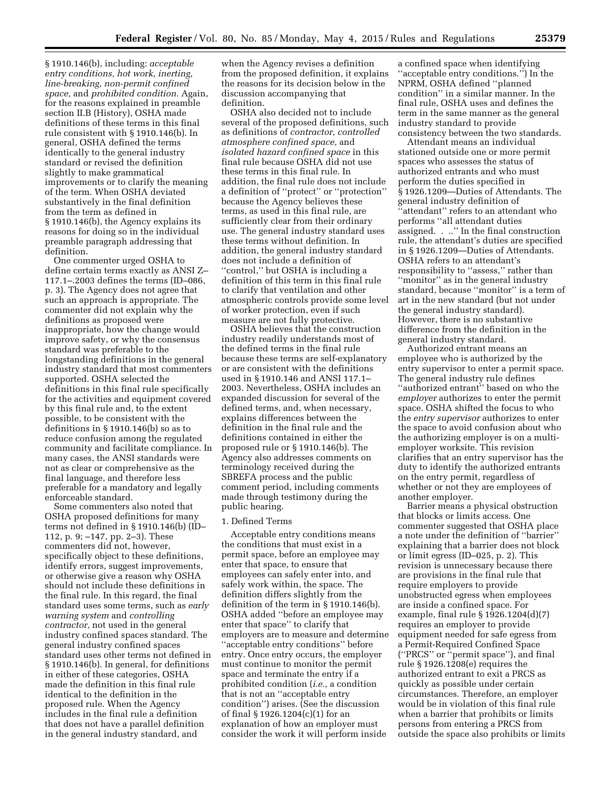§ 1910.146(b), including: *acceptable entry conditions, hot work, inerting, line-breaking, non-permit confined space,* and *prohibited condition.* Again, for the reasons explained in preamble section II.B (History), OSHA made definitions of these terms in this final rule consistent with § 1910.146(b). In general, OSHA defined the terms identically to the general industry standard or revised the definition slightly to make grammatical improvements or to clarify the meaning of the term. When OSHA deviated substantively in the final definition from the term as defined in § 1910.146(b), the Agency explains its reasons for doing so in the individual preamble paragraph addressing that definition.

One commenter urged OSHA to define certain terms exactly as ANSI Z– 117.1–.2003 defines the terms (ID–086, p. 3). The Agency does not agree that such an approach is appropriate. The commenter did not explain why the definitions as proposed were inappropriate, how the change would improve safety, or why the consensus standard was preferable to the longstanding definitions in the general industry standard that most commenters supported. OSHA selected the definitions in this final rule specifically for the activities and equipment covered by this final rule and, to the extent possible, to be consistent with the definitions in § 1910.146(b) so as to reduce confusion among the regulated community and facilitate compliance. In many cases, the ANSI standards were not as clear or comprehensive as the final language, and therefore less preferable for a mandatory and legally enforceable standard.

Some commenters also noted that OSHA proposed definitions for many terms not defined in § 1910.146(b) (ID– 112, p. 9; –147, pp. 2–3). These commenters did not, however, specifically object to these definitions, identify errors, suggest improvements, or otherwise give a reason why OSHA should not include these definitions in the final rule. In this regard, the final standard uses some terms, such as *early warning system* and *controlling contractor,* not used in the general industry confined spaces standard. The general industry confined spaces standard uses other terms not defined in § 1910.146(b). In general, for definitions in either of these categories, OSHA made the definition in this final rule identical to the definition in the proposed rule. When the Agency includes in the final rule a definition that does not have a parallel definition in the general industry standard, and

when the Agency revises a definition from the proposed definition, it explains the reasons for its decision below in the discussion accompanying that definition.

OSHA also decided not to include several of the proposed definitions, such as definitions of *contractor, controlled atmosphere confined space,* and *isolated hazard confined space* in this final rule because OSHA did not use these terms in this final rule. In addition, the final rule does not include a definition of ''protect'' or ''protection'' because the Agency believes these terms, as used in this final rule, are sufficiently clear from their ordinary use. The general industry standard uses these terms without definition. In addition, the general industry standard does not include a definition of ''control,'' but OSHA is including a definition of this term in this final rule to clarify that ventilation and other atmospheric controls provide some level of worker protection, even if such measure are not fully protective.

OSHA believes that the construction industry readily understands most of the defined terms in the final rule because these terms are self-explanatory or are consistent with the definitions used in § 1910.146 and ANSI 117.1– 2003. Nevertheless, OSHA includes an expanded discussion for several of the defined terms, and, when necessary, explains differences between the definition in the final rule and the definitions contained in either the proposed rule or § 1910.146(b). The Agency also addresses comments on terminology received during the SBREFA process and the public comment period, including comments made through testimony during the public hearing.

## 1. Defined Terms

Acceptable entry conditions means the conditions that must exist in a permit space, before an employee may enter that space, to ensure that employees can safely enter into, and safely work within, the space. The definition differs slightly from the definition of the term in § 1910.146(b). OSHA added ''before an employee may enter that space'' to clarify that employers are to measure and determine ''acceptable entry conditions'' before entry. Once entry occurs, the employer must continue to monitor the permit space and terminate the entry if a prohibited condition (*i.e.,* a condition that is not an ''acceptable entry condition'') arises. (See the discussion of final § 1926.1204(c)(1) for an explanation of how an employer must consider the work it will perform inside

a confined space when identifying ''acceptable entry conditions.'') In the NPRM, OSHA defined ''planned condition'' in a similar manner. In the final rule, OSHA uses and defines the term in the same manner as the general industry standard to provide consistency between the two standards.

Attendant means an individual stationed outside one or more permit spaces who assesses the status of authorized entrants and who must perform the duties specified in § 1926.1209—Duties of Attendants. The general industry definition of 'attendant'' refers to an attendant who performs ''all attendant duties assigned. . ..'' In the final construction rule, the attendant's duties are specified in § 1926.1209—Duties of Attendants. OSHA refers to an attendant's responsibility to ''assess,'' rather than ''monitor'' as in the general industry standard, because ''monitor'' is a term of art in the new standard (but not under the general industry standard). However, there is no substantive difference from the definition in the general industry standard.

Authorized entrant means an employee who is authorized by the entry supervisor to enter a permit space. The general industry rule defines ''authorized entrant'' based on who the *employer* authorizes to enter the permit space. OSHA shifted the focus to who the *entry supervisor* authorizes to enter the space to avoid confusion about who the authorizing employer is on a multiemployer worksite. This revision clarifies that an entry supervisor has the duty to identify the authorized entrants on the entry permit, regardless of whether or not they are employees of another employer.

Barrier means a physical obstruction that blocks or limits access. One commenter suggested that OSHA place a note under the definition of ''barrier'' explaining that a barrier does not block or limit egress (ID–025, p. 2). This revision is unnecessary because there are provisions in the final rule that require employers to provide unobstructed egress when employees are inside a confined space. For example, final rule § 1926.1204(d)(7) requires an employer to provide equipment needed for safe egress from a Permit-Required Confined Space (''PRCS'' or ''permit space''), and final rule § 1926.1208(e) requires the authorized entrant to exit a PRCS as quickly as possible under certain circumstances. Therefore, an employer would be in violation of this final rule when a barrier that prohibits or limits persons from entering a PRCS from outside the space also prohibits or limits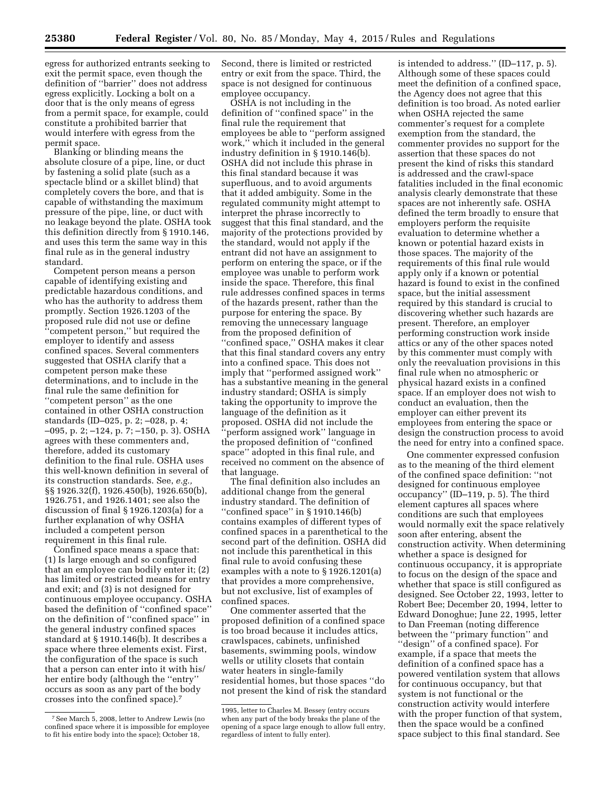egress for authorized entrants seeking to exit the permit space, even though the definition of ''barrier'' does not address egress explicitly. Locking a bolt on a door that is the only means of egress from a permit space, for example, could constitute a prohibited barrier that would interfere with egress from the permit space.

Blanking or blinding means the absolute closure of a pipe, line, or duct by fastening a solid plate (such as a spectacle blind or a skillet blind) that completely covers the bore, and that is capable of withstanding the maximum pressure of the pipe, line, or duct with no leakage beyond the plate. OSHA took this definition directly from § 1910.146, and uses this term the same way in this final rule as in the general industry standard.

Competent person means a person capable of identifying existing and predictable hazardous conditions, and who has the authority to address them promptly. Section 1926.1203 of the proposed rule did not use or define ''competent person,'' but required the employer to identify and assess confined spaces. Several commenters suggested that OSHA clarify that a competent person make these determinations, and to include in the final rule the same definition for ''competent person'' as the one contained in other OSHA construction standards (ID–025, p. 2; –028, p. 4; –095, p. 2; –124, p. 7; –150, p. 3). OSHA agrees with these commenters and, therefore, added its customary definition to the final rule. OSHA uses this well-known definition in several of its construction standards. See, *e.g.,*  §§ 1926.32(f), 1926.450(b), 1926.650(b), 1926.751, and 1926.1401; see also the discussion of final § 1926.1203(a) for a further explanation of why OSHA included a competent person requirement in this final rule.

Confined space means a space that: (1) Is large enough and so configured that an employee can bodily enter it; (2) has limited or restricted means for entry and exit; and (3) is not designed for continuous employee occupancy. OSHA based the definition of ''confined space'' on the definition of ''confined space'' in the general industry confined spaces standard at § 1910.146(b). It describes a space where three elements exist. First, the configuration of the space is such that a person can enter into it with his/ her entire body (although the ''entry'' occurs as soon as any part of the body crosses into the confined space).7

Second, there is limited or restricted entry or exit from the space. Third, the space is not designed for continuous employee occupancy.

OSHA is not including in the definition of ''confined space'' in the final rule the requirement that employees be able to ''perform assigned work,'' which it included in the general industry definition in § 1910.146(b). OSHA did not include this phrase in this final standard because it was superfluous, and to avoid arguments that it added ambiguity. Some in the regulated community might attempt to interpret the phrase incorrectly to suggest that this final standard, and the majority of the protections provided by the standard, would not apply if the entrant did not have an assignment to perform on entering the space, or if the employee was unable to perform work inside the space. Therefore, this final rule addresses confined spaces in terms of the hazards present, rather than the purpose for entering the space. By removing the unnecessary language from the proposed definition of ''confined space,'' OSHA makes it clear that this final standard covers any entry into a confined space. This does not imply that ''performed assigned work'' has a substantive meaning in the general industry standard; OSHA is simply taking the opportunity to improve the language of the definition as it proposed. OSHA did not include the 'perform assigned work'' language in the proposed definition of ''confined space'' adopted in this final rule, and received no comment on the absence of that language.

The final definition also includes an additional change from the general industry standard. The definition of ''confined space'' in § 1910.146(b) contains examples of different types of confined spaces in a parenthetical to the second part of the definition. OSHA did not include this parenthetical in this final rule to avoid confusing these examples with a note to § 1926.1201(a) that provides a more comprehensive, but not exclusive, list of examples of confined spaces.

One commenter asserted that the proposed definition of a confined space is too broad because it includes attics, crawlspaces, cabinets, unfinished basements, swimming pools, window wells or utility closets that contain water heaters in single-family residential homes, but those spaces ''do not present the kind of risk the standard

is intended to address.'' (ID–117, p. 5). Although some of these spaces could meet the definition of a confined space, the Agency does not agree that this definition is too broad. As noted earlier when OSHA rejected the same commenter's request for a complete exemption from the standard, the commenter provides no support for the assertion that these spaces do not present the kind of risks this standard is addressed and the crawl-space fatalities included in the final economic analysis clearly demonstrate that these spaces are not inherently safe. OSHA defined the term broadly to ensure that employers perform the requisite evaluation to determine whether a known or potential hazard exists in those spaces. The majority of the requirements of this final rule would apply only if a known or potential hazard is found to exist in the confined space, but the initial assessment required by this standard is crucial to discovering whether such hazards are present. Therefore, an employer performing construction work inside attics or any of the other spaces noted by this commenter must comply with only the reevaluation provisions in this final rule when no atmospheric or physical hazard exists in a confined space. If an employer does not wish to conduct an evaluation, then the employer can either prevent its employees from entering the space or design the construction process to avoid the need for entry into a confined space.

One commenter expressed confusion as to the meaning of the third element of the confined space definition: ''not designed for continuous employee occupancy'' (ID–119, p. 5). The third element captures all spaces where conditions are such that employees would normally exit the space relatively soon after entering, absent the construction activity. When determining whether a space is designed for continuous occupancy, it is appropriate to focus on the design of the space and whether that space is still configured as designed. See October 22, 1993, letter to Robert Bee; December 20, 1994, letter to Edward Donoghue; June 22, 1995, letter to Dan Freeman (noting difference between the ''primary function'' and ''design'' of a confined space). For example, if a space that meets the definition of a confined space has a powered ventilation system that allows for continuous occupancy, but that system is not functional or the construction activity would interfere with the proper function of that system, then the space would be a confined space subject to this final standard. See

<sup>7</sup>See March 5, 2008, letter to Andrew Lewis (no confined space where it is impossible for employee to fit his entire body into the space); October 18,

<sup>1995,</sup> letter to Charles M. Bessey (entry occurs when any part of the body breaks the plane of the opening of a space large enough to allow full entry, regardless of intent to fully enter).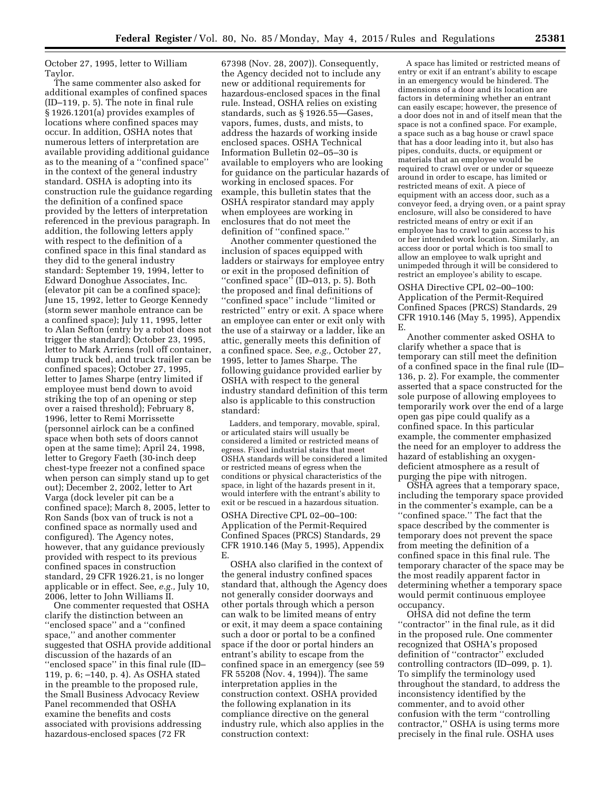October 27, 1995, letter to William Taylor.

The same commenter also asked for additional examples of confined spaces (ID–119, p. 5). The note in final rule § 1926.1201(a) provides examples of locations where confined spaces may occur. In addition, OSHA notes that numerous letters of interpretation are available providing additional guidance as to the meaning of a ''confined space'' in the context of the general industry standard. OSHA is adopting into its construction rule the guidance regarding the definition of a confined space provided by the letters of interpretation referenced in the previous paragraph. In addition, the following letters apply with respect to the definition of a confined space in this final standard as they did to the general industry standard: September 19, 1994, letter to Edward Donoghue Associates, Inc. (elevator pit can be a confined space); June 15, 1992, letter to George Kennedy (storm sewer manhole entrance can be a confined space); July 11, 1995, letter to Alan Sefton (entry by a robot does not trigger the standard); October 23, 1995, letter to Mark Arriens (roll off container, dump truck bed, and truck trailer can be confined spaces); October 27, 1995, letter to James Sharpe (entry limited if employee must bend down to avoid striking the top of an opening or step over a raised threshold); February 8, 1996, letter to Remi Morrissette (personnel airlock can be a confined space when both sets of doors cannot open at the same time); April 24, 1998, letter to Gregory Faeth (30-inch deep chest-type freezer not a confined space when person can simply stand up to get out); December 2, 2002, letter to Art Varga (dock leveler pit can be a confined space); March 8, 2005, letter to Ron Sands (box van of truck is not a confined space as normally used and configured). The Agency notes, however, that any guidance previously provided with respect to its previous confined spaces in construction standard, 29 CFR 1926.21, is no longer applicable or in effect. See, *e.g.,* July 10, 2006, letter to John Williams II.

One commenter requested that OSHA clarify the distinction between an ''enclosed space'' and a ''confined space,'' and another commenter suggested that OSHA provide additional discussion of the hazards of an ''enclosed space'' in this final rule (ID– 119, p. 6; –140, p. 4). As OSHA stated in the preamble to the proposed rule, the Small Business Advocacy Review Panel recommended that OSHA examine the benefits and costs associated with provisions addressing hazardous-enclosed spaces (72 FR

67398 (Nov. 28, 2007)). Consequently, the Agency decided not to include any new or additional requirements for hazardous-enclosed spaces in the final rule. Instead, OSHA relies on existing standards, such as § 1926.55—Gases, vapors, fumes, dusts, and mists, to address the hazards of working inside enclosed spaces. OSHA Technical Information Bulletin 02–05–30 is available to employers who are looking for guidance on the particular hazards of working in enclosed spaces. For example, this bulletin states that the OSHA respirator standard may apply when employees are working in enclosures that do not meet the definition of ''confined space.''

Another commenter questioned the inclusion of spaces equipped with ladders or stairways for employee entry or exit in the proposed definition of ''confined space'' (ID–013, p. 5). Both the proposed and final definitions of ''confined space'' include ''limited or restricted'' entry or exit. A space where an employee can enter or exit only with the use of a stairway or a ladder, like an attic, generally meets this definition of a confined space. See*, e.g.,* October 27, 1995, letter to James Sharpe. The following guidance provided earlier by OSHA with respect to the general industry standard definition of this term also is applicable to this construction standard:

Ladders, and temporary, movable, spiral, or articulated stairs will usually be considered a limited or restricted means of egress. Fixed industrial stairs that meet OSHA standards will be considered a limited or restricted means of egress when the conditions or physical characteristics of the space, in light of the hazards present in it, would interfere with the entrant's ability to exit or be rescued in a hazardous situation.

OSHA Directive CPL 02–00–100: Application of the Permit-Required Confined Spaces (PRCS) Standards, 29 CFR 1910.146 (May 5, 1995), Appendix E.

OSHA also clarified in the context of the general industry confined spaces standard that, although the Agency does not generally consider doorways and other portals through which a person can walk to be limited means of entry or exit, it may deem a space containing such a door or portal to be a confined space if the door or portal hinders an entrant's ability to escape from the confined space in an emergency (see 59 FR 55208 (Nov. 4, 1994)). The same interpretation applies in the construction context. OSHA provided the following explanation in its compliance directive on the general industry rule, which also applies in the construction context:

A space has limited or restricted means of entry or exit if an entrant's ability to escape in an emergency would be hindered. The dimensions of a door and its location are factors in determining whether an entrant can easily escape; however, the presence of a door does not in and of itself mean that the space is not a confined space. For example, a space such as a bag house or crawl space that has a door leading into it, but also has pipes, conduits, ducts, or equipment or materials that an employee would be required to crawl over or under or squeeze around in order to escape, has limited or restricted means of exit. A piece of equipment with an access door, such as a conveyor feed, a drying oven, or a paint spray enclosure, will also be considered to have restricted means of entry or exit if an employee has to crawl to gain access to his or her intended work location. Similarly, an access door or portal which is too small to allow an employee to walk upright and unimpeded through it will be considered to restrict an employee's ability to escape.

OSHA Directive CPL 02–00–100: Application of the Permit-Required Confined Spaces (PRCS) Standards, 29 CFR 1910.146 (May 5, 1995), Appendix E.

Another commenter asked OSHA to clarify whether a space that is temporary can still meet the definition of a confined space in the final rule (ID– 136, p. 2). For example, the commenter asserted that a space constructed for the sole purpose of allowing employees to temporarily work over the end of a large open gas pipe could qualify as a confined space. In this particular example, the commenter emphasized the need for an employer to address the hazard of establishing an oxygendeficient atmosphere as a result of purging the pipe with nitrogen.

OSHA agrees that a temporary space, including the temporary space provided in the commenter's example, can be a ''confined space.'' The fact that the space described by the commenter is temporary does not prevent the space from meeting the definition of a confined space in this final rule. The temporary character of the space may be the most readily apparent factor in determining whether a temporary space would permit continuous employee occupancy.

OHSA did not define the term ''contractor'' in the final rule, as it did in the proposed rule. One commenter recognized that OSHA's proposed definition of ''contractor'' excluded controlling contractors (ID–099, p. 1). To simplify the terminology used throughout the standard, to address the inconsistency identified by the commenter, and to avoid other confusion with the term ''controlling contractor,'' OSHA is using terms more precisely in the final rule. OSHA uses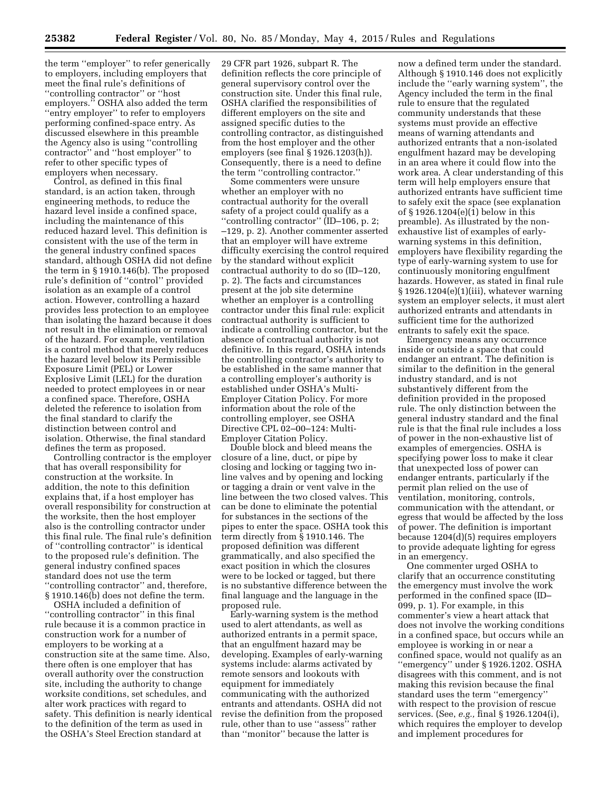the term ''employer'' to refer generically to employers, including employers that meet the final rule's definitions of ''controlling contractor'' or ''host employers." OSHA also added the term ''entry employer'' to refer to employers performing confined-space entry. As discussed elsewhere in this preamble the Agency also is using ''controlling contractor'' and ''host employer'' to refer to other specific types of employers when necessary.

Control, as defined in this final standard, is an action taken, through engineering methods, to reduce the hazard level inside a confined space, including the maintenance of this reduced hazard level. This definition is consistent with the use of the term in the general industry confined spaces standard, although OSHA did not define the term in § 1910.146(b). The proposed rule's definition of ''control'' provided isolation as an example of a control action. However, controlling a hazard provides less protection to an employee than isolating the hazard because it does not result in the elimination or removal of the hazard. For example, ventilation is a control method that merely reduces the hazard level below its Permissible Exposure Limit (PEL) or Lower Explosive Limit (LEL) for the duration needed to protect employees in or near a confined space. Therefore, OSHA deleted the reference to isolation from the final standard to clarify the distinction between control and isolation. Otherwise, the final standard defines the term as proposed.

Controlling contractor is the employer that has overall responsibility for construction at the worksite. In addition, the note to this definition explains that, if a host employer has overall responsibility for construction at the worksite, then the host employer also is the controlling contractor under this final rule. The final rule's definition of ''controlling contractor'' is identical to the proposed rule's definition. The general industry confined spaces standard does not use the term ''controlling contractor'' and, therefore, § 1910.146(b) does not define the term.

OSHA included a definition of ''controlling contractor'' in this final rule because it is a common practice in construction work for a number of employers to be working at a construction site at the same time. Also, there often is one employer that has overall authority over the construction site, including the authority to change worksite conditions, set schedules, and alter work practices with regard to safety. This definition is nearly identical to the definition of the term as used in the OSHA's Steel Erection standard at

29 CFR part 1926, subpart R. The definition reflects the core principle of general supervisory control over the construction site. Under this final rule, OSHA clarified the responsibilities of different employers on the site and assigned specific duties to the controlling contractor, as distinguished from the host employer and the other employers (see final § 1926.1203(h)). Consequently, there is a need to define the term ''controlling contractor.''

Some commenters were unsure whether an employer with no contractual authority for the overall safety of a project could qualify as a ''controlling contractor'' (ID–106, p. 2; –129, p. 2). Another commenter asserted that an employer will have extreme difficulty exercising the control required by the standard without explicit contractual authority to do so (ID–120, p. 2). The facts and circumstances present at the job site determine whether an employer is a controlling contractor under this final rule: explicit contractual authority is sufficient to indicate a controlling contractor, but the absence of contractual authority is not definitive. In this regard, OSHA intends the controlling contractor's authority to be established in the same manner that a controlling employer's authority is established under OSHA's Multi-Employer Citation Policy. For more information about the role of the controlling employer, see OSHA Directive CPL 02–00–124: Multi-Employer Citation Policy.

Double block and bleed means the closure of a line, duct, or pipe by closing and locking or tagging two inline valves and by opening and locking or tagging a drain or vent valve in the line between the two closed valves. This can be done to eliminate the potential for substances in the sections of the pipes to enter the space. OSHA took this term directly from § 1910.146. The proposed definition was different grammatically, and also specified the exact position in which the closures were to be locked or tagged, but there is no substantive difference between the final language and the language in the proposed rule.

Early-warning system is the method used to alert attendants, as well as authorized entrants in a permit space, that an engulfment hazard may be developing. Examples of early-warning systems include: alarms activated by remote sensors and lookouts with equipment for immediately communicating with the authorized entrants and attendants. OSHA did not revise the definition from the proposed rule, other than to use ''assess'' rather than ''monitor'' because the latter is

now a defined term under the standard. Although § 1910.146 does not explicitly include the ''early warning system'', the Agency included the term in the final rule to ensure that the regulated community understands that these systems must provide an effective means of warning attendants and authorized entrants that a non-isolated engulfment hazard may be developing in an area where it could flow into the work area. A clear understanding of this term will help employers ensure that authorized entrants have sufficient time to safely exit the space (see explanation of § 1926.1204(e)(1) below in this preamble). As illustrated by the nonexhaustive list of examples of earlywarning systems in this definition, employers have flexibility regarding the type of early-warning system to use for continuously monitoring engulfment hazards. However, as stated in final rule § 1926.1204(e)(1)(iii), whatever warning system an employer selects, it must alert authorized entrants and attendants in sufficient time for the authorized entrants to safely exit the space.

Emergency means any occurrence inside or outside a space that could endanger an entrant. The definition is similar to the definition in the general industry standard, and is not substantively different from the definition provided in the proposed rule. The only distinction between the general industry standard and the final rule is that the final rule includes a loss of power in the non-exhaustive list of examples of emergencies. OSHA is specifying power loss to make it clear that unexpected loss of power can endanger entrants, particularly if the permit plan relied on the use of ventilation, monitoring, controls, communication with the attendant, or egress that would be affected by the loss of power. The definition is important because 1204(d)(5) requires employers to provide adequate lighting for egress in an emergency.

One commenter urged OSHA to clarify that an occurrence constituting the emergency must involve the work performed in the confined space (ID– 099, p. 1). For example, in this commenter's view a heart attack that does not involve the working conditions in a confined space, but occurs while an employee is working in or near a confined space, would not qualify as an ''emergency'' under § 1926.1202. OSHA disagrees with this comment, and is not making this revision because the final standard uses the term ''emergency'' with respect to the provision of rescue services. (See, *e.g.,* final § 1926.1204(i), which requires the employer to develop and implement procedures for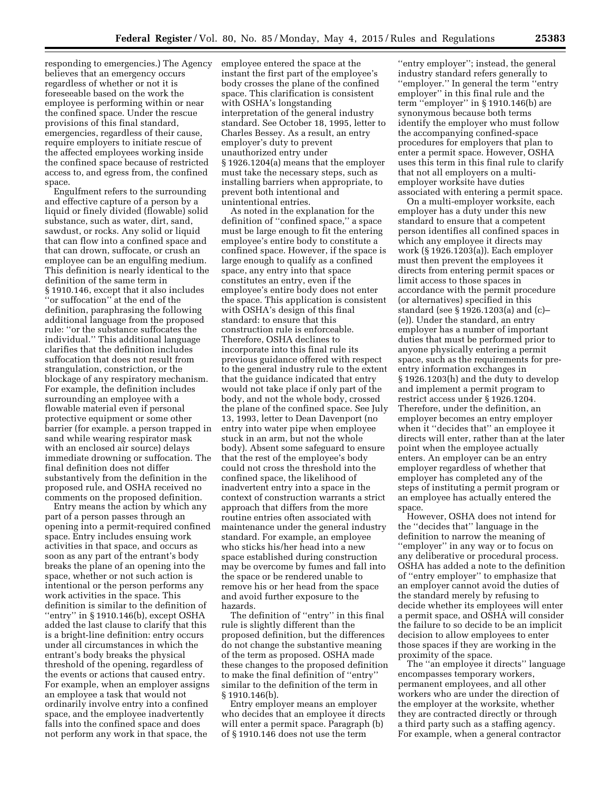responding to emergencies.) The Agency believes that an emergency occurs regardless of whether or not it is foreseeable based on the work the employee is performing within or near the confined space. Under the rescue provisions of this final standard, emergencies, regardless of their cause, require employers to initiate rescue of the affected employees working inside the confined space because of restricted access to, and egress from, the confined space.

Engulfment refers to the surrounding and effective capture of a person by a liquid or finely divided (flowable) solid substance, such as water, dirt, sand, sawdust, or rocks. Any solid or liquid that can flow into a confined space and that can drown, suffocate, or crush an employee can be an engulfing medium. This definition is nearly identical to the definition of the same term in § 1910.146, except that it also includes ''or suffocation'' at the end of the definition, paraphrasing the following additional language from the proposed rule: ''or the substance suffocates the individual.'' This additional language clarifies that the definition includes suffocation that does not result from strangulation, constriction, or the blockage of any respiratory mechanism. For example, the definition includes surrounding an employee with a flowable material even if personal protective equipment or some other barrier (for example. a person trapped in sand while wearing respirator mask with an enclosed air source) delays immediate drowning or suffocation. The final definition does not differ substantively from the definition in the proposed rule, and OSHA received no comments on the proposed definition.

Entry means the action by which any part of a person passes through an opening into a permit-required confined space. Entry includes ensuing work activities in that space, and occurs as soon as any part of the entrant's body breaks the plane of an opening into the space, whether or not such action is intentional or the person performs any work activities in the space. This definition is similar to the definition of ''entry'' in § 1910.146(b), except OSHA added the last clause to clarify that this is a bright-line definition: entry occurs under all circumstances in which the entrant's body breaks the physical threshold of the opening, regardless of the events or actions that caused entry. For example, when an employer assigns an employee a task that would not ordinarily involve entry into a confined space, and the employee inadvertently falls into the confined space and does not perform any work in that space, the

employee entered the space at the instant the first part of the employee's body crosses the plane of the confined space. This clarification is consistent with OSHA's longstanding interpretation of the general industry standard. See October 18, 1995, letter to Charles Bessey. As a result, an entry employer's duty to prevent unauthorized entry under § 1926.1204(a) means that the employer must take the necessary steps, such as installing barriers when appropriate, to prevent both intentional and unintentional entries.

As noted in the explanation for the definition of ''confined space,'' a space must be large enough to fit the entering employee's entire body to constitute a confined space. However, if the space is large enough to qualify as a confined space, any entry into that space constitutes an entry, even if the employee's entire body does not enter the space. This application is consistent with OSHA's design of this final standard: to ensure that this construction rule is enforceable. Therefore, OSHA declines to incorporate into this final rule its previous guidance offered with respect to the general industry rule to the extent that the guidance indicated that entry would not take place if only part of the body, and not the whole body, crossed the plane of the confined space. See July 13, 1993, letter to Dean Davenport (no entry into water pipe when employee stuck in an arm, but not the whole body). Absent some safeguard to ensure that the rest of the employee's body could not cross the threshold into the confined space, the likelihood of inadvertent entry into a space in the context of construction warrants a strict approach that differs from the more routine entries often associated with maintenance under the general industry standard. For example, an employee who sticks his/her head into a new space established during construction may be overcome by fumes and fall into the space or be rendered unable to remove his or her head from the space and avoid further exposure to the hazards.

The definition of ''entry'' in this final rule is slightly different than the proposed definition, but the differences do not change the substantive meaning of the term as proposed. OSHA made these changes to the proposed definition to make the final definition of ''entry'' similar to the definition of the term in § 1910.146(b).

Entry employer means an employer who decides that an employee it directs will enter a permit space. Paragraph (b) of § 1910.146 does not use the term

''entry employer''; instead, the general industry standard refers generally to ''employer.'' In general the term ''entry employer'' in this final rule and the term ''employer'' in § 1910.146(b) are synonymous because both terms identify the employer who must follow the accompanying confined-space procedures for employers that plan to enter a permit space. However, OSHA uses this term in this final rule to clarify that not all employers on a multiemployer worksite have duties associated with entering a permit space.

On a multi-employer worksite, each employer has a duty under this new standard to ensure that a competent person identifies all confined spaces in which any employee it directs may work (§ 1926.1203(a)). Each employer must then prevent the employees it directs from entering permit spaces or limit access to those spaces in accordance with the permit procedure (or alternatives) specified in this standard (see § 1926.1203(a) and (c)– (e)). Under the standard, an entry employer has a number of important duties that must be performed prior to anyone physically entering a permit space, such as the requirements for preentry information exchanges in § 1926.1203(h) and the duty to develop and implement a permit program to restrict access under § 1926.1204. Therefore, under the definition, an employer becomes an entry employer when it ''decides that'' an employee it directs will enter, rather than at the later point when the employee actually enters. An employer can be an entry employer regardless of whether that employer has completed any of the steps of instituting a permit program or an employee has actually entered the space.

However, OSHA does not intend for the ''decides that'' language in the definition to narrow the meaning of ''employer'' in any way or to focus on any deliberative or procedural process. OSHA has added a note to the definition of ''entry employer'' to emphasize that an employer cannot avoid the duties of the standard merely by refusing to decide whether its employees will enter a permit space, and OSHA will consider the failure to so decide to be an implicit decision to allow employees to enter those spaces if they are working in the proximity of the space.

The ''an employee it directs'' language encompasses temporary workers, permanent employees, and all other workers who are under the direction of the employer at the worksite, whether they are contracted directly or through a third party such as a staffing agency. For example, when a general contractor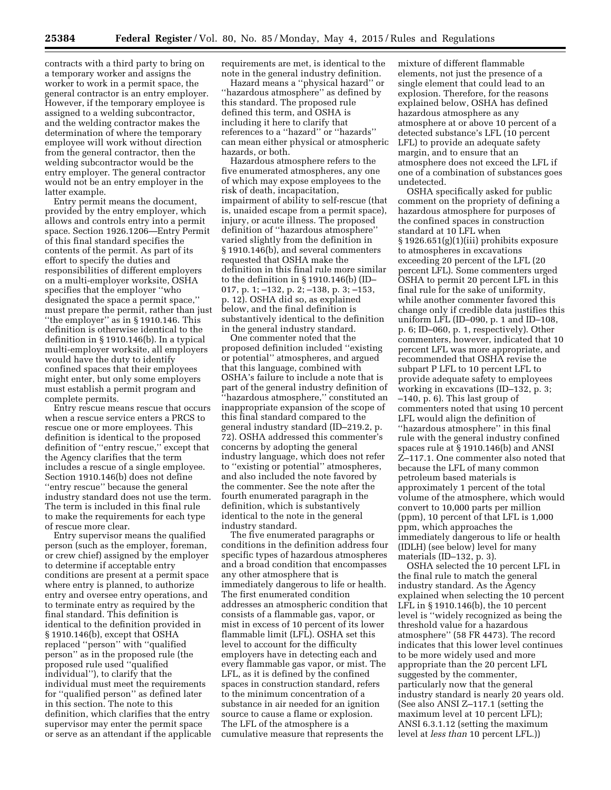contracts with a third party to bring on a temporary worker and assigns the worker to work in a permit space, the general contractor is an entry employer. However, if the temporary employee is assigned to a welding subcontractor, and the welding contractor makes the determination of where the temporary employee will work without direction from the general contractor, then the welding subcontractor would be the entry employer. The general contractor would not be an entry employer in the latter example.

Entry permit means the document, provided by the entry employer, which allows and controls entry into a permit space. Section 1926.1206—Entry Permit of this final standard specifies the contents of the permit. As part of its effort to specify the duties and responsibilities of different employers on a multi-employer worksite, OSHA specifies that the employer ''who designated the space a permit space,'' must prepare the permit, rather than just ''the employer'' as in § 1910.146. This definition is otherwise identical to the definition in § 1910.146(b). In a typical multi-employer worksite, all employers would have the duty to identify confined spaces that their employees might enter, but only some employers must establish a permit program and complete permits.

Entry rescue means rescue that occurs when a rescue service enters a PRCS to rescue one or more employees. This definition is identical to the proposed definition of ''entry rescue,'' except that the Agency clarifies that the term includes a rescue of a single employee. Section 1910.146(b) does not define ''entry rescue'' because the general industry standard does not use the term. The term is included in this final rule to make the requirements for each type of rescue more clear.

Entry supervisor means the qualified person (such as the employer, foreman, or crew chief) assigned by the employer to determine if acceptable entry conditions are present at a permit space where entry is planned, to authorize entry and oversee entry operations, and to terminate entry as required by the final standard. This definition is identical to the definition provided in § 1910.146(b), except that OSHA replaced ''person'' with ''qualified person'' as in the proposed rule (the proposed rule used ''qualified individual''), to clarify that the individual must meet the requirements for ''qualified person'' as defined later in this section. The note to this definition, which clarifies that the entry supervisor may enter the permit space or serve as an attendant if the applicable requirements are met, is identical to the note in the general industry definition.

Hazard means a ''physical hazard'' or ''hazardous atmosphere'' as defined by this standard. The proposed rule defined this term, and OSHA is including it here to clarify that references to a ''hazard'' or ''hazards'' can mean either physical or atmospheric hazards, or both.

Hazardous atmosphere refers to the five enumerated atmospheres, any one of which may expose employees to the risk of death, incapacitation, impairment of ability to self-rescue (that is, unaided escape from a permit space), injury, or acute illness. The proposed definition of ''hazardous atmosphere'' varied slightly from the definition in § 1910.146(b), and several commenters requested that OSHA make the definition in this final rule more similar to the definition in § 1910.146(b) (ID– 017, p. 1; –132, p. 2; –138, p. 3; –153, p. 12). OSHA did so, as explained below, and the final definition is substantively identical to the definition in the general industry standard.

One commenter noted that the proposed definition included ''existing or potential'' atmospheres, and argued that this language, combined with OSHA's failure to include a note that is part of the general industry definition of ''hazardous atmosphere,'' constituted an inappropriate expansion of the scope of this final standard compared to the general industry standard (ID–219.2, p. 72). OSHA addressed this commenter's concerns by adopting the general industry language, which does not refer to ''existing or potential'' atmospheres, and also included the note favored by the commenter. See the note after the fourth enumerated paragraph in the definition, which is substantively identical to the note in the general industry standard.

The five enumerated paragraphs or conditions in the definition address four specific types of hazardous atmospheres and a broad condition that encompasses any other atmosphere that is immediately dangerous to life or health. The first enumerated condition addresses an atmospheric condition that consists of a flammable gas, vapor, or mist in excess of 10 percent of its lower flammable limit (LFL). OSHA set this level to account for the difficulty employers have in detecting each and every flammable gas vapor, or mist. The LFL, as it is defined by the confined spaces in construction standard, refers to the minimum concentration of a substance in air needed for an ignition source to cause a flame or explosion. The LFL of the atmosphere is a cumulative measure that represents the

mixture of different flammable elements, not just the presence of a single element that could lead to an explosion. Therefore, for the reasons explained below, OSHA has defined hazardous atmosphere as any atmosphere at or above 10 percent of a detected substance's LFL (10 percent LFL) to provide an adequate safety margin, and to ensure that an atmosphere does not exceed the LFL if one of a combination of substances goes undetected.

OSHA specifically asked for public comment on the propriety of defining a hazardous atmosphere for purposes of the confined spaces in construction standard at 10 LFL when § 1926.651(g)(1)(iii) prohibits exposure to atmospheres in excavations exceeding 20 percent of the LFL (20 percent LFL). Some commenters urged OSHA to permit 20 percent LFL in this final rule for the sake of uniformity, while another commenter favored this change only if credible data justifies this uniform LFL (ID–090, p. 1 and ID–108, p. 6; ID–060, p. 1, respectively). Other commenters, however, indicated that 10 percent LFL was more appropriate, and recommended that OSHA revise the subpart P LFL to 10 percent LFL to provide adequate safety to employees working in excavations (ID–132, p. 3; –140, p. 6). This last group of commenters noted that using 10 percent LFL would align the definition of ''hazardous atmosphere'' in this final rule with the general industry confined spaces rule at § 1910.146(b) and ANSI Z–117.1. One commenter also noted that because the LFL of many common petroleum based materials is approximately 1 percent of the total volume of the atmosphere, which would convert to 10,000 parts per million (ppm), 10 percent of that LFL is 1,000 ppm, which approaches the immediately dangerous to life or health (IDLH) (see below) level for many materials (ID–132, p. 3).

OSHA selected the 10 percent LFL in the final rule to match the general industry standard. As the Agency explained when selecting the 10 percent LFL in § 1910.146(b), the 10 percent level is ''widely recognized as being the threshold value for a hazardous atmosphere'' (58 FR 4473). The record indicates that this lower level continues to be more widely used and more appropriate than the 20 percent LFL suggested by the commenter, particularly now that the general industry standard is nearly 20 years old. (See also ANSI Z–117.1 (setting the maximum level at 10 percent LFL); ANSI 6.3.1.12 (setting the maximum level at *less than* 10 percent LFL.))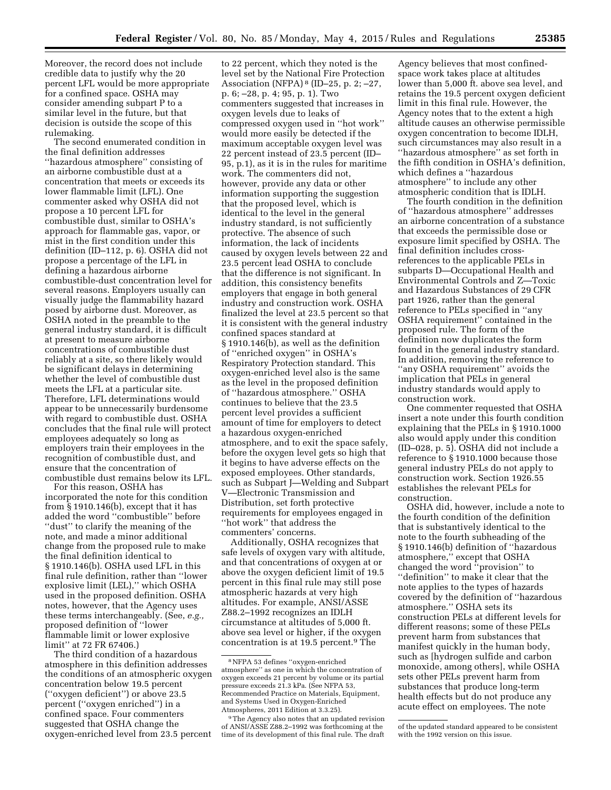Moreover, the record does not include credible data to justify why the 20 percent LFL would be more appropriate for a confined space. OSHA may consider amending subpart P to a similar level in the future, but that decision is outside the scope of this rulemaking.

The second enumerated condition in the final definition addresses ''hazardous atmosphere'' consisting of an airborne combustible dust at a concentration that meets or exceeds its lower flammable limit (LFL). One commenter asked why OSHA did not propose a 10 percent LFL for combustible dust, similar to OSHA's approach for flammable gas, vapor, or mist in the first condition under this definition (ID–112, p. 6). OSHA did not propose a percentage of the LFL in defining a hazardous airborne combustible-dust concentration level for several reasons. Employers usually can visually judge the flammability hazard posed by airborne dust. Moreover, as OSHA noted in the preamble to the general industry standard, it is difficult at present to measure airborne concentrations of combustible dust reliably at a site, so there likely would be significant delays in determining whether the level of combustible dust meets the LFL at a particular site. Therefore, LFL determinations would appear to be unnecessarily burdensome with regard to combustible dust. OSHA concludes that the final rule will protect employees adequately so long as employers train their employees in the recognition of combustible dust, and ensure that the concentration of combustible dust remains below its LFL.

For this reason, OSHA has incorporated the note for this condition from § 1910.146(b), except that it has added the word ''combustible'' before ''dust'' to clarify the meaning of the note, and made a minor additional change from the proposed rule to make the final definition identical to § 1910.146(b). OSHA used LFL in this final rule definition, rather than ''lower explosive limit (LEL),'' which OSHA used in the proposed definition. OSHA notes, however, that the Agency uses these terms interchangeably. (See, *e.g.,*  proposed definition of ''lower flammable limit or lower explosive limit'' at 72 FR 67406.)

The third condition of a hazardous atmosphere in this definition addresses the conditions of an atmospheric oxygen concentration below 19.5 percent (''oxygen deficient'') or above 23.5 percent (''oxygen enriched'') in a confined space. Four commenters suggested that OSHA change the oxygen-enriched level from 23.5 percent

to 22 percent, which they noted is the level set by the National Fire Protection Association (NFPA)  $8$  (ID–25, p. 2; –27, p. 6; –28, p. 4; 95, p. 1). Two commenters suggested that increases in oxygen levels due to leaks of compressed oxygen used in ''hot work'' would more easily be detected if the maximum acceptable oxygen level was 22 percent instead of 23.5 percent (ID– 95, p.1), as it is in the rules for maritime work. The commenters did not, however, provide any data or other information supporting the suggestion that the proposed level, which is identical to the level in the general industry standard, is not sufficiently protective. The absence of such information, the lack of incidents caused by oxygen levels between 22 and 23.5 percent lead OSHA to conclude that the difference is not significant. In addition, this consistency benefits employers that engage in both general industry and construction work. OSHA finalized the level at 23.5 percent so that it is consistent with the general industry confined spaces standard at § 1910.146(b), as well as the definition of ''enriched oxygen'' in OSHA's Respiratory Protection standard. This oxygen-enriched level also is the same as the level in the proposed definition of ''hazardous atmosphere.'' OSHA continues to believe that the 23.5 percent level provides a sufficient amount of time for employers to detect a hazardous oxygen-enriched atmosphere, and to exit the space safely, before the oxygen level gets so high that it begins to have adverse effects on the exposed employees. Other standards, such as Subpart J—Welding and Subpart V—Electronic Transmission and Distribution, set forth protective requirements for employees engaged in ''hot work'' that address the commenters' concerns.

Additionally, OSHA recognizes that safe levels of oxygen vary with altitude, and that concentrations of oxygen at or above the oxygen deficient limit of 19.5 percent in this final rule may still pose atmospheric hazards at very high altitudes. For example, ANSI/ASSE Z88.2–1992 recognizes an IDLH circumstance at altitudes of 5,000 ft. above sea level or higher, if the oxygen concentration is at 19.5 percent.9 The

Agency believes that most confinedspace work takes place at altitudes lower than 5,000 ft. above sea level, and retains the 19.5 percent oxygen deficient limit in this final rule. However, the Agency notes that to the extent a high altitude causes an otherwise permissible oxygen concentration to become IDLH, such circumstances may also result in a ''hazardous atmosphere'' as set forth in the fifth condition in OSHA's definition, which defines a ''hazardous atmosphere'' to include any other atmospheric condition that is IDLH.

The fourth condition in the definition of ''hazardous atmosphere'' addresses an airborne concentration of a substance that exceeds the permissible dose or exposure limit specified by OSHA. The final definition includes crossreferences to the applicable PELs in subparts D—Occupational Health and Environmental Controls and Z—Toxic and Hazardous Substances of 29 CFR part 1926, rather than the general reference to PELs specified in ''any OSHA requirement'' contained in the proposed rule. The form of the definition now duplicates the form found in the general industry standard. In addition, removing the reference to ''any OSHA requirement'' avoids the implication that PELs in general industry standards would apply to construction work.

One commenter requested that OSHA insert a note under this fourth condition explaining that the PELs in § 1910.1000 also would apply under this condition (ID–028, p. 5). OSHA did not include a reference to § 1910.1000 because those general industry PELs do not apply to construction work. Section 1926.55 establishes the relevant PELs for construction.

OSHA did, however, include a note to the fourth condition of the definition that is substantively identical to the note to the fourth subheading of the § 1910.146(b) definition of ''hazardous atmosphere,'' except that OSHA changed the word ''provision'' to ''definition'' to make it clear that the note applies to the types of hazards covered by the definition of ''hazardous atmosphere.'' OSHA sets its construction PELs at different levels for different reasons; some of these PELs prevent harm from substances that manifest quickly in the human body, such as [hydrogen sulfide and carbon monoxide, among others], while OSHA sets other PELs prevent harm from substances that produce long-term health effects but do not produce any acute effect on employees. The note

<sup>8</sup>NFPA 53 defines ''oxygen-enriched atmosphere'' as one in which the concentration of oxygen exceeds 21 percent by volume or its partial pressure exceeds 21.3 kPa. (See NFPA 53, Recommended Practice on Materials, Equipment, and Systems Used in Oxygen-Enriched Atmospheres, 2011 Edition at 3.3.25).

<sup>9</sup>The Agency also notes that an updated revision of ANSI/ASSE Z88.2–1992 was forthcoming at the time of its development of this final rule. The draft

of the updated standard appeared to be consistent with the 1992 version on this issue.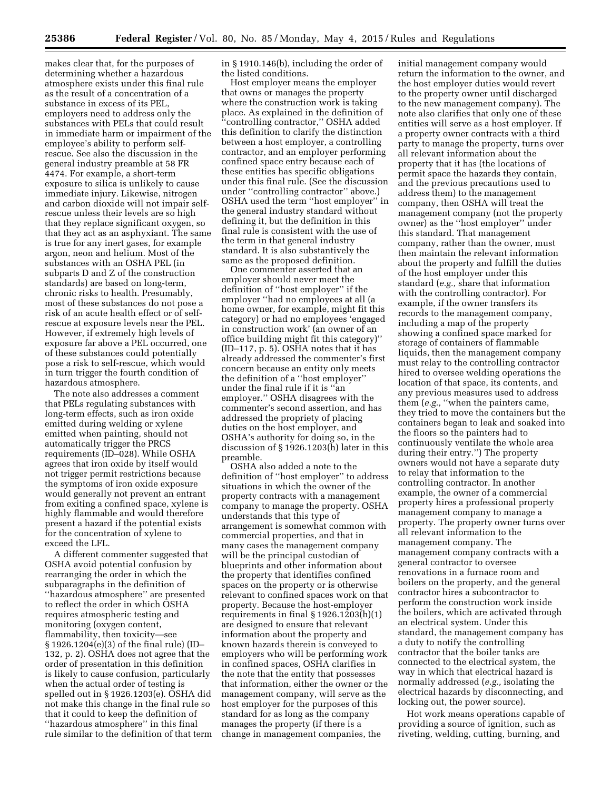makes clear that, for the purposes of determining whether a hazardous atmosphere exists under this final rule as the result of a concentration of a substance in excess of its PEL, employers need to address only the substances with PELs that could result in immediate harm or impairment of the employee's ability to perform selfrescue. See also the discussion in the general industry preamble at 58 FR 4474. For example, a short-term exposure to silica is unlikely to cause immediate injury. Likewise, nitrogen and carbon dioxide will not impair selfrescue unless their levels are so high that they replace significant oxygen, so that they act as an asphyxiant. The same is true for any inert gases, for example argon, neon and helium. Most of the substances with an OSHA PEL (in subparts D and Z of the construction standards) are based on long-term, chronic risks to health. Presumably, most of these substances do not pose a risk of an acute health effect or of selfrescue at exposure levels near the PEL. However, if extremely high levels of exposure far above a PEL occurred, one of these substances could potentially pose a risk to self-rescue, which would in turn trigger the fourth condition of hazardous atmosphere.

The note also addresses a comment that PELs regulating substances with long-term effects, such as iron oxide emitted during welding or xylene emitted when painting, should not automatically trigger the PRCS requirements (ID–028). While OSHA agrees that iron oxide by itself would not trigger permit restrictions because the symptoms of iron oxide exposure would generally not prevent an entrant from exiting a confined space, xylene is highly flammable and would therefore present a hazard if the potential exists for the concentration of xylene to exceed the LFL.

A different commenter suggested that OSHA avoid potential confusion by rearranging the order in which the subparagraphs in the definition of ''hazardous atmosphere'' are presented to reflect the order in which OSHA requires atmospheric testing and monitoring (oxygen content, flammability, then toxicity—see § 1926.1204(e)(3) of the final rule) (ID– 132, p. 2). OSHA does not agree that the order of presentation in this definition is likely to cause confusion, particularly when the actual order of testing is spelled out in § 1926.1203(e). OSHA did not make this change in the final rule so that it could to keep the definition of ''hazardous atmosphere'' in this final rule similar to the definition of that term in § 1910.146(b), including the order of the listed conditions.

Host employer means the employer that owns or manages the property where the construction work is taking place. As explained in the definition of ''controlling contractor,'' OSHA added this definition to clarify the distinction between a host employer, a controlling contractor, and an employer performing confined space entry because each of these entities has specific obligations under this final rule. (See the discussion under ''controlling contractor'' above.) OSHA used the term ''host employer'' in the general industry standard without defining it, but the definition in this final rule is consistent with the use of the term in that general industry standard. It is also substantively the same as the proposed definition.

One commenter asserted that an employer should never meet the definition of ''host employer'' if the employer ''had no employees at all (a home owner, for example, might fit this category) or had no employees 'engaged in construction work' (an owner of an office building might fit this category)'' (ID–117, p. 5). OSHA notes that it has already addressed the commenter's first concern because an entity only meets the definition of a ''host employer'' under the final rule if it is ''an employer.'' OSHA disagrees with the commenter's second assertion, and has addressed the propriety of placing duties on the host employer, and OSHA's authority for doing so, in the discussion of § 1926.1203(h) later in this preamble.

OSHA also added a note to the definition of ''host employer'' to address situations in which the owner of the property contracts with a management company to manage the property. OSHA understands that this type of arrangement is somewhat common with commercial properties, and that in many cases the management company will be the principal custodian of blueprints and other information about the property that identifies confined spaces on the property or is otherwise relevant to confined spaces work on that property. Because the host-employer requirements in final § 1926.1203(h)(1) are designed to ensure that relevant information about the property and known hazards therein is conveyed to employers who will be performing work in confined spaces, OSHA clarifies in the note that the entity that possesses that information, either the owner or the management company, will serve as the host employer for the purposes of this standard for as long as the company manages the property (if there is a change in management companies, the

initial management company would return the information to the owner, and the host employer duties would revert to the property owner until discharged to the new management company). The note also clarifies that only one of these entities will serve as a host employer. If a property owner contracts with a third party to manage the property, turns over all relevant information about the property that it has (the locations of permit space the hazards they contain, and the previous precautions used to address them) to the management company, then OSHA will treat the management company (not the property owner) as the ''host employer'' under this standard. That management company, rather than the owner, must then maintain the relevant information about the property and fulfill the duties of the host employer under this standard (*e.g.,* share that information with the controlling contractor). For example, if the owner transfers its records to the management company, including a map of the property showing a confined space marked for storage of containers of flammable liquids, then the management company must relay to the controlling contractor hired to oversee welding operations the location of that space, its contents, and any previous measures used to address them (*e.g.,* ''when the painters came, they tried to move the containers but the containers began to leak and soaked into the floors so the painters had to continuously ventilate the whole area during their entry.'') The property owners would not have a separate duty to relay that information to the controlling contractor. In another example, the owner of a commercial property hires a professional property management company to manage a property. The property owner turns over all relevant information to the management company. The management company contracts with a general contractor to oversee renovations in a furnace room and boilers on the property, and the general contractor hires a subcontractor to perform the construction work inside the boilers, which are activated through an electrical system. Under this standard, the management company has a duty to notify the controlling contractor that the boiler tanks are connected to the electrical system, the way in which that electrical hazard is normally addressed (*e.g.,* isolating the electrical hazards by disconnecting, and locking out, the power source).

Hot work means operations capable of providing a source of ignition, such as riveting, welding, cutting, burning, and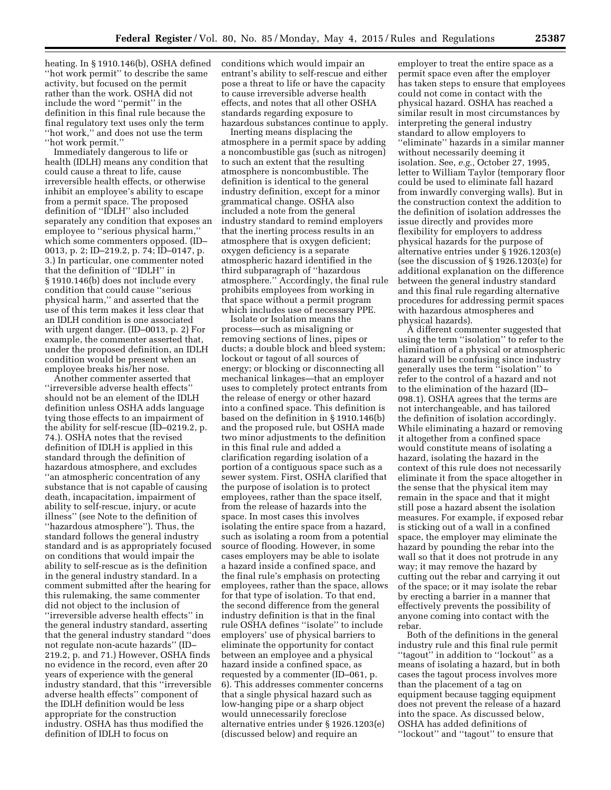heating. In § 1910.146(b), OSHA defined ''hot work permit'' to describe the same activity, but focused on the permit rather than the work. OSHA did not include the word ''permit'' in the definition in this final rule because the final regulatory text uses only the term ''hot work,'' and does not use the term ''hot work permit.''

Immediately dangerous to life or health (IDLH) means any condition that could cause a threat to life, cause irreversible health effects, or otherwise inhibit an employee's ability to escape from a permit space. The proposed definition of ''IDLH'' also included separately any condition that exposes an employee to ''serious physical harm,'' which some commenters opposed. (ID– 0013, p. 2; ID–219.2, p. 74; ID–0147, p. 3.) In particular, one commenter noted that the definition of ''IDLH'' in § 1910.146(b) does not include every condition that could cause ''serious physical harm,'' and asserted that the use of this term makes it less clear that an IDLH condition is one associated with urgent danger. (ID–0013, p. 2) For example, the commenter asserted that, under the proposed definition, an IDLH condition would be present when an employee breaks his/her nose.

Another commenter asserted that ''irreversible adverse health effects'' should not be an element of the IDLH definition unless OSHA adds language tying those effects to an impairment of the ability for self-rescue (ID–0219.2, p. 74.). OSHA notes that the revised definition of IDLH is applied in this standard through the definition of hazardous atmosphere, and excludes ''an atmospheric concentration of any substance that is not capable of causing death, incapacitation, impairment of ability to self-rescue, injury, or acute illness'' (see Note to the definition of ''hazardous atmosphere''). Thus, the standard follows the general industry standard and is as appropriately focused on conditions that would impair the ability to self-rescue as is the definition in the general industry standard. In a comment submitted after the hearing for this rulemaking, the same commenter did not object to the inclusion of ''irreversible adverse health effects'' in the general industry standard, asserting that the general industry standard ''does not regulate non-acute hazards'' (ID– 219.2, p. and 71.) However, OSHA finds no evidence in the record, even after 20 years of experience with the general industry standard, that this ''irreversible adverse health effects'' component of the IDLH definition would be less appropriate for the construction industry. OSHA has thus modified the definition of IDLH to focus on

conditions which would impair an entrant's ability to self-rescue and either pose a threat to life or have the capacity to cause irreversible adverse health effects, and notes that all other OSHA standards regarding exposure to hazardous substances continue to apply.

Inerting means displacing the atmosphere in a permit space by adding a noncombustible gas (such as nitrogen) to such an extent that the resulting atmosphere is noncombustible. The definition is identical to the general industry definition, except for a minor grammatical change. OSHA also included a note from the general industry standard to remind employers that the inerting process results in an atmosphere that is oxygen deficient; oxygen deficiency is a separate atmospheric hazard identified in the third subparagraph of ''hazardous atmosphere.'' Accordingly, the final rule prohibits employees from working in that space without a permit program which includes use of necessary PPE.

Isolate or Isolation means the process—such as misaligning or removing sections of lines, pipes or ducts; a double block and bleed system; lockout or tagout of all sources of energy; or blocking or disconnecting all mechanical linkages—that an employer uses to completely protect entrants from the release of energy or other hazard into a confined space. This definition is based on the definition in § 1910.146(b) and the proposed rule, but OSHA made two minor adjustments to the definition in this final rule and added a clarification regarding isolation of a portion of a contiguous space such as a sewer system. First, OSHA clarified that the purpose of isolation is to protect employees, rather than the space itself, from the release of hazards into the space. In most cases this involves isolating the entire space from a hazard, such as isolating a room from a potential source of flooding. However, in some cases employers may be able to isolate a hazard inside a confined space, and the final rule's emphasis on protecting employees, rather than the space, allows for that type of isolation. To that end, the second difference from the general industry definition is that in the final rule OSHA defines ''isolate'' to include employers' use of physical barriers to eliminate the opportunity for contact between an employee and a physical hazard inside a confined space, as requested by a commenter (ID–061, p. 6). This addresses commenter concerns that a single physical hazard such as low-hanging pipe or a sharp object would unnecessarily foreclose alternative entries under § 1926.1203(e) (discussed below) and require an

employer to treat the entire space as a permit space even after the employer has taken steps to ensure that employees could not come in contact with the physical hazard. OSHA has reached a similar result in most circumstances by interpreting the general industry standard to allow employers to ''eliminate'' hazards in a similar manner without necessarily deeming it isolation. See, *e.g.,* October 27, 1995, letter to William Taylor (temporary floor could be used to eliminate fall hazard from inwardly converging walls). But in the construction context the addition to the definition of isolation addresses the issue directly and provides more flexibility for employers to address physical hazards for the purpose of alternative entries under § 1926.1203(e) (see the discussion of § 1926.1203(e) for additional explanation on the difference between the general industry standard and this final rule regarding alternative procedures for addressing permit spaces with hazardous atmospheres and physical hazards).

A different commenter suggested that using the term ''isolation'' to refer to the elimination of a physical or atmospheric hazard will be confusing since industry generally uses the term ''isolation'' to refer to the control of a hazard and not to the elimination of the hazard (ID– 098.1). OSHA agrees that the terms are not interchangeable, and has tailored the definition of isolation accordingly. While eliminating a hazard or removing it altogether from a confined space would constitute means of isolating a hazard, isolating the hazard in the context of this rule does not necessarily eliminate it from the space altogether in the sense that the physical item may remain in the space and that it might still pose a hazard absent the isolation measures. For example, if exposed rebar is sticking out of a wall in a confined space, the employer may eliminate the hazard by pounding the rebar into the wall so that it does not protrude in any way; it may remove the hazard by cutting out the rebar and carrying it out of the space; or it may isolate the rebar by erecting a barrier in a manner that effectively prevents the possibility of anyone coming into contact with the rebar.

Both of the definitions in the general industry rule and this final rule permit ''tagout'' in addition to ''lockout'' as a means of isolating a hazard, but in both cases the tagout process involves more than the placement of a tag on equipment because tagging equipment does not prevent the release of a hazard into the space. As discussed below, OSHA has added definitions of ''lockout'' and ''tagout'' to ensure that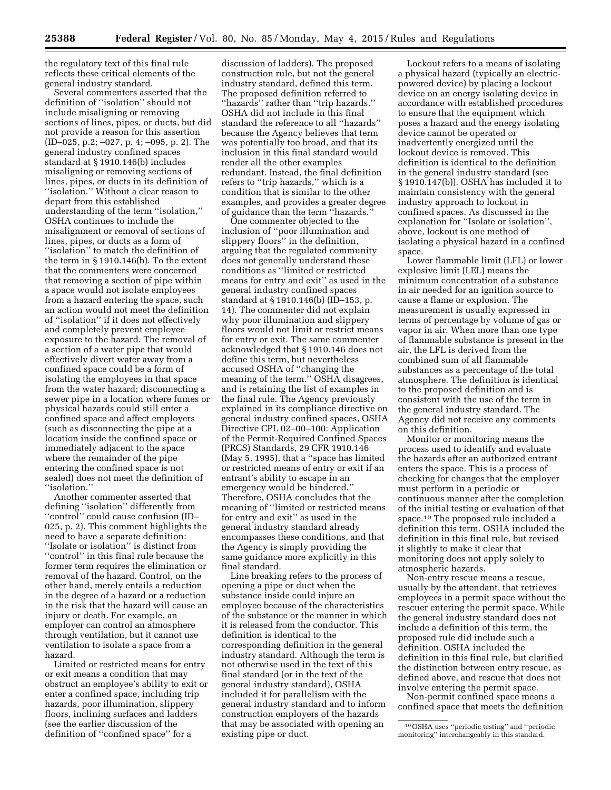the regulatory text of this final rule reflects these critical elements of the general industry standard.

Several commenters asserted that the definition of ''isolation'' should not include misaligning or removing sections of lines, pipes, or ducts, but did not provide a reason for this assertion (ID–025, p.2; –027, p. 4; –095, p. 2). The general industry confined spaces standard at § 1910.146(b) includes misaligning or removing sections of lines, pipes, or ducts in its definition of ''isolation.'' Without a clear reason to depart from this established understanding of the term ''isolation,'' OSHA continues to include the misalignment or removal of sections of lines, pipes, or ducts as a form of ''isolation'' to match the definition of the term in § 1910.146(b). To the extent that the commenters were concerned that removing a section of pipe within a space would not isolate employees from a hazard entering the space, such an action would not meet the definition of ''isolation'' if it does not effectively and completely prevent employee exposure to the hazard. The removal of a section of a water pipe that would effectively divert water away from a confined space could be a form of isolating the employees in that space from the water hazard; disconnecting a sewer pipe in a location where fumes or physical hazards could still enter a confined space and affect employers (such as disconnecting the pipe at a location inside the confined space or immediately adjacent to the space where the remainder of the pipe entering the confined space is not sealed) does not meet the definition of ''isolation.''

Another commenter asserted that defining ''isolation'' differently from ''control'' could cause confusion (ID– 025, p. 2). This comment highlights the need to have a separate definition: ''Isolate or isolation'' is distinct from ''control'' in this final rule because the former term requires the elimination or removal of the hazard. Control, on the other hand, merely entails a reduction in the degree of a hazard or a reduction in the risk that the hazard will cause an injury or death. For example, an employer can control an atmosphere through ventilation, but it cannot use ventilation to isolate a space from a hazard.

Limited or restricted means for entry or exit means a condition that may obstruct an employee's ability to exit or enter a confined space, including trip hazards, poor illumination, slippery floors, inclining surfaces and ladders (see the earlier discussion of the definition of ''confined space'' for a

discussion of ladders). The proposed construction rule, but not the general industry standard, defined this term. The proposed definition referred to ''hazards'' rather than ''trip hazards.'' OSHA did not include in this final standard the reference to all ''hazards'' because the Agency believes that term was potentially too broad, and that its inclusion in this final standard would render all the other examples redundant. Instead, the final definition refers to ''trip hazards,'' which is a condition that is similar to the other examples, and provides a greater degree of guidance than the term ''hazards.''

One commenter objected to the inclusion of ''poor illumination and slippery floors'' in the definition, arguing that the regulated community does not generally understand these conditions as ''limited or restricted means for entry and exit'' as used in the general industry confined spaces standard at § 1910.146(b) (ID–153, p. 14). The commenter did not explain why poor illumination and slippery floors would not limit or restrict means for entry or exit. The same commenter acknowledged that § 1910.146 does not define this term, but nevertheless accused OSHA of ''changing the meaning of the term.'' OSHA disagrees, and is retaining the list of examples in the final rule. The Agency previously explained in its compliance directive on general industry confined spaces, OSHA Directive CPL 02–00–100: Application of the Permit-Required Confined Spaces (PRCS) Standards, 29 CFR 1910.146 (May 5, 1995), that a ''space has limited or restricted means of entry or exit if an entrant's ability to escape in an emergency would be hindered.'' Therefore, OSHA concludes that the meaning of ''limited or restricted means for entry and exit'' as used in the general industry standard already encompasses these conditions, and that the Agency is simply providing the same guidance more explicitly in this final standard.

Line breaking refers to the process of opening a pipe or duct when the substance inside could injure an employee because of the characteristics of the substance or the manner in which it is released from the conductor. This definition is identical to the corresponding definition in the general industry standard. Although the term is not otherwise used in the text of this final standard (or in the text of the general industry standard), OSHA included it for parallelism with the general industry standard and to inform construction employers of the hazards that may be associated with opening an existing pipe or duct.

Lockout refers to a means of isolating a physical hazard (typically an electricpowered device) by placing a lockout device on an energy isolating device in accordance with established procedures to ensure that the equipment which poses a hazard and the energy isolating device cannot be operated or inadvertently energized until the lockout device is removed. This definition is identical to the definition in the general industry standard (see § 1910.147(b)). OSHA has included it to maintain consistency with the general industry approach to lockout in confined spaces. As discussed in the explanation for ''Isolate or isolation'', above, lockout is one method of isolating a physical hazard in a confined space.

Lower flammable limit (LFL) or lower explosive limit (LEL) means the minimum concentration of a substance in air needed for an ignition source to cause a flame or explosion. The measurement is usually expressed in terms of percentage by volume of gas or vapor in air. When more than one type of flammable substance is present in the air, the LFL is derived from the combined sum of all flammable substances as a percentage of the total atmosphere. The definition is identical to the proposed definition and is consistent with the use of the term in the general industry standard. The Agency did not receive any comments on this definition.

Monitor or monitoring means the process used to identify and evaluate the hazards after an authorized entrant enters the space. This is a process of checking for changes that the employer must perform in a periodic or continuous manner after the completion of the initial testing or evaluation of that space.10 The proposed rule included a definition this term. OSHA included the definition in this final rule, but revised it slightly to make it clear that monitoring does not apply solely to atmospheric hazards.

Non-entry rescue means a rescue, usually by the attendant, that retrieves employees in a permit space without the rescuer entering the permit space. While the general industry standard does not include a definition of this term, the proposed rule did include such a definition. OSHA included the definition in this final rule, but clarified the distinction between entry rescue, as defined above, and rescue that does not involve entering the permit space.

Non-permit confined space means a confined space that meets the definition

<sup>10</sup>OSHA uses ''periodic testing'' and ''periodic monitoring'' interchangeably in this standard.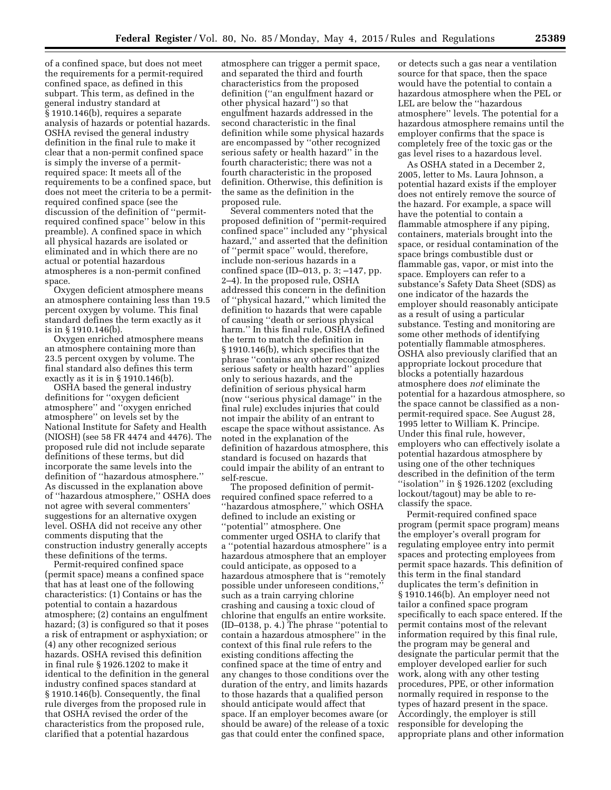of a confined space, but does not meet the requirements for a permit-required confined space, as defined in this subpart. This term, as defined in the general industry standard at § 1910.146(b), requires a separate analysis of hazards or potential hazards. OSHA revised the general industry definition in the final rule to make it clear that a non-permit confined space is simply the inverse of a permitrequired space: It meets all of the requirements to be a confined space, but does not meet the criteria to be a permitrequired confined space (see the discussion of the definition of ''permitrequired confined space'' below in this preamble). A confined space in which all physical hazards are isolated or eliminated and in which there are no actual or potential hazardous atmospheres is a non-permit confined space.

Oxygen deficient atmosphere means an atmosphere containing less than 19.5 percent oxygen by volume. This final standard defines the term exactly as it is in § 1910.146(b).

Oxygen enriched atmosphere means an atmosphere containing more than 23.5 percent oxygen by volume. The final standard also defines this term exactly as it is in § 1910.146(b).

OSHA based the general industry definitions for ''oxygen deficient atmosphere'' and ''oxygen enriched atmosphere'' on levels set by the National Institute for Safety and Health (NIOSH) (see 58 FR 4474 and 4476). The proposed rule did not include separate definitions of these terms, but did incorporate the same levels into the definition of ''hazardous atmosphere.'' As discussed in the explanation above of ''hazardous atmosphere,'' OSHA does not agree with several commenters' suggestions for an alternative oxygen level. OSHA did not receive any other comments disputing that the construction industry generally accepts these definitions of the terms.

Permit-required confined space (permit space) means a confined space that has at least one of the following characteristics: (1) Contains or has the potential to contain a hazardous atmosphere; (2) contains an engulfment hazard; (3) is configured so that it poses a risk of entrapment or asphyxiation; or (4) any other recognized serious hazards. OSHA revised this definition in final rule § 1926.1202 to make it identical to the definition in the general industry confined spaces standard at § 1910.146(b). Consequently, the final rule diverges from the proposed rule in that OSHA revised the order of the characteristics from the proposed rule, clarified that a potential hazardous

atmosphere can trigger a permit space, and separated the third and fourth characteristics from the proposed definition (''an engulfment hazard or other physical hazard'') so that engulfment hazards addressed in the second characteristic in the final definition while some physical hazards are encompassed by ''other recognized serious safety or health hazard'' in the fourth characteristic; there was not a fourth characteristic in the proposed definition. Otherwise, this definition is the same as the definition in the proposed rule.

Several commenters noted that the proposed definition of ''permit-required confined space'' included any ''physical hazard,'' and asserted that the definition of ''permit space'' would, therefore, include non-serious hazards in a confined space (ID–013, p. 3; –147, pp. 2–4). In the proposed rule, OSHA addressed this concern in the definition of ''physical hazard,'' which limited the definition to hazards that were capable of causing ''death or serious physical harm.'' In this final rule, OSHA defined the term to match the definition in § 1910.146(b), which specifies that the phrase ''contains any other recognized serious safety or health hazard'' applies only to serious hazards, and the definition of serious physical harm (now ''serious physical damage'' in the final rule) excludes injuries that could not impair the ability of an entrant to escape the space without assistance. As noted in the explanation of the definition of hazardous atmosphere, this standard is focused on hazards that could impair the ability of an entrant to self-rescue.

The proposed definition of permitrequired confined space referred to a ''hazardous atmosphere,'' which OSHA defined to include an existing or ''potential'' atmosphere. One commenter urged OSHA to clarify that a ''potential hazardous atmosphere'' is a hazardous atmosphere that an employer could anticipate, as opposed to a hazardous atmosphere that is ''remotely possible under unforeseen conditions,'' such as a train carrying chlorine crashing and causing a toxic cloud of chlorine that engulfs an entire worksite. (ID–0138, p. 4.) The phrase ''potential to contain a hazardous atmosphere'' in the context of this final rule refers to the existing conditions affecting the confined space at the time of entry and any changes to those conditions over the duration of the entry, and limits hazards to those hazards that a qualified person should anticipate would affect that space. If an employer becomes aware (or should be aware) of the release of a toxic gas that could enter the confined space,

or detects such a gas near a ventilation source for that space, then the space would have the potential to contain a hazardous atmosphere when the PEL or LEL are below the ''hazardous atmosphere'' levels. The potential for a hazardous atmosphere remains until the employer confirms that the space is completely free of the toxic gas or the gas level rises to a hazardous level.

As OSHA stated in a December 2, 2005, letter to Ms. Laura Johnson, a potential hazard exists if the employer does not entirely remove the source of the hazard. For example, a space will have the potential to contain a flammable atmosphere if any piping, containers, materials brought into the space, or residual contamination of the space brings combustible dust or flammable gas, vapor, or mist into the space. Employers can refer to a substance's Safety Data Sheet (SDS) as one indicator of the hazards the employer should reasonably anticipate as a result of using a particular substance. Testing and monitoring are some other methods of identifying potentially flammable atmospheres. OSHA also previously clarified that an appropriate lockout procedure that blocks a potentially hazardous atmosphere does *not* eliminate the potential for a hazardous atmosphere, so the space cannot be classified as a nonpermit-required space. See August 28, 1995 letter to William K. Principe. Under this final rule, however, employers who can effectively isolate a potential hazardous atmosphere by using one of the other techniques described in the definition of the term ''isolation'' in § 1926.1202 (excluding lockout/tagout) may be able to reclassify the space.

Permit-required confined space program (permit space program) means the employer's overall program for regulating employee entry into permit spaces and protecting employees from permit space hazards. This definition of this term in the final standard duplicates the term's definition in § 1910.146(b). An employer need not tailor a confined space program specifically to each space entered. If the permit contains most of the relevant information required by this final rule, the program may be general and designate the particular permit that the employer developed earlier for such work, along with any other testing procedures, PPE, or other information normally required in response to the types of hazard present in the space. Accordingly, the employer is still responsible for developing the appropriate plans and other information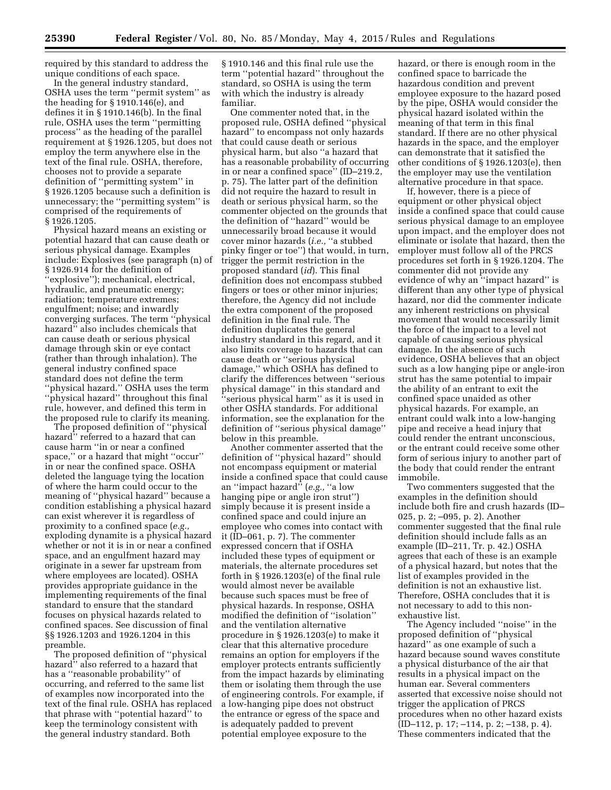required by this standard to address the unique conditions of each space.

In the general industry standard, OSHA uses the term ''permit system'' as the heading for § 1910.146(e), and defines it in § 1910.146(b). In the final rule, OSHA uses the term ''permitting process'' as the heading of the parallel requirement at § 1926.1205, but does not employ the term anywhere else in the text of the final rule. OSHA, therefore, chooses not to provide a separate definition of ''permitting system'' in § 1926.1205 because such a definition is unnecessary; the ''permitting system'' is comprised of the requirements of § 1926.1205.

Physical hazard means an existing or potential hazard that can cause death or serious physical damage. Examples include: Explosives (see paragraph (n) of § 1926.914 for the definition of ''explosive''); mechanical, electrical, hydraulic, and pneumatic energy; radiation; temperature extremes; engulfment; noise; and inwardly converging surfaces. The term ''physical hazard'' also includes chemicals that can cause death or serious physical damage through skin or eye contact (rather than through inhalation). The general industry confined space standard does not define the term ''physical hazard.'' OSHA uses the term ''physical hazard'' throughout this final rule, however, and defined this term in the proposed rule to clarify its meaning.

The proposed definition of ''physical hazard'' referred to a hazard that can cause harm ''in or near a confined space,'' or a hazard that might ''occur'' in or near the confined space. OSHA deleted the language tying the location of where the harm could occur to the meaning of ''physical hazard'' because a condition establishing a physical hazard can exist wherever it is regardless of proximity to a confined space (*e.g.,*  exploding dynamite is a physical hazard whether or not it is in or near a confined space, and an engulfment hazard may originate in a sewer far upstream from where employees are located). OSHA provides appropriate guidance in the implementing requirements of the final standard to ensure that the standard focuses on physical hazards related to confined spaces. See discussion of final §§ 1926.1203 and 1926.1204 in this preamble.

The proposed definition of ''physical hazard'' also referred to a hazard that has a ''reasonable probability'' of occurring, and referred to the same list of examples now incorporated into the text of the final rule. OSHA has replaced that phrase with ''potential hazard'' to keep the terminology consistent with the general industry standard. Both

§ 1910.146 and this final rule use the term ''potential hazard'' throughout the standard, so OSHA is using the term with which the industry is already familiar.

One commenter noted that, in the proposed rule, OSHA defined ''physical hazard'' to encompass not only hazards that could cause death or serious physical harm, but also ''a hazard that has a reasonable probability of occurring in or near a confined space'' (ID–219.2, p. 75). The latter part of the definition did not require the hazard to result in death or serious physical harm, so the commenter objected on the grounds that the definition of ''hazard'' would be unnecessarily broad because it would cover minor hazards (*i.e.,* ''a stubbed pinky finger or toe'') that would, in turn, trigger the permit restriction in the proposed standard (*id*). This final definition does not encompass stubbed fingers or toes or other minor injuries; therefore, the Agency did not include the extra component of the proposed definition in the final rule. The definition duplicates the general industry standard in this regard, and it also limits coverage to hazards that can cause death or ''serious physical damage,'' which OSHA has defined to clarify the differences between ''serious physical damage'' in this standard and 'serious physical harm" as it is used in other OSHA standards. For additional information, see the explanation for the definition of ''serious physical damage'' below in this preamble.

Another commenter asserted that the definition of ''physical hazard'' should not encompass equipment or material inside a confined space that could cause an ''impact hazard'' (*e.g.,* ''a low hanging pipe or angle iron strut'') simply because it is present inside a confined space and could injure an employee who comes into contact with it (ID–061, p. 7). The commenter expressed concern that if OSHA included these types of equipment or materials, the alternate procedures set forth in § 1926.1203(e) of the final rule would almost never be available because such spaces must be free of physical hazards. In response, OSHA modified the definition of ''isolation'' and the ventilation alternative procedure in § 1926.1203(e) to make it clear that this alternative procedure remains an option for employers if the employer protects entrants sufficiently from the impact hazards by eliminating them or isolating them through the use of engineering controls. For example, if a low-hanging pipe does not obstruct the entrance or egress of the space and is adequately padded to prevent potential employee exposure to the

hazard, or there is enough room in the confined space to barricade the hazardous condition and prevent employee exposure to the hazard posed by the pipe, OSHA would consider the physical hazard isolated within the meaning of that term in this final standard. If there are no other physical hazards in the space, and the employer can demonstrate that it satisfied the other conditions of § 1926.1203(e), then the employer may use the ventilation alternative procedure in that space.

If, however, there is a piece of equipment or other physical object inside a confined space that could cause serious physical damage to an employee upon impact, and the employer does not eliminate or isolate that hazard, then the employer must follow all of the PRCS procedures set forth in § 1926.1204. The commenter did not provide any evidence of why an ''impact hazard'' is different than any other type of physical hazard, nor did the commenter indicate any inherent restrictions on physical movement that would necessarily limit the force of the impact to a level not capable of causing serious physical damage. In the absence of such evidence, OSHA believes that an object such as a low hanging pipe or angle-iron strut has the same potential to impair the ability of an entrant to exit the confined space unaided as other physical hazards. For example, an entrant could walk into a low-hanging pipe and receive a head injury that could render the entrant unconscious, or the entrant could receive some other form of serious injury to another part of the body that could render the entrant immobile.

Two commenters suggested that the examples in the definition should include both fire and crush hazards (ID– 025, p. 2; –095, p. 2). Another commenter suggested that the final rule definition should include falls as an example (ID–211, Tr. p. 42.) OSHA agrees that each of these is an example of a physical hazard, but notes that the list of examples provided in the definition is not an exhaustive list. Therefore, OSHA concludes that it is not necessary to add to this nonexhaustive list.

The Agency included ''noise'' in the proposed definition of ''physical hazard'' as one example of such a hazard because sound waves constitute a physical disturbance of the air that results in a physical impact on the human ear. Several commenters asserted that excessive noise should not trigger the application of PRCS procedures when no other hazard exists (ID–112, p. 17; –114, p. 2; –138, p. 4). These commenters indicated that the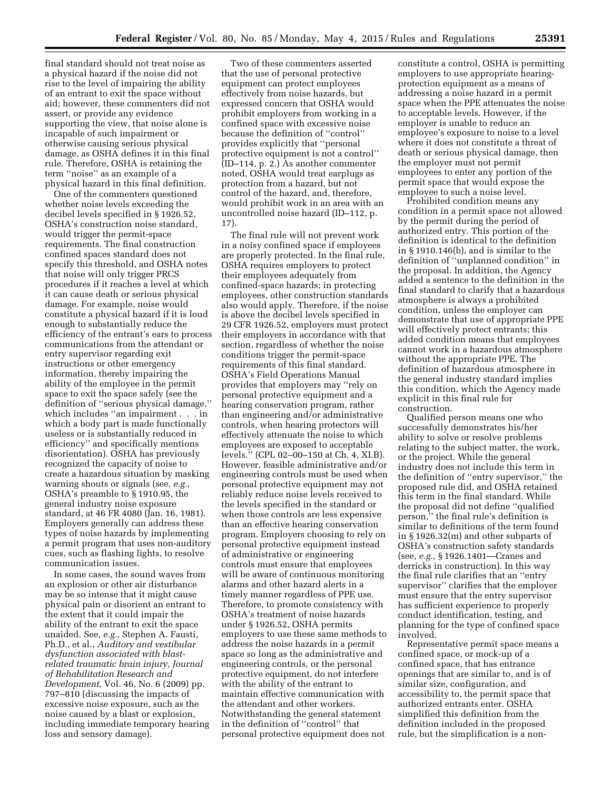final standard should not treat noise as a physical hazard if the noise did not rise to the level of impairing the ability of an entrant to exit the space without aid; however, these commenters did not assert, or provide any evidence supporting the view, that noise alone is incapable of such impairment or otherwise causing serious physical damage, as OSHA defines it in this final rule. Therefore, OSHA is retaining the term ''noise'' as an example of a physical hazard in this final definition.

One of the commenters questioned whether noise levels exceeding the decibel levels specified in § 1926.52, OSHA's construction noise standard, would trigger the permit-space requirements. The final construction confined spaces standard does not specify this threshold, and OSHA notes that noise will only trigger PRCS procedures if it reaches a level at which it can cause death or serious physical damage. For example, noise would constitute a physical hazard if it is loud enough to substantially reduce the efficiency of the entrant's ears to process communications from the attendant or entry supervisor regarding exit instructions or other emergency information, thereby impairing the ability of the employee in the permit space to exit the space safely (see the definition of ''serious physical damage,'' which includes ''an impairment . . . in which a body part is made functionally useless or is substantially reduced in efficiency'' and specifically mentions disorientation). OSHA has previously recognized the capacity of noise to create a hazardous situation by masking warning shouts or signals (see, *e.g.,*  OSHA's preamble to § 1910.95, the general industry noise exposure standard, at 46 FR 4080 (Jan. 16, 1981). Employers generally can address these types of noise hazards by implementing a permit program that uses non-auditory cues, such as flashing lights, to resolve communication issues.

In some cases, the sound waves from an explosion or other air disturbance may be so intense that it might cause physical pain or disorient an entrant to the extent that it could impair the ability of the entrant to exit the space unaided. See, *e.g.,* Stephen A. Fausti, Ph.D., et al., *Auditory and vestibular dysfunction associated with blastrelated traumatic brain injury, Journal of Rehabilitation Research and Development,* Vol. 46, No. 6 (2009) pp. 797–810 (discussing the impacts of excessive noise exposure, such as the noise caused by a blast or explosion, including immediate temporary hearing loss and sensory damage).

Two of these commenters asserted that the use of personal protective equipment can protect employees effectively from noise hazards, but expressed concern that OSHA would prohibit employers from working in a confined space with excessive noise because the definition of ''control'' provides explicitly that ''personal protective equipment is not a control'' (ID–114, p. 2.) As another commenter noted, OSHA would treat earplugs as protection from a hazard, but not control of the hazard, and, therefore, would prohibit work in an area with an uncontrolled noise hazard (ID–112, p. 17).

The final rule will not prevent work in a noisy confined space if employees are properly protected. In the final rule, OSHA requires employers to protect their employees adequately from confined-space hazards; in protecting employees, other construction standards also would apply. Therefore, if the noise is above the decibel levels specified in 29 CFR 1926.52, employers must protect their employers in accordance with that section, regardless of whether the noise conditions trigger the permit-space requirements of this final standard. OSHA's Field Operations Manual provides that employers may ''rely on personal protective equipment and a hearing conservation program, rather than engineering and/or administrative controls, when hearing protectors will effectively attenuate the noise to which employees are exposed to acceptable levels.'' (CPL 02–00–150 at Ch. 4, XI.B). However, feasible administrative and/or engineering controls must be used when personal protective equipment may not reliably reduce noise levels received to the levels specified in the standard or when those controls are less expensive than an effective hearing conservation program. Employers choosing to rely on personal protective equipment instead of administrative or engineering controls must ensure that employees will be aware of continuous monitoring alarms and other hazard alerts in a timely manner regardless of PPE use. Therefore, to promote consistency with OSHA's treatment of noise hazards under § 1926.52, OSHA permits employers to use these same methods to address the noise hazards in a permit space so long as the administrative and engineering controls, or the personal protective equipment, do not interfere with the ability of the entrant to maintain effective communication with the attendant and other workers. Notwithstanding the general statement in the definition of ''control'' that personal protective equipment does not

constitute a control, OSHA is permitting employers to use appropriate hearingprotection equipment as a means of addressing a noise hazard in a permit space when the PPE attenuates the noise to acceptable levels. However, if the employer is unable to reduce an employee's exposure to noise to a level where it does not constitute a threat of death or serious physical damage, then the employer must not permit employees to enter any portion of the permit space that would expose the employee to such a noise level.

Prohibited condition means any condition in a permit space not allowed by the permit during the period of authorized entry. This portion of the definition is identical to the definition in § 1910.146(b), and is similar to the definition of ''unplanned condition'' in the proposal. In addition, the Agency added a sentence to the definition in the final standard to clarify that a hazardous atmosphere is always a prohibited condition, unless the employer can demonstrate that use of appropriate PPE will effectively protect entrants; this added condition means that employees cannot work in a hazardous atmosphere without the appropriate PPE. The definition of hazardous atmosphere in the general industry standard implies this condition, which the Agency made explicit in this final rule for construction.

Qualified person means one who successfully demonstrates his/her ability to solve or resolve problems relating to the subject matter, the work, or the project. While the general industry does not include this term in the definition of ''entry supervisor,'' the proposed rule did, and OSHA retained this term in the final standard. While the proposal did not define ''qualified person,'' the final rule's definition is similar to definitions of the term found in § 1926.32(m) and other subparts of OSHA's construction safety standards (see, *e.g.,* § 1926.1401—Cranes and derricks in construction). In this way the final rule clarifies that an ''entry supervisor'' clarifies that the employer must ensure that the entry supervisor has sufficient experience to properly conduct identification, testing, and planning for the type of confined space involved.

Representative permit space means a confined space, or mock-up of a confined space, that has entrance openings that are similar to, and is of similar size, configuration, and accessibility to, the permit space that authorized entrants enter. OSHA simplified this definition from the definition included in the proposed rule, but the simplification is a non-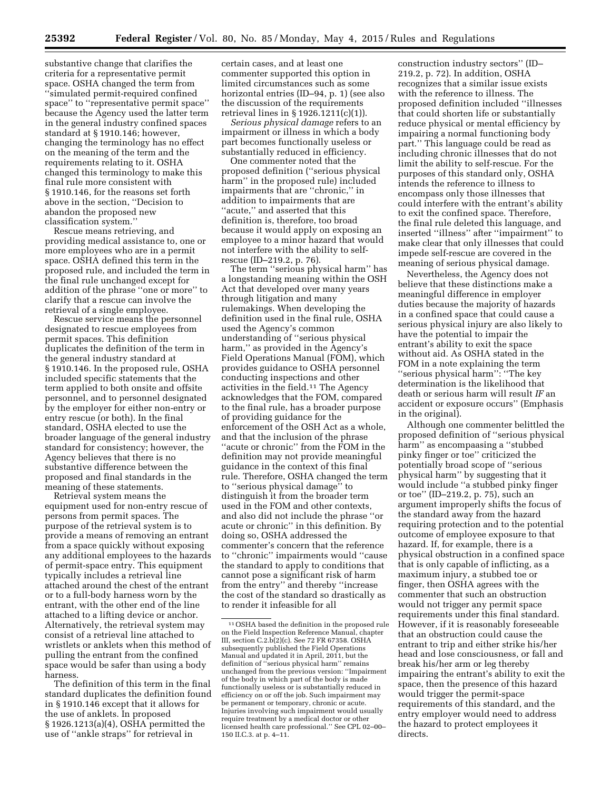substantive change that clarifies the criteria for a representative permit space. OSHA changed the term from ''simulated permit-required confined space'' to ''representative permit space'' because the Agency used the latter term in the general industry confined spaces standard at § 1910.146; however, changing the terminology has no effect on the meaning of the term and the requirements relating to it. OSHA changed this terminology to make this final rule more consistent with § 1910.146, for the reasons set forth above in the section, ''Decision to abandon the proposed new classification system.''

Rescue means retrieving, and providing medical assistance to, one or more employees who are in a permit space. OSHA defined this term in the proposed rule, and included the term in the final rule unchanged except for addition of the phrase ''one or more'' to clarify that a rescue can involve the retrieval of a single employee.

Rescue service means the personnel designated to rescue employees from permit spaces. This definition duplicates the definition of the term in the general industry standard at § 1910.146. In the proposed rule, OSHA included specific statements that the term applied to both onsite and offsite personnel, and to personnel designated by the employer for either non-entry or entry rescue (or both). In the final standard, OSHA elected to use the broader language of the general industry standard for consistency; however, the Agency believes that there is no substantive difference between the proposed and final standards in the meaning of these statements.

Retrieval system means the equipment used for non-entry rescue of persons from permit spaces. The purpose of the retrieval system is to provide a means of removing an entrant from a space quickly without exposing any additional employees to the hazards of permit-space entry. This equipment typically includes a retrieval line attached around the chest of the entrant or to a full-body harness worn by the entrant, with the other end of the line attached to a lifting device or anchor. Alternatively, the retrieval system may consist of a retrieval line attached to wristlets or anklets when this method of pulling the entrant from the confined space would be safer than using a body harness.

The definition of this term in the final standard duplicates the definition found in § 1910.146 except that it allows for the use of anklets. In proposed § 1926.1213(a)(4), OSHA permitted the use of ''ankle straps'' for retrieval in

certain cases, and at least one commenter supported this option in limited circumstances such as some horizontal entries (ID–94, p. 1) (see also the discussion of the requirements retrieval lines in § 1926.1211(c)(1)).

*Serious physical damage* refers to an impairment or illness in which a body part becomes functionally useless or substantially reduced in efficiency.

One commenter noted that the proposed definition (''serious physical harm'' in the proposed rule) included impairments that are ''chronic,'' in addition to impairments that are ''acute,'' and asserted that this definition is, therefore, too broad because it would apply on exposing an employee to a minor hazard that would not interfere with the ability to selfrescue (ID–219.2, p. 76).

The term ''serious physical harm'' has a longstanding meaning within the OSH Act that developed over many years through litigation and many rulemakings. When developing the definition used in the final rule, OSHA used the Agency's common understanding of ''serious physical harm," as provided in the Agency's Field Operations Manual (FOM), which provides guidance to OSHA personnel conducting inspections and other activities in the field.11 The Agency acknowledges that the FOM, compared to the final rule, has a broader purpose of providing guidance for the enforcement of the OSH Act as a whole, and that the inclusion of the phrase ''acute or chronic'' from the FOM in the definition may not provide meaningful guidance in the context of this final rule. Therefore, OSHA changed the term to ''serious physical damage'' to distinguish it from the broader term used in the FOM and other contexts, and also did not include the phrase ''or acute or chronic'' in this definition. By doing so, OSHA addressed the commenter's concern that the reference to ''chronic'' impairments would ''cause the standard to apply to conditions that cannot pose a significant risk of harm from the entry'' and thereby ''increase the cost of the standard so drastically as to render it infeasible for all

construction industry sectors'' (ID– 219.2, p. 72). In addition, OSHA recognizes that a similar issue exists with the reference to illness. The proposed definition included ''illnesses that could shorten life or substantially reduce physical or mental efficiency by impairing a normal functioning body part.'' This language could be read as including chronic illnesses that do not limit the ability to self-rescue. For the purposes of this standard only, OSHA intends the reference to illness to encompass only those illnesses that could interfere with the entrant's ability to exit the confined space. Therefore, the final rule deleted this language, and inserted ''illness'' after ''impairment'' to make clear that only illnesses that could impede self-rescue are covered in the meaning of serious physical damage.

Nevertheless, the Agency does not believe that these distinctions make a meaningful difference in employer duties because the majority of hazards in a confined space that could cause a serious physical injury are also likely to have the potential to impair the entrant's ability to exit the space without aid. As OSHA stated in the FOM in a note explaining the term ''serious physical harm'': ''The key determination is the likelihood that death or serious harm will result *IF* an accident or exposure occurs'' (Emphasis in the original).

Although one commenter belittled the proposed definition of ''serious physical harm'' as encompaasing a ''stubbed pinky finger or toe'' criticized the potentially broad scope of ''serious physical harm'' by suggesting that it would include ''a stubbed pinky finger or toe'' (ID–219.2, p. 75), such an argument improperly shifts the focus of the standard away from the hazard requiring protection and to the potential outcome of employee exposure to that hazard. If, for example, there is a physical obstruction in a confined space that is only capable of inflicting, as a maximum injury, a stubbed toe or finger, then OSHA agrees with the commenter that such an obstruction would not trigger any permit space requirements under this final standard. However, if it is reasonably foreseeable that an obstruction could cause the entrant to trip and either strike his/her head and lose consciousness, or fall and break his/her arm or leg thereby impairing the entrant's ability to exit the space, then the presence of this hazard would trigger the permit-space requirements of this standard, and the entry employer would need to address the hazard to protect employees it directs.

<sup>11</sup>OSHA based the definition in the proposed rule on the Field Inspection Reference Manual, chapter III, section C.2.b(2)(c). See 72 FR 67358. OSHA subsequently published the Field Operations Manual and updated it in April, 2011, but the definition of ''serious physical harm'' remains unchanged from the previous version: ''Impairment of the body in which part of the body is made functionally useless or is substantially reduced in efficiency on or off the job. Such impairment may be permanent or temporary, chronic or acute. Injuries involving such impairment would usually require treatment by a medical doctor or other licensed health care professional.'' See CPL 02–00– 150 II.C.3. at p. 4–11.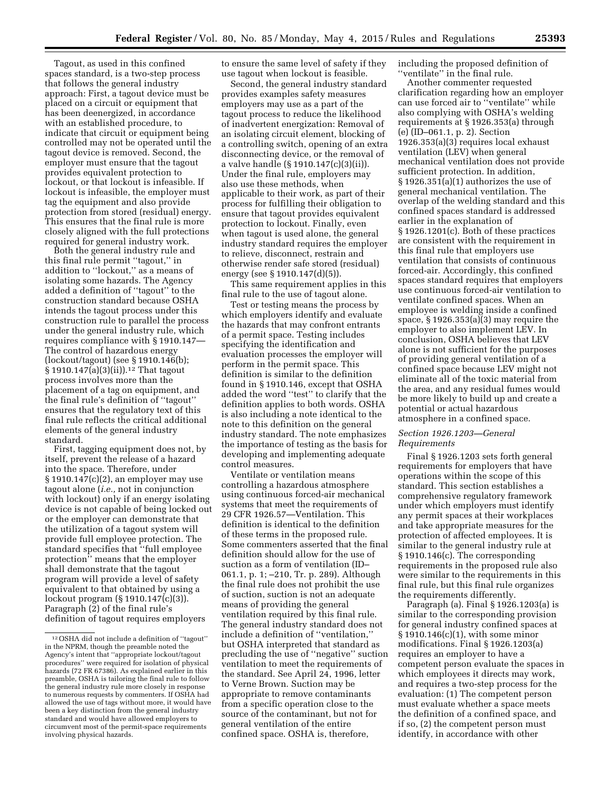Tagout, as used in this confined spaces standard, is a two-step process that follows the general industry approach: First, a tagout device must be placed on a circuit or equipment that has been deenergized, in accordance with an established procedure, to indicate that circuit or equipment being controlled may not be operated until the tagout device is removed. Second, the employer must ensure that the tagout provides equivalent protection to lockout, or that lockout is infeasible. If lockout is infeasible, the employer must tag the equipment and also provide protection from stored (residual) energy. This ensures that the final rule is more closely aligned with the full protections required for general industry work.

Both the general industry rule and this final rule permit ''tagout,'' in addition to ''lockout,'' as a means of isolating some hazards. The Agency added a definition of ''tagout'' to the construction standard because OSHA intends the tagout process under this construction rule to parallel the process under the general industry rule, which requires compliance with § 1910.147— The control of hazardous energy (lockout/tagout) (see § 1910.146(b); § 1910.147(a)(3)(ii)).12 That tagout process involves more than the placement of a tag on equipment, and the final rule's definition of ''tagout'' ensures that the regulatory text of this final rule reflects the critical additional elements of the general industry standard.

First, tagging equipment does not, by itself, prevent the release of a hazard into the space. Therefore, under § 1910.147(c)(2), an employer may use tagout alone (*i.e.,* not in conjunction with lockout) only if an energy isolating device is not capable of being locked out or the employer can demonstrate that the utilization of a tagout system will provide full employee protection. The standard specifies that ''full employee protection'' means that the employer shall demonstrate that the tagout program will provide a level of safety equivalent to that obtained by using a lockout program (§ 1910.147(c)(3)). Paragraph (2) of the final rule's definition of tagout requires employers

to ensure the same level of safety if they use tagout when lockout is feasible.

Second, the general industry standard provides examples safety measures employers may use as a part of the tagout process to reduce the likelihood of inadvertent energization: Removal of an isolating circuit element, blocking of a controlling switch, opening of an extra disconnecting device, or the removal of a valve handle (§ 1910.147(c)(3)(ii)). Under the final rule, employers may also use these methods, when applicable to their work, as part of their process for fulfilling their obligation to ensure that tagout provides equivalent protection to lockout. Finally, even when tagout is used alone, the general industry standard requires the employer to relieve, disconnect, restrain and otherwise render safe stored (residual) energy (see § 1910.147(d)(5)).

This same requirement applies in this final rule to the use of tagout alone.

Test or testing means the process by which employers identify and evaluate the hazards that may confront entrants of a permit space. Testing includes specifying the identification and evaluation processes the employer will perform in the permit space. This definition is similar to the definition found in § 1910.146, except that OSHA added the word ''test'' to clarify that the definition applies to both words. OSHA is also including a note identical to the note to this definition on the general industry standard. The note emphasizes the importance of testing as the basis for developing and implementing adequate control measures.

Ventilate or ventilation means controlling a hazardous atmosphere using continuous forced-air mechanical systems that meet the requirements of 29 CFR 1926.57—Ventilation. This definition is identical to the definition of these terms in the proposed rule. Some commenters asserted that the final definition should allow for the use of suction as a form of ventilation (ID– 061.1, p. 1; –210, Tr. p. 289). Although the final rule does not prohibit the use of suction, suction is not an adequate means of providing the general ventilation required by this final rule. The general industry standard does not include a definition of ''ventilation,'' but OSHA interpreted that standard as precluding the use of ''negative'' suction ventilation to meet the requirements of the standard. See April 24, 1996, letter to Verne Brown. Suction may be appropriate to remove contaminants from a specific operation close to the source of the contaminant, but not for general ventilation of the entire confined space. OSHA is, therefore,

including the proposed definition of ''ventilate'' in the final rule.

Another commenter requested clarification regarding how an employer can use forced air to ''ventilate'' while also complying with OSHA's welding requirements at § 1926.353(a) through (e) (ID–061.1, p. 2). Section 1926.353(a)(3) requires local exhaust ventilation (LEV) when general mechanical ventilation does not provide sufficient protection. In addition, § 1926.351(a)(1) authorizes the use of general mechanical ventilation. The overlap of the welding standard and this confined spaces standard is addressed earlier in the explanation of § 1926.1201(c). Both of these practices are consistent with the requirement in this final rule that employers use ventilation that consists of continuous forced-air. Accordingly, this confined spaces standard requires that employers use continuous forced-air ventilation to ventilate confined spaces. When an employee is welding inside a confined space, § 1926.353(a)(3) may require the employer to also implement LEV. In conclusion, OSHA believes that LEV alone is not sufficient for the purposes of providing general ventilation of a confined space because LEV might not eliminate all of the toxic material from the area, and any residual fumes would be more likely to build up and create a potential or actual hazardous atmosphere in a confined space.

# *Section 1926.1203—General Requirements*

Final § 1926.1203 sets forth general requirements for employers that have operations within the scope of this standard. This section establishes a comprehensive regulatory framework under which employers must identify any permit spaces at their workplaces and take appropriate measures for the protection of affected employees. It is similar to the general industry rule at § 1910.146(c). The corresponding requirements in the proposed rule also were similar to the requirements in this final rule, but this final rule organizes the requirements differently.

Paragraph (a). Final § 1926.1203(a) is similar to the corresponding provision for general industry confined spaces at § 1910.146(c)(1), with some minor modifications. Final § 1926.1203(a) requires an employer to have a competent person evaluate the spaces in which employees it directs may work, and requires a two-step process for the evaluation: (1) The competent person must evaluate whether a space meets the definition of a confined space, and if so, (2) the competent person must identify, in accordance with other

<sup>12</sup>OSHA did not include a definition of ''tagout'' in the NPRM, though the preamble noted the Agency's intent that ''appropriate lockout/tagout procedures'' were required for isolation of physical hazards (72 FR 67386). As explained earlier in this preamble, OSHA is tailoring the final rule to follow the general industry rule more closely in response to numerous requests by commenters. If OSHA had allowed the use of tags without more, it would have been a key distinction from the general industry standard and would have allowed employers to circumvent most of the permit-space requirements involving physical hazards.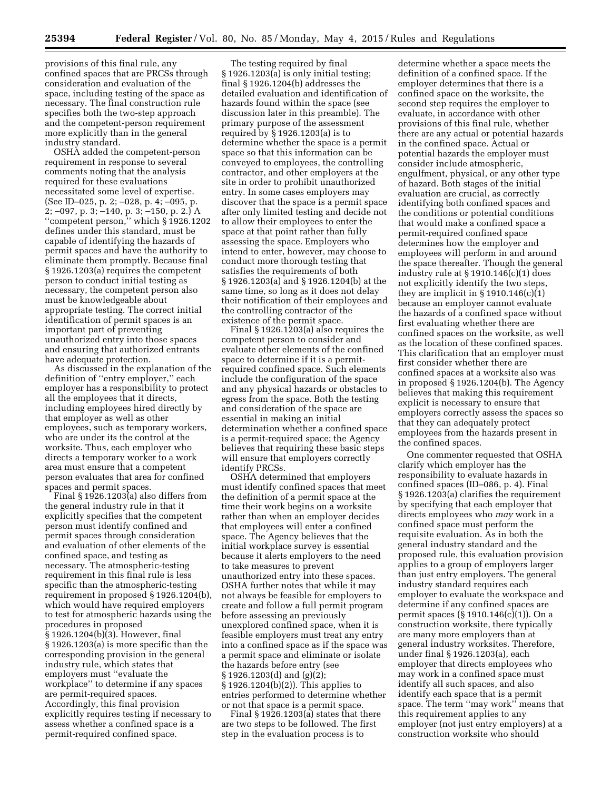provisions of this final rule, any confined spaces that are PRCSs through consideration and evaluation of the space, including testing of the space as necessary. The final construction rule specifies both the two-step approach and the competent-person requirement more explicitly than in the general industry standard.

OSHA added the competent-person requirement in response to several comments noting that the analysis required for these evaluations necessitated some level of expertise. (See ID–025, p. 2; –028, p. 4; –095, p. 2; –097, p. 3; –140, p. 3; –150, p. 2.) A ''competent person,'' which § 1926.1202 defines under this standard, must be capable of identifying the hazards of permit spaces and have the authority to eliminate them promptly. Because final § 1926.1203(a) requires the competent person to conduct initial testing as necessary, the competent person also must be knowledgeable about appropriate testing. The correct initial identification of permit spaces is an important part of preventing unauthorized entry into those spaces and ensuring that authorized entrants have adequate protection.

As discussed in the explanation of the definition of ''entry employer,'' each employer has a responsibility to protect all the employees that it directs, including employees hired directly by that employer as well as other employees, such as temporary workers, who are under its the control at the worksite. Thus, each employer who directs a temporary worker to a work area must ensure that a competent person evaluates that area for confined spaces and permit spaces.

Final § 1926.1203(a) also differs from the general industry rule in that it explicitly specifies that the competent person must identify confined and permit spaces through consideration and evaluation of other elements of the confined space, and testing as necessary. The atmospheric-testing requirement in this final rule is less specific than the atmospheric-testing requirement in proposed § 1926.1204(b), which would have required employers to test for atmospheric hazards using the procedures in proposed § 1926.1204(b)(3). However, final § 1926.1203(a) is more specific than the corresponding provision in the general industry rule, which states that employers must ''evaluate the workplace'' to determine if any spaces are permit-required spaces. Accordingly, this final provision explicitly requires testing if necessary to assess whether a confined space is a permit-required confined space.

The testing required by final § 1926.1203(a) is only initial testing; final § 1926.1204(b) addresses the detailed evaluation and identification of hazards found within the space (see discussion later in this preamble). The primary purpose of the assessment required by § 1926.1203(a) is to determine whether the space is a permit space so that this information can be conveyed to employees, the controlling contractor, and other employers at the site in order to prohibit unauthorized entry. In some cases employers may discover that the space is a permit space after only limited testing and decide not to allow their employees to enter the space at that point rather than fully assessing the space. Employers who intend to enter, however, may choose to conduct more thorough testing that satisfies the requirements of both § 1926.1203(a) and § 1926.1204(b) at the same time, so long as it does not delay their notification of their employees and the controlling contractor of the existence of the permit space.

Final § 1926.1203(a) also requires the competent person to consider and evaluate other elements of the confined space to determine if it is a permitrequired confined space. Such elements include the configuration of the space and any physical hazards or obstacles to egress from the space. Both the testing and consideration of the space are essential in making an initial determination whether a confined space is a permit-required space; the Agency believes that requiring these basic steps will ensure that employers correctly identify PRCSs.

OSHA determined that employers must identify confined spaces that meet the definition of a permit space at the time their work begins on a worksite rather than when an employer decides that employees will enter a confined space. The Agency believes that the initial workplace survey is essential because it alerts employers to the need to take measures to prevent unauthorized entry into these spaces. OSHA further notes that while it may not always be feasible for employers to create and follow a full permit program before assessing an previously unexplored confined space, when it is feasible employers must treat any entry into a confined space as if the space was a permit space and eliminate or isolate the hazards before entry (see § 1926.1203(d) and (g)(2); § 1926.1204(b)(2)). This applies to entries performed to determine whether or not that space is a permit space.

Final § 1926.1203(a) states that there are two steps to be followed. The first step in the evaluation process is to

determine whether a space meets the definition of a confined space. If the employer determines that there is a confined space on the worksite, the second step requires the employer to evaluate, in accordance with other provisions of this final rule, whether there are any actual or potential hazards in the confined space. Actual or potential hazards the employer must consider include atmospheric, engulfment, physical, or any other type of hazard. Both stages of the initial evaluation are crucial, as correctly identifying both confined spaces and the conditions or potential conditions that would make a confined space a permit-required confined space determines how the employer and employees will perform in and around the space thereafter. Though the general industry rule at § 1910.146(c)(1) does not explicitly identify the two steps, they are implicit in  $\S 1910.146(c)(1)$ because an employer cannot evaluate the hazards of a confined space without first evaluating whether there are confined spaces on the worksite, as well as the location of these confined spaces. This clarification that an employer must first consider whether there are confined spaces at a worksite also was in proposed § 1926.1204(b). The Agency believes that making this requirement explicit is necessary to ensure that employers correctly assess the spaces so that they can adequately protect employees from the hazards present in the confined spaces.

One commenter requested that OSHA clarify which employer has the responsibility to evaluate hazards in confined spaces (ID–086, p. 4). Final § 1926.1203(a) clarifies the requirement by specifying that each employer that directs employees who *may* work in a confined space must perform the requisite evaluation. As in both the general industry standard and the proposed rule, this evaluation provision applies to a group of employers larger than just entry employers. The general industry standard requires each employer to evaluate the workspace and determine if any confined spaces are permit spaces (§ 1910.146(c)(1)). On a construction worksite, there typically are many more employers than at general industry worksites. Therefore, under final § 1926.1203(a), each employer that directs employees who may work in a confined space must identify all such spaces, and also identify each space that is a permit space. The term ''may work'' means that this requirement applies to any employer (not just entry employers) at a construction worksite who should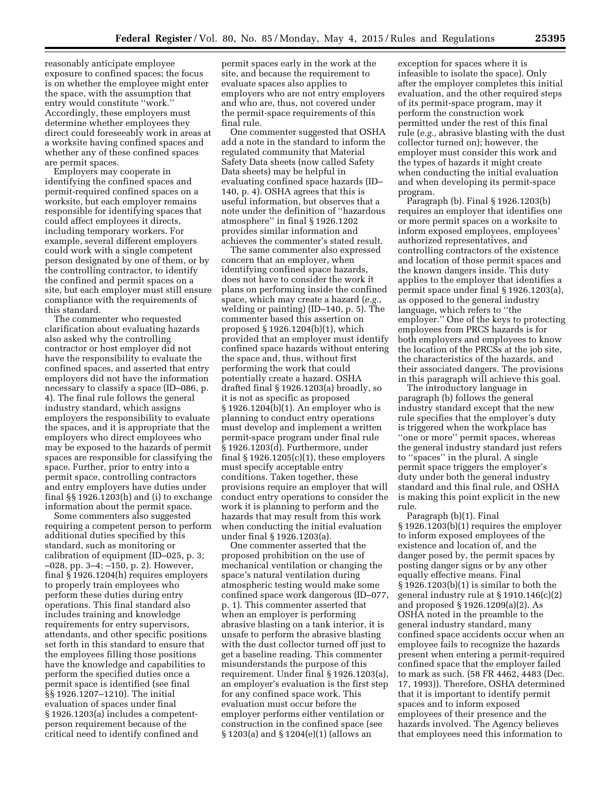reasonably anticipate employee exposure to confined spaces; the focus is on whether the employee might enter the space, with the assumption that entry would constitute ''work.'' Accordingly, these employers must determine whether employees they direct could foreseeably work in areas at a worksite having confined spaces and whether any of these confined spaces are permit spaces.

Employers may cooperate in identifying the confined spaces and permit-required confined spaces on a worksite, but each employer remains responsible for identifying spaces that could affect employees it directs, including temporary workers. For example, several different employers could work with a single competent person designated by one of them, or by the controlling contractor, to identify the confined and permit spaces on a site, but each employer must still ensure compliance with the requirements of this standard.

The commenter who requested clarification about evaluating hazards also asked why the controlling contractor or host employer did not have the responsibility to evaluate the confined spaces, and asserted that entry employers did not have the information necessary to classify a space (ID–086, p. 4). The final rule follows the general industry standard, which assigns employers the responsibility to evaluate the spaces, and it is appropriate that the employers who direct employees who may be exposed to the hazards of permit spaces are responsible for classifying the space. Further, prior to entry into a permit space, controlling contractors and entry employers have duties under final §§ 1926.1203(h) and (i) to exchange information about the permit space.

Some commenters also suggested requiring a competent person to perform additional duties specified by this standard, such as monitoring or calibration of equipment (ID–025, p. 3; –028, pp. 3–4; –150, p. 2). However, final § 1926.1204(h) requires employers to properly train employees who perform these duties during entry operations. This final standard also includes training and knowledge requirements for entry supervisors, attendants, and other specific positions set forth in this standard to ensure that the employees filling those positions have the knowledge and capabilities to perform the specified duties once a permit space is identified (see final §§ 1926.1207–1210). The initial evaluation of spaces under final § 1926.1203(a) includes a competentperson requirement because of the critical need to identify confined and

permit spaces early in the work at the site, and because the requirement to evaluate spaces also applies to employers who are not entry employers and who are, thus, not covered under the permit-space requirements of this final rule.

One commenter suggested that OSHA add a note in the standard to inform the regulated community that Material Safety Data sheets (now called Safety Data sheets) may be helpful in evaluating confined space hazards (ID– 140, p. 4). OSHA agrees that this is useful information, but observes that a note under the definition of ''hazardous atmosphere'' in final § 1926.1202 provides similar information and achieves the commenter's stated result.

The same commenter also expressed concern that an employer, when identifying confined space hazards, does not have to consider the work it plans on performing inside the confined space, which may create a hazard (*e.g.,*  welding or painting) (ID–140, p. 5). The commenter based this assertion on proposed § 1926.1204(b)(1), which provided that an employer must identify confined space hazards without entering the space and, thus, without first performing the work that could potentially create a hazard. OSHA drafted final § 1926.1203(a) broadly, so it is not as specific as proposed § 1926.1204(b)(1). An employer who is planning to conduct entry operations must develop and implement a written permit-space program under final rule § 1926.1203(d). Furthermore, under final  $\S 1926.1205(c)(1)$ , these employers must specify acceptable entry conditions. Taken together, these provisions require an employer that will conduct entry operations to consider the work it is planning to perform and the hazards that may result from this work when conducting the initial evaluation under final § 1926.1203(a).

One commenter asserted that the proposed prohibition on the use of mechanical ventilation or changing the space's natural ventilation during atmospheric testing would make some confined space work dangerous (ID–077, p. 1). This commenter asserted that when an employer is performing abrasive blasting on a tank interior, it is unsafe to perform the abrasive blasting with the dust collector turned off just to get a baseline reading. This commenter misunderstands the purpose of this requirement. Under final § 1926.1203(a), an employer's evaluation is the first step for any confined space work. This evaluation must occur before the employer performs either ventilation or construction in the confined space (see § 1203(a) and § 1204(e)(1) (allows an

exception for spaces where it is infeasible to isolate the space). Only after the employer completes this initial evaluation, and the other required steps of its permit-space program, may it perform the construction work permitted under the rest of this final rule (*e.g.,* abrasive blasting with the dust collector turned on); however, the employer must consider this work and the types of hazards it might create when conducting the initial evaluation and when developing its permit-space program.

Paragraph (b). Final § 1926.1203(b) requires an employer that identifies one or more permit spaces on a worksite to inform exposed employees, employees' authorized representatives, and controlling contractors of the existence and location of those permit spaces and the known dangers inside. This duty applies to the employer that identifies a permit space under final § 1926.1203(a), as opposed to the general industry language, which refers to ''the employer.'' One of the keys to protecting employees from PRCS hazards is for both employers and employees to know the location of the PRCSs at the job site, the characteristics of the hazards, and their associated dangers. The provisions in this paragraph will achieve this goal.

The introductory language in paragraph (b) follows the general industry standard except that the new rule specifies that the employer's duty is triggered when the workplace has ''one or more'' permit spaces, whereas the general industry standard just refers to ''spaces'' in the plural. A single permit space triggers the employer's duty under both the general industry standard and this final rule, and OSHA is making this point explicit in the new rule.

Paragraph (b)(1). Final § 1926.1203(b)(1) requires the employer to inform exposed employees of the existence and location of, and the danger posed by, the permit spaces by posting danger signs or by any other equally effective means. Final § 1926.1203(b)(1) is similar to both the general industry rule at § 1910.146(c)(2) and proposed § 1926.1209(a)(2). As OSHA noted in the preamble to the general industry standard, many confined space accidents occur when an employee fails to recognize the hazards present when entering a permit-required confined space that the employer failed to mark as such. (58 FR 4462, 4483 (Dec. 17, 1993)). Therefore, OSHA determined that it is important to identify permit spaces and to inform exposed employees of their presence and the hazards involved. The Agency believes that employees need this information to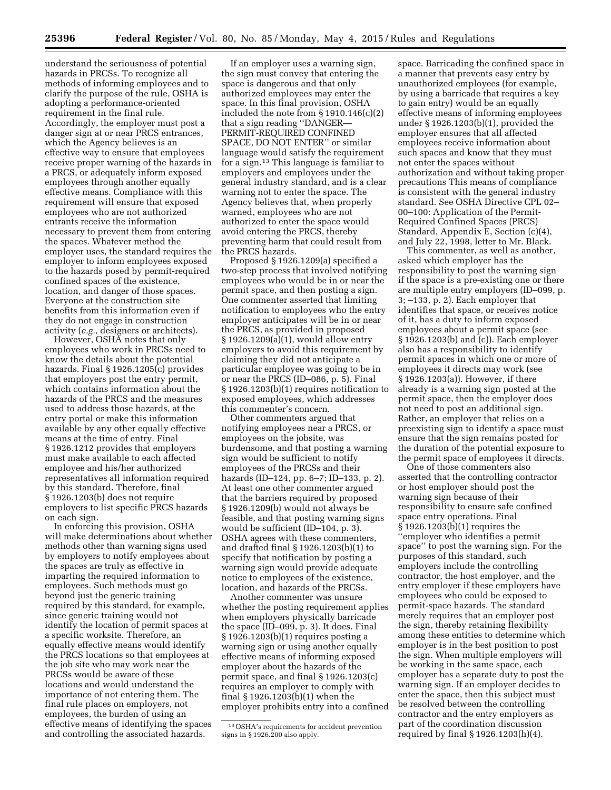understand the seriousness of potential hazards in PRCSs. To recognize all methods of informing employees and to clarify the purpose of the rule, OSHA is adopting a performance-oriented requirement in the final rule. Accordingly, the employer must post a danger sign at or near PRCS entrances, which the Agency believes is an effective way to ensure that employees receive proper warning of the hazards in a PRCS, or adequately inform exposed employees through another equally effective means. Compliance with this requirement will ensure that exposed employees who are not authorized entrants receive the information necessary to prevent them from entering the spaces. Whatever method the employer uses, the standard requires the employer to inform employees exposed to the hazards posed by permit-required confined spaces of the existence, location, and danger of those spaces. Everyone at the construction site benefits from this information even if they do not engage in construction activity (*e.g.,* designers or architects).

However, OSHA notes that only employees who work in PRCSs need to know the details about the potential hazards. Final § 1926.1205(c) provides that employers post the entry permit, which contains information about the hazards of the PRCS and the measures used to address those hazards, at the entry portal or make this information available by any other equally effective means at the time of entry. Final § 1926.1212 provides that employers must make available to each affected employee and his/her authorized representatives all information required by this standard. Therefore, final § 1926.1203(b) does not require employers to list specific PRCS hazards on each sign.

In enforcing this provision, OSHA will make determinations about whether methods other than warning signs used by employers to notify employees about the spaces are truly as effective in imparting the required information to employees. Such methods must go beyond just the generic training required by this standard, for example, since generic training would not identify the location of permit spaces at a specific worksite. Therefore, an equally effective means would identify the PRCS locations so that employees at the job site who may work near the PRCSs would be aware of these locations and would understand the importance of not entering them. The final rule places on employers, not employees, the burden of using an effective means of identifying the spaces and controlling the associated hazards.

If an employer uses a warning sign, the sign must convey that entering the space is dangerous and that only authorized employees may enter the space. In this final provision, OSHA included the note from § 1910.146(c)(2) that a sign reading ''DANGER— PERMIT-REQUIRED CONFINED SPACE, DO NOT ENTER'' or similar language would satisfy the requirement for a sign.13 This language is familiar to employers and employees under the general industry standard, and is a clear warning not to enter the space. The Agency believes that, when properly warned, employees who are not authorized to enter the space would avoid entering the PRCS, thereby preventing harm that could result from the PRCS hazards.

Proposed § 1926.1209(a) specified a two-step process that involved notifying employees who would be in or near the permit space, and then posting a sign. One commenter asserted that limiting notification to employees who the entry employer anticipates will be in or near the PRCS, as provided in proposed § 1926.1209(a)(1), would allow entry employers to avoid this requirement by claiming they did not anticipate a particular employee was going to be in or near the PRCS (ID–086, p. 5). Final § 1926.1203(b)(1) requires notification to exposed employees, which addresses this commenter's concern.

Other commenters argued that notifying employees near a PRCS, or employees on the jobsite, was burdensome, and that posting a warning sign would be sufficient to notify employees of the PRCSs and their hazards (ID–124, pp. 6–7; ID–133, p. 2). At least one other commenter argued that the barriers required by proposed § 1926.1209(b) would not always be feasible, and that posting warning signs would be sufficient (ID–104, p. 3). OSHA agrees with these commenters, and drafted final § 1926.1203(b)(1) to specify that notification by posting a warning sign would provide adequate notice to employees of the existence, location, and hazards of the PRCSs.

Another commenter was unsure whether the posting requirement applies when employers physically barricade the space (ID–099, p. 3). It does. Final § 1926.1203(b)(1) requires posting a warning sign or using another equally effective means of informing exposed employer about the hazards of the permit space, and final § 1926.1203(c) requires an employer to comply with final § 1926.1203(b)(1) when the employer prohibits entry into a confined

space. Barricading the confined space in a manner that prevents easy entry by unauthorized employees (for example, by using a barricade that requires a key to gain entry) would be an equally effective means of informing employees under § 1926.1203(b)(1), provided the employer ensures that all affected employees receive information about such spaces and know that they must not enter the spaces without authorization and without taking proper precautions This means of compliance is consistent with the general industry standard. See OSHA Directive CPL 02– 00–100: Application of the Permit-Required Confined Spaces (PRCS) Standard, Appendix E, Section (c)(4), and July 22, 1998, letter to Mr. Black.

This commenter, as well as another, asked which employer has the responsibility to post the warning sign if the space is a pre-existing one or there are multiple entry employers (ID–099, p. 3; –133, p. 2). Each employer that identifies that space, or receives notice of it, has a duty to inform exposed employees about a permit space (see § 1926.1203(b) and (c)). Each employer also has a responsibility to identify permit spaces in which one or more of employees it directs may work (see § 1926.1203(a)). However, if there already is a warning sign posted at the permit space, then the employer does not need to post an additional sign. Rather, an employer that relies on a preexisting sign to identify a space must ensure that the sign remains posted for the duration of the potential exposure to the permit space of employees it directs.

One of those commenters also asserted that the controlling contractor or host employer should post the warning sign because of their responsibility to ensure safe confined space entry operations. Final § 1926.1203(b)(1) requires the ''employer who identifies a permit space'' to post the warning sign. For the purposes of this standard, such employers include the controlling contractor, the host employer, and the entry employer if these employers have employees who could be exposed to permit-space hazards. The standard merely requires that an employer post the sign, thereby retaining flexibility among these entities to determine which employer is in the best position to post the sign. When multiple employers will be working in the same space, each employer has a separate duty to post the warning sign. If an employer decides to enter the space, then this subject must be resolved between the controlling contractor and the entry employers as part of the coordination discussion required by final § 1926.1203(h)(4).

<sup>13</sup>OSHA's requirements for accident prevention signs in  $§ 1926.\overline{2}00$  also apply.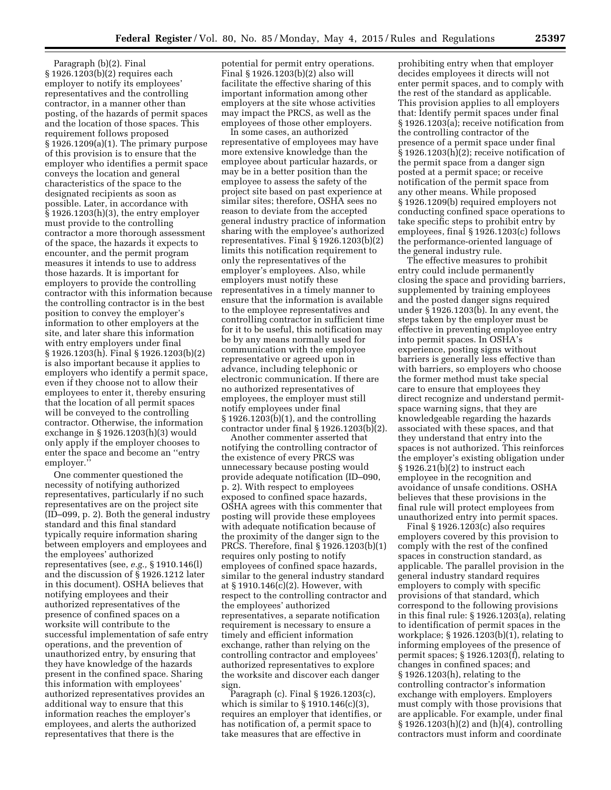Paragraph (b)(2). Final § 1926.1203(b)(2) requires each employer to notify its employees' representatives and the controlling contractor, in a manner other than posting, of the hazards of permit spaces and the location of those spaces. This requirement follows proposed § 1926.1209(a)(1). The primary purpose of this provision is to ensure that the employer who identifies a permit space conveys the location and general characteristics of the space to the designated recipients as soon as possible. Later, in accordance with § 1926.1203(h)(3), the entry employer must provide to the controlling contractor a more thorough assessment of the space, the hazards it expects to encounter, and the permit program measures it intends to use to address those hazards. It is important for employers to provide the controlling contractor with this information because the controlling contractor is in the best position to convey the employer's information to other employers at the site, and later share this information with entry employers under final § 1926.1203(h). Final § 1926.1203(b)(2) is also important because it applies to employers who identify a permit space, even if they choose not to allow their employees to enter it, thereby ensuring that the location of all permit spaces will be conveyed to the controlling contractor. Otherwise, the information exchange in § 1926.1203(h)(3) would only apply if the employer chooses to enter the space and become an ''entry employer.''

One commenter questioned the necessity of notifying authorized representatives, particularly if no such representatives are on the project site (ID–099, p. 2). Both the general industry standard and this final standard typically require information sharing between employers and employees and the employees' authorized representatives (see, *e.g.,* § 1910.146(l) and the discussion of § 1926.1212 later in this document). OSHA believes that notifying employees and their authorized representatives of the presence of confined spaces on a worksite will contribute to the successful implementation of safe entry operations, and the prevention of unauthorized entry, by ensuring that they have knowledge of the hazards present in the confined space. Sharing this information with employees' authorized representatives provides an additional way to ensure that this information reaches the employer's employees, and alerts the authorized representatives that there is the

potential for permit entry operations. Final § 1926.1203(b)(2) also will facilitate the effective sharing of this important information among other employers at the site whose activities may impact the PRCS, as well as the employees of those other employers.

In some cases, an authorized representative of employees may have more extensive knowledge than the employee about particular hazards, or may be in a better position than the employee to assess the safety of the project site based on past experience at similar sites; therefore, OSHA sees no reason to deviate from the accepted general industry practice of information sharing with the employee's authorized representatives. Final § 1926.1203(b)(2) limits this notification requirement to only the representatives of the employer's employees. Also, while employers must notify these representatives in a timely manner to ensure that the information is available to the employee representatives and controlling contractor in sufficient time for it to be useful, this notification may be by any means normally used for communication with the employee representative or agreed upon in advance, including telephonic or electronic communication. If there are no authorized representatives of employees, the employer must still notify employees under final § 1926.1203(b)(1), and the controlling contractor under final § 1926.1203(b)(2).

Another commenter asserted that notifying the controlling contractor of the existence of every PRCS was unnecessary because posting would provide adequate notification (ID–090, p. 2). With respect to employees exposed to confined space hazards, OSHA agrees with this commenter that posting will provide these employees with adequate notification because of the proximity of the danger sign to the PRCS. Therefore, final § 1926.1203(b)(1) requires only posting to notify employees of confined space hazards, similar to the general industry standard at § 1910.146(c)(2). However, with respect to the controlling contractor and the employees' authorized representatives, a separate notification requirement is necessary to ensure a timely and efficient information exchange, rather than relying on the controlling contractor and employees' authorized representatives to explore the worksite and discover each danger sign.

Paragraph (c). Final § 1926.1203(c), which is similar to  $\S 1910.146(c)(3)$ , requires an employer that identifies, or has notification of, a permit space to take measures that are effective in

prohibiting entry when that employer decides employees it directs will not enter permit spaces, and to comply with the rest of the standard as applicable. This provision applies to all employers that: Identify permit spaces under final § 1926.1203(a); receive notification from the controlling contractor of the presence of a permit space under final § 1926.1203(h)(2); receive notification of the permit space from a danger sign posted at a permit space; or receive notification of the permit space from any other means. While proposed § 1926.1209(b) required employers not conducting confined space operations to take specific steps to prohibit entry by employees, final § 1926.1203(c) follows the performance-oriented language of the general industry rule.

The effective measures to prohibit entry could include permanently closing the space and providing barriers, supplemented by training employees and the posted danger signs required under § 1926.1203(b). In any event, the steps taken by the employer must be effective in preventing employee entry into permit spaces. In OSHA's experience, posting signs without barriers is generally less effective than with barriers, so employers who choose the former method must take special care to ensure that employees they direct recognize and understand permitspace warning signs, that they are knowledgeable regarding the hazards associated with these spaces, and that they understand that entry into the spaces is not authorized. This reinforces the employer's existing obligation under § 1926.21(b)(2) to instruct each employee in the recognition and avoidance of unsafe conditions. OSHA believes that these provisions in the final rule will protect employees from unauthorized entry into permit spaces.

Final § 1926.1203(c) also requires employers covered by this provision to comply with the rest of the confined spaces in construction standard, as applicable. The parallel provision in the general industry standard requires employers to comply with specific provisions of that standard, which correspond to the following provisions in this final rule: § 1926.1203(a), relating to identification of permit spaces in the workplace; § 1926.1203(b)(1), relating to informing employees of the presence of permit spaces; § 1926.1203(f), relating to changes in confined spaces; and § 1926.1203(h), relating to the controlling contractor's information exchange with employers. Employers must comply with those provisions that are applicable. For example, under final § 1926.1203(h)(2) and (h)(4), controlling contractors must inform and coordinate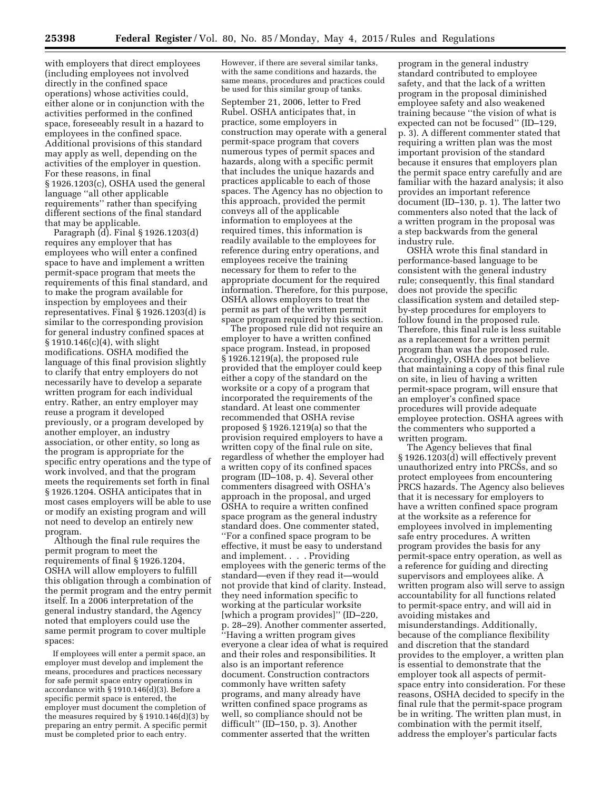with employers that direct employees (including employees not involved directly in the confined space

operations) whose activities could, either alone or in conjunction with the activities performed in the confined space, foreseeably result in a hazard to employees in the confined space. Additional provisions of this standard may apply as well, depending on the activities of the employer in question. For these reasons, in final § 1926.1203(c), OSHA used the general language ''all other applicable requirements'' rather than specifying different sections of the final standard that may be applicable.

Paragraph (d). Final § 1926.1203(d) requires any employer that has employees who will enter a confined space to have and implement a written permit-space program that meets the requirements of this final standard, and to make the program available for inspection by employees and their representatives. Final § 1926.1203(d) is similar to the corresponding provision for general industry confined spaces at § 1910.146(c)(4), with slight modifications. OSHA modified the language of this final provision slightly to clarify that entry employers do not necessarily have to develop a separate written program for each individual entry. Rather, an entry employer may reuse a program it developed previously, or a program developed by another employer, an industry association, or other entity, so long as the program is appropriate for the specific entry operations and the type of work involved, and that the program meets the requirements set forth in final § 1926.1204. OSHA anticipates that in most cases employers will be able to use or modify an existing program and will not need to develop an entirely new program.

Although the final rule requires the permit program to meet the requirements of final § 1926.1204, OSHA will allow employers to fulfill this obligation through a combination of the permit program and the entry permit itself. In a 2006 interpretation of the general industry standard, the Agency noted that employers could use the same permit program to cover multiple spaces:

If employees will enter a permit space, an employer must develop and implement the means, procedures and practices necessary for safe permit space entry operations in accordance with § 1910.146(d)(3). Before a specific permit space is entered, the employer must document the completion of the measures required by  $\S 1910.146(d)(3)$  by preparing an entry permit. A specific permit must be completed prior to each entry.

However, if there are several similar tanks, with the same conditions and hazards, the same means, procedures and practices could be used for this similar group of tanks.

September 21, 2006, letter to Fred Rubel. OSHA anticipates that, in practice, some employers in construction may operate with a general permit-space program that covers numerous types of permit spaces and hazards, along with a specific permit that includes the unique hazards and practices applicable to each of those spaces. The Agency has no objection to this approach, provided the permit conveys all of the applicable information to employees at the required times, this information is readily available to the employees for reference during entry operations, and employees receive the training necessary for them to refer to the appropriate document for the required information. Therefore, for this purpose, OSHA allows employers to treat the permit as part of the written permit space program required by this section.

The proposed rule did not require an employer to have a written confined space program. Instead, in proposed § 1926.1219(a), the proposed rule provided that the employer could keep either a copy of the standard on the worksite or a copy of a program that incorporated the requirements of the standard. At least one commenter recommended that OSHA revise proposed § 1926.1219(a) so that the provision required employers to have a written copy of the final rule on site, regardless of whether the employer had a written copy of its confined spaces program (ID–108, p. 4). Several other commenters disagreed with OSHA's approach in the proposal, and urged OSHA to require a written confined space program as the general industry standard does. One commenter stated, ''For a confined space program to be effective, it must be easy to understand and implement. . . . Providing employees with the generic terms of the standard—even if they read it—would not provide that kind of clarity. Instead, they need information specific to working at the particular worksite [which a program provides]'' (ID–220, p. 28–29). Another commenter asserted, ''Having a written program gives everyone a clear idea of what is required and their roles and responsibilities. It also is an important reference document. Construction contractors commonly have written safety programs, and many already have written confined space programs as well, so compliance should not be difficult'' (ID–150, p. 3). Another commenter asserted that the written

program in the general industry standard contributed to employee safety, and that the lack of a written program in the proposal diminished employee safety and also weakened training because ''the vision of what is expected can not be focused'' (ID–129, p. 3). A different commenter stated that requiring a written plan was the most important provision of the standard because it ensures that employers plan the permit space entry carefully and are familiar with the hazard analysis; it also provides an important reference document (ID–130, p. 1). The latter two commenters also noted that the lack of a written program in the proposal was a step backwards from the general industry rule.

OSHA wrote this final standard in performance-based language to be consistent with the general industry rule; consequently, this final standard does not provide the specific classification system and detailed stepby-step procedures for employers to follow found in the proposed rule. Therefore, this final rule is less suitable as a replacement for a written permit program than was the proposed rule. Accordingly, OSHA does not believe that maintaining a copy of this final rule on site, in lieu of having a written permit-space program, will ensure that an employer's confined space procedures will provide adequate employee protection. OSHA agrees with the commenters who supported a written program.

The Agency believes that final § 1926.1203(d) will effectively prevent unauthorized entry into PRCSs, and so protect employees from encountering PRCS hazards. The Agency also believes that it is necessary for employers to have a written confined space program at the worksite as a reference for employees involved in implementing safe entry procedures. A written program provides the basis for any permit-space entry operation, as well as a reference for guiding and directing supervisors and employees alike. A written program also will serve to assign accountability for all functions related to permit-space entry, and will aid in avoiding mistakes and misunderstandings. Additionally, because of the compliance flexibility and discretion that the standard provides to the employer, a written plan is essential to demonstrate that the employer took all aspects of permitspace entry into consideration. For these reasons, OSHA decided to specify in the final rule that the permit-space program be in writing. The written plan must, in combination with the permit itself, address the employer's particular facts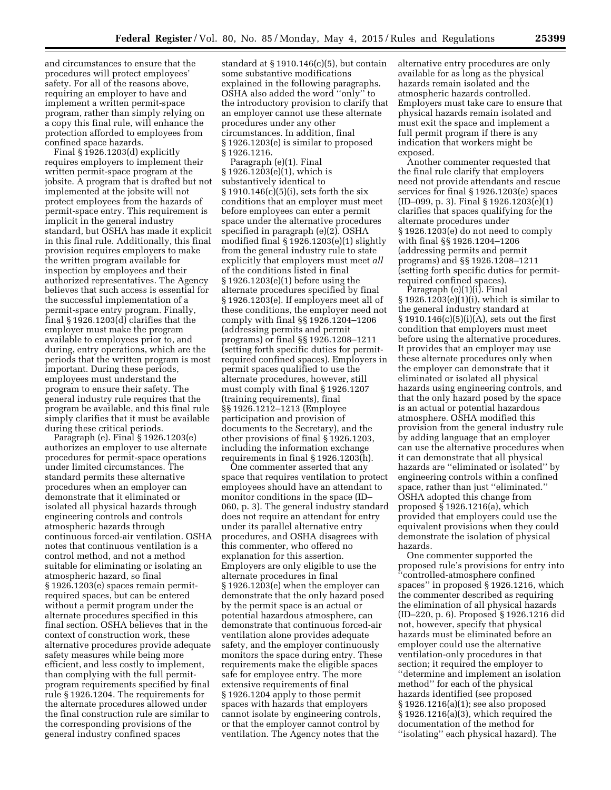and circumstances to ensure that the procedures will protect employees' safety. For all of the reasons above, requiring an employer to have and implement a written permit-space program, rather than simply relying on a copy this final rule, will enhance the protection afforded to employees from confined space hazards.

Final § 1926.1203(d) explicitly requires employers to implement their written permit-space program at the jobsite. A program that is drafted but not implemented at the jobsite will not protect employees from the hazards of permit-space entry. This requirement is implicit in the general industry standard, but OSHA has made it explicit in this final rule. Additionally, this final provision requires employers to make the written program available for inspection by employees and their authorized representatives. The Agency believes that such access is essential for the successful implementation of a permit-space entry program. Finally, final § 1926.1203(d) clarifies that the employer must make the program available to employees prior to, and during, entry operations, which are the periods that the written program is most important. During these periods, employees must understand the program to ensure their safety. The general industry rule requires that the program be available, and this final rule simply clarifies that it must be available during these critical periods.

Paragraph (e). Final § 1926.1203(e) authorizes an employer to use alternate procedures for permit-space operations under limited circumstances. The standard permits these alternative procedures when an employer can demonstrate that it eliminated or isolated all physical hazards through engineering controls and controls atmospheric hazards through continuous forced-air ventilation. OSHA notes that continuous ventilation is a control method, and not a method suitable for eliminating or isolating an atmospheric hazard, so final § 1926.1203(e) spaces remain permitrequired spaces, but can be entered without a permit program under the alternate procedures specified in this final section. OSHA believes that in the context of construction work, these alternative procedures provide adequate safety measures while being more efficient, and less costly to implement, than complying with the full permitprogram requirements specified by final rule § 1926.1204. The requirements for the alternate procedures allowed under the final construction rule are similar to the corresponding provisions of the general industry confined spaces

standard at  $\S 1910.146(c)(5)$ , but contain some substantive modifications explained in the following paragraphs. OSHA also added the word ''only'' to the introductory provision to clarify that an employer cannot use these alternate procedures under any other circumstances. In addition, final § 1926.1203(e) is similar to proposed § 1926.1216.

Paragraph (e)(1). Final § 1926.1203(e)(1), which is substantively identical to § 1910.146(c)(5)(i), sets forth the six conditions that an employer must meet before employees can enter a permit space under the alternative procedures specified in paragraph (e)(2). OSHA modified final § 1926.1203(e)(1) slightly from the general industry rule to state explicitly that employers must meet *all*  of the conditions listed in final § 1926.1203(e)(1) before using the alternate procedures specified by final § 1926.1203(e). If employers meet all of these conditions, the employer need not comply with final §§ 1926.1204–1206 (addressing permits and permit programs) or final §§ 1926.1208–1211 (setting forth specific duties for permitrequired confined spaces). Employers in permit spaces qualified to use the alternate procedures, however, still must comply with final § 1926.1207 (training requirements), final §§ 1926.1212–1213 (Employee participation and provision of documents to the Secretary), and the other provisions of final § 1926.1203, including the information exchange requirements in final § 1926.1203(h).

One commenter asserted that any space that requires ventilation to protect employees should have an attendant to monitor conditions in the space (ID– 060, p. 3). The general industry standard does not require an attendant for entry under its parallel alternative entry procedures, and OSHA disagrees with this commenter, who offered no explanation for this assertion. Employers are only eligible to use the alternate procedures in final § 1926.1203(e) when the employer can demonstrate that the only hazard posed by the permit space is an actual or potential hazardous atmosphere, can demonstrate that continuous forced-air ventilation alone provides adequate safety, and the employer continuously monitors the space during entry. These requirements make the eligible spaces safe for employee entry. The more extensive requirements of final § 1926.1204 apply to those permit spaces with hazards that employers cannot isolate by engineering controls, or that the employer cannot control by ventilation. The Agency notes that the

alternative entry procedures are only available for as long as the physical hazards remain isolated and the atmospheric hazards controlled. Employers must take care to ensure that physical hazards remain isolated and must exit the space and implement a full permit program if there is any indication that workers might be exposed.

Another commenter requested that the final rule clarify that employers need not provide attendants and rescue services for final § 1926.1203(e) spaces (ID–099, p. 3). Final § 1926.1203(e)(1) clarifies that spaces qualifying for the alternate procedures under § 1926.1203(e) do not need to comply with final §§ 1926.1204–1206 (addressing permits and permit programs) and §§ 1926.1208–1211 (setting forth specific duties for permitrequired confined spaces).

Paragraph (e)(1)(i). Final § 1926.1203(e)(1)(i), which is similar to the general industry standard at  $§ 1910.146(c)(5)(i)(A)$ , sets out the first condition that employers must meet before using the alternative procedures. It provides that an employer may use these alternate procedures only when the employer can demonstrate that it eliminated or isolated all physical hazards using engineering controls, and that the only hazard posed by the space is an actual or potential hazardous atmosphere. OSHA modified this provision from the general industry rule by adding language that an employer can use the alternative procedures when it can demonstrate that all physical hazards are ''eliminated or isolated'' by engineering controls within a confined space, rather than just ''eliminated.'' OSHA adopted this change from proposed § 1926.1216(a), which provided that employers could use the equivalent provisions when they could demonstrate the isolation of physical hazards.

One commenter supported the proposed rule's provisions for entry into ''controlled-atmosphere confined spaces'' in proposed § 1926.1216, which the commenter described as requiring the elimination of all physical hazards (ID–220, p. 6). Proposed § 1926.1216 did not, however, specify that physical hazards must be eliminated before an employer could use the alternative ventilation-only procedures in that section; it required the employer to ''determine and implement an isolation method'' for each of the physical hazards identified (see proposed § 1926.1216(a)(1); see also proposed § 1926.1216(a)(3), which required the documentation of the method for ''isolating'' each physical hazard). The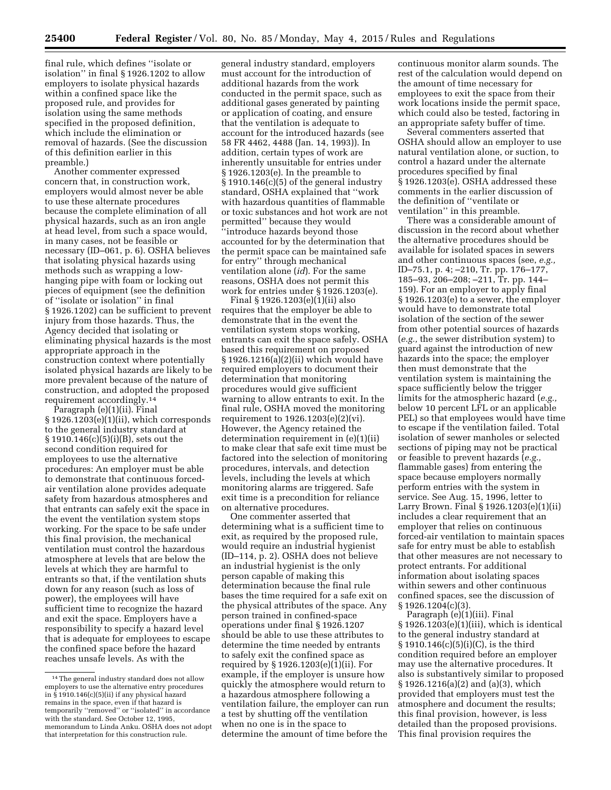final rule, which defines ''isolate or isolation'' in final § 1926.1202 to allow employers to isolate physical hazards within a confined space like the proposed rule, and provides for isolation using the same methods specified in the proposed definition, which include the elimination or removal of hazards. (See the discussion of this definition earlier in this preamble.)

Another commenter expressed concern that, in construction work, employers would almost never be able to use these alternate procedures because the complete elimination of all physical hazards, such as an iron angle at head level, from such a space would, in many cases, not be feasible or necessary (ID–061, p. 6). OSHA believes that isolating physical hazards using methods such as wrapping a lowhanging pipe with foam or locking out pieces of equipment (see the definition of ''isolate or isolation'' in final § 1926.1202) can be sufficient to prevent injury from those hazards. Thus, the Agency decided that isolating or eliminating physical hazards is the most appropriate approach in the construction context where potentially isolated physical hazards are likely to be more prevalent because of the nature of construction, and adopted the proposed requirement accordingly.14

Paragraph (e)(1)(ii). Final § 1926.1203(e)(1)(ii), which corresponds to the general industry standard at § 1910.146(c)(5)(i)(B), sets out the second condition required for employees to use the alternative procedures: An employer must be able to demonstrate that continuous forcedair ventilation alone provides adequate safety from hazardous atmospheres and that entrants can safely exit the space in the event the ventilation system stops working. For the space to be safe under this final provision, the mechanical ventilation must control the hazardous atmosphere at levels that are below the levels at which they are harmful to entrants so that, if the ventilation shuts down for any reason (such as loss of power), the employees will have sufficient time to recognize the hazard and exit the space. Employers have a responsibility to specify a hazard level that is adequate for employees to escape the confined space before the hazard reaches unsafe levels. As with the

general industry standard, employers must account for the introduction of additional hazards from the work conducted in the permit space, such as additional gases generated by painting or application of coating, and ensure that the ventilation is adequate to account for the introduced hazards (see 58 FR 4462, 4488 (Jan. 14, 1993)). In addition, certain types of work are inherently unsuitable for entries under § 1926.1203(e). In the preamble to § 1910.146(c)(5) of the general industry standard, OSHA explained that ''work with hazardous quantities of flammable or toxic substances and hot work are not permitted'' because they would ''introduce hazards beyond those accounted for by the determination that the permit space can be maintained safe for entry'' through mechanical ventilation alone (*id*). For the same reasons, OSHA does not permit this work for entries under § 1926.1203(e).

Final § 1926.1203(e)(1)(ii) also requires that the employer be able to demonstrate that in the event the ventilation system stops working, entrants can exit the space safely. OSHA based this requirement on proposed § 1926.1216(a)(2)(ii) which would have required employers to document their determination that monitoring procedures would give sufficient warning to allow entrants to exit. In the final rule, OSHA moved the monitoring requirement to 1926.1203(e)(2)(vi). However, the Agency retained the determination requirement in (e)(1)(ii) to make clear that safe exit time must be factored into the selection of monitoring procedures, intervals, and detection levels, including the levels at which monitoring alarms are triggered. Safe exit time is a precondition for reliance on alternative procedures.

One commenter asserted that determining what is a sufficient time to exit, as required by the proposed rule, would require an industrial hygienist (ID–114, p. 2). OSHA does not believe an industrial hygienist is the only person capable of making this determination because the final rule bases the time required for a safe exit on the physical attributes of the space. Any person trained in confined-space operations under final § 1926.1207 should be able to use these attributes to determine the time needed by entrants to safely exit the confined space as required by § 1926.1203(e)(1)(ii). For example, if the employer is unsure how quickly the atmosphere would return to a hazardous atmosphere following a ventilation failure, the employer can run a test by shutting off the ventilation when no one is in the space to determine the amount of time before the

continuous monitor alarm sounds. The rest of the calculation would depend on the amount of time necessary for employees to exit the space from their work locations inside the permit space, which could also be tested, factoring in an appropriate safety buffer of time.

Several commenters asserted that OSHA should allow an employer to use natural ventilation alone, or suction, to control a hazard under the alternate procedures specified by final § 1926.1203(e). OSHA addressed these comments in the earlier discussion of the definition of ''ventilate or ventilation'' in this preamble.

There was a considerable amount of discussion in the record about whether the alternative procedures should be available for isolated spaces in sewers and other continuous spaces (see, *e.g.,*  ID–75.1, p. 4; –210, Tr. pp. 176–177, 185–93, 206–208; –211, Tr. pp. 144– 159). For an employer to apply final § 1926.1203(e) to a sewer, the employer would have to demonstrate total isolation of the section of the sewer from other potential sources of hazards (*e.g.,* the sewer distribution system) to guard against the introduction of new hazards into the space; the employer then must demonstrate that the ventilation system is maintaining the space sufficiently below the trigger limits for the atmospheric hazard (*e.g.,*  below 10 percent LFL or an applicable PEL) so that employees would have time to escape if the ventilation failed. Total isolation of sewer manholes or selected sections of piping may not be practical or feasible to prevent hazards (*e.g.,*  flammable gases) from entering the space because employers normally perform entries with the system in service. See Aug. 15, 1996, letter to Larry Brown. Final § 1926.1203(e)(1)(ii) includes a clear requirement that an employer that relies on continuous forced-air ventilation to maintain spaces safe for entry must be able to establish that other measures are not necessary to protect entrants. For additional information about isolating spaces within sewers and other continuous confined spaces, see the discussion of  $§ 1926.1204(c)(3)$ .

Paragraph (e)(1)(iii). Final § 1926.1203(e)(1)(iii), which is identical to the general industry standard at  $§ 1910.146(c)(5)(i)(C)$ , is the third condition required before an employer may use the alternative procedures. It also is substantively similar to proposed § 1926.1216(a)(2) and (a)(3), which provided that employers must test the atmosphere and document the results; this final provision, however, is less detailed than the proposed provisions. This final provision requires the

<sup>14</sup>The general industry standard does not allow employers to use the alternative entry procedures in § 1910.146(c)(5)(ii) if any physical hazard remains in the space, even if that hazard is temporarily ''removed'' or ''isolated'' in accordance with the standard. See October 12, 1995, memorandum to Linda Anku. OSHA does not adopt that interpretation for this construction rule.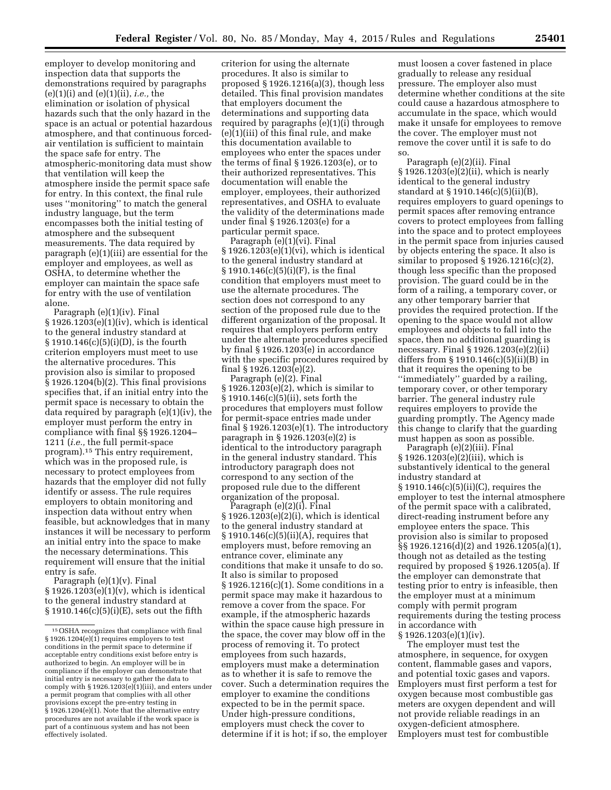employer to develop monitoring and inspection data that supports the demonstrations required by paragraphs (e)(1)(i) and (e)(1)(ii), *i.e.,* the elimination or isolation of physical hazards such that the only hazard in the space is an actual or potential hazardous atmosphere, and that continuous forcedair ventilation is sufficient to maintain the space safe for entry. The atmospheric-monitoring data must show that ventilation will keep the atmosphere inside the permit space safe for entry. In this context, the final rule uses ''monitoring'' to match the general industry language, but the term encompasses both the initial testing of atmosphere and the subsequent measurements. The data required by paragraph (e)(1)(iii) are essential for the employer and employees, as well as OSHA, to determine whether the employer can maintain the space safe for entry with the use of ventilation alone.

Paragraph (e)(1)(iv). Final § 1926.1203(e)(1)(iv), which is identical to the general industry standard at § 1910.146(c)(5)(i)(D), is the fourth criterion employers must meet to use the alternative procedures. This provision also is similar to proposed § 1926.1204(b)(2). This final provisions specifies that, if an initial entry into the permit space is necessary to obtain the data required by paragraph (e)(1)(iv), the employer must perform the entry in compliance with final §§ 1926.1204– 1211 (*i.e.,* the full permit-space program).15 This entry requirement, which was in the proposed rule, is necessary to protect employees from hazards that the employer did not fully identify or assess. The rule requires employers to obtain monitoring and inspection data without entry when feasible, but acknowledges that in many instances it will be necessary to perform an initial entry into the space to make the necessary determinations. This requirement will ensure that the initial entry is safe.

Paragraph  $(e)(1)(v)$ . Final § 1926.1203(e)(1)(v), which is identical to the general industry standard at  $\S 1910.146(c)(5)(i)(E)$ , sets out the fifth

criterion for using the alternate procedures. It also is similar to proposed  $\S 1926.1216(a)(3)$ , though less detailed. This final provision mandates that employers document the determinations and supporting data required by paragraphs (e)(1)(i) through (e)(1)(iii) of this final rule, and make this documentation available to employees who enter the spaces under the terms of final § 1926.1203(e), or to their authorized representatives. This documentation will enable the employer, employees, their authorized representatives, and OSHA to evaluate the validity of the determinations made under final § 1926.1203(e) for a particular permit space.

Paragraph (e)(1)(vi). Final § 1926.1203(e)(1)(vi), which is identical to the general industry standard at  $\S 1910.146(c)(5)(i)(F)$ , is the final condition that employers must meet to use the alternate procedures. The section does not correspond to any section of the proposed rule due to the different organization of the proposal. It requires that employers perform entry under the alternate procedures specified by final § 1926.1203(e) in accordance with the specific procedures required by final § 1926.1203(e)(2).

Paragraph (e)(2). Final § 1926.1203(e)(2), which is similar to § 1910.146(c)(5)(ii), sets forth the procedures that employers must follow for permit-space entries made under final § 1926.1203(e)(1). The introductory paragraph in § 1926.1203(e)(2) is identical to the introductory paragraph in the general industry standard. This introductory paragraph does not correspond to any section of the proposed rule due to the different organization of the proposal.

Paragraph (e)(2)(i). Final § 1926.1203(e)(2)(i), which is identical to the general industry standard at § 1910.146(c)(5)(ii)(A), requires that employers must, before removing an entrance cover, eliminate any conditions that make it unsafe to do so. It also is similar to proposed § 1926.1216(c)(1). Some conditions in a permit space may make it hazardous to remove a cover from the space. For example, if the atmospheric hazards within the space cause high pressure in the space, the cover may blow off in the process of removing it. To protect employees from such hazards, employers must make a determination as to whether it is safe to remove the cover. Such a determination requires the employer to examine the conditions expected to be in the permit space. Under high-pressure conditions, employers must check the cover to determine if it is hot; if so, the employer

must loosen a cover fastened in place gradually to release any residual pressure. The employer also must determine whether conditions at the site could cause a hazardous atmosphere to accumulate in the space, which would make it unsafe for employees to remove the cover. The employer must not remove the cover until it is safe to do so.

Paragraph (e)(2)(ii). Final § 1926.1203(e)(2)(ii), which is nearly identical to the general industry standard at § 1910.146(c)(5)(ii)(B), requires employers to guard openings to permit spaces after removing entrance covers to protect employees from falling into the space and to protect employees in the permit space from injuries caused by objects entering the space. It also is similar to proposed § 1926.1216(c)(2), though less specific than the proposed provision. The guard could be in the form of a railing, a temporary cover, or any other temporary barrier that provides the required protection. If the opening to the space would not allow employees and objects to fall into the space, then no additional guarding is necessary. Final § 1926.1203(e)(2)(ii) differs from  $\S 1910.146(c)(5)(ii)(B)$  in that it requires the opening to be ''immediately'' guarded by a railing, temporary cover, or other temporary barrier. The general industry rule requires employers to provide the guarding promptly. The Agency made this change to clarify that the guarding must happen as soon as possible.

Paragraph (e)(2)(iii). Final § 1926.1203(e)(2)(iii), which is substantively identical to the general industry standard at § 1910.146(c)(5)(ii)(C), requires the employer to test the internal atmosphere of the permit space with a calibrated, direct-reading instrument before any employee enters the space. This provision also is similar to proposed §§ 1926.1216(d)(2) and 1926.1205(a)(1), though not as detailed as the testing required by proposed § 1926.1205(a). If the employer can demonstrate that testing prior to entry is infeasible, then the employer must at a minimum comply with permit program requirements during the testing process in accordance with § 1926.1203(e)(1)(iv).

The employer must test the atmosphere, in sequence, for oxygen content, flammable gases and vapors, and potential toxic gases and vapors. Employers must first perform a test for oxygen because most combustible gas meters are oxygen dependent and will not provide reliable readings in an oxygen-deficient atmosphere. Employers must test for combustible

<sup>15</sup>OSHA recognizes that compliance with final § 1926.1204(e)(1) requires employers to test conditions in the permit space to determine if acceptable entry conditions exist before entry is authorized to begin. An employer will be in compliance if the employer can demonstrate that initial entry is necessary to gather the data to comply with § 1926.1203(e)(1)(iii), and enters under a permit program that complies with all other provisions except the pre-entry testing in § 1926.1204(e)(1). Note that the alternative entry procedures are not available if the work space is part of a continuous system and has not been effectively isolated.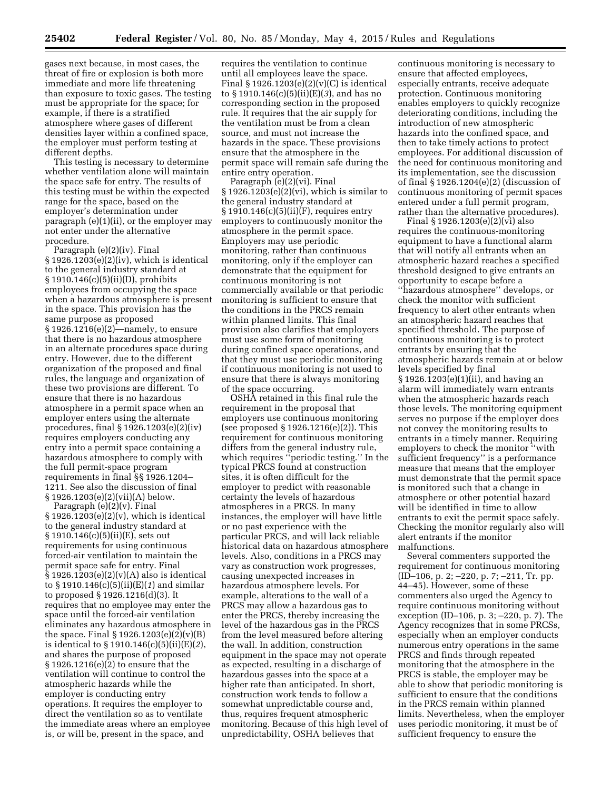gases next because, in most cases, the threat of fire or explosion is both more immediate and more life threatening than exposure to toxic gases. The testing must be appropriate for the space; for example, if there is a stratified atmosphere where gases of different densities layer within a confined space, the employer must perform testing at different depths.

This testing is necessary to determine whether ventilation alone will maintain the space safe for entry. The results of this testing must be within the expected range for the space, based on the employer's determination under paragraph (e)(1)(ii), or the employer may not enter under the alternative procedure.

Paragraph (e)(2)(iv). Final § 1926.1203(e)(2)(iv), which is identical to the general industry standard at § 1910.146(c)(5)(ii)(D), prohibits employees from occupying the space when a hazardous atmosphere is present in the space. This provision has the same purpose as proposed § 1926.1216(e)(2)—namely, to ensure that there is no hazardous atmosphere in an alternate procedures space during entry. However, due to the different organization of the proposed and final rules, the language and organization of these two provisions are different. To ensure that there is no hazardous atmosphere in a permit space when an employer enters using the alternate procedures, final § 1926.1203(e)(2)(iv) requires employers conducting any entry into a permit space containing a hazardous atmosphere to comply with the full permit-space program requirements in final §§ 1926.1204– 1211. See also the discussion of final § 1926.1203(e)(2)(vii)(A) below.

Paragraph (e)(2)(v). Final § 1926.1203(e)(2)(v), which is identical to the general industry standard at § 1910.146(c)(5)(ii)(E), sets out requirements for using continuous forced-air ventilation to maintain the permit space safe for entry. Final § 1926.1203(e)(2)(v)(A) also is identical to § 1910.146(c)(5)(ii)(E)(*1*) and similar to proposed § 1926.1216(d)(3). It requires that no employee may enter the space until the forced-air ventilation eliminates any hazardous atmosphere in the space. Final § 1926.1203(e)(2)(v)(B) is identical to § 1910.146(c)(5)(ii)(E)(*2*), and shares the purpose of proposed § 1926.1216(e)(2) to ensure that the ventilation will continue to control the atmospheric hazards while the employer is conducting entry operations. It requires the employer to direct the ventilation so as to ventilate the immediate areas where an employee is, or will be, present in the space, and

requires the ventilation to continue until all employees leave the space. Final  $\S 1926.1203(e)(2)(v)(C)$  is identical to § 1910.146(c)(5)(ii)(E)(*3*), and has no corresponding section in the proposed rule. It requires that the air supply for the ventilation must be from a clean source, and must not increase the hazards in the space. These provisions ensure that the atmosphere in the permit space will remain safe during the entire entry operation.

Paragraph (e)(2)(vi). Final § 1926.1203(e)(2)(vi), which is similar to the general industry standard at § 1910.146(c)(5)(ii)(F), requires entry employers to continuously monitor the atmosphere in the permit space. Employers may use periodic monitoring, rather than continuous monitoring, only if the employer can demonstrate that the equipment for continuous monitoring is not commercially available or that periodic monitoring is sufficient to ensure that the conditions in the PRCS remain within planned limits. This final provision also clarifies that employers must use some form of monitoring during confined space operations, and that they must use periodic monitoring if continuous monitoring is not used to ensure that there is always monitoring of the space occurring.

OSHA retained in this final rule the requirement in the proposal that employers use continuous monitoring (see proposed § 1926.1216(e)(2)). This requirement for continuous monitoring differs from the general industry rule, which requires ''periodic testing.'' In the typical PRCS found at construction sites, it is often difficult for the employer to predict with reasonable certainty the levels of hazardous atmospheres in a PRCS. In many instances, the employer will have little or no past experience with the particular PRCS, and will lack reliable historical data on hazardous atmosphere levels. Also, conditions in a PRCS may vary as construction work progresses, causing unexpected increases in hazardous atmosphere levels. For example, alterations to the wall of a PRCS may allow a hazardous gas to enter the PRCS, thereby increasing the level of the hazardous gas in the PRCS from the level measured before altering the wall. In addition, construction equipment in the space may not operate as expected, resulting in a discharge of hazardous gasses into the space at a higher rate than anticipated. In short, construction work tends to follow a somewhat unpredictable course and, thus, requires frequent atmospheric monitoring. Because of this high level of unpredictability, OSHA believes that

continuous monitoring is necessary to ensure that affected employees, especially entrants, receive adequate protection. Continuous monitoring enables employers to quickly recognize deteriorating conditions, including the introduction of new atmospheric hazards into the confined space, and then to take timely actions to protect employees. For additional discussion of the need for continuous monitoring and its implementation, see the discussion of final § 1926.1204(e)(2) (discussion of continuous monitoring of permit spaces entered under a full permit program, rather than the alternative procedures).

Final § 1926.1203(e)(2)(vi) also requires the continuous-monitoring equipment to have a functional alarm that will notify all entrants when an atmospheric hazard reaches a specified threshold designed to give entrants an opportunity to escape before a ''hazardous atmosphere'' develops, or check the monitor with sufficient frequency to alert other entrants when an atmospheric hazard reaches that specified threshold. The purpose of continuous monitoring is to protect entrants by ensuring that the atmospheric hazards remain at or below levels specified by final § 1926.1203(e)(1)(ii), and having an alarm will immediately warn entrants when the atmospheric hazards reach those levels. The monitoring equipment serves no purpose if the employer does not convey the monitoring results to entrants in a timely manner. Requiring employers to check the monitor ''with sufficient frequency'' is a performance measure that means that the employer must demonstrate that the permit space is monitored such that a change in atmosphere or other potential hazard will be identified in time to allow entrants to exit the permit space safely. Checking the monitor regularly also will alert entrants if the monitor malfunctions.

Several commenters supported the requirement for continuous monitoring (ID–106, p. 2; –220, p. 7; –211, Tr. pp. 44–45). However, some of these commenters also urged the Agency to require continuous monitoring without exception (ID–106, p. 3; –220, p. 7). The Agency recognizes that in some PRCSs, especially when an employer conducts numerous entry operations in the same PRCS and finds through repeated monitoring that the atmosphere in the PRCS is stable, the employer may be able to show that periodic monitoring is sufficient to ensure that the conditions in the PRCS remain within planned limits. Nevertheless, when the employer uses periodic monitoring, it must be of sufficient frequency to ensure the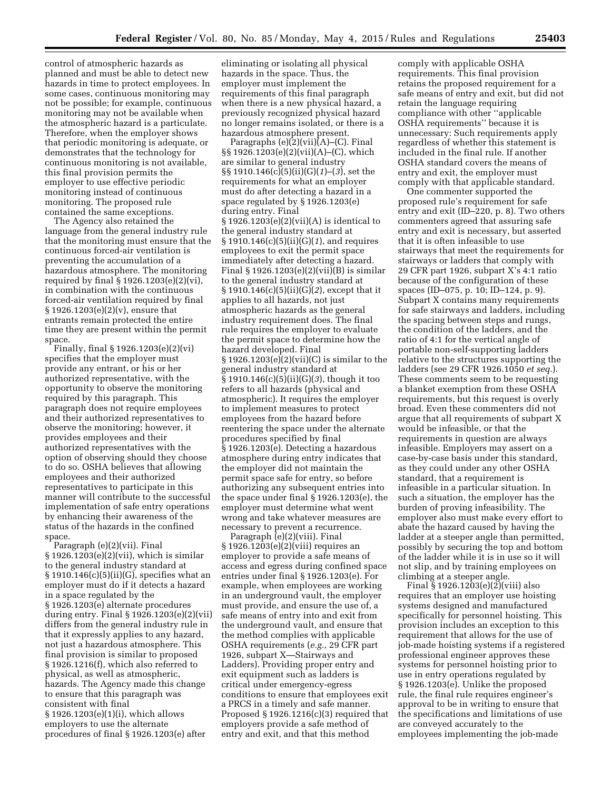control of atmospheric hazards as planned and must be able to detect new hazards in time to protect employees. In some cases, continuous monitoring may not be possible; for example, continuous monitoring may not be available when the atmospheric hazard is a particulate. Therefore, when the employer shows that periodic monitoring is adequate, or demonstrates that the technology for continuous monitoring is not available, this final provision permits the employer to use effective periodic monitoring instead of continuous monitoring. The proposed rule contained the same exceptions.

The Agency also retained the language from the general industry rule that the monitoring must ensure that the continuous forced-air ventilation is preventing the accumulation of a hazardous atmosphere. The monitoring required by final § 1926.1203(e)(2)(vi), in combination with the continuous forced-air ventilation required by final § 1926.1203(e)(2)(v), ensure that entrants remain protected the entire time they are present within the permit space.

Finally, final § 1926.1203(e)(2)(vi) specifies that the employer must provide any entrant, or his or her authorized representative, with the opportunity to observe the monitoring required by this paragraph. This paragraph does not require employees and their authorized representatives to observe the monitoring; however, it provides employees and their authorized representatives with the option of observing should they choose to do so. OSHA believes that allowing employees and their authorized representatives to participate in this manner will contribute to the successful implementation of safe entry operations by enhancing their awareness of the status of the hazards in the confined space.

Paragraph (e)(2)(vii). Final § 1926.1203(e)(2)(vii), which is similar to the general industry standard at  $\S 1910.146(c)(5)(ii)(G)$ , specifies what an employer must do if it detects a hazard in a space regulated by the § 1926.1203(e) alternate procedures during entry. Final § 1926.1203(e)(2)(vii) differs from the general industry rule in that it expressly applies to any hazard, not just a hazardous atmosphere. This final provision is similar to proposed § 1926.1216(f), which also referred to physical, as well as atmospheric, hazards. The Agency made this change to ensure that this paragraph was consistent with final § 1926.1203(e)(1)(i), which allows

employers to use the alternate procedures of final § 1926.1203(e) after

eliminating or isolating all physical hazards in the space. Thus, the employer must implement the requirements of this final paragraph when there is a new physical hazard, a previously recognized physical hazard no longer remains isolated, or there is a hazardous atmosphere present.

Paragraphs  $(e)(2)(vi)(A)$ – $(C)$ . Final §§ 1926.1203(e)(2)(vii)(A)–(C), which are similar to general industry §§ 1910.146(c)(5)(ii)(G)(*1*)–(*3*), set the requirements for what an employer must do after detecting a hazard in a space regulated by § 1926.1203(e) during entry. Final § 1926.1203(e)(2)(vii)(A) is identical to the general industry standard at § 1910.146(c)(5)(ii)(G)(*1*), and requires employees to exit the permit space immediately after detecting a hazard. Final § 1926.1203(e)(2)(vii)(B) is similar to the general industry standard at § 1910.146(c)(5)(ii)(G)(*2*), except that it applies to all hazards, not just atmospheric hazards as the general industry requirement does. The final rule requires the employer to evaluate the permit space to determine how the hazard developed. Final § 1926.1203(e)(2)(vii)(C) is similar to the general industry standard at § 1910.146(c)(5)(ii)(G)(*3*), though it too refers to all hazards (physical and atmospheric). It requires the employer to implement measures to protect employees from the hazard before reentering the space under the alternate procedures specified by final § 1926.1203(e). Detecting a hazardous atmosphere during entry indicates that the employer did not maintain the permit space safe for entry, so before authorizing any subsequent entries into the space under final § 1926.1203(e), the employer must determine what went wrong and take whatever measures are necessary to prevent a recurrence.

Paragraph (e)(2)(viii). Final § 1926.1203(e)(2)(viii) requires an employer to provide a safe means of access and egress during confined space entries under final § 1926.1203(e). For example, when employees are working in an underground vault, the employer must provide, and ensure the use of, a safe means of entry into and exit from the underground vault, and ensure that the method complies with applicable OSHA requirements (*e.g.,* 29 CFR part 1926, subpart X—Stairways and Ladders). Providing proper entry and exit equipment such as ladders is critical under emergency-egress conditions to ensure that employees exit a PRCS in a timely and safe manner. Proposed § 1926.1216(c)(3) required that employers provide a safe method of entry and exit, and that this method

comply with applicable OSHA requirements. This final provision retains the proposed requirement for a safe means of entry and exit, but did not retain the language requiring compliance with other ''applicable OSHA requirements'' because it is unnecessary: Such requirements apply regardless of whether this statement is included in the final rule. If another OSHA standard covers the means of entry and exit, the employer must comply with that applicable standard.

One commenter supported the proposed rule's requirement for safe entry and exit (ID–220, p. 8). Two others commenters agreed that assuring safe entry and exit is necessary, but asserted that it is often infeasible to use stairways that meet the requirements for stairways or ladders that comply with 29 CFR part 1926, subpart X's 4:1 ratio because of the configuration of these spaces (ID–075, p. 10; ID–124, p. 9). Subpart X contains many requirements for safe stairways and ladders, including the spacing between steps and rungs, the condition of the ladders, and the ratio of 4:1 for the vertical angle of portable non-self-supporting ladders relative to the structures supporting the ladders (see 29 CFR 1926.1050 *et seq.*). These comments seem to be requesting a blanket exemption from these OSHA requirements, but this request is overly broad. Even these commenters did not argue that all requirements of subpart X would be infeasible, or that the requirements in question are always infeasible. Employers may assert on a case-by-case basis under this standard, as they could under any other OSHA standard, that a requirement is infeasible in a particular situation. In such a situation, the employer has the burden of proving infeasibility. The employer also must make every effort to abate the hazard caused by having the ladder at a steeper angle than permitted, possibly by securing the top and bottom of the ladder while it is in use so it will not slip, and by training employees on climbing at a steeper angle.

Final § 1926.1203(e)(2)(viii) also requires that an employer use hoisting systems designed and manufactured specifically for personnel hoisting. This provision includes an exception to this requirement that allows for the use of job-made hoisting systems if a registered professional engineer approves these systems for personnel hoisting prior to use in entry operations regulated by § 1926.1203(e). Unlike the proposed rule, the final rule requires engineer's approval to be in writing to ensure that the specifications and limitations of use are conveyed accurately to the employees implementing the job-made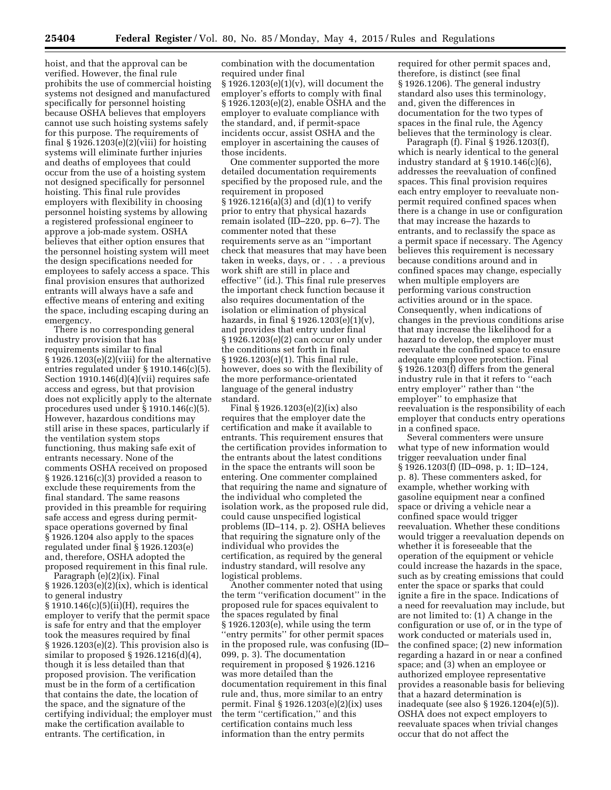hoist, and that the approval can be verified. However, the final rule prohibits the use of commercial hoisting systems not designed and manufactured specifically for personnel hoisting because OSHA believes that employers cannot use such hoisting systems safely for this purpose. The requirements of final § 1926.1203(e)(2)(viii) for hoisting systems will eliminate further injuries and deaths of employees that could occur from the use of a hoisting system not designed specifically for personnel hoisting. This final rule provides employers with flexibility in choosing personnel hoisting systems by allowing a registered professional engineer to approve a job-made system. OSHA believes that either option ensures that the personnel hoisting system will meet the design specifications needed for employees to safely access a space. This final provision ensures that authorized entrants will always have a safe and effective means of entering and exiting the space, including escaping during an emergency.

There is no corresponding general industry provision that has requirements similar to final § 1926.1203(e)(2)(viii) for the alternative entries regulated under § 1910.146(c)(5). Section 1910.146(d)(4)(vii) requires safe access and egress, but that provision does not explicitly apply to the alternate procedures used under § 1910.146(c)(5). However, hazardous conditions may still arise in these spaces, particularly if the ventilation system stops functioning, thus making safe exit of entrants necessary. None of the comments OSHA received on proposed § 1926.1216(c)(3) provided a reason to exclude these requirements from the final standard. The same reasons provided in this preamble for requiring safe access and egress during permitspace operations governed by final § 1926.1204 also apply to the spaces regulated under final § 1926.1203(e) and, therefore, OSHA adopted the proposed requirement in this final rule.

Paragraph (e)(2)(ix). Final § 1926.1203(e)(2)(ix), which is identical

to general industry § 1910.146(c)(5)(ii)(H), requires the employer to verify that the permit space is safe for entry and that the employer

took the measures required by final § 1926.1203(e)(2). This provision also is similar to proposed § 1926.1216(d)(4), though it is less detailed than that proposed provision. The verification must be in the form of a certification that contains the date, the location of the space, and the signature of the certifying individual; the employer must make the certification available to entrants. The certification, in

combination with the documentation required under final § 1926.1203(e)(1)(v), will document the employer's efforts to comply with final § 1926.1203(e)(2), enable OSHA and the employer to evaluate compliance with the standard, and, if permit-space incidents occur, assist OSHA and the employer in ascertaining the causes of those incidents.

One commenter supported the more detailed documentation requirements specified by the proposed rule, and the requirement in proposed § 1926.1216(a)(3) and (d)(1) to verify prior to entry that physical hazards remain isolated (ID–220, pp. 6–7). The commenter noted that these requirements serve as an ''important check that measures that may have been taken in weeks, days, or . . . a previous work shift are still in place and effective'' (id.). This final rule preserves the important check function because it also requires documentation of the isolation or elimination of physical hazards, in final § 1926.1203(e)(1)(v), and provides that entry under final § 1926.1203(e)(2) can occur only under the conditions set forth in final § 1926.1203(e)(1). This final rule, however, does so with the flexibility of the more performance-orientated language of the general industry standard.

Final § 1926.1203(e)(2)(ix) also requires that the employer date the certification and make it available to entrants. This requirement ensures that the certification provides information to the entrants about the latest conditions in the space the entrants will soon be entering. One commenter complained that requiring the name and signature of the individual who completed the isolation work, as the proposed rule did, could cause unspecified logistical problems (ID–114, p. 2). OSHA believes that requiring the signature only of the individual who provides the certification, as required by the general industry standard, will resolve any logistical problems.

Another commenter noted that using the term ''verification document'' in the proposed rule for spaces equivalent to the spaces regulated by final § 1926.1203(e), while using the term ''entry permits'' for other permit spaces in the proposed rule, was confusing (ID– 099, p. 3). The documentation requirement in proposed § 1926.1216 was more detailed than the documentation requirement in this final rule and, thus, more similar to an entry permit. Final § 1926.1203(e)(2)(ix) uses the term ''certification,'' and this certification contains much less information than the entry permits

required for other permit spaces and, therefore, is distinct (see final § 1926.1206). The general industry standard also uses this terminology, and, given the differences in documentation for the two types of spaces in the final rule, the Agency believes that the terminology is clear.

Paragraph (f). Final § 1926.1203(f), which is nearly identical to the general industry standard at § 1910.146(c)(6), addresses the reevaluation of confined spaces. This final provision requires each entry employer to reevaluate nonpermit required confined spaces when there is a change in use or configuration that may increase the hazards to entrants, and to reclassify the space as a permit space if necessary. The Agency believes this requirement is necessary because conditions around and in confined spaces may change, especially when multiple employers are performing various construction activities around or in the space. Consequently, when indications of changes in the previous conditions arise that may increase the likelihood for a hazard to develop, the employer must reevaluate the confined space to ensure adequate employee protection. Final § 1926.1203(f) differs from the general industry rule in that it refers to ''each entry employer'' rather than ''the employer'' to emphasize that reevaluation is the responsibility of each employer that conducts entry operations in a confined space.

Several commenters were unsure what type of new information would trigger reevaluation under final § 1926.1203(f) (ID–098, p. 1; ID–124, p. 8). These commenters asked, for example, whether working with gasoline equipment near a confined space or driving a vehicle near a confined space would trigger reevaluation. Whether these conditions would trigger a reevaluation depends on whether it is foreseeable that the operation of the equipment or vehicle could increase the hazards in the space, such as by creating emissions that could enter the space or sparks that could ignite a fire in the space. Indications of a need for reevaluation may include, but are not limited to: (1) A change in the configuration or use of, or in the type of work conducted or materials used in, the confined space; (2) new information regarding a hazard in or near a confined space; and (3) when an employee or authorized employee representative provides a reasonable basis for believing that a hazard determination is inadequate (see also § 1926.1204(e)(5)). OSHA does not expect employers to reevaluate spaces when trivial changes occur that do not affect the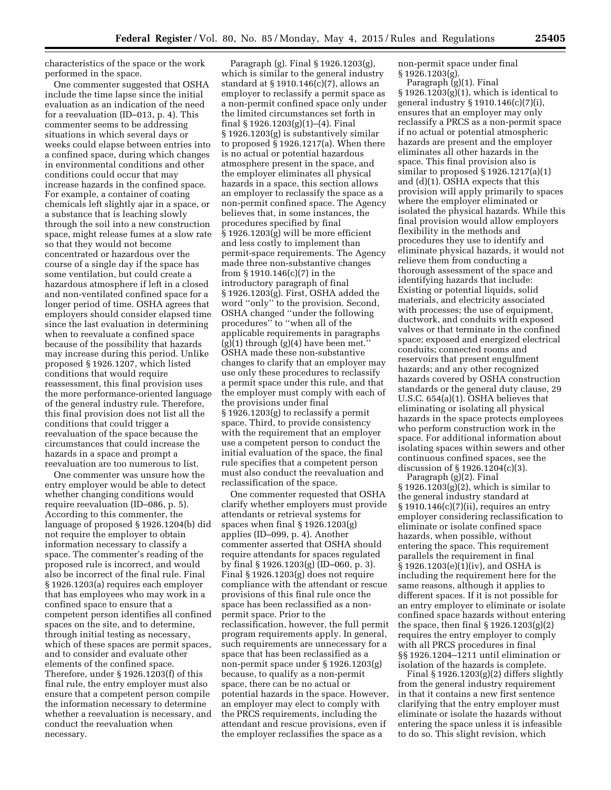characteristics of the space or the work performed in the space.

One commenter suggested that OSHA include the time lapse since the initial evaluation as an indication of the need for a reevaluation (ID–013, p. 4). This commenter seems to be addressing situations in which several days or weeks could elapse between entries into a confined space, during which changes in environmental conditions and other conditions could occur that may increase hazards in the confined space. For example, a container of coating chemicals left slightly ajar in a space, or a substance that is leaching slowly through the soil into a new construction space, might release fumes at a slow rate so that they would not become concentrated or hazardous over the course of a single day if the space has some ventilation, but could create a hazardous atmosphere if left in a closed and non-ventilated confined space for a longer period of time. OSHA agrees that employers should consider elapsed time since the last evaluation in determining when to reevaluate a confined space because of the possibility that hazards may increase during this period. Unlike proposed § 1926.1207, which listed conditions that would require reassessment, this final provision uses the more performance-oriented language of the general industry rule. Therefore, this final provision does not list all the conditions that could trigger a reevaluation of the space because the circumstances that could increase the hazards in a space and prompt a reevaluation are too numerous to list.

One commenter was unsure how the entry employer would be able to detect whether changing conditions would require reevaluation (ID–086, p. 5). According to this commenter, the language of proposed § 1926.1204(b) did not require the employer to obtain information necessary to classify a space. The commenter's reading of the proposed rule is incorrect, and would also be incorrect of the final rule. Final § 1926.1203(a) requires each employer that has employees who may work in a confined space to ensure that a competent person identifies all confined spaces on the site, and to determine, through initial testing as necessary, which of these spaces are permit spaces, and to consider and evaluate other elements of the confined space. Therefore, under § 1926.1203(f) of this final rule, the entry employer must also ensure that a competent person compile the information necessary to determine whether a reevaluation is necessary, and conduct the reevaluation when necessary.

Paragraph (g). Final § 1926.1203(g), which is similar to the general industry standard at § 1910.146(c)(7), allows an employer to reclassify a permit space as a non-permit confined space only under the limited circumstances set forth in final § 1926.1203(g)(1)–(4). Final § 1926.1203(g) is substantively similar to proposed § 1926.1217(a). When there is no actual or potential hazardous atmosphere present in the space, and the employer eliminates all physical hazards in a space, this section allows an employer to reclassify the space as a non-permit confined space. The Agency believes that, in some instances, the procedures specified by final § 1926.1203(g) will be more efficient and less costly to implement than permit-space requirements. The Agency made three non-substantive changes from § 1910.146(c)(7) in the introductory paragraph of final § 1926.1203(g). First, OSHA added the word ''only'' to the provision. Second, OSHA changed ''under the following procedures'' to ''when all of the applicable requirements in paragraphs  $(g)(1)$  through  $(g)(4)$  have been met." OSHA made these non-substantive changes to clarify that an employer may use only these procedures to reclassify a permit space under this rule, and that the employer must comply with each of the provisions under final § 1926.1203(g) to reclassify a permit space. Third, to provide consistency with the requirement that an employer use a competent person to conduct the initial evaluation of the space, the final rule specifies that a competent person must also conduct the reevaluation and reclassification of the space.

One commenter requested that OSHA clarify whether employers must provide attendants or retrieval systems for spaces when final § 1926.1203(g) applies (ID–099, p. 4). Another commenter asserted that OSHA should require attendants for spaces regulated by final § 1926.1203(g) (ID–060, p. 3). Final § 1926.1203(g) does not require compliance with the attendant or rescue provisions of this final rule once the space has been reclassified as a nonpermit space. Prior to the reclassification, however, the full permit program requirements apply. In general, such requirements are unnecessary for a space that has been reclassified as a non-permit space under § 1926.1203(g) because, to qualify as a non-permit space, there can be no actual or potential hazards in the space. However, an employer may elect to comply with the PRCS requirements, including the attendant and rescue provisions, even if the employer reclassifies the space as a

non-permit space under final § 1926.1203(g).

Paragraph (g)(1). Final § 1926.1203(g)(1), which is identical to general industry § 1910.146(c)(7)(i), ensures that an employer may only reclassify a PRCS as a non-permit space if no actual or potential atmospheric hazards are present and the employer eliminates all other hazards in the space. This final provision also is similar to proposed § 1926.1217(a)(1) and (d)(1). OSHA expects that this provision will apply primarily to spaces where the employer eliminated or isolated the physical hazards. While this final provision would allow employers flexibility in the methods and procedures they use to identify and eliminate physical hazards, it would not relieve them from conducting a thorough assessment of the space and identifying hazards that include: Existing or potential liquids, solid materials, and electricity associated with processes; the use of equipment, ductwork, and conduits with exposed valves or that terminate in the confined space; exposed and energized electrical conduits; connected rooms and reservoirs that present engulfment hazards; and any other recognized hazards covered by OSHA construction standards or the general duty clause, 29 U.S.C. 654(a)(1). OSHA believes that eliminating or isolating all physical hazards in the space protects employees who perform construction work in the space. For additional information about isolating spaces within sewers and other continuous confined spaces, see the discussion of § 1926.1204(c)(3).

Paragraph (g)(2). Final § 1926.1203(g)(2), which is similar to the general industry standard at § 1910.146(c)(7)(ii), requires an entry employer considering reclassification to eliminate or isolate confined space hazards, when possible, without entering the space. This requirement parallels the requirement in final  $\S 1926.1203(e)(1)(iv)$ , and OSHA is including the requirement here for the same reasons, although it applies to different spaces. If it is not possible for an entry employer to eliminate or isolate confined space hazards without entering the space, then final § 1926.1203(g)(2) requires the entry employer to comply with all PRCS procedures in final §§ 1926.1204–1211 until elimination or isolation of the hazards is complete.

Final § 1926.1203(g)(2) differs slightly from the general industry requirement in that it contains a new first sentence clarifying that the entry employer must eliminate or isolate the hazards without entering the space unless it is infeasible to do so. This slight revision, which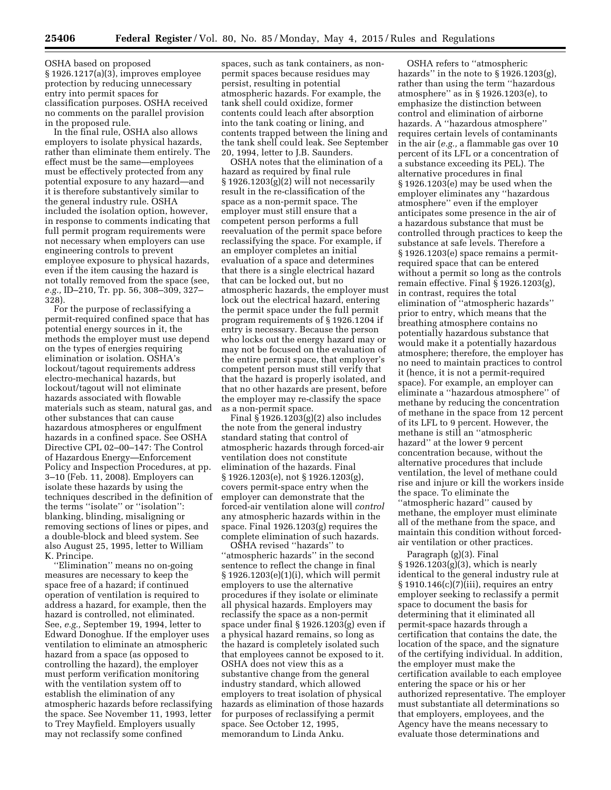OSHA based on proposed § 1926.1217(a)(3), improves employee protection by reducing unnecessary entry into permit spaces for classification purposes. OSHA received no comments on the parallel provision in the proposed rule.

In the final rule, OSHA also allows employers to isolate physical hazards, rather than eliminate them entirely. The effect must be the same—employees must be effectively protected from any potential exposure to any hazard—and it is therefore substantively similar to the general industry rule. OSHA included the isolation option, however, in response to comments indicating that full permit program requirements were not necessary when employers can use engineering controls to prevent employee exposure to physical hazards, even if the item causing the hazard is not totally removed from the space (see, *e.g.,* ID–210, Tr. pp. 56, 308–309, 327– 328).

For the purpose of reclassifying a permit-required confined space that has potential energy sources in it, the methods the employer must use depend on the types of energies requiring elimination or isolation. OSHA's lockout/tagout requirements address electro-mechanical hazards, but lockout/tagout will not eliminate hazards associated with flowable materials such as steam, natural gas, and other substances that can cause hazardous atmospheres or engulfment hazards in a confined space. See OSHA Directive CPL 02–00–147: The Control of Hazardous Energy—Enforcement Policy and Inspection Procedures, at pp. 3–10 (Feb. 11, 2008). Employers can isolate these hazards by using the techniques described in the definition of the terms ''isolate'' or ''isolation'': blanking, blinding, misaligning or removing sections of lines or pipes, and a double-block and bleed system. See also August 25, 1995, letter to William K. Principe.

''Elimination'' means no on-going measures are necessary to keep the space free of a hazard; if continued operation of ventilation is required to address a hazard, for example, then the hazard is controlled, not eliminated. See, *e.g.,* September 19, 1994, letter to Edward Donoghue. If the employer uses ventilation to eliminate an atmospheric hazard from a space (as opposed to controlling the hazard), the employer must perform verification monitoring with the ventilation system off to establish the elimination of any atmospheric hazards before reclassifying the space. See November 11, 1993, letter to Trey Mayfield. Employers usually may not reclassify some confined

spaces, such as tank containers, as nonpermit spaces because residues may persist, resulting in potential atmospheric hazards. For example, the tank shell could oxidize, former contents could leach after absorption into the tank coating or lining, and contents trapped between the lining and the tank shell could leak. See September 20, 1994, letter to J.B. Saunders.

OSHA notes that the elimination of a hazard as required by final rule § 1926.1203(g)(2) will not necessarily result in the re-classification of the space as a non-permit space. The employer must still ensure that a competent person performs a full reevaluation of the permit space before reclassifying the space. For example, if an employer completes an initial evaluation of a space and determines that there is a single electrical hazard that can be locked out, but no atmospheric hazards, the employer must lock out the electrical hazard, entering the permit space under the full permit program requirements of § 1926.1204 if entry is necessary. Because the person who locks out the energy hazard may or may not be focused on the evaluation of the entire permit space, that employer's competent person must still verify that that the hazard is properly isolated, and that no other hazards are present, before the employer may re-classify the space as a non-permit space.

Final  $\S$  1926.1203(g)(2) also includes the note from the general industry standard stating that control of atmospheric hazards through forced-air ventilation does not constitute elimination of the hazards. Final § 1926.1203(e), not § 1926.1203(g), covers permit-space entry when the employer can demonstrate that the forced-air ventilation alone will *control*  any atmospheric hazards within in the space. Final 1926.1203(g) requires the complete elimination of such hazards.

OSHA revised ''hazards'' to ''atmospheric hazards'' in the second sentence to reflect the change in final § 1926.1203(e)(1)(i), which will permit employers to use the alternative procedures if they isolate or eliminate all physical hazards. Employers may reclassify the space as a non-permit space under final § 1926.1203(g) even if a physical hazard remains, so long as the hazard is completely isolated such that employees cannot be exposed to it. OSHA does not view this as a substantive change from the general industry standard, which allowed employers to treat isolation of physical hazards as elimination of those hazards for purposes of reclassifying a permit space. See October 12, 1995, memorandum to Linda Anku.

OSHA refers to ''atmospheric hazards'' in the note to § 1926.1203(g), rather than using the term ''hazardous atmosphere'' as in § 1926.1203(e), to emphasize the distinction between control and elimination of airborne hazards. A ''hazardous atmosphere'' requires certain levels of contaminants in the air (*e.g.,* a flammable gas over 10 percent of its LFL or a concentration of a substance exceeding its PEL). The alternative procedures in final § 1926.1203(e) may be used when the employer eliminates any ''hazardous atmosphere'' even if the employer anticipates some presence in the air of a hazardous substance that must be controlled through practices to keep the substance at safe levels. Therefore a § 1926.1203(e) space remains a permitrequired space that can be entered without a permit so long as the controls remain effective. Final § 1926.1203(g), in contrast, requires the total elimination of ''atmospheric hazards'' prior to entry, which means that the breathing atmosphere contains no potentially hazardous substance that would make it a potentially hazardous atmosphere; therefore, the employer has no need to maintain practices to control it (hence, it is not a permit-required space). For example, an employer can eliminate a ''hazardous atmosphere'' of methane by reducing the concentration of methane in the space from 12 percent of its LFL to 9 percent. However, the methane is still an ''atmospheric hazard'' at the lower 9 percent concentration because, without the alternative procedures that include ventilation, the level of methane could rise and injure or kill the workers inside the space. To eliminate the ''atmospheric hazard'' caused by methane, the employer must eliminate all of the methane from the space, and maintain this condition without forcedair ventilation or other practices.

Paragraph (g)(3). Final § 1926.1203(g)(3), which is nearly identical to the general industry rule at § 1910.146(c)(7)(iii), requires an entry employer seeking to reclassify a permit space to document the basis for determining that it eliminated all permit-space hazards through a certification that contains the date, the location of the space, and the signature of the certifying individual. In addition, the employer must make the certification available to each employee entering the space or his or her authorized representative. The employer must substantiate all determinations so that employers, employees, and the Agency have the means necessary to evaluate those determinations and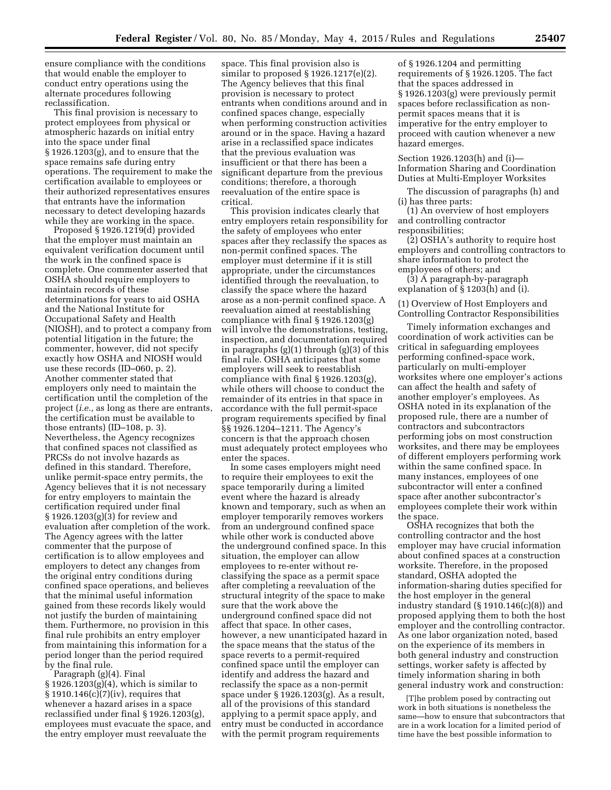ensure compliance with the conditions that would enable the employer to conduct entry operations using the alternate procedures following reclassification.

This final provision is necessary to protect employees from physical or atmospheric hazards on initial entry into the space under final § 1926.1203(g), and to ensure that the space remains safe during entry operations. The requirement to make the certification available to employees or their authorized representatives ensures that entrants have the information necessary to detect developing hazards while they are working in the space.

Proposed § 1926.1219(d) provided that the employer must maintain an equivalent verification document until the work in the confined space is complete. One commenter asserted that OSHA should require employers to maintain records of these determinations for years to aid OSHA and the National Institute for Occupational Safety and Health (NIOSH), and to protect a company from potential litigation in the future; the commenter, however, did not specify exactly how OSHA and NIOSH would use these records (ID–060, p. 2). Another commenter stated that employers only need to maintain the certification until the completion of the project (*i.e.,* as long as there are entrants, the certification must be available to those entrants) (ID–108, p. 3). Nevertheless, the Agency recognizes that confined spaces not classified as PRCSs do not involve hazards as defined in this standard. Therefore, unlike permit-space entry permits, the Agency believes that it is not necessary for entry employers to maintain the certification required under final § 1926.1203(g)(3) for review and evaluation after completion of the work. The Agency agrees with the latter commenter that the purpose of certification is to allow employees and employers to detect any changes from the original entry conditions during confined space operations, and believes that the minimal useful information gained from these records likely would not justify the burden of maintaining them. Furthermore, no provision in this final rule prohibits an entry employer from maintaining this information for a period longer than the period required by the final rule.

Paragraph (g)(4). Final § 1926.1203(g)(4), which is similar to § 1910.146(c)(7)(iv), requires that whenever a hazard arises in a space reclassified under final § 1926.1203(g), employees must evacuate the space, and the entry employer must reevaluate the

space. This final provision also is similar to proposed § 1926.1217(e)(2). The Agency believes that this final provision is necessary to protect entrants when conditions around and in confined spaces change, especially when performing construction activities around or in the space. Having a hazard arise in a reclassified space indicates that the previous evaluation was insufficient or that there has been a significant departure from the previous conditions; therefore, a thorough reevaluation of the entire space is critical.

This provision indicates clearly that entry employers retain responsibility for the safety of employees who enter spaces after they reclassify the spaces as non-permit confined spaces. The employer must determine if it is still appropriate, under the circumstances identified through the reevaluation, to classify the space where the hazard arose as a non-permit confined space. A reevaluation aimed at reestablishing compliance with final § 1926.1203(g) will involve the demonstrations, testing, inspection, and documentation required in paragraphs (g)(1) through (g)(3) of this final rule. OSHA anticipates that some employers will seek to reestablish compliance with final § 1926.1203(g), while others will choose to conduct the remainder of its entries in that space in accordance with the full permit-space program requirements specified by final §§ 1926.1204–1211. The Agency's concern is that the approach chosen must adequately protect employees who enter the spaces.

In some cases employers might need to require their employees to exit the space temporarily during a limited event where the hazard is already known and temporary, such as when an employer temporarily removes workers from an underground confined space while other work is conducted above the underground confined space. In this situation, the employer can allow employees to re-enter without reclassifying the space as a permit space after completing a reevaluation of the structural integrity of the space to make sure that the work above the underground confined space did not affect that space. In other cases, however, a new unanticipated hazard in the space means that the status of the space reverts to a permit-required confined space until the employer can identify and address the hazard and reclassify the space as a non-permit space under § 1926.1203(g). As a result, all of the provisions of this standard applying to a permit space apply, and entry must be conducted in accordance with the permit program requirements

of § 1926.1204 and permitting requirements of § 1926.1205. The fact that the spaces addressed in § 1926.1203(g) were previously permit spaces before reclassification as nonpermit spaces means that it is imperative for the entry employer to proceed with caution whenever a new hazard emerges.

Section 1926.1203(h) and (i)— Information Sharing and Coordination Duties at Multi-Employer Worksites

The discussion of paragraphs (h) and (i) has three parts:

(1) An overview of host employers and controlling contractor

responsibilities;

(2) OSHA's authority to require host employers and controlling contractors to share information to protect the employees of others; and

(3) A paragraph-by-paragraph explanation of § 1203(h) and (i).

(1) Overview of Host Employers and Controlling Contractor Responsibilities

Timely information exchanges and coordination of work activities can be critical in safeguarding employees performing confined-space work, particularly on multi-employer worksites where one employer's actions can affect the health and safety of another employer's employees. As OSHA noted in its explanation of the proposed rule, there are a number of contractors and subcontractors performing jobs on most construction worksites, and there may be employees of different employers performing work within the same confined space. In many instances, employees of one subcontractor will enter a confined space after another subcontractor's employees complete their work within the space.

OSHA recognizes that both the controlling contractor and the host employer may have crucial information about confined spaces at a construction worksite. Therefore, in the proposed standard, OSHA adopted the information-sharing duties specified for the host employer in the general industry standard (§ 1910.146(c)(8)) and proposed applying them to both the host employer and the controlling contractor. As one labor organization noted, based on the experience of its members in both general industry and construction settings, worker safety is affected by timely information sharing in both general industry work and construction:

[T]he problem posed by contracting out work in both situations is nonetheless the same—how to ensure that subcontractors that are in a work location for a limited period of time have the best possible information to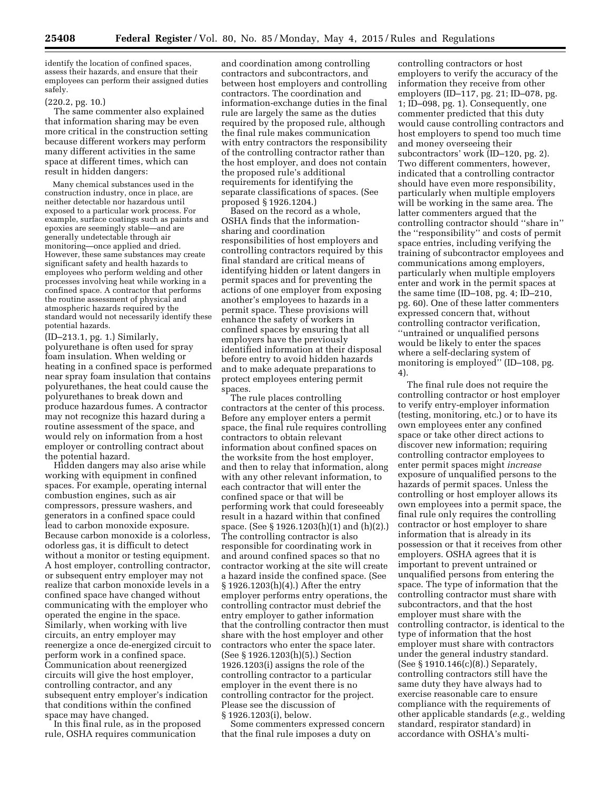identify the location of confined spaces, assess their hazards, and ensure that their employees can perform their assigned duties safely.

#### (220.2, pg. 10.)

The same commenter also explained that information sharing may be even more critical in the construction setting because different workers may perform many different activities in the same space at different times, which can result in hidden dangers:

Many chemical substances used in the construction industry, once in place, are neither detectable nor hazardous until exposed to a particular work process. For example, surface coatings such as paints and epoxies are seemingly stable—and are generally undetectable through air monitoring—once applied and dried. However, these same substances may create significant safety and health hazards to employees who perform welding and other processes involving heat while working in a confined space. A contractor that performs the routine assessment of physical and atmospheric hazards required by the standard would not necessarily identify these potential hazards.

(ID–213.1, pg. 1.) Similarly, polyurethane is often used for spray foam insulation. When welding or heating in a confined space is performed near spray foam insulation that contains polyurethanes, the heat could cause the polyurethanes to break down and produce hazardous fumes. A contractor may not recognize this hazard during a routine assessment of the space, and would rely on information from a host employer or controlling contract about the potential hazard.

Hidden dangers may also arise while working with equipment in confined spaces. For example, operating internal combustion engines, such as air compressors, pressure washers, and generators in a confined space could lead to carbon monoxide exposure. Because carbon monoxide is a colorless, odorless gas, it is difficult to detect without a monitor or testing equipment. A host employer, controlling contractor, or subsequent entry employer may not realize that carbon monoxide levels in a confined space have changed without communicating with the employer who operated the engine in the space. Similarly, when working with live circuits, an entry employer may reenergize a once de-energized circuit to perform work in a confined space. Communication about reenergized circuits will give the host employer, controlling contractor, and any subsequent entry employer's indication that conditions within the confined space may have changed.

In this final rule, as in the proposed rule, OSHA requires communication

and coordination among controlling contractors and subcontractors, and between host employers and controlling contractors. The coordination and information-exchange duties in the final rule are largely the same as the duties required by the proposed rule, although the final rule makes communication with entry contractors the responsibility of the controlling contractor rather than the host employer, and does not contain the proposed rule's additional requirements for identifying the separate classifications of spaces. (See proposed § 1926.1204.)

Based on the record as a whole, OSHA finds that the informationsharing and coordination responsibilities of host employers and controlling contractors required by this final standard are critical means of identifying hidden or latent dangers in permit spaces and for preventing the actions of one employer from exposing another's employees to hazards in a permit space. These provisions will enhance the safety of workers in confined spaces by ensuring that all employers have the previously identified information at their disposal before entry to avoid hidden hazards and to make adequate preparations to protect employees entering permit spaces.

The rule places controlling contractors at the center of this process. Before any employer enters a permit space, the final rule requires controlling contractors to obtain relevant information about confined spaces on the worksite from the host employer, and then to relay that information, along with any other relevant information, to each contractor that will enter the confined space or that will be performing work that could foreseeably result in a hazard within that confined space. (See § 1926.1203(h)(1) and (h)(2).) The controlling contractor is also responsible for coordinating work in and around confined spaces so that no contractor working at the site will create a hazard inside the confined space. (See § 1926.1203(h)(4).) After the entry employer performs entry operations, the controlling contractor must debrief the entry employer to gather information that the controlling contractor then must share with the host employer and other contractors who enter the space later. (See § 1926.1203(h)(5).) Section 1926.1203(i) assigns the role of the controlling contractor to a particular employer in the event there is no controlling contractor for the project. Please see the discussion of § 1926.1203(i), below.

Some commenters expressed concern that the final rule imposes a duty on

controlling contractors or host employers to verify the accuracy of the information they receive from other employers (ID–117, pg. 21; ID–078, pg. 1; ID–098, pg. 1). Consequently, one commenter predicted that this duty would cause controlling contractors and host employers to spend too much time and money overseeing their subcontractors' work (ID–120, pg. 2). Two different commenters, however, indicated that a controlling contractor should have even more responsibility, particularly when multiple employers will be working in the same area. The latter commenters argued that the controlling contractor should ''share in'' the ''responsibility'' and costs of permit space entries, including verifying the training of subcontractor employees and communications among employers, particularly when multiple employers enter and work in the permit spaces at the same time (ID–108, pg. 4; ID–210, pg. 60). One of these latter commenters expressed concern that, without controlling contractor verification, ''untrained or unqualified persons would be likely to enter the spaces where a self-declaring system of monitoring is employed'' (ID–108, pg. 4).

The final rule does not require the controlling contractor or host employer to verify entry-employer information (testing, monitoring, etc.) or to have its own employees enter any confined space or take other direct actions to discover new information; requiring controlling contractor employees to enter permit spaces might *increase*  exposure of unqualified persons to the hazards of permit spaces. Unless the controlling or host employer allows its own employees into a permit space, the final rule only requires the controlling contractor or host employer to share information that is already in its possession or that it receives from other employers. OSHA agrees that it is important to prevent untrained or unqualified persons from entering the space. The type of information that the controlling contractor must share with subcontractors, and that the host employer must share with the controlling contractor, is identical to the type of information that the host employer must share with contractors under the general industry standard. (See § 1910.146(c)(8).) Separately, controlling contractors still have the same duty they have always had to exercise reasonable care to ensure compliance with the requirements of other applicable standards (*e.g.,* welding standard, respirator standard) in accordance with OSHA's multi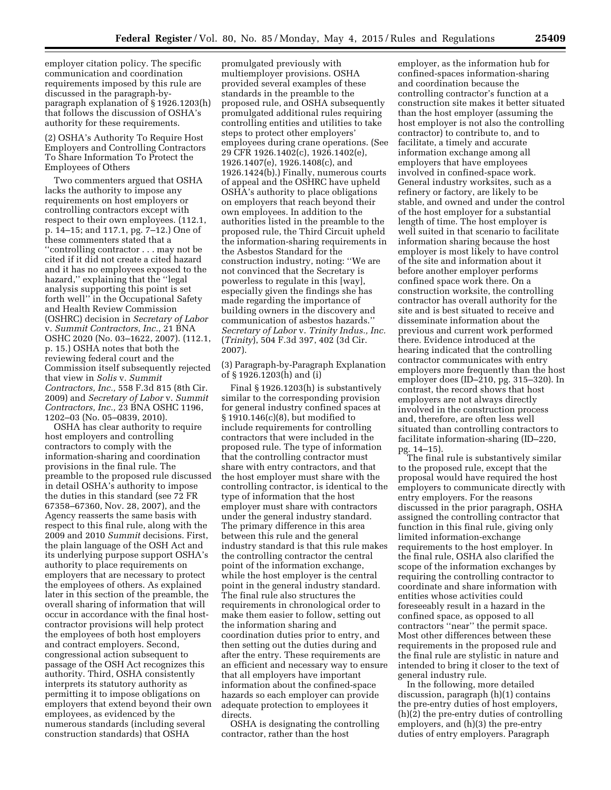employer citation policy. The specific communication and coordination requirements imposed by this rule are discussed in the paragraph-byparagraph explanation of § 1926.1203(h) that follows the discussion of OSHA's authority for these requirements.

(2) OSHA's Authority To Require Host Employers and Controlling Contractors To Share Information To Protect the Employees of Others

Two commenters argued that OSHA lacks the authority to impose any requirements on host employers or controlling contractors except with respect to their own employees. (112.1, p. 14–15; and 117.1, pg. 7–12.) One of these commenters stated that a ''controlling contractor . . . may not be cited if it did not create a cited hazard and it has no employees exposed to the hazard,'' explaining that the ''legal analysis supporting this point is set forth well'' in the Occupational Safety and Health Review Commission (OSHRC) decision in *Secretary of Labor*  v. *Summit Contractors, Inc.,* 21 BNA OSHC 2020 (No. 03–1622, 2007). (112.1, p. 15.) OSHA notes that both the reviewing federal court and the Commission itself subsequently rejected that view in *Solis* v. *Summit Contractors, Inc.,* 558 F.3d 815 (8th Cir. 2009) and *Secretary of Labor* v. *Summit Contractors, Inc.,* 23 BNA OSHC 1196, 1202–03 (No. 05–0839, 2010).

OSHA has clear authority to require host employers and controlling contractors to comply with the information-sharing and coordination provisions in the final rule. The preamble to the proposed rule discussed in detail OSHA's authority to impose the duties in this standard (see 72 FR 67358–67360, Nov. 28, 2007), and the Agency reasserts the same basis with respect to this final rule, along with the 2009 and 2010 *Summit* decisions. First, the plain language of the OSH Act and its underlying purpose support OSHA's authority to place requirements on employers that are necessary to protect the employees of others. As explained later in this section of the preamble, the overall sharing of information that will occur in accordance with the final hostcontractor provisions will help protect the employees of both host employers and contract employers. Second, congressional action subsequent to passage of the OSH Act recognizes this authority. Third, OSHA consistently interprets its statutory authority as permitting it to impose obligations on employers that extend beyond their own employees, as evidenced by the numerous standards (including several construction standards) that OSHA

promulgated previously with multiemployer provisions. OSHA provided several examples of these standards in the preamble to the proposed rule, and OSHA subsequently promulgated additional rules requiring controlling entities and utilities to take steps to protect other employers' employees during crane operations. (See 29 CFR 1926.1402(c), 1926.1402(e), 1926.1407(e), 1926.1408(c), and 1926.1424(b).) Finally, numerous courts of appeal and the OSHRC have upheld OSHA's authority to place obligations on employers that reach beyond their own employees. In addition to the authorities listed in the preamble to the proposed rule, the Third Circuit upheld the information-sharing requirements in the Asbestos Standard for the construction industry, noting: ''We are not convinced that the Secretary is powerless to regulate in this [way], especially given the findings she has made regarding the importance of building owners in the discovery and communication of asbestos hazards.'' *Secretary of Labor* v. *Trinity Indus., Inc.*  (*Trinity*), 504 F.3d 397, 402 (3d Cir. 2007).

(3) Paragraph-by-Paragraph Explanation of § 1926.1203(h) and (i)

Final § 1926.1203(h) is substantively similar to the corresponding provision for general industry confined spaces at § 1910.146(c)(8), but modified to include requirements for controlling contractors that were included in the proposed rule. The type of information that the controlling contractor must share with entry contractors, and that the host employer must share with the controlling contractor, is identical to the type of information that the host employer must share with contractors under the general industry standard. The primary difference in this area between this rule and the general industry standard is that this rule makes the controlling contractor the central point of the information exchange, while the host employer is the central point in the general industry standard. The final rule also structures the requirements in chronological order to make them easier to follow, setting out the information sharing and coordination duties prior to entry, and then setting out the duties during and after the entry. These requirements are an efficient and necessary way to ensure that all employers have important information about the confined-space hazards so each employer can provide adequate protection to employees it directs.

OSHA is designating the controlling contractor, rather than the host

employer, as the information hub for confined-spaces information-sharing and coordination because the controlling contractor's function at a construction site makes it better situated than the host employer (assuming the host employer is not also the controlling contractor) to contribute to, and to facilitate, a timely and accurate information exchange among all employers that have employees involved in confined-space work. General industry worksites, such as a refinery or factory, are likely to be stable, and owned and under the control of the host employer for a substantial length of time. The host employer is well suited in that scenario to facilitate information sharing because the host employer is most likely to have control of the site and information about it before another employer performs confined space work there. On a construction worksite, the controlling contractor has overall authority for the site and is best situated to receive and disseminate information about the previous and current work performed there. Evidence introduced at the hearing indicated that the controlling contractor communicates with entry employers more frequently than the host employer does (ID–210, pg. 315–320). In contrast, the record shows that host employers are not always directly involved in the construction process and, therefore, are often less well situated than controlling contractors to facilitate information-sharing (ID–220, pg. 14–15).

The final rule is substantively similar to the proposed rule, except that the proposal would have required the host employers to communicate directly with entry employers. For the reasons discussed in the prior paragraph, OSHA assigned the controlling contractor that function in this final rule, giving only limited information-exchange requirements to the host employer. In the final rule, OSHA also clarified the scope of the information exchanges by requiring the controlling contractor to coordinate and share information with entities whose activities could foreseeably result in a hazard in the confined space, as opposed to all contractors ''near'' the permit space. Most other differences between these requirements in the proposed rule and the final rule are stylistic in nature and intended to bring it closer to the text of general industry rule.

In the following, more detailed discussion, paragraph (h)(1) contains the pre-entry duties of host employers, (h)(2) the pre-entry duties of controlling employers, and (h)(3) the pre-entry duties of entry employers. Paragraph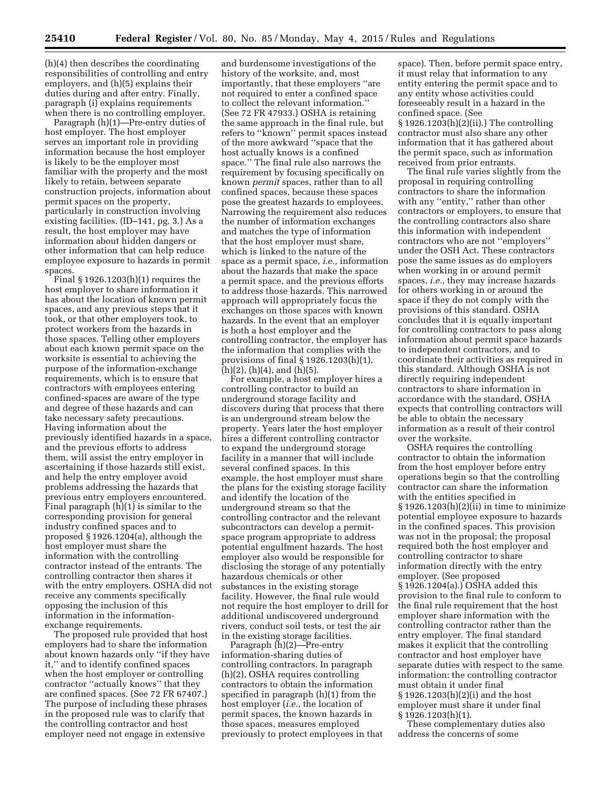(h)(4) then describes the coordinating responsibilities of controlling and entry employers, and (h)(5) explains their duties during and after entry. Finally, paragraph (i) explains requirements when there is no controlling employer.

Paragraph (h)(1)—Pre-entry duties of host employer. The host employer serves an important role in providing information because the host employer is likely to be the employer most familiar with the property and the most likely to retain, between separate construction projects, information about permit spaces on the property, particularly in construction involving existing facilities. (ID–141, pg. 3.) As a result, the host employer may have information about hidden dangers or other information that can help reduce employee exposure to hazards in permit spaces.

Final § 1926.1203(h)(1) requires the host employer to share information it has about the location of known permit spaces, and any previous steps that it took, or that other employers took, to protect workers from the hazards in those spaces. Telling other employers about each known permit space on the worksite is essential to achieving the purpose of the information-exchange requirements, which is to ensure that contractors with employees entering confined-spaces are aware of the type and degree of these hazards and can take necessary safety precautions. Having information about the previously identified hazards in a space, and the previous efforts to address them, will assist the entry employer in ascertaining if those hazards still exist, and help the entry employer avoid problems addressing the hazards that previous entry employers encountered. Final paragraph (h)(1) is similar to the corresponding provision for general industry confined spaces and to proposed § 1926.1204(a), although the host employer must share the information with the controlling contractor instead of the entrants. The controlling contractor then shares it with the entry employers. OSHA did not receive any comments specifically opposing the inclusion of this information in the informationexchange requirements.

The proposed rule provided that host employers had to share the information about known hazards only ''if they have it,'' and to identify confined spaces when the host employer or controlling contractor ''actually knows'' that they are confined spaces. (See 72 FR 67407.) The purpose of including these phrases in the proposed rule was to clarify that the controlling contractor and host employer need not engage in extensive

and burdensome investigations of the history of the worksite, and, most importantly, that these employers ''are not required to enter a confined space to collect the relevant information.'' (See 72 FR 47933.) OSHA is retaining the same approach in the final rule, but refers to ''known'' permit spaces instead of the more awkward ''space that the host actually knows is a confined space.'' The final rule also narrows the requirement by focusing specifically on known *permit* spaces, rather than to all confined spaces, because these spaces pose the greatest hazards to employees. Narrowing the requirement also reduces the number of information exchanges and matches the type of information that the host employer must share, which is linked to the nature of the space as a permit space, *i.e.,* information about the hazards that make the space a permit space, and the previous efforts to address those hazards. This narrowed approach will appropriately focus the exchanges on those spaces with known hazards. In the event that an employer is both a host employer and the controlling contractor, the employer has the information that complies with the provisions of final § 1926.1203(h)(1),  $(h)(2)$ ,  $(h)(4)$ , and  $(h)(5)$ .

For example, a host employer hires a controlling contractor to build an underground storage facility and discovers during that process that there is an underground stream below the property. Years later the host employer hires a different controlling contractor to expand the underground storage facility in a manner that will include several confined spaces. In this example, the host employer must share the plans for the existing storage facility and identify the location of the underground stream so that the controlling contractor and the relevant subcontractors can develop a permitspace program appropriate to address potential engulfment hazards. The host employer also would be responsible for disclosing the storage of any potentially hazardous chemicals or other substances in the existing storage facility. However, the final rule would not require the host employer to drill for additional undiscovered underground rivers, conduct soil tests, or test the air in the existing storage facilities.

Paragraph (h)(2)—Pre-entry information-sharing duties of controlling contractors. In paragraph (h)(2), OSHA requires controlling contractors to obtain the information specified in paragraph (h)(1) from the host employer (*i.e.,* the location of permit spaces, the known hazards in those spaces, measures employed previously to protect employees in that space). Then, before permit space entry, it must relay that information to any entity entering the permit space and to any entity whose activities could foreseeably result in a hazard in the confined space. (See § 1926.1203(h)(2)(ii).) The controlling contractor must also share any other information that it has gathered about the permit space, such as information received from prior entrants.

The final rule varies slightly from the proposal in requiring controlling contractors to share the information with any "entity," rather than other contractors or employers, to ensure that the controlling contractors also share this information with independent contractors who are not ''employers'' under the OSH Act. These contractors pose the same issues as do employers when working in or around permit spaces, *i.e.,* they may increase hazards for others working in or around the space if they do not comply with the provisions of this standard. OSHA concludes that it is equally important for controlling contractors to pass along information about permit space hazards to independent contractors, and to coordinate their activities as required in this standard. Although OSHA is not directly requiring independent contractors to share information in accordance with the standard, OSHA expects that controlling contractors will be able to obtain the necessary information as a result of their control over the worksite.

OSHA requires the controlling contractor to obtain the information from the host employer before entry operations begin so that the controlling contractor can share the information with the entities specified in § 1926.1203(h)(2)(ii) in time to minimize potential employee exposure to hazards in the confined spaces. This provision was not in the proposal; the proposal required both the host employer and controlling contractor to share information directly with the entry employer. (See proposed § 1926.1204(a).) OSHA added this provision to the final rule to conform to the final rule requirement that the host employer share information with the controlling contractor rather than the entry employer. The final standard makes it explicit that the controlling contractor and host employer have separate duties with respect to the same information: the controlling contractor must obtain it under final § 1926.1203(h)(2)(i) and the host employer must share it under final § 1926.1203(h)(1).

These complementary duties also address the concerns of some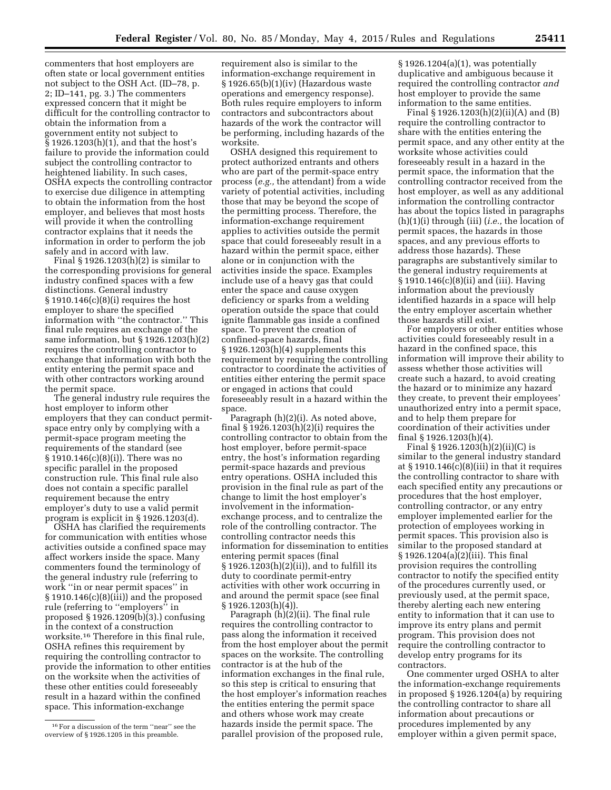commenters that host employers are often state or local government entities not subject to the OSH Act. (ID–78, p. 2; ID–141, pg. 3.) The commenters expressed concern that it might be difficult for the controlling contractor to obtain the information from a government entity not subject to § 1926.1203(h)(1), and that the host's failure to provide the information could subject the controlling contractor to heightened liability. In such cases, OSHA expects the controlling contractor to exercise due diligence in attempting to obtain the information from the host employer, and believes that most hosts will provide it when the controlling

contractor explains that it needs the information in order to perform the job safely and in accord with law. Final § 1926.1203(h)(2) is similar to

the corresponding provisions for general industry confined spaces with a few distinctions. General industry  $§ 1910.146(c)(8)(i)$  requires the host employer to share the specified information with ''the contractor.'' This final rule requires an exchange of the same information, but § 1926.1203(h)(2) requires the controlling contractor to exchange that information with both the entity entering the permit space and with other contractors working around the permit space.

The general industry rule requires the host employer to inform other employers that they can conduct permitspace entry only by complying with a permit-space program meeting the requirements of the standard (see § 1910.146(c)(8)(i)). There was no specific parallel in the proposed construction rule. This final rule also does not contain a specific parallel requirement because the entry employer's duty to use a valid permit program is explicit in § 1926.1203(d).

OSHA has clarified the requirements for communication with entities whose activities outside a confined space may affect workers inside the space. Many commenters found the terminology of the general industry rule (referring to work ''in or near permit spaces'' in § 1910.146(c)(8)(iii)) and the proposed rule (referring to ''employers'' in proposed § 1926.1209(b)(3).) confusing in the context of a construction worksite.16 Therefore in this final rule, OSHA refines this requirement by requiring the controlling contractor to provide the information to other entities on the worksite when the activities of these other entities could foreseeably result in a hazard within the confined space. This information-exchange

requirement also is similar to the information-exchange requirement in § 1926.65(b)(1)(iv) (Hazardous waste operations and emergency response). Both rules require employers to inform contractors and subcontractors about hazards of the work the contractor will be performing, including hazards of the worksite.

OSHA designed this requirement to protect authorized entrants and others who are part of the permit-space entry process (*e.g.,* the attendant) from a wide variety of potential activities, including those that may be beyond the scope of the permitting process. Therefore, the information-exchange requirement applies to activities outside the permit space that could foreseeably result in a hazard within the permit space, either alone or in conjunction with the activities inside the space. Examples include use of a heavy gas that could enter the space and cause oxygen deficiency or sparks from a welding operation outside the space that could ignite flammable gas inside a confined space. To prevent the creation of confined-space hazards, final § 1926.1203(h)(4) supplements this requirement by requiring the controlling contractor to coordinate the activities of entities either entering the permit space or engaged in actions that could foreseeably result in a hazard within the space.

Paragraph (h)(2)(i). As noted above, final § 1926.1203(h)(2)(i) requires the controlling contractor to obtain from the host employer, before permit-space entry, the host's information regarding permit-space hazards and previous entry operations. OSHA included this provision in the final rule as part of the change to limit the host employer's involvement in the informationexchange process, and to centralize the role of the controlling contractor. The controlling contractor needs this information for dissemination to entities entering permit spaces (final § 1926.1203(h)(2)(ii)), and to fulfill its duty to coordinate permit-entry activities with other work occurring in and around the permit space (see final  $§ 1926.1203(h)(4)$ .

Paragraph (h)(2)(ii). The final rule requires the controlling contractor to pass along the information it received from the host employer about the permit spaces on the worksite. The controlling contractor is at the hub of the information exchanges in the final rule, so this step is critical to ensuring that the host employer's information reaches the entities entering the permit space and others whose work may create hazards inside the permit space. The parallel provision of the proposed rule,

§ 1926.1204(a)(1), was potentially duplicative and ambiguous because it required the controlling contractor *and*  host employer to provide the same information to the same entities.

Final § 1926.1203(h)(2)(ii)(A) and (B) require the controlling contractor to share with the entities entering the permit space, and any other entity at the worksite whose activities could foreseeably result in a hazard in the permit space, the information that the controlling contractor received from the host employer, as well as any additional information the controlling contractor has about the topics listed in paragraphs (h)(1)(i) through (iii) (*i.e.,* the location of permit spaces, the hazards in those spaces, and any previous efforts to address those hazards). These paragraphs are substantively similar to the general industry requirements at § 1910.146(c)(8)(ii) and (iii). Having information about the previously identified hazards in a space will help the entry employer ascertain whether those hazards still exist.

For employers or other entities whose activities could foreseeably result in a hazard in the confined space, this information will improve their ability to assess whether those activities will create such a hazard, to avoid creating the hazard or to minimize any hazard they create, to prevent their employees' unauthorized entry into a permit space, and to help them prepare for coordination of their activities under final § 1926.1203(h)(4).

Final § 1926.1203(h)(2)(ii)(C) is similar to the general industry standard at  $\S 1910.146(c)(8)(iii)$  in that it requires the controlling contractor to share with each specified entity any precautions or procedures that the host employer, controlling contractor, or any entry employer implemented earlier for the protection of employees working in permit spaces. This provision also is similar to the proposed standard at  $\S 1926.1204(a)(2)$ (iii). This final provision requires the controlling contractor to notify the specified entity of the procedures currently used, or previously used, at the permit space, thereby alerting each new entering entity to information that it can use to improve its entry plans and permit program. This provision does not require the controlling contractor to develop entry programs for its contractors.

One commenter urged OSHA to alter the information-exchange requirements in proposed § 1926.1204(a) by requiring the controlling contractor to share all information about precautions or procedures implemented by any employer within a given permit space,

<sup>16</sup>For a discussion of the term ''near'' see the overview of § 1926.1205 in this preamble.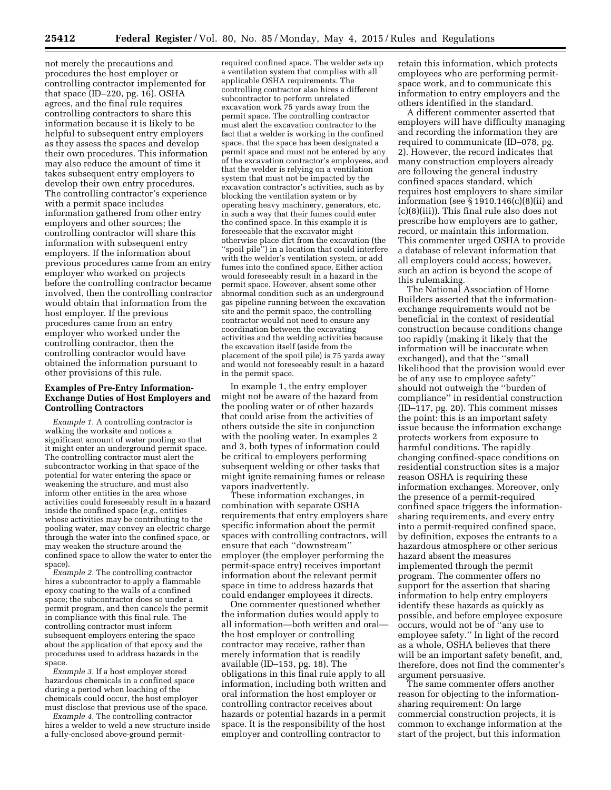not merely the precautions and procedures the host employer or controlling contractor implemented for that space (ID–220, pg. 16). OSHA agrees, and the final rule requires controlling contractors to share this information because it is likely to be helpful to subsequent entry employers as they assess the spaces and develop their own procedures. This information may also reduce the amount of time it takes subsequent entry employers to develop their own entry procedures. The controlling contractor's experience with a permit space includes information gathered from other entry employers and other sources; the controlling contractor will share this information with subsequent entry employers. If the information about previous procedures came from an entry employer who worked on projects before the controlling contractor became involved, then the controlling contractor would obtain that information from the host employer. If the previous procedures came from an entry employer who worked under the controlling contractor, then the controlling contractor would have obtained the information pursuant to other provisions of this rule.

## **Examples of Pre-Entry Information-Exchange Duties of Host Employers and Controlling Contractors**

*Example 1.* A controlling contractor is walking the worksite and notices a significant amount of water pooling so that it might enter an underground permit space. The controlling contractor must alert the subcontractor working in that space of the potential for water entering the space or weakening the structure, and must also inform other entities in the area whose activities could foreseeably result in a hazard inside the confined space (*e.g.,* entities whose activities may be contributing to the pooling water, may convey an electric charge through the water into the confined space, or may weaken the structure around the confined space to allow the water to enter the space).

*Example 2.* The controlling contractor hires a subcontractor to apply a flammable epoxy coating to the walls of a confined space; the subcontractor does so under a permit program, and then cancels the permit in compliance with this final rule. The controlling contractor must inform subsequent employers entering the space about the application of that epoxy and the procedures used to address hazards in the space.

*Example 3.* If a host employer stored hazardous chemicals in a confined space during a period when leaching of the chemicals could occur, the host employer must disclose that previous use of the space.

*Example 4.* The controlling contractor hires a welder to weld a new structure inside a fully-enclosed above-ground permit-

required confined space. The welder sets up a ventilation system that complies with all applicable OSHA requirements. The controlling contractor also hires a different subcontractor to perform unrelated excavation work 75 yards away from the permit space. The controlling contractor must alert the excavation contractor to the fact that a welder is working in the confined space, that the space has been designated a permit space and must not be entered by any of the excavation contractor's employees, and that the welder is relying on a ventilation system that must not be impacted by the excavation contractor's activities, such as by blocking the ventilation system or by operating heavy machinery, generators, etc. in such a way that their fumes could enter the confined space. In this example it is foreseeable that the excavator might otherwise place dirt from the excavation (the ''spoil pile'') in a location that could interfere with the welder's ventilation system, or add fumes into the confined space. Either action would foreseeably result in a hazard in the permit space. However, absent some other abnormal condition such as an underground gas pipeline running between the excavation site and the permit space, the controlling contractor would not need to ensure any coordination between the excavating activities and the welding activities because the excavation itself (aside from the placement of the spoil pile) is 75 yards away and would not foreseeably result in a hazard in the permit space.

In example 1, the entry employer might not be aware of the hazard from the pooling water or of other hazards that could arise from the activities of others outside the site in conjunction with the pooling water. In examples 2 and 3, both types of information could be critical to employers performing subsequent welding or other tasks that might ignite remaining fumes or release vapors inadvertently.

These information exchanges, in combination with separate OSHA requirements that entry employers share specific information about the permit spaces with controlling contractors, will ensure that each ''downstream'' employer (the employer performing the permit-space entry) receives important information about the relevant permit space in time to address hazards that could endanger employees it directs.

One commenter questioned whether the information duties would apply to all information—both written and oral the host employer or controlling contractor may receive, rather than merely information that is readily available (ID–153, pg. 18). The obligations in this final rule apply to all information, including both written and oral information the host employer or controlling contractor receives about hazards or potential hazards in a permit space. It is the responsibility of the host employer and controlling contractor to

retain this information, which protects employees who are performing permitspace work, and to communicate this information to entry employers and the others identified in the standard.

A different commenter asserted that employers will have difficulty managing and recording the information they are required to communicate (ID–078, pg. 2). However, the record indicates that many construction employers already are following the general industry confined spaces standard, which requires host employers to share similar information (see  $\S 1910.146(c)(8(ii))$  and (c)(8)(iii)). This final rule also does not prescribe how employers are to gather, record, or maintain this information. This commenter urged OSHA to provide a database of relevant information that all employers could access; however, such an action is beyond the scope of this rulemaking.

The National Association of Home Builders asserted that the informationexchange requirements would not be beneficial in the context of residential construction because conditions change too rapidly (making it likely that the information will be inaccurate when exchanged), and that the ''small likelihood that the provision would ever be of any use to employee safety'' should not outweigh the ''burden of compliance'' in residential construction (ID–117, pg. 20). This comment misses the point: this is an important safety issue because the information exchange protects workers from exposure to harmful conditions. The rapidly changing confined-space conditions on residential construction sites is a major reason OSHA is requiring these information exchanges. Moreover, only the presence of a permit-required confined space triggers the informationsharing requirements, and every entry into a permit-required confined space, by definition, exposes the entrants to a hazardous atmosphere or other serious hazard absent the measures implemented through the permit program. The commenter offers no support for the assertion that sharing information to help entry employers identify these hazards as quickly as possible, and before employee exposure occurs, would not be of ''any use to employee safety.'' In light of the record as a whole, OSHA believes that there will be an important safety benefit, and, therefore, does not find the commenter's argument persuasive.

The same commenter offers another reason for objecting to the informationsharing requirement: On large commercial construction projects, it is common to exchange information at the start of the project, but this information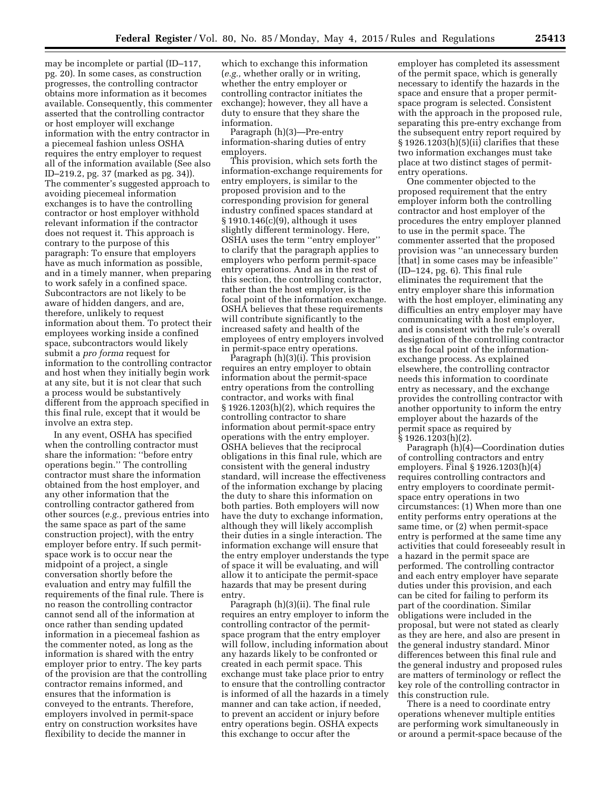may be incomplete or partial (ID–117, pg. 20). In some cases, as construction progresses, the controlling contractor obtains more information as it becomes available. Consequently, this commenter asserted that the controlling contractor or host employer will exchange information with the entry contractor in a piecemeal fashion unless OSHA requires the entry employer to request all of the information available (See also ID–219.2, pg. 37 (marked as pg. 34)). The commenter's suggested approach to avoiding piecemeal information exchanges is to have the controlling contractor or host employer withhold relevant information if the contractor does not request it. This approach is contrary to the purpose of this paragraph: To ensure that employers have as much information as possible, and in a timely manner, when preparing to work safely in a confined space. Subcontractors are not likely to be aware of hidden dangers, and are, therefore, unlikely to request information about them. To protect their employees working inside a confined space, subcontractors would likely submit a *pro forma* request for information to the controlling contractor and host when they initially begin work at any site, but it is not clear that such a process would be substantively different from the approach specified in this final rule, except that it would be involve an extra step.

In any event, OSHA has specified when the controlling contractor must share the information: ''before entry operations begin.'' The controlling contractor must share the information obtained from the host employer, and any other information that the controlling contractor gathered from other sources (*e.g.,* previous entries into the same space as part of the same construction project), with the entry employer before entry. If such permitspace work is to occur near the midpoint of a project, a single conversation shortly before the evaluation and entry may fulfill the requirements of the final rule. There is no reason the controlling contractor cannot send all of the information at once rather than sending updated information in a piecemeal fashion as the commenter noted, as long as the information is shared with the entry employer prior to entry. The key parts of the provision are that the controlling contractor remains informed, and ensures that the information is conveyed to the entrants. Therefore, employers involved in permit-space entry on construction worksites have flexibility to decide the manner in

which to exchange this information (*e.g.,* whether orally or in writing, whether the entry employer or controlling contractor initiates the exchange); however, they all have a duty to ensure that they share the information.

Paragraph (h)(3)—Pre-entry information-sharing duties of entry employers.

This provision, which sets forth the information-exchange requirements for entry employers, is similar to the proposed provision and to the corresponding provision for general industry confined spaces standard at § 1910.146(c)(9), although it uses slightly different terminology. Here, OSHA uses the term ''entry employer'' to clarify that the paragraph applies to employers who perform permit-space entry operations. And as in the rest of this section, the controlling contractor, rather than the host employer, is the focal point of the information exchange. OSHA believes that these requirements will contribute significantly to the increased safety and health of the employees of entry employers involved in permit-space entry operations.

Paragraph (h)(3)(i). This provision requires an entry employer to obtain information about the permit-space entry operations from the controlling contractor, and works with final § 1926.1203(h)(2), which requires the controlling contractor to share information about permit-space entry operations with the entry employer. OSHA believes that the reciprocal obligations in this final rule, which are consistent with the general industry standard, will increase the effectiveness of the information exchange by placing the duty to share this information on both parties. Both employers will now have the duty to exchange information, although they will likely accomplish their duties in a single interaction. The information exchange will ensure that the entry employer understands the type of space it will be evaluating, and will allow it to anticipate the permit-space hazards that may be present during entry.

Paragraph (h)(3)(ii). The final rule requires an entry employer to inform the controlling contractor of the permitspace program that the entry employer will follow, including information about any hazards likely to be confronted or created in each permit space. This exchange must take place prior to entry to ensure that the controlling contractor is informed of all the hazards in a timely manner and can take action, if needed, to prevent an accident or injury before entry operations begin. OSHA expects this exchange to occur after the

employer has completed its assessment of the permit space, which is generally necessary to identify the hazards in the space and ensure that a proper permitspace program is selected. Consistent with the approach in the proposed rule, separating this pre-entry exchange from the subsequent entry report required by § 1926.1203(h)(5)(ii) clarifies that these two information exchanges must take place at two distinct stages of permitentry operations.

One commenter objected to the proposed requirement that the entry employer inform both the controlling contractor and host employer of the procedures the entry employer planned to use in the permit space. The commenter asserted that the proposed provision was ''an unnecessary burden [that] in some cases may be infeasible" (ID–124, pg. 6). This final rule eliminates the requirement that the entry employer share this information with the host employer, eliminating any difficulties an entry employer may have communicating with a host employer, and is consistent with the rule's overall designation of the controlling contractor as the focal point of the informationexchange process. As explained elsewhere, the controlling contractor needs this information to coordinate entry as necessary, and the exchange provides the controlling contractor with another opportunity to inform the entry employer about the hazards of the permit space as required by § 1926.1203(h)(2).

Paragraph (h)(4)—Coordination duties of controlling contractors and entry employers. Final § 1926.1203(h)(4) requires controlling contractors and entry employers to coordinate permitspace entry operations in two circumstances: (1) When more than one entity performs entry operations at the same time, or (2) when permit-space entry is performed at the same time any activities that could foreseeably result in a hazard in the permit space are performed. The controlling contractor and each entry employer have separate duties under this provision, and each can be cited for failing to perform its part of the coordination. Similar obligations were included in the proposal, but were not stated as clearly as they are here, and also are present in the general industry standard. Minor differences between this final rule and the general industry and proposed rules are matters of terminology or reflect the key role of the controlling contractor in this construction rule.

There is a need to coordinate entry operations whenever multiple entities are performing work simultaneously in or around a permit-space because of the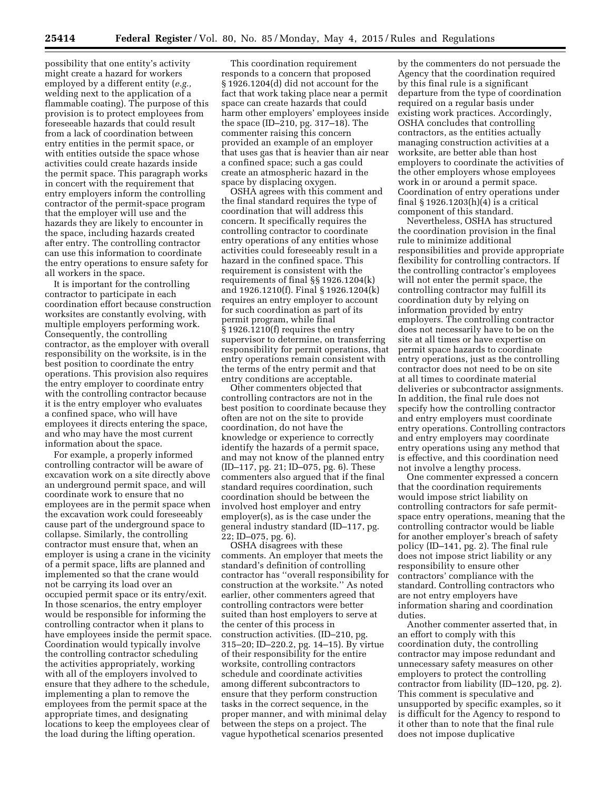possibility that one entity's activity might create a hazard for workers employed by a different entity (*e.g.,*  welding next to the application of a flammable coating). The purpose of this provision is to protect employees from foreseeable hazards that could result from a lack of coordination between entry entities in the permit space, or with entities outside the space whose activities could create hazards inside the permit space. This paragraph works in concert with the requirement that entry employers inform the controlling contractor of the permit-space program that the employer will use and the hazards they are likely to encounter in the space, including hazards created after entry. The controlling contractor can use this information to coordinate the entry operations to ensure safety for all workers in the space.

It is important for the controlling contractor to participate in each coordination effort because construction worksites are constantly evolving, with multiple employers performing work. Consequently, the controlling contractor, as the employer with overall responsibility on the worksite, is in the best position to coordinate the entry operations. This provision also requires the entry employer to coordinate entry with the controlling contractor because it is the entry employer who evaluates a confined space, who will have employees it directs entering the space, and who may have the most current information about the space.

For example, a properly informed controlling contractor will be aware of excavation work on a site directly above an underground permit space, and will coordinate work to ensure that no employees are in the permit space when the excavation work could foreseeably cause part of the underground space to collapse. Similarly, the controlling contractor must ensure that, when an employer is using a crane in the vicinity of a permit space, lifts are planned and implemented so that the crane would not be carrying its load over an occupied permit space or its entry/exit. In those scenarios, the entry employer would be responsible for informing the controlling contractor when it plans to have employees inside the permit space. Coordination would typically involve the controlling contractor scheduling the activities appropriately, working with all of the employers involved to ensure that they adhere to the schedule, implementing a plan to remove the employees from the permit space at the appropriate times, and designating locations to keep the employees clear of the load during the lifting operation.

This coordination requirement responds to a concern that proposed § 1926.1204(d) did not account for the fact that work taking place near a permit space can create hazards that could harm other employers' employees inside the space (ID–210, pg. 317–18). The commenter raising this concern provided an example of an employer that uses gas that is heavier than air near a confined space; such a gas could create an atmospheric hazard in the space by displacing oxygen.

OSHA agrees with this comment and the final standard requires the type of coordination that will address this concern. It specifically requires the controlling contractor to coordinate entry operations of any entities whose activities could foreseeably result in a hazard in the confined space. This requirement is consistent with the requirements of final §§ 1926.1204(k) and 1926.1210(f). Final § 1926.1204(k) requires an entry employer to account for such coordination as part of its permit program, while final § 1926.1210(f) requires the entry supervisor to determine, on transferring responsibility for permit operations, that entry operations remain consistent with the terms of the entry permit and that entry conditions are acceptable.

Other commenters objected that controlling contractors are not in the best position to coordinate because they often are not on the site to provide coordination, do not have the knowledge or experience to correctly identify the hazards of a permit space, and may not know of the planned entry (ID–117, pg. 21; ID–075, pg. 6). These commenters also argued that if the final standard requires coordination, such coordination should be between the involved host employer and entry employer(s), as is the case under the general industry standard (ID–117, pg. 22; ID–075, pg. 6).

OSHA disagrees with these comments. An employer that meets the standard's definition of controlling contractor has ''overall responsibility for construction at the worksite.'' As noted earlier, other commenters agreed that controlling contractors were better suited than host employers to serve at the center of this process in construction activities. (ID–210, pg. 315–20; ID–220.2, pg. 14–15). By virtue of their responsibility for the entire worksite, controlling contractors schedule and coordinate activities among different subcontractors to ensure that they perform construction tasks in the correct sequence, in the proper manner, and with minimal delay between the steps on a project. The vague hypothetical scenarios presented

by the commenters do not persuade the Agency that the coordination required by this final rule is a significant departure from the type of coordination required on a regular basis under existing work practices. Accordingly, OSHA concludes that controlling contractors, as the entities actually managing construction activities at a worksite, are better able than host employers to coordinate the activities of the other employers whose employees work in or around a permit space. Coordination of entry operations under final § 1926.1203(h)(4) is a critical component of this standard.

Nevertheless, OSHA has structured the coordination provision in the final rule to minimize additional responsibilities and provide appropriate flexibility for controlling contractors. If the controlling contractor's employees will not enter the permit space, the controlling contractor may fulfill its coordination duty by relying on information provided by entry employers. The controlling contractor does not necessarily have to be on the site at all times or have expertise on permit space hazards to coordinate entry operations, just as the controlling contractor does not need to be on site at all times to coordinate material deliveries or subcontractor assignments. In addition, the final rule does not specify how the controlling contractor and entry employers must coordinate entry operations. Controlling contractors and entry employers may coordinate entry operations using any method that is effective, and this coordination need not involve a lengthy process.

One commenter expressed a concern that the coordination requirements would impose strict liability on controlling contractors for safe permitspace entry operations, meaning that the controlling contractor would be liable for another employer's breach of safety policy (ID–141, pg. 2). The final rule does not impose strict liability or any responsibility to ensure other contractors' compliance with the standard. Controlling contractors who are not entry employers have information sharing and coordination duties.

Another commenter asserted that, in an effort to comply with this coordination duty, the controlling contractor may impose redundant and unnecessary safety measures on other employers to protect the controlling contractor from liability (ID–120, pg. 2). This comment is speculative and unsupported by specific examples, so it is difficult for the Agency to respond to it other than to note that the final rule does not impose duplicative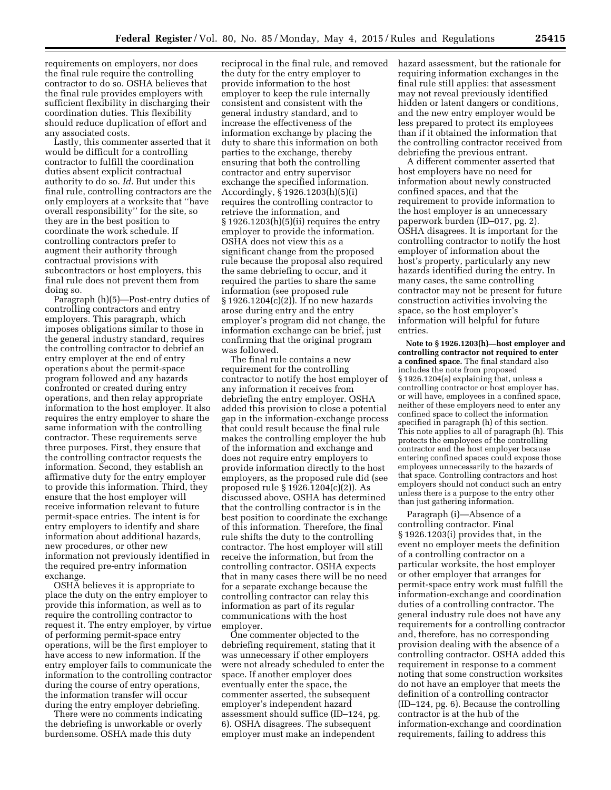requirements on employers, nor does the final rule require the controlling contractor to do so. OSHA believes that the final rule provides employers with sufficient flexibility in discharging their coordination duties. This flexibility should reduce duplication of effort and any associated costs.

Lastly, this commenter asserted that it would be difficult for a controlling contractor to fulfill the coordination duties absent explicit contractual authority to do so. *Id.* But under this final rule, controlling contractors are the only employers at a worksite that ''have overall responsibility'' for the site, so they are in the best position to coordinate the work schedule. If controlling contractors prefer to augment their authority through contractual provisions with subcontractors or host employers, this final rule does not prevent them from doing so.

Paragraph (h)(5)—Post-entry duties of controlling contractors and entry employers. This paragraph, which imposes obligations similar to those in the general industry standard, requires the controlling contractor to debrief an entry employer at the end of entry operations about the permit-space program followed and any hazards confronted or created during entry operations, and then relay appropriate information to the host employer. It also requires the entry employer to share the same information with the controlling contractor. These requirements serve three purposes. First, they ensure that the controlling contractor requests the information. Second, they establish an affirmative duty for the entry employer to provide this information. Third, they ensure that the host employer will receive information relevant to future permit-space entries. The intent is for entry employers to identify and share information about additional hazards, new procedures, or other new information not previously identified in the required pre-entry information exchange.

OSHA believes it is appropriate to place the duty on the entry employer to provide this information, as well as to require the controlling contractor to request it. The entry employer, by virtue of performing permit-space entry operations, will be the first employer to have access to new information. If the entry employer fails to communicate the information to the controlling contractor during the course of entry operations, the information transfer will occur during the entry employer debriefing.

There were no comments indicating the debriefing is unworkable or overly burdensome. OSHA made this duty

reciprocal in the final rule, and removed the duty for the entry employer to provide information to the host employer to keep the rule internally consistent and consistent with the general industry standard, and to increase the effectiveness of the information exchange by placing the duty to share this information on both parties to the exchange, thereby ensuring that both the controlling contractor and entry supervisor exchange the specified information. Accordingly, § 1926.1203(h)(5)(i) requires the controlling contractor to retrieve the information, and  $§ 1926.1203(h)(5)(ii)$  requires the entry employer to provide the information. OSHA does not view this as a significant change from the proposed rule because the proposal also required the same debriefing to occur, and it required the parties to share the same information (see proposed rule § 1926.1204(c)(2)). If no new hazards arose during entry and the entry employer's program did not change, the information exchange can be brief, just confirming that the original program was followed.

The final rule contains a new requirement for the controlling contractor to notify the host employer of any information it receives from debriefing the entry employer. OSHA added this provision to close a potential gap in the information-exchange process that could result because the final rule makes the controlling employer the hub of the information and exchange and does not require entry employers to provide information directly to the host employers, as the proposed rule did (see proposed rule § 1926.1204(c)(2)). As discussed above, OSHA has determined that the controlling contractor is in the best position to coordinate the exchange of this information. Therefore, the final rule shifts the duty to the controlling contractor. The host employer will still receive the information, but from the controlling contractor. OSHA expects that in many cases there will be no need for a separate exchange because the controlling contractor can relay this information as part of its regular communications with the host employer.

One commenter objected to the debriefing requirement, stating that it was unnecessary if other employers were not already scheduled to enter the space. If another employer does eventually enter the space, the commenter asserted, the subsequent employer's independent hazard assessment should suffice (ID–124, pg. 6). OSHA disagrees. The subsequent employer must make an independent

hazard assessment, but the rationale for requiring information exchanges in the final rule still applies: that assessment may not reveal previously identified hidden or latent dangers or conditions, and the new entry employer would be less prepared to protect its employees than if it obtained the information that the controlling contractor received from debriefing the previous entrant.

A different commenter asserted that host employers have no need for information about newly constructed confined spaces, and that the requirement to provide information to the host employer is an unnecessary paperwork burden (ID–017, pg. 2). OSHA disagrees. It is important for the controlling contractor to notify the host employer of information about the host's property, particularly any new hazards identified during the entry. In many cases, the same controlling contractor may not be present for future construction activities involving the space, so the host employer's information will helpful for future entries.

**Note to § 1926.1203(h)—host employer and controlling contractor not required to enter a confined space.** The final standard also includes the note from proposed § 1926.1204(a) explaining that, unless a controlling contractor or host employer has, or will have, employees in a confined space, neither of these employers need to enter any confined space to collect the information specified in paragraph (h) of this section. This note applies to all of paragraph (h). This protects the employees of the controlling contractor and the host employer because entering confined spaces could expose those employees unnecessarily to the hazards of that space. Controlling contractors and host employers should not conduct such an entry unless there is a purpose to the entry other than just gathering information.

Paragraph (i)—Absence of a controlling contractor. Final § 1926.1203(i) provides that, in the event no employer meets the definition of a controlling contractor on a particular worksite, the host employer or other employer that arranges for permit-space entry work must fulfill the information-exchange and coordination duties of a controlling contractor. The general industry rule does not have any requirements for a controlling contractor and, therefore, has no corresponding provision dealing with the absence of a controlling contractor. OSHA added this requirement in response to a comment noting that some construction worksites do not have an employer that meets the definition of a controlling contractor (ID–124, pg. 6). Because the controlling contractor is at the hub of the information-exchange and coordination requirements, failing to address this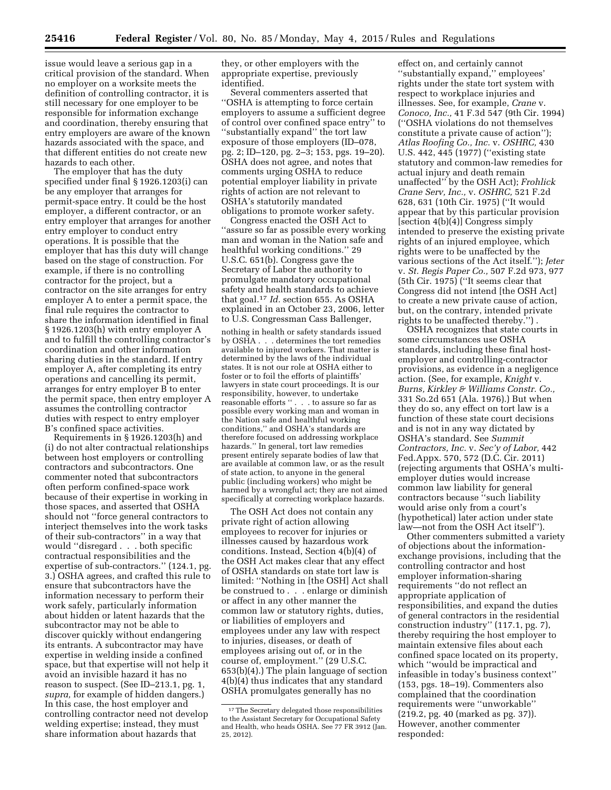issue would leave a serious gap in a critical provision of the standard. When no employer on a worksite meets the definition of controlling contractor, it is still necessary for one employer to be responsible for information exchange and coordination, thereby ensuring that entry employers are aware of the known hazards associated with the space, and that different entities do not create new hazards to each other.

The employer that has the duty specified under final § 1926.1203(i) can be any employer that arranges for permit-space entry. It could be the host employer, a different contractor, or an entry employer that arranges for another entry employer to conduct entry operations. It is possible that the employer that has this duty will change based on the stage of construction. For example, if there is no controlling contractor for the project, but a contractor on the site arranges for entry employer A to enter a permit space, the final rule requires the contractor to share the information identified in final § 1926.1203(h) with entry employer A and to fulfill the controlling contractor's coordination and other information sharing duties in the standard. If entry employer A, after completing its entry operations and cancelling its permit, arranges for entry employer B to enter the permit space, then entry employer A assumes the controlling contractor duties with respect to entry employer B's confined space activities.

Requirements in § 1926.1203(h) and (i) do not alter contractual relationships between host employers or controlling contractors and subcontractors. One commenter noted that subcontractors often perform confined-space work because of their expertise in working in those spaces, and asserted that OSHA should not ''force general contractors to interject themselves into the work tasks of their sub-contractors'' in a way that would ''disregard . . . both specific contractual responsibilities and the expertise of sub-contractors.'' (124.1, pg. 3.) OSHA agrees, and crafted this rule to ensure that subcontractors have the information necessary to perform their work safely, particularly information about hidden or latent hazards that the subcontractor may not be able to discover quickly without endangering its entrants. A subcontractor may have expertise in welding inside a confined space, but that expertise will not help it avoid an invisible hazard it has no reason to suspect. (See ID–213.1, pg. 1, *supra,* for example of hidden dangers.) In this case, the host employer and controlling contractor need not develop welding expertise; instead, they must share information about hazards that

they, or other employers with the appropriate expertise, previously identified.

Several commenters asserted that ''OSHA is attempting to force certain employers to assume a sufficient degree of control over confined space entry'' to ''substantially expand'' the tort law exposure of those employers (ID–078, pg. 2; ID–120, pg. 2–3; 153, pgs. 19–20). OSHA does not agree, and notes that comments urging OSHA to reduce potential employer liability in private rights of action are not relevant to OSHA's statutorily mandated obligations to promote worker safety.

Congress enacted the OSH Act to ''assure so far as possible every working man and woman in the Nation safe and healthful working conditions.'' 29 U.S.C. 651(b). Congress gave the Secretary of Labor the authority to promulgate mandatory occupational safety and health standards to achieve that goal.17 *Id.* section 655. As OSHA explained in an October 23, 2006, letter to U.S. Congressman Cass Ballenger,

nothing in health or safety standards issued by OSHA . . . determines the tort remedies available to injured workers. That matter is determined by the laws of the individual states. It is not our role at OSHA either to foster or to foil the efforts of plaintiffs' lawyers in state court proceedings. It is our responsibility, however, to undertake reasonable efforts '' . . . to assure so far as possible every working man and woman in the Nation safe and healthful working conditions,'' and OSHA's standards are therefore focused on addressing workplace hazards.'' In general, tort law remedies present entirely separate bodies of law that are available at common law, or as the result of state action, to anyone in the general public (including workers) who might be harmed by a wrongful act; they are not aimed specifically at correcting workplace hazards.

The OSH Act does not contain any private right of action allowing employees to recover for injuries or illnesses caused by hazardous work conditions. Instead, Section 4(b)(4) of the OSH Act makes clear that any effect of OSHA standards on state tort law is limited: ''Nothing in [the OSH] Act shall be construed to . . . enlarge or diminish or affect in any other manner the common law or statutory rights, duties, or liabilities of employers and employees under any law with respect to injuries, diseases, or death of employees arising out of, or in the course of, employment.'' (29 U.S.C. 653(b)(4).) The plain language of section 4(b)(4) thus indicates that any standard OSHA promulgates generally has no

effect on, and certainly cannot ''substantially expand,'' employees' rights under the state tort system with respect to workplace injuries and illnesses. See, for example, *Crane* v. *Conoco, Inc.,* 41 F.3d 547 (9th Cir. 1994) (''OSHA violations do not themselves constitute a private cause of action''); *Atlas Roofing Co., Inc.* v. *OSHRC,* 430 U.S. 442, 445 (1977) (''existing state statutory and common-law remedies for actual injury and death remain unaffected'' by the OSH Act); *Frohlick Crane Serv, Inc.,* v. *OSHRC,* 521 F.2d 628, 631 (10th Cir. 1975) (''It would appear that by this particular provision [section 4(b)(4)] Congress simply intended to preserve the existing private rights of an injured employee, which rights were to be unaffected by the various sections of the Act itself.''); *Jeter*  v. *St. Regis Paper Co.,* 507 F.2d 973, 977 (5th Cir. 1975) (''It seems clear that Congress did not intend [the OSH Act] to create a new private cause of action, but, on the contrary, intended private rights to be unaffected thereby.'') .

OSHA recognizes that state courts in some circumstances use OSHA standards, including these final hostemployer and controlling-contractor provisions, as evidence in a negligence action. (See, for example, *Knight* v. *Burns, Kirkley & Williams Constr. Co.,*  331 So.2d 651 (Ala. 1976).) But when they do so, any effect on tort law is a function of these state court decisions and is not in any way dictated by OSHA's standard. See *Summit Contractors, Inc.* v. *Sec'y of Labor,* 442 Fed.Appx. 570, 572 (D.C. Cir. 2011) (rejecting arguments that OSHA's multiemployer duties would increase common law liability for general contractors because ''such liability would arise only from a court's (hypothetical) later action under state law—not from the OSH Act itself'').

Other commenters submitted a variety of objections about the informationexchange provisions, including that the controlling contractor and host employer information-sharing requirements ''do not reflect an appropriate application of responsibilities, and expand the duties of general contractors in the residential construction industry'' (117.1, pg. 7), thereby requiring the host employer to maintain extensive files about each confined space located on its property, which ''would be impractical and infeasible in today's business context'' (153, pgs. 18–19). Commenters also complained that the coordination requirements were ''unworkable'' (219.2, pg. 40 (marked as pg. 37)). However, another commenter responded:

<sup>17</sup>The Secretary delegated those responsibilities to the Assistant Secretary for Occupational Safety and Health, who heads OSHA. See 77 FR 3912 (Jan. 25, 2012).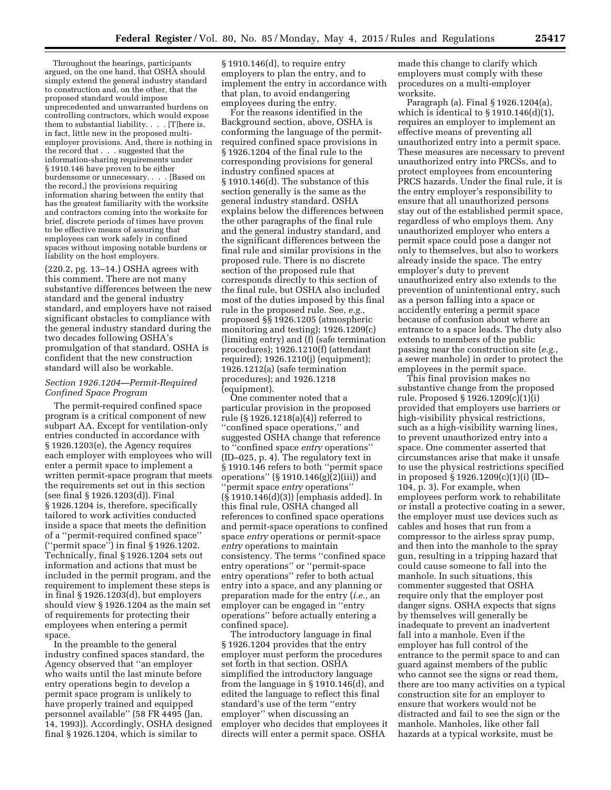Throughout the hearings, participants argued, on the one hand, that OSHA should simply extend the general industry standard to construction and, on the other, that the proposed standard would impose unprecedented and unwarranted burdens on controlling contractors, which would expose them to substantial liability. . . . [T]here is, in fact, little new in the proposed multiemployer provisions. And, there is nothing in the record that . . . suggested that the information-sharing requirements under § 1910.146 have proven to be either burdensome or unnecessary. . . . [Based on the record,] the provisions requiring information sharing between the entity that has the greatest familiarity with the worksite and contractors coming into the worksite for brief, discrete periods of times have proven to be effective means of assuring that employees can work safely in confined spaces without imposing notable burdens or liability on the host employers.

(220.2, pg. 13–14.) OSHA agrees with this comment. There are not many substantive differences between the new standard and the general industry standard, and employers have not raised significant obstacles to compliance with the general industry standard during the two decades following OSHA's promulgation of that standard. OSHA is confident that the new construction standard will also be workable.

# *Section 1926.1204—Permit-Required Confined Space Program*

The permit-required confined space program is a critical component of new subpart AA. Except for ventilation-only entries conducted in accordance with § 1926.1203(e), the Agency requires each employer with employees who will enter a permit space to implement a written permit-space program that meets the requirements set out in this section (see final § 1926.1203(d)). Final § 1926.1204 is, therefore, specifically tailored to work activities conducted inside a space that meets the definition of a ''permit-required confined space'' (''permit space'') in final § 1926.1202. Technically, final § 1926.1204 sets out information and actions that must be included in the permit program, and the requirement to implement these steps is in final § 1926.1203(d), but employers should view § 1926.1204 as the main set of requirements for protecting their employees when entering a permit space.

In the preamble to the general industry confined spaces standard, the Agency observed that ''an employer who waits until the last minute before entry operations begin to develop a permit space program is unlikely to have properly trained and equipped personnel available'' (58 FR 4495 (Jan. 14, 1993)). Accordingly, OSHA designed final § 1926.1204, which is similar to

§ 1910.146(d), to require entry employers to plan the entry, and to implement the entry in accordance with that plan, to avoid endangering employees during the entry.

For the reasons identified in the Background section, above, OSHA is conforming the language of the permitrequired confined space provisions in § 1926.1204 of the final rule to the corresponding provisions for general industry confined spaces at § 1910.146(d). The substance of this section generally is the same as the general industry standard. OSHA explains below the differences between the other paragraphs of the final rule and the general industry standard, and the significant differences between the final rule and similar provisions in the proposed rule. There is no discrete section of the proposed rule that corresponds directly to this section of the final rule, but OSHA also included most of the duties imposed by this final rule in the proposed rule. See, *e.g.,*  proposed §§ 1926.1205 (atmospheric monitoring and testing); 1926.1209(c) (limiting entry) and (f) (safe termination procedures); 1926.1210(f) (attendant required); 1926.1210(j) (equipment); 1926.1212(a) (safe termination procedures); and 1926.1218 (equipment).

One commenter noted that a particular provision in the proposed rule (§ 1926.1218(a)(4)) referred to ''confined space operations,'' and suggested OSHA change that reference to ''confined space *entry* operations'' (ID–025, p. 4). The regulatory text in § 1910.146 refers to both ''permit space operations" (§ 1910.146 $(g)(iii)$ ) and ''permit space *entry* operations'' (§ 1910.146(d)(3)) [emphasis added]. In this final rule, OSHA changed all references to confined space operations and permit-space operations to confined space *entry* operations or permit-space *entry* operations to maintain consistency. The terms ''confined space entry operations'' or ''permit-space entry operations'' refer to both actual entry into a space, and any planning or preparation made for the entry (*i.e.,* an employer can be engaged in ''entry operations'' before actually entering a confined space).

The introductory language in final § 1926.1204 provides that the entry employer must perform the procedures set forth in that section. OSHA simplified the introductory language from the language in § 1910.146(d), and edited the language to reflect this final standard's use of the term ''entry employer'' when discussing an employer who decides that employees it directs will enter a permit space. OSHA

made this change to clarify which employers must comply with these procedures on a multi-employer worksite.

Paragraph (a). Final § 1926.1204(a), which is identical to  $\S 1910.146(d)(1)$ , requires an employer to implement an effective means of preventing all unauthorized entry into a permit space. These measures are necessary to prevent unauthorized entry into PRCSs, and to protect employees from encountering PRCS hazards. Under the final rule, it is the entry employer's responsibility to ensure that all unauthorized persons stay out of the established permit space, regardless of who employs them. Any unauthorized employer who enters a permit space could pose a danger not only to themselves, but also to workers already inside the space. The entry employer's duty to prevent unauthorized entry also extends to the prevention of unintentional entry, such as a person falling into a space or accidently entering a permit space because of confusion about where an entrance to a space leads. The duty also extends to members of the public passing near the construction site (*e.g.,*  a sewer manhole) in order to protect the employees in the permit space.

This final provision makes no substantive change from the proposed rule. Proposed § 1926.1209 $(c)(1)(i)$ provided that employers use barriers or high-visibility physical restrictions, such as a high-visibility warning lines, to prevent unauthorized entry into a space. One commenter asserted that circumstances arise that make it unsafe to use the physical restrictions specified in proposed § 1926.1209(c)(1)(i) (ID– 104, p. 3). For example, when employees perform work to rehabilitate or install a protective coating in a sewer, the employer must use devices such as cables and hoses that run from a compressor to the airless spray pump, and then into the manhole to the spray gun, resulting in a tripping hazard that could cause someone to fall into the manhole. In such situations, this commenter suggested that OSHA require only that the employer post danger signs. OSHA expects that signs by themselves will generally be inadequate to prevent an inadvertent fall into a manhole. Even if the employer has full control of the entrance to the permit space to and can guard against members of the public who cannot see the signs or read them, there are too many activities on a typical construction site for an employer to ensure that workers would not be distracted and fail to see the sign or the manhole. Manholes, like other fall hazards at a typical worksite, must be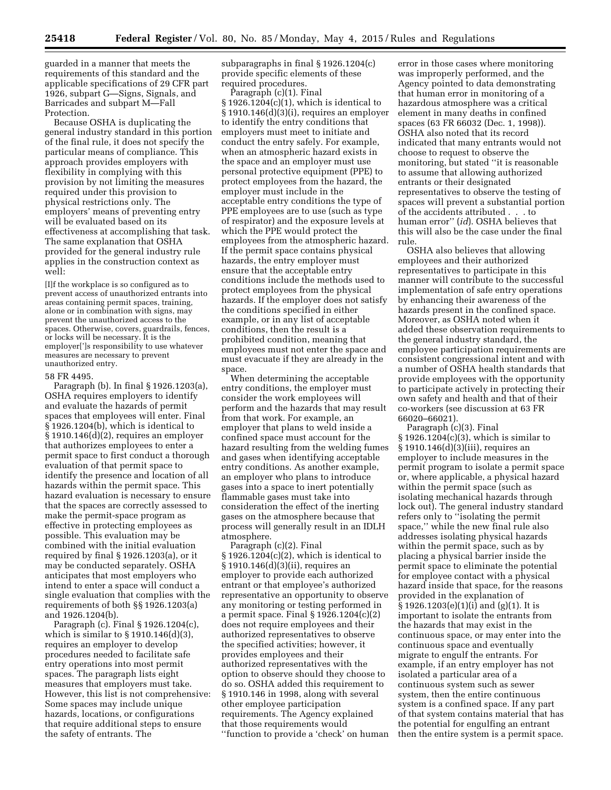guarded in a manner that meets the requirements of this standard and the applicable specifications of 29 CFR part 1926, subpart G—Signs, Signals, and Barricades and subpart M—Fall Protection.

Because OSHA is duplicating the general industry standard in this portion of the final rule, it does not specify the particular means of compliance. This approach provides employers with flexibility in complying with this provision by not limiting the measures required under this provision to physical restrictions only. The employers' means of preventing entry will be evaluated based on its effectiveness at accomplishing that task. The same explanation that OSHA provided for the general industry rule applies in the construction context as well:

[I]f the workplace is so configured as to prevent access of unauthorized entrants into areas containing permit spaces, training, alone or in combination with signs, may prevent the unauthorized access to the spaces. Otherwise, covers, guardrails, fences, or locks will be necessary. It is the employer[']s responsibility to use whatever measures are necessary to prevent unauthorized entry.

#### 58 FR 4495.

Paragraph (b). In final § 1926.1203(a), OSHA requires employers to identify and evaluate the hazards of permit spaces that employees will enter. Final § 1926.1204(b), which is identical to § 1910.146(d)(2), requires an employer that authorizes employees to enter a permit space to first conduct a thorough evaluation of that permit space to identify the presence and location of all hazards within the permit space. This hazard evaluation is necessary to ensure that the spaces are correctly assessed to make the permit-space program as effective in protecting employees as possible. This evaluation may be combined with the initial evaluation required by final § 1926.1203(a), or it may be conducted separately. OSHA anticipates that most employers who intend to enter a space will conduct a single evaluation that complies with the requirements of both §§ 1926.1203(a) and 1926.1204(b).

Paragraph (c). Final § 1926.1204(c), which is similar to § 1910.146(d)(3), requires an employer to develop procedures needed to facilitate safe entry operations into most permit spaces. The paragraph lists eight measures that employers must take. However, this list is not comprehensive: Some spaces may include unique hazards, locations, or configurations that require additional steps to ensure the safety of entrants. The

subparagraphs in final § 1926.1204(c) provide specific elements of these required procedures.

Paragraph (c)(1). Final § 1926.1204(c)(1), which is identical to § 1910.146(d)(3)(i), requires an employer to identify the entry conditions that employers must meet to initiate and conduct the entry safely. For example, when an atmospheric hazard exists in the space and an employer must use personal protective equipment (PPE) to protect employees from the hazard, the employer must include in the acceptable entry conditions the type of PPE employees are to use (such as type of respirator) and the exposure levels at which the PPE would protect the employees from the atmospheric hazard. If the permit space contains physical hazards, the entry employer must ensure that the acceptable entry conditions include the methods used to protect employees from the physical hazards. If the employer does not satisfy the conditions specified in either example, or in any list of acceptable conditions, then the result is a prohibited condition, meaning that employees must not enter the space and must evacuate if they are already in the space.

When determining the acceptable entry conditions, the employer must consider the work employees will perform and the hazards that may result from that work. For example, an employer that plans to weld inside a confined space must account for the hazard resulting from the welding fumes and gases when identifying acceptable entry conditions. As another example, an employer who plans to introduce gases into a space to inert potentially flammable gases must take into consideration the effect of the inerting gases on the atmosphere because that process will generally result in an IDLH atmosphere.

Paragraph (c)(2). Final § 1926.1204(c)(2), which is identical to § 1910.146(d)(3)(ii), requires an employer to provide each authorized entrant or that employee's authorized representative an opportunity to observe any monitoring or testing performed in a permit space. Final § 1926.1204(c)(2) does not require employees and their authorized representatives to observe the specified activities; however, it provides employees and their authorized representatives with the option to observe should they choose to do so. OSHA added this requirement to § 1910.146 in 1998, along with several other employee participation requirements. The Agency explained that those requirements would ''function to provide a 'check' on human

error in those cases where monitoring was improperly performed, and the Agency pointed to data demonstrating that human error in monitoring of a hazardous atmosphere was a critical element in many deaths in confined spaces (63 FR 66032 (Dec. 1, 1998)). OSHA also noted that its record indicated that many entrants would not choose to request to observe the monitoring, but stated ''it is reasonable to assume that allowing authorized entrants or their designated representatives to observe the testing of spaces will prevent a substantial portion of the accidents attributed . . . to human error'' (*id*). OSHA believes that this will also be the case under the final rule.

OSHA also believes that allowing employees and their authorized representatives to participate in this manner will contribute to the successful implementation of safe entry operations by enhancing their awareness of the hazards present in the confined space. Moreover, as OSHA noted when it added these observation requirements to the general industry standard, the employee participation requirements are consistent congressional intent and with a number of OSHA health standards that provide employees with the opportunity to participate actively in protecting their own safety and health and that of their co-workers (see discussion at 63 FR 66020–66021).

Paragraph (c)(3). Final § 1926.1204(c)(3), which is similar to § 1910.146(d)(3)(iii), requires an employer to include measures in the permit program to isolate a permit space or, where applicable, a physical hazard within the permit space (such as isolating mechanical hazards through lock out). The general industry standard refers only to ''isolating the permit space,'' while the new final rule also addresses isolating physical hazards within the permit space, such as by placing a physical barrier inside the permit space to eliminate the potential for employee contact with a physical hazard inside that space, for the reasons provided in the explanation of § 1926.1203(e)(1)(i) and (g)(1). It is important to isolate the entrants from the hazards that may exist in the continuous space, or may enter into the continuous space and eventually migrate to engulf the entrants. For example, if an entry employer has not isolated a particular area of a continuous system such as sewer system, then the entire continuous system is a confined space. If any part of that system contains material that has the potential for engulfing an entrant then the entire system is a permit space.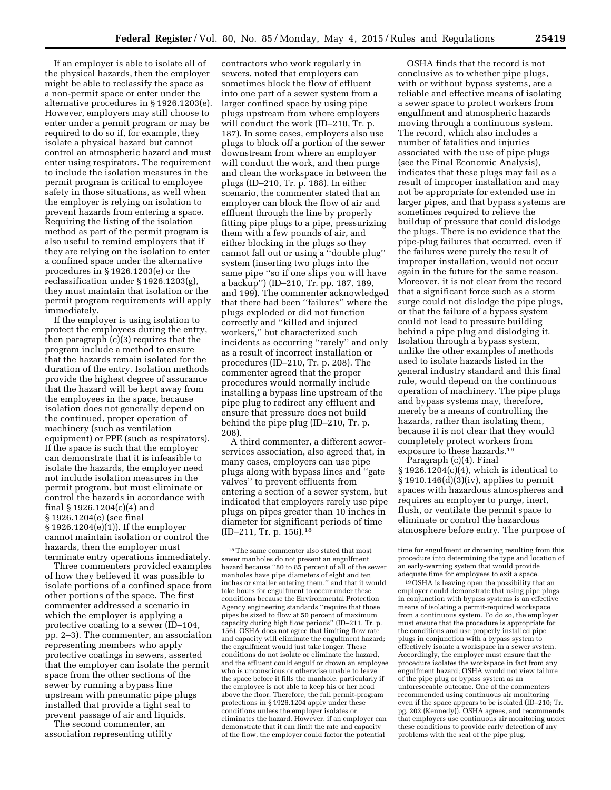If an employer is able to isolate all of the physical hazards, then the employer might be able to reclassify the space as a non-permit space or enter under the alternative procedures in § 1926.1203(e). However, employers may still choose to enter under a permit program or may be required to do so if, for example, they isolate a physical hazard but cannot control an atmospheric hazard and must enter using respirators. The requirement to include the isolation measures in the permit program is critical to employee safety in those situations, as well when the employer is relying on isolation to prevent hazards from entering a space. Requiring the listing of the isolation method as part of the permit program is also useful to remind employers that if they are relying on the isolation to enter a confined space under the alternative procedures in § 1926.1203(e) or the reclassification under § 1926.1203(g), they must maintain that isolation or the permit program requirements will apply immediately.

If the employer is using isolation to protect the employees during the entry, then paragraph (c)(3) requires that the program include a method to ensure that the hazards remain isolated for the duration of the entry. Isolation methods provide the highest degree of assurance that the hazard will be kept away from the employees in the space, because isolation does not generally depend on the continued, proper operation of machinery (such as ventilation equipment) or PPE (such as respirators). If the space is such that the employer can demonstrate that it is infeasible to isolate the hazards, the employer need not include isolation measures in the permit program, but must eliminate or control the hazards in accordance with final § 1926.1204(c)(4) and § 1926.1204(e) (see final § 1926.1204(e)(1)). If the employer cannot maintain isolation or control the hazards, then the employer must terminate entry operations immediately.

Three commenters provided examples of how they believed it was possible to isolate portions of a confined space from other portions of the space. The first commenter addressed a scenario in which the employer is applying a protective coating to a sewer (ID–104, pp. 2–3). The commenter, an association representing members who apply protective coatings in sewers, asserted that the employer can isolate the permit space from the other sections of the sewer by running a bypass line upstream with pneumatic pipe plugs installed that provide a tight seal to prevent passage of air and liquids.

The second commenter, an association representing utility

contractors who work regularly in sewers, noted that employers can sometimes block the flow of effluent into one part of a sewer system from a larger confined space by using pipe plugs upstream from where employers will conduct the work (ID–210, Tr. p. 187). In some cases, employers also use plugs to block off a portion of the sewer downstream from where an employer will conduct the work, and then purge and clean the workspace in between the plugs (ID–210, Tr. p. 188). In either scenario, the commenter stated that an employer can block the flow of air and effluent through the line by properly fitting pipe plugs to a pipe, pressurizing them with a few pounds of air, and either blocking in the plugs so they cannot fall out or using a ''double plug'' system (inserting two plugs into the same pipe ''so if one slips you will have a backup'') (ID–210, Tr. pp. 187, 189, and 199). The commenter acknowledged that there had been ''failures'' where the plugs exploded or did not function correctly and ''killed and injured workers,'' but characterized such incidents as occurring ''rarely'' and only as a result of incorrect installation or procedures (ID–210, Tr. p. 208). The commenter agreed that the proper procedures would normally include installing a bypass line upstream of the pipe plug to redirect any effluent and ensure that pressure does not build behind the pipe plug (ID–210, Tr. p. 208).

A third commenter, a different sewerservices association, also agreed that, in many cases, employers can use pipe plugs along with bypass lines and ''gate valves'' to prevent effluents from entering a section of a sewer system, but indicated that employers rarely use pipe plugs on pipes greater than 10 inches in diameter for significant periods of time (ID–211, Tr. p. 156).18

OSHA finds that the record is not conclusive as to whether pipe plugs, with or without bypass systems, are a reliable and effective means of isolating a sewer space to protect workers from engulfment and atmospheric hazards moving through a continuous system. The record, which also includes a number of fatalities and injuries associated with the use of pipe plugs (see the Final Economic Analysis), indicates that these plugs may fail as a result of improper installation and may not be appropriate for extended use in larger pipes, and that bypass systems are sometimes required to relieve the buildup of pressure that could dislodge the plugs. There is no evidence that the pipe-plug failures that occurred, even if the failures were purely the result of improper installation, would not occur again in the future for the same reason. Moreover, it is not clear from the record that a significant force such as a storm surge could not dislodge the pipe plugs, or that the failure of a bypass system could not lead to pressure building behind a pipe plug and dislodging it. Isolation through a bypass system, unlike the other examples of methods used to isolate hazards listed in the general industry standard and this final rule, would depend on the continuous operation of machinery. The pipe plugs and bypass systems may, therefore, merely be a means of controlling the hazards, rather than isolating them, because it is not clear that they would completely protect workers from exposure to these hazards.19

Paragraph (c)(4). Final § 1926.1204(c)(4), which is identical to § 1910.146(d)(3)(iv), applies to permit spaces with hazardous atmospheres and requires an employer to purge, inert, flush, or ventilate the permit space to eliminate or control the hazardous atmosphere before entry. The purpose of

19OSHA is leaving open the possibility that an employer could demonstrate that using pipe plugs in conjunction with bypass systems is an effective means of isolating a permit-required workspace from a continuous system. To do so, the employer must ensure that the procedure is appropriate for the conditions and use properly installed pipe plugs in conjunction with a bypass system to effectively isolate a workspace in a sewer system. Accordingly, the employer must ensure that the procedure isolates the workspace in fact from any engulfment hazard; OSHA would not view failure of the pipe plug or bypass system as an unforeseeable outcome. One of the commenters recommended using continuous air monitoring even if the space appears to be isolated (ID–210; Tr. pg. 202 (Kennedy)). OSHA agrees, and recommends that employers use continuous air monitoring under these conditions to provide early detection of any problems with the seal of the pipe plug.

<sup>18</sup>The same commenter also stated that most sewer manholes do not present an engulfment hazard because ''80 to 85 percent of all of the sewer manholes have pipe diameters of eight and ten inches or smaller entering them,'' and that it would take hours for engulfment to occur under these conditions because the Environmental Protection Agency engineering standards ''require that those pipes be sized to flow at 50 percent of maximum capacity during high flow periods'' (ID–211, Tr. p. 156). OSHA does not agree that limiting flow rate and capacity will eliminate the engulfment hazard; the engulfment would just take longer. These conditions do not isolate or eliminate the hazard, and the effluent could engulf or drown an employee who is unconscious or otherwise unable to leave the space before it fills the manhole, particularly if the employee is not able to keep his or her head above the floor. Therefore, the full permit-program protections in § 1926.1204 apply under these conditions unless the employer isolates or eliminates the hazard. However, if an employer can demonstrate that it can limit the rate and capacity of the flow, the employer could factor the potential

time for engulfment or drowning resulting from this procedure into determining the type and location of an early-warning system that would provide adequate time for employees to exit a space.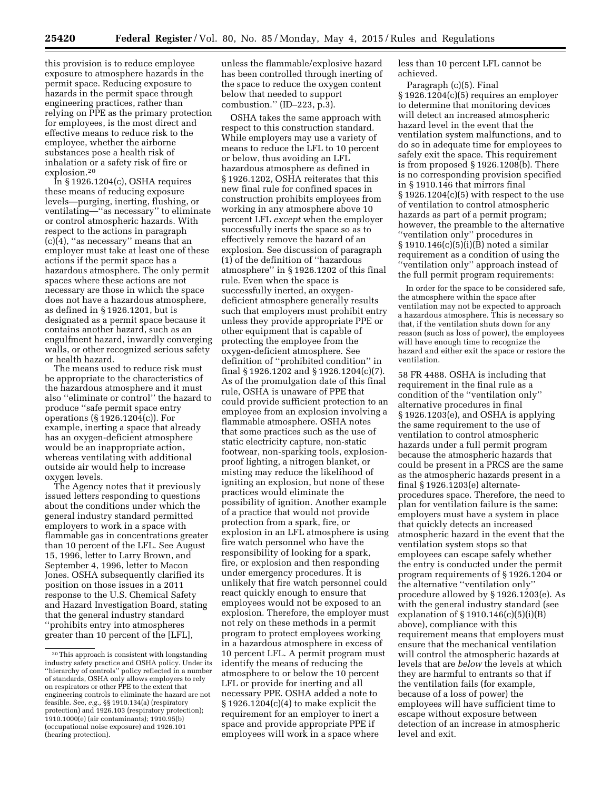this provision is to reduce employee exposure to atmosphere hazards in the permit space. Reducing exposure to hazards in the permit space through engineering practices, rather than relying on PPE as the primary protection for employees, is the most direct and effective means to reduce risk to the employee, whether the airborne substances pose a health risk of inhalation or a safety risk of fire or explosion.20

In § 1926.1204(c), OSHA requires these means of reducing exposure levels—purging, inerting, flushing, or ventilating—''as necessary'' to eliminate or control atmospheric hazards. With respect to the actions in paragraph (c)(4), ''as necessary'' means that an employer must take at least one of these actions if the permit space has a hazardous atmosphere. The only permit spaces where these actions are not necessary are those in which the space does not have a hazardous atmosphere, as defined in § 1926.1201, but is designated as a permit space because it contains another hazard, such as an engulfment hazard, inwardly converging walls, or other recognized serious safety or health hazard.

The means used to reduce risk must be appropriate to the characteristics of the hazardous atmosphere and it must also ''eliminate or control'' the hazard to produce ''safe permit space entry operations (§ 1926.1204(c)). For example, inerting a space that already has an oxygen-deficient atmosphere would be an inappropriate action, whereas ventilating with additional outside air would help to increase oxygen levels.

The Agency notes that it previously issued letters responding to questions about the conditions under which the general industry standard permitted employers to work in a space with flammable gas in concentrations greater than 10 percent of the LFL. See August 15, 1996, letter to Larry Brown, and September 4, 1996, letter to Macon Jones. OSHA subsequently clarified its position on those issues in a 2011 response to the U.S. Chemical Safety and Hazard Investigation Board, stating that the general industry standard ''prohibits entry into atmospheres greater than 10 percent of the [LFL],

unless the flammable/explosive hazard has been controlled through inerting of the space to reduce the oxygen content below that needed to support combustion.'' (ID–223, p.3).

OSHA takes the same approach with respect to this construction standard. While employers may use a variety of means to reduce the LFL to 10 percent or below, thus avoiding an LFL hazardous atmosphere as defined in § 1926.1202, OSHA reiterates that this new final rule for confined spaces in construction prohibits employees from working in any atmosphere above 10 percent LFL *except* when the employer successfully inerts the space so as to effectively remove the hazard of an explosion. See discussion of paragraph (1) of the definition of ''hazardous atmosphere'' in § 1926.1202 of this final rule. Even when the space is successfully inerted, an oxygendeficient atmosphere generally results such that employers must prohibit entry unless they provide appropriate PPE or other equipment that is capable of protecting the employee from the oxygen-deficient atmosphere. See definition of ''prohibited condition'' in final § 1926.1202 and § 1926.1204(c)(7). As of the promulgation date of this final rule, OSHA is unaware of PPE that could provide sufficient protection to an employee from an explosion involving a flammable atmosphere. OSHA notes that some practices such as the use of static electricity capture, non-static footwear, non-sparking tools, explosionproof lighting, a nitrogen blanket, or misting may reduce the likelihood of igniting an explosion, but none of these practices would eliminate the possibility of ignition. Another example of a practice that would not provide protection from a spark, fire, or explosion in an LFL atmosphere is using fire watch personnel who have the responsibility of looking for a spark, fire, or explosion and then responding under emergency procedures. It is unlikely that fire watch personnel could react quickly enough to ensure that employees would not be exposed to an explosion. Therefore, the employer must not rely on these methods in a permit program to protect employees working in a hazardous atmosphere in excess of 10 percent LFL. A permit program must identify the means of reducing the atmosphere to or below the 10 percent LFL or provide for inerting and all necessary PPE. OSHA added a note to § 1926.1204(c)(4) to make explicit the requirement for an employer to inert a space and provide appropriate PPE if employees will work in a space where

less than 10 percent LFL cannot be achieved.

Paragraph (c)(5). Final § 1926.1204(c)(5) requires an employer to determine that monitoring devices will detect an increased atmospheric hazard level in the event that the ventilation system malfunctions, and to do so in adequate time for employees to safely exit the space. This requirement is from proposed § 1926.1208(b). There is no corresponding provision specified in § 1910.146 that mirrors final  $\S 1926.1204(c)(5)$  with respect to the use of ventilation to control atmospheric hazards as part of a permit program; however, the preamble to the alternative ''ventilation only'' procedures in § 1910.146(c)(5)(i)(B) noted a similar requirement as a condition of using the ''ventilation only'' approach instead of the full permit program requirements:

In order for the space to be considered safe, the atmosphere within the space after ventilation may not be expected to approach a hazardous atmosphere. This is necessary so that, if the ventilation shuts down for any reason (such as loss of power), the employees will have enough time to recognize the hazard and either exit the space or restore the ventilation.

58 FR 4488. OSHA is including that requirement in the final rule as a condition of the ''ventilation only'' alternative procedures in final § 1926.1203(e), and OSHA is applying the same requirement to the use of ventilation to control atmospheric hazards under a full permit program because the atmospheric hazards that could be present in a PRCS are the same as the atmospheric hazards present in a final § 1926.1203(e) alternateprocedures space. Therefore, the need to plan for ventilation failure is the same: employers must have a system in place that quickly detects an increased atmospheric hazard in the event that the ventilation system stops so that employees can escape safely whether the entry is conducted under the permit program requirements of § 1926.1204 or the alternative ''ventilation only'' procedure allowed by § 1926.1203(e). As with the general industry standard (see explanation of § 1910.146(c)(5)(i)(B) above), compliance with this requirement means that employers must ensure that the mechanical ventilation will control the atmospheric hazards at levels that are *below* the levels at which they are harmful to entrants so that if the ventilation fails (for example, because of a loss of power) the employees will have sufficient time to escape without exposure between detection of an increase in atmospheric level and exit.

<sup>20</sup>This approach is consistent with longstanding industry safety practice and OSHA policy. Under its ''hierarchy of controls'' policy reflected in a number of standards, OSHA only allows employers to rely on respirators or other PPE to the extent that engineering controls to eliminate the hazard are not feasible. See, *e.g.,* §§ 1910.134(a) (respiratory protection) and 1926.103 (respiratory protection); 1910.1000(e) (air contaminants); 1910.95(b) (occupational noise exposure) and 1926.101 (hearing protection).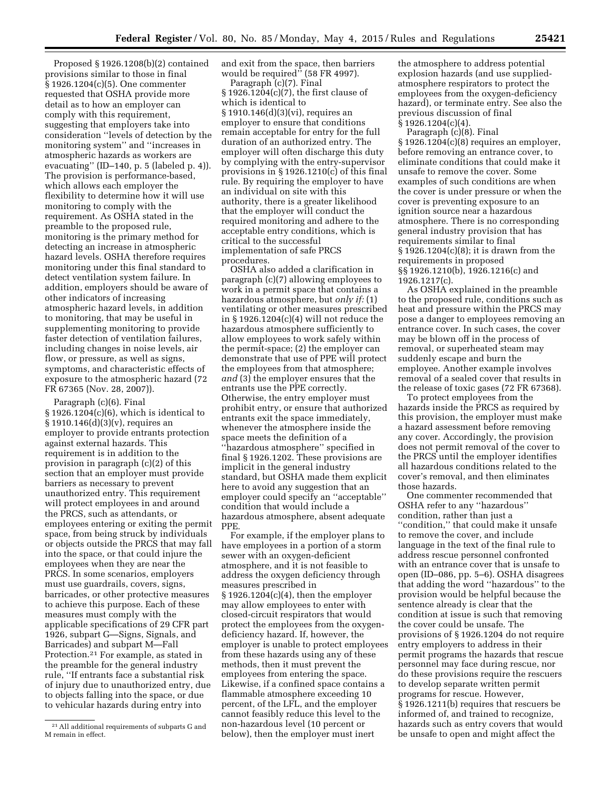Proposed § 1926.1208(b)(2) contained provisions similar to those in final § 1926.1204(c)(5). One commenter requested that OSHA provide more detail as to how an employer can comply with this requirement, suggesting that employers take into consideration ''levels of detection by the monitoring system'' and ''increases in atmospheric hazards as workers are evacuating'' (ID–140, p. 5 (labeled p. 4)). The provision is performance-based, which allows each employer the flexibility to determine how it will use monitoring to comply with the requirement. As OSHA stated in the preamble to the proposed rule, monitoring is the primary method for detecting an increase in atmospheric hazard levels. OSHA therefore requires monitoring under this final standard to detect ventilation system failure. In addition, employers should be aware of other indicators of increasing atmospheric hazard levels, in addition to monitoring, that may be useful in supplementing monitoring to provide faster detection of ventilation failures, including changes in noise levels, air flow, or pressure, as well as signs, symptoms, and characteristic effects of exposure to the atmospheric hazard (72 FR 67365 (Nov. 28, 2007)).

Paragraph (c)(6). Final § 1926.1204(c)(6), which is identical to § 1910.146(d)(3)(v), requires an employer to provide entrants protection against external hazards. This requirement is in addition to the provision in paragraph (c)(2) of this section that an employer must provide barriers as necessary to prevent unauthorized entry. This requirement will protect employees in and around the PRCS, such as attendants, or employees entering or exiting the permit space, from being struck by individuals or objects outside the PRCS that may fall into the space, or that could injure the employees when they are near the PRCS. In some scenarios, employers must use guardrails, covers, signs, barricades, or other protective measures to achieve this purpose. Each of these measures must comply with the applicable specifications of 29 CFR part 1926, subpart G—Signs, Signals, and Barricades) and subpart M—Fall Protection.21 For example, as stated in the preamble for the general industry rule, ''If entrants face a substantial risk of injury due to unauthorized entry, due to objects falling into the space, or due to vehicular hazards during entry into

and exit from the space, then barriers would be required'' (58 FR 4997).

Paragraph (c)(7). Final § 1926.1204(c)(7), the first clause of which is identical to § 1910.146(d)(3)(vi), requires an employer to ensure that conditions remain acceptable for entry for the full duration of an authorized entry. The employer will often discharge this duty by complying with the entry-supervisor provisions in § 1926.1210(c) of this final rule. By requiring the employer to have an individual on site with this authority, there is a greater likelihood that the employer will conduct the required monitoring and adhere to the acceptable entry conditions, which is critical to the successful implementation of safe PRCS procedures.

OSHA also added a clarification in paragraph (c)(7) allowing employees to work in a permit space that contains a hazardous atmosphere, but *only if:* (1) ventilating or other measures prescribed in § 1926.1204(c)(4) will not reduce the hazardous atmosphere sufficiently to allow employees to work safely within the permit-space; (2) the employer can demonstrate that use of PPE will protect the employees from that atmosphere; *and* (3) the employer ensures that the entrants use the PPE correctly. Otherwise, the entry employer must prohibit entry, or ensure that authorized entrants exit the space immediately, whenever the atmosphere inside the space meets the definition of a ''hazardous atmosphere'' specified in final § 1926.1202. These provisions are implicit in the general industry standard, but OSHA made them explicit here to avoid any suggestion that an employer could specify an ''acceptable'' condition that would include a hazardous atmosphere, absent adequate PPE.

For example, if the employer plans to have employees in a portion of a storm sewer with an oxygen-deficient atmosphere, and it is not feasible to address the oxygen deficiency through measures prescribed in § 1926.1204(c)(4), then the employer may allow employees to enter with closed-circuit respirators that would protect the employees from the oxygendeficiency hazard. If, however, the employer is unable to protect employees from these hazards using any of these methods, then it must prevent the employees from entering the space. Likewise, if a confined space contains a flammable atmosphere exceeding 10 percent, of the LFL, and the employer cannot feasibly reduce this level to the non-hazardous level (10 percent or below), then the employer must inert

the atmosphere to address potential explosion hazards (and use suppliedatmosphere respirators to protect the employees from the oxygen-deficiency hazard), or terminate entry. See also the previous discussion of final  $§ 1926.1204(c)(4).$ 

Paragraph (c)(8). Final § 1926.1204(c)(8) requires an employer, before removing an entrance cover, to eliminate conditions that could make it unsafe to remove the cover. Some examples of such conditions are when the cover is under pressure or when the cover is preventing exposure to an ignition source near a hazardous atmosphere. There is no corresponding general industry provision that has requirements similar to final § 1926.1204(c)(8); it is drawn from the requirements in proposed §§ 1926.1210(b), 1926.1216(c) and 1926.1217(c).

As OSHA explained in the preamble to the proposed rule, conditions such as heat and pressure within the PRCS may pose a danger to employees removing an entrance cover. In such cases, the cover may be blown off in the process of removal, or superheated steam may suddenly escape and burn the employee. Another example involves removal of a sealed cover that results in the release of toxic gases (72 FR 67368).

To protect employees from the hazards inside the PRCS as required by this provision, the employer must make a hazard assessment before removing any cover. Accordingly, the provision does not permit removal of the cover to the PRCS until the employer identifies all hazardous conditions related to the cover's removal, and then eliminates those hazards.

One commenter recommended that OSHA refer to any ''hazardous'' condition, rather than just a ''condition,'' that could make it unsafe to remove the cover, and include language in the text of the final rule to address rescue personnel confronted with an entrance cover that is unsafe to open (ID–086, pp. 5–6). OSHA disagrees that adding the word ''hazardous'' to the provision would be helpful because the sentence already is clear that the condition at issue is such that removing the cover could be unsafe. The provisions of § 1926.1204 do not require entry employers to address in their permit programs the hazards that rescue personnel may face during rescue, nor do these provisions require the rescuers to develop separate written permit programs for rescue. However, § 1926.1211(b) requires that rescuers be informed of, and trained to recognize, hazards such as entry covers that would be unsafe to open and might affect the

<sup>21</sup>All additional requirements of subparts G and M remain in effect.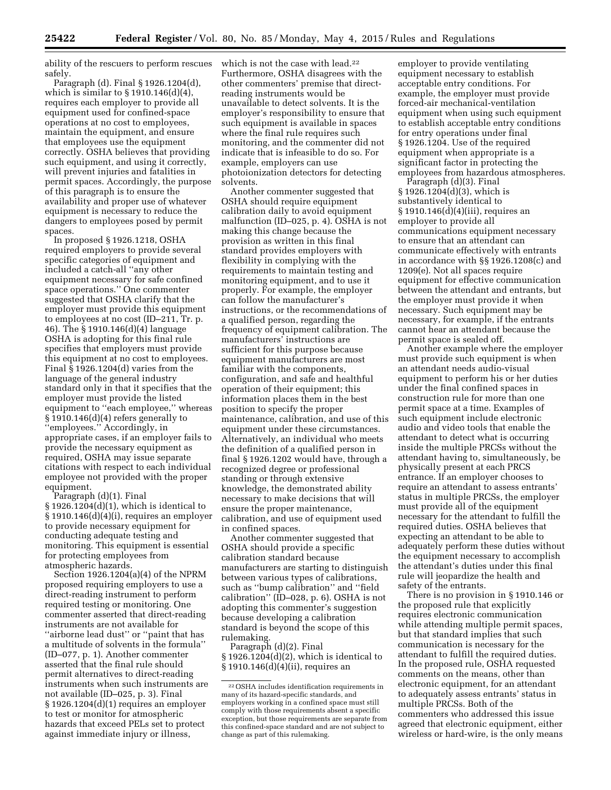ability of the rescuers to perform rescues safely.

Paragraph (d). Final § 1926.1204(d), which is similar to  $\S 1910.146(d)(4)$ , requires each employer to provide all equipment used for confined-space operations at no cost to employees, maintain the equipment, and ensure that employees use the equipment correctly. OSHA believes that providing such equipment, and using it correctly, will prevent injuries and fatalities in permit spaces. Accordingly, the purpose of this paragraph is to ensure the availability and proper use of whatever equipment is necessary to reduce the dangers to employees posed by permit spaces.

In proposed § 1926.1218, OSHA required employers to provide several specific categories of equipment and included a catch-all ''any other equipment necessary for safe confined space operations.'' One commenter suggested that OSHA clarify that the employer must provide this equipment to employees at no cost (ID–211, Tr. p. 46). The § 1910.146(d)(4) language OSHA is adopting for this final rule specifies that employers must provide this equipment at no cost to employees. Final  $\S$  1926.1204(d) varies from the language of the general industry standard only in that it specifies that the employer must provide the listed equipment to ''each employee,'' whereas  $\S 1910.146(d)(4)$  refers generally to ''employees.'' Accordingly, in appropriate cases, if an employer fails to provide the necessary equipment as required, OSHA may issue separate citations with respect to each individual employee not provided with the proper equipment.

Paragraph (d)(1). Final § 1926.1204(d)(1), which is identical to § 1910.146(d)(4)(i), requires an employer to provide necessary equipment for conducting adequate testing and monitoring. This equipment is essential for protecting employees from atmospheric hazards.

Section 1926.1204(a)(4) of the NPRM proposed requiring employers to use a direct-reading instrument to perform required testing or monitoring. One commenter asserted that direct-reading instruments are not available for ''airborne lead dust'' or ''paint that has a multitude of solvents in the formula'' (ID–077, p. 1). Another commenter asserted that the final rule should permit alternatives to direct-reading instruments when such instruments are not available (ID–025, p. 3). Final § 1926.1204(d)(1) requires an employer to test or monitor for atmospheric hazards that exceed PELs set to protect against immediate injury or illness,

which is not the case with lead.<sup>22</sup> Furthermore, OSHA disagrees with the other commenters' premise that directreading instruments would be unavailable to detect solvents. It is the employer's responsibility to ensure that such equipment is available in spaces where the final rule requires such monitoring, and the commenter did not indicate that is infeasible to do so. For example, employers can use photoionization detectors for detecting solvents.

Another commenter suggested that OSHA should require equipment calibration daily to avoid equipment malfunction (ID–025, p. 4). OSHA is not making this change because the provision as written in this final standard provides employers with flexibility in complying with the requirements to maintain testing and monitoring equipment, and to use it properly. For example, the employer can follow the manufacturer's instructions, or the recommendations of a qualified person, regarding the frequency of equipment calibration. The manufacturers' instructions are sufficient for this purpose because equipment manufacturers are most familiar with the components, configuration, and safe and healthful operation of their equipment; this information places them in the best position to specify the proper maintenance, calibration, and use of this equipment under these circumstances. Alternatively, an individual who meets the definition of a qualified person in final § 1926.1202 would have, through a recognized degree or professional standing or through extensive knowledge, the demonstrated ability necessary to make decisions that will ensure the proper maintenance, calibration, and use of equipment used in confined spaces.

Another commenter suggested that OSHA should provide a specific calibration standard because manufacturers are starting to distinguish between various types of calibrations, such as ''bump calibration'' and ''field calibration'' (ID–028, p. 6). OSHA is not adopting this commenter's suggestion because developing a calibration standard is beyond the scope of this rulemaking.

Paragraph (d)(2). Final § 1926.1204(d)(2), which is identical to § 1910.146(d)(4)(ii), requires an

employer to provide ventilating equipment necessary to establish acceptable entry conditions. For example, the employer must provide forced-air mechanical-ventilation equipment when using such equipment to establish acceptable entry conditions for entry operations under final § 1926.1204. Use of the required equipment when appropriate is a significant factor in protecting the employees from hazardous atmospheres.

Paragraph (d)(3). Final § 1926.1204(d)(3), which is substantively identical to § 1910.146(d)(4)(iii), requires an employer to provide all communications equipment necessary to ensure that an attendant can communicate effectively with entrants in accordance with §§ 1926.1208(c) and 1209(e). Not all spaces require equipment for effective communication between the attendant and entrants, but the employer must provide it when necessary. Such equipment may be necessary, for example, if the entrants cannot hear an attendant because the permit space is sealed off.

Another example where the employer must provide such equipment is when an attendant needs audio-visual equipment to perform his or her duties under the final confined spaces in construction rule for more than one permit space at a time. Examples of such equipment include electronic audio and video tools that enable the attendant to detect what is occurring inside the multiple PRCSs without the attendant having to, simultaneously, be physically present at each PRCS entrance. If an employer chooses to require an attendant to assess entrants' status in multiple PRCSs, the employer must provide all of the equipment necessary for the attendant to fulfill the required duties. OSHA believes that expecting an attendant to be able to adequately perform these duties without the equipment necessary to accomplish the attendant's duties under this final rule will jeopardize the health and safety of the entrants.

There is no provision in § 1910.146 or the proposed rule that explicitly requires electronic communication while attending multiple permit spaces, but that standard implies that such communication is necessary for the attendant to fulfill the required duties. In the proposed rule, OSHA requested comments on the means, other than electronic equipment, for an attendant to adequately assess entrants' status in multiple PRCSs. Both of the commenters who addressed this issue agreed that electronic equipment, either wireless or hard-wire, is the only means

<sup>22</sup>OSHA includes identification requirements in many of its hazard-specific standards, and employers working in a confined space must still comply with those requirements absent a specific exception, but those requirements are separate from this confined-space standard and are not subject to change as part of this rulemaking.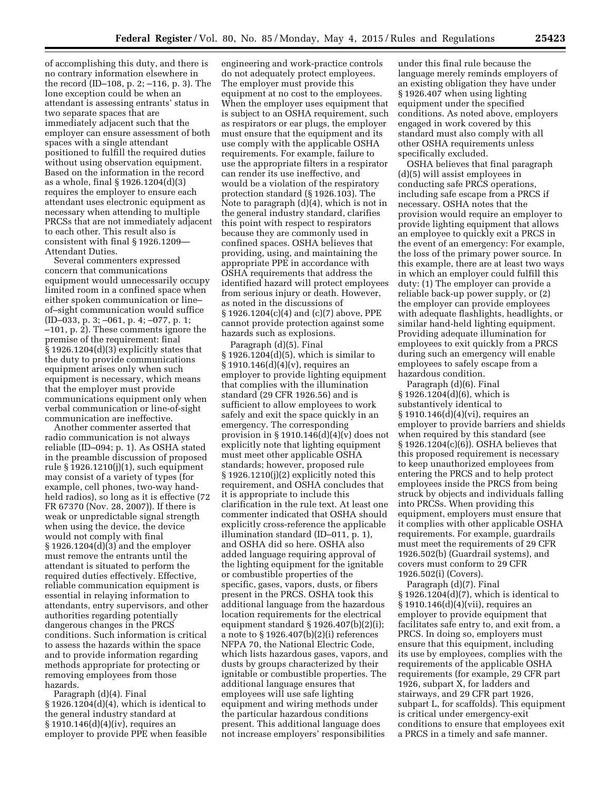of accomplishing this duty, and there is no contrary information elsewhere in the record (ID–108, p. 2; –116, p. 3). The lone exception could be when an attendant is assessing entrants' status in two separate spaces that are immediately adjacent such that the employer can ensure assessment of both spaces with a single attendant positioned to fulfill the required duties without using observation equipment. Based on the information in the record as a whole, final § 1926.1204(d)(3) requires the employer to ensure each attendant uses electronic equipment as necessary when attending to multiple PRCSs that are not immediately adjacent to each other. This result also is consistent with final § 1926.1209— Attendant Duties.

Several commenters expressed concern that communications equipment would unnecessarily occupy limited room in a confined space when either spoken communication or line– of–sight communication would suffice (ID–033, p. 3; –061, p. 4; –077, p. 1;  $-101$ , p. 2). These comments ignore the premise of the requirement: final § 1926.1204(d)(3) explicitly states that the duty to provide communications equipment arises only when such equipment is necessary, which means that the employer must provide communications equipment only when verbal communication or line-of-sight communication are ineffective.

Another commenter asserted that radio communication is not always reliable (ID–094; p. 1). As OSHA stated in the preamble discussion of proposed rule § 1926.1210(j)(1), such equipment may consist of a variety of types (for example, cell phones, two-way handheld radios), so long as it is effective (72 FR 67370 (Nov. 28, 2007)). If there is weak or unpredictable signal strength when using the device, the device would not comply with final § 1926.1204(d)(3) and the employer must remove the entrants until the attendant is situated to perform the required duties effectively. Effective, reliable communication equipment is essential in relaying information to attendants, entry supervisors, and other authorities regarding potentially dangerous changes in the PRCS conditions. Such information is critical to assess the hazards within the space and to provide information regarding methods appropriate for protecting or removing employees from those hazards.

Paragraph (d)(4). Final § 1926.1204(d)(4), which is identical to the general industry standard at § 1910.146(d)(4)(iv), requires an employer to provide PPE when feasible

engineering and work-practice controls do not adequately protect employees. The employer must provide this equipment at no cost to the employees. When the employer uses equipment that is subject to an OSHA requirement, such as respirators or ear plugs, the employer must ensure that the equipment and its use comply with the applicable OSHA requirements. For example, failure to use the appropriate filters in a respirator can render its use ineffective, and would be a violation of the respiratory protection standard (§ 1926.103). The Note to paragraph (d)(4), which is not in the general industry standard, clarifies this point with respect to respirators because they are commonly used in confined spaces. OSHA believes that providing, using, and maintaining the appropriate PPE in accordance with OSHA requirements that address the identified hazard will protect employees from serious injury or death. However, as noted in the discussions of § 1926.1204(c)(4) and (c)(7) above, PPE cannot provide protection against some hazards such as explosions.

Paragraph (d)(5). Final § 1926.1204(d)(5), which is similar to § 1910.146(d)(4)(v), requires an employer to provide lighting equipment that complies with the illumination standard (29 CFR 1926.56) and is sufficient to allow employees to work safely and exit the space quickly in an emergency. The corresponding provision in  $\S 1910.146(d)(4)(v)$  does not explicitly note that lighting equipment must meet other applicable OSHA standards; however, proposed rule § 1926.1210(j)(2) explicitly noted this requirement, and OSHA concludes that it is appropriate to include this clarification in the rule text. At least one commenter indicated that OSHA should explicitly cross-reference the applicable illumination standard (ID–011, p. 1), and OSHA did so here. OSHA also added language requiring approval of the lighting equipment for the ignitable or combustible properties of the specific, gases, vapors, dusts, or fibers present in the PRCS. OSHA took this additional language from the hazardous location requirements for the electrical equipment standard § 1926.407(b)(2)(i); a note to  $\S 1926.407(b)(2)(i)$  references NFPA 70, the National Electric Code, which lists hazardous gases, vapors, and dusts by groups characterized by their ignitable or combustible properties. The additional language ensures that employees will use safe lighting equipment and wiring methods under the particular hazardous conditions present. This additional language does not increase employers' responsibilities

under this final rule because the language merely reminds employers of an existing obligation they have under § 1926.407 when using lighting equipment under the specified conditions. As noted above, employers engaged in work covered by this standard must also comply with all other OSHA requirements unless specifically excluded.

OSHA believes that final paragraph (d)(5) will assist employees in conducting safe PRCS operations, including safe escape from a PRCS if necessary. OSHA notes that the provision would require an employer to provide lighting equipment that allows an employee to quickly exit a PRCS in the event of an emergency: For example, the loss of the primary power source. In this example, there are at least two ways in which an employer could fulfill this duty: (1) The employer can provide a reliable back-up power supply, or (2) the employer can provide employees with adequate flashlights, headlights, or similar hand-held lighting equipment. Providing adequate illumination for employees to exit quickly from a PRCS during such an emergency will enable employees to safely escape from a hazardous condition.

Paragraph (d)(6). Final § 1926.1204(d)(6), which is substantively identical to § 1910.146(d)(4)(vi), requires an employer to provide barriers and shields when required by this standard (see § 1926.1204(c)(6)). OSHA believes that this proposed requirement is necessary to keep unauthorized employees from entering the PRCS and to help protect employees inside the PRCS from being struck by objects and individuals falling into PRCSs. When providing this equipment, employers must ensure that it complies with other applicable OSHA requirements. For example, guardrails must meet the requirements of 29 CFR 1926.502(b) (Guardrail systems), and covers must conform to 29 CFR 1926.502(i) (Covers).

Paragraph (d)(7). Final § 1926.1204(d)(7), which is identical to § 1910.146(d)(4)(vii), requires an employer to provide equipment that facilitates safe entry to, and exit from, a PRCS. In doing so, employers must ensure that this equipment, including its use by employees, complies with the requirements of the applicable OSHA requirements (for example, 29 CFR part 1926, subpart X, for ladders and stairways, and 29 CFR part 1926, subpart L, for scaffolds). This equipment is critical under emergency-exit conditions to ensure that employees exit a PRCS in a timely and safe manner.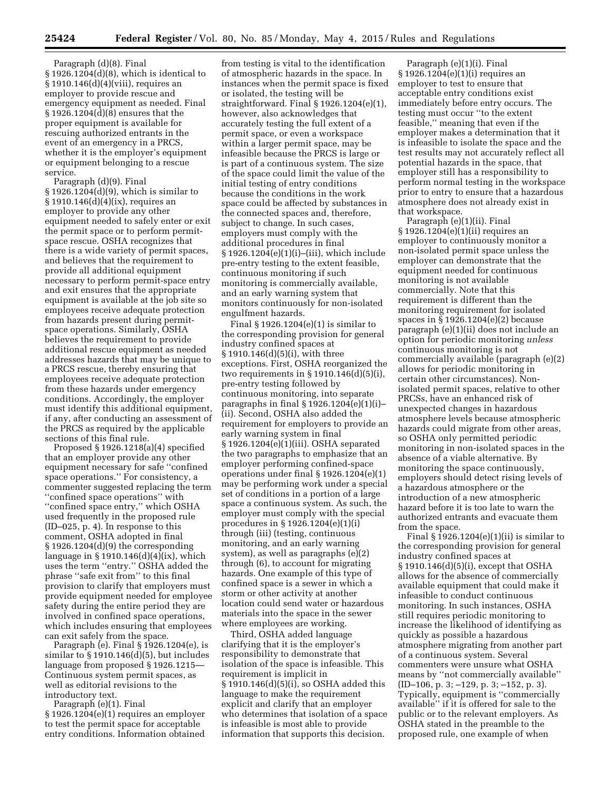Paragraph (d)(8). Final § 1926.1204(d)(8), which is identical to § 1910.146(d)(4)(viii), requires an employer to provide rescue and emergency equipment as needed. Final § 1926.1204(d)(8) ensures that the proper equipment is available for rescuing authorized entrants in the event of an emergency in a PRCS, whether it is the employer's equipment or equipment belonging to a rescue service.

Paragraph (d)(9). Final § 1926.1204(d)(9), which is similar to § 1910.146(d)(4)(ix), requires an employer to provide any other equipment needed to safely enter or exit the permit space or to perform permitspace rescue. OSHA recognizes that there is a wide variety of permit spaces, and believes that the requirement to provide all additional equipment necessary to perform permit-space entry and exit ensures that the appropriate equipment is available at the job site so employees receive adequate protection from hazards present during permitspace operations. Similarly, OSHA believes the requirement to provide additional rescue equipment as needed addresses hazards that may be unique to a PRCS rescue, thereby ensuring that employees receive adequate protection from these hazards under emergency conditions. Accordingly, the employer must identify this additional equipment, if any, after conducting an assessment of the PRCS as required by the applicable sections of this final rule.

Proposed § 1926.1218(a)(4) specified that an employer provide any other equipment necessary for safe ''confined space operations." For consistency, a commenter suggested replacing the term ''confined space operations'' with ''confined space entry,'' which OSHA used frequently in the proposed rule (ID–025, p. 4). In response to this comment, OSHA adopted in final § 1926.1204(d)(9) the corresponding language in § 1910.146 $(d)(4)$  $(ix)$ , which uses the term ''entry.'' OSHA added the phrase ''safe exit from'' to this final provision to clarify that employers must provide equipment needed for employee safety during the entire period they are involved in confined space operations, which includes ensuring that employees can exit safely from the space.

Paragraph (e). Final § 1926.1204(e), is similar to  $\S 1910.146(d)(5)$ , but includes language from proposed § 1926.1215— Continuous system permit spaces, as well as editorial revisions to the introductory text.

Paragraph (e)(1). Final

§ 1926.1204(e)(1) requires an employer to test the permit space for acceptable entry conditions. Information obtained

from testing is vital to the identification of atmospheric hazards in the space. In instances when the permit space is fixed or isolated, the testing will be straightforward. Final § 1926.1204(e)(1), however, also acknowledges that accurately testing the full extent of a permit space, or even a workspace within a larger permit space, may be infeasible because the PRCS is large or is part of a continuous system. The size of the space could limit the value of the initial testing of entry conditions because the conditions in the work space could be affected by substances in the connected spaces and, therefore, subject to change. In such cases, employers must comply with the additional procedures in final § 1926.1204(e)(1)(i)–(iii), which include pre-entry testing to the extent feasible, continuous monitoring if such monitoring is commercially available, and an early warning system that monitors continuously for non-isolated engulfment hazards.

Final § 1926.1204(e)(1) is similar to the corresponding provision for general industry confined spaces at § 1910.146(d)(5)(i), with three exceptions. First, OSHA reorganized the two requirements in  $\S 1910.146(d)(5)(i)$ , pre-entry testing followed by continuous monitoring, into separate paragraphs in final  $\S 1926.1204(e)(1)(i)$ (ii). Second, OSHA also added the requirement for employers to provide an early warning system in final § 1926.1204(e)(1)(iii). OSHA separated the two paragraphs to emphasize that an employer performing confined-space operations under final § 1926.1204(e)(1) may be performing work under a special set of conditions in a portion of a large space a continuous system. As such, the employer must comply with the special procedures in § 1926.1204(e)(1)(i) through (iii) (testing, continuous monitoring, and an early warning system), as well as paragraphs (e)(2) through (6), to account for migrating hazards. One example of this type of confined space is a sewer in which a storm or other activity at another location could send water or hazardous materials into the space in the sewer where employees are working.

Third, OSHA added language clarifying that it is the employer's responsibility to demonstrate that isolation of the space is infeasible. This requirement is implicit in § 1910.146(d)(5)(i), so OSHA added this language to make the requirement explicit and clarify that an employer who determines that isolation of a space is infeasible is most able to provide information that supports this decision.

Paragraph (e)(1)(i). Final § 1926.1204(e)(1)(i) requires an employer to test to ensure that acceptable entry conditions exist immediately before entry occurs. The testing must occur ''to the extent feasible,'' meaning that even if the employer makes a determination that it is infeasible to isolate the space and the test results may not accurately reflect all potential hazards in the space, that employer still has a responsibility to perform normal testing in the workspace prior to entry to ensure that a hazardous atmosphere does not already exist in that workspace.

Paragraph (e)(1)(ii). Final § 1926.1204(e)(1)(ii) requires an employer to continuously monitor a non-isolated permit space unless the employer can demonstrate that the equipment needed for continuous monitoring is not available commercially. Note that this requirement is different than the monitoring requirement for isolated spaces in § 1926.1204(e)(2) because paragraph (e)(1)(ii) does not include an option for periodic monitoring *unless*  continuous monitoring is not commercially available (paragraph (e)(2) allows for periodic monitoring in certain other circumstances). Nonisolated permit spaces, relative to other PRCSs, have an enhanced risk of unexpected changes in hazardous atmosphere levels because atmospheric hazards could migrate from other areas, so OSHA only permitted periodic monitoring in non-isolated spaces in the absence of a viable alternative. By monitoring the space continuously, employers should detect rising levels of a hazardous atmosphere or the introduction of a new atmospheric hazard before it is too late to warn the authorized entrants and evacuate them from the space.

Final  $\S$  1926.1204(e)(1)(ii) is similar to the corresponding provision for general industry confined spaces at § 1910.146(d)(5)(i), except that OSHA allows for the absence of commercially available equipment that could make it infeasible to conduct continuous monitoring. In such instances, OSHA still requires periodic monitoring to increase the likelihood of identifying as quickly as possible a hazardous atmosphere migrating from another part of a continuous system. Several commenters were unsure what OSHA means by ''not commercially available'' (ID–106, p. 3; –129, p. 3; –152, p. 3). Typically, equipment is ''commercially available'' if it is offered for sale to the public or to the relevant employers. As OSHA stated in the preamble to the proposed rule, one example of when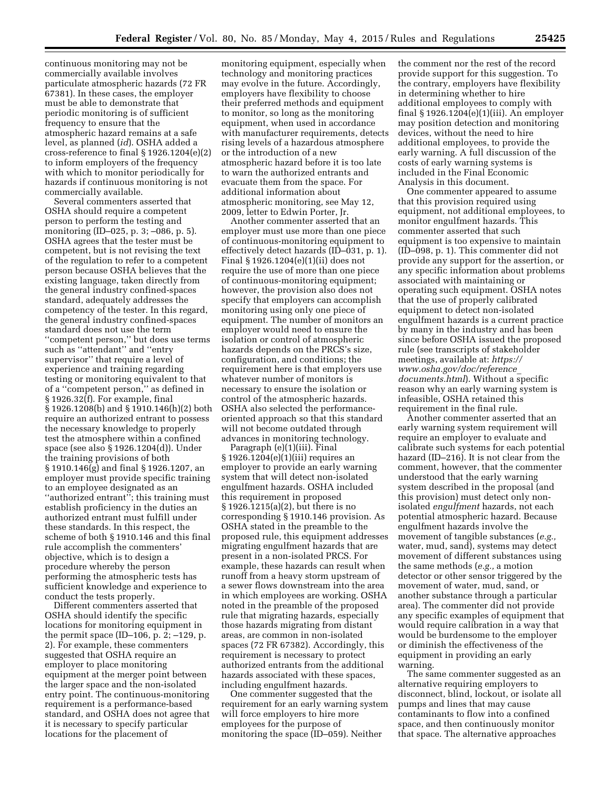continuous monitoring may not be commercially available involves particulate atmospheric hazards (72 FR 67381). In these cases, the employer must be able to demonstrate that periodic monitoring is of sufficient frequency to ensure that the atmospheric hazard remains at a safe level, as planned (*id*). OSHA added a cross-reference to final § 1926.1204(e)(2) to inform employers of the frequency with which to monitor periodically for hazards if continuous monitoring is not commercially available.

Several commenters asserted that OSHA should require a competent person to perform the testing and monitoring (ID–025, p. 3; –086, p. 5). OSHA agrees that the tester must be competent, but is not revising the text of the regulation to refer to a competent person because OSHA believes that the existing language, taken directly from the general industry confined-spaces standard, adequately addresses the competency of the tester. In this regard, the general industry confined-spaces standard does not use the term ''competent person,'' but does use terms such as ''attendant'' and ''entry supervisor'' that require a level of experience and training regarding testing or monitoring equivalent to that of a ''competent person,'' as defined in § 1926.32(f). For example, final § 1926.1208(b) and § 1910.146(h)(2) both require an authorized entrant to possess the necessary knowledge to properly test the atmosphere within a confined space (see also § 1926.1204(d)). Under the training provisions of both § 1910.146(g) and final § 1926.1207, an employer must provide specific training to an employee designated as an ''authorized entrant''; this training must establish proficiency in the duties an authorized entrant must fulfill under these standards. In this respect, the scheme of both § 1910.146 and this final rule accomplish the commenters' objective, which is to design a procedure whereby the person performing the atmospheric tests has sufficient knowledge and experience to conduct the tests properly.

Different commenters asserted that OSHA should identify the specific locations for monitoring equipment in the permit space (ID–106, p. 2; –129, p. 2). For example, these commenters suggested that OSHA require an employer to place monitoring equipment at the merger point between the larger space and the non-isolated entry point. The continuous-monitoring requirement is a performance-based standard, and OSHA does not agree that it is necessary to specify particular locations for the placement of

monitoring equipment, especially when technology and monitoring practices may evolve in the future. Accordingly, employers have flexibility to choose their preferred methods and equipment to monitor, so long as the monitoring equipment, when used in accordance with manufacturer requirements, detects rising levels of a hazardous atmosphere or the introduction of a new atmospheric hazard before it is too late to warn the authorized entrants and evacuate them from the space. For additional information about atmospheric monitoring, see May 12, 2009, letter to Edwin Porter, Jr.

Another commenter asserted that an employer must use more than one piece of continuous-monitoring equipment to effectively detect hazards (ID–031, p. 1). Final § 1926.1204(e)(1)(ii) does not require the use of more than one piece of continuous-monitoring equipment; however, the provision also does not specify that employers can accomplish monitoring using only one piece of equipment. The number of monitors an employer would need to ensure the isolation or control of atmospheric hazards depends on the PRCS's size, configuration, and conditions; the requirement here is that employers use whatever number of monitors is necessary to ensure the isolation or control of the atmospheric hazards. OSHA also selected the performanceoriented approach so that this standard will not become outdated through advances in monitoring technology.

Paragraph (e)(1)(iii). Final § 1926.1204(e)(1)(iii) requires an employer to provide an early warning system that will detect non-isolated engulfment hazards. OSHA included this requirement in proposed § 1926.1215(a)(2), but there is no corresponding § 1910.146 provision. As OSHA stated in the preamble to the proposed rule, this equipment addresses migrating engulfment hazards that are present in a non-isolated PRCS. For example, these hazards can result when runoff from a heavy storm upstream of a sewer flows downstream into the area in which employees are working. OSHA noted in the preamble of the proposed rule that migrating hazards, especially those hazards migrating from distant areas, are common in non-isolated spaces (72 FR 67382). Accordingly, this requirement is necessary to protect authorized entrants from the additional hazards associated with these spaces, including engulfment hazards.

One commenter suggested that the requirement for an early warning system will force employers to hire more employees for the purpose of monitoring the space (ID–059). Neither

the comment nor the rest of the record provide support for this suggestion. To the contrary, employers have flexibility in determining whether to hire additional employees to comply with final § 1926.1204(e)(1)(iii). An employer may position detection and monitoring devices, without the need to hire additional employees, to provide the early warning. A full discussion of the costs of early warning systems is included in the Final Economic Analysis in this document.

One commenter appeared to assume that this provision required using equipment, not additional employees, to monitor engulfment hazards. This commenter asserted that such equipment is too expensive to maintain (ID–098, p. 1). This commenter did not provide any support for the assertion, or any specific information about problems associated with maintaining or operating such equipment. OSHA notes that the use of properly calibrated equipment to detect non-isolated engulfment hazards is a current practice by many in the industry and has been since before OSHA issued the proposed rule (see transcripts of stakeholder meetings, available at: *[https://](https://www.osha.gov/doc/reference_documents.html) [www.osha.gov/doc/reference](https://www.osha.gov/doc/reference_documents.html)*\_ *[documents.html](https://www.osha.gov/doc/reference_documents.html)*). Without a specific reason why an early warning system is infeasible, OSHA retained this requirement in the final rule.

Another commenter asserted that an early warning system requirement will require an employer to evaluate and calibrate such systems for each potential hazard (ID–216). It is not clear from the comment, however, that the commenter understood that the early warning system described in the proposal (and this provision) must detect only nonisolated *engulfment* hazards, not each potential atmospheric hazard. Because engulfment hazards involve the movement of tangible substances (*e.g.,*  water, mud, sand), systems may detect movement of different substances using the same methods (*e.g.,* a motion detector or other sensor triggered by the movement of water, mud, sand, or another substance through a particular area). The commenter did not provide any specific examples of equipment that would require calibration in a way that would be burdensome to the employer or diminish the effectiveness of the equipment in providing an early warning.

The same commenter suggested as an alternative requiring employers to disconnect, blind, lockout, or isolate all pumps and lines that may cause contaminants to flow into a confined space, and then continuously monitor that space. The alternative approaches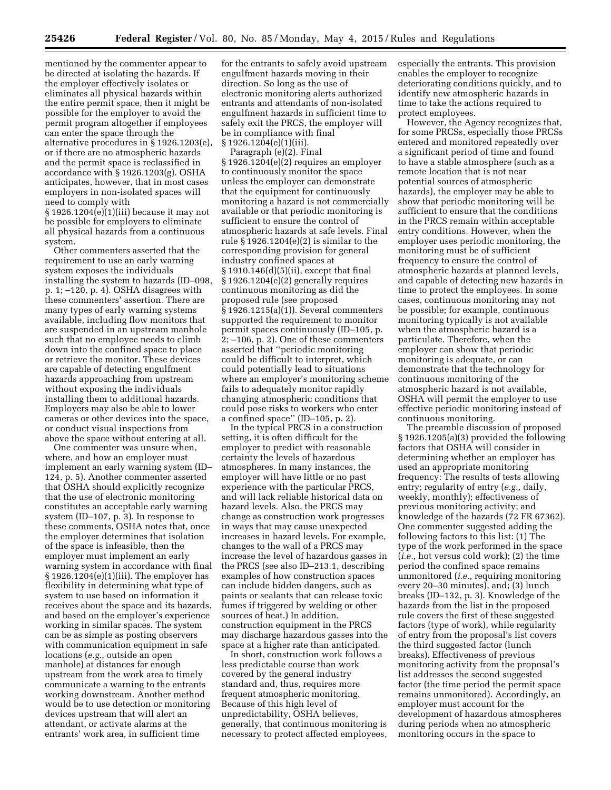mentioned by the commenter appear to be directed at isolating the hazards. If the employer effectively isolates or eliminates all physical hazards within the entire permit space, then it might be possible for the employer to avoid the permit program altogether if employees can enter the space through the alternative procedures in § 1926.1203(e), or if there are no atmospheric hazards and the permit space is reclassified in accordance with § 1926.1203(g). OSHA anticipates, however, that in most cases employers in non-isolated spaces will need to comply with § 1926.1204(e)(1)(iii) because it may not

be possible for employers to eliminate all physical hazards from a continuous system.

Other commenters asserted that the requirement to use an early warning system exposes the individuals installing the system to hazards (ID–098, p. 1; –120, p. 4). OSHA disagrees with these commenters' assertion. There are many types of early warning systems available, including flow monitors that are suspended in an upstream manhole such that no employee needs to climb down into the confined space to place or retrieve the monitor. These devices are capable of detecting engulfment hazards approaching from upstream without exposing the individuals installing them to additional hazards. Employers may also be able to lower cameras or other devices into the space, or conduct visual inspections from above the space without entering at all.

One commenter was unsure when, where, and how an employer must implement an early warning system (ID– 124, p. 5). Another commenter asserted that OSHA should explicitly recognize that the use of electronic monitoring constitutes an acceptable early warning system (ID–107, p. 3). In response to these comments, OSHA notes that, once the employer determines that isolation of the space is infeasible, then the employer must implement an early warning system in accordance with final § 1926.1204(e)(1)(iii). The employer has flexibility in determining what type of system to use based on information it receives about the space and its hazards, and based on the employer's experience working in similar spaces. The system can be as simple as posting observers with communication equipment in safe locations (*e.g.,* outside an open manhole) at distances far enough upstream from the work area to timely communicate a warning to the entrants working downstream. Another method would be to use detection or monitoring devices upstream that will alert an attendant, or activate alarms at the entrants' work area, in sufficient time

for the entrants to safely avoid upstream engulfment hazards moving in their direction. So long as the use of electronic monitoring alerts authorized entrants and attendants of non-isolated engulfment hazards in sufficient time to safely exit the PRCS, the employer will be in compliance with final § 1926.1204(e)(1)(iii).

Paragraph (e)(2). Final § 1926.1204(e)(2) requires an employer to continuously monitor the space unless the employer can demonstrate that the equipment for continuously monitoring a hazard is not commercially available or that periodic monitoring is sufficient to ensure the control of atmospheric hazards at safe levels. Final rule § 1926.1204(e)(2) is similar to the corresponding provision for general industry confined spaces at § 1910.146(d)(5)(ii), except that final § 1926.1204(e)(2) generally requires continuous monitoring as did the proposed rule (see proposed § 1926.1215(a)(1)). Several commenters supported the requirement to monitor permit spaces continuously (ID–105, p. 2; –106, p. 2). One of these commenters asserted that ''periodic monitoring could be difficult to interpret, which could potentially lead to situations where an employer's monitoring scheme fails to adequately monitor rapidly changing atmospheric conditions that could pose risks to workers who enter a confined space'' (ID–105, p. 2).

In the typical PRCS in a construction setting, it is often difficult for the employer to predict with reasonable certainty the levels of hazardous atmospheres. In many instances, the employer will have little or no past experience with the particular PRCS, and will lack reliable historical data on hazard levels. Also, the PRCS may change as construction work progresses in ways that may cause unexpected increases in hazard levels. For example, changes to the wall of a PRCS may increase the level of hazardous gasses in the PRCS (see also ID–213.1, describing examples of how construction spaces can include hidden dangers, such as paints or sealants that can release toxic fumes if triggered by welding or other sources of heat.) In addition, construction equipment in the PRCS may discharge hazardous gasses into the space at a higher rate than anticipated.

In short, construction work follows a less predictable course than work covered by the general industry standard and, thus, requires more frequent atmospheric monitoring. Because of this high level of unpredictability, OSHA believes, generally, that continuous monitoring is necessary to protect affected employees, especially the entrants. This provision enables the employer to recognize deteriorating conditions quickly, and to identify new atmospheric hazards in time to take the actions required to protect employees.

However, the Agency recognizes that, for some PRCSs, especially those PRCSs entered and monitored repeatedly over a significant period of time and found to have a stable atmosphere (such as a remote location that is not near potential sources of atmospheric hazards), the employer may be able to show that periodic monitoring will be sufficient to ensure that the conditions in the PRCS remain within acceptable entry conditions. However, when the employer uses periodic monitoring, the monitoring must be of sufficient frequency to ensure the control of atmospheric hazards at planned levels, and capable of detecting new hazards in time to protect the employees. In some cases, continuous monitoring may not be possible; for example, continuous monitoring typically is not available when the atmospheric hazard is a particulate. Therefore, when the employer can show that periodic monitoring is adequate, or can demonstrate that the technology for continuous monitoring of the atmospheric hazard is not available, OSHA will permit the employer to use effective periodic monitoring instead of continuous monitoring.

The preamble discussion of proposed § 1926.1205(a)(3) provided the following factors that OSHA will consider in determining whether an employer has used an appropriate monitoring frequency: The results of tests allowing entry; regularity of entry (*e.g.,* daily, weekly, monthly); effectiveness of previous monitoring activity; and knowledge of the hazards (72 FR 67362). One commenter suggested adding the following factors to this list: (1) The type of the work performed in the space (*i.e.,* hot versus cold work); (2) the time period the confined space remains unmonitored (*i.e.,* requiring monitoring every 20–30 minutes), and; (3) lunch breaks (ID–132, p. 3). Knowledge of the hazards from the list in the proposed rule covers the first of these suggested factors (type of work), while regularity of entry from the proposal's list covers the third suggested factor (lunch breaks). Effectiveness of previous monitoring activity from the proposal's list addresses the second suggested factor (the time period the permit space remains unmonitored). Accordingly, an employer must account for the development of hazardous atmospheres during periods when no atmospheric monitoring occurs in the space to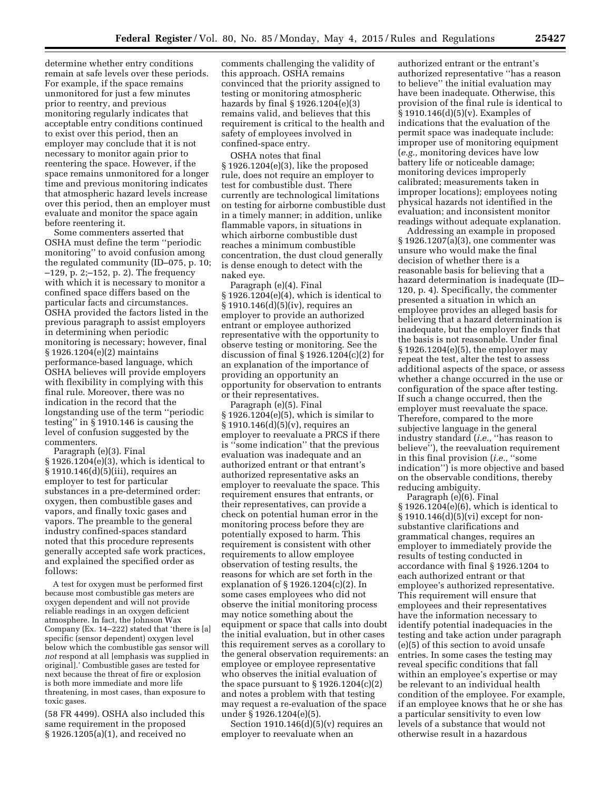determine whether entry conditions remain at safe levels over these periods. For example, if the space remains unmonitored for just a few minutes prior to reentry, and previous monitoring regularly indicates that acceptable entry conditions continued to exist over this period, then an employer may conclude that it is not necessary to monitor again prior to reentering the space. However, if the space remains unmonitored for a longer time and previous monitoring indicates that atmospheric hazard levels increase over this period, then an employer must evaluate and monitor the space again before reentering it.

Some commenters asserted that OSHA must define the term ''periodic monitoring'' to avoid confusion among the regulated community (ID–075, p. 10; –129, p. 2;–152, p. 2). The frequency with which it is necessary to monitor a confined space differs based on the particular facts and circumstances. OSHA provided the factors listed in the previous paragraph to assist employers in determining when periodic monitoring is necessary; however, final § 1926.1204(e)(2) maintains performance-based language, which OSHA believes will provide employers with flexibility in complying with this final rule. Moreover, there was no indication in the record that the longstanding use of the term ''periodic testing'' in § 1910.146 is causing the level of confusion suggested by the commenters.

Paragraph (e)(3). Final § 1926.1204(e)(3), which is identical to § 1910.146(d)(5)(iii), requires an employer to test for particular substances in a pre-determined order: oxygen, then combustible gases and vapors, and finally toxic gases and vapors. The preamble to the general industry confined-spaces standard noted that this procedure represents generally accepted safe work practices, and explained the specified order as follows:

A test for oxygen must be performed first because most combustible gas meters are oxygen dependent and will not provide reliable readings in an oxygen deficient atmosphere. In fact, the Johnson Wax Company (Ex. 14–222) stated that 'there is [a] specific (sensor dependent) oxygen level below which the combustible gas sensor will *not* respond at all [emphasis was supplied in original].' Combustible gases are tested for next because the threat of fire or explosion is both more immediate and more life threatening, in most cases, than exposure to toxic gases.

(58 FR 4499). OSHA also included this same requirement in the proposed § 1926.1205(a)(1), and received no

comments challenging the validity of this approach. OSHA remains convinced that the priority assigned to testing or monitoring atmospheric hazards by final § 1926.1204(e)(3) remains valid, and believes that this requirement is critical to the health and safety of employees involved in confined-space entry.

OSHA notes that final § 1926.1204(e)(3), like the proposed rule, does not require an employer to test for combustible dust. There currently are technological limitations on testing for airborne combustible dust in a timely manner; in addition, unlike flammable vapors, in situations in which airborne combustible dust reaches a minimum combustible concentration, the dust cloud generally is dense enough to detect with the naked eye.

Paragraph (e)(4). Final § 1926.1204(e)(4), which is identical to § 1910.146(d)(5)(iv), requires an employer to provide an authorized entrant or employee authorized representative with the opportunity to observe testing or monitoring. See the discussion of final  $\S 1926.1204(c)(2)$  for an explanation of the importance of providing an opportunity an opportunity for observation to entrants or their representatives.

Paragraph (e)(5). Final § 1926.1204(e)(5), which is similar to § 1910.146(d)(5)(v), requires an employer to reevaluate a PRCS if there is ''some indication'' that the previous evaluation was inadequate and an authorized entrant or that entrant's authorized representative asks an employer to reevaluate the space. This requirement ensures that entrants, or their representatives, can provide a check on potential human error in the monitoring process before they are potentially exposed to harm. This requirement is consistent with other requirements to allow employee observation of testing results, the reasons for which are set forth in the explanation of § 1926.1204(c)(2). In some cases employees who did not observe the initial monitoring process may notice something about the equipment or space that calls into doubt the initial evaluation, but in other cases this requirement serves as a corollary to the general observation requirements: an employee or employee representative who observes the initial evaluation of the space pursuant to  $\S 1926.1204(c)(2)$ and notes a problem with that testing may request a re-evaluation of the space under § 1926.1204(e)(5).

Section  $1910.146(d)(5)(v)$  requires an employer to reevaluate when an

authorized entrant or the entrant's authorized representative ''has a reason to believe'' the initial evaluation may have been inadequate. Otherwise, this provision of the final rule is identical to § 1910.146(d)(5)(v). Examples of indications that the evaluation of the permit space was inadequate include: improper use of monitoring equipment (*e.g.,* monitoring devices have low battery life or noticeable damage; monitoring devices improperly calibrated; measurements taken in improper locations); employees noting physical hazards not identified in the evaluation; and inconsistent monitor readings without adequate explanation.

Addressing an example in proposed § 1926.1207(a)(3), one commenter was unsure who would make the final decision of whether there is a reasonable basis for believing that a hazard determination is inadequate (ID– 120, p. 4). Specifically, the commenter presented a situation in which an employee provides an alleged basis for believing that a hazard determination is inadequate, but the employer finds that the basis is not reasonable. Under final § 1926.1204(e)(5), the employer may repeat the test, alter the test to assess additional aspects of the space, or assess whether a change occurred in the use or configuration of the space after testing. If such a change occurred, then the employer must reevaluate the space. Therefore, compared to the more subjective language in the general industry standard (*i.e.,* ''has reason to believe''), the reevaluation requirement in this final provision (*i.e.,* ''some indication'') is more objective and based on the observable conditions, thereby reducing ambiguity.

Paragraph (e)(6). Final § 1926.1204(e)(6), which is identical to § 1910.146(d)(5)(vi) except for nonsubstantive clarifications and grammatical changes, requires an employer to immediately provide the results of testing conducted in accordance with final § 1926.1204 to each authorized entrant or that employee's authorized representative. This requirement will ensure that employees and their representatives have the information necessary to identify potential inadequacies in the testing and take action under paragraph (e)(5) of this section to avoid unsafe entries. In some cases the testing may reveal specific conditions that fall within an employee's expertise or may be relevant to an individual health condition of the employee. For example, if an employee knows that he or she has a particular sensitivity to even low levels of a substance that would not otherwise result in a hazardous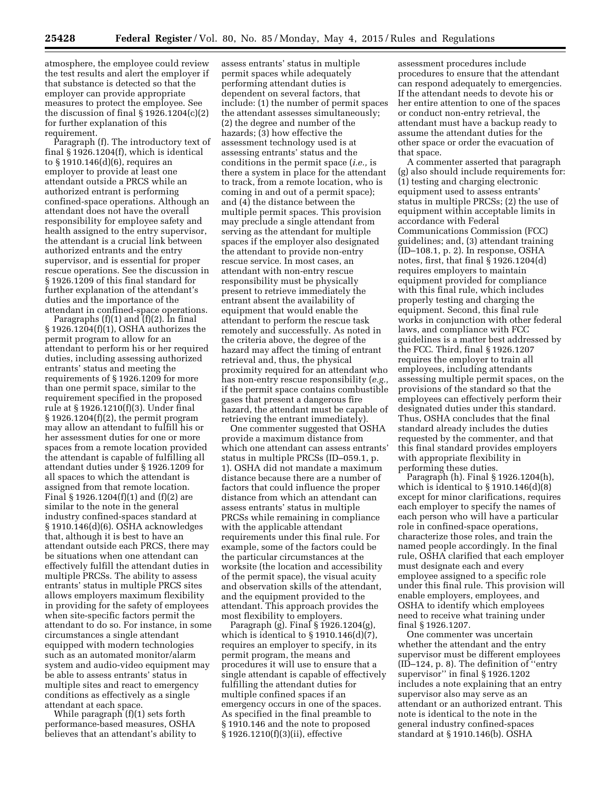atmosphere, the employee could review the test results and alert the employer if that substance is detected so that the employer can provide appropriate measures to protect the employee. See the discussion of final  $\S 1926.1204(c)(2)$ for further explanation of this requirement.

Paragraph (f). The introductory text of final § 1926.1204(f), which is identical to § 1910.146(d)(6), requires an employer to provide at least one attendant outside a PRCS while an authorized entrant is performing confined-space operations. Although an attendant does not have the overall responsibility for employee safety and health assigned to the entry supervisor, the attendant is a crucial link between authorized entrants and the entry supervisor, and is essential for proper rescue operations. See the discussion in § 1926.1209 of this final standard for further explanation of the attendant's duties and the importance of the attendant in confined-space operations.

Paragraphs (f)(1) and (f)(2). In final § 1926.1204(f)(1), OSHA authorizes the permit program to allow for an attendant to perform his or her required duties, including assessing authorized entrants' status and meeting the requirements of § 1926.1209 for more than one permit space, similar to the requirement specified in the proposed rule at § 1926.1210(f)(3). Under final § 1926.1204(f)(2), the permit program may allow an attendant to fulfill his or her assessment duties for one or more spaces from a remote location provided the attendant is capable of fulfilling all attendant duties under § 1926.1209 for all spaces to which the attendant is assigned from that remote location. Final § 1926.1204(f)(1) and (f)(2) are similar to the note in the general industry confined-spaces standard at § 1910.146(d)(6). OSHA acknowledges that, although it is best to have an attendant outside each PRCS, there may be situations when one attendant can effectively fulfill the attendant duties in multiple PRCSs. The ability to assess entrants' status in multiple PRCS sites allows employers maximum flexibility in providing for the safety of employees when site-specific factors permit the attendant to do so. For instance, in some circumstances a single attendant equipped with modern technologies such as an automated monitor/alarm system and audio-video equipment may be able to assess entrants' status in multiple sites and react to emergency conditions as effectively as a single attendant at each space.

While paragraph (f)(1) sets forth performance-based measures, OSHA believes that an attendant's ability to

assess entrants' status in multiple permit spaces while adequately performing attendant duties is dependent on several factors, that include: (1) the number of permit spaces the attendant assesses simultaneously; (2) the degree and number of the hazards; (3) how effective the assessment technology used is at assessing entrants' status and the conditions in the permit space (*i.e.,* is there a system in place for the attendant to track, from a remote location, who is coming in and out of a permit space); and (4) the distance between the multiple permit spaces. This provision may preclude a single attendant from serving as the attendant for multiple spaces if the employer also designated the attendant to provide non-entry rescue service. In most cases, an attendant with non-entry rescue responsibility must be physically present to retrieve immediately the entrant absent the availability of equipment that would enable the attendant to perform the rescue task remotely and successfully. As noted in the criteria above, the degree of the hazard may affect the timing of entrant retrieval and, thus, the physical proximity required for an attendant who has non-entry rescue responsibility (*e.g.,*  if the permit space contains combustible gases that present a dangerous fire hazard, the attendant must be capable of retrieving the entrant immediately).

One commenter suggested that OSHA provide a maximum distance from which one attendant can assess entrants' status in multiple PRCSs (ID–059.1, p. 1). OSHA did not mandate a maximum distance because there are a number of factors that could influence the proper distance from which an attendant can assess entrants' status in multiple PRCSs while remaining in compliance with the applicable attendant requirements under this final rule. For example, some of the factors could be the particular circumstances at the worksite (the location and accessibility of the permit space), the visual acuity and observation skills of the attendant, and the equipment provided to the attendant. This approach provides the most flexibility to employers.

Paragraph (g). Final § 1926.1204(g), which is identical to  $\S 1910.146(d)(7)$ , requires an employer to specify, in its permit program, the means and procedures it will use to ensure that a single attendant is capable of effectively fulfilling the attendant duties for multiple confined spaces if an emergency occurs in one of the spaces. As specified in the final preamble to § 1910.146 and the note to proposed § 1926.1210(f)(3)(ii), effective

assessment procedures include procedures to ensure that the attendant can respond adequately to emergencies. If the attendant needs to devote his or her entire attention to one of the spaces or conduct non-entry retrieval, the attendant must have a backup ready to assume the attendant duties for the other space or order the evacuation of that space.

A commenter asserted that paragraph (g) also should include requirements for: (1) testing and charging electronic equipment used to assess entrants' status in multiple PRCSs; (2) the use of equipment within acceptable limits in accordance with Federal Communications Commission (FCC) guidelines; and, (3) attendant training (ID–108.1, p. 2). In response, OSHA notes, first, that final § 1926.1204(d) requires employers to maintain equipment provided for compliance with this final rule, which includes properly testing and charging the equipment. Second, this final rule works in conjunction with other federal laws, and compliance with FCC guidelines is a matter best addressed by the FCC. Third, final § 1926.1207 requires the employer to train all employees, including attendants assessing multiple permit spaces, on the provisions of the standard so that the employees can effectively perform their designated duties under this standard. Thus, OSHA concludes that the final standard already includes the duties requested by the commenter, and that this final standard provides employers with appropriate flexibility in performing these duties.

Paragraph (h). Final § 1926.1204(h), which is identical to  $\S 1910.146(d)(8)$ except for minor clarifications, requires each employer to specify the names of each person who will have a particular role in confined-space operations, characterize those roles, and train the named people accordingly. In the final rule, OSHA clarified that each employer must designate each and every employee assigned to a specific role under this final rule. This provision will enable employers, employees, and OSHA to identify which employees need to receive what training under final § 1926.1207.

One commenter was uncertain whether the attendant and the entry supervisor must be different employees (ID–124, p. 8). The definition of ''entry supervisor'' in final § 1926.1202 includes a note explaining that an entry supervisor also may serve as an attendant or an authorized entrant. This note is identical to the note in the general industry confined-spaces standard at § 1910.146(b). OSHA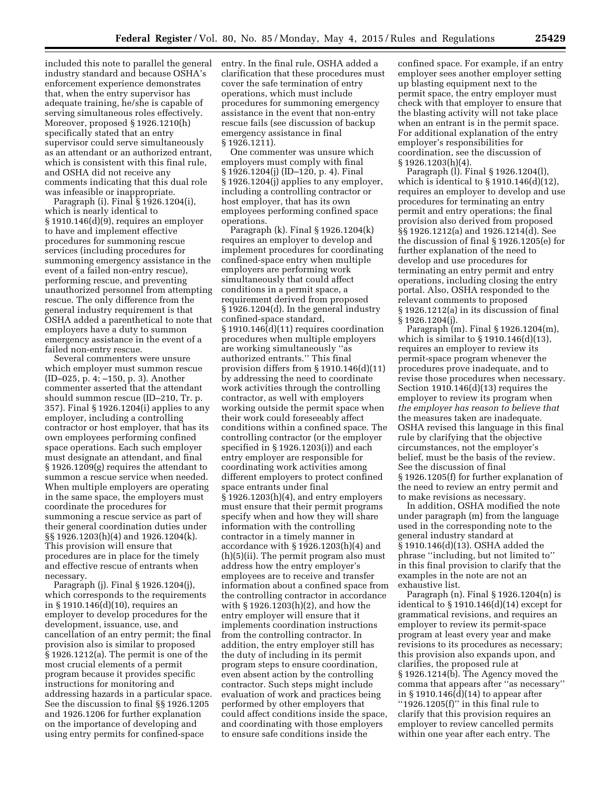included this note to parallel the general industry standard and because OSHA's enforcement experience demonstrates that, when the entry supervisor has adequate training, he/she is capable of serving simultaneous roles effectively. Moreover, proposed § 1926.1210(h) specifically stated that an entry supervisor could serve simultaneously as an attendant or an authorized entrant, which is consistent with this final rule, and OSHA did not receive any comments indicating that this dual role was infeasible or inappropriate.

Paragraph (i). Final § 1926.1204(i), which is nearly identical to § 1910.146(d)(9), requires an employer to have and implement effective procedures for summoning rescue services (including procedures for summoning emergency assistance in the event of a failed non-entry rescue), performing rescue, and preventing unauthorized personnel from attempting rescue. The only difference from the general industry requirement is that OSHA added a parenthetical to note that employers have a duty to summon emergency assistance in the event of a failed non-entry rescue.

Several commenters were unsure which employer must summon rescue (ID–025, p. 4; –150, p. 3). Another commenter asserted that the attendant should summon rescue (ID–210, Tr. p. 357). Final § 1926.1204(i) applies to any employer, including a controlling contractor or host employer, that has its own employees performing confined space operations. Each such employer must designate an attendant, and final § 1926.1209(g) requires the attendant to summon a rescue service when needed. When multiple employers are operating in the same space, the employers must coordinate the procedures for summoning a rescue service as part of their general coordination duties under §§ 1926.1203(h)(4) and 1926.1204(k). This provision will ensure that procedures are in place for the timely and effective rescue of entrants when necessary.

Paragraph (j). Final § 1926.1204(j), which corresponds to the requirements in § 1910.146(d)(10), requires an employer to develop procedures for the development, issuance, use, and cancellation of an entry permit; the final provision also is similar to proposed § 1926.1212(a). The permit is one of the most crucial elements of a permit program because it provides specific instructions for monitoring and addressing hazards in a particular space. See the discussion to final §§ 1926.1205 and 1926.1206 for further explanation on the importance of developing and using entry permits for confined-space

entry. In the final rule, OSHA added a clarification that these procedures must cover the safe termination of entry operations, which must include procedures for summoning emergency assistance in the event that non-entry rescue fails (see discussion of backup emergency assistance in final § 1926.1211).

One commenter was unsure which employers must comply with final § 1926.1204(j) (ID–120, p. 4). Final § 1926.1204(j) applies to any employer, including a controlling contractor or host employer, that has its own employees performing confined space operations.

Paragraph (k). Final § 1926.1204(k) requires an employer to develop and implement procedures for coordinating confined-space entry when multiple employers are performing work simultaneously that could affect conditions in a permit space, a requirement derived from proposed § 1926.1204(d). In the general industry confined-space standard, § 1910.146(d)(11) requires coordination procedures when multiple employers are working simultaneously ''as authorized entrants.'' This final provision differs from § 1910.146(d)(11) by addressing the need to coordinate work activities through the controlling contractor, as well with employers working outside the permit space when their work could foreseeably affect conditions within a confined space. The controlling contractor (or the employer specified in § 1926.1203(i)) and each entry employer are responsible for coordinating work activities among different employers to protect confined space entrants under final § 1926.1203(h)(4), and entry employers must ensure that their permit programs specify when and how they will share information with the controlling contractor in a timely manner in accordance with § 1926.1203(h)(4) and (h)(5)(ii). The permit program also must address how the entry employer's employees are to receive and transfer information about a confined space from the controlling contractor in accordance with § 1926.1203(h)(2), and how the entry employer will ensure that it implements coordination instructions from the controlling contractor. In addition, the entry employer still has the duty of including in its permit program steps to ensure coordination, even absent action by the controlling contractor. Such steps might include evaluation of work and practices being performed by other employers that could affect conditions inside the space, and coordinating with those employers to ensure safe conditions inside the

confined space. For example, if an entry employer sees another employer setting up blasting equipment next to the permit space, the entry employer must check with that employer to ensure that the blasting activity will not take place when an entrant is in the permit space. For additional explanation of the entry employer's responsibilities for coordination, see the discussion of § 1926.1203(h)(4).

Paragraph (l). Final § 1926.1204(l), which is identical to § 1910.146(d)(12), requires an employer to develop and use procedures for terminating an entry permit and entry operations; the final provision also derived from proposed §§ 1926.1212(a) and 1926.1214(d). See the discussion of final § 1926.1205(e) for further explanation of the need to develop and use procedures for terminating an entry permit and entry operations, including closing the entry portal. Also, OSHA responded to the relevant comments to proposed § 1926.1212(a) in its discussion of final § 1926.1204(j).

Paragraph (m). Final § 1926.1204(m), which is similar to § 1910.146(d)(13), requires an employer to review its permit-space program whenever the procedures prove inadequate, and to revise those procedures when necessary. Section 1910.146(d)(13) requires the employer to review its program when *the employer has reason to believe that*  the measures taken are inadequate. OSHA revised this language in this final rule by clarifying that the objective circumstances, not the employer's belief, must be the basis of the review. See the discussion of final § 1926.1205(f) for further explanation of the need to review an entry permit and to make revisions as necessary.

In addition, OSHA modified the note under paragraph (m) from the language used in the corresponding note to the general industry standard at § 1910.146(d)(13). OSHA added the phrase ''including, but not limited to'' in this final provision to clarify that the examples in the note are not an exhaustive list.

Paragraph (n). Final § 1926.1204(n) is identical to § 1910.146(d)(14) except for grammatical revisions, and requires an employer to review its permit-space program at least every year and make revisions to its procedures as necessary; this provision also expands upon, and clarifies, the proposed rule at § 1926.1214(b). The Agency moved the comma that appears after ''as necessary'' in § 1910.146(d)(14) to appear after ''1926.1205(f)'' in this final rule to clarify that this provision requires an employer to review cancelled permits within one year after each entry. The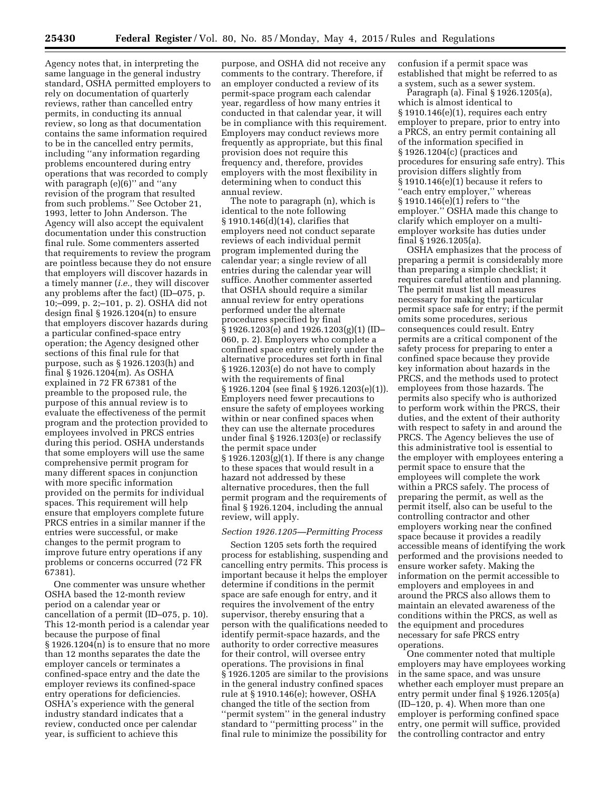Agency notes that, in interpreting the same language in the general industry standard, OSHA permitted employers to rely on documentation of quarterly reviews, rather than cancelled entry permits, in conducting its annual review, so long as that documentation contains the same information required to be in the cancelled entry permits, including ''any information regarding problems encountered during entry operations that was recorded to comply with paragraph (e)(6)" and "any revision of the program that resulted from such problems.'' See October 21, 1993, letter to John Anderson. The Agency will also accept the equivalent documentation under this construction final rule. Some commenters asserted that requirements to review the program are pointless because they do not ensure that employers will discover hazards in a timely manner (*i.e.,* they will discover any problems after the fact) (ID–075, p. 10;–099, p. 2;–101, p. 2). OSHA did not design final § 1926.1204(n) to ensure that employers discover hazards during a particular confined-space entry operation; the Agency designed other sections of this final rule for that purpose, such as § 1926.1203(h) and final § 1926.1204(m). As OSHA explained in 72 FR 67381 of the preamble to the proposed rule, the purpose of this annual review is to evaluate the effectiveness of the permit program and the protection provided to employees involved in PRCS entries during this period. OSHA understands that some employers will use the same comprehensive permit program for many different spaces in conjunction with more specific information provided on the permits for individual spaces. This requirement will help ensure that employers complete future PRCS entries in a similar manner if the entries were successful, or make changes to the permit program to improve future entry operations if any problems or concerns occurred (72 FR 67381).

One commenter was unsure whether OSHA based the 12-month review period on a calendar year or cancellation of a permit (ID–075, p. 10). This 12-month period is a calendar year because the purpose of final § 1926.1204(n) is to ensure that no more than 12 months separates the date the employer cancels or terminates a confined-space entry and the date the employer reviews its confined-space entry operations for deficiencies. OSHA's experience with the general industry standard indicates that a review, conducted once per calendar year, is sufficient to achieve this

purpose, and OSHA did not receive any comments to the contrary. Therefore, if an employer conducted a review of its permit-space program each calendar year, regardless of how many entries it conducted in that calendar year, it will be in compliance with this requirement. Employers may conduct reviews more frequently as appropriate, but this final provision does not require this frequency and, therefore, provides employers with the most flexibility in determining when to conduct this annual review.

The note to paragraph (n), which is identical to the note following § 1910.146(d)(14), clarifies that employers need not conduct separate reviews of each individual permit program implemented during the calendar year; a single review of all entries during the calendar year will suffice. Another commenter asserted that OSHA should require a similar annual review for entry operations performed under the alternate procedures specified by final § 1926.1203(e) and 1926.1203(g)(1) (ID– 060, p. 2). Employers who complete a confined space entry entirely under the alternative procedures set forth in final § 1926.1203(e) do not have to comply with the requirements of final § 1926.1204 (see final § 1926.1203(e)(1)). Employers need fewer precautions to ensure the safety of employees working within or near confined spaces when they can use the alternate procedures under final § 1926.1203(e) or reclassify the permit space under § 1926.1203(g)(1). If there is any change to these spaces that would result in a hazard not addressed by these alternative procedures, then the full permit program and the requirements of final § 1926.1204, including the annual review, will apply.

#### *Section 1926.1205—Permitting Process*

Section 1205 sets forth the required process for establishing, suspending and cancelling entry permits. This process is important because it helps the employer determine if conditions in the permit space are safe enough for entry, and it requires the involvement of the entry supervisor, thereby ensuring that a person with the qualifications needed to identify permit-space hazards, and the authority to order corrective measures for their control, will oversee entry operations. The provisions in final § 1926.1205 are similar to the provisions in the general industry confined spaces rule at § 1910.146(e); however, OSHA changed the title of the section from ''permit system'' in the general industry standard to ''permitting process'' in the final rule to minimize the possibility for

confusion if a permit space was established that might be referred to as a system, such as a sewer system.

Paragraph (a). Final  $\S 1926.1205(a)$ , which is almost identical to § 1910.146(e)(1), requires each entry employer to prepare, prior to entry into a PRCS, an entry permit containing all of the information specified in § 1926.1204(c) (practices and procedures for ensuring safe entry). This provision differs slightly from § 1910.146(e)(1) because it refers to ''each entry employer,'' whereas § 1910.146(e)(1) refers to ''the employer.'' OSHA made this change to clarify which employer on a multiemployer worksite has duties under final § 1926.1205(a).

OSHA emphasizes that the process of preparing a permit is considerably more than preparing a simple checklist; it requires careful attention and planning. The permit must list all measures necessary for making the particular permit space safe for entry; if the permit omits some procedures, serious consequences could result. Entry permits are a critical component of the safety process for preparing to enter a confined space because they provide key information about hazards in the PRCS, and the methods used to protect employees from those hazards. The permits also specify who is authorized to perform work within the PRCS, their duties, and the extent of their authority with respect to safety in and around the PRCS. The Agency believes the use of this administrative tool is essential to the employer with employees entering a permit space to ensure that the employees will complete the work within a PRCS safely. The process of preparing the permit, as well as the permit itself, also can be useful to the controlling contractor and other employers working near the confined space because it provides a readily accessible means of identifying the work performed and the provisions needed to ensure worker safety. Making the information on the permit accessible to employers and employees in and around the PRCS also allows them to maintain an elevated awareness of the conditions within the PRCS, as well as the equipment and procedures necessary for safe PRCS entry operations.

One commenter noted that multiple employers may have employees working in the same space, and was unsure whether each employer must prepare an entry permit under final § 1926.1205(a) (ID–120, p. 4). When more than one employer is performing confined space entry, one permit will suffice, provided the controlling contractor and entry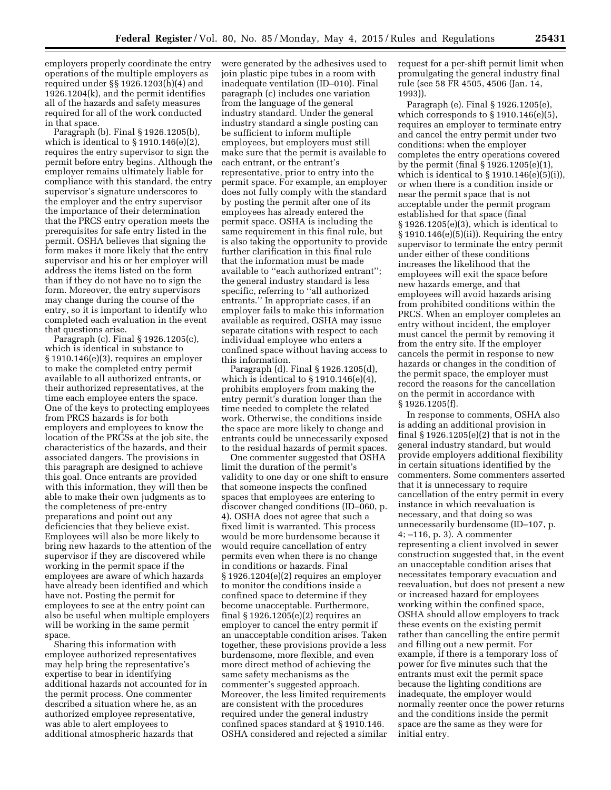employers properly coordinate the entry operations of the multiple employers as required under §§ 1926.1203(h)(4) and 1926.1204(k), and the permit identifies all of the hazards and safety measures required for all of the work conducted in that space.

Paragraph (b). Final § 1926.1205(b), which is identical to  $\S 1910.146(e)(2)$ , requires the entry supervisor to sign the permit before entry begins. Although the employer remains ultimately liable for compliance with this standard, the entry supervisor's signature underscores to the employer and the entry supervisor the importance of their determination that the PRCS entry operation meets the prerequisites for safe entry listed in the permit. OSHA believes that signing the form makes it more likely that the entry supervisor and his or her employer will address the items listed on the form than if they do not have no to sign the form. Moreover, the entry supervisors may change during the course of the entry, so it is important to identify who completed each evaluation in the event that questions arise.

Paragraph (c). Final § 1926.1205(c), which is identical in substance to § 1910.146(e)(3), requires an employer to make the completed entry permit available to all authorized entrants, or their authorized representatives, at the time each employee enters the space. One of the keys to protecting employees from PRCS hazards is for both employers and employees to know the location of the PRCSs at the job site, the characteristics of the hazards, and their associated dangers. The provisions in this paragraph are designed to achieve this goal. Once entrants are provided with this information, they will then be able to make their own judgments as to the completeness of pre-entry preparations and point out any deficiencies that they believe exist. Employees will also be more likely to bring new hazards to the attention of the supervisor if they are discovered while working in the permit space if the employees are aware of which hazards have already been identified and which have not. Posting the permit for employees to see at the entry point can also be useful when multiple employers will be working in the same permit space.

Sharing this information with employee authorized representatives may help bring the representative's expertise to bear in identifying additional hazards not accounted for in the permit process. One commenter described a situation where he, as an authorized employee representative, was able to alert employees to additional atmospheric hazards that

were generated by the adhesives used to join plastic pipe tubes in a room with inadequate ventilation (ID–010). Final paragraph (c) includes one variation from the language of the general industry standard. Under the general industry standard a single posting can be sufficient to inform multiple employees, but employers must still make sure that the permit is available to each entrant, or the entrant's representative, prior to entry into the permit space. For example, an employer does not fully comply with the standard by posting the permit after one of its employees has already entered the permit space. OSHA is including the same requirement in this final rule, but is also taking the opportunity to provide further clarification in this final rule that the information must be made available to ''each authorized entrant''; the general industry standard is less specific, referring to ''all authorized entrants.'' In appropriate cases, if an employer fails to make this information available as required, OSHA may issue separate citations with respect to each individual employee who enters a confined space without having access to this information.

Paragraph (d). Final § 1926.1205(d), which is identical to  $\S 1910.146(e)(4)$ , prohibits employers from making the entry permit's duration longer than the time needed to complete the related work. Otherwise, the conditions inside the space are more likely to change and entrants could be unnecessarily exposed to the residual hazards of permit spaces.

One commenter suggested that OSHA limit the duration of the permit's validity to one day or one shift to ensure that someone inspects the confined spaces that employees are entering to discover changed conditions (ID–060, p. 4). OSHA does not agree that such a fixed limit is warranted. This process would be more burdensome because it would require cancellation of entry permits even when there is no change in conditions or hazards. Final § 1926.1204(e)(2) requires an employer to monitor the conditions inside a confined space to determine if they become unacceptable. Furthermore, final § 1926.1205(e)(2) requires an employer to cancel the entry permit if an unacceptable condition arises. Taken together, these provisions provide a less burdensome, more flexible, and even more direct method of achieving the same safety mechanisms as the commenter's suggested approach. Moreover, the less limited requirements are consistent with the procedures required under the general industry confined spaces standard at § 1910.146. OSHA considered and rejected a similar

request for a per-shift permit limit when promulgating the general industry final rule (see 58 FR 4505, 4506 (Jan. 14, 1993)).

Paragraph (e). Final § 1926.1205(e), which corresponds to  $\S 1910.146(e)(5)$ , requires an employer to terminate entry and cancel the entry permit under two conditions: when the employer completes the entry operations covered by the permit (final § 1926.1205(e)(1), which is identical to  $\S 1910.146(e)(5)(i)$ , or when there is a condition inside or near the permit space that is not acceptable under the permit program established for that space (final § 1926.1205(e)(3), which is identical to  $§ 1910.146(e)(5)(ii)$ . Requiring the entry supervisor to terminate the entry permit under either of these conditions increases the likelihood that the employees will exit the space before new hazards emerge, and that employees will avoid hazards arising from prohibited conditions within the PRCS. When an employer completes an entry without incident, the employer must cancel the permit by removing it from the entry site. If the employer cancels the permit in response to new hazards or changes in the condition of the permit space, the employer must record the reasons for the cancellation on the permit in accordance with § 1926.1205(f).

In response to comments, OSHA also is adding an additional provision in final § 1926.1205(e)(2) that is not in the general industry standard, but would provide employers additional flexibility in certain situations identified by the commenters. Some commenters asserted that it is unnecessary to require cancellation of the entry permit in every instance in which reevaluation is necessary, and that doing so was unnecessarily burdensome (ID–107, p. 4; –116, p. 3). A commenter representing a client involved in sewer construction suggested that, in the event an unacceptable condition arises that necessitates temporary evacuation and reevaluation, but does not present a new or increased hazard for employees working within the confined space, OSHA should allow employers to track these events on the existing permit rather than cancelling the entire permit and filling out a new permit. For example, if there is a temporary loss of power for five minutes such that the entrants must exit the permit space because the lighting conditions are inadequate, the employer would normally reenter once the power returns and the conditions inside the permit space are the same as they were for initial entry.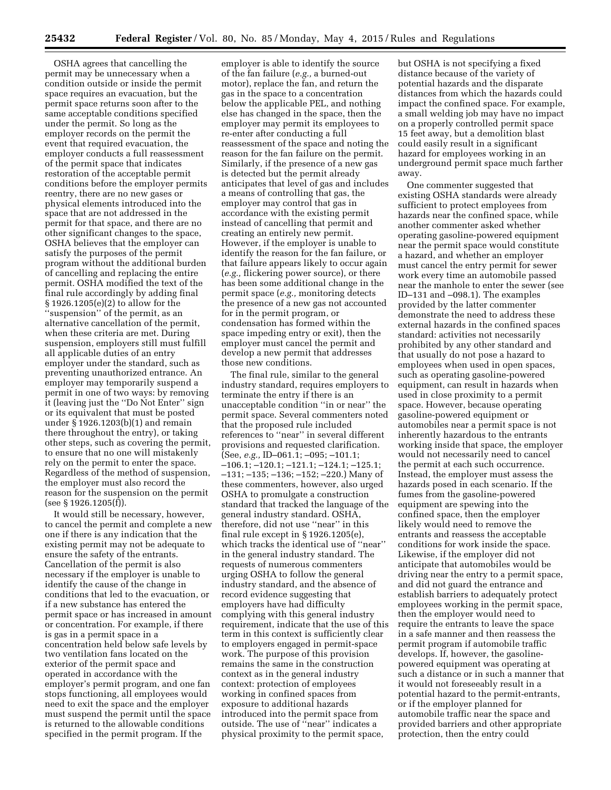OSHA agrees that cancelling the permit may be unnecessary when a condition outside or inside the permit space requires an evacuation, but the permit space returns soon after to the same acceptable conditions specified under the permit. So long as the employer records on the permit the event that required evacuation, the employer conducts a full reassessment of the permit space that indicates restoration of the acceptable permit conditions before the employer permits reentry, there are no new gases or physical elements introduced into the space that are not addressed in the permit for that space, and there are no other significant changes to the space, OSHA believes that the employer can satisfy the purposes of the permit program without the additional burden of cancelling and replacing the entire permit. OSHA modified the text of the final rule accordingly by adding final § 1926.1205(e)(2) to allow for the ''suspension'' of the permit, as an alternative cancellation of the permit, when these criteria are met. During suspension, employers still must fulfill all applicable duties of an entry employer under the standard, such as preventing unauthorized entrance. An employer may temporarily suspend a permit in one of two ways: by removing it (leaving just the ''Do Not Enter'' sign or its equivalent that must be posted under § 1926.1203(b)(1) and remain there throughout the entry), or taking other steps, such as covering the permit, to ensure that no one will mistakenly rely on the permit to enter the space. Regardless of the method of suspension, the employer must also record the reason for the suspension on the permit (see § 1926.1205(f)).

It would still be necessary, however, to cancel the permit and complete a new one if there is any indication that the existing permit may not be adequate to ensure the safety of the entrants. Cancellation of the permit is also necessary if the employer is unable to identify the cause of the change in conditions that led to the evacuation, or if a new substance has entered the permit space or has increased in amount or concentration. For example, if there is gas in a permit space in a concentration held below safe levels by two ventilation fans located on the exterior of the permit space and operated in accordance with the employer's permit program, and one fan stops functioning, all employees would need to exit the space and the employer must suspend the permit until the space is returned to the allowable conditions specified in the permit program. If the

employer is able to identify the source of the fan failure (*e.g.,* a burned-out motor), replace the fan, and return the gas in the space to a concentration below the applicable PEL, and nothing else has changed in the space, then the employer may permit its employees to re-enter after conducting a full reassessment of the space and noting the reason for the fan failure on the permit. Similarly, if the presence of a new gas is detected but the permit already anticipates that level of gas and includes a means of controlling that gas, the employer may control that gas in accordance with the existing permit instead of cancelling that permit and creating an entirely new permit. However, if the employer is unable to identify the reason for the fan failure, or that failure appears likely to occur again (*e.g.,* flickering power source), or there has been some additional change in the permit space (*e.g.,* monitoring detects the presence of a new gas not accounted for in the permit program, or condensation has formed within the space impeding entry or exit), then the employer must cancel the permit and develop a new permit that addresses those new conditions.

The final rule, similar to the general industry standard, requires employers to terminate the entry if there is an unacceptable condition ''in or near'' the permit space. Several commenters noted that the proposed rule included references to ''near'' in several different provisions and requested clarification. (See, *e.g.,* ID–061.1; –095; –101.1; –106.1; –120.1; –121.1; –124.1; –125.1; –131; –135; –136; –152; –220.) Many of these commenters, however, also urged OSHA to promulgate a construction standard that tracked the language of the general industry standard. OSHA, therefore, did not use ''near'' in this final rule except in § 1926.1205(e), which tracks the identical use of ''near'' in the general industry standard. The requests of numerous commenters urging OSHA to follow the general industry standard, and the absence of record evidence suggesting that employers have had difficulty complying with this general industry requirement, indicate that the use of this term in this context is sufficiently clear to employers engaged in permit-space work. The purpose of this provision remains the same in the construction context as in the general industry context: protection of employees working in confined spaces from exposure to additional hazards introduced into the permit space from outside. The use of ''near'' indicates a physical proximity to the permit space,

but OSHA is not specifying a fixed distance because of the variety of potential hazards and the disparate distances from which the hazards could impact the confined space. For example, a small welding job may have no impact on a properly controlled permit space 15 feet away, but a demolition blast could easily result in a significant hazard for employees working in an underground permit space much farther away.

One commenter suggested that existing OSHA standards were already sufficient to protect employees from hazards near the confined space, while another commenter asked whether operating gasoline-powered equipment near the permit space would constitute a hazard, and whether an employer must cancel the entry permit for sewer work every time an automobile passed near the manhole to enter the sewer (see ID–131 and –098.1). The examples provided by the latter commenter demonstrate the need to address these external hazards in the confined spaces standard: activities not necessarily prohibited by any other standard and that usually do not pose a hazard to employees when used in open spaces, such as operating gasoline-powered equipment, can result in hazards when used in close proximity to a permit space. However, because operating gasoline-powered equipment or automobiles near a permit space is not inherently hazardous to the entrants working inside that space, the employer would not necessarily need to cancel the permit at each such occurrence. Instead, the employer must assess the hazards posed in each scenario. If the fumes from the gasoline-powered equipment are spewing into the confined space, then the employer likely would need to remove the entrants and reassess the acceptable conditions for work inside the space. Likewise, if the employer did not anticipate that automobiles would be driving near the entry to a permit space, and did not guard the entrance and establish barriers to adequately protect employees working in the permit space, then the employer would need to require the entrants to leave the space in a safe manner and then reassess the permit program if automobile traffic develops. If, however, the gasolinepowered equipment was operating at such a distance or in such a manner that it would not foreseeably result in a potential hazard to the permit-entrants, or if the employer planned for automobile traffic near the space and provided barriers and other appropriate protection, then the entry could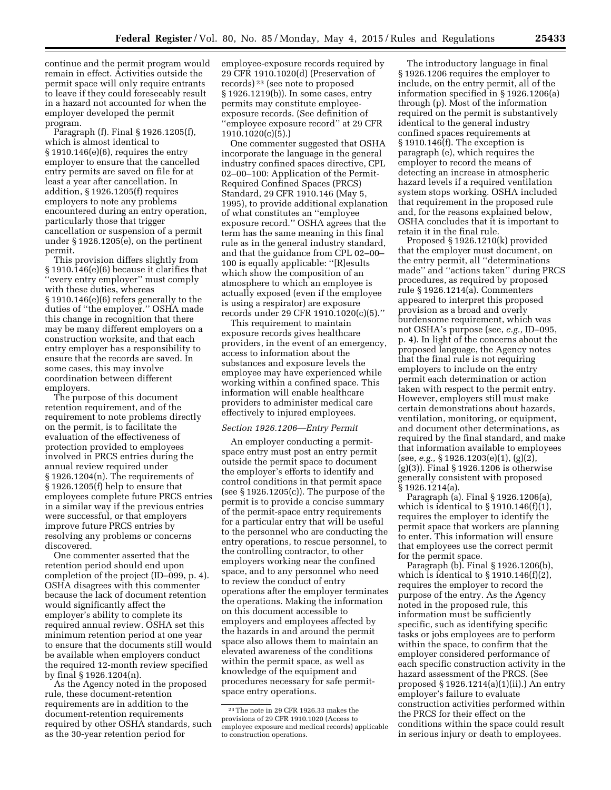continue and the permit program would remain in effect. Activities outside the permit space will only require entrants to leave if they could foreseeably result in a hazard not accounted for when the employer developed the permit program.

Paragraph (f). Final § 1926.1205(f), which is almost identical to § 1910.146(e)(6), requires the entry employer to ensure that the cancelled entry permits are saved on file for at least a year after cancellation. In addition, § 1926.1205(f) requires employers to note any problems encountered during an entry operation, particularly those that trigger cancellation or suspension of a permit under § 1926.1205(e), on the pertinent permit.

This provision differs slightly from § 1910.146(e)(6) because it clarifies that ''every entry employer'' must comply with these duties, whereas § 1910.146(e)(6) refers generally to the duties of ''the employer.'' OSHA made this change in recognition that there may be many different employers on a construction worksite, and that each entry employer has a responsibility to ensure that the records are saved. In some cases, this may involve coordination between different employers.

The purpose of this document retention requirement, and of the requirement to note problems directly on the permit, is to facilitate the evaluation of the effectiveness of protection provided to employees involved in PRCS entries during the annual review required under § 1926.1204(n). The requirements of § 1926.1205(f) help to ensure that employees complete future PRCS entries in a similar way if the previous entries were successful, or that employers improve future PRCS entries by resolving any problems or concerns discovered.

One commenter asserted that the retention period should end upon completion of the project (ID–099, p. 4). OSHA disagrees with this commenter because the lack of document retention would significantly affect the employer's ability to complete its required annual review. OSHA set this minimum retention period at one year to ensure that the documents still would be available when employers conduct the required 12-month review specified by final § 1926.1204(n).

As the Agency noted in the proposed rule, these document-retention requirements are in addition to the document-retention requirements required by other OSHA standards, such as the 30-year retention period for

employee-exposure records required by 29 CFR 1910.1020(d) (Preservation of records) 23 (see note to proposed § 1926.1219(b)). In some cases, entry permits may constitute employeeexposure records. (See definition of ''employee exposure record'' at 29 CFR 1910.1020(c)(5).)

One commenter suggested that OSHA incorporate the language in the general industry confined spaces directive, CPL 02–00–100: Application of the Permit-Required Confined Spaces (PRCS) Standard, 29 CFR 1910.146 (May 5, 1995), to provide additional explanation of what constitutes an ''employee exposure record.'' OSHA agrees that the term has the same meaning in this final rule as in the general industry standard, and that the guidance from CPL 02–00– 100 is equally applicable: ''[R]esults which show the composition of an atmosphere to which an employee is actually exposed (even if the employee is using a respirator) are exposure records under 29 CFR 1910.1020(c)(5).''

This requirement to maintain exposure records gives healthcare providers, in the event of an emergency, access to information about the substances and exposure levels the employee may have experienced while working within a confined space. This information will enable healthcare providers to administer medical care effectively to injured employees.

#### *Section 1926.1206—Entry Permit*

An employer conducting a permitspace entry must post an entry permit outside the permit space to document the employer's efforts to identify and control conditions in that permit space (see § 1926.1205(c)). The purpose of the permit is to provide a concise summary of the permit-space entry requirements for a particular entry that will be useful to the personnel who are conducting the entry operations, to rescue personnel, to the controlling contractor, to other employers working near the confined space, and to any personnel who need to review the conduct of entry operations after the employer terminates the operations. Making the information on this document accessible to employers and employees affected by the hazards in and around the permit space also allows them to maintain an elevated awareness of the conditions within the permit space, as well as knowledge of the equipment and procedures necessary for safe permitspace entry operations.

The introductory language in final § 1926.1206 requires the employer to include, on the entry permit, all of the information specified in § 1926.1206(a) through (p). Most of the information required on the permit is substantively identical to the general industry confined spaces requirements at § 1910.146(f). The exception is paragraph (e), which requires the employer to record the means of detecting an increase in atmospheric hazard levels if a required ventilation system stops working. OSHA included that requirement in the proposed rule and, for the reasons explained below, OSHA concludes that it is important to retain it in the final rule.

Proposed § 1926.1210(k) provided that the employer must document, on the entry permit, all ''determinations made'' and ''actions taken'' during PRCS procedures, as required by proposed rule § 1926.1214(a). Commenters appeared to interpret this proposed provision as a broad and overly burdensome requirement, which was not OSHA's purpose (see, *e.g.,* ID–095, p. 4). In light of the concerns about the proposed language, the Agency notes that the final rule is not requiring employers to include on the entry permit each determination or action taken with respect to the permit entry. However, employers still must make certain demonstrations about hazards, ventilation, monitoring, or equipment, and document other determinations, as required by the final standard, and make that information available to employees (see, *e.g.,* § 1926.1203(e)(1), (g)(2), (g)(3)). Final § 1926.1206 is otherwise generally consistent with proposed § 1926.1214(a).

Paragraph (a). Final § 1926.1206(a), which is identical to  $\S 1910.146(f)(1)$ , requires the employer to identify the permit space that workers are planning to enter. This information will ensure that employees use the correct permit for the permit space.

Paragraph (b). Final § 1926.1206(b), which is identical to  $\S 1910.146(f)(2)$ , requires the employer to record the purpose of the entry. As the Agency noted in the proposed rule, this information must be sufficiently specific, such as identifying specific tasks or jobs employees are to perform within the space, to confirm that the employer considered performance of each specific construction activity in the hazard assessment of the PRCS. (See proposed § 1926.1214(a)(1)(ii).) An entry employer's failure to evaluate construction activities performed within the PRCS for their effect on the conditions within the space could result in serious injury or death to employees.

<sup>23</sup>The note in 29 CFR 1926.33 makes the provisions of 29 CFR 1910.1020 (Access to employee exposure and medical records) applicable to construction operations.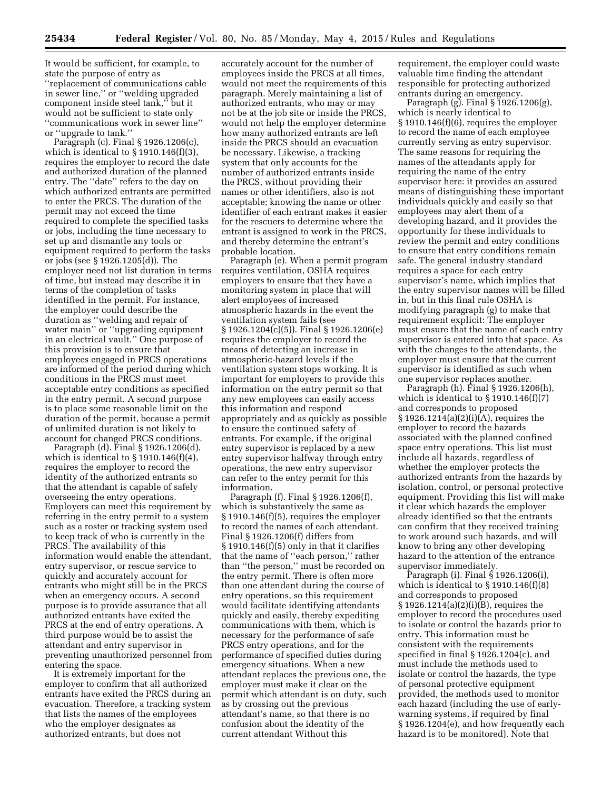It would be sufficient, for example, to state the purpose of entry as ''replacement of communications cable in sewer line,'' or ''welding upgraded component inside steel tank,'' but it would not be sufficient to state only ''communications work in sewer line'' or ''upgrade to tank.''

Paragraph (c). Final § 1926.1206(c), which is identical to  $\S 1910.146(f)(3)$ , requires the employer to record the date and authorized duration of the planned entry. The ''date'' refers to the day on which authorized entrants are permitted to enter the PRCS. The duration of the permit may not exceed the time required to complete the specified tasks or jobs, including the time necessary to set up and dismantle any tools or equipment required to perform the tasks or jobs (see § 1926.1205(d)). The employer need not list duration in terms of time, but instead may describe it in terms of the completion of tasks identified in the permit. For instance, the employer could describe the duration as ''welding and repair of water main'' or ''upgrading equipment in an electrical vault.'' One purpose of this provision is to ensure that employees engaged in PRCS operations are informed of the period during which conditions in the PRCS must meet acceptable entry conditions as specified in the entry permit. A second purpose is to place some reasonable limit on the duration of the permit, because a permit of unlimited duration is not likely to account for changed PRCS conditions.

Paragraph (d). Final § 1926.1206(d), which is identical to  $\S 1910.146(f)(4)$ , requires the employer to record the identity of the authorized entrants so that the attendant is capable of safely overseeing the entry operations. Employers can meet this requirement by referring in the entry permit to a system such as a roster or tracking system used to keep track of who is currently in the PRCS. The availability of this information would enable the attendant, entry supervisor, or rescue service to quickly and accurately account for entrants who might still be in the PRCS when an emergency occurs. A second purpose is to provide assurance that all authorized entrants have exited the PRCS at the end of entry operations. A third purpose would be to assist the attendant and entry supervisor in preventing unauthorized personnel from entering the space.

It is extremely important for the employer to confirm that all authorized entrants have exited the PRCS during an evacuation. Therefore, a tracking system that lists the names of the employees who the employer designates as authorized entrants, but does not

accurately account for the number of employees inside the PRCS at all times, would not meet the requirements of this paragraph. Merely maintaining a list of authorized entrants, who may or may not be at the job site or inside the PRCS, would not help the employer determine how many authorized entrants are left inside the PRCS should an evacuation be necessary. Likewise, a tracking system that only accounts for the number of authorized entrants inside the PRCS, without providing their names or other identifiers, also is not acceptable; knowing the name or other identifier of each entrant makes it easier for the rescuers to determine where the entrant is assigned to work in the PRCS, and thereby determine the entrant's probable location.

Paragraph (e). When a permit program requires ventilation, OSHA requires employers to ensure that they have a monitoring system in place that will alert employees of increased atmospheric hazards in the event the ventilation system fails (see § 1926.1204(c)(5)). Final § 1926.1206(e) requires the employer to record the means of detecting an increase in atmospheric-hazard levels if the ventilation system stops working. It is important for employers to provide this information on the entry permit so that any new employees can easily access this information and respond appropriately and as quickly as possible to ensure the continued safety of entrants. For example, if the original entry supervisor is replaced by a new entry supervisor halfway through entry operations, the new entry supervisor can refer to the entry permit for this information.

Paragraph (f). Final § 1926.1206(f), which is substantively the same as § 1910.146(f)(5), requires the employer to record the names of each attendant. Final § 1926.1206(f) differs from § 1910.146(f)(5) only in that it clarifies that the name of ''each person,'' rather than ''the person,'' must be recorded on the entry permit. There is often more than one attendant during the course of entry operations, so this requirement would facilitate identifying attendants quickly and easily, thereby expediting communications with them, which is necessary for the performance of safe PRCS entry operations, and for the performance of specified duties during emergency situations. When a new attendant replaces the previous one, the employer must make it clear on the permit which attendant is on duty, such as by crossing out the previous attendant's name, so that there is no confusion about the identity of the current attendant Without this

requirement, the employer could waste valuable time finding the attendant responsible for protecting authorized entrants during an emergency.

Paragraph (g). Final § 1926.1206(g), which is nearly identical to § 1910.146(f)(6), requires the employer to record the name of each employee currently serving as entry supervisor. The same reasons for requiring the names of the attendants apply for requiring the name of the entry supervisor here: it provides an assured means of distinguishing these important individuals quickly and easily so that employees may alert them of a developing hazard, and it provides the opportunity for these individuals to review the permit and entry conditions to ensure that entry conditions remain safe. The general industry standard requires a space for each entry supervisor's name, which implies that the entry supervisor names will be filled in, but in this final rule OSHA is modifying paragraph (g) to make that requirement explicit: The employer must ensure that the name of each entry supervisor is entered into that space. As with the changes to the attendants, the employer must ensure that the current supervisor is identified as such when one supervisor replaces another.

Paragraph (h). Final § 1926.1206(h), which is identical to  $\S 1910.146(f)(7)$ and corresponds to proposed § 1926.1214(a)(2)(i)(A), requires the employer to record the hazards associated with the planned confined space entry operations. This list must include all hazards, regardless of whether the employer protects the authorized entrants from the hazards by isolation, control, or personal protective equipment. Providing this list will make it clear which hazards the employer already identified so that the entrants can confirm that they received training to work around such hazards, and will know to bring any other developing hazard to the attention of the entrance supervisor immediately.

Paragraph (i). Final § 1926.1206(i), which is identical to  $\S 1910.146(f)(8)$ and corresponds to proposed § 1926.1214(a)(2)(i)(B), requires the employer to record the procedures used to isolate or control the hazards prior to entry. This information must be consistent with the requirements specified in final § 1926.1204(c), and must include the methods used to isolate or control the hazards, the type of personal protective equipment provided, the methods used to monitor each hazard (including the use of earlywarning systems, if required by final § 1926.1204(e), and how frequently each hazard is to be monitored). Note that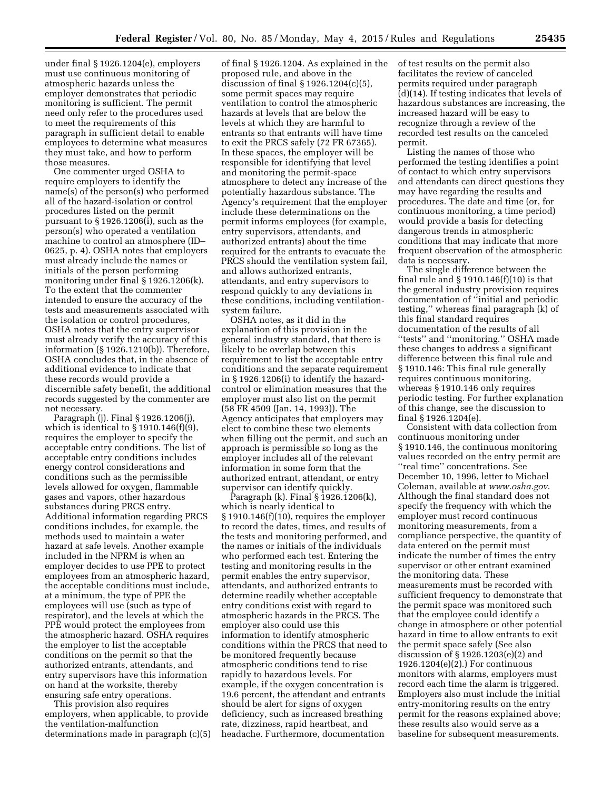under final § 1926.1204(e), employers must use continuous monitoring of atmospheric hazards unless the employer demonstrates that periodic monitoring is sufficient. The permit need only refer to the procedures used to meet the requirements of this paragraph in sufficient detail to enable employees to determine what measures they must take, and how to perform those measures.

One commenter urged OSHA to require employers to identify the name(s) of the person(s) who performed all of the hazard-isolation or control procedures listed on the permit pursuant to § 1926.1206(i), such as the person(s) who operated a ventilation machine to control an atmosphere (ID– 0625, p. 4). OSHA notes that employers must already include the names or initials of the person performing monitoring under final § 1926.1206(k). To the extent that the commenter intended to ensure the accuracy of the tests and measurements associated with the isolation or control procedures, OSHA notes that the entry supervisor must already verify the accuracy of this information (§ 1926.1210(b)). Therefore, OSHA concludes that, in the absence of additional evidence to indicate that these records would provide a discernible safety benefit, the additional records suggested by the commenter are not necessary.

Paragraph (j). Final § 1926.1206(j), which is identical to  $\S 1910.146(f)(9)$ , requires the employer to specify the acceptable entry conditions. The list of acceptable entry conditions includes energy control considerations and conditions such as the permissible levels allowed for oxygen, flammable gases and vapors, other hazardous substances during PRCS entry. Additional information regarding PRCS conditions includes, for example, the methods used to maintain a water hazard at safe levels. Another example included in the NPRM is when an employer decides to use PPE to protect employees from an atmospheric hazard, the acceptable conditions must include, at a minimum, the type of PPE the employees will use (such as type of respirator), and the levels at which the PPE would protect the employees from the atmospheric hazard. OSHA requires the employer to list the acceptable conditions on the permit so that the authorized entrants, attendants, and entry supervisors have this information on hand at the worksite, thereby ensuring safe entry operations.

This provision also requires employers, when applicable, to provide the ventilation-malfunction determinations made in paragraph (c)(5)

of final § 1926.1204. As explained in the proposed rule, and above in the discussion of final § 1926.1204(c)(5), some permit spaces may require ventilation to control the atmospheric hazards at levels that are below the levels at which they are harmful to entrants so that entrants will have time to exit the PRCS safely (72 FR 67365). In these spaces, the employer will be responsible for identifying that level and monitoring the permit-space atmosphere to detect any increase of the potentially hazardous substance. The Agency's requirement that the employer include these determinations on the permit informs employees (for example, entry supervisors, attendants, and authorized entrants) about the time required for the entrants to evacuate the PRCS should the ventilation system fail, and allows authorized entrants, attendants, and entry supervisors to respond quickly to any deviations in these conditions, including ventilationsystem failure.

OSHA notes, as it did in the explanation of this provision in the general industry standard, that there is likely to be overlap between this requirement to list the acceptable entry conditions and the separate requirement in § 1926.1206(i) to identify the hazardcontrol or elimination measures that the employer must also list on the permit (58 FR 4509 (Jan. 14, 1993)). The Agency anticipates that employers may elect to combine these two elements when filling out the permit, and such an approach is permissible so long as the employer includes all of the relevant information in some form that the authorized entrant, attendant, or entry supervisor can identify quickly.

Paragraph (k). Final § 1926.1206(k), which is nearly identical to § 1910.146(f)(10), requires the employer to record the dates, times, and results of the tests and monitoring performed, and the names or initials of the individuals who performed each test. Entering the testing and monitoring results in the permit enables the entry supervisor, attendants, and authorized entrants to determine readily whether acceptable entry conditions exist with regard to atmospheric hazards in the PRCS. The employer also could use this information to identify atmospheric conditions within the PRCS that need to be monitored frequently because atmospheric conditions tend to rise rapidly to hazardous levels. For example, if the oxygen concentration is 19.6 percent, the attendant and entrants should be alert for signs of oxygen deficiency, such as increased breathing rate, dizziness, rapid heartbeat, and headache. Furthermore, documentation

of test results on the permit also facilitates the review of canceled permits required under paragraph (d)(14). If testing indicates that levels of hazardous substances are increasing, the increased hazard will be easy to recognize through a review of the recorded test results on the canceled permit.

Listing the names of those who performed the testing identifies a point of contact to which entry supervisors and attendants can direct questions they may have regarding the results and procedures. The date and time (or, for continuous monitoring, a time period) would provide a basis for detecting dangerous trends in atmospheric conditions that may indicate that more frequent observation of the atmospheric data is necessary.

The single difference between the final rule and  $\S 1910.146(f)(10)$  is that the general industry provision requires documentation of ''initial and periodic testing,'' whereas final paragraph (k) of this final standard requires documentation of the results of all ''tests'' and ''monitoring.'' OSHA made these changes to address a significant difference between this final rule and § 1910.146: This final rule generally requires continuous monitoring, whereas § 1910.146 only requires periodic testing. For further explanation of this change, see the discussion to final § 1926.1204(e).

Consistent with data collection from continuous monitoring under § 1910.146, the continuous monitoring values recorded on the entry permit are ''real time'' concentrations. See December 10, 1996, letter to Michael Coleman, available at *[www.osha.gov](http://www.osha.gov)*. Although the final standard does not specify the frequency with which the employer must record continuous monitoring measurements, from a compliance perspective, the quantity of data entered on the permit must indicate the number of times the entry supervisor or other entrant examined the monitoring data. These measurements must be recorded with sufficient frequency to demonstrate that the permit space was monitored such that the employee could identify a change in atmosphere or other potential hazard in time to allow entrants to exit the permit space safely (See also discussion of § 1926.1203(e)(2) and 1926.1204(e)(2).) For continuous monitors with alarms, employers must record each time the alarm is triggered. Employers also must include the initial entry-monitoring results on the entry permit for the reasons explained above; these results also would serve as a baseline for subsequent measurements.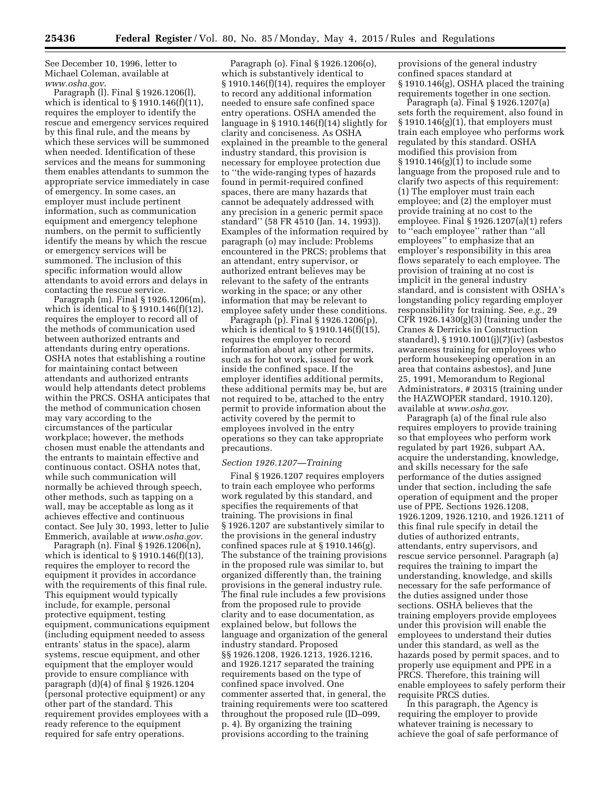See December 10, 1996, letter to Michael Coleman, available at *[www.osha.gov](http://www.osha.gov)*.

Paragraph (l). Final § 1926.1206(l), which is identical to  $\S 1910.146(f)(11)$ , requires the employer to identify the rescue and emergency services required by this final rule, and the means by which these services will be summoned when needed. Identification of these services and the means for summoning them enables attendants to summon the appropriate service immediately in case of emergency. In some cases, an employer must include pertinent information, such as communication equipment and emergency telephone numbers, on the permit to sufficiently identify the means by which the rescue or emergency services will be summoned. The inclusion of this specific information would allow attendants to avoid errors and delays in contacting the rescue service.

Paragraph (m). Final § 1926.1206(m), which is identical to  $\S 1910.146(f)(12)$ , requires the employer to record all of the methods of communication used between authorized entrants and attendants during entry operations. OSHA notes that establishing a routine for maintaining contact between attendants and authorized entrants would help attendants detect problems within the PRCS. OSHA anticipates that the method of communication chosen may vary according to the circumstances of the particular workplace; however, the methods chosen must enable the attendants and the entrants to maintain effective and continuous contact. OSHA notes that, while such communication will normally be achieved through speech, other methods, such as tapping on a wall, may be acceptable as long as it achieves effective and continuous contact. See July 30, 1993, letter to Julie Emmerich, available at *[www.osha.gov](http://www.osha.gov)*.

Paragraph (n). Final § 1926.1206(n), which is identical to  $\S 1910.146(f)(13)$ , requires the employer to record the equipment it provides in accordance with the requirements of this final rule. This equipment would typically include, for example, personal protective equipment, testing equipment, communications equipment (including equipment needed to assess entrants' status in the space), alarm systems, rescue equipment, and other equipment that the employer would provide to ensure compliance with paragraph (d)(4) of final § 1926.1204 (personal protective equipment) or any other part of the standard. This requirement provides employees with a ready reference to the equipment required for safe entry operations.

Paragraph (o). Final § 1926.1206(o), which is substantively identical to § 1910.146(f)(14), requires the employer to record any additional information needed to ensure safe confined space entry operations. OSHA amended the language in § 1910.146(f)(14) slightly for clarity and conciseness. As OSHA explained in the preamble to the general industry standard, this provision is necessary for employee protection due to ''the wide-ranging types of hazards found in permit-required confined spaces, there are many hazards that cannot be adequately addressed with any precision in a generic permit space standard'' (58 FR 4510 (Jan. 14, 1993)). Examples of the information required by paragraph (o) may include: Problems encountered in the PRCS; problems that an attendant, entry supervisor, or authorized entrant believes may be relevant to the safety of the entrants working in the space; or any other information that may be relevant to employee safety under these conditions.

Paragraph (p). Final § 1926.1206(p), which is identical to  $\S 1910.146(f)(15)$ , requires the employer to record information about any other permits, such as for hot work, issued for work inside the confined space. If the employer identifies additional permits, these additional permits may be, but are not required to be, attached to the entry permit to provide information about the activity covered by the permit to employees involved in the entry operations so they can take appropriate precautions.

### *Section 1926.1207—Training*

Final § 1926.1207 requires employers to train each employee who performs work regulated by this standard, and specifies the requirements of that training. The provisions in final § 1926.1207 are substantively similar to the provisions in the general industry confined spaces rule at § 1910.146(g). The substance of the training provisions in the proposed rule was similar to, but organized differently than, the training provisions in the general industry rule. The final rule includes a few provisions from the proposed rule to provide clarity and to ease documentation, as explained below, but follows the language and organization of the general industry standard. Proposed §§ 1926.1208, 1926.1213, 1926.1216, and 1926.1217 separated the training requirements based on the type of confined space involved. One commenter asserted that, in general, the training requirements were too scattered throughout the proposed rule (ID–099, p. 4). By organizing the training provisions according to the training

provisions of the general industry confined spaces standard at § 1910.146(g), OSHA placed the training requirements together in one section.

Paragraph (a). Final § 1926.1207(a) sets forth the requirement, also found in § 1910.146(g)(1), that employers must train each employee who performs work regulated by this standard. OSHA modified this provision from § 1910.146(g)(1) to include some language from the proposed rule and to clarify two aspects of this requirement: (1) The employer must train each employee; and (2) the employer must provide training at no cost to the employee. Final § 1926.1207(a)(1) refers to ''each employee'' rather than ''all employees'' to emphasize that an employer's responsibility in this area flows separately to each employee. The provision of training at no cost is implicit in the general industry standard, and is consistent with OSHA's longstanding policy regarding employer responsibility for training. See, *e.g.,* 29 CFR 1926.1430(g)(3) (training under the Cranes & Derricks in Construction standard), § 1910.1001(j)(7)(iv) (asbestos awareness training for employees who perform housekeeping operation in an area that contains asbestos), and June 25, 1991, Memorandum to Regional Administrators, # 20315 (training under the HAZWOPER standard, 1910.120), available at *[www.osha.gov](http://www.osha.gov)*.

Paragraph (a) of the final rule also requires employers to provide training so that employees who perform work regulated by part 1926, subpart AA, acquire the understanding, knowledge, and skills necessary for the safe performance of the duties assigned under that section, including the safe operation of equipment and the proper use of PPE. Sections 1926.1208, 1926.1209, 1926.1210, and 1926.1211 of this final rule specify in detail the duties of authorized entrants, attendants, entry supervisors, and rescue service personnel. Paragraph (a) requires the training to impart the understanding, knowledge, and skills necessary for the safe performance of the duties assigned under those sections. OSHA believes that the training employers provide employees under this provision will enable the employees to understand their duties under this standard, as well as the hazards posed by permit spaces, and to properly use equipment and PPE in a PRCS. Therefore, this training will enable employees to safely perform their requisite PRCS duties.

In this paragraph, the Agency is requiring the employer to provide whatever training is necessary to achieve the goal of safe performance of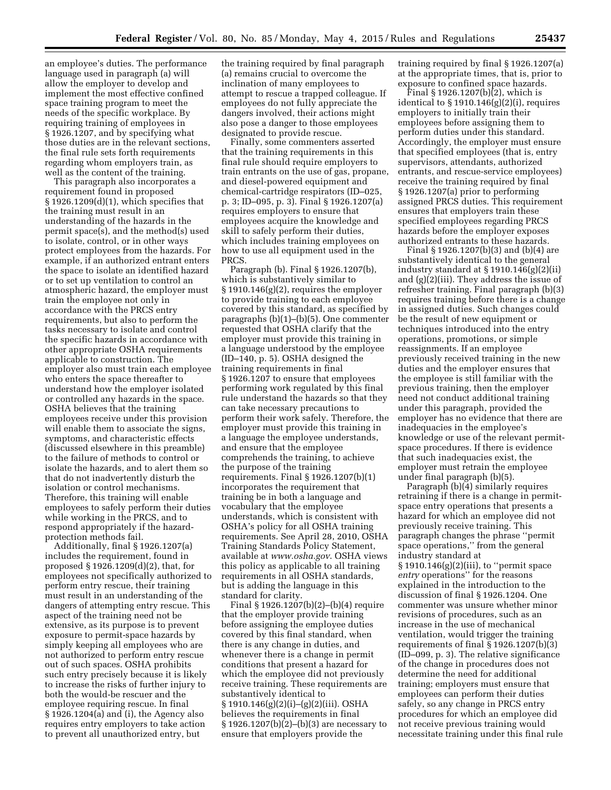an employee's duties. The performance language used in paragraph (a) will allow the employer to develop and implement the most effective confined space training program to meet the needs of the specific workplace. By requiring training of employees in § 1926.1207, and by specifying what those duties are in the relevant sections, the final rule sets forth requirements regarding whom employers train, as well as the content of the training.

This paragraph also incorporates a requirement found in proposed § 1926.1209(d)(1), which specifies that the training must result in an understanding of the hazards in the permit space(s), and the method(s) used to isolate, control, or in other ways protect employees from the hazards. For example, if an authorized entrant enters the space to isolate an identified hazard or to set up ventilation to control an atmospheric hazard, the employer must train the employee not only in accordance with the PRCS entry requirements, but also to perform the tasks necessary to isolate and control the specific hazards in accordance with other appropriate OSHA requirements applicable to construction. The employer also must train each employee who enters the space thereafter to understand how the employer isolated or controlled any hazards in the space. OSHA believes that the training employees receive under this provision will enable them to associate the signs, symptoms, and characteristic effects (discussed elsewhere in this preamble) to the failure of methods to control or isolate the hazards, and to alert them so that do not inadvertently disturb the isolation or control mechanisms. Therefore, this training will enable employees to safely perform their duties while working in the PRCS, and to respond appropriately if the hazardprotection methods fail.

Additionally, final § 1926.1207(a) includes the requirement, found in proposed § 1926.1209(d)(2), that, for employees not specifically authorized to perform entry rescue, their training must result in an understanding of the dangers of attempting entry rescue. This aspect of the training need not be extensive, as its purpose is to prevent exposure to permit-space hazards by simply keeping all employees who are not authorized to perform entry rescue out of such spaces. OSHA prohibits such entry precisely because it is likely to increase the risks of further injury to both the would-be rescuer and the employee requiring rescue. In final § 1926.1204(a) and (i), the Agency also requires entry employers to take action to prevent all unauthorized entry, but

the training required by final paragraph (a) remains crucial to overcome the inclination of many employees to attempt to rescue a trapped colleague. If employees do not fully appreciate the dangers involved, their actions might also pose a danger to those employees designated to provide rescue.

Finally, some commenters asserted that the training requirements in this final rule should require employers to train entrants on the use of gas, propane, and diesel-powered equipment and chemical-cartridge respirators (ID–025, p. 3; ID–095, p. 3). Final § 1926.1207(a) requires employers to ensure that employees acquire the knowledge and skill to safely perform their duties, which includes training employees on how to use all equipment used in the PRCS.

Paragraph (b). Final § 1926.1207(b), which is substantively similar to  $§ 1910.146(g)(2)$ , requires the employer to provide training to each employee covered by this standard, as specified by paragraphs (b)(1)–(b)(5). One commenter requested that OSHA clarify that the employer must provide this training in a language understood by the employee (ID–140, p. 5). OSHA designed the training requirements in final § 1926.1207 to ensure that employees performing work regulated by this final rule understand the hazards so that they can take necessary precautions to perform their work safely. Therefore, the employer must provide this training in a language the employee understands, and ensure that the employee comprehends the training, to achieve the purpose of the training requirements. Final § 1926.1207(b)(1) incorporates the requirement that training be in both a language and vocabulary that the employee understands, which is consistent with OSHA's policy for all OSHA training requirements. See April 28, 2010, OSHA Training Standards Policy Statement, available at *[www.osha.gov](http://www.osha.gov)*. OSHA views this policy as applicable to all training requirements in all OSHA standards, but is adding the language in this standard for clarity.

Final § 1926.1207(b)(2)–(b)(4) require that the employer provide training before assigning the employee duties covered by this final standard, when there is any change in duties, and whenever there is a change in permit conditions that present a hazard for which the employee did not previously receive training. These requirements are substantively identical to § 1910.146(g)(2)(i)–(g)(2)(iii). OSHA believes the requirements in final § 1926.1207(b)(2)–(b)(3) are necessary to ensure that employers provide the

training required by final § 1926.1207(a) at the appropriate times, that is, prior to exposure to confined space hazards.

Final  $\S 1926.1207(b)(2)$ , which is identical to  $\S 1910.146(g)(2)(i)$ , requires employers to initially train their employees before assigning them to perform duties under this standard. Accordingly, the employer must ensure that specified employees (that is, entry supervisors, attendants, authorized entrants, and rescue-service employees) receive the training required by final § 1926.1207(a) prior to performing assigned PRCS duties. This requirement ensures that employers train these specified employees regarding PRCS hazards before the employer exposes authorized entrants to these hazards.

Final § 1926.1207(b)(3) and (b)(4) are substantively identical to the general industry standard at § 1910.146(g)(2)(ii) and (g)(2)(iii). They address the issue of refresher training. Final paragraph (b)(3) requires training before there is a change in assigned duties. Such changes could be the result of new equipment or techniques introduced into the entry operations, promotions, or simple reassignments. If an employee previously received training in the new duties and the employer ensures that the employee is still familiar with the previous training, then the employer need not conduct additional training under this paragraph, provided the employer has no evidence that there are inadequacies in the employee's knowledge or use of the relevant permitspace procedures. If there is evidence that such inadequacies exist, the employer must retrain the employee under final paragraph (b)(5).

Paragraph  $(b)(4)$  similarly requires retraining if there is a change in permitspace entry operations that presents a hazard for which an employee did not previously receive training. This paragraph changes the phrase ''permit space operations,'' from the general industry standard at § 1910.146(g)(2)(iii), to ''permit space *entry* operations'' for the reasons explained in the introduction to the discussion of final § 1926.1204. One commenter was unsure whether minor revisions of procedures, such as an increase in the use of mechanical ventilation, would trigger the training requirements of final § 1926.1207(b)(3) (ID–099, p. 3). The relative significance of the change in procedures does not determine the need for additional training; employers must ensure that employees can perform their duties safely, so any change in PRCS entry procedures for which an employee did not receive previous training would necessitate training under this final rule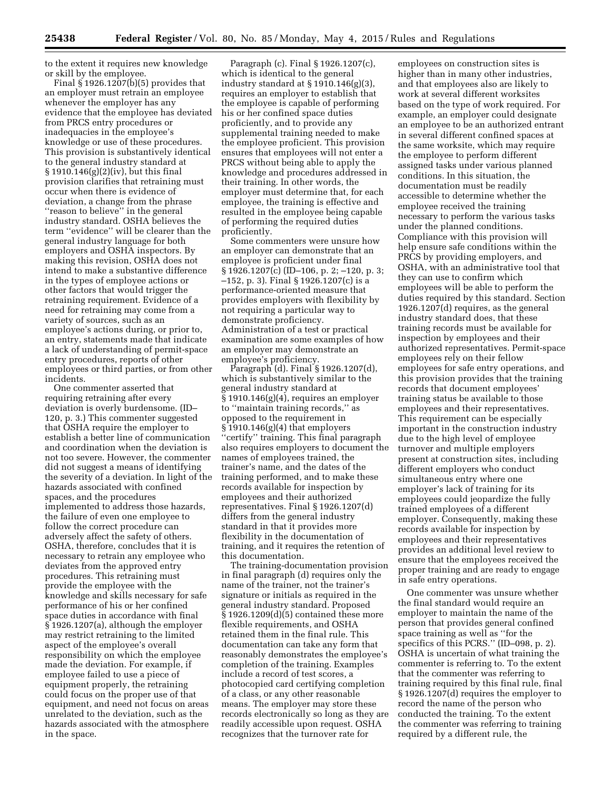to the extent it requires new knowledge or skill by the employee.

Final § 1926.1207(b)(5) provides that an employer must retrain an employee whenever the employer has any evidence that the employee has deviated from PRCS entry procedures or inadequacies in the employee's knowledge or use of these procedures. This provision is substantively identical to the general industry standard at § 1910.146(g)(2)(iv), but this final provision clarifies that retraining must occur when there is evidence of deviation, a change from the phrase ''reason to believe'' in the general industry standard. OSHA believes the term ''evidence'' will be clearer than the general industry language for both employers and OSHA inspectors. By making this revision, OSHA does not intend to make a substantive difference in the types of employee actions or other factors that would trigger the retraining requirement. Evidence of a need for retraining may come from a variety of sources, such as an employee's actions during, or prior to, an entry, statements made that indicate a lack of understanding of permit-space entry procedures, reports of other employees or third parties, or from other incidents.

One commenter asserted that requiring retraining after every deviation is overly burdensome. (ID– 120, p. 3.) This commenter suggested that OSHA require the employer to establish a better line of communication and coordination when the deviation is not too severe. However, the commenter did not suggest a means of identifying the severity of a deviation. In light of the hazards associated with confined spaces, and the procedures implemented to address those hazards, the failure of even one employee to follow the correct procedure can adversely affect the safety of others. OSHA, therefore, concludes that it is necessary to retrain any employee who deviates from the approved entry procedures. This retraining must provide the employee with the knowledge and skills necessary for safe performance of his or her confined space duties in accordance with final § 1926.1207(a), although the employer may restrict retraining to the limited aspect of the employee's overall responsibility on which the employee made the deviation. For example, if employee failed to use a piece of equipment properly, the retraining could focus on the proper use of that equipment, and need not focus on areas unrelated to the deviation, such as the hazards associated with the atmosphere in the space.

Paragraph (c). Final § 1926.1207(c), which is identical to the general industry standard at § 1910.146(g)(3), requires an employer to establish that the employee is capable of performing his or her confined space duties proficiently, and to provide any supplemental training needed to make the employee proficient. This provision ensures that employees will not enter a PRCS without being able to apply the knowledge and procedures addressed in their training. In other words, the employer must determine that, for each employee, the training is effective and resulted in the employee being capable of performing the required duties proficiently.

Some commenters were unsure how an employer can demonstrate that an employee is proficient under final § 1926.1207(c) (ID–106, p. 2; –120, p. 3; –152, p. 3). Final § 1926.1207(c) is a performance-oriented measure that provides employers with flexibility by not requiring a particular way to demonstrate proficiency. Administration of a test or practical examination are some examples of how an employer may demonstrate an employee's proficiency.

Paragraph (d). Final § 1926.1207(d), which is substantively similar to the general industry standard at § 1910.146(g)(4), requires an employer to ''maintain training records,'' as opposed to the requirement in § 1910.146(g)(4) that employers ''certify'' training. This final paragraph also requires employers to document the names of employees trained, the trainer's name, and the dates of the training performed, and to make these records available for inspection by employees and their authorized representatives. Final § 1926.1207(d) differs from the general industry standard in that it provides more flexibility in the documentation of training, and it requires the retention of this documentation.

The training-documentation provision in final paragraph (d) requires only the name of the trainer, not the trainer's signature or initials as required in the general industry standard. Proposed § 1926.1209(d)(5) contained these more flexible requirements, and OSHA retained them in the final rule. This documentation can take any form that reasonably demonstrates the employee's completion of the training. Examples include a record of test scores, a photocopied card certifying completion of a class, or any other reasonable means. The employer may store these records electronically so long as they are readily accessible upon request. OSHA recognizes that the turnover rate for

employees on construction sites is higher than in many other industries, and that employees also are likely to work at several different worksites based on the type of work required. For example, an employer could designate an employee to be an authorized entrant in several different confined spaces at the same worksite, which may require the employee to perform different assigned tasks under various planned conditions. In this situation, the documentation must be readily accessible to determine whether the employee received the training necessary to perform the various tasks under the planned conditions. Compliance with this provision will help ensure safe conditions within the PRCS by providing employers, and OSHA, with an administrative tool that they can use to confirm which employees will be able to perform the duties required by this standard. Section 1926.1207(d) requires, as the general industry standard does, that these training records must be available for inspection by employees and their authorized representatives. Permit-space employees rely on their fellow employees for safe entry operations, and this provision provides that the training records that document employees' training status be available to those employees and their representatives. This requirement can be especially important in the construction industry due to the high level of employee turnover and multiple employers present at construction sites, including different employers who conduct simultaneous entry where one employer's lack of training for its employees could jeopardize the fully trained employees of a different employer. Consequently, making these records available for inspection by employees and their representatives provides an additional level review to ensure that the employees received the proper training and are ready to engage in safe entry operations.

One commenter was unsure whether the final standard would require an employer to maintain the name of the person that provides general confined space training as well as ''for the specifics of this PCRS.'' (ID–098, p. 2). OSHA is uncertain of what training the commenter is referring to. To the extent that the commenter was referring to training required by this final rule, final § 1926.1207(d) requires the employer to record the name of the person who conducted the training. To the extent the commenter was referring to training required by a different rule, the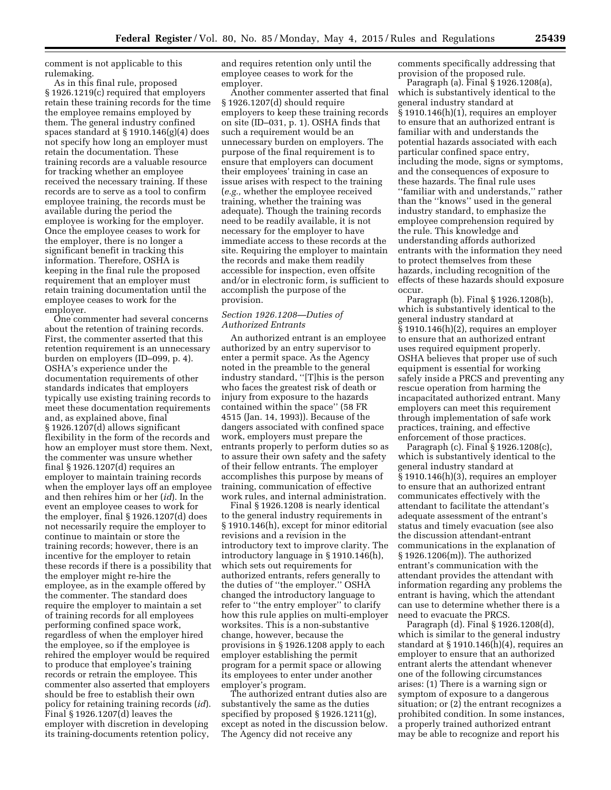comment is not applicable to this rulemaking.

As in this final rule, proposed § 1926.1219(c) required that employers retain these training records for the time the employee remains employed by them. The general industry confined spaces standard at § 1910.146(g)(4) does not specify how long an employer must retain the documentation. These training records are a valuable resource for tracking whether an employee received the necessary training. If these records are to serve as a tool to confirm employee training, the records must be available during the period the employee is working for the employer. Once the employee ceases to work for the employer, there is no longer a significant benefit in tracking this information. Therefore, OSHA is keeping in the final rule the proposed requirement that an employer must retain training documentation until the employee ceases to work for the employer.

One commenter had several concerns about the retention of training records. First, the commenter asserted that this retention requirement is an unnecessary burden on employers (ID–099, p. 4). OSHA's experience under the documentation requirements of other standards indicates that employers typically use existing training records to meet these documentation requirements and, as explained above, final § 1926.1207(d) allows significant flexibility in the form of the records and how an employer must store them. Next, the commenter was unsure whether final § 1926.1207(d) requires an employer to maintain training records when the employer lays off an employee and then rehires him or her (*id*). In the event an employee ceases to work for the employer, final § 1926.1207(d) does not necessarily require the employer to continue to maintain or store the training records; however, there is an incentive for the employer to retain these records if there is a possibility that the employer might re-hire the employee, as in the example offered by the commenter. The standard does require the employer to maintain a set of training records for all employees performing confined space work, regardless of when the employer hired the employee, so if the employee is rehired the employer would be required to produce that employee's training records or retrain the employee. This commenter also asserted that employers should be free to establish their own policy for retaining training records (*id*). Final § 1926.1207(d) leaves the employer with discretion in developing its training-documents retention policy,

and requires retention only until the employee ceases to work for the employer.

Another commenter asserted that final § 1926.1207(d) should require employers to keep these training records on site (ID–031, p. 1). OSHA finds that such a requirement would be an unnecessary burden on employers. The purpose of the final requirement is to ensure that employers can document their employees' training in case an issue arises with respect to the training (*e.g.,* whether the employee received training, whether the training was adequate). Though the training records need to be readily available, it is not necessary for the employer to have immediate access to these records at the site. Requiring the employer to maintain the records and make them readily accessible for inspection, even offsite and/or in electronic form, is sufficient to accomplish the purpose of the provision.

#### *Section 1926.1208—Duties of Authorized Entrants*

An authorized entrant is an employee authorized by an entry supervisor to enter a permit space. As the Agency noted in the preamble to the general industry standard, ''[T]his is the person who faces the greatest risk of death or injury from exposure to the hazards contained within the space'' (58 FR 4515 (Jan. 14, 1993)). Because of the dangers associated with confined space work, employers must prepare the entrants properly to perform duties so as to assure their own safety and the safety of their fellow entrants. The employer accomplishes this purpose by means of training, communication of effective work rules, and internal administration.

Final § 1926.1208 is nearly identical to the general industry requirements in § 1910.146(h), except for minor editorial revisions and a revision in the introductory text to improve clarity. The introductory language in § 1910.146(h), which sets out requirements for authorized entrants, refers generally to the duties of ''the employer.'' OSHA changed the introductory language to refer to ''the entry employer'' to clarify how this rule applies on multi-employer worksites. This is a non-substantive change, however, because the provisions in § 1926.1208 apply to each employer establishing the permit program for a permit space or allowing its employees to enter under another employer's program.

The authorized entrant duties also are substantively the same as the duties specified by proposed § 1926.1211(g), except as noted in the discussion below. The Agency did not receive any

comments specifically addressing that provision of the proposed rule.

Paragraph (a). Final § 1926.1208(a), which is substantively identical to the general industry standard at § 1910.146(h)(1), requires an employer to ensure that an authorized entrant is familiar with and understands the potential hazards associated with each particular confined space entry, including the mode, signs or symptoms, and the consequences of exposure to these hazards. The final rule uses ''familiar with and understands,'' rather than the ''knows'' used in the general industry standard, to emphasize the employee comprehension required by the rule. This knowledge and understanding affords authorized entrants with the information they need to protect themselves from these hazards, including recognition of the effects of these hazards should exposure occur.

Paragraph (b). Final § 1926.1208(b), which is substantively identical to the general industry standard at § 1910.146(h)(2), requires an employer to ensure that an authorized entrant uses required equipment properly. OSHA believes that proper use of such equipment is essential for working safely inside a PRCS and preventing any rescue operation from harming the incapacitated authorized entrant. Many employers can meet this requirement through implementation of safe work practices, training, and effective enforcement of those practices.

Paragraph (c). Final § 1926.1208(c), which is substantively identical to the general industry standard at § 1910.146(h)(3), requires an employer to ensure that an authorized entrant communicates effectively with the attendant to facilitate the attendant's adequate assessment of the entrant's status and timely evacuation (see also the discussion attendant-entrant communications in the explanation of § 1926.1206(m)). The authorized entrant's communication with the attendant provides the attendant with information regarding any problems the entrant is having, which the attendant can use to determine whether there is a need to evacuate the PRCS.

Paragraph (d). Final § 1926.1208(d), which is similar to the general industry standard at § 1910.146(h)(4), requires an employer to ensure that an authorized entrant alerts the attendant whenever one of the following circumstances arises: (1) There is a warning sign or symptom of exposure to a dangerous situation; or (2) the entrant recognizes a prohibited condition. In some instances, a properly trained authorized entrant may be able to recognize and report his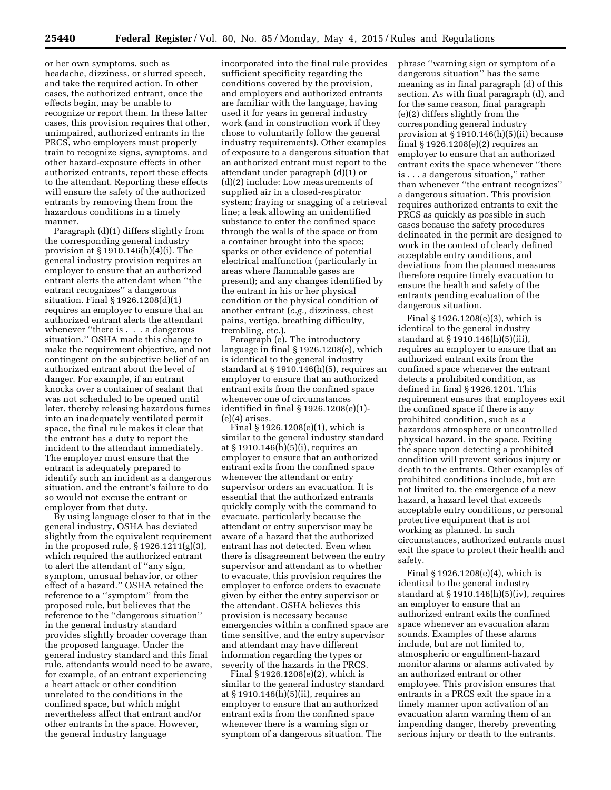or her own symptoms, such as headache, dizziness, or slurred speech, and take the required action. In other cases, the authorized entrant, once the effects begin, may be unable to recognize or report them. In these latter cases, this provision requires that other, unimpaired, authorized entrants in the PRCS, who employers must properly train to recognize signs, symptoms, and other hazard-exposure effects in other authorized entrants, report these effects to the attendant. Reporting these effects will ensure the safety of the authorized entrants by removing them from the hazardous conditions in a timely manner.

Paragraph (d)(1) differs slightly from the corresponding general industry provision at § 1910.146(h)(4)(i). The general industry provision requires an employer to ensure that an authorized entrant alerts the attendant when ''the entrant recognizes'' a dangerous situation. Final § 1926.1208(d)(1) requires an employer to ensure that an authorized entrant alerts the attendant whenever "there is . . . a dangerous situation.'' OSHA made this change to make the requirement objective, and not contingent on the subjective belief of an authorized entrant about the level of danger. For example, if an entrant knocks over a container of sealant that was not scheduled to be opened until later, thereby releasing hazardous fumes into an inadequately ventilated permit space, the final rule makes it clear that the entrant has a duty to report the incident to the attendant immediately. The employer must ensure that the entrant is adequately prepared to identify such an incident as a dangerous situation, and the entrant's failure to do so would not excuse the entrant or employer from that duty.

By using language closer to that in the general industry, OSHA has deviated slightly from the equivalent requirement in the proposed rule, § 1926.1211(g)(3), which required the authorized entrant to alert the attendant of ''any sign, symptom, unusual behavior, or other effect of a hazard.'' OSHA retained the reference to a ''symptom'' from the proposed rule, but believes that the reference to the ''dangerous situation'' in the general industry standard provides slightly broader coverage than the proposed language. Under the general industry standard and this final rule, attendants would need to be aware, for example, of an entrant experiencing a heart attack or other condition unrelated to the conditions in the confined space, but which might nevertheless affect that entrant and/or other entrants in the space. However, the general industry language

incorporated into the final rule provides sufficient specificity regarding the conditions covered by the provision, and employers and authorized entrants are familiar with the language, having used it for years in general industry work (and in construction work if they chose to voluntarily follow the general industry requirements). Other examples of exposure to a dangerous situation that an authorized entrant must report to the attendant under paragraph (d)(1) or (d)(2) include: Low measurements of supplied air in a closed-respirator system; fraying or snagging of a retrieval line; a leak allowing an unidentified substance to enter the confined space through the walls of the space or from a container brought into the space; sparks or other evidence of potential electrical malfunction (particularly in areas where flammable gases are present); and any changes identified by the entrant in his or her physical condition or the physical condition of another entrant (*e.g.,* dizziness, chest pains, vertigo, breathing difficulty, trembling, etc.).

Paragraph (e). The introductory language in final § 1926.1208(e), which is identical to the general industry standard at § 1910.146(h)(5), requires an employer to ensure that an authorized entrant exits from the confined space whenever one of circumstances identified in final § 1926.1208(e)(1)- (e)(4) arises.

Final § 1926.1208(e)(1), which is similar to the general industry standard at § 1910.146(h)(5)(i), requires an employer to ensure that an authorized entrant exits from the confined space whenever the attendant or entry supervisor orders an evacuation. It is essential that the authorized entrants quickly comply with the command to evacuate, particularly because the attendant or entry supervisor may be aware of a hazard that the authorized entrant has not detected. Even when there is disagreement between the entry supervisor and attendant as to whether to evacuate, this provision requires the employer to enforce orders to evacuate given by either the entry supervisor or the attendant. OSHA believes this provision is necessary because emergencies within a confined space are time sensitive, and the entry supervisor and attendant may have different information regarding the types or severity of the hazards in the PRCS.

Final § 1926.1208(e)(2), which is similar to the general industry standard at § 1910.146(h)(5)(ii), requires an employer to ensure that an authorized entrant exits from the confined space whenever there is a warning sign or symptom of a dangerous situation. The

phrase ''warning sign or symptom of a dangerous situation'' has the same meaning as in final paragraph (d) of this section. As with final paragraph (d), and for the same reason, final paragraph (e)(2) differs slightly from the corresponding general industry provision at § 1910.146(h)(5)(ii) because final § 1926.1208(e)(2) requires an employer to ensure that an authorized entrant exits the space whenever ''there is . . . a dangerous situation,'' rather than whenever ''the entrant recognizes'' a dangerous situation. This provision requires authorized entrants to exit the PRCS as quickly as possible in such cases because the safety procedures delineated in the permit are designed to work in the context of clearly defined acceptable entry conditions, and deviations from the planned measures therefore require timely evacuation to ensure the health and safety of the entrants pending evaluation of the dangerous situation.

Final § 1926.1208(e)(3), which is identical to the general industry standard at § 1910.146(h)(5)(iii), requires an employer to ensure that an authorized entrant exits from the confined space whenever the entrant detects a prohibited condition, as defined in final § 1926.1201. This requirement ensures that employees exit the confined space if there is any prohibited condition, such as a hazardous atmosphere or uncontrolled physical hazard, in the space. Exiting the space upon detecting a prohibited condition will prevent serious injury or death to the entrants. Other examples of prohibited conditions include, but are not limited to, the emergence of a new hazard, a hazard level that exceeds acceptable entry conditions, or personal protective equipment that is not working as planned. In such circumstances, authorized entrants must exit the space to protect their health and safety.

Final § 1926.1208(e)(4), which is identical to the general industry standard at § 1910.146(h)(5)(iv), requires an employer to ensure that an authorized entrant exits the confined space whenever an evacuation alarm sounds. Examples of these alarms include, but are not limited to, atmospheric or engulfment-hazard monitor alarms or alarms activated by an authorized entrant or other employee. This provision ensures that entrants in a PRCS exit the space in a timely manner upon activation of an evacuation alarm warning them of an impending danger, thereby preventing serious injury or death to the entrants.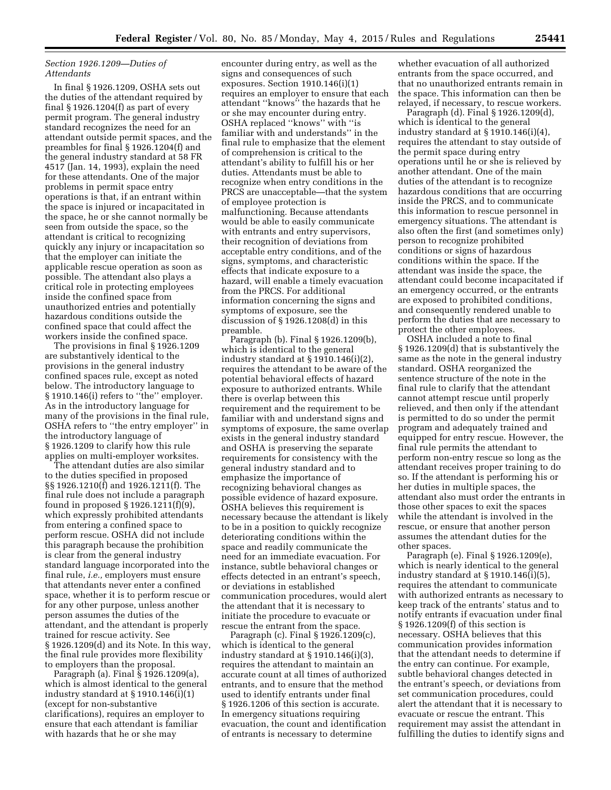# *Section 1926.1209—Duties of Attendants*

In final § 1926.1209, OSHA sets out the duties of the attendant required by final  $\S 1926.1204(f)$  as part of every permit program. The general industry standard recognizes the need for an attendant outside permit spaces, and the preambles for final § 1926.1204(f) and the general industry standard at 58 FR 4517 (Jan. 14, 1993), explain the need for these attendants. One of the major problems in permit space entry operations is that, if an entrant within the space is injured or incapacitated in the space, he or she cannot normally be seen from outside the space, so the attendant is critical to recognizing quickly any injury or incapacitation so that the employer can initiate the applicable rescue operation as soon as possible. The attendant also plays a critical role in protecting employees inside the confined space from unauthorized entries and potentially hazardous conditions outside the confined space that could affect the workers inside the confined space.

The provisions in final § 1926.1209 are substantively identical to the provisions in the general industry confined spaces rule, except as noted below. The introductory language to § 1910.146(i) refers to "the" employer. As in the introductory language for many of the provisions in the final rule, OSHA refers to ''the entry employer'' in the introductory language of § 1926.1209 to clarify how this rule applies on multi-employer worksites.

The attendant duties are also similar to the duties specified in proposed §§ 1926.1210(f) and 1926.1211(f). The final rule does not include a paragraph found in proposed § 1926.1211(f)(9), which expressly prohibited attendants from entering a confined space to perform rescue. OSHA did not include this paragraph because the prohibition is clear from the general industry standard language incorporated into the final rule, *i.e.,* employers must ensure that attendants never enter a confined space, whether it is to perform rescue or for any other purpose, unless another person assumes the duties of the attendant, and the attendant is properly trained for rescue activity. See § 1926.1209(d) and its Note. In this way, the final rule provides more flexibility to employers than the proposal.

Paragraph (a). Final § 1926.1209(a), which is almost identical to the general industry standard at § 1910.146(i)(1) (except for non-substantive clarifications), requires an employer to ensure that each attendant is familiar with hazards that he or she may

encounter during entry, as well as the signs and consequences of such exposures. Section 1910.146(i)(1) requires an employer to ensure that each attendant ''knows'' the hazards that he or she may encounter during entry. OSHA replaced ''knows'' with ''is familiar with and understands'' in the final rule to emphasize that the element of comprehension is critical to the attendant's ability to fulfill his or her duties. Attendants must be able to recognize when entry conditions in the PRCS are unacceptable—that the system of employee protection is malfunctioning. Because attendants would be able to easily communicate with entrants and entry supervisors, their recognition of deviations from acceptable entry conditions, and of the signs, symptoms, and characteristic effects that indicate exposure to a hazard, will enable a timely evacuation from the PRCS. For additional information concerning the signs and symptoms of exposure, see the discussion of § 1926.1208(d) in this preamble.

Paragraph (b). Final § 1926.1209(b), which is identical to the general industry standard at § 1910.146(i)(2), requires the attendant to be aware of the potential behavioral effects of hazard exposure to authorized entrants. While there is overlap between this requirement and the requirement to be familiar with and understand signs and symptoms of exposure, the same overlap exists in the general industry standard and OSHA is preserving the separate requirements for consistency with the general industry standard and to emphasize the importance of recognizing behavioral changes as possible evidence of hazard exposure. OSHA believes this requirement is necessary because the attendant is likely to be in a position to quickly recognize deteriorating conditions within the space and readily communicate the need for an immediate evacuation. For instance, subtle behavioral changes or effects detected in an entrant's speech, or deviations in established communication procedures, would alert the attendant that it is necessary to initiate the procedure to evacuate or rescue the entrant from the space.

Paragraph (c). Final § 1926.1209(c), which is identical to the general industry standard at § 1910.146(i)(3), requires the attendant to maintain an accurate count at all times of authorized entrants, and to ensure that the method used to identify entrants under final § 1926.1206 of this section is accurate. In emergency situations requiring evacuation, the count and identification of entrants is necessary to determine

whether evacuation of all authorized entrants from the space occurred, and that no unauthorized entrants remain in the space. This information can then be relayed, if necessary, to rescue workers.

Paragraph (d). Final § 1926.1209(d), which is identical to the general industry standard at § 1910.146(i)(4), requires the attendant to stay outside of the permit space during entry operations until he or she is relieved by another attendant. One of the main duties of the attendant is to recognize hazardous conditions that are occurring inside the PRCS, and to communicate this information to rescue personnel in emergency situations. The attendant is also often the first (and sometimes only) person to recognize prohibited conditions or signs of hazardous conditions within the space. If the attendant was inside the space, the attendant could become incapacitated if an emergency occurred, or the entrants are exposed to prohibited conditions, and consequently rendered unable to perform the duties that are necessary to protect the other employees.

OSHA included a note to final § 1926.1209(d) that is substantively the same as the note in the general industry standard. OSHA reorganized the sentence structure of the note in the final rule to clarify that the attendant cannot attempt rescue until properly relieved, and then only if the attendant is permitted to do so under the permit program and adequately trained and equipped for entry rescue. However, the final rule permits the attendant to perform non-entry rescue so long as the attendant receives proper training to do so. If the attendant is performing his or her duties in multiple spaces, the attendant also must order the entrants in those other spaces to exit the spaces while the attendant is involved in the rescue, or ensure that another person assumes the attendant duties for the other spaces.

Paragraph (e). Final § 1926.1209(e), which is nearly identical to the general industry standard at § 1910.146(i)(5), requires the attendant to communicate with authorized entrants as necessary to keep track of the entrants' status and to notify entrants if evacuation under final § 1926.1209(f) of this section is necessary. OSHA believes that this communication provides information that the attendant needs to determine if the entry can continue. For example, subtle behavioral changes detected in the entrant's speech, or deviations from set communication procedures, could alert the attendant that it is necessary to evacuate or rescue the entrant. This requirement may assist the attendant in fulfilling the duties to identify signs and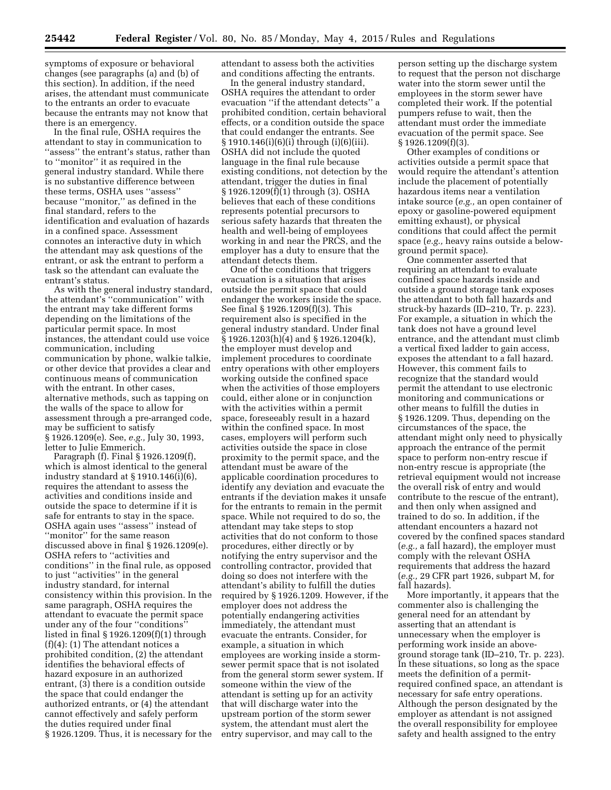symptoms of exposure or behavioral changes (see paragraphs (a) and (b) of this section). In addition, if the need arises, the attendant must communicate to the entrants an order to evacuate because the entrants may not know that there is an emergency.

In the final rule, OSHA requires the attendant to stay in communication to ''assess'' the entrant's status, rather than to ''monitor'' it as required in the general industry standard. While there is no substantive difference between these terms, OSHA uses ''assess'' because ''monitor,'' as defined in the final standard, refers to the identification and evaluation of hazards in a confined space. Assessment connotes an interactive duty in which the attendant may ask questions of the entrant, or ask the entrant to perform a task so the attendant can evaluate the entrant's status.

As with the general industry standard, the attendant's ''communication'' with the entrant may take different forms depending on the limitations of the particular permit space. In most instances, the attendant could use voice communication, including communication by phone, walkie talkie, or other device that provides a clear and continuous means of communication with the entrant. In other cases, alternative methods, such as tapping on the walls of the space to allow for assessment through a pre-arranged code, may be sufficient to satisfy § 1926.1209(e). See, *e.g.,* July 30, 1993, letter to Julie Emmerich.

Paragraph (f). Final § 1926.1209(f), which is almost identical to the general industry standard at § 1910.146(i)(6), requires the attendant to assess the activities and conditions inside and outside the space to determine if it is safe for entrants to stay in the space. OSHA again uses ''assess'' instead of ''monitor'' for the same reason discussed above in final § 1926.1209(e). OSHA refers to ''activities and conditions'' in the final rule, as opposed to just ''activities'' in the general industry standard, for internal consistency within this provision. In the same paragraph, OSHA requires the attendant to evacuate the permit space under any of the four "conditions" listed in final § 1926.1209(f)(1) through (f)(4): (1) The attendant notices a prohibited condition, (2) the attendant identifies the behavioral effects of hazard exposure in an authorized entrant, (3) there is a condition outside the space that could endanger the authorized entrants, or (4) the attendant cannot effectively and safely perform the duties required under final § 1926.1209. Thus, it is necessary for the attendant to assess both the activities and conditions affecting the entrants.

In the general industry standard, OSHA requires the attendant to order evacuation ''if the attendant detects'' a prohibited condition, certain behavioral effects, or a condition outside the space that could endanger the entrants. See § 1910.146(i)(6)(i) through (i)(6)(iii). OSHA did not include the quoted language in the final rule because existing conditions, not detection by the attendant, trigger the duties in final § 1926.1209(f)(1) through (3). OSHA believes that each of these conditions represents potential precursors to serious safety hazards that threaten the health and well-being of employees working in and near the PRCS, and the employer has a duty to ensure that the attendant detects them.

One of the conditions that triggers evacuation is a situation that arises outside the permit space that could endanger the workers inside the space. See final § 1926.1209(f)(3). This requirement also is specified in the general industry standard. Under final § 1926.1203(h)(4) and § 1926.1204(k), the employer must develop and implement procedures to coordinate entry operations with other employers working outside the confined space when the activities of those employers could, either alone or in conjunction with the activities within a permit space, foreseeably result in a hazard within the confined space. In most cases, employers will perform such activities outside the space in close proximity to the permit space, and the attendant must be aware of the applicable coordination procedures to identify any deviation and evacuate the entrants if the deviation makes it unsafe for the entrants to remain in the permit space. While not required to do so, the attendant may take steps to stop activities that do not conform to those procedures, either directly or by notifying the entry supervisor and the controlling contractor, provided that doing so does not interfere with the attendant's ability to fulfill the duties required by § 1926.1209. However, if the employer does not address the potentially endangering activities immediately, the attendant must evacuate the entrants. Consider, for example, a situation in which employees are working inside a stormsewer permit space that is not isolated from the general storm sewer system. If someone within the view of the attendant is setting up for an activity that will discharge water into the upstream portion of the storm sewer system, the attendant must alert the entry supervisor, and may call to the

person setting up the discharge system to request that the person not discharge water into the storm sewer until the employees in the storm sewer have completed their work. If the potential pumpers refuse to wait, then the attendant must order the immediate evacuation of the permit space. See § 1926.1209(f)(3).

Other examples of conditions or activities outside a permit space that would require the attendant's attention include the placement of potentially hazardous items near a ventilation intake source (*e.g.,* an open container of epoxy or gasoline-powered equipment emitting exhaust), or physical conditions that could affect the permit space (*e.g.,* heavy rains outside a belowground permit space).

One commenter asserted that requiring an attendant to evaluate confined space hazards inside and outside a ground storage tank exposes the attendant to both fall hazards and struck-by hazards (ID–210, Tr. p. 223). For example, a situation in which the tank does not have a ground level entrance, and the attendant must climb a vertical fixed ladder to gain access, exposes the attendant to a fall hazard. However, this comment fails to recognize that the standard would permit the attendant to use electronic monitoring and communications or other means to fulfill the duties in § 1926.1209. Thus, depending on the circumstances of the space, the attendant might only need to physically approach the entrance of the permit space to perform non-entry rescue if non-entry rescue is appropriate (the retrieval equipment would not increase the overall risk of entry and would contribute to the rescue of the entrant), and then only when assigned and trained to do so. In addition, if the attendant encounters a hazard not covered by the confined spaces standard (*e.g.,* a fall hazard), the employer must comply with the relevant OSHA requirements that address the hazard (*e.g.,* 29 CFR part 1926, subpart M, for fall hazards).

More importantly, it appears that the commenter also is challenging the general need for an attendant by asserting that an attendant is unnecessary when the employer is performing work inside an aboveground storage tank (ID–210, Tr. p. 223). In these situations, so long as the space meets the definition of a permitrequired confined space, an attendant is necessary for safe entry operations. Although the person designated by the employer as attendant is not assigned the overall responsibility for employee safety and health assigned to the entry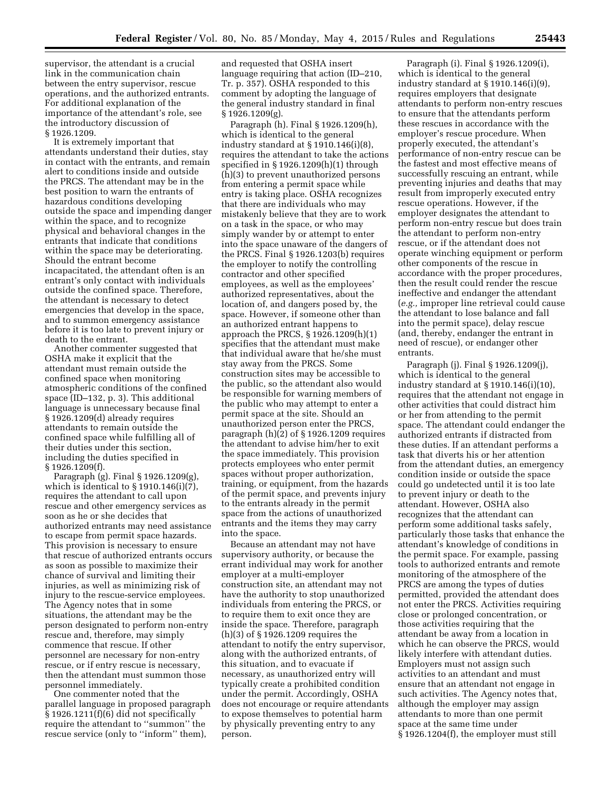supervisor, the attendant is a crucial link in the communication chain between the entry supervisor, rescue operations, and the authorized entrants. For additional explanation of the importance of the attendant's role, see the introductory discussion of § 1926.1209.

It is extremely important that attendants understand their duties, stay in contact with the entrants, and remain alert to conditions inside and outside the PRCS. The attendant may be in the best position to warn the entrants of hazardous conditions developing outside the space and impending danger within the space, and to recognize physical and behavioral changes in the entrants that indicate that conditions within the space may be deteriorating. Should the entrant become incapacitated, the attendant often is an entrant's only contact with individuals outside the confined space. Therefore, the attendant is necessary to detect emergencies that develop in the space, and to summon emergency assistance before it is too late to prevent injury or death to the entrant.

Another commenter suggested that OSHA make it explicit that the attendant must remain outside the confined space when monitoring atmospheric conditions of the confined space (ID–132, p. 3). This additional language is unnecessary because final § 1926.1209(d) already requires attendants to remain outside the confined space while fulfilling all of their duties under this section, including the duties specified in § 1926.1209(f).

Paragraph (g). Final § 1926.1209(g), which is identical to  $\S 1910.146(i)(7)$ , requires the attendant to call upon rescue and other emergency services as soon as he or she decides that authorized entrants may need assistance to escape from permit space hazards. This provision is necessary to ensure that rescue of authorized entrants occurs as soon as possible to maximize their chance of survival and limiting their injuries, as well as minimizing risk of injury to the rescue-service employees. The Agency notes that in some situations, the attendant may be the person designated to perform non-entry rescue and, therefore, may simply commence that rescue. If other personnel are necessary for non-entry rescue, or if entry rescue is necessary, then the attendant must summon those personnel immediately.

One commenter noted that the parallel language in proposed paragraph § 1926.1211(f)(6) did not specifically require the attendant to ''summon'' the rescue service (only to ''inform'' them),

and requested that OSHA insert language requiring that action (ID–210, Tr. p. 357). OSHA responded to this comment by adopting the language of the general industry standard in final § 1926.1209(g).

Paragraph (h). Final § 1926.1209(h), which is identical to the general industry standard at § 1910.146(i)(8), requires the attendant to take the actions specified in § 1926.1209(h)(1) through (h)(3) to prevent unauthorized persons from entering a permit space while entry is taking place. OSHA recognizes that there are individuals who may mistakenly believe that they are to work on a task in the space, or who may simply wander by or attempt to enter into the space unaware of the dangers of the PRCS. Final § 1926.1203(b) requires the employer to notify the controlling contractor and other specified employees, as well as the employees' authorized representatives, about the location of, and dangers posed by, the space. However, if someone other than an authorized entrant happens to approach the PRCS, § 1926.1209(h)(1) specifies that the attendant must make that individual aware that he/she must stay away from the PRCS. Some construction sites may be accessible to the public, so the attendant also would be responsible for warning members of the public who may attempt to enter a permit space at the site. Should an unauthorized person enter the PRCS, paragraph (h)(2) of § 1926.1209 requires the attendant to advise him/her to exit the space immediately. This provision protects employees who enter permit spaces without proper authorization, training, or equipment, from the hazards of the permit space, and prevents injury to the entrants already in the permit space from the actions of unauthorized entrants and the items they may carry into the space.

Because an attendant may not have supervisory authority, or because the errant individual may work for another employer at a multi-employer construction site, an attendant may not have the authority to stop unauthorized individuals from entering the PRCS, or to require them to exit once they are inside the space. Therefore, paragraph (h)(3) of § 1926.1209 requires the attendant to notify the entry supervisor, along with the authorized entrants, of this situation, and to evacuate if necessary, as unauthorized entry will typically create a prohibited condition under the permit. Accordingly, OSHA does not encourage or require attendants to expose themselves to potential harm by physically preventing entry to any person.

Paragraph (i). Final § 1926.1209(i), which is identical to the general industry standard at § 1910.146(i)(9), requires employers that designate attendants to perform non-entry rescues to ensure that the attendants perform these rescues in accordance with the employer's rescue procedure. When properly executed, the attendant's performance of non-entry rescue can be the fastest and most effective means of successfully rescuing an entrant, while preventing injuries and deaths that may result from improperly executed entry rescue operations. However, if the employer designates the attendant to perform non-entry rescue but does train the attendant to perform non-entry rescue, or if the attendant does not operate winching equipment or perform other components of the rescue in accordance with the proper procedures, then the result could render the rescue ineffective and endanger the attendant (*e.g.,* improper line retrieval could cause the attendant to lose balance and fall into the permit space), delay rescue (and, thereby, endanger the entrant in need of rescue), or endanger other entrants.

Paragraph (j). Final § 1926.1209(j), which is identical to the general industry standard at § 1910.146(i)(10), requires that the attendant not engage in other activities that could distract him or her from attending to the permit space. The attendant could endanger the authorized entrants if distracted from these duties. If an attendant performs a task that diverts his or her attention from the attendant duties, an emergency condition inside or outside the space could go undetected until it is too late to prevent injury or death to the attendant. However, OSHA also recognizes that the attendant can perform some additional tasks safely, particularly those tasks that enhance the attendant's knowledge of conditions in the permit space. For example, passing tools to authorized entrants and remote monitoring of the atmosphere of the PRCS are among the types of duties permitted, provided the attendant does not enter the PRCS. Activities requiring close or prolonged concentration, or those activities requiring that the attendant be away from a location in which he can observe the PRCS, would likely interfere with attendant duties. Employers must not assign such activities to an attendant and must ensure that an attendant not engage in such activities. The Agency notes that, although the employer may assign attendants to more than one permit space at the same time under § 1926.1204(f), the employer must still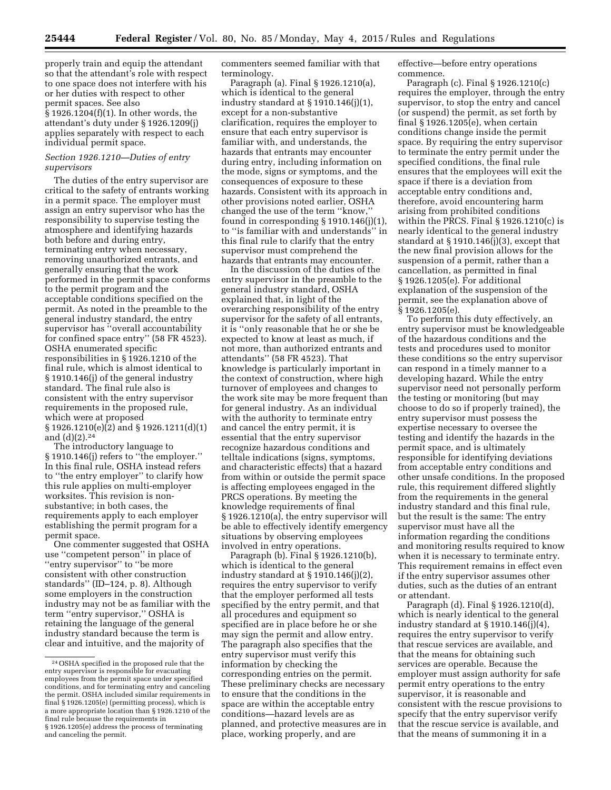properly train and equip the attendant so that the attendant's role with respect to one space does not interfere with his or her duties with respect to other permit spaces. See also § 1926.1204(f)(1). In other words, the attendant's duty under § 1926.1209(j) applies separately with respect to each individual permit space.

# *Section 1926.1210—Duties of entry supervisors*

The duties of the entry supervisor are critical to the safety of entrants working in a permit space. The employer must assign an entry supervisor who has the responsibility to supervise testing the atmosphere and identifying hazards both before and during entry, terminating entry when necessary, removing unauthorized entrants, and generally ensuring that the work performed in the permit space conforms to the permit program and the acceptable conditions specified on the permit. As noted in the preamble to the general industry standard, the entry supervisor has ''overall accountability for confined space entry'' (58 FR 4523). OSHA enumerated specific responsibilities in § 1926.1210 of the final rule, which is almost identical to § 1910.146(j) of the general industry standard. The final rule also is consistent with the entry supervisor requirements in the proposed rule, which were at proposed § 1926.1210(e)(2) and § 1926.1211(d)(1) and (d)(2).24

The introductory language to § 1910.146(j) refers to ''the employer.'' In this final rule, OSHA instead refers to ''the entry employer'' to clarify how this rule applies on multi-employer worksites. This revision is nonsubstantive; in both cases, the requirements apply to each employer establishing the permit program for a permit space.

One commenter suggested that OSHA use ''competent person'' in place of ''entry supervisor'' to ''be more consistent with other construction standards'' (ID–124, p. 8). Although some employers in the construction industry may not be as familiar with the term ''entry supervisor,'' OSHA is retaining the language of the general industry standard because the term is clear and intuitive, and the majority of

commenters seemed familiar with that terminology.

Paragraph (a). Final § 1926.1210(a), which is identical to the general industry standard at § 1910.146(j)(1), except for a non-substantive clarification, requires the employer to ensure that each entry supervisor is familiar with, and understands, the hazards that entrants may encounter during entry, including information on the mode, signs or symptoms, and the consequences of exposure to these hazards. Consistent with its approach in other provisions noted earlier, OSHA changed the use of the term ''know,'' found in corresponding  $\S 1910.146(j)(1)$ , to ''is familiar with and understands'' in this final rule to clarify that the entry supervisor must comprehend the hazards that entrants may encounter.

In the discussion of the duties of the entry supervisor in the preamble to the general industry standard, OSHA explained that, in light of the overarching responsibility of the entry supervisor for the safety of all entrants, it is ''only reasonable that he or she be expected to know at least as much, if not more, than authorized entrants and attendants'' (58 FR 4523). That knowledge is particularly important in the context of construction, where high turnover of employees and changes to the work site may be more frequent than for general industry. As an individual with the authority to terminate entry and cancel the entry permit, it is essential that the entry supervisor recognize hazardous conditions and telltale indications (signs, symptoms, and characteristic effects) that a hazard from within or outside the permit space is affecting employees engaged in the PRCS operations. By meeting the knowledge requirements of final § 1926.1210(a), the entry supervisor will be able to effectively identify emergency situations by observing employees involved in entry operations.

Paragraph (b). Final § 1926.1210(b), which is identical to the general industry standard at § 1910.146(j)(2), requires the entry supervisor to verify that the employer performed all tests specified by the entry permit, and that all procedures and equipment so specified are in place before he or she may sign the permit and allow entry. The paragraph also specifies that the entry supervisor must verify this information by checking the corresponding entries on the permit. These preliminary checks are necessary to ensure that the conditions in the space are within the acceptable entry conditions—hazard levels are as planned, and protective measures are in place, working properly, and are

effective—before entry operations commence.

Paragraph (c). Final § 1926.1210(c) requires the employer, through the entry supervisor, to stop the entry and cancel (or suspend) the permit, as set forth by final § 1926.1205(e), when certain conditions change inside the permit space. By requiring the entry supervisor to terminate the entry permit under the specified conditions, the final rule ensures that the employees will exit the space if there is a deviation from acceptable entry conditions and, therefore, avoid encountering harm arising from prohibited conditions within the PRCS. Final § 1926.1210(c) is nearly identical to the general industry standard at § 1910.146(j)(3), except that the new final provision allows for the suspension of a permit, rather than a cancellation, as permitted in final § 1926.1205(e). For additional explanation of the suspension of the permit, see the explanation above of § 1926.1205(e).

To perform this duty effectively, an entry supervisor must be knowledgeable of the hazardous conditions and the tests and procedures used to monitor these conditions so the entry supervisor can respond in a timely manner to a developing hazard. While the entry supervisor need not personally perform the testing or monitoring (but may choose to do so if properly trained), the entry supervisor must possess the expertise necessary to oversee the testing and identify the hazards in the permit space, and is ultimately responsible for identifying deviations from acceptable entry conditions and other unsafe conditions. In the proposed rule, this requirement differed slightly from the requirements in the general industry standard and this final rule, but the result is the same: The entry supervisor must have all the information regarding the conditions and monitoring results required to know when it is necessary to terminate entry. This requirement remains in effect even if the entry supervisor assumes other duties, such as the duties of an entrant or attendant.

Paragraph (d). Final § 1926.1210(d), which is nearly identical to the general industry standard at § 1910.146(j)(4), requires the entry supervisor to verify that rescue services are available, and that the means for obtaining such services are operable. Because the employer must assign authority for safe permit entry operations to the entry supervisor, it is reasonable and consistent with the rescue provisions to specify that the entry supervisor verify that the rescue service is available, and that the means of summoning it in a

<sup>24</sup>OSHA specified in the proposed rule that the entry supervisor is responsible for evacuating employees from the permit space under specified conditions, and for terminating entry and canceling the permit. OSHA included similar requirements in final § 1926.1205(e) (permitting process), which is a more appropriate location than § 1926.1210 of the final rule because the requirements in § 1926.1205(e) address the process of terminating and canceling the permit.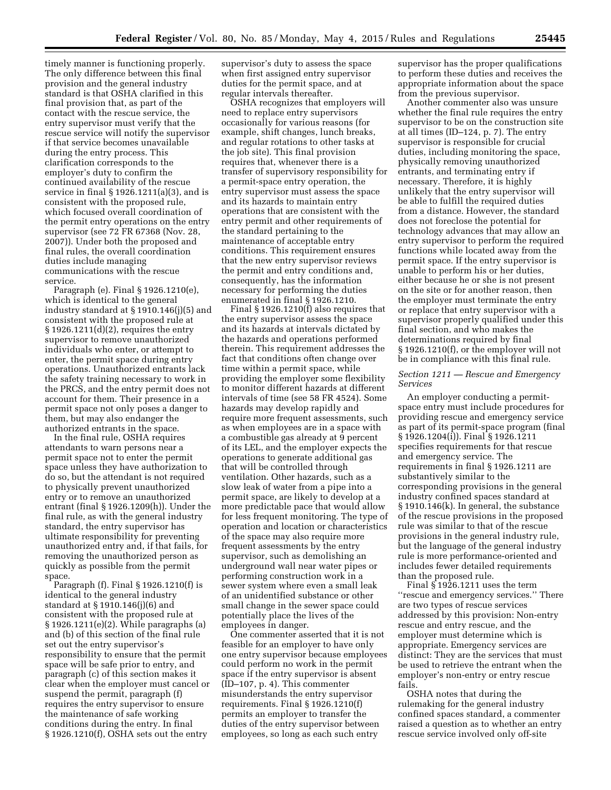timely manner is functioning properly. The only difference between this final provision and the general industry standard is that OSHA clarified in this final provision that, as part of the contact with the rescue service, the entry supervisor must verify that the rescue service will notify the supervisor if that service becomes unavailable during the entry process. This clarification corresponds to the employer's duty to confirm the continued availability of the rescue service in final § 1926.1211(a)(3), and is consistent with the proposed rule, which focused overall coordination of the permit entry operations on the entry supervisor (see 72 FR 67368 (Nov. 28, 2007)). Under both the proposed and final rules, the overall coordination duties include managing communications with the rescue service.

Paragraph (e). Final § 1926.1210(e), which is identical to the general industry standard at § 1910.146(j)(5) and consistent with the proposed rule at § 1926.1211(d)(2), requires the entry supervisor to remove unauthorized individuals who enter, or attempt to enter, the permit space during entry operations. Unauthorized entrants lack the safety training necessary to work in the PRCS, and the entry permit does not account for them. Their presence in a permit space not only poses a danger to them, but may also endanger the authorized entrants in the space.

In the final rule, OSHA requires attendants to warn persons near a permit space not to enter the permit space unless they have authorization to do so, but the attendant is not required to physically prevent unauthorized entry or to remove an unauthorized entrant (final § 1926.1209(h)). Under the final rule, as with the general industry standard, the entry supervisor has ultimate responsibility for preventing unauthorized entry and, if that fails, for removing the unauthorized person as quickly as possible from the permit space.

Paragraph (f). Final § 1926.1210(f) is identical to the general industry standard at § 1910.146(j)(6) and consistent with the proposed rule at § 1926.1211(e)(2). While paragraphs (a) and (b) of this section of the final rule set out the entry supervisor's responsibility to ensure that the permit space will be safe prior to entry, and paragraph (c) of this section makes it clear when the employer must cancel or suspend the permit, paragraph (f) requires the entry supervisor to ensure the maintenance of safe working conditions during the entry. In final § 1926.1210(f), OSHA sets out the entry

supervisor's duty to assess the space when first assigned entry supervisor duties for the permit space, and at regular intervals thereafter.

OSHA recognizes that employers will need to replace entry supervisors occasionally for various reasons (for example, shift changes, lunch breaks, and regular rotations to other tasks at the job site). This final provision requires that, whenever there is a transfer of supervisory responsibility for a permit-space entry operation, the entry supervisor must assess the space and its hazards to maintain entry operations that are consistent with the entry permit and other requirements of the standard pertaining to the maintenance of acceptable entry conditions. This requirement ensures that the new entry supervisor reviews the permit and entry conditions and, consequently, has the information necessary for performing the duties enumerated in final § 1926.1210.

Final § 1926.1210(f) also requires that the entry supervisor assess the space and its hazards at intervals dictated by the hazards and operations performed therein. This requirement addresses the fact that conditions often change over time within a permit space, while providing the employer some flexibility to monitor different hazards at different intervals of time (see 58 FR 4524). Some hazards may develop rapidly and require more frequent assessments, such as when employees are in a space with a combustible gas already at 9 percent of its LEL, and the employer expects the operations to generate additional gas that will be controlled through ventilation. Other hazards, such as a slow leak of water from a pipe into a permit space, are likely to develop at a more predictable pace that would allow for less frequent monitoring. The type of operation and location or characteristics of the space may also require more frequent assessments by the entry supervisor, such as demolishing an underground wall near water pipes or performing construction work in a sewer system where even a small leak of an unidentified substance or other small change in the sewer space could potentially place the lives of the employees in danger.

One commenter asserted that it is not feasible for an employer to have only one entry supervisor because employees could perform no work in the permit space if the entry supervisor is absent (ID–107, p. 4). This commenter misunderstands the entry supervisor requirements. Final § 1926.1210(f) permits an employer to transfer the duties of the entry supervisor between employees, so long as each such entry

supervisor has the proper qualifications to perform these duties and receives the appropriate information about the space from the previous supervisor.

Another commenter also was unsure whether the final rule requires the entry supervisor to be on the construction site at all times (ID–124, p. 7). The entry supervisor is responsible for crucial duties, including monitoring the space, physically removing unauthorized entrants, and terminating entry if necessary. Therefore, it is highly unlikely that the entry supervisor will be able to fulfill the required duties from a distance. However, the standard does not foreclose the potential for technology advances that may allow an entry supervisor to perform the required functions while located away from the permit space. If the entry supervisor is unable to perform his or her duties, either because he or she is not present on the site or for another reason, then the employer must terminate the entry or replace that entry supervisor with a supervisor properly qualified under this final section, and who makes the determinations required by final § 1926.1210(f), or the employer will not be in compliance with this final rule.

## *Section 1211 — Rescue and Emergency Services*

An employer conducting a permitspace entry must include procedures for providing rescue and emergency service as part of its permit-space program (final § 1926.1204(i)). Final § 1926.1211 specifies requirements for that rescue and emergency service. The requirements in final § 1926.1211 are substantively similar to the corresponding provisions in the general industry confined spaces standard at § 1910.146(k). In general, the substance of the rescue provisions in the proposed rule was similar to that of the rescue provisions in the general industry rule, but the language of the general industry rule is more performance-oriented and includes fewer detailed requirements than the proposed rule.

Final § 1926.1211 uses the term ''rescue and emergency services.'' There are two types of rescue services addressed by this provision: Non-entry rescue and entry rescue, and the employer must determine which is appropriate. Emergency services are distinct: They are the services that must be used to retrieve the entrant when the employer's non-entry or entry rescue fails.

OSHA notes that during the rulemaking for the general industry confined spaces standard, a commenter raised a question as to whether an entry rescue service involved only off-site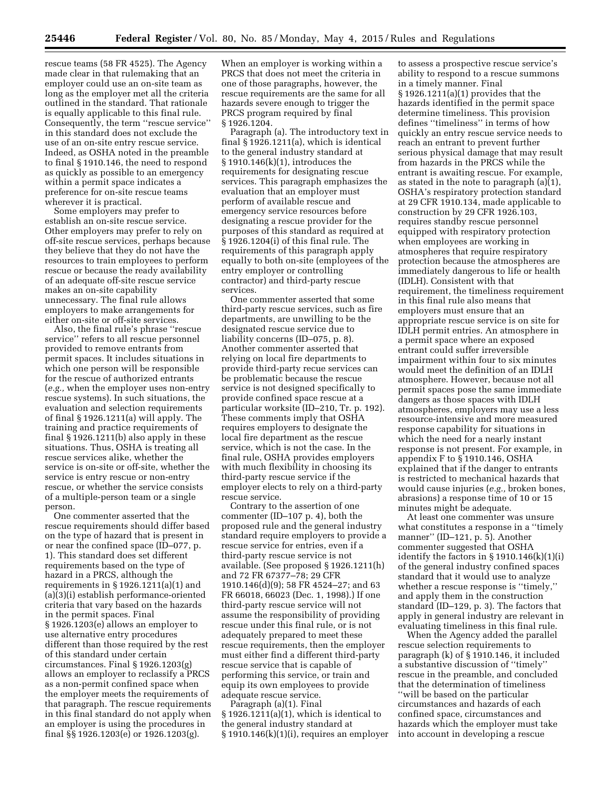rescue teams (58 FR 4525). The Agency made clear in that rulemaking that an employer could use an on-site team as long as the employer met all the criteria outlined in the standard. That rationale is equally applicable to this final rule. Consequently, the term ''rescue service'' in this standard does not exclude the use of an on-site entry rescue service. Indeed, as OSHA noted in the preamble to final § 1910.146, the need to respond as quickly as possible to an emergency within a permit space indicates a preference for on-site rescue teams wherever it is practical.

Some employers may prefer to establish an on-site rescue service. Other employers may prefer to rely on off-site rescue services, perhaps because they believe that they do not have the resources to train employees to perform rescue or because the ready availability of an adequate off-site rescue service makes an on-site capability unnecessary. The final rule allows employers to make arrangements for either on-site or off-site services.

Also, the final rule's phrase ''rescue service'' refers to all rescue personnel provided to remove entrants from permit spaces. It includes situations in which one person will be responsible for the rescue of authorized entrants (*e.g.,* when the employer uses non-entry rescue systems). In such situations, the evaluation and selection requirements of final § 1926.1211(a) will apply. The training and practice requirements of final § 1926.1211(b) also apply in these situations. Thus, OSHA is treating all rescue services alike, whether the service is on-site or off-site, whether the service is entry rescue or non-entry rescue, or whether the service consists of a multiple-person team or a single person.

One commenter asserted that the rescue requirements should differ based on the type of hazard that is present in or near the confined space (ID–077, p. 1). This standard does set different requirements based on the type of hazard in a PRCS, although the requirements in  $\S 1926.1211(a)(1)$  and (a)(3)(i) establish performance-oriented criteria that vary based on the hazards in the permit spaces. Final § 1926.1203(e) allows an employer to use alternative entry procedures different than those required by the rest of this standard under certain circumstances. Final § 1926.1203(g) allows an employer to reclassify a PRCS as a non-permit confined space when the employer meets the requirements of that paragraph. The rescue requirements in this final standard do not apply when an employer is using the procedures in final §§ 1926.1203(e) or 1926.1203(g).

When an employer is working within a PRCS that does not meet the criteria in one of those paragraphs, however, the rescue requirements are the same for all hazards severe enough to trigger the PRCS program required by final § 1926.1204.

Paragraph (a). The introductory text in final § 1926.1211(a), which is identical to the general industry standard at § 1910.146(k)(1), introduces the requirements for designating rescue services. This paragraph emphasizes the evaluation that an employer must perform of available rescue and emergency service resources before designating a rescue provider for the purposes of this standard as required at § 1926.1204(i) of this final rule. The requirements of this paragraph apply equally to both on-site (employees of the entry employer or controlling contractor) and third-party rescue services.

One commenter asserted that some third-party rescue services, such as fire departments, are unwilling to be the designated rescue service due to liability concerns (ID–075, p. 8). Another commenter asserted that relying on local fire departments to provide third-party recue services can be problematic because the rescue service is not designed specifically to provide confined space rescue at a particular worksite (ID–210, Tr. p. 192). These comments imply that OSHA requires employers to designate the local fire department as the rescue service, which is not the case. In the final rule, OSHA provides employers with much flexibility in choosing its third-party rescue service if the employer elects to rely on a third-party rescue service.

Contrary to the assertion of one commenter (ID–107 p. 4), both the proposed rule and the general industry standard require employers to provide a rescue service for entries, even if a third-party rescue service is not available. (See proposed § 1926.1211(h) and 72 FR 67377–78; 29 CFR 1910.146(d)(9); 58 FR 4524–27; and 63 FR 66018, 66023 (Dec. 1, 1998).) If one third-party rescue service will not assume the responsibility of providing rescue under this final rule, or is not adequately prepared to meet these rescue requirements, then the employer must either find a different third-party rescue service that is capable of performing this service, or train and equip its own employees to provide adequate rescue service.

Paragraph (a)(1). Final § 1926.1211(a)(1), which is identical to the general industry standard at § 1910.146(k)(1)(i), requires an employer

to assess a prospective rescue service's ability to respond to a rescue summons in a timely manner. Final § 1926.1211(a)(1) provides that the hazards identified in the permit space determine timeliness. This provision defines ''timeliness'' in terms of how quickly an entry rescue service needs to reach an entrant to prevent further serious physical damage that may result from hazards in the PRCS while the entrant is awaiting rescue. For example, as stated in the note to paragraph (a)(1), OSHA's respiratory protection standard at 29 CFR 1910.134, made applicable to construction by 29 CFR 1926.103, requires standby rescue personnel equipped with respiratory protection when employees are working in atmospheres that require respiratory protection because the atmospheres are immediately dangerous to life or health (IDLH). Consistent with that requirement, the timeliness requirement in this final rule also means that employers must ensure that an appropriate rescue service is on site for IDLH permit entries. An atmosphere in a permit space where an exposed entrant could suffer irreversible impairment within four to six minutes would meet the definition of an IDLH atmosphere. However, because not all permit spaces pose the same immediate dangers as those spaces with IDLH atmospheres, employers may use a less resource-intensive and more measured response capability for situations in which the need for a nearly instant response is not present. For example, in appendix F to § 1910.146, OSHA explained that if the danger to entrants is restricted to mechanical hazards that would cause injuries (*e.g.,* broken bones, abrasions) a response time of 10 or 15 minutes might be adequate.

At least one commenter was unsure what constitutes a response in a ''timely manner'' (ID–121, p. 5). Another commenter suggested that OSHA identify the factors in  $\S 1910.146(k)(1)(i)$ of the general industry confined spaces standard that it would use to analyze whether a rescue response is "timely," and apply them in the construction standard (ID–129, p. 3). The factors that apply in general industry are relevant in evaluating timeliness in this final rule.

When the Agency added the parallel rescue selection requirements to paragraph (k) of § 1910.146, it included a substantive discussion of ''timely'' rescue in the preamble, and concluded that the determination of timeliness ''will be based on the particular circumstances and hazards of each confined space, circumstances and hazards which the employer must take into account in developing a rescue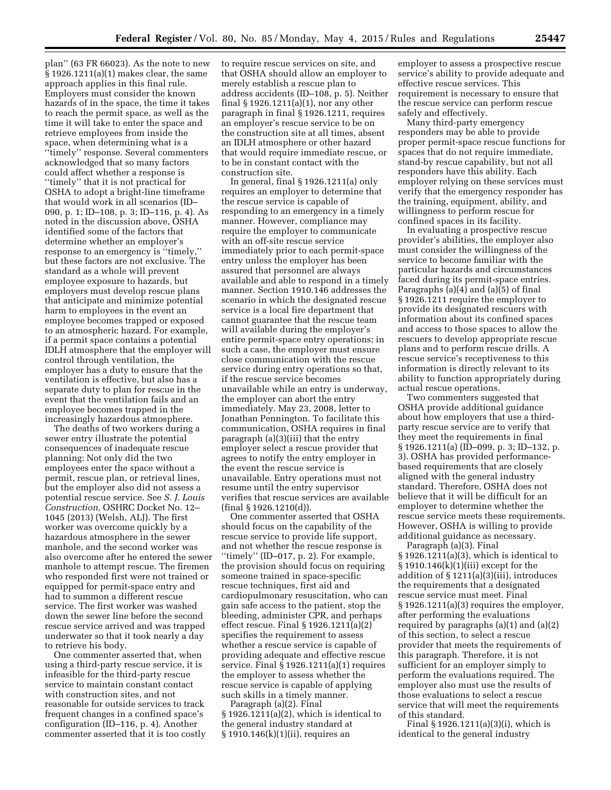plan'' (63 FR 66023). As the note to new § 1926.1211(a)(1) makes clear, the same approach applies in this final rule. Employers must consider the known hazards of in the space, the time it takes to reach the permit space, as well as the time it will take to enter the space and retrieve employees from inside the space, when determining what is a ''timely'' response. Several commenters acknowledged that so many factors could affect whether a response is ''timely'' that it is not practical for OSHA to adopt a bright-line timeframe that would work in all scenarios (ID– 090, p. 1; ID–108, p. 3; ID–116, p. 4). As noted in the discussion above, OSHA identified some of the factors that determine whether an employer's response to an emergency is ''timely,'' but these factors are not exclusive. The standard as a whole will prevent employee exposure to hazards, but employers must develop rescue plans that anticipate and minimize potential harm to employees in the event an employee becomes trapped or exposed to an atmospheric hazard. For example, if a permit space contains a potential IDLH atmosphere that the employer will control through ventilation, the employer has a duty to ensure that the ventilation is effective, but also has a separate duty to plan for rescue in the event that the ventilation fails and an employee becomes trapped in the increasingly hazardous atmosphere.

The deaths of two workers during a sewer entry illustrate the potential consequences of inadequate rescue planning: Not only did the two employees enter the space without a permit, rescue plan, or retrieval lines, but the employer also did not assess a potential rescue service. See *S. J. Louis Construction,* OSHRC Docket No. 12– 1045 (2013) (Welsh, ALJ). The first worker was overcome quickly by a hazardous atmosphere in the sewer manhole, and the second worker was also overcome after he entered the sewer manhole to attempt rescue. The firemen who responded first were not trained or equipped for permit-space entry and had to summon a different rescue service. The first worker was washed down the sewer line before the second rescue service arrived and was trapped underwater so that it took nearly a day to retrieve his body.

One commenter asserted that, when using a third-party rescue service, it is infeasible for the third-party rescue service to maintain constant contact with construction sites, and not reasonable for outside services to track frequent changes in a confined space's configuration (ID–116, p. 4). Another commenter asserted that it is too costly to require rescue services on site, and that OSHA should allow an employer to merely establish a rescue plan to address accidents (ID–108, p. 5). Neither final § 1926.1211(a)(1), nor any other paragraph in final § 1926.1211, requires an employer's rescue service to be on the construction site at all times, absent an IDLH atmosphere or other hazard that would require immediate rescue, or to be in constant contact with the construction site.

In general, final § 1926.1211(a) only requires an employer to determine that the rescue service is capable of responding to an emergency in a timely manner. However, compliance may require the employer to communicate with an off-site rescue service immediately prior to each permit-space entry unless the employer has been assured that personnel are always available and able to respond in a timely manner. Section 1910.146 addresses the scenario in which the designated rescue service is a local fire department that cannot guarantee that the rescue team will available during the employer's entire permit-space entry operations; in such a case, the employer must ensure close communication with the rescue service during entry operations so that, if the rescue service becomes unavailable while an entry is underway, the employer can abort the entry immediately. May 23, 2008, letter to Jonathan Pennington. To facilitate this communication, OSHA requires in final paragraph (a)(3)(iii) that the entry employer select a rescue provider that agrees to notify the entry employer in the event the rescue service is unavailable. Entry operations must not resume until the entry supervisor verifies that rescue services are available (final § 1926.1210(d)).

One commenter asserted that OSHA should focus on the capability of the rescue service to provide life support, and not whether the rescue response is ''timely'' (ID–017, p. 2). For example, the provision should focus on requiring someone trained in space-specific rescue techniques, first aid and cardiopulmonary resuscitation, who can gain safe access to the patient, stop the bleeding, administer CPR, and perhaps effect rescue. Final § 1926.1211(a)(2) specifies the requirement to assess whether a rescue service is capable of providing adequate and effective rescue service. Final § 1926.1211(a)(1) requires the employer to assess whether the rescue service is capable of applying such skills in a timely manner.

Paragraph (a)(2). Final § 1926.1211(a)(2), which is identical to the general industry standard at § 1910.146(k)(1)(ii), requires an

employer to assess a prospective rescue service's ability to provide adequate and effective rescue services. This requirement is necessary to ensure that the rescue service can perform rescue safely and effectively.

Many third-party emergency responders may be able to provide proper permit-space rescue functions for spaces that do not require immediate, stand-by rescue capability, but not all responders have this ability. Each employer relying on these services must verify that the emergency responder has the training, equipment, ability, and willingness to perform rescue for confined spaces in its facility.

In evaluating a prospective rescue provider's abilities, the employer also must consider the willingness of the service to become familiar with the particular hazards and circumstances faced during its permit-space entries. Paragraphs (a)(4) and (a)(5) of final § 1926.1211 require the employer to provide its designated rescuers with information about its confined spaces and access to those spaces to allow the rescuers to develop appropriate rescue plans and to perform rescue drills. A rescue service's receptiveness to this information is directly relevant to its ability to function appropriately during actual rescue operations.

Two commenters suggested that OSHA provide additional guidance about how employers that use a thirdparty rescue service are to verify that they meet the requirements in final § 1926.1211(a) (ID–099, p. 3; ID–132, p. 3). OSHA has provided performancebased requirements that are closely aligned with the general industry standard. Therefore, OSHA does not believe that it will be difficult for an employer to determine whether the rescue service meets these requirements. However, OSHA is willing to provide additional guidance as necessary.

Paragraph (a)(3). Final § 1926.1211(a)(3), which is identical to § 1910.146(k)(1)(iii) except for the addition of § 1211(a)(3)(iii), introduces the requirements that a designated rescue service must meet. Final § 1926.1211(a)(3) requires the employer, after performing the evaluations required by paragraphs (a)(1) and (a)(2) of this section, to select a rescue provider that meets the requirements of this paragraph. Therefore, it is not sufficient for an employer simply to perform the evaluations required. The employer also must use the results of those evaluations to select a rescue service that will meet the requirements of this standard.

Final § 1926.1211(a)(3)(i), which is identical to the general industry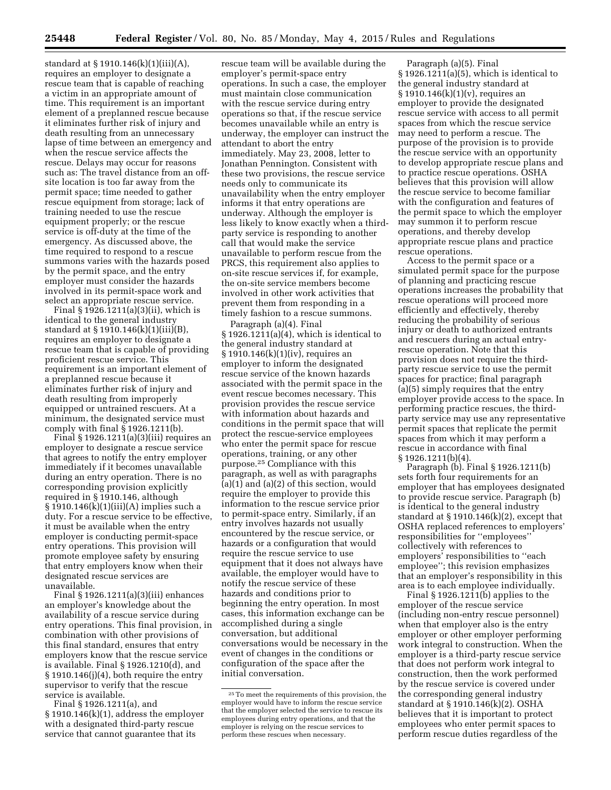standard at § 1910.146(k)(1)(iii)(A), requires an employer to designate a rescue team that is capable of reaching a victim in an appropriate amount of time. This requirement is an important element of a preplanned rescue because it eliminates further risk of injury and death resulting from an unnecessary lapse of time between an emergency and when the rescue service affects the rescue. Delays may occur for reasons such as: The travel distance from an offsite location is too far away from the permit space; time needed to gather rescue equipment from storage; lack of training needed to use the rescue equipment properly; or the rescue service is off-duty at the time of the emergency. As discussed above, the time required to respond to a rescue summons varies with the hazards posed by the permit space, and the entry employer must consider the hazards involved in its permit-space work and select an appropriate rescue service.

Final § 1926.1211(a)(3)(ii), which is identical to the general industry standard at § 1910.146(k)(1)(iii)(B), requires an employer to designate a rescue team that is capable of providing proficient rescue service. This requirement is an important element of a preplanned rescue because it eliminates further risk of injury and death resulting from improperly equipped or untrained rescuers. At a minimum, the designated service must comply with final § 1926.1211(b).

Final § 1926.1211(a)(3)(iii) requires an employer to designate a rescue service that agrees to notify the entry employer immediately if it becomes unavailable during an entry operation. There is no corresponding provision explicitly required in § 1910.146, although § 1910.146(k)(1)(iii)(A) implies such a duty. For a rescue service to be effective, it must be available when the entry employer is conducting permit-space entry operations. This provision will promote employee safety by ensuring that entry employers know when their designated rescue services are unavailable.

Final § 1926.1211(a)(3)(iii) enhances an employer's knowledge about the availability of a rescue service during entry operations. This final provision, in combination with other provisions of this final standard, ensures that entry employers know that the rescue service is available. Final § 1926.1210(d), and § 1910.146(j)(4), both require the entry supervisor to verify that the rescue service is available.

Final § 1926.1211(a), and  $§ 1910.146(k)(1)$ , address the employer with a designated third-party rescue service that cannot guarantee that its

rescue team will be available during the employer's permit-space entry operations. In such a case, the employer must maintain close communication with the rescue service during entry operations so that, if the rescue service becomes unavailable while an entry is underway, the employer can instruct the attendant to abort the entry immediately. May 23, 2008, letter to Jonathan Pennington. Consistent with these two provisions, the rescue service needs only to communicate its unavailability when the entry employer informs it that entry operations are underway. Although the employer is less likely to know exactly when a thirdparty service is responding to another call that would make the service unavailable to perform rescue from the PRCS, this requirement also applies to on-site rescue services if, for example, the on-site service members become involved in other work activities that prevent them from responding in a timely fashion to a rescue summons.

Paragraph (a)(4). Final § 1926.1211(a)(4), which is identical to the general industry standard at § 1910.146(k)(1)(iv), requires an employer to inform the designated rescue service of the known hazards associated with the permit space in the event rescue becomes necessary. This provision provides the rescue service with information about hazards and conditions in the permit space that will protect the rescue-service employees who enter the permit space for rescue operations, training, or any other purpose.25 Compliance with this paragraph, as well as with paragraphs  $(a)(1)$  and  $(a)(2)$  of this section, would require the employer to provide this information to the rescue service prior to permit-space entry. Similarly, if an entry involves hazards not usually encountered by the rescue service, or hazards or a configuration that would require the rescue service to use equipment that it does not always have available, the employer would have to notify the rescue service of these hazards and conditions prior to beginning the entry operation. In most cases, this information exchange can be accomplished during a single conversation, but additional conversations would be necessary in the event of changes in the conditions or configuration of the space after the initial conversation.

Paragraph (a)(5). Final § 1926.1211(a)(5), which is identical to the general industry standard at § 1910.146(k)(1)(v), requires an employer to provide the designated rescue service with access to all permit spaces from which the rescue service may need to perform a rescue. The purpose of the provision is to provide the rescue service with an opportunity to develop appropriate rescue plans and to practice rescue operations. OSHA believes that this provision will allow the rescue service to become familiar with the configuration and features of the permit space to which the employer may summon it to perform rescue operations, and thereby develop appropriate rescue plans and practice rescue operations.

Access to the permit space or a simulated permit space for the purpose of planning and practicing rescue operations increases the probability that rescue operations will proceed more efficiently and effectively, thereby reducing the probability of serious injury or death to authorized entrants and rescuers during an actual entryrescue operation. Note that this provision does not require the thirdparty rescue service to use the permit spaces for practice; final paragraph (a)(5) simply requires that the entry employer provide access to the space. In performing practice rescues, the thirdparty service may use any representative permit spaces that replicate the permit spaces from which it may perform a rescue in accordance with final § 1926.1211(b)(4).

Paragraph (b). Final § 1926.1211(b) sets forth four requirements for an employer that has employees designated to provide rescue service. Paragraph (b) is identical to the general industry standard at  $\S 1910.146(k)(2)$ , except that OSHA replaced references to employers' responsibilities for ''employees'' collectively with references to employers' responsibilities to ''each employee''; this revision emphasizes that an employer's responsibility in this area is to each employee individually.

Final  $\S 1926.1211(b)$  applies to the employer of the rescue service (including non-entry rescue personnel) when that employer also is the entry employer or other employer performing work integral to construction. When the employer is a third-party rescue service that does not perform work integral to construction, then the work performed by the rescue service is covered under the corresponding general industry standard at § 1910.146(k)(2). OSHA believes that it is important to protect employees who enter permit spaces to perform rescue duties regardless of the

<sup>25</sup>To meet the requirements of this provision, the employer would have to inform the rescue service that the employer selected the service to rescue its employees during entry operations, and that the employer is relying on the rescue services to perform these rescues when necessary.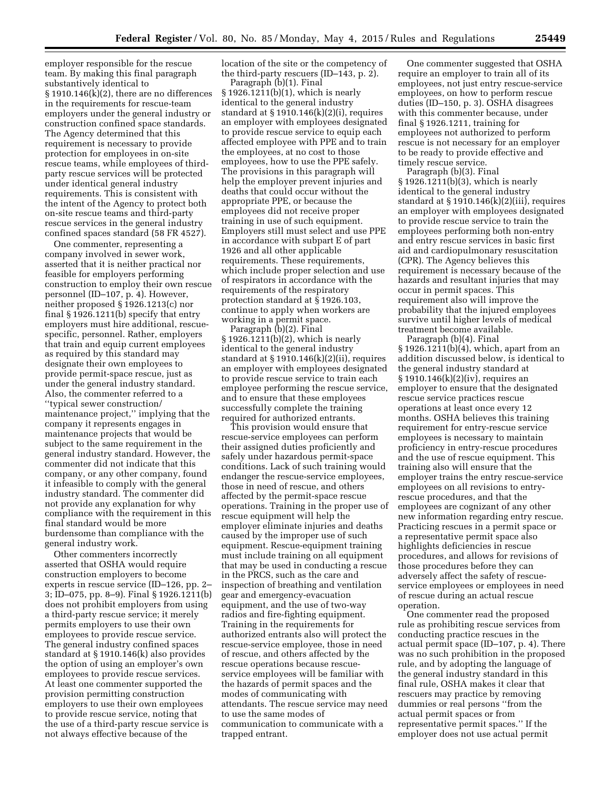employer responsible for the rescue team. By making this final paragraph substantively identical to § 1910.146(k)(2), there are no differences in the requirements for rescue-team employers under the general industry or construction confined space standards. The Agency determined that this requirement is necessary to provide protection for employees in on-site rescue teams, while employees of thirdparty rescue services will be protected under identical general industry requirements. This is consistent with the intent of the Agency to protect both on-site rescue teams and third-party rescue services in the general industry confined spaces standard (58 FR 4527).

One commenter, representing a company involved in sewer work, asserted that it is neither practical nor feasible for employers performing construction to employ their own rescue personnel (ID–107, p. 4). However, neither proposed § 1926.1213(c) nor final § 1926.1211(b) specify that entry employers must hire additional, rescuespecific, personnel. Rather, employers that train and equip current employees as required by this standard may designate their own employees to provide permit-space rescue, just as under the general industry standard. Also, the commenter referred to a ''typical sewer construction/ maintenance project,'' implying that the company it represents engages in maintenance projects that would be subject to the same requirement in the general industry standard. However, the commenter did not indicate that this company, or any other company, found it infeasible to comply with the general industry standard. The commenter did not provide any explanation for why compliance with the requirement in this final standard would be more burdensome than compliance with the general industry work.

Other commenters incorrectly asserted that OSHA would require construction employers to become experts in rescue service (ID–126, pp. 2– 3; ID–075, pp. 8–9). Final § 1926.1211(b) does not prohibit employers from using a third-party rescue service; it merely permits employers to use their own employees to provide rescue service. The general industry confined spaces standard at § 1910.146(k) also provides the option of using an employer's own employees to provide rescue services. At least one commenter supported the provision permitting construction employers to use their own employees to provide rescue service, noting that the use of a third-party rescue service is not always effective because of the

location of the site or the competency of the third-party rescuers (ID–143, p. 2).

Paragraph (b)(1). Final § 1926.1211(b)(1), which is nearly identical to the general industry standard at  $\S 1910.146(k)(2)(i)$ , requires an employer with employees designated to provide rescue service to equip each affected employee with PPE and to train the employees, at no cost to those employees, how to use the PPE safely. The provisions in this paragraph will help the employer prevent injuries and deaths that could occur without the appropriate PPE, or because the employees did not receive proper training in use of such equipment. Employers still must select and use PPE in accordance with subpart E of part 1926 and all other applicable requirements. These requirements, which include proper selection and use of respirators in accordance with the requirements of the respiratory protection standard at § 1926.103, continue to apply when workers are working in a permit space.

Paragraph (b)(2). Final § 1926.1211(b)(2), which is nearly identical to the general industry standard at  $\S 1910.146(k)(2)(ii)$ , requires an employer with employees designated to provide rescue service to train each employee performing the rescue service, and to ensure that these employees successfully complete the training required for authorized entrants.

This provision would ensure that rescue-service employees can perform their assigned duties proficiently and safely under hazardous permit-space conditions. Lack of such training would endanger the rescue-service employees, those in need of rescue, and others affected by the permit-space rescue operations. Training in the proper use of rescue equipment will help the employer eliminate injuries and deaths caused by the improper use of such equipment. Rescue-equipment training must include training on all equipment that may be used in conducting a rescue in the PRCS, such as the care and inspection of breathing and ventilation gear and emergency-evacuation equipment, and the use of two-way radios and fire-fighting equipment. Training in the requirements for authorized entrants also will protect the rescue-service employee, those in need of rescue, and others affected by the rescue operations because rescueservice employees will be familiar with the hazards of permit spaces and the modes of communicating with attendants. The rescue service may need to use the same modes of communication to communicate with a trapped entrant.

One commenter suggested that OSHA require an employer to train all of its employees, not just entry rescue-service employees, on how to perform rescue duties (ID–150, p. 3). OSHA disagrees with this commenter because, under final § 1926.1211, training for employees not authorized to perform rescue is not necessary for an employer to be ready to provide effective and timely rescue service.

Paragraph (b)(3). Final § 1926.1211(b)(3), which is nearly identical to the general industry standard at  $\S 1910.146(k)(2)(iii)$ , requires an employer with employees designated to provide rescue service to train the employees performing both non-entry and entry rescue services in basic first aid and cardiopulmonary resuscitation (CPR). The Agency believes this requirement is necessary because of the hazards and resultant injuries that may occur in permit spaces. This requirement also will improve the probability that the injured employees survive until higher levels of medical treatment become available.

Paragraph (b)(4). Final § 1926.1211(b)(4), which, apart from an addition discussed below, is identical to the general industry standard at § 1910.146(k)(2)(iv), requires an employer to ensure that the designated rescue service practices rescue operations at least once every 12 months. OSHA believes this training requirement for entry-rescue service employees is necessary to maintain proficiency in entry-rescue procedures and the use of rescue equipment. This training also will ensure that the employer trains the entry rescue-service employees on all revisions to entryrescue procedures, and that the employees are cognizant of any other new information regarding entry rescue. Practicing rescues in a permit space or a representative permit space also highlights deficiencies in rescue procedures, and allows for revisions of those procedures before they can adversely affect the safety of rescueservice employees or employees in need of rescue during an actual rescue operation.

One commenter read the proposed rule as prohibiting rescue services from conducting practice rescues in the actual permit space (ID–107, p. 4). There was no such prohibition in the proposed rule, and by adopting the language of the general industry standard in this final rule, OSHA makes it clear that rescuers may practice by removing dummies or real persons ''from the actual permit spaces or from representative permit spaces.'' If the employer does not use actual permit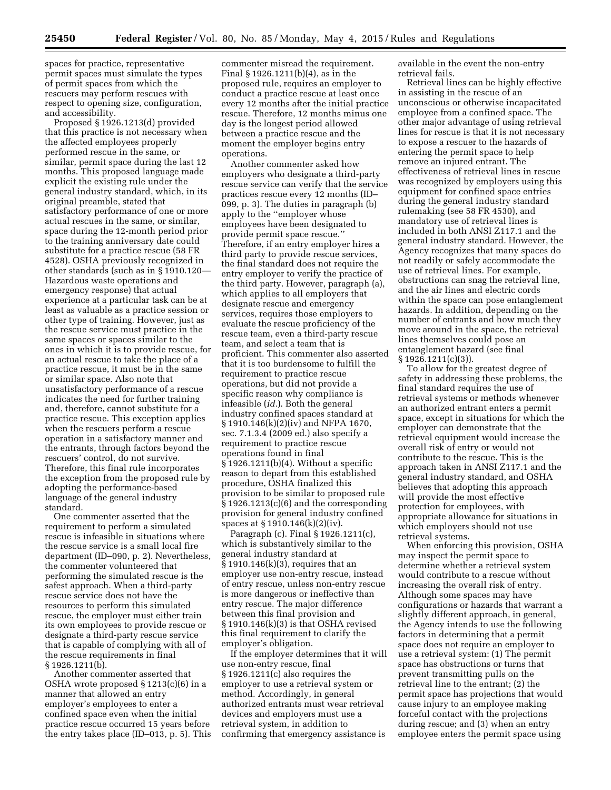spaces for practice, representative permit spaces must simulate the types of permit spaces from which the rescuers may perform rescues with respect to opening size, configuration, and accessibility.

Proposed § 1926.1213(d) provided that this practice is not necessary when the affected employees properly performed rescue in the same, or similar, permit space during the last 12 months. This proposed language made explicit the existing rule under the general industry standard, which, in its original preamble, stated that satisfactory performance of one or more actual rescues in the same, or similar, space during the 12-month period prior to the training anniversary date could substitute for a practice rescue (58 FR 4528). OSHA previously recognized in other standards (such as in § 1910.120— Hazardous waste operations and emergency response) that actual experience at a particular task can be at least as valuable as a practice session or other type of training. However, just as the rescue service must practice in the same spaces or spaces similar to the ones in which it is to provide rescue, for an actual rescue to take the place of a practice rescue, it must be in the same or similar space. Also note that unsatisfactory performance of a rescue indicates the need for further training and, therefore, cannot substitute for a practice rescue. This exception applies when the rescuers perform a rescue operation in a satisfactory manner and the entrants, through factors beyond the rescuers' control, do not survive. Therefore, this final rule incorporates the exception from the proposed rule by adopting the performance-based language of the general industry standard.

One commenter asserted that the requirement to perform a simulated rescue is infeasible in situations where the rescue service is a small local fire department (ID–090, p. 2). Nevertheless, the commenter volunteered that performing the simulated rescue is the safest approach. When a third-party rescue service does not have the resources to perform this simulated rescue, the employer must either train its own employees to provide rescue or designate a third-party rescue service that is capable of complying with all of the rescue requirements in final § 1926.1211(b).

Another commenter asserted that OSHA wrote proposed § 1213(c)(6) in a manner that allowed an entry employer's employees to enter a confined space even when the initial practice rescue occurred 15 years before the entry takes place (ID–013, p. 5). This

commenter misread the requirement. Final § 1926.1211(b)(4), as in the proposed rule, requires an employer to conduct a practice rescue at least once every 12 months after the initial practice rescue. Therefore, 12 months minus one day is the longest period allowed between a practice rescue and the moment the employer begins entry operations.

Another commenter asked how employers who designate a third-party rescue service can verify that the service practices rescue every 12 months (ID– 099, p. 3). The duties in paragraph (b) apply to the ''employer whose employees have been designated to provide permit space rescue.'' Therefore, if an entry employer hires a third party to provide rescue services, the final standard does not require the entry employer to verify the practice of the third party. However, paragraph (a), which applies to all employers that designate rescue and emergency services, requires those employers to evaluate the rescue proficiency of the rescue team, even a third-party rescue team, and select a team that is proficient. This commenter also asserted that it is too burdensome to fulfill the requirement to practice rescue operations, but did not provide a specific reason why compliance is infeasible (*id.*). Both the general industry confined spaces standard at § 1910.146(k)(2)(iv) and NFPA 1670, sec. 7.1.3.4 (2009 ed.) also specify a requirement to practice rescue operations found in final § 1926.1211(b)(4). Without a specific reason to depart from this established procedure, OSHA finalized this provision to be similar to proposed rule § 1926.1213(c)(6) and the corresponding provision for general industry confined spaces at § 1910.146(k)(2)(iv).

Paragraph (c). Final § 1926.1211(c), which is substantively similar to the general industry standard at § 1910.146(k)(3), requires that an employer use non-entry rescue, instead of entry rescue, unless non-entry rescue is more dangerous or ineffective than entry rescue. The major difference between this final provision and  $§ 1910.146(k)(3)$  is that OSHA revised this final requirement to clarify the employer's obligation.

If the employer determines that it will use non-entry rescue, final § 1926.1211(c) also requires the employer to use a retrieval system or method. Accordingly, in general authorized entrants must wear retrieval devices and employers must use a retrieval system, in addition to confirming that emergency assistance is

available in the event the non-entry retrieval fails.

Retrieval lines can be highly effective in assisting in the rescue of an unconscious or otherwise incapacitated employee from a confined space. The other major advantage of using retrieval lines for rescue is that it is not necessary to expose a rescuer to the hazards of entering the permit space to help remove an injured entrant. The effectiveness of retrieval lines in rescue was recognized by employers using this equipment for confined space entries during the general industry standard rulemaking (see 58 FR 4530), and mandatory use of retrieval lines is included in both ANSI Z117.1 and the general industry standard. However, the Agency recognizes that many spaces do not readily or safely accommodate the use of retrieval lines. For example, obstructions can snag the retrieval line, and the air lines and electric cords within the space can pose entanglement hazards. In addition, depending on the number of entrants and how much they move around in the space, the retrieval lines themselves could pose an entanglement hazard (see final § 1926.1211(c)(3)).

To allow for the greatest degree of safety in addressing these problems, the final standard requires the use of retrieval systems or methods whenever an authorized entrant enters a permit space, except in situations for which the employer can demonstrate that the retrieval equipment would increase the overall risk of entry or would not contribute to the rescue. This is the approach taken in ANSI Z117.1 and the general industry standard, and OSHA believes that adopting this approach will provide the most effective protection for employees, with appropriate allowance for situations in which employers should not use retrieval systems.

When enforcing this provision, OSHA may inspect the permit space to determine whether a retrieval system would contribute to a rescue without increasing the overall risk of entry. Although some spaces may have configurations or hazards that warrant a slightly different approach, in general, the Agency intends to use the following factors in determining that a permit space does not require an employer to use a retrieval system: (1) The permit space has obstructions or turns that prevent transmitting pulls on the retrieval line to the entrant; (2) the permit space has projections that would cause injury to an employee making forceful contact with the projections during rescue; and (3) when an entry employee enters the permit space using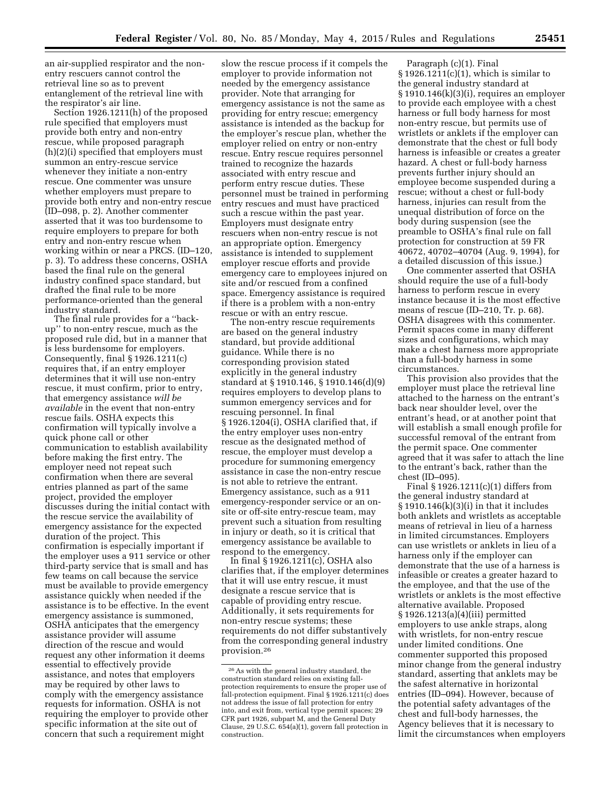an air-supplied respirator and the nonentry rescuers cannot control the retrieval line so as to prevent entanglement of the retrieval line with the respirator's air line.

Section 1926.1211(h) of the proposed rule specified that employers must provide both entry and non-entry rescue, while proposed paragraph (h)(2)(i) specified that employers must summon an entry-rescue service whenever they initiate a non-entry rescue. One commenter was unsure whether employers must prepare to provide both entry and non-entry rescue (ID–098, p. 2). Another commenter asserted that it was too burdensome to require employers to prepare for both entry and non-entry rescue when working within or near a PRCS. (ID–120, p. 3). To address these concerns, OSHA based the final rule on the general industry confined space standard, but drafted the final rule to be more performance-oriented than the general industry standard.

The final rule provides for a ''backup'' to non-entry rescue, much as the proposed rule did, but in a manner that is less burdensome for employers. Consequently, final § 1926.1211(c) requires that, if an entry employer determines that it will use non-entry rescue, it must confirm, prior to entry, that emergency assistance *will be available* in the event that non-entry rescue fails. OSHA expects this confirmation will typically involve a quick phone call or other communication to establish availability before making the first entry. The employer need not repeat such confirmation when there are several entries planned as part of the same project, provided the employer discusses during the initial contact with the rescue service the availability of emergency assistance for the expected duration of the project. This confirmation is especially important if the employer uses a 911 service or other third-party service that is small and has few teams on call because the service must be available to provide emergency assistance quickly when needed if the assistance is to be effective. In the event emergency assistance is summoned, OSHA anticipates that the emergency assistance provider will assume direction of the rescue and would request any other information it deems essential to effectively provide assistance, and notes that employers may be required by other laws to comply with the emergency assistance requests for information. OSHA is not requiring the employer to provide other specific information at the site out of concern that such a requirement might

slow the rescue process if it compels the employer to provide information not needed by the emergency assistance provider. Note that arranging for emergency assistance is not the same as providing for entry rescue; emergency assistance is intended as the backup for the employer's rescue plan, whether the employer relied on entry or non-entry rescue. Entry rescue requires personnel trained to recognize the hazards associated with entry rescue and perform entry rescue duties. These personnel must be trained in performing entry rescues and must have practiced such a rescue within the past year. Employers must designate entry rescuers when non-entry rescue is not an appropriate option. Emergency assistance is intended to supplement employer rescue efforts and provide emergency care to employees injured on site and/or rescued from a confined space. Emergency assistance is required if there is a problem with a non-entry rescue or with an entry rescue.

The non-entry rescue requirements are based on the general industry standard, but provide additional guidance. While there is no corresponding provision stated explicitly in the general industry standard at § 1910.146, § 1910.146(d)(9) requires employers to develop plans to summon emergency services and for rescuing personnel. In final § 1926.1204(i), OSHA clarified that, if the entry employer uses non-entry rescue as the designated method of rescue, the employer must develop a procedure for summoning emergency assistance in case the non-entry rescue is not able to retrieve the entrant. Emergency assistance, such as a 911 emergency-responder service or an onsite or off-site entry-rescue team, may prevent such a situation from resulting in injury or death, so it is critical that emergency assistance be available to respond to the emergency.

In final  $\S 1926.1211(c)$ , OSHA also clarifies that, if the employer determines that it will use entry rescue, it must designate a rescue service that is capable of providing entry rescue. Additionally, it sets requirements for non-entry rescue systems; these requirements do not differ substantively from the corresponding general industry provision.26

Paragraph (c)(1). Final § 1926.1211(c)(1), which is similar to the general industry standard at § 1910.146(k)(3)(i), requires an employer to provide each employee with a chest harness or full body harness for most non-entry rescue, but permits use of wristlets or anklets if the employer can demonstrate that the chest or full body harness is infeasible or creates a greater hazard. A chest or full-body harness prevents further injury should an employee become suspended during a rescue; without a chest or full-body harness, injuries can result from the unequal distribution of force on the body during suspension (see the preamble to OSHA's final rule on fall protection for construction at 59 FR 40672, 40702–40704 (Aug. 9, 1994), for a detailed discussion of this issue.)

One commenter asserted that OSHA should require the use of a full-body harness to perform rescue in every instance because it is the most effective means of rescue (ID–210, Tr. p. 68). OSHA disagrees with this commenter. Permit spaces come in many different sizes and configurations, which may make a chest harness more appropriate than a full-body harness in some circumstances.

This provision also provides that the employer must place the retrieval line attached to the harness on the entrant's back near shoulder level, over the entrant's head, or at another point that will establish a small enough profile for successful removal of the entrant from the permit space. One commenter agreed that it was safer to attach the line to the entrant's back, rather than the chest (ID–095).

Final § 1926.1211(c)(1) differs from the general industry standard at § 1910.146(k)(3)(i) in that it includes both anklets and wristlets as acceptable means of retrieval in lieu of a harness in limited circumstances. Employers can use wristlets or anklets in lieu of a harness only if the employer can demonstrate that the use of a harness is infeasible or creates a greater hazard to the employee, and that the use of the wristlets or anklets is the most effective alternative available. Proposed § 1926.1213(a)(4)(iii) permitted employers to use ankle straps, along with wristlets, for non-entry rescue under limited conditions. One commenter supported this proposed minor change from the general industry standard, asserting that anklets may be the safest alternative in horizontal entries (ID–094). However, because of the potential safety advantages of the chest and full-body harnesses, the Agency believes that it is necessary to limit the circumstances when employers

<sup>26</sup>As with the general industry standard, the construction standard relies on existing fallprotection requirements to ensure the proper use of fall-protection equipment. Final § 1926.1211(c) does not address the issue of fall protection for entry into, and exit from, vertical type permit spaces; 29 CFR part 1926, subpart M, and the General Duty Clause, 29 U.S.C. 654(a)(1), govern fall protection in construction.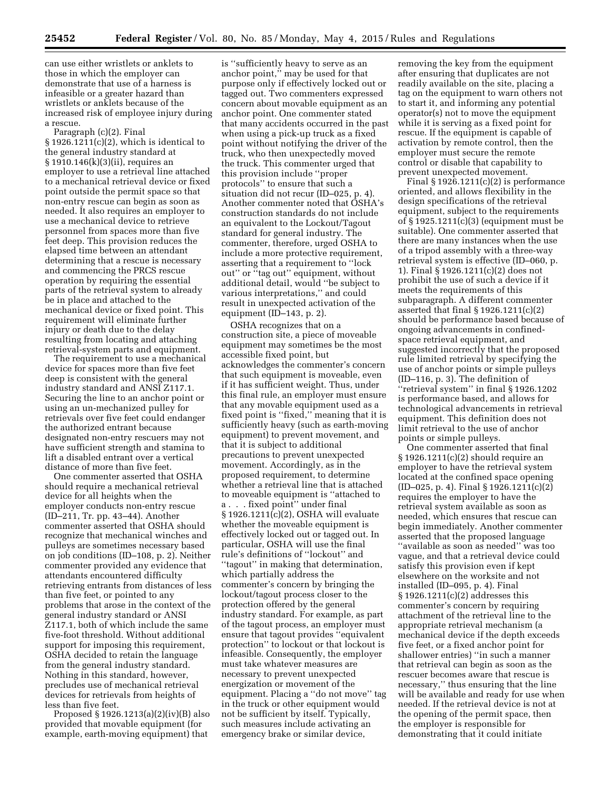can use either wristlets or anklets to those in which the employer can demonstrate that use of a harness is infeasible or a greater hazard than wristlets or anklets because of the increased risk of employee injury during a rescue.

Paragraph (c)(2). Final § 1926.1211(c)(2), which is identical to the general industry standard at § 1910.146(k)(3)(ii), requires an employer to use a retrieval line attached to a mechanical retrieval device or fixed point outside the permit space so that non-entry rescue can begin as soon as needed. It also requires an employer to use a mechanical device to retrieve personnel from spaces more than five feet deep. This provision reduces the elapsed time between an attendant determining that a rescue is necessary and commencing the PRCS rescue operation by requiring the essential parts of the retrieval system to already be in place and attached to the mechanical device or fixed point. This requirement will eliminate further injury or death due to the delay resulting from locating and attaching retrieval-system parts and equipment.

The requirement to use a mechanical device for spaces more than five feet deep is consistent with the general industry standard and ANSI Z117.1. Securing the line to an anchor point or using an un-mechanized pulley for retrievals over five feet could endanger the authorized entrant because designated non-entry rescuers may not have sufficient strength and stamina to lift a disabled entrant over a vertical distance of more than five feet.

One commenter asserted that OSHA should require a mechanical retrieval device for all heights when the employer conducts non-entry rescue (ID–211, Tr. pp. 43–44). Another commenter asserted that OSHA should recognize that mechanical winches and pulleys are sometimes necessary based on job conditions (ID–108, p. 2). Neither commenter provided any evidence that attendants encountered difficulty retrieving entrants from distances of less than five feet, or pointed to any problems that arose in the context of the general industry standard or ANSI Z117.1, both of which include the same five-foot threshold. Without additional support for imposing this requirement, OSHA decided to retain the language from the general industry standard. Nothing in this standard, however, precludes use of mechanical retrieval devices for retrievals from heights of less than five feet.

Proposed § 1926.1213(a)(2)(iv)(B) also provided that movable equipment (for example, earth-moving equipment) that

is ''sufficiently heavy to serve as an anchor point,'' may be used for that purpose only if effectively locked out or tagged out. Two commenters expressed concern about movable equipment as an anchor point. One commenter stated that many accidents occurred in the past when using a pick-up truck as a fixed point without notifying the driver of the truck, who then unexpectedly moved the truck. This commenter urged that this provision include ''proper protocols'' to ensure that such a situation did not recur (ID–025, p. 4). Another commenter noted that OSHA's construction standards do not include an equivalent to the Lockout/Tagout standard for general industry. The commenter, therefore, urged OSHA to include a more protective requirement, asserting that a requirement to ''lock out'' or ''tag out'' equipment, without additional detail, would ''be subject to various interpretations,'' and could result in unexpected activation of the equipment (ID–143, p. 2).

OSHA recognizes that on a construction site, a piece of moveable equipment may sometimes be the most accessible fixed point, but acknowledges the commenter's concern that such equipment is moveable, even if it has sufficient weight. Thus, under this final rule, an employer must ensure that any movable equipment used as a fixed point is ''fixed,'' meaning that it is sufficiently heavy (such as earth-moving equipment) to prevent movement, and that it is subject to additional precautions to prevent unexpected movement. Accordingly, as in the proposed requirement, to determine whether a retrieval line that is attached to moveable equipment is ''attached to a . . . fixed point'' under final § 1926.1211(c)(2), OSHA will evaluate whether the moveable equipment is effectively locked out or tagged out. In particular, OSHA will use the final rule's definitions of ''lockout'' and ''tagout'' in making that determination, which partially address the commenter's concern by bringing the lockout/tagout process closer to the protection offered by the general industry standard. For example, as part of the tagout process, an employer must ensure that tagout provides ''equivalent protection'' to lockout or that lockout is infeasible. Consequently, the employer must take whatever measures are necessary to prevent unexpected energization or movement of the equipment. Placing a ''do not move'' tag in the truck or other equipment would not be sufficient by itself. Typically, such measures include activating an emergency brake or similar device,

removing the key from the equipment after ensuring that duplicates are not readily available on the site, placing a tag on the equipment to warn others not to start it, and informing any potential operator(s) not to move the equipment while it is serving as a fixed point for rescue. If the equipment is capable of activation by remote control, then the employer must secure the remote control or disable that capability to prevent unexpected movement.

Final  $\S 1926.1211(c)(2)$  is performance oriented, and allows flexibility in the design specifications of the retrieval equipment, subject to the requirements of § 1925.1211(c)(3) (equipment must be suitable). One commenter asserted that there are many instances when the use of a tripod assembly with a three-way retrieval system is effective (ID–060, p. 1). Final § 1926.1211(c)(2) does not prohibit the use of such a device if it meets the requirements of this subparagraph. A different commenter asserted that final § 1926.1211(c)(2) should be performance based because of ongoing advancements in confinedspace retrieval equipment, and suggested incorrectly that the proposed rule limited retrieval by specifying the use of anchor points or simple pulleys (ID–116, p. 3). The definition of ''retrieval system'' in final § 1926.1202 is performance based, and allows for technological advancements in retrieval equipment. This definition does not limit retrieval to the use of anchor points or simple pulleys.

One commenter asserted that final § 1926.1211(c)(2) should require an employer to have the retrieval system located at the confined space opening (ID–025, p. 4). Final § 1926.1211(c)(2) requires the employer to have the retrieval system available as soon as needed, which ensures that rescue can begin immediately. Another commenter asserted that the proposed language ''available as soon as needed'' was too vague, and that a retrieval device could satisfy this provision even if kept elsewhere on the worksite and not installed (ID–095, p. 4). Final § 1926.1211(c)(2) addresses this commenter's concern by requiring attachment of the retrieval line to the appropriate retrieval mechanism (a mechanical device if the depth exceeds five feet, or a fixed anchor point for shallower entries) ''in such a manner that retrieval can begin as soon as the rescuer becomes aware that rescue is necessary,'' thus ensuring that the line will be available and ready for use when needed. If the retrieval device is not at the opening of the permit space, then the employer is responsible for demonstrating that it could initiate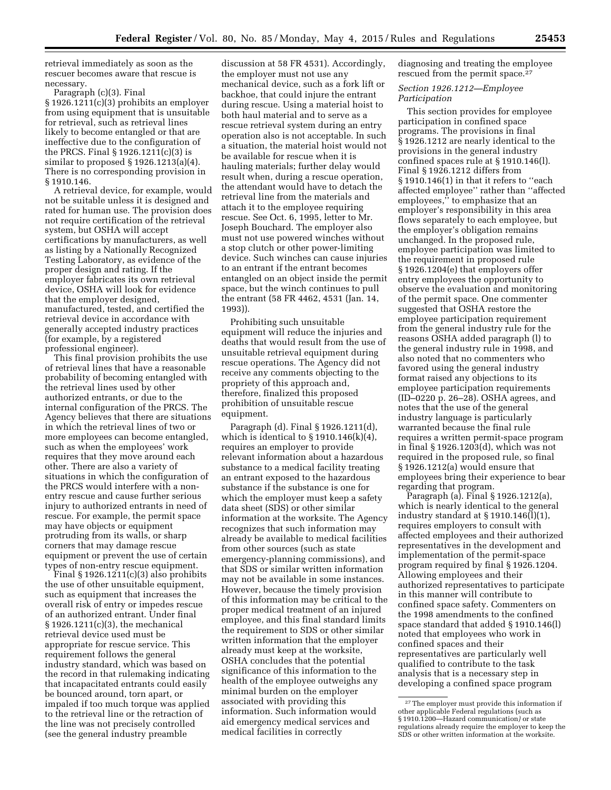retrieval immediately as soon as the rescuer becomes aware that rescue is necessary.

Paragraph (c)(3). Final § 1926.1211(c)(3) prohibits an employer from using equipment that is unsuitable for retrieval, such as retrieval lines likely to become entangled or that are ineffective due to the configuration of the PRCS. Final § 1926.1211(c)(3) is similar to proposed § 1926.1213(a)(4). There is no corresponding provision in § 1910.146.

A retrieval device, for example, would not be suitable unless it is designed and rated for human use. The provision does not require certification of the retrieval system, but OSHA will accept certifications by manufacturers, as well as listing by a Nationally Recognized Testing Laboratory, as evidence of the proper design and rating. If the employer fabricates its own retrieval device, OSHA will look for evidence that the employer designed, manufactured, tested, and certified the retrieval device in accordance with generally accepted industry practices (for example, by a registered professional engineer).

This final provision prohibits the use of retrieval lines that have a reasonable probability of becoming entangled with the retrieval lines used by other authorized entrants, or due to the internal configuration of the PRCS. The Agency believes that there are situations in which the retrieval lines of two or more employees can become entangled, such as when the employees' work requires that they move around each other. There are also a variety of situations in which the configuration of the PRCS would interfere with a nonentry rescue and cause further serious injury to authorized entrants in need of rescue. For example, the permit space may have objects or equipment protruding from its walls, or sharp corners that may damage rescue equipment or prevent the use of certain types of non-entry rescue equipment.

Final § 1926.1211(c)(3) also prohibits the use of other unsuitable equipment, such as equipment that increases the overall risk of entry or impedes rescue of an authorized entrant. Under final § 1926.1211(c)(3), the mechanical retrieval device used must be appropriate for rescue service. This requirement follows the general industry standard, which was based on the record in that rulemaking indicating that incapacitated entrants could easily be bounced around, torn apart, or impaled if too much torque was applied to the retrieval line or the retraction of the line was not precisely controlled (see the general industry preamble

discussion at 58 FR 4531). Accordingly, the employer must not use any mechanical device, such as a fork lift or backhoe, that could injure the entrant during rescue. Using a material hoist to both haul material and to serve as a rescue retrieval system during an entry operation also is not acceptable. In such a situation, the material hoist would not be available for rescue when it is hauling materials; further delay would result when, during a rescue operation, the attendant would have to detach the retrieval line from the materials and attach it to the employee requiring rescue. See Oct. 6, 1995, letter to Mr. Joseph Bouchard. The employer also must not use powered winches without a stop clutch or other power-limiting device. Such winches can cause injuries to an entrant if the entrant becomes entangled on an object inside the permit space, but the winch continues to pull the entrant (58 FR 4462, 4531 (Jan. 14, 1993)).

Prohibiting such unsuitable equipment will reduce the injuries and deaths that would result from the use of unsuitable retrieval equipment during rescue operations. The Agency did not receive any comments objecting to the propriety of this approach and, therefore, finalized this proposed prohibition of unsuitable rescue equipment.

Paragraph (d). Final § 1926.1211(d), which is identical to  $\S 1910.146(k)(4)$ , requires an employer to provide relevant information about a hazardous substance to a medical facility treating an entrant exposed to the hazardous substance if the substance is one for which the employer must keep a safety data sheet (SDS) or other similar information at the worksite. The Agency recognizes that such information may already be available to medical facilities from other sources (such as state emergency-planning commissions), and that SDS or similar written information may not be available in some instances. However, because the timely provision of this information may be critical to the proper medical treatment of an injured employee, and this final standard limits the requirement to SDS or other similar written information that the employer already must keep at the worksite, OSHA concludes that the potential significance of this information to the health of the employee outweighs any minimal burden on the employer associated with providing this information. Such information would aid emergency medical services and medical facilities in correctly

diagnosing and treating the employee rescued from the permit space.27

## *Section 1926.1212—Employee Participation*

This section provides for employee participation in confined space programs. The provisions in final § 1926.1212 are nearly identical to the provisions in the general industry confined spaces rule at § 1910.146(l). Final § 1926.1212 differs from § 1910.146(1) in that it refers to ''each affected employee'' rather than ''affected employees,'' to emphasize that an employer's responsibility in this area flows separately to each employee, but the employer's obligation remains unchanged. In the proposed rule, employee participation was limited to the requirement in proposed rule § 1926.1204(e) that employers offer entry employees the opportunity to observe the evaluation and monitoring of the permit space. One commenter suggested that OSHA restore the employee participation requirement from the general industry rule for the reasons OSHA added paragraph (l) to the general industry rule in 1998, and also noted that no commenters who favored using the general industry format raised any objections to its employee participation requirements (ID–0220 p. 26–28). OSHA agrees, and notes that the use of the general industry language is particularly warranted because the final rule requires a written permit-space program in final § 1926.1203(d), which was not required in the proposed rule, so final § 1926.1212(a) would ensure that employees bring their experience to bear regarding that program.

Paragraph (a). Final § 1926.1212(a), which is nearly identical to the general industry standard at § 1910.146(l)(1), requires employers to consult with affected employees and their authorized representatives in the development and implementation of the permit-space program required by final § 1926.1204. Allowing employees and their authorized representatives to participate in this manner will contribute to confined space safety. Commenters on the 1998 amendments to the confined space standard that added § 1910.146(l) noted that employees who work in confined spaces and their representatives are particularly well qualified to contribute to the task analysis that is a necessary step in developing a confined space program

<sup>27</sup>The employer must provide this information if other applicable Federal regulations (such as § 1910.1200—Hazard communication*)* or state regulations already require the employer to keep the SDS or other written information at the worksite.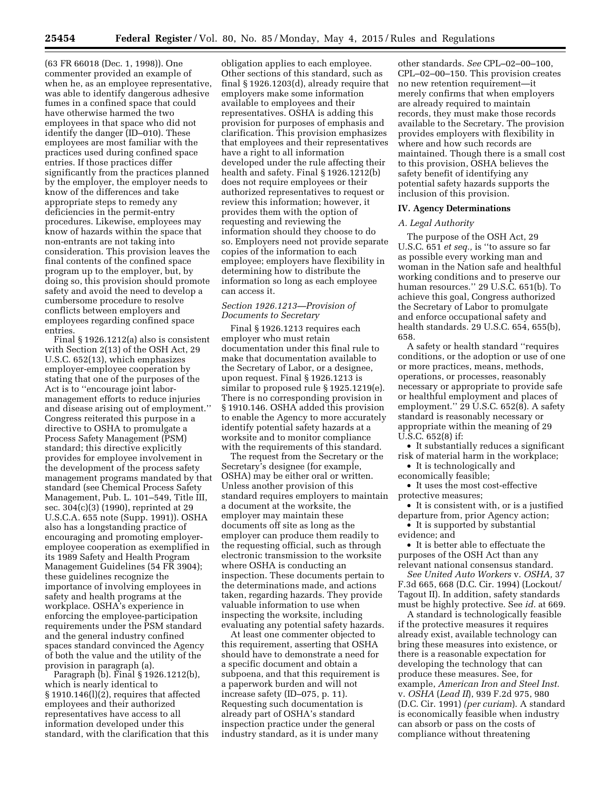(63 FR 66018 (Dec. 1, 1998)). One commenter provided an example of when he, as an employee representative, was able to identify dangerous adhesive fumes in a confined space that could have otherwise harmed the two employees in that space who did not identify the danger (ID–010). These employees are most familiar with the practices used during confined space entries. If those practices differ significantly from the practices planned by the employer, the employer needs to know of the differences and take appropriate steps to remedy any deficiencies in the permit-entry procedures. Likewise, employees may know of hazards within the space that non-entrants are not taking into consideration. This provision leaves the final contents of the confined space program up to the employer, but, by doing so, this provision should promote safety and avoid the need to develop a cumbersome procedure to resolve conflicts between employers and employees regarding confined space entries

Final § 1926.1212(a) also is consistent with Section 2(13) of the OSH Act, 29 U.S.C. 652(13), which emphasizes employer-employee cooperation by stating that one of the purposes of the Act is to ''encourage joint labormanagement efforts to reduce injuries and disease arising out of employment.'' Congress reiterated this purpose in a directive to OSHA to promulgate a Process Safety Management (PSM) standard; this directive explicitly provides for employee involvement in the development of the process safety management programs mandated by that standard (see Chemical Process Safety Management, Pub. L. 101–549, Title III, sec. 304(c)(3) (1990), reprinted at 29 U.S.C.A. 655 note (Supp. 1991)). OSHA also has a longstanding practice of encouraging and promoting employeremployee cooperation as exemplified in its 1989 Safety and Health Program Management Guidelines (54 FR 3904); these guidelines recognize the importance of involving employees in safety and health programs at the workplace. OSHA's experience in enforcing the employee-participation requirements under the PSM standard and the general industry confined spaces standard convinced the Agency of both the value and the utility of the provision in paragraph (a).

Paragraph (b). Final § 1926.1212(b), which is nearly identical to § 1910.146(l)(2), requires that affected employees and their authorized representatives have access to all information developed under this standard, with the clarification that this

obligation applies to each employee. Other sections of this standard, such as final § 1926.1203(d), already require that employers make some information available to employees and their representatives. OSHA is adding this provision for purposes of emphasis and clarification. This provision emphasizes that employees and their representatives have a right to all information developed under the rule affecting their health and safety. Final § 1926.1212(b) does not require employees or their authorized representatives to request or review this information; however, it provides them with the option of requesting and reviewing the information should they choose to do so. Employers need not provide separate copies of the information to each employee; employers have flexibility in determining how to distribute the information so long as each employee can access it.

# *Section 1926.1213—Provision of Documents to Secretary*

Final § 1926.1213 requires each employer who must retain documentation under this final rule to make that documentation available to the Secretary of Labor, or a designee, upon request. Final § 1926.1213 is similar to proposed rule § 1925.1219(e). There is no corresponding provision in § 1910.146. OSHA added this provision to enable the Agency to more accurately identify potential safety hazards at a worksite and to monitor compliance with the requirements of this standard.

The request from the Secretary or the Secretary's designee (for example, OSHA) may be either oral or written. Unless another provision of this standard requires employers to maintain a document at the worksite, the employer may maintain these documents off site as long as the employer can produce them readily to the requesting official, such as through electronic transmission to the worksite where OSHA is conducting an inspection. These documents pertain to the determinations made, and actions taken, regarding hazards. They provide valuable information to use when inspecting the worksite, including evaluating any potential safety hazards.

At least one commenter objected to this requirement, asserting that OSHA should have to demonstrate a need for a specific document and obtain a subpoena, and that this requirement is a paperwork burden and will not increase safety (ID–075, p. 11). Requesting such documentation is already part of OSHA's standard inspection practice under the general industry standard, as it is under many

other standards. *See* CPL–02–00–100, CPL–02–00–150. This provision creates no new retention requirement—it merely confirms that when employers are already required to maintain records, they must make those records available to the Secretary. The provision provides employers with flexibility in where and how such records are maintained. Though there is a small cost to this provision, OSHA believes the safety benefit of identifying any potential safety hazards supports the inclusion of this provision.

#### **IV. Agency Determinations**

## *A. Legal Authority*

The purpose of the OSH Act, 29 U.S.C. 651 *et seq.,* is ''to assure so far as possible every working man and woman in the Nation safe and healthful working conditions and to preserve our human resources.'' 29 U.S.C. 651(b). To achieve this goal, Congress authorized the Secretary of Labor to promulgate and enforce occupational safety and health standards. 29 U.S.C. 654, 655(b), 658.

A safety or health standard ''requires conditions, or the adoption or use of one or more practices, means, methods, operations, or processes, reasonably necessary or appropriate to provide safe or healthful employment and places of employment.'' 29 U.S.C. 652(8). A safety standard is reasonably necessary or appropriate within the meaning of 29 U.S.C. 652(8) if:

• It substantially reduces a significant risk of material harm in the workplace;

• It is technologically and economically feasible;

• It uses the most cost-effective protective measures;

• It is consistent with, or is a justified departure from, prior Agency action;

• It is supported by substantial evidence; and

• It is better able to effectuate the purposes of the OSH Act than any relevant national consensus standard.

*See United Auto Workers* v. *OSHA,* 37 F.3d 665, 668 (D.C. Cir. 1994) (Lockout/ Tagout II). In addition, safety standards must be highly protective. See *id.* at 669.

A standard is technologically feasible if the protective measures it requires already exist, available technology can bring these measures into existence, or there is a reasonable expectation for developing the technology that can produce these measures. See, for example, *American Iron and Steel Inst.*  v. *OSHA* (*Lead II*), 939 F.2d 975, 980 (D.C. Cir. 1991) *(per curiam*). A standard is economically feasible when industry can absorb or pass on the costs of compliance without threatening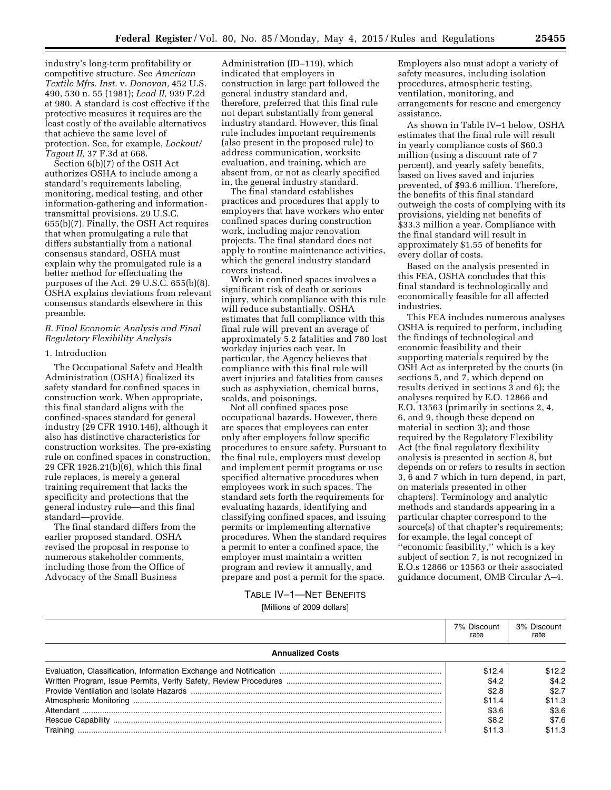industry's long-term profitability or competitive structure. See *American Textile Mfrs. Inst.* v. *Donovan,* 452 U.S. 490, 530 n. 55 (1981); *Lead II,* 939 F.2d at 980. A standard is cost effective if the protective measures it requires are the least costly of the available alternatives that achieve the same level of protection. See, for example, *Lockout/ Tagout II,* 37 F.3d at 668.

Section 6(b)(7) of the OSH Act authorizes OSHA to include among a standard's requirements labeling, monitoring, medical testing, and other information-gathering and informationtransmittal provisions. 29 U.S.C. 655(b)(7). Finally, the OSH Act requires that when promulgating a rule that differs substantially from a national consensus standard, OSHA must explain why the promulgated rule is a better method for effectuating the purposes of the Act. 29 U.S.C. 655(b)(8). OSHA explains deviations from relevant consensus standards elsewhere in this preamble.

# *B. Final Economic Analysis and Final Regulatory Flexibility Analysis*

## 1. Introduction

The Occupational Safety and Health Administration (OSHA) finalized its safety standard for confined spaces in construction work. When appropriate, this final standard aligns with the confined-spaces standard for general industry (29 CFR 1910.146), although it also has distinctive characteristics for construction worksites. The pre-existing rule on confined spaces in construction, 29 CFR 1926.21(b)(6), which this final rule replaces, is merely a general training requirement that lacks the specificity and protections that the general industry rule—and this final standard—provide.

The final standard differs from the earlier proposed standard. OSHA revised the proposal in response to numerous stakeholder comments, including those from the Office of Advocacy of the Small Business

Administration (ID–119), which indicated that employers in construction in large part followed the general industry standard and, therefore, preferred that this final rule not depart substantially from general industry standard. However, this final rule includes important requirements (also present in the proposed rule) to address communication, worksite evaluation, and training, which are absent from, or not as clearly specified in, the general industry standard.

The final standard establishes practices and procedures that apply to employers that have workers who enter confined spaces during construction work, including major renovation projects. The final standard does not apply to routine maintenance activities, which the general industry standard covers instead.

Work in confined spaces involves a significant risk of death or serious injury, which compliance with this rule will reduce substantially. OSHA estimates that full compliance with this final rule will prevent an average of approximately 5.2 fatalities and 780 lost workday injuries each year. In particular, the Agency believes that compliance with this final rule will avert injuries and fatalities from causes such as asphyxiation, chemical burns, scalds, and poisonings.

Not all confined spaces pose occupational hazards. However, there are spaces that employees can enter only after employers follow specific procedures to ensure safety. Pursuant to the final rule, employers must develop and implement permit programs or use specified alternative procedures when employees work in such spaces. The standard sets forth the requirements for evaluating hazards, identifying and classifying confined spaces, and issuing permits or implementing alternative procedures. When the standard requires a permit to enter a confined space, the employer must maintain a written program and review it annually, and prepare and post a permit for the space.

Employers also must adopt a variety of safety measures, including isolation procedures, atmospheric testing, ventilation, monitoring, and arrangements for rescue and emergency assistance.

As shown in Table IV–1 below, OSHA estimates that the final rule will result in yearly compliance costs of \$60.3 million (using a discount rate of 7 percent), and yearly safety benefits, based on lives saved and injuries prevented, of \$93.6 million. Therefore, the benefits of this final standard outweigh the costs of complying with its provisions, yielding net benefits of \$33.3 million a year. Compliance with the final standard will result in approximately \$1.55 of benefits for every dollar of costs.

Based on the analysis presented in this FEA, OSHA concludes that this final standard is technologically and economically feasible for all affected industries.

This FEA includes numerous analyses OSHA is required to perform, including the findings of technological and economic feasibility and their supporting materials required by the OSH Act as interpreted by the courts (in sections 5, and 7, which depend on results derived in sections 3 and 6); the analyses required by E.O. 12866 and E.O. 13563 (primarily in sections 2, 4, 6, and 9, though these depend on material in section 3); and those required by the Regulatory Flexibility Act (the final regulatory flexibility analysis is presented in section 8, but depends on or refers to results in section 3, 6 and 7 which in turn depend, in part, on materials presented in other chapters). Terminology and analytic methods and standards appearing in a particular chapter correspond to the source(s) of that chapter's requirements; for example, the legal concept of ''economic feasibility,'' which is a key subject of section 7, is not recognized in E.O.s 12866 or 13563 or their associated guidance document, OMB Circular A–4.

# TABLE IV–1—NET BENEFITS [Millions of 2009 dollars]

7% Discount rate 3% Discount rate **Annualized Costs**  Evaluation, Classification, Information Exchange and Notification ......................................................................... \$12.4 \$12.2 Written Program, Issue Permits, Verify Safety, Review Procedures ...................................................................... \$4.2 \$4.2 Provide Ventilation and Isolate Hazards ................................................................................................................. \$2.8 \$2.7 Atmospheric Monitoring ........................................................................................................................................... \$11.4 \$11.3 Attendant .................................................................................................................................................................. \$3.6 \$3.6 Rescue Capability .................................................................................................................................................... \$8.2 \$7.6 Training .................................................................................................................................................................... \$11.3 \$11.3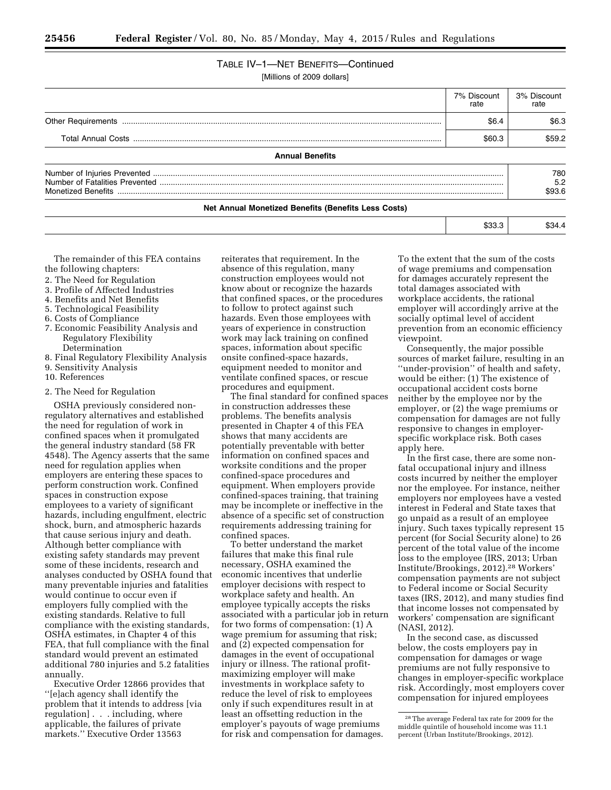# TABLE IV–1—NET BENEFITS—Continued

[Millions of 2009 dollars]

|                                                            | 7% Discount<br>rate | 3% Discount<br>rate  |
|------------------------------------------------------------|---------------------|----------------------|
|                                                            | \$6.4               | \$6.3                |
|                                                            | \$60.3              | \$59.2               |
| <b>Annual Benefits</b>                                     |                     |                      |
|                                                            |                     | 780<br>5.2<br>\$93.6 |
| <b>Net Annual Monetized Benefits (Benefits Less Costs)</b> |                     |                      |
|                                                            | \$33.3              |                      |

The remainder of this FEA contains the following chapters:

- 2. The Need for Regulation
- 3. Profile of Affected Industries
- 4. Benefits and Net Benefits
- 5. Technological Feasibility
- 6. Costs of Compliance
- 7. Economic Feasibility Analysis and Regulatory Flexibility Determination
- 8. Final Regulatory Flexibility Analysis
- 9. Sensitivity Analysis
- 10. References

#### 2. The Need for Regulation

OSHA previously considered nonregulatory alternatives and established the need for regulation of work in confined spaces when it promulgated the general industry standard (58 FR 4548). The Agency asserts that the same need for regulation applies when employers are entering these spaces to perform construction work. Confined spaces in construction expose employees to a variety of significant hazards, including engulfment, electric shock, burn, and atmospheric hazards that cause serious injury and death. Although better compliance with existing safety standards may prevent some of these incidents, research and analyses conducted by OSHA found that many preventable injuries and fatalities would continue to occur even if employers fully complied with the existing standards. Relative to full compliance with the existing standards, OSHA estimates, in Chapter 4 of this FEA, that full compliance with the final standard would prevent an estimated additional 780 injuries and 5.2 fatalities annually.

Executive Order 12866 provides that ''[e]ach agency shall identify the problem that it intends to address [via regulation] . . . including, where applicable, the failures of private markets.'' Executive Order 13563

reiterates that requirement. In the absence of this regulation, many construction employees would not know about or recognize the hazards that confined spaces, or the procedures to follow to protect against such hazards. Even those employees with years of experience in construction work may lack training on confined spaces, information about specific onsite confined-space hazards, equipment needed to monitor and ventilate confined spaces, or rescue procedures and equipment.

The final standard for confined spaces in construction addresses these problems. The benefits analysis presented in Chapter 4 of this FEA shows that many accidents are potentially preventable with better information on confined spaces and worksite conditions and the proper confined-space procedures and equipment. When employers provide confined-spaces training, that training may be incomplete or ineffective in the absence of a specific set of construction requirements addressing training for confined spaces.

To better understand the market failures that make this final rule necessary, OSHA examined the economic incentives that underlie employer decisions with respect to workplace safety and health. An employee typically accepts the risks associated with a particular job in return for two forms of compensation: (1) A wage premium for assuming that risk; and (2) expected compensation for damages in the event of occupational injury or illness. The rational profitmaximizing employer will make investments in workplace safety to reduce the level of risk to employees only if such expenditures result in at least an offsetting reduction in the employer's payouts of wage premiums for risk and compensation for damages.

To the extent that the sum of the costs of wage premiums and compensation for damages accurately represent the total damages associated with workplace accidents, the rational employer will accordingly arrive at the socially optimal level of accident prevention from an economic efficiency viewpoint.

Consequently, the major possible sources of market failure, resulting in an ''under-provision'' of health and safety, would be either: (1) The existence of occupational accident costs borne neither by the employee nor by the employer, or (2) the wage premiums or compensation for damages are not fully responsive to changes in employerspecific workplace risk. Both cases apply here.

In the first case, there are some nonfatal occupational injury and illness costs incurred by neither the employer nor the employee. For instance, neither employers nor employees have a vested interest in Federal and State taxes that go unpaid as a result of an employee injury. Such taxes typically represent 15 percent (for Social Security alone) to 26 percent of the total value of the income loss to the employee (IRS, 2013; Urban Institute/Brookings, 2012).28 Workers' compensation payments are not subject to Federal income or Social Security taxes (IRS, 2012), and many studies find that income losses not compensated by workers' compensation are significant (NASI, 2012).

In the second case, as discussed below, the costs employers pay in compensation for damages or wage premiums are not fully responsive to changes in employer-specific workplace risk. Accordingly, most employers cover compensation for injured employees

<sup>28</sup>The average Federal tax rate for 2009 for the middle quintile of household income was 11.1 percent (Urban Institute/Brookings, 2012).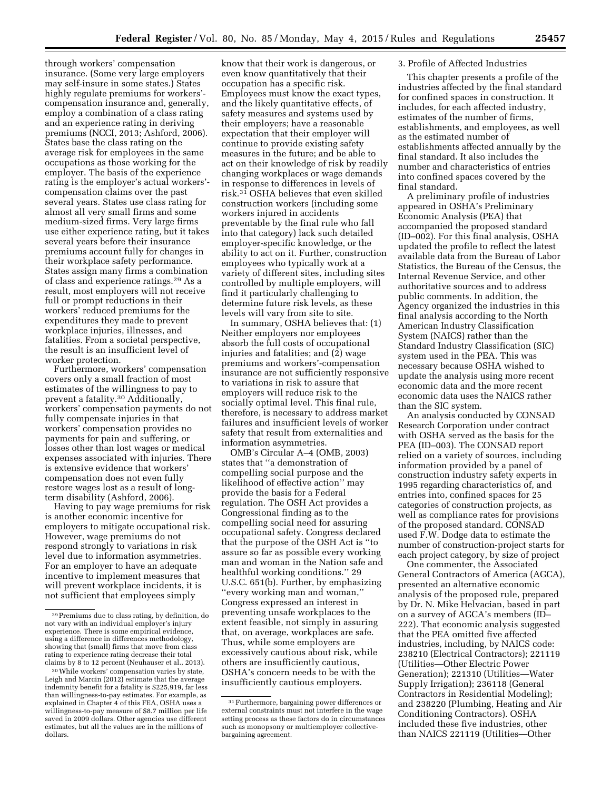through workers' compensation insurance. (Some very large employers may self-insure in some states.) States highly regulate premiums for workers' compensation insurance and, generally, employ a combination of a class rating and an experience rating in deriving premiums (NCCI, 2013; Ashford, 2006). States base the class rating on the average risk for employees in the same occupations as those working for the employer. The basis of the experience rating is the employer's actual workers' compensation claims over the past several years. States use class rating for almost all very small firms and some medium-sized firms. Very large firms use either experience rating, but it takes several years before their insurance premiums account fully for changes in their workplace safety performance. States assign many firms a combination of class and experience ratings.29 As a result, most employers will not receive full or prompt reductions in their workers' reduced premiums for the expenditures they made to prevent workplace injuries, illnesses, and fatalities. From a societal perspective, the result is an insufficient level of worker protection.

Furthermore, workers' compensation covers only a small fraction of most estimates of the willingness to pay to prevent a fatality.30 Additionally, workers' compensation payments do not fully compensate injuries in that workers' compensation provides no payments for pain and suffering, or losses other than lost wages or medical expenses associated with injuries. There is extensive evidence that workers' compensation does not even fully restore wages lost as a result of longterm disability (Ashford, 2006).

Having to pay wage premiums for risk is another economic incentive for employers to mitigate occupational risk. However, wage premiums do not respond strongly to variations in risk level due to information asymmetries. For an employer to have an adequate incentive to implement measures that will prevent workplace incidents, it is not sufficient that employees simply

know that their work is dangerous, or even know quantitatively that their occupation has a specific risk. Employees must know the exact types, and the likely quantitative effects, of safety measures and systems used by their employers; have a reasonable expectation that their employer will continue to provide existing safety measures in the future; and be able to act on their knowledge of risk by readily changing workplaces or wage demands in response to differences in levels of risk.31 OSHA believes that even skilled construction workers (including some workers injured in accidents preventable by the final rule who fall into that category) lack such detailed employer-specific knowledge, or the ability to act on it. Further, construction employees who typically work at a variety of different sites, including sites controlled by multiple employers, will find it particularly challenging to determine future risk levels, as these levels will vary from site to site.

In summary, OSHA believes that: (1) Neither employers nor employees absorb the full costs of occupational injuries and fatalities; and (2) wage premiums and workers'-compensation insurance are not sufficiently responsive to variations in risk to assure that employers will reduce risk to the socially optimal level. This final rule, therefore, is necessary to address market failures and insufficient levels of worker safety that result from externalities and information asymmetries.

OMB's Circular A–4 (OMB, 2003) states that ''a demonstration of compelling social purpose and the likelihood of effective action'' may provide the basis for a Federal regulation. The OSH Act provides a Congressional finding as to the compelling social need for assuring occupational safety. Congress declared that the purpose of the OSH Act is ''to assure so far as possible every working man and woman in the Nation safe and healthful working conditions.'' 29 U.S.C. 651(b). Further, by emphasizing ''every working man and woman,'' Congress expressed an interest in preventing unsafe workplaces to the extent feasible, not simply in assuring that, on average, workplaces are safe. Thus, while some employers are excessively cautious about risk, while others are insufficiently cautious, OSHA's concern needs to be with the insufficiently cautious employers.

## 3. Profile of Affected Industries

This chapter presents a profile of the industries affected by the final standard for confined spaces in construction. It includes, for each affected industry, estimates of the number of firms, establishments, and employees, as well as the estimated number of establishments affected annually by the final standard. It also includes the number and characteristics of entries into confined spaces covered by the final standard.

A preliminary profile of industries appeared in OSHA's Preliminary Economic Analysis (PEA) that accompanied the proposed standard (ID–002). For this final analysis, OSHA updated the profile to reflect the latest available data from the Bureau of Labor Statistics, the Bureau of the Census, the Internal Revenue Service, and other authoritative sources and to address public comments. In addition, the Agency organized the industries in this final analysis according to the North American Industry Classification System (NAICS) rather than the Standard Industry Classification (SIC) system used in the PEA. This was necessary because OSHA wished to update the analysis using more recent economic data and the more recent economic data uses the NAICS rather than the SIC system.

An analysis conducted by CONSAD Research Corporation under contract with OSHA served as the basis for the PEA (ID–003). The CONSAD report relied on a variety of sources, including information provided by a panel of construction industry safety experts in 1995 regarding characteristics of, and entries into, confined spaces for 25 categories of construction projects, as well as compliance rates for provisions of the proposed standard. CONSAD used F.W. Dodge data to estimate the number of construction-project starts for each project category, by size of project

One commenter, the Associated General Contractors of America (AGCA), presented an alternative economic analysis of the proposed rule, prepared by Dr. N. Mike Helvacian, based in part on a survey of AGCA's members (ID– 222). That economic analysis suggested that the PEA omitted five affected industries, including, by NAICS code: 238210 (Electrical Contractors); 221119 (Utilities—Other Electric Power Generation); 221310 (Utilities—Water Supply Irrigation); 236118 (General Contractors in Residential Modeling); and 238220 (Plumbing, Heating and Air Conditioning Contractors). OSHA included these five industries, other than NAICS 221119 (Utilities—Other

<sup>29</sup>Premiums due to class rating, by definition, do not vary with an individual employer's injury experience. There is some empirical evidence, using a difference in differences methodology, showing that (small) firms that move from class rating to experience rating decrease their total claims by 8 to 12 percent (Neuhauser et al., 2013).

<sup>30</sup>While workers' compensation varies by state, Leigh and Marcin (2012) estimate that the average indemnity benefit for a fatality is \$225,919, far less than willingness-to-pay estimates. For example, as explained in Chapter 4 of this FEA, OSHA uses a willingness-to-pay measure of \$8.7 million per life saved in 2009 dollars. Other agencies use different estimates, but all the values are in the millions of dollars.

<sup>31</sup>Furthermore, bargaining power differences or external constraints must not interfere in the wage setting process as these factors do in circumstances such as monopsony or multiemployer collectivebargaining agreement.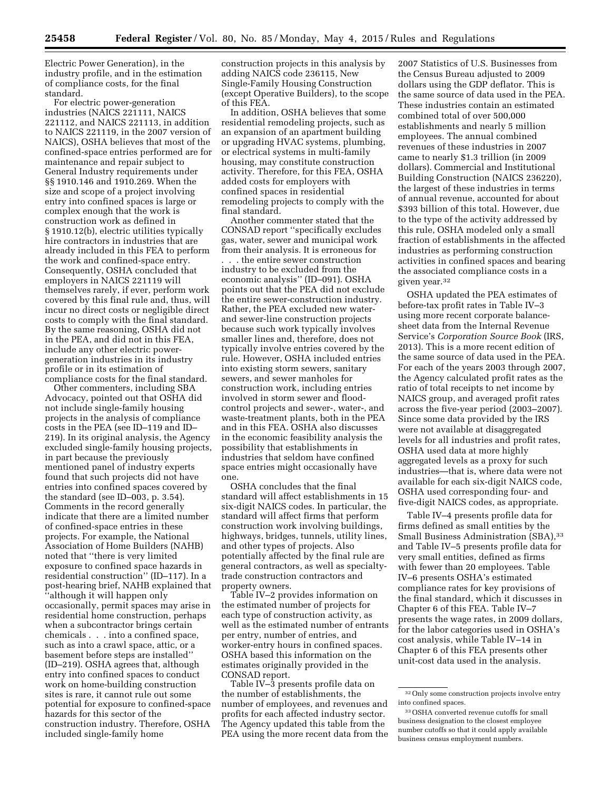Electric Power Generation), in the industry profile, and in the estimation of compliance costs, for the final standard.

For electric power-generation industries (NAICS 221111, NAICS 221112, and NAICS 221113, in addition to NAICS 221119, in the 2007 version of NAICS), OSHA believes that most of the confined-space entries performed are for maintenance and repair subject to General Industry requirements under §§ 1910.146 and 1910.269. When the size and scope of a project involving entry into confined spaces is large or complex enough that the work is construction work as defined in § 1910.12(b), electric utilities typically hire contractors in industries that are already included in this FEA to perform the work and confined-space entry. Consequently, OSHA concluded that employers in NAICS 221119 will themselves rarely, if ever, perform work covered by this final rule and, thus, will incur no direct costs or negligible direct costs to comply with the final standard. By the same reasoning, OSHA did not in the PEA, and did not in this FEA, include any other electric powergeneration industries in its industry profile or in its estimation of compliance costs for the final standard.

Other commenters, including SBA Advocacy, pointed out that OSHA did not include single-family housing projects in the analysis of compliance costs in the PEA (see ID–119 and ID– 219). In its original analysis, the Agency excluded single-family housing projects, in part because the previously mentioned panel of industry experts found that such projects did not have entries into confined spaces covered by the standard (see ID–003, p. 3.54). Comments in the record generally indicate that there are a limited number of confined-space entries in these projects. For example, the National Association of Home Builders (NAHB) noted that ''there is very limited exposure to confined space hazards in residential construction'' (ID–117). In a post-hearing brief, NAHB explained that ''although it will happen only occasionally, permit spaces may arise in residential home construction, perhaps when a subcontractor brings certain chemicals . . . into a confined space, such as into a crawl space, attic, or a basement before steps are installed'' (ID–219). OSHA agrees that, although entry into confined spaces to conduct work on home-building construction sites is rare, it cannot rule out some potential for exposure to confined-space hazards for this sector of the construction industry. Therefore, OSHA included single-family home

construction projects in this analysis by adding NAICS code 236115, New Single-Family Housing Construction (except Operative Builders), to the scope of this FEA.

In addition, OSHA believes that some residential remodeling projects, such as an expansion of an apartment building or upgrading HVAC systems, plumbing, or electrical systems in multi-family housing, may constitute construction activity. Therefore, for this FEA, OSHA added costs for employers with confined spaces in residential remodeling projects to comply with the final standard.

Another commenter stated that the CONSAD report ''specifically excludes gas, water, sewer and municipal work from their analysis. It is erroneous for . . . the entire sewer construction industry to be excluded from the economic analysis'' (ID–091). OSHA points out that the PEA did not exclude the entire sewer-construction industry. Rather, the PEA excluded new waterand sewer-line construction projects because such work typically involves smaller lines and, therefore, does not typically involve entries covered by the rule. However, OSHA included entries into existing storm sewers, sanitary sewers, and sewer manholes for construction work, including entries involved in storm sewer and floodcontrol projects and sewer-, water-, and waste-treatment plants, both in the PEA and in this FEA. OSHA also discusses in the economic feasibility analysis the possibility that establishments in industries that seldom have confined space entries might occasionally have one.

OSHA concludes that the final standard will affect establishments in 15 six-digit NAICS codes. In particular, the standard will affect firms that perform construction work involving buildings, highways, bridges, tunnels, utility lines, and other types of projects. Also potentially affected by the final rule are general contractors, as well as specialtytrade construction contractors and property owners.

Table IV–2 provides information on the estimated number of projects for each type of construction activity, as well as the estimated number of entrants per entry, number of entries, and worker-entry hours in confined spaces. OSHA based this information on the estimates originally provided in the CONSAD report.

Table IV–3 presents profile data on the number of establishments, the number of employees, and revenues and profits for each affected industry sector. The Agency updated this table from the PEA using the more recent data from the 2007 Statistics of U.S. Businesses from the Census Bureau adjusted to 2009 dollars using the GDP deflator. This is the same source of data used in the PEA. These industries contain an estimated combined total of over 500,000 establishments and nearly 5 million employees. The annual combined revenues of these industries in 2007 came to nearly \$1.3 trillion (in 2009 dollars). Commercial and Institutional Building Construction (NAICS 236220), the largest of these industries in terms of annual revenue, accounted for about \$393 billion of this total. However, due to the type of the activity addressed by this rule, OSHA modeled only a small fraction of establishments in the affected industries as performing construction activities in confined spaces and bearing the associated compliance costs in a given year.32

OSHA updated the PEA estimates of before-tax profit rates in Table IV–3 using more recent corporate balancesheet data from the Internal Revenue Service's *Corporation Source Book* (IRS, 2013). This is a more recent edition of the same source of data used in the PEA. For each of the years 2003 through 2007, the Agency calculated profit rates as the ratio of total receipts to net income by NAICS group, and averaged profit rates across the five-year period (2003–2007). Since some data provided by the IRS were not available at disaggregated levels for all industries and profit rates, OSHA used data at more highly aggregated levels as a proxy for such industries—that is, where data were not available for each six-digit NAICS code, OSHA used corresponding four- and five-digit NAICS codes, as appropriate.

Table IV–4 presents profile data for firms defined as small entities by the Small Business Administration (SBA), 33 and Table IV–5 presents profile data for very small entities, defined as firms with fewer than 20 employees. Table IV–6 presents OSHA's estimated compliance rates for key provisions of the final standard, which it discusses in Chapter 6 of this FEA. Table IV–7 presents the wage rates, in 2009 dollars, for the labor categories used in OSHA's cost analysis, while Table IV–14 in Chapter 6 of this FEA presents other unit-cost data used in the analysis.

<sup>32</sup>Only some construction projects involve entry into confined spaces.

<sup>33</sup>OSHA converted revenue cutoffs for small business designation to the closest employee number cutoffs so that it could apply available business census employment numbers.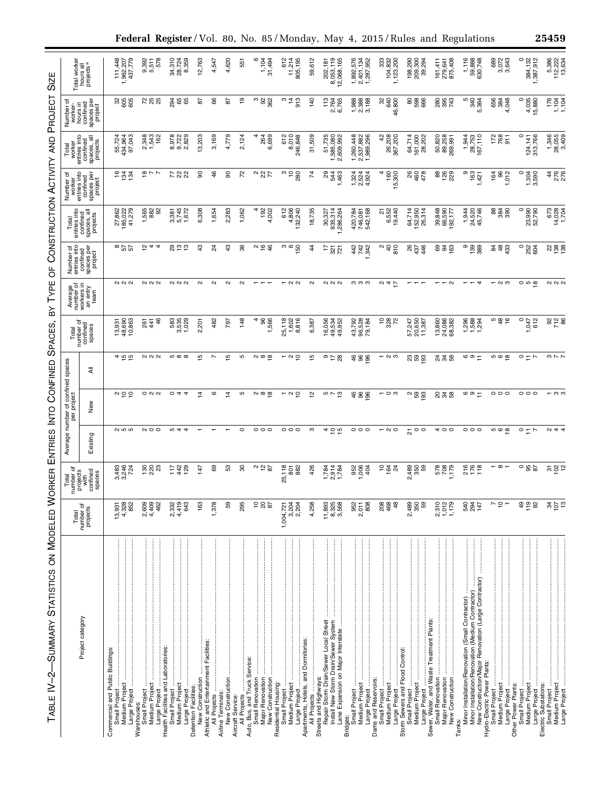| SUMMARY STATISTICS ON MODELED WO<br>TABLE IV-2-                                                                                                                                                                                                                                                                                                                                                                                                                                                                                                                                                      |                             | RKER                                                | ENTRIES INTO                          |                                          | CONFINED                 | SPACES,                                                         | Ш<br>TYPE<br>ΡX                                        | $\overline{5}$                                                                                                           | CONSTRUCTION ACTIVITY AND                                    |                                                             |                                                                  | PROJECT                                                                    | SIZE                                    |
|------------------------------------------------------------------------------------------------------------------------------------------------------------------------------------------------------------------------------------------------------------------------------------------------------------------------------------------------------------------------------------------------------------------------------------------------------------------------------------------------------------------------------------------------------------------------------------------------------|-----------------------------|-----------------------------------------------------|---------------------------------------|------------------------------------------|--------------------------|-----------------------------------------------------------------|--------------------------------------------------------|--------------------------------------------------------------------------------------------------------------------------|--------------------------------------------------------------|-------------------------------------------------------------|------------------------------------------------------------------|----------------------------------------------------------------------------|-----------------------------------------|
|                                                                                                                                                                                                                                                                                                                                                                                                                                                                                                                                                                                                      | Total                       | Total                                               | Average                               | number of confined spaces<br>per project |                          |                                                                 |                                                        |                                                                                                                          |                                                              | Number of                                                   | Total                                                            | ō<br>Number                                                                |                                         |
| Project category                                                                                                                                                                                                                                                                                                                                                                                                                                                                                                                                                                                     | number of<br>projects       | number of<br>projects<br>with<br>confined<br>spaces | Existing                              | New                                      | ₹                        | Total<br>number of<br>confined<br>spaces                        | Average<br>number of<br>workers in<br>an entry<br>team | Number of<br>entries into<br>confined<br>spaces per<br>project                                                           | Total<br>entries into<br>confined<br>spaces, all<br>projects | worker<br>entries into<br>confined<br>spaces per<br>project | worker<br>entries into<br>confined<br>spaces, all<br>spaces, all | worker-<br>hours in<br>confined<br>spaces per<br>project                   | Total worker<br>hours all<br>projects a |
| Commercial and Public Buildings:                                                                                                                                                                                                                                                                                                                                                                                                                                                                                                                                                                     | 13,931<br>4,328<br>852      | <b>a</b> 24<br>88<br>88<br>88<br>88<br>က် က်        | <b>QD</b> 5                           | 은 으                                      | 4 ro ro                  | <b>950</b><br>0603<br>$\frac{1}{2}$ $\frac{1}{2}$ $\frac{1}{2}$ | <b>2222</b>                                            | $\frac{2}{6}$                                                                                                            | 27,862<br>185,022<br>41,279                                  | 282                                                         | 55,724<br>434,964<br>97,043                                      | <b>3</b> 8 8                                                               | 111,448<br>1,962,207<br>437,779         |
| Small Project<br>Medium Project<br>Liedum Project<br>Health Facilities and Laboratories:<br>Warehouses:                                                                                                                                                                                                                                                                                                                                                                                                                                                                                              | 4,409<br>2,609<br>462       | ននីឌ                                                | Q                                     | 0 N N                                    |                          | $\frac{6}{4}$<br>441<br>261                                     | QQ                                                     | $\frac{1}{2}$ 4                                                                                                          | 565<br>882<br>8                                              | $\infty$ $\sim$ $\sim$                                      | 2,348<br>1,543<br>162                                            | 255                                                                        | 392<br>578<br>တ်ဟ်                      |
| Small Project                                                                                                                                                                                                                                                                                                                                                                                                                                                                                                                                                                                        | 4,419<br>2,332<br>643       | ನಿ<br>442<br>₽                                      | 1044                                  | $\circ$<br>4                             |                          | 583<br>535<br>029                                               | $Q$ $Q$ $Q$                                            | 2022                                                                                                                     | 3,381<br>5,745<br>1,672                                      |                                                             | 8,972<br>8,722<br>2,829                                          |                                                                            | 34,310<br>28,724<br>,359<br>ထံ          |
| New Construction<br>Detention Facilities:                                                                                                                                                                                                                                                                                                                                                                                                                                                                                                                                                            | 163                         | 47                                                  |                                       | 4                                        | ها                       | $-201$<br>۵j                                                    | $\mathbf{\alpha}$                                      | 43                                                                                                                       | 6,308                                                        | န္တ                                                         | 13,203                                                           | 5S                                                                         | 12,763                                  |
| Airline Terminals:                                                                                                                                                                                                                                                                                                                                                                                                                                                                                                                                                                                   | 1,378                       | ෂ                                                   |                                       | G                                        |                          | 482                                                             | $\mathbf{\Omega}$                                      | $\overline{a}$                                                                                                           | 1,654                                                        | 46                                                          | 3,169                                                            | 8                                                                          | 4,547                                   |
| Aircraft Service:                                                                                                                                                                                                                                                                                                                                                                                                                                                                                                                                                                                    | 59                          | ន                                                   |                                       | ₫                                        | Ю                        | 797                                                             | $\sim$                                                 | Φ                                                                                                                        | 2,283                                                        | ႙                                                           | 4,779                                                            | 5                                                                          | 4,620                                   |
| All Projects                                                                                                                                                                                                                                                                                                                                                                                                                                                                                                                                                                                         | 295                         | 8                                                   | c                                     | S.                                       |                          | 148                                                             |                                                        | 36                                                                                                                       | 1,062                                                        | $\overline{72}$                                             | 2,124                                                            | စ္                                                                         | 551                                     |
| $\label{def:1} \begin{minipage}{0.9\textwidth} \begin{minipage}{0.9\textwidth} \centering \begin{minipage}{0.9\textwidth} \centering \end{minipage} \begin{minipage}{0.9\textwidth} \centering \begin{minipage}{0.9\textwidth} \centering \end{minipage} \begin{minipage}{0.9\textwidth} \centering \end{minipage} \begin{minipage}{0.9\textwidth} \centering \end{minipage} \begin{minipage}{0.9\textwidth} \centering \end{minipage} \begin{minipage}{0.9\textwidth} \centering \end{minipage} \begin{minipage}{0.9\textwidth} \centering \end{min$<br>New Construction<br><b>Major Renovation</b> | ۽<br>$\frac{8}{8}$          | 282                                                 | $\circ \circ \circ$                   | $\alpha$ $\alpha$ $\alpha$               | $\sim$<br>∞ ∞            | 4<br>8<br>,566                                                  |                                                        | $\sim 5$<br>$\frac{6}{5}$                                                                                                | 4<br>192<br>4,002                                            | $\sim$ 35 $\mu$                                             | 4<br>264<br>6,699                                                | " မွ မွ<br>က                                                               | ဖ<br>1,104<br>31,494                    |
| Large Project<br>Residential Housing:                                                                                                                                                                                                                                                                                                                                                                                                                                                                                                                                                                | 3,204<br>2,204<br>1,004,721 | 25,118<br>882<br>801                                | $\circ \circ \circ$                   | $\sim$ $\sim$                            | $\frac{1}{2}$            | 25,118<br>1,602<br>8,816                                        | 2<br>2                                                 | ო დ<br>150                                                                                                               | 612<br>4,806<br>132,240                                      | $\frac{1}{2}$<br>280                                        | 612<br>8,010<br>246,848                                          | $\omega \stackrel{\scriptscriptstyle\perp}{\scriptscriptstyle\sim}$<br>913 | 612<br>11,214<br>805,195                |
| Apartments, Hotels, and Dormitories:                                                                                                                                                                                                                                                                                                                                                                                                                                                                                                                                                                 | 4,258                       | 426                                                 | ო                                     | $\tilde{c}$                              | 15                       | 6,387                                                           | $\sim$                                                 | 44                                                                                                                       | 18,735                                                       | 74                                                          | 31,509                                                           | $\frac{40}{5}$                                                             | 59,612                                  |
| Streets and Highways:                                                                                                                                                                                                                                                                                                                                                                                                                                                                                                                                                                                | 11,893<br>8,325<br>3,568    | 1,784<br>2,914<br>1,784                             | $\overline{\circ}$ $\overline{\circ}$ | 57<br>္                                  | $\frac{1}{2}$<br>$^{28}$ | 16,056<br>534<br>49,952<br>$\overline{9}$                       | Q Q Q                                                  | 721<br>321                                                                                                               | 30,327<br>935,314<br>1,286,264                               | 8<br>463<br>544                                             | 51,735<br>,585,080<br>2,609,992                                  | 113<br>6,765<br>2,764                                                      | 8,053,119<br>12,068,165<br>202,18       |
| Small Project<br>Bridges:                                                                                                                                                                                                                                                                                                                                                                                                                                                                                                                                                                            | 808<br>952<br>2,011         | 952<br>,006<br>404                                  | $\circ \circ \circ$                   | 46<br>$\frac{8}{2}$                      | 488                      | 43,792<br>96,528<br>79,184                                      | ოოო                                                    | 442<br>742<br>342                                                                                                        | 420,784<br>746,081<br>542,168                                | 1,324<br>2,524<br>1,924<br>Ñ<br>4                           | 1,260,448<br>2,537,882<br>1,989,296                              | 1,988<br>2,388<br>3,188                                                    | 1,892,576<br>2,401,134<br>1,287,952     |
| Dams and Reservoirs:<br>Small Project                                                                                                                                                                                                                                                                                                                                                                                                                                                                                                                                                                | 208<br>469<br>48            | ₽<br>$\overline{6}$<br>24                           | $ \sim$ $\circ$                       | $-$ 0 $\omega$                           | — ი ო                    | <b>음영</b>                                                       | $\alpha$ 4                                             | $\frac{6}{4}$<br>810                                                                                                     | 19,440<br>6,552<br>స                                         | 4<br>160<br>300<br>$\overline{5}$                           | 42<br>26,208<br>367,200                                          | 98<br>46,800                                                               | 333<br>1,123,200<br>104,832             |
| Storm Sewers and Flood Control:                                                                                                                                                                                                                                                                                                                                                                                                                                                                                                                                                                      | 2,489<br>350<br>59          | <u>ទី ខ</u> ្លួ<br>ទី ខ្លួ<br>۵î                    | $\circ$<br>$\circ$<br>21              | $^{\circ}$ 53                            | 899                      | 57,247<br>20,650<br>11,387                                      |                                                        | 8548                                                                                                                     | 52,950<br>64,714<br>26,314                                   | <b>26</b><br>460<br>478                                     | 64,714<br>161,000<br>28,202                                      | 869<br>88<br>666                                                           | 198,290<br>209,300<br>39,294            |
| Small Renovation<br>Major Renovation                                                                                                                                                                                                                                                                                                                                                                                                                                                                                                                                                                 | 2,310<br>1,012<br>1,179     | 578<br>708<br>1,179                                 | 4 O O                                 | 23.8                                     | ನೆ ನೆ ದಿ                 | 13,860<br>24,086<br>68,382                                      |                                                        | 82 m                                                                                                                     | 39,848<br>66,590<br>192,177                                  | 88 12 29                                                    | 50,820<br>89,258<br>269,991                                      | 885<br>882                                                                 | 161,411<br>279,641<br>875,408           |
| Tanks:                                                                                                                                                                                                                                                                                                                                                                                                                                                                                                                                                                                               | 2947<br>2947                | 216<br>$\frac{176}{118}$                            | $\circ \circ \circ$                   | စ ၈ <del>-</del>                         | ဖ ၈                      | 288<br>288<br>294                                               |                                                        | $^{\circ}$ $^{\circ}$ $^{\circ}$ $^{\circ}$ $^{\circ}$ $^{\circ}$ $^{\circ}$ $^{\circ}$ $^{\circ}$ $^{\circ}$ $^{\circ}$ | 1,944<br>24,520<br>45,746                                    | თ<br>$63$<br>$421$                                          | 1,944<br>28,753<br>167,110                                       | ს<br>შ<br>5,364                                                            | 1,116<br>9,888<br>630,748<br>59,        |
| Hydro-Electric Power Plants:<br>Other Power Plants:<br>Small Project                                                                                                                                                                                                                                                                                                                                                                                                                                                                                                                                 | $e -$                       | – ∞                                                 |                                       | 000                                      |                          | မှု ဆို ဆ                                                       | – న అ                                                  |                                                                                                                          | ೫ ಕ್ಲ 8<br>ಹಿ                                                | $\frac{164}{96}$<br>012                                     | $\frac{72}{780}$                                                 | 65<br>384<br>4,048                                                         | 88<br>82<br>88<br>က် ကံ                 |
| Electric Substations:<br>Small Project                                                                                                                                                                                                                                                                                                                                                                                                                                                                                                                                                               | 647<br>92                   | $-9.8$                                              | $\circ$ $\overline{ }$                | $\circ \circ \circ$                      |                          | $-942$<br>612                                                   | o 10 00                                                | ಂಜ್ಞ<br>೧೮೭                                                                                                              | 0<br>23,990<br>52,790                                        | 0<br>$304$<br>$490$<br>ო                                    | 0<br>124,141<br>313,766                                          | 4,035<br>15,880<br>0                                                       | 384,132<br>387,912                      |
| Small Project                                                                                                                                                                                                                                                                                                                                                                                                                                                                                                                                                                                        | 34<br>$107$<br>13           | 582                                                 | $Q \neq 4$                            | — ოო                                     |                          | $\begin{array}{c}\n8 \\ 8 \\ 7\n\end{array}$                    | $\alpha$ $\alpha$                                      | 888                                                                                                                      | 673<br>14,028<br>1,704                                       | 4250<br>44                                                  | 1,346<br>28,055<br>3,409                                         | 176<br>$1,104$<br>$1,104$                                                  | 386<br>228<br>က်<br>ပွဲ ပွဲ ပွဲ         |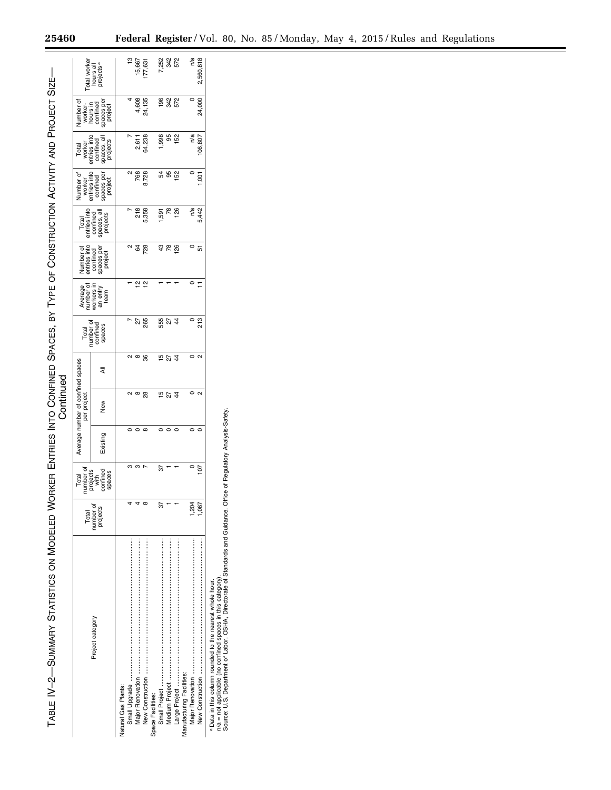TABLE IV–2—SUMMARY STATISTICS ON MODELED WORKER ENTRIES INTO **CONFINED** SPACES, BY TYPE OF CONSTRUCTION ACTIVITY AND PROJECT SIZE— **Continued** 

|                                                         | Total                 | Total<br>number of<br>projects<br>with |          | Average number of confined spaces<br>per project |          |                                          |                                                        |                                                                |                                                              |                                                                            |                                                                        |                                                                          |                                                    |
|---------------------------------------------------------|-----------------------|----------------------------------------|----------|--------------------------------------------------|----------|------------------------------------------|--------------------------------------------------------|----------------------------------------------------------------|--------------------------------------------------------------|----------------------------------------------------------------------------|------------------------------------------------------------------------|--------------------------------------------------------------------------|----------------------------------------------------|
| Project category                                        | number of<br>projects | confined<br>spaces                     | Existing | New                                              | ₹        | Total<br>number of<br>confined<br>spaces | Average<br>number of<br>workers in<br>an entry<br>team | Number of<br>entries into<br>confined<br>spaces per<br>project | Total<br>entries into<br>confined<br>spaces, all<br>projects | Number of<br>worker<br>entries into<br>entined<br>spaces per<br>spaces per | Total<br>worker<br>entries into<br>confined<br>spaces, all<br>projects | Number of<br>worker-<br>hours in<br>confined<br>spaces per<br>spaces per | Total worker<br>hours all<br>projects <sup>a</sup> |
| Natural Gas Plants:                                     |                       |                                        |          |                                                  |          |                                          |                                                        |                                                                |                                                              |                                                                            |                                                                        |                                                                          |                                                    |
|                                                         |                       |                                        |          | И                                                | $\sim$   |                                          |                                                        | N                                                              |                                                              | $\mathbf{\Omega}$                                                          |                                                                        |                                                                          |                                                    |
|                                                         |                       |                                        |          | $\infty$                                         | $\infty$ | 7<br>28<br>28                            |                                                        |                                                                | 218                                                          |                                                                            |                                                                        |                                                                          |                                                    |
|                                                         | $\infty$              |                                        |          | 88                                               | ೫        |                                          | 은 일                                                    | 64<br>728                                                      | 5,358                                                        | 768<br>8,728                                                               | 2,611<br>54,238                                                        | 4,608<br>4,608<br>24,135                                                 | $15,667$<br>$177,631$                              |
| Space Facilities:                                       |                       |                                        |          |                                                  |          |                                          |                                                        |                                                                |                                                              |                                                                            |                                                                        |                                                                          |                                                    |
|                                                         | 57                    | 55                                     |          | 15                                               |          |                                          |                                                        |                                                                | 591                                                          |                                                                            |                                                                        |                                                                          |                                                    |
|                                                         |                       |                                        |          | 27                                               | 554      | 555<br>27                                |                                                        | $rac{8}{7}$ $rac{8}{7}$                                        | $78$<br>126                                                  | 54<br>56                                                                   |                                                                        | <b>9825</b>                                                              | ន្ត្រី អ្នក<br>ស្ថិត                               |
|                                                         |                       |                                        |          | $\frac{4}{4}$                                    |          | $\ddot{4}$                               |                                                        |                                                                |                                                              | <b>IS2</b>                                                                 |                                                                        |                                                                          |                                                    |
| Manufacturing Facilities:                               |                       |                                        |          |                                                  |          |                                          |                                                        |                                                                |                                                              |                                                                            |                                                                        |                                                                          |                                                    |
|                                                         | 1,204                 |                                        |          |                                                  |          |                                          |                                                        |                                                                | n/a                                                          |                                                                            | n/a                                                                    |                                                                          | n/a                                                |
|                                                         | 1,067                 | 107                                    |          | N                                                |          | 213                                      |                                                        | 5                                                              | 5,442                                                        | 1,001                                                                      | 06,807                                                                 | 24,000                                                                   | 2,560,818                                          |
| a Data in this column rounded to the nearest whole hour |                       |                                        |          |                                                  |          |                                          |                                                        |                                                                |                                                              |                                                                            |                                                                        |                                                                          |                                                    |

Data in this column rounded to the nearest whole hour.

a Lata in this column rounded to the nearest wrible nour.<br>Source: U.S. Department of Labor, OSHA, Directorate of Standards and Guidance, Office of Regulatory Analysis-Safety.<br>Source: U.S. Department of Labor, OSHA, Direct n/a = not applicable (no confined spaces in this category). Source: U.S. Department of Labor, OSHA, Directorate of Standards and Guidance, Office of Regulatory Analysis-Safety.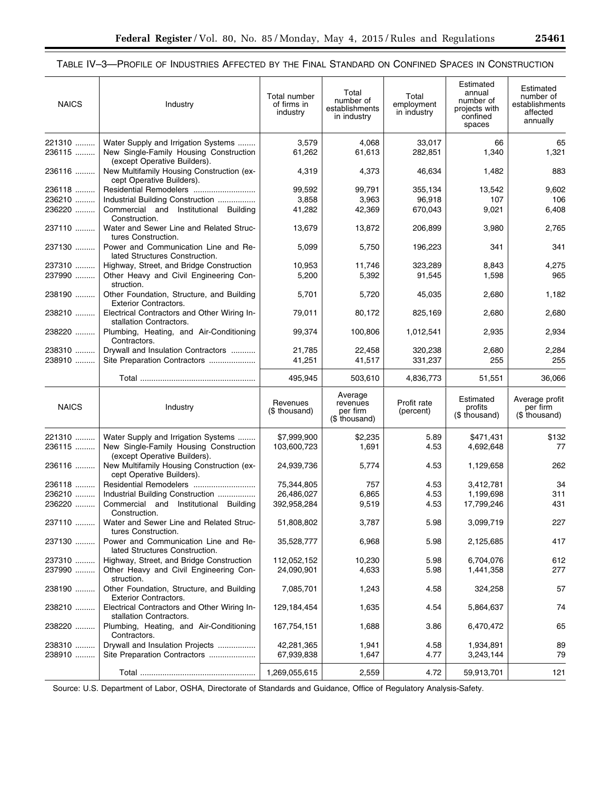۰

# TABLE IV–3—PROFILE OF INDUSTRIES AFFECTED BY THE FINAL STANDARD ON CONFINED SPACES IN CONSTRUCTION

| <b>NAICS</b>     | Industry                                                                                                      | Total number<br>of firms in<br>industry | Total<br>number of<br>establishments<br>in industry | Total<br>employment<br>in industry | Estimated<br>annual<br>number of<br>projects with<br>confined<br>spaces | Estimated<br>number of<br>establishments<br>affected<br>annually |
|------------------|---------------------------------------------------------------------------------------------------------------|-----------------------------------------|-----------------------------------------------------|------------------------------------|-------------------------------------------------------------------------|------------------------------------------------------------------|
| 221310<br>236115 | Water Supply and Irrigation Systems<br>New Single-Family Housing Construction<br>(except Operative Builders). | 3,579<br>61,262                         | 4,068<br>61,613                                     | 33,017<br>282,851                  | 66<br>1,340                                                             | 65<br>1,321                                                      |
| 236116           | New Multifamily Housing Construction (ex-<br>cept Operative Builders).                                        | 4,319                                   | 4,373                                               | 46,634                             | 1,482                                                                   | 883                                                              |
| 236118           | Residential Remodelers                                                                                        | 99,592                                  | 99,791                                              | 355,134                            | 13,542                                                                  | 9,602                                                            |
| 236210           | Industrial Building Construction                                                                              | 3,858                                   | 3,963                                               | 96,918                             | 107                                                                     | 106                                                              |
| 236220           | Commercial and Institutional Building<br>Construction.                                                        | 41,282                                  | 42,369                                              | 670,043                            | 9,021                                                                   | 6,408                                                            |
| 237110           | Water and Sewer Line and Related Struc-<br>tures Construction.                                                | 13,679                                  | 13,872                                              | 206,899                            | 3,980                                                                   | 2,765                                                            |
| 237130           | Power and Communication Line and Re-<br>lated Structures Construction.                                        | 5,099                                   | 5,750                                               | 196,223                            | 341                                                                     | 341                                                              |
| 237310           | Highway, Street, and Bridge Construction                                                                      | 10,953                                  | 11,746                                              | 323,289                            | 8,843                                                                   | 4,275                                                            |
| 237990           | Other Heavy and Civil Engineering Con-<br>struction.                                                          | 5,200                                   | 5,392                                               | 91,545                             | 1,598                                                                   | 965                                                              |
| 238190           | Other Foundation, Structure, and Building<br><b>Exterior Contractors.</b>                                     | 5,701                                   | 5,720                                               | 45,035                             | 2,680                                                                   | 1,182                                                            |
| 238210           | Electrical Contractors and Other Wiring In-<br>stallation Contractors.                                        | 79,011                                  | 80,172                                              | 825,169                            | 2,680                                                                   | 2,680                                                            |
| 238220           | Plumbing, Heating, and Air-Conditioning<br>Contractors.                                                       | 99,374                                  | 100.806                                             | 1,012,541                          | 2,935                                                                   | 2,934                                                            |
| 238310           | Drywall and Insulation Contractors                                                                            | 21,785                                  | 22,458                                              | 320,238                            | 2,680                                                                   | 2,284                                                            |
| 238910           | Site Preparation Contractors                                                                                  | 41,251                                  | 41,517                                              | 331,237                            | 255                                                                     | 255                                                              |
|                  |                                                                                                               | 495,945                                 | 503,610                                             | 4,836,773                          | 51,551                                                                  | 36,066                                                           |
| <b>NAICS</b>     | Industry                                                                                                      | Revenues<br>(\$ thousand)               | Average<br>revenues<br>per firm<br>(\$ thousand)    | Profit rate<br>(percent)           | Estimated<br>profits<br>(\$ thousand)                                   | Average profit<br>per firm<br>(\$ thousand)                      |
| 221310           | Water Supply and Irrigation Systems                                                                           | \$7,999,900                             | \$2,235                                             | 5.89                               | \$471,431                                                               | \$132                                                            |
| 236115           | New Single-Family Housing Construction<br>(except Operative Builders).                                        | 103,600,723                             | 1,691                                               | 4.53                               | 4,692,648                                                               | 77                                                               |
| 236116           | New Multifamily Housing Construction (ex-<br>cept Operative Builders).                                        | 24,939,736                              | 5,774                                               | 4.53                               | 1,129,658                                                               | 262                                                              |
| 236118           | Residential Remodelers                                                                                        | 75,344,805                              | 757                                                 | 4.53                               | 3,412,781                                                               | 34                                                               |
| 236210           | Industrial Building Construction                                                                              | 26,486,027                              | 6,865                                               | 4.53                               | 1,199,698                                                               | 311                                                              |
| 236220           | Commercial and Institutional Building<br>Construction.                                                        | 392,958,284                             | 9,519                                               | 4.53                               | 17,799,246                                                              | 431                                                              |
| 237110           | Water and Sewer Line and Related Struc-<br>tures Construction.                                                | 51,808,802                              | 3,787                                               | 5.98                               | 3,099,719                                                               | 227                                                              |
| 237130           | Power and Communication Line and Re-<br>lated Structures Construction.                                        | 35,528,777                              | 6,968                                               | 5.98                               | 2,125,685                                                               | 417                                                              |
| 237310           | Highway, Street, and Bridge Construction                                                                      | 112,052,152                             | 10,230                                              | 5.98                               | 6,704,076                                                               | 612                                                              |
| 237990           | Other Heavy and Civil Engineering Con-<br>struction.                                                          | 24,090,901                              | 4,633                                               | 5.98                               | 1,441,358                                                               | 277                                                              |
| 238190           | Other Foundation, Structure, and Building<br><b>Exterior Contractors.</b>                                     | 7,085,701                               | 1,243                                               | 4.58                               | 324,258                                                                 | 57                                                               |
| 238210           | Electrical Contractors and Other Wiring In-<br>stallation Contractors.                                        | 129,184,454                             | 1,635                                               | 4.54                               | 5,864,637                                                               | 74                                                               |
| 238220           | Plumbing, Heating, and Air-Conditioning<br>Contractors.                                                       | 167,754,151                             | 1,688                                               | 3.86                               | 6,470,472                                                               | 65                                                               |
| 238310<br>238910 | Drywall and Insulation Projects<br>Site Preparation Contractors                                               | 42,281,365                              | 1,941                                               | 4.58                               | 1,934,891                                                               | 89                                                               |
|                  |                                                                                                               | 67,939,838                              | 1,647                                               | 4.77                               | 3,243,144                                                               | 79                                                               |
|                  |                                                                                                               | 1,269,055,615                           | 2,559                                               | 4.72                               | 59,913,701                                                              | 121                                                              |

Source: U.S. Department of Labor, OSHA, Directorate of Standards and Guidance, Office of Regulatory Analysis-Safety.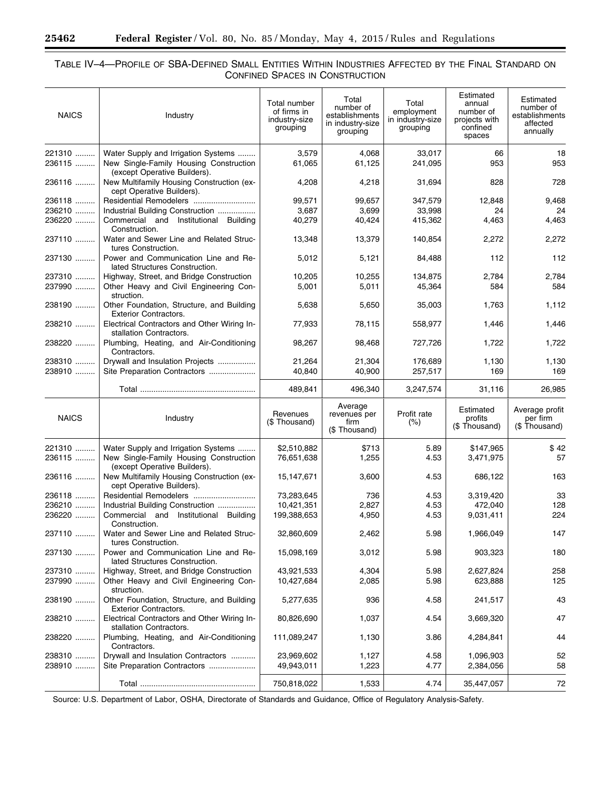۳

۰

# TABLE IV–4—PROFILE OF SBA-DEFINED SMALL ENTITIES WITHIN INDUSTRIES AFFECTED BY THE FINAL STANDARD ON CONFINED SPACES IN CONSTRUCTION

| <b>NAICS</b>     | Industry                                                                                                      | Total number<br>of firms in<br>industry-size<br>grouping | Total<br>number of<br>establishments<br>in industry-size<br>grouping | Total<br>employment<br>in industry-size<br>grouping | Estimated<br>annual<br>number of<br>projects with<br>confined<br>spaces | Estimated<br>number of<br>establishments<br>affected<br>annually |
|------------------|---------------------------------------------------------------------------------------------------------------|----------------------------------------------------------|----------------------------------------------------------------------|-----------------------------------------------------|-------------------------------------------------------------------------|------------------------------------------------------------------|
|                  |                                                                                                               |                                                          |                                                                      |                                                     |                                                                         |                                                                  |
| 221310<br>236115 | Water Supply and Irrigation Systems<br>New Single-Family Housing Construction<br>(except Operative Builders). | 3,579<br>61,065                                          | 4,068<br>61,125                                                      | 33,017<br>241,095                                   | 66<br>953                                                               | 18<br>953                                                        |
| 236116           | New Multifamily Housing Construction (ex-<br>cept Operative Builders).                                        | 4,208                                                    | 4,218                                                                | 31,694                                              | 828                                                                     | 728                                                              |
| 236118           | Residential Remodelers                                                                                        | 99,571                                                   | 99,657                                                               | 347,579                                             | 12,848                                                                  | 9,468                                                            |
| 236210           | Industrial Building Construction                                                                              | 3,687                                                    | 3,699                                                                | 33,998                                              | 24                                                                      | 24                                                               |
| 236220           | Commercial and Institutional Building<br>Construction.                                                        | 40,279                                                   | 40,424                                                               | 415,362                                             | 4,463                                                                   | 4,463                                                            |
| 237110           | Water and Sewer Line and Related Struc-<br>tures Construction.                                                | 13,348                                                   | 13,379                                                               | 140,854                                             | 2,272                                                                   | 2,272                                                            |
| 237130           | Power and Communication Line and Re-<br>lated Structures Construction.                                        | 5,012                                                    | 5,121                                                                | 84,488                                              | 112                                                                     | 112                                                              |
| 237310           | Highway, Street, and Bridge Construction                                                                      | 10,205                                                   | 10,255                                                               | 134,875                                             | 2,784                                                                   | 2,784                                                            |
| 237990           | Other Heavy and Civil Engineering Con-<br>struction.                                                          | 5,001                                                    | 5,011                                                                | 45,364                                              | 584                                                                     | 584                                                              |
| 238190           | Other Foundation, Structure, and Building<br><b>Exterior Contractors.</b>                                     | 5,638                                                    | 5,650                                                                | 35,003                                              | 1,763                                                                   | 1,112                                                            |
| 238210           | Electrical Contractors and Other Wiring In-<br>stallation Contractors.                                        | 77,933                                                   | 78,115                                                               | 558,977                                             | 1,446                                                                   | 1,446                                                            |
| 238220           | Plumbing, Heating, and Air-Conditioning<br>Contractors.                                                       | 98,267                                                   | 98,468                                                               | 727,726                                             | 1,722                                                                   | 1,722                                                            |
| 238310<br>238910 | Drywall and Insulation Projects<br>Site Preparation Contractors                                               | 21,264<br>40,840                                         | 21,304<br>40,900                                                     | 176,689<br>257,517                                  | 1,130<br>169                                                            | 1,130<br>169                                                     |
|                  |                                                                                                               | 489,841                                                  | 496,340                                                              | 3,247,574                                           | 31,116                                                                  | 26,985                                                           |
| <b>NAICS</b>     | Industry                                                                                                      | Revenues<br>(\$Thousand)                                 | Average<br>revenues per<br>firm<br>(\$ Thousand)                     | Profit rate<br>(%)                                  | Estimated<br>profits<br>(\$ Thousand)                                   | Average profit<br>per firm<br>(\$Thousand)                       |
| 221310           | Water Supply and Irrigation Systems                                                                           |                                                          |                                                                      | 5.89                                                |                                                                         |                                                                  |
| 236115           | New Single-Family Housing Construction<br>(except Operative Builders).                                        | \$2,510,882<br>76,651,638                                | \$713<br>1,255                                                       | 4.53                                                | \$147,965<br>3,471,975                                                  | \$42<br>57                                                       |
| 236116           | New Multifamily Housing Construction (ex-<br>cept Operative Builders).                                        | 15, 147, 671                                             | 3,600                                                                | 4.53                                                | 686,122                                                                 | 163                                                              |
| 236118           | Residential Remodelers                                                                                        | 73,283,645                                               | 736                                                                  | 4.53                                                | 3,319,420                                                               | 33                                                               |
| 236210           | Industrial Building Construction                                                                              | 10,421,351                                               | 2,827                                                                | 4.53                                                | 472,040                                                                 | 128                                                              |
| 236220           | Commercial and Institutional Building<br>Construction.                                                        | 199,388,653                                              | 4,950                                                                | 4.53                                                | 9,031,411                                                               | 224                                                              |
| 237110           | Water and Sewer Line and Related Struc-<br>tures Construction.                                                | 32,860,609                                               | 2,462                                                                | 5.98                                                | 1,966,049                                                               | 147                                                              |
| 237130           | Power and Communication Line and Re-<br>lated Structures Construction.                                        | 15,098,169                                               | 3,012                                                                | 5.98                                                | 903,323                                                                 | 180                                                              |
| 237310           | Highway, Street, and Bridge Construction                                                                      | 43,921,533                                               | 4,304                                                                | 5.98                                                | 2,627,824                                                               | 258                                                              |
| 237990           | Other Heavy and Civil Engineering Con-<br>struction.                                                          | 10,427,684                                               | 2,085                                                                | 5.98                                                | 623,888                                                                 | 125                                                              |
| 238190           | Other Foundation, Structure, and Building<br><b>Exterior Contractors.</b>                                     | 5,277,635                                                | 936                                                                  | 4.58                                                | 241,517                                                                 | 43                                                               |
| 238210           | Electrical Contractors and Other Wiring In-<br>stallation Contractors.                                        | 80,826,690                                               | 1,037                                                                | 4.54                                                | 3,669,320                                                               | 47                                                               |
| 238220           | Plumbing, Heating, and Air-Conditioning<br>Contractors.                                                       | 111,089,247                                              | 1,130                                                                | 3.86                                                | 4,284,841                                                               | 44                                                               |
| 238310           | Drywall and Insulation Contractors                                                                            | 23,969,602                                               | 1,127                                                                | 4.58                                                | 1,096,903                                                               | 52                                                               |
| 238910           | Site Preparation Contractors                                                                                  | 49,943,011                                               | 1,223                                                                | 4.77                                                | 2,384,056                                                               | 58                                                               |
|                  |                                                                                                               | 750,818,022                                              | 1,533                                                                | 4.74                                                | 35,447,057                                                              | 72                                                               |

Source: U.S. Department of Labor, OSHA, Directorate of Standards and Guidance, Office of Regulatory Analysis-Safety.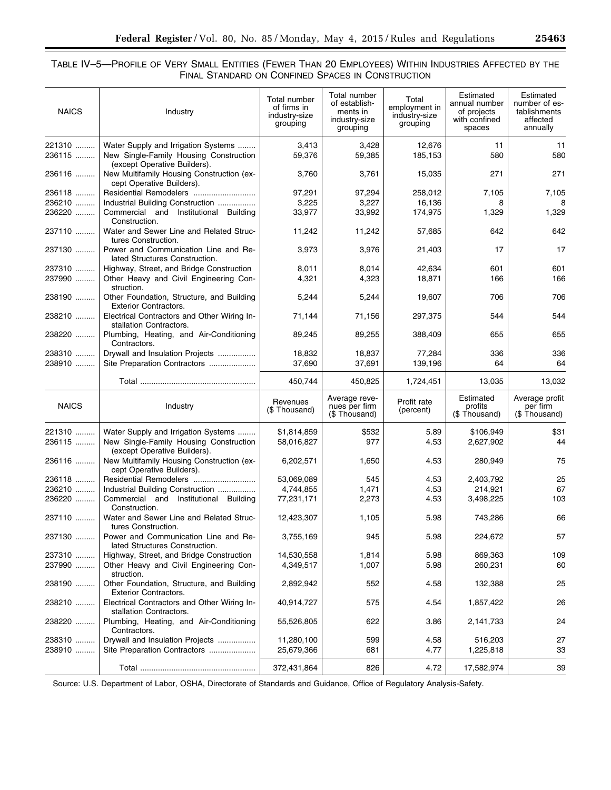۰

# TABLE IV–5—PROFILE OF VERY SMALL ENTITIES (FEWER THAN 20 EMPLOYEES) WITHIN INDUSTRIES AFFECTED BY THE FINAL STANDARD ON CONFINED SPACES IN CONSTRUCTION

| <b>NAICS</b>     | Industry                                                                                                      | Total number<br>of firms in<br>industry-size<br>grouping | Total number<br>of establish-<br>ments in<br>industry-size<br>grouping | Total<br>employment in<br>industry-size<br>grouping | Estimated<br>annual number<br>of projects<br>with confined<br>spaces | Estimated<br>number of es-<br>tablishments<br>affected<br>annually |
|------------------|---------------------------------------------------------------------------------------------------------------|----------------------------------------------------------|------------------------------------------------------------------------|-----------------------------------------------------|----------------------------------------------------------------------|--------------------------------------------------------------------|
|                  |                                                                                                               |                                                          |                                                                        |                                                     |                                                                      |                                                                    |
| 221310<br>236115 | Water Supply and Irrigation Systems<br>New Single-Family Housing Construction                                 | 3,413<br>59,376                                          | 3,428<br>59,385                                                        | 12,676<br>185,153                                   | 11<br>580                                                            | 11<br>580                                                          |
| 236116           | (except Operative Builders).<br>New Multifamily Housing Construction (ex-<br>cept Operative Builders).        | 3,760                                                    | 3,761                                                                  | 15,035                                              | 271                                                                  | 271                                                                |
| 236118           |                                                                                                               | 97,291                                                   | 97,294                                                                 | 258,012                                             |                                                                      | 7,105                                                              |
|                  |                                                                                                               |                                                          | 3,227                                                                  |                                                     | 7,105                                                                |                                                                    |
| 236210           | Industrial Building Construction                                                                              | 3,225                                                    |                                                                        | 16,136                                              | 8                                                                    | 8                                                                  |
| 236220           | Commercial and Institutional Building<br>Construction.                                                        | 33,977                                                   | 33,992                                                                 | 174,975                                             | 1,329                                                                | 1,329                                                              |
| 237110           | Water and Sewer Line and Related Struc-<br>tures Construction.                                                | 11,242                                                   | 11,242                                                                 | 57,685                                              | 642                                                                  | 642                                                                |
| 237130           | Power and Communication Line and Re-<br>lated Structures Construction.                                        | 3,973                                                    | 3,976                                                                  | 21,403                                              | 17                                                                   | 17                                                                 |
| 237310           | Highway, Street, and Bridge Construction                                                                      | 8,011                                                    | 8,014                                                                  | 42,634                                              | 601                                                                  | 601                                                                |
| 237990           | Other Heavy and Civil Engineering Con-<br>struction.                                                          | 4,321                                                    | 4,323                                                                  | 18,871                                              | 166                                                                  | 166                                                                |
| 238190           | Other Foundation, Structure, and Building<br><b>Exterior Contractors.</b>                                     | 5,244                                                    | 5,244                                                                  | 19,607                                              | 706                                                                  | 706                                                                |
| 238210           | Electrical Contractors and Other Wiring In-<br>stallation Contractors.                                        | 71,144                                                   | 71,156                                                                 | 297,375                                             | 544                                                                  | 544                                                                |
| 238220           | Plumbing, Heating, and Air-Conditioning<br>Contractors.                                                       | 89,245                                                   | 89,255                                                                 | 388,409                                             | 655                                                                  | 655                                                                |
| 238310           | Drywall and Insulation Projects                                                                               | 18,832                                                   | 18,837                                                                 | 77,284                                              | 336                                                                  | 336                                                                |
| 238910           | Site Preparation Contractors                                                                                  | 37,690                                                   | 37,691                                                                 | 139,196                                             | 64                                                                   | 64                                                                 |
|                  |                                                                                                               | 450,744                                                  | 450,825                                                                | 1,724,451                                           | 13,035                                                               | 13,032                                                             |
| <b>NAICS</b>     | Industry                                                                                                      | Revenues<br>(\$ Thousand)                                | Average reve-<br>nues per firm<br>(\$ Thousand)                        | Profit rate<br>(percent)                            | Estimated<br>profits<br>(\$ Thousand)                                | Average profit<br>per firm<br>(\$Thousand)                         |
|                  |                                                                                                               |                                                          |                                                                        |                                                     |                                                                      |                                                                    |
| 221310<br>236115 | Water Supply and Irrigation Systems<br>New Single-Family Housing Construction<br>(except Operative Builders). | \$1,814,859<br>58,016,827                                | \$532<br>977                                                           | 5.89<br>4.53                                        | \$106,949<br>2,627,902                                               | \$31<br>44                                                         |
| 236116           | New Multifamily Housing Construction (ex-<br>cept Operative Builders).                                        | 6,202,571                                                | 1,650                                                                  | 4.53                                                | 280,949                                                              | 75                                                                 |
| 236118           | Residential Remodelers                                                                                        | 53,069,089                                               | 545                                                                    | 4.53                                                | 2,403,792                                                            | 25                                                                 |
| 236210           |                                                                                                               |                                                          |                                                                        |                                                     |                                                                      |                                                                    |
|                  | Industrial Building Construction                                                                              | 4,744,855                                                | 1,471                                                                  | 4.53                                                | 214,921                                                              | 67                                                                 |
| 236220           | Commercial and Institutional Building<br>Construction.                                                        | 77,231,171                                               | 2,273                                                                  | 4.53                                                | 3,498,225                                                            | 103                                                                |
| 237110           | Water and Sewer Line and Related Struc-<br>tures Construction.                                                | 12,423,307                                               | 1,105                                                                  | 5.98                                                | 743,286                                                              | 66                                                                 |
| 237130           | Power and Communication Line and Re-<br>lated Structures Construction.                                        | 3,755,169                                                | 945                                                                    | 5.98                                                | 224,672                                                              | 57                                                                 |
| 237310           | Highway, Street, and Bridge Construction                                                                      | 14,530,558                                               | 1,814                                                                  | 5.98                                                | 869,363                                                              | 109                                                                |
| 237990           | Other Heavy and Civil Engineering Con-<br>struction.                                                          | 4,349,517                                                | 1,007                                                                  | 5.98                                                | 260,231                                                              | 60                                                                 |
| 238190           | Other Foundation, Structure, and Building<br><b>Exterior Contractors.</b>                                     | 2,892,942                                                | 552                                                                    | 4.58                                                | 132,388                                                              | 25                                                                 |
| 238210           | Electrical Contractors and Other Wiring In-<br>stallation Contractors.                                        | 40,914,727                                               | 575                                                                    | 4.54                                                | 1,857,422                                                            | 26                                                                 |
| 238220           | Plumbing, Heating, and Air-Conditioning<br>Contractors.                                                       | 55,526,805                                               | 622                                                                    | 3.86                                                | 2,141,733                                                            | 24                                                                 |
| 238310           | Drywall and Insulation Projects                                                                               | 11,280,100                                               | 599                                                                    | 4.58                                                | 516,203                                                              | 27                                                                 |
| 238910           | Site Preparation Contractors                                                                                  | 25,679,366                                               | 681                                                                    | 4.77                                                | 1,225,818                                                            | 33                                                                 |
|                  |                                                                                                               | 372,431,864                                              | 826                                                                    | 4.72                                                | 17,582,974                                                           | 39                                                                 |

Source: U.S. Department of Labor, OSHA, Directorate of Standards and Guidance, Office of Regulatory Analysis-Safety.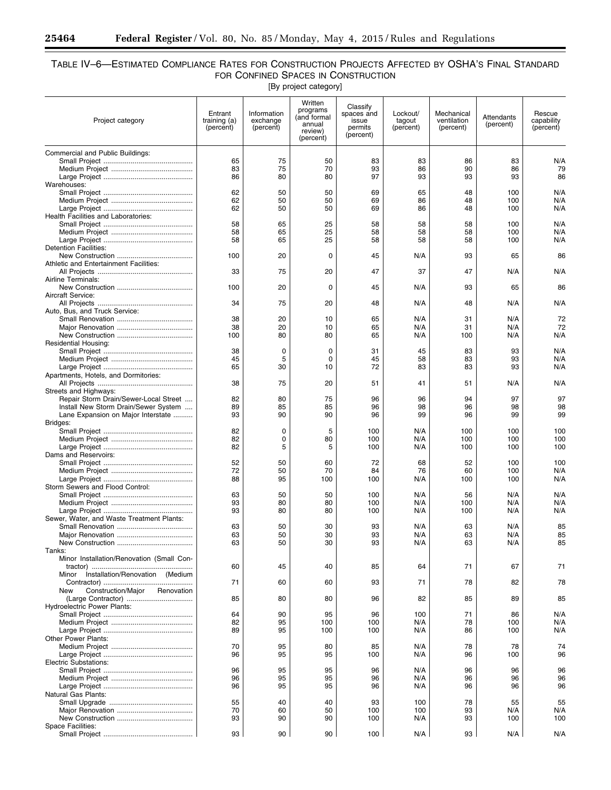$\equiv$ 

# TABLE IV–6—ESTIMATED COMPLIANCE RATES FOR CONSTRUCTION PROJECTS AFFECTED BY OSHA'S FINAL STANDARD FOR CONFINED SPACES IN CONSTRUCTION [By project category]

| Project category                          | Entrant<br>training (a)<br>(percent) | Information<br>exchange<br>(percent) | Written<br>programs<br>(and formal<br>annual<br>review)<br>(percent) | Classify<br>spaces and<br>issue<br>permits<br>(percent) | Lockout/<br>tagout<br>(percent) | Mechanical<br>ventilation<br>(percent) | Attendants<br>(percent) | Rescue<br>capability<br>(percent) |
|-------------------------------------------|--------------------------------------|--------------------------------------|----------------------------------------------------------------------|---------------------------------------------------------|---------------------------------|----------------------------------------|-------------------------|-----------------------------------|
| Commercial and Public Buildings:          |                                      |                                      |                                                                      |                                                         |                                 |                                        |                         |                                   |
|                                           | 65                                   | 75                                   | 50                                                                   | 83                                                      | 83                              | 86                                     | 83                      | N/A                               |
|                                           | 83                                   | 75                                   | 70                                                                   | 93                                                      | 86                              | 90                                     | 86                      | 79                                |
|                                           | 86                                   | 80                                   | 80                                                                   | 97                                                      | 93                              | 93                                     | 93                      | 86                                |
| Warehouses:                               |                                      |                                      |                                                                      |                                                         |                                 |                                        |                         |                                   |
|                                           | 62                                   | 50                                   | 50                                                                   | 69                                                      | 65                              | 48                                     | 100                     | N/A                               |
|                                           | 62                                   | 50                                   | 50                                                                   | 69                                                      | 86                              | 48                                     | 100                     | N/A                               |
|                                           | 62                                   | 50                                   | 50                                                                   | 69                                                      | 86                              | 48                                     | 100                     | N/A                               |
| Health Facilities and Laboratories:       |                                      |                                      |                                                                      |                                                         |                                 |                                        |                         |                                   |
|                                           | 58                                   | 65                                   | 25                                                                   | 58                                                      | 58                              | 58                                     | 100                     | N/A                               |
|                                           | 58                                   | 65                                   | 25                                                                   | 58                                                      | 58                              | 58                                     | 100                     | N/A                               |
|                                           |                                      | 65                                   | 25                                                                   |                                                         |                                 | 58                                     | 100                     | N/A                               |
|                                           | 58                                   |                                      |                                                                      | 58                                                      | 58                              |                                        |                         |                                   |
| <b>Detention Facilities:</b>              |                                      |                                      |                                                                      |                                                         |                                 |                                        |                         |                                   |
|                                           | 100                                  | 20                                   | 0                                                                    | 45                                                      | N/A                             | 93                                     | 65                      | 86                                |
| Athletic and Entertainment Facilities:    |                                      |                                      |                                                                      |                                                         |                                 |                                        |                         |                                   |
|                                           | 33                                   | 75                                   | 20                                                                   | 47                                                      | 37                              | 47                                     | N/A                     | N/A                               |
| Airline Terminals:                        |                                      |                                      |                                                                      |                                                         |                                 |                                        |                         |                                   |
|                                           | 100                                  | 20                                   | 0                                                                    | 45                                                      | N/A                             | 93                                     | 65                      | 86                                |
| Aircraft Service:                         |                                      |                                      |                                                                      |                                                         |                                 |                                        |                         |                                   |
|                                           | 34                                   | 75                                   | 20                                                                   | 48                                                      | N/A                             | 48                                     | N/A                     | N/A                               |
| Auto, Bus, and Truck Service:             |                                      |                                      |                                                                      |                                                         |                                 |                                        |                         |                                   |
|                                           | 38                                   | 20                                   | 10                                                                   | 65                                                      | N/A                             | 31                                     | N/A                     | 72                                |
|                                           | 38                                   | 20                                   | 10                                                                   | 65                                                      | N/A                             | 31                                     | N/A                     | 72                                |
|                                           | 100                                  | 80                                   | 80                                                                   | 65                                                      | N/A                             | 100                                    | N/A                     | N/A                               |
| <b>Residential Housing:</b>               |                                      |                                      |                                                                      |                                                         |                                 |                                        |                         |                                   |
|                                           | 38                                   | 0                                    | $\mathbf 0$                                                          | 31                                                      | 45                              | 83                                     | 93                      | N/A                               |
|                                           | 45                                   | 5                                    | 0                                                                    | 45                                                      | 58                              | 83                                     | 93                      | N/A                               |
|                                           | 65                                   | 30                                   | 10                                                                   | 72                                                      | 83                              | 83                                     | 93                      | N/A                               |
| Apartments, Hotels, and Dormitories:      |                                      |                                      |                                                                      |                                                         |                                 |                                        |                         |                                   |
|                                           | 38                                   | 75                                   | 20                                                                   | 51                                                      | 41                              | 51                                     | N/A                     | N/A                               |
| Streets and Highways:                     |                                      |                                      |                                                                      |                                                         |                                 |                                        |                         |                                   |
|                                           |                                      |                                      |                                                                      |                                                         |                                 |                                        |                         |                                   |
| Repair Storm Drain/Sewer-Local Street     | 82                                   | 80                                   | 75                                                                   | 96                                                      | 96                              | 94                                     | 97                      | 97                                |
| Install New Storm Drain/Sewer System      | 89                                   | 85                                   | 85                                                                   | 96                                                      | 98                              | 96                                     | 98                      | 98                                |
| Lane Expansion on Major Interstate        | 93                                   | 90                                   | 90                                                                   | 96                                                      | 99                              | 96                                     | 99                      | 99                                |
| Bridges:                                  |                                      |                                      |                                                                      |                                                         |                                 |                                        |                         |                                   |
|                                           | 82                                   | 0                                    | 5                                                                    | 100                                                     | N/A                             | 100                                    | 100                     | 100                               |
|                                           | 82                                   | 0                                    | 80                                                                   | 100                                                     | N/A                             | 100                                    | 100                     | 100                               |
|                                           | 82                                   | 5                                    | 5                                                                    | 100                                                     | N/A                             | 100                                    | 100                     | 100                               |
| Dams and Reservoirs:                      |                                      |                                      |                                                                      |                                                         |                                 |                                        |                         |                                   |
|                                           | 52                                   | 50                                   | 60                                                                   | 72                                                      | 68                              | 52                                     | 100                     | 100                               |
|                                           | 72                                   | 50                                   | 70                                                                   | 84                                                      | 76                              | 60                                     | 100                     | N/A                               |
|                                           | 88                                   | 95                                   | 100                                                                  | 100                                                     | N/A                             | 100                                    | 100                     | N/A                               |
| Storm Sewers and Flood Control:           |                                      |                                      |                                                                      |                                                         |                                 |                                        |                         |                                   |
|                                           | 63                                   | 50                                   | 50                                                                   | 100                                                     | N/A                             | 56                                     | N/A                     | N/A                               |
|                                           | 93                                   | 80                                   | 80                                                                   | 100                                                     | N/A                             | 100                                    | N/A                     | N/A                               |
|                                           | 93                                   | 80                                   | 80                                                                   | 100                                                     | N/A                             | 100                                    | N/A                     | N/A                               |
| Sewer, Water, and Waste Treatment Plants: |                                      |                                      |                                                                      |                                                         |                                 |                                        |                         |                                   |
|                                           | 63                                   | 50                                   | 30                                                                   | 93                                                      | N/A                             | 63                                     | N/A                     | 85                                |
|                                           | 63                                   | 50                                   | 30                                                                   | 93                                                      | N/A                             | 63                                     | N/A                     | 85                                |
|                                           | 63                                   | 50                                   | 30                                                                   | 93                                                      | N/A                             | 63                                     | N/A                     | 85                                |
| Tanks:                                    |                                      |                                      |                                                                      |                                                         |                                 |                                        |                         |                                   |
| Minor Installation/Renovation (Small Con- |                                      |                                      |                                                                      |                                                         |                                 |                                        |                         |                                   |
|                                           | 60                                   | 45                                   | 40                                                                   | 85                                                      | 64                              | 71                                     | 67                      | 71                                |
| Installation/Renovation (Medium<br>Minor  |                                      |                                      |                                                                      |                                                         |                                 |                                        |                         |                                   |
|                                           | 71                                   | 60                                   | 60                                                                   | 93                                                      | 71                              | 78                                     | 82                      | 78                                |
|                                           |                                      |                                      |                                                                      |                                                         |                                 |                                        |                         |                                   |
| Construction/Major<br>Renovation<br>New   |                                      |                                      |                                                                      |                                                         |                                 |                                        |                         |                                   |
|                                           | 85                                   | 80                                   | 80                                                                   | 96                                                      | 82                              | 85                                     | 89                      | 85                                |
| <b>Hydroelectric Power Plants:</b>        |                                      |                                      |                                                                      |                                                         |                                 |                                        |                         |                                   |
|                                           | 64                                   | 90                                   | 95                                                                   | 96                                                      | 100                             | 71                                     | 86                      | N/A                               |
|                                           | 82                                   | 95                                   | 100                                                                  | 100                                                     | N/A                             | 78                                     | 100                     | N/A                               |
|                                           | 89                                   | 95                                   | 100                                                                  | 100                                                     | N/A                             | 86                                     | 100                     | N/A                               |
| <b>Other Power Plants:</b>                |                                      |                                      |                                                                      |                                                         |                                 |                                        |                         |                                   |
|                                           | 70                                   | 95                                   | 80                                                                   | 85                                                      | N/A                             | 78                                     | 78                      | 74                                |
|                                           | 96                                   | 95                                   | 95                                                                   | 100                                                     | N/A                             | 96                                     | 100                     | 96                                |
| <b>Electric Substations:</b>              |                                      |                                      |                                                                      |                                                         |                                 |                                        |                         |                                   |
|                                           | 96                                   | 95                                   | 95                                                                   | 96                                                      | N/A                             | 96                                     | 96                      | 96                                |
|                                           | 96                                   | 95                                   | 95                                                                   | 96                                                      | N/A                             | 96                                     | 96                      | 96                                |
|                                           | 96                                   | 95                                   | 95                                                                   | 96                                                      | N/A                             | 96                                     | 96                      | 96                                |
| Natural Gas Plants:                       |                                      |                                      |                                                                      |                                                         |                                 |                                        |                         |                                   |
|                                           | 55                                   | 40                                   | 40                                                                   | 93                                                      | 100                             | 78                                     | 55                      | 55                                |
|                                           | 70                                   | 60                                   | 50                                                                   | 100                                                     | 100                             | 93                                     | N/A                     | N/A                               |
|                                           | 93                                   | 90                                   | 90                                                                   | 100                                                     | N/A                             | 93                                     | 100                     | 100                               |
| Space Facilities:                         |                                      |                                      |                                                                      |                                                         |                                 |                                        |                         |                                   |
|                                           | 93                                   | 90                                   | 90                                                                   | 100                                                     | N/A                             | 93                                     | N/A                     | N/A                               |
|                                           |                                      |                                      |                                                                      |                                                         |                                 |                                        |                         |                                   |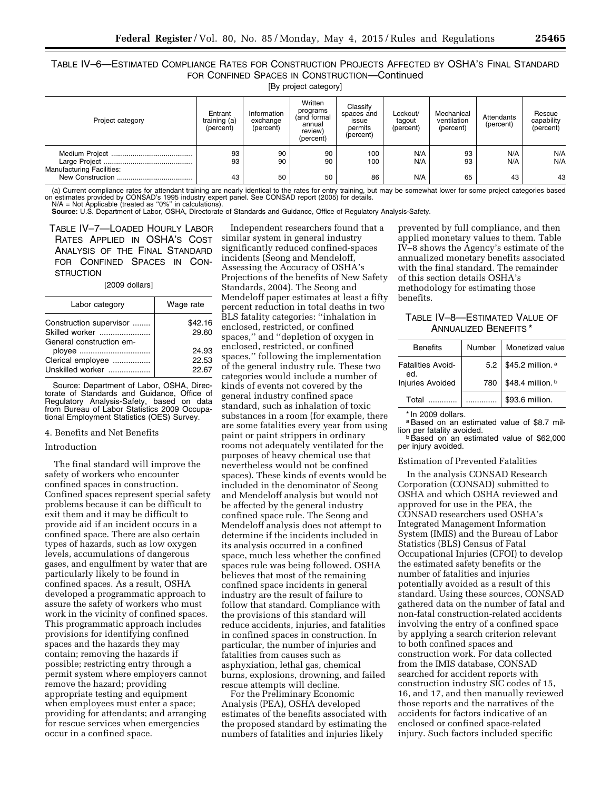# TABLE IV–6—ESTIMATED COMPLIANCE RATES FOR CONSTRUCTION PROJECTS AFFECTED BY OSHA'S FINAL STANDARD FOR CONFINED SPACES IN CONSTRUCTION—Continued

|  |  | [By project category] |
|--|--|-----------------------|
|--|--|-----------------------|

| Project category                 | Entrant<br>training (a)<br>(percent) | Information<br>exchange<br>(percent) | Written<br>programs<br>(and formal<br>annual<br>review)<br>(percent) | Classify<br>spaces and<br>issue<br>permits<br>(percent) | Lockout/<br>tagout<br>(percent) | Mechanical<br>ventilation<br>(percent) | Attendants<br>(percent) | Rescue<br>capability<br>(percent) |
|----------------------------------|--------------------------------------|--------------------------------------|----------------------------------------------------------------------|---------------------------------------------------------|---------------------------------|----------------------------------------|-------------------------|-----------------------------------|
| <b>Manufacturing Facilities:</b> | 93<br>93                             | 90<br>90                             | 90<br>90                                                             | 100<br>100                                              | N/A<br>N/A                      | 93<br>93                               | N/A<br>N/A              | N/A<br>N/A                        |
| New Construction                 | 43                                   | 50                                   | 50                                                                   | 86                                                      | N/A                             | 65                                     | 43                      | 43                                |

(a) Current compliance rates for attendant training are nearly identical to the rates for entry training, but may be somewhat lower for some project categories based<br>on estimates provided by CONSAD's 1995 industry expert p

N/A = Not Applicable (treated as ''0%'' in calculations). **Source:** U.S. Department of Labor, OSHA, Directorate of Standards and Guidance, Office of Regulatory Analysis-Safety.

TABLE IV–7—LOADED HOURLY LABOR RATES APPLIED IN OSHA'S COST ANALYSIS OF THE FINAL STANDARD FOR CONFINED SPACES IN CON-**STRUCTION** 

[2009 dollars]

| Labor category                                                        | Wage rate               |
|-----------------------------------------------------------------------|-------------------------|
| Construction supervisor<br>Skilled worker<br>General construction em- | \$42.16<br>29.60        |
| ployee<br>Clerical employee<br>Unskilled worker                       | 24.93<br>22.53<br>22.67 |

Source: Department of Labor, OSHA, Directorate of Standards and Guidance, Office of Regulatory Analysis-Safety, based on data from Bureau of Labor Statistics 2009 Occupational Employment Statistics (OES) Survey.

#### 4. Benefits and Net Benefits

## Introduction

The final standard will improve the safety of workers who encounter confined spaces in construction. Confined spaces represent special safety problems because it can be difficult to exit them and it may be difficult to provide aid if an incident occurs in a confined space. There are also certain types of hazards, such as low oxygen levels, accumulations of dangerous gases, and engulfment by water that are particularly likely to be found in confined spaces. As a result, OSHA developed a programmatic approach to assure the safety of workers who must work in the vicinity of confined spaces. This programmatic approach includes provisions for identifying confined spaces and the hazards they may contain; removing the hazards if possible; restricting entry through a permit system where employers cannot remove the hazard; providing appropriate testing and equipment when employees must enter a space; providing for attendants; and arranging for rescue services when emergencies occur in a confined space.

Independent researchers found that a similar system in general industry significantly reduced confined-spaces incidents (Seong and Mendeloff, Assessing the Accuracy of OSHA's Projections of the benefits of New Safety Standards, 2004). The Seong and Mendeloff paper estimates at least a fifty percent reduction in total deaths in two BLS fatality categories: ''inhalation in enclosed, restricted, or confined spaces,'' and ''depletion of oxygen in enclosed, restricted, or confined spaces,'' following the implementation of the general industry rule. These two categories would include a number of kinds of events not covered by the general industry confined space standard, such as inhalation of toxic substances in a room (for example, there are some fatalities every year from using paint or paint strippers in ordinary rooms not adequately ventilated for the purposes of heavy chemical use that nevertheless would not be confined spaces). These kinds of events would be included in the denominator of Seong and Mendeloff analysis but would not be affected by the general industry confined space rule. The Seong and Mendeloff analysis does not attempt to determine if the incidents included in its analysis occurred in a confined space, much less whether the confined spaces rule was being followed. OSHA believes that most of the remaining confined space incidents in general industry are the result of failure to follow that standard. Compliance with the provisions of this standard will reduce accidents, injuries, and fatalities in confined spaces in construction. In particular, the number of injuries and fatalities from causes such as asphyxiation, lethal gas, chemical burns, explosions, drowning, and failed rescue attempts will decline.

For the Preliminary Economic Analysis (PEA), OSHA developed estimates of the benefits associated with the proposed standard by estimating the numbers of fatalities and injuries likely

prevented by full compliance, and then applied monetary values to them. Table IV–8 shows the Agency's estimate of the annualized monetary benefits associated with the final standard. The remainder of this section details OSHA's methodology for estimating those benefits.

# TABLE IV–8—ESTIMATED VALUE OF ANNUALIZED BENEFITS \*

| <b>Benefits</b>                 | Number | Monetized value              |
|---------------------------------|--------|------------------------------|
| <b>Fatalities Avoid-</b><br>ed. | 5.2    | \$45.2 million. <sup>a</sup> |
| <b>Injuries Avoided</b>         | 780    | \$48.4 million. b            |
| Total                           |        | \$93.6 million.              |

\* In 2009 dollars.

a Based on an estimated value of \$8.7 million per fatality avoided.

<sup>b</sup> Based on an estimated value of \$62,000 per injury avoided.

## Estimation of Prevented Fatalities

In the analysis CONSAD Research Corporation (CONSAD) submitted to OSHA and which OSHA reviewed and approved for use in the PEA, the CONSAD researchers used OSHA's Integrated Management Information System (IMIS) and the Bureau of Labor Statistics (BLS) Census of Fatal Occupational Injuries (CFOI) to develop the estimated safety benefits or the number of fatalities and injuries potentially avoided as a result of this standard. Using these sources, CONSAD gathered data on the number of fatal and non-fatal construction-related accidents involving the entry of a confined space by applying a search criterion relevant to both confined spaces and construction work. For data collected from the IMIS database, CONSAD searched for accident reports with construction industry SIC codes of 15, 16, and 17, and then manually reviewed those reports and the narratives of the accidents for factors indicative of an enclosed or confined space-related injury. Such factors included specific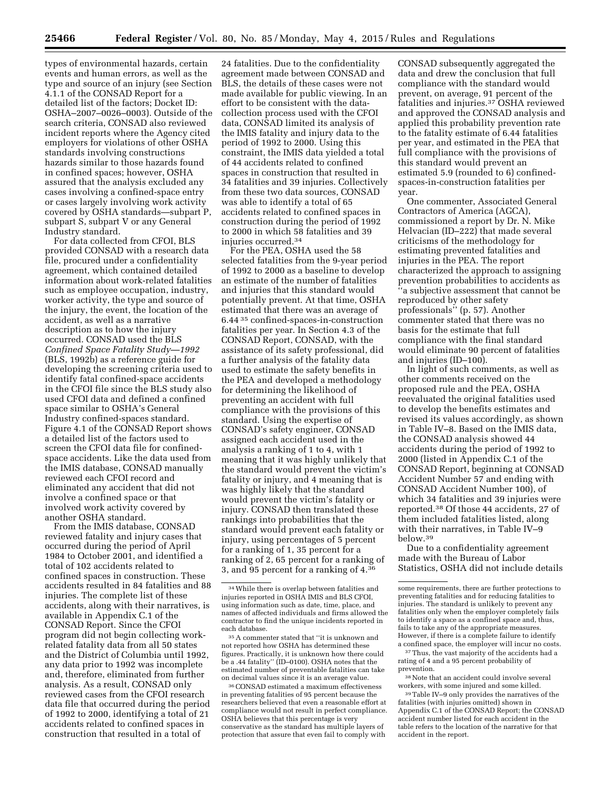types of environmental hazards, certain events and human errors, as well as the type and source of an injury (see Section 4.1.1 of the CONSAD Report for a detailed list of the factors; Docket ID: OSHA–2007–0026–0003). Outside of the search criteria, CONSAD also reviewed incident reports where the Agency cited employers for violations of other OSHA standards involving constructions hazards similar to those hazards found in confined spaces; however, OSHA assured that the analysis excluded any cases involving a confined-space entry or cases largely involving work activity covered by OSHA standards—subpart P, subpart S, subpart V or any General Industry standard.

For data collected from CFOI, BLS provided CONSAD with a research data file, procured under a confidentiality agreement, which contained detailed information about work-related fatalities such as employee occupation, industry, worker activity, the type and source of the injury, the event, the location of the accident, as well as a narrative description as to how the injury occurred. CONSAD used the BLS *Confined Space Fatality Study—1992*  (BLS, 1992b) as a reference guide for developing the screening criteria used to identify fatal confined-space accidents in the CFOI file since the BLS study also used CFOI data and defined a confined space similar to OSHA's General Industry confined-spaces standard. Figure 4.1 of the CONSAD Report shows a detailed list of the factors used to screen the CFOI data file for confinedspace accidents. Like the data used from the IMIS database, CONSAD manually reviewed each CFOI record and eliminated any accident that did not involve a confined space or that involved work activity covered by another OSHA standard.

From the IMIS database, CONSAD reviewed fatality and injury cases that occurred during the period of April 1984 to October 2001, and identified a total of 102 accidents related to confined spaces in construction. These accidents resulted in 84 fatalities and 88 injuries. The complete list of these accidents, along with their narratives, is available in Appendix C.1 of the CONSAD Report. Since the CFOI program did not begin collecting workrelated fatality data from all 50 states and the District of Columbia until 1992, any data prior to 1992 was incomplete and, therefore, eliminated from further analysis. As a result, CONSAD only reviewed cases from the CFOI research data file that occurred during the period of 1992 to 2000, identifying a total of 21 accidents related to confined spaces in construction that resulted in a total of

24 fatalities. Due to the confidentiality agreement made between CONSAD and BLS, the details of these cases were not made available for public viewing. In an effort to be consistent with the datacollection process used with the CFOI data, CONSAD limited its analysis of the IMIS fatality and injury data to the period of 1992 to 2000. Using this constraint, the IMIS data yielded a total of 44 accidents related to confined spaces in construction that resulted in 34 fatalities and 39 injuries. Collectively from these two data sources, CONSAD was able to identify a total of 65 accidents related to confined spaces in construction during the period of 1992 to 2000 in which 58 fatalities and 39 injuries occurred.34

For the PEA, OSHA used the 58 selected fatalities from the 9-year period of 1992 to 2000 as a baseline to develop an estimate of the number of fatalities and injuries that this standard would potentially prevent. At that time, OSHA estimated that there was an average of 6.44 35 confined-spaces-in-construction fatalities per year. In Section 4.3 of the CONSAD Report, CONSAD, with the assistance of its safety professional, did a further analysis of the fatality data used to estimate the safety benefits in the PEA and developed a methodology for determining the likelihood of preventing an accident with full compliance with the provisions of this standard. Using the expertise of CONSAD's safety engineer, CONSAD assigned each accident used in the analysis a ranking of 1 to 4, with 1 meaning that it was highly unlikely that the standard would prevent the victim's fatality or injury, and 4 meaning that is was highly likely that the standard would prevent the victim's fatality or injury. CONSAD then translated these rankings into probabilities that the standard would prevent each fatality or injury, using percentages of 5 percent for a ranking of 1, 35 percent for a ranking of 2, 65 percent for a ranking of 3, and 95 percent for a ranking of 4.36

35A commenter stated that ''it is unknown and not reported how OSHA has determined these figures. Practically, it is unknown how there could be a .44 fatality'' (ID–0100). OSHA notes that the estimated number of preventable fatalities can take on decimal values since it is an average value.

36CONSAD estimated a maximum effectiveness in preventing fatalities of 95 percent because the researchers believed that even a reasonable effort at compliance would not result in perfect compliance. OSHA believes that this percentage is very conservative as the standard has multiple layers of protection that assure that even fail to comply with

CONSAD subsequently aggregated the data and drew the conclusion that full compliance with the standard would prevent, on average, 91 percent of the fatalities and injuries.37 OSHA reviewed and approved the CONSAD analysis and applied this probability prevention rate to the fatality estimate of 6.44 fatalities per year, and estimated in the PEA that full compliance with the provisions of this standard would prevent an estimated 5.9 (rounded to 6) confinedspaces-in-construction fatalities per year.

One commenter, Associated General Contractors of America (AGCA), commissioned a report by Dr. N. Mike Helvacian (ID–222) that made several criticisms of the methodology for estimating prevented fatalities and injuries in the PEA. The report characterized the approach to assigning prevention probabilities to accidents as ''a subjective assessment that cannot be reproduced by other safety professionals'' (p. 57). Another commenter stated that there was no basis for the estimate that full compliance with the final standard would eliminate 90 percent of fatalities and injuries (ID–100).

In light of such comments, as well as other comments received on the proposed rule and the PEA, OSHA reevaluated the original fatalities used to develop the benefits estimates and revised its values accordingly, as shown in Table IV–8. Based on the IMIS data, the CONSAD analysis showed 44 accidents during the period of 1992 to 2000 (listed in Appendix C.1 of the CONSAD Report, beginning at CONSAD Accident Number 57 and ending with CONSAD Accident Number 100), of which 34 fatalities and 39 injuries were reported.38 Of those 44 accidents, 27 of them included fatalities listed, along with their narratives, in Table IV–9 below.39

Due to a confidentiality agreement made with the Bureau of Labor Statistics, OSHA did not include details

<sup>37</sup>Thus, the vast majority of the accidents had a rating of 4 and a 95 percent probability of prevention.

38Note that an accident could involve several workers, with some injured and some killed.

39Table IV–9 only provides the narratives of the fatalities (with injuries omitted) shown in Appendix C.1 of the CONSAD Report; the CONSAD accident number listed for each accident in the table refers to the location of the narrative for that accident in the report.

<sup>34</sup>While there is overlap between fatalities and injuries reported in OSHA IMIS and BLS CFOI, using information such as date, time, place, and names of affected individuals and firms allowed the contractor to find the unique incidents reported in each database.

some requirements, there are further protections to preventing fatalities and for reducing fatalities to injuries. The standard is unlikely to prevent any fatalities only when the employer completely fails to identify a space as a confined space and, thus, fails to take any of the appropriate measures. However, if there is a complete failure to identify a confined space, the employer will incur no costs.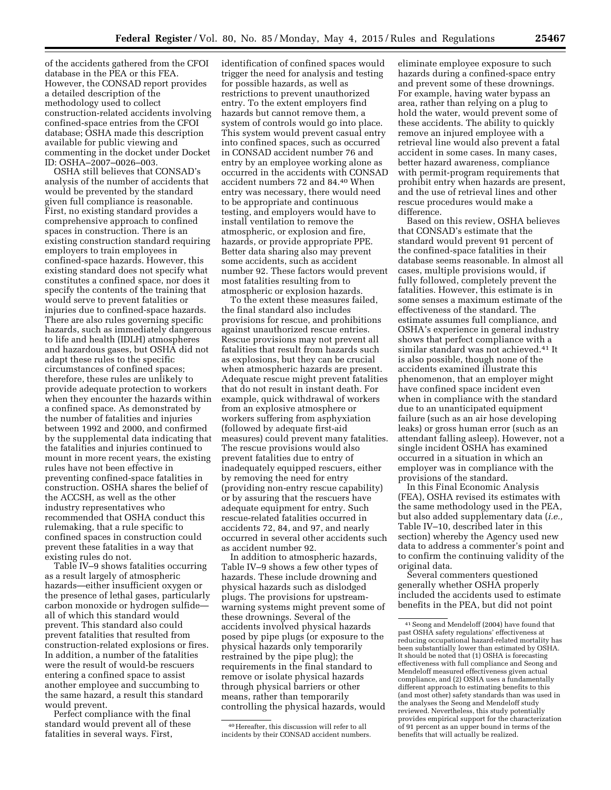of the accidents gathered from the CFOI database in the PEA or this FEA. However, the CONSAD report provides a detailed description of the methodology used to collect construction-related accidents involving confined-space entries from the CFOI database; OSHA made this description available for public viewing and commenting in the docket under Docket ID: OSHA–2007–0026–003.

OSHA still believes that CONSAD's analysis of the number of accidents that would be prevented by the standard given full compliance is reasonable. First, no existing standard provides a comprehensive approach to confined spaces in construction. There is an existing construction standard requiring employers to train employees in confined-space hazards. However, this existing standard does not specify what constitutes a confined space, nor does it specify the contents of the training that would serve to prevent fatalities or injuries due to confined-space hazards. There are also rules governing specific hazards, such as immediately dangerous to life and health (IDLH) atmospheres and hazardous gases, but OSHA did not adapt these rules to the specific circumstances of confined spaces; therefore, these rules are unlikely to provide adequate protection to workers when they encounter the hazards within a confined space. As demonstrated by the number of fatalities and injuries between 1992 and 2000, and confirmed by the supplemental data indicating that the fatalities and injuries continued to mount in more recent years, the existing rules have not been effective in preventing confined-space fatalities in construction. OSHA shares the belief of the ACCSH, as well as the other industry representatives who recommended that OSHA conduct this rulemaking, that a rule specific to confined spaces in construction could prevent these fatalities in a way that existing rules do not.

Table IV–9 shows fatalities occurring as a result largely of atmospheric hazards—either insufficient oxygen or the presence of lethal gases, particularly carbon monoxide or hydrogen sulfide all of which this standard would prevent. This standard also could prevent fatalities that resulted from construction-related explosions or fires. In addition, a number of the fatalities were the result of would-be rescuers entering a confined space to assist another employee and succumbing to the same hazard, a result this standard would prevent.

Perfect compliance with the final standard would prevent all of these fatalities in several ways. First,

identification of confined spaces would trigger the need for analysis and testing for possible hazards, as well as restrictions to prevent unauthorized entry. To the extent employers find hazards but cannot remove them, a system of controls would go into place. This system would prevent casual entry into confined spaces, such as occurred in CONSAD accident number 76 and entry by an employee working alone as occurred in the accidents with CONSAD accident numbers 72 and 84.40 When entry was necessary, there would need to be appropriate and continuous testing, and employers would have to install ventilation to remove the atmospheric, or explosion and fire, hazards, or provide appropriate PPE. Better data sharing also may prevent some accidents, such as accident number 92. These factors would prevent most fatalities resulting from to atmospheric or explosion hazards.

To the extent these measures failed, the final standard also includes provisions for rescue, and prohibitions against unauthorized rescue entries. Rescue provisions may not prevent all fatalities that result from hazards such as explosions, but they can be crucial when atmospheric hazards are present. Adequate rescue might prevent fatalities that do not result in instant death. For example, quick withdrawal of workers from an explosive atmosphere or workers suffering from asphyxiation (followed by adequate first-aid measures) could prevent many fatalities. The rescue provisions would also prevent fatalities due to entry of inadequately equipped rescuers, either by removing the need for entry (providing non-entry rescue capability) or by assuring that the rescuers have adequate equipment for entry. Such rescue-related fatalities occurred in accidents 72, 84, and 97, and nearly occurred in several other accidents such as accident number 92.

In addition to atmospheric hazards, Table IV–9 shows a few other types of hazards. These include drowning and physical hazards such as dislodged plugs. The provisions for upstreamwarning systems might prevent some of these drownings. Several of the accidents involved physical hazards posed by pipe plugs (or exposure to the physical hazards only temporarily restrained by the pipe plug); the requirements in the final standard to remove or isolate physical hazards through physical barriers or other means, rather than temporarily controlling the physical hazards, would

40Hereafter, this discussion will refer to all incidents by their CONSAD accident numbers.

eliminate employee exposure to such hazards during a confined-space entry and prevent some of these drownings. For example, having water bypass an area, rather than relying on a plug to hold the water, would prevent some of these accidents. The ability to quickly remove an injured employee with a retrieval line would also prevent a fatal accident in some cases. In many cases, better hazard awareness, compliance with permit-program requirements that prohibit entry when hazards are present, and the use of retrieval lines and other rescue procedures would make a difference.

Based on this review, OSHA believes that CONSAD's estimate that the standard would prevent 91 percent of the confined-space fatalities in their database seems reasonable. In almost all cases, multiple provisions would, if fully followed, completely prevent the fatalities. However, this estimate is in some senses a maximum estimate of the effectiveness of the standard. The estimate assumes full compliance, and OSHA's experience in general industry shows that perfect compliance with a similar standard was not achieved.41 It is also possible, though none of the accidents examined illustrate this phenomenon, that an employer might have confined space incident even when in compliance with the standard due to an unanticipated equipment failure (such as an air hose developing leaks) or gross human error (such as an attendant falling asleep). However, not a single incident OSHA has examined occurred in a situation in which an employer was in compliance with the provisions of the standard.

In this Final Economic Analysis (FEA), OSHA revised its estimates with the same methodology used in the PEA, but also added supplementary data (*i.e.,*  Table IV–10, described later in this section) whereby the Agency used new data to address a commenter's point and to confirm the continuing validity of the original data.

Several commenters questioned generally whether OSHA properly included the accidents used to estimate benefits in the PEA, but did not point

<sup>41</sup>Seong and Mendeloff (2004) have found that past OSHA safety regulations' effectiveness at reducing occupational hazard-related mortality has been substantially lower than estimated by OSHA. It should be noted that (1) OSHA is forecasting effectiveness with full compliance and Seong and Mendeloff measured effectiveness given actual compliance, and (2) OSHA uses a fundamentally different approach to estimating benefits to this (and most other) safety standards than was used in the analyses the Seong and Mendeloff study reviewed. Nevertheless, this study potentially provides empirical support for the characterization of 91 percent as an upper bound in terms of the benefits that will actually be realized.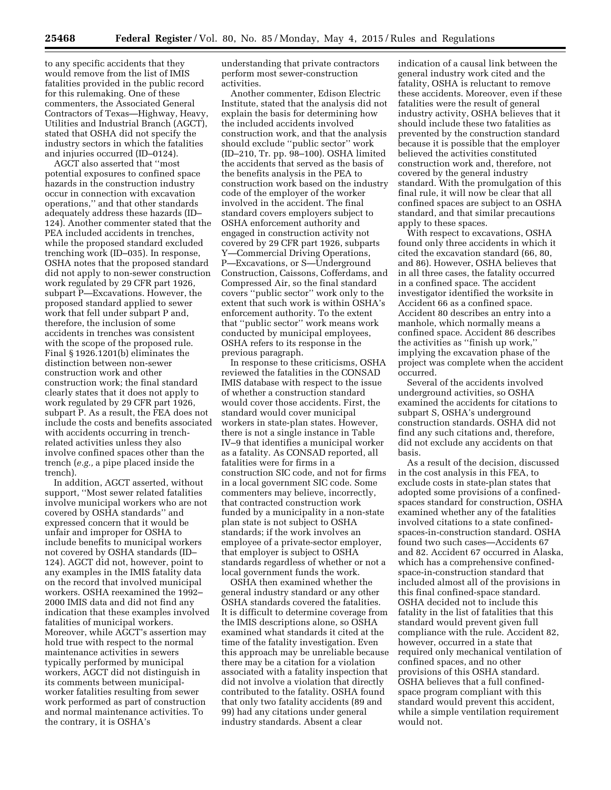to any specific accidents that they would remove from the list of IMIS fatalities provided in the public record for this rulemaking. One of these commenters, the Associated General Contractors of Texas—Highway, Heavy, Utilities and Industrial Branch (AGCT), stated that OSHA did not specify the industry sectors in which the fatalities and injuries occurred (ID–0124).

AGCT also asserted that ''most potential exposures to confined space hazards in the construction industry occur in connection with excavation operations,'' and that other standards adequately address these hazards (ID– 124). Another commenter stated that the PEA included accidents in trenches, while the proposed standard excluded trenching work (ID–035). In response, OSHA notes that the proposed standard did not apply to non-sewer construction work regulated by 29 CFR part 1926, subpart P—Excavations. However, the proposed standard applied to sewer work that fell under subpart P and, therefore, the inclusion of some accidents in trenches was consistent with the scope of the proposed rule. Final § 1926.1201(b) eliminates the distinction between non-sewer construction work and other construction work; the final standard clearly states that it does not apply to work regulated by 29 CFR part 1926, subpart P. As a result, the FEA does not include the costs and benefits associated with accidents occurring in trenchrelated activities unless they also involve confined spaces other than the trench (*e.g.,* a pipe placed inside the trench).

In addition, AGCT asserted, without support, ''Most sewer related fatalities involve municipal workers who are not covered by OSHA standards'' and expressed concern that it would be unfair and improper for OSHA to include benefits to municipal workers not covered by OSHA standards (ID– 124). AGCT did not, however, point to any examples in the IMIS fatality data on the record that involved municipal workers. OSHA reexamined the 1992– 2000 IMIS data and did not find any indication that these examples involved fatalities of municipal workers. Moreover, while AGCT's assertion may hold true with respect to the normal maintenance activities in sewers typically performed by municipal workers, AGCT did not distinguish in its comments between municipalworker fatalities resulting from sewer work performed as part of construction and normal maintenance activities. To the contrary, it is OSHA's

understanding that private contractors perform most sewer-construction activities.

Another commenter, Edison Electric Institute, stated that the analysis did not explain the basis for determining how the included accidents involved construction work, and that the analysis should exclude ''public sector'' work (ID–210, Tr. pp. 98–100). OSHA limited the accidents that served as the basis of the benefits analysis in the PEA to construction work based on the industry code of the employer of the worker involved in the accident. The final standard covers employers subject to OSHA enforcement authority and engaged in construction activity not covered by 29 CFR part 1926, subparts Y—Commercial Driving Operations, P—Excavations, or S—Underground Construction, Caissons, Cofferdams, and Compressed Air, so the final standard covers ''public sector'' work only to the extent that such work is within OSHA's enforcement authority. To the extent that ''public sector'' work means work conducted by municipal employees, OSHA refers to its response in the previous paragraph.

In response to these criticisms, OSHA reviewed the fatalities in the CONSAD IMIS database with respect to the issue of whether a construction standard would cover those accidents. First, the standard would cover municipal workers in state-plan states. However, there is not a single instance in Table IV–9 that identifies a municipal worker as a fatality. As CONSAD reported, all fatalities were for firms in a construction SIC code, and not for firms in a local government SIC code. Some commenters may believe, incorrectly, that contracted construction work funded by a municipality in a non-state plan state is not subject to OSHA standards; if the work involves an employee of a private-sector employer, that employer is subject to OSHA standards regardless of whether or not a local government funds the work.

OSHA then examined whether the general industry standard or any other OSHA standards covered the fatalities. It is difficult to determine coverage from the IMIS descriptions alone, so OSHA examined what standards it cited at the time of the fatality investigation. Even this approach may be unreliable because there may be a citation for a violation associated with a fatality inspection that did not involve a violation that directly contributed to the fatality. OSHA found that only two fatality accidents (89 and 99) had any citations under general industry standards. Absent a clear

indication of a causal link between the general industry work cited and the fatality, OSHA is reluctant to remove these accidents. Moreover, even if these fatalities were the result of general industry activity, OSHA believes that it should include these two fatalities as prevented by the construction standard because it is possible that the employer believed the activities constituted construction work and, therefore, not covered by the general industry standard. With the promulgation of this final rule, it will now be clear that all confined spaces are subject to an OSHA standard, and that similar precautions apply to these spaces.

With respect to excavations, OSHA found only three accidents in which it cited the excavation standard (66, 80, and 86). However, OSHA believes that in all three cases, the fatality occurred in a confined space. The accident investigator identified the worksite in Accident 66 as a confined space. Accident 80 describes an entry into a manhole, which normally means a confined space. Accident 86 describes the activities as ''finish up work,'' implying the excavation phase of the project was complete when the accident occurred.

Several of the accidents involved underground activities, so OSHA examined the accidents for citations to subpart S, OSHA's underground construction standards. OSHA did not find any such citations and, therefore, did not exclude any accidents on that basis.

As a result of the decision, discussed in the cost analysis in this FEA, to exclude costs in state-plan states that adopted some provisions of a confinedspaces standard for construction, OSHA examined whether any of the fatalities involved citations to a state confinedspaces-in-construction standard. OSHA found two such cases—Accidents 67 and 82. Accident 67 occurred in Alaska, which has a comprehensive confinedspace-in-construction standard that included almost all of the provisions in this final confined-space standard. OSHA decided not to include this fatality in the list of fatalities that this standard would prevent given full compliance with the rule. Accident 82, however, occurred in a state that required only mechanical ventilation of confined spaces, and no other provisions of this OSHA standard. OSHA believes that a full confinedspace program compliant with this standard would prevent this accident, while a simple ventilation requirement would not.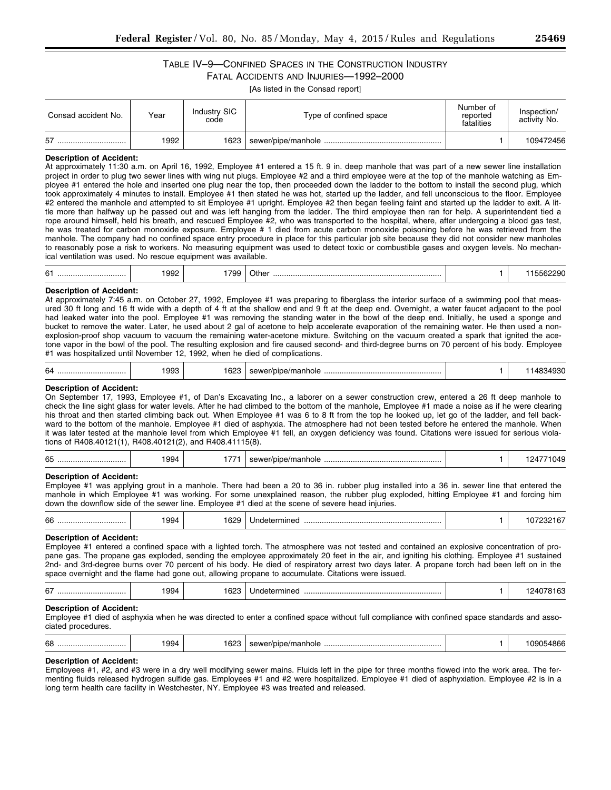[As listed in the Consad report]

| Consad accident No. | Year | Industry SIC<br>code | Type of confined space | Number of<br>reported<br>fatalities | Inspection/<br>activity No. |
|---------------------|------|----------------------|------------------------|-------------------------------------|-----------------------------|
| 57                  | 1992 | 1623                 |                        |                                     | 109472456                   |

#### **Description of Accident:**

At approximately 11:30 a.m. on April 16, 1992, Employee #1 entered a 15 ft. 9 in. deep manhole that was part of a new sewer line installation project in order to plug two sewer lines with wing nut plugs. Employee #2 and a third employee were at the top of the manhole watching as Employee #1 entered the hole and inserted one plug near the top, then proceeded down the ladder to the bottom to install the second plug, which took approximately 4 minutes to install. Employee #1 then stated he was hot, started up the ladder, and fell unconscious to the floor. Employee #2 entered the manhole and attempted to sit Employee #1 upright. Employee #2 then began feeling faint and started up the ladder to exit. A little more than halfway up he passed out and was left hanging from the ladder. The third employee then ran for help. A superintendent tied a rope around himself, held his breath, and rescued Employee #2, who was transported to the hospital, where, after undergoing a blood gas test, he was treated for carbon monoxide exposure. Employee # 1 died from acute carbon monoxide poisoning before he was retrieved from the manhole. The company had no confined space entry procedure in place for this particular job site because they did not consider new manholes to reasonably pose a risk to workers. No measuring equipment was used to detect toxic or combustible gases and oxygen levels. No mechanical ventilation was used. No rescue equipment was available.

| 1992<br>$\sim$<br>799<br>.Jthe<br>E<br>$\cdot$ | . |
|------------------------------------------------|---|
|------------------------------------------------|---|

#### **Description of Accident:**

At approximately 7:45 a.m. on October 27, 1992, Employee #1 was preparing to fiberglass the interior surface of a swimming pool that measured 30 ft long and 16 ft wide with a depth of 4 ft at the shallow end and 9 ft at the deep end. Overnight, a water faucet adjacent to the pool had leaked water into the pool. Employee #1 was removing the standing water in the bowl of the deep end. Initially, he used a sponge and bucket to remove the water. Later, he used about 2 gal of acetone to help accelerate evaporation of the remaining water. He then used a nonexplosion-proof shop vacuum to vacuum the remaining water-acetone mixture. Switching on the vacuum created a spark that ignited the acetone vapor in the bowl of the pool. The resulting explosion and fire caused second- and third-degree burns on 70 percent of his body. Employee #1 was hospitalized until November 12, 1992, when he died of complications.

| 1000<br>$\sim$<br>$\mathbf{u}$<br>64<br>~~<br>λľΓ<br>סי.<br>юњ<br>ນນ<br>___<br>. | . |
|----------------------------------------------------------------------------------|---|
|----------------------------------------------------------------------------------|---|

#### **Description of Accident:**

On September 17, 1993, Employee #1, of Dan's Excavating Inc., a laborer on a sewer construction crew, entered a 26 ft deep manhole to check the line sight glass for water levels. After he had climbed to the bottom of the manhole, Employee #1 made a noise as if he were clearing his throat and then started climbing back out. When Employee #1 was 6 to 8 ft from the top he looked up, let go of the ladder, and fell backward to the bottom of the manhole. Employee #1 died of asphyxia. The atmosphere had not been tested before he entered the manhole. When it was later tested at the manhole level from which Employee #1 fell, an oxygen deficiency was found. Citations were issued for serious violations of R408.40121(1), R408.40121(2), and R408.41115(8).

| <b>AR</b><br>ັບປ | 994<br>-- | $\overline{\phantom{a}}$<br>. . | anhole<br>$\sim$ im.<br>ומו<br><b></b><br>. |  | י י |
|------------------|-----------|---------------------------------|---------------------------------------------|--|-----|
|------------------|-----------|---------------------------------|---------------------------------------------|--|-----|

#### **Description of Accident:**

Employee #1 was applying grout in a manhole. There had been a 20 to 36 in. rubber plug installed into a 36 in. sewer line that entered the manhole in which Employee #1 was working. For some unexplained reason, the rubber plug exploded, hitting Employee #1 and forcing him down the downflow side of the sewer line. Employee #1 died at the scene of severe head injuries.

| 66 | 994 | cor<br>:∠ס ו<br>___ | ١r<br>ובזב |  | $\sim$ $ -$<br>$\overline{\phantom{a}}$ |
|----|-----|---------------------|------------|--|-----------------------------------------|
|----|-----|---------------------|------------|--|-----------------------------------------|

#### **Description of Accident:**

Employee #1 entered a confined space with a lighted torch. The atmosphere was not tested and contained an explosive concentration of propane gas. The propane gas exploded, sending the employee approximately 20 feet in the air, and igniting his clothing. Employee #1 sustained 2nd- and 3rd-degree burns over 70 percent of his body. He died of respiratory arrest two days later. A propane torch had been left on in the space overnight and the flame had gone out, allowing propane to accumulate. Citations were issued.

| 67 | 1994 | 000<br>OZ. | 10.TE<br>шњ |  |
|----|------|------------|-------------|--|
|    |      |            |             |  |

## **Description of Accident:**

Employee #1 died of asphyxia when he was directed to enter a confined space without full compliance with confined space standards and associated procedures.

| 68 | 1994 | 1623<br>___ | 'INOIL<br>nar |  |  |
|----|------|-------------|---------------|--|--|
|----|------|-------------|---------------|--|--|

#### **Description of Accident:**

Employees #1, #2, and #3 were in a dry well modifying sewer mains. Fluids left in the pipe for three months flowed into the work area. The fermenting fluids released hydrogen sulfide gas. Employees #1 and #2 were hospitalized. Employee #1 died of asphyxiation. Employee #2 is in a long term health care facility in Westchester, NY. Employee #3 was treated and released.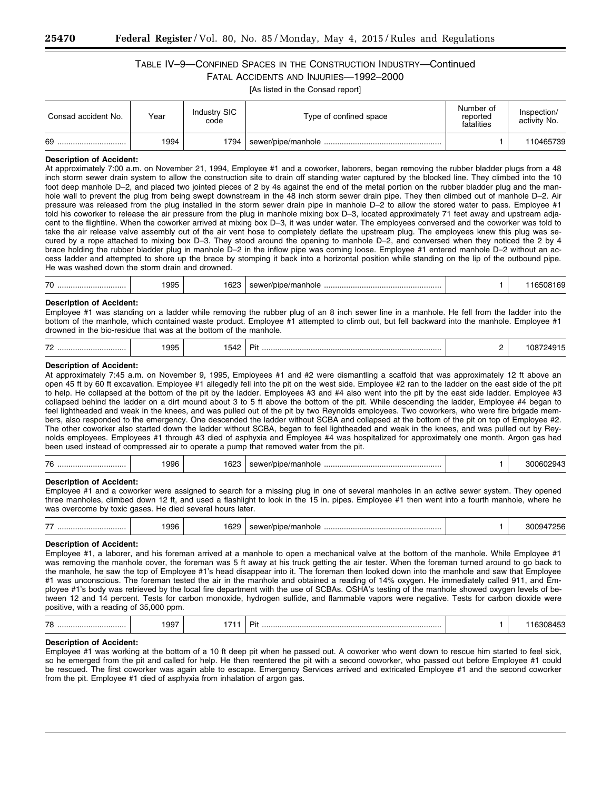[As listed in the Consad report]

| Consad accident No. | Year | Industry SIC<br>code | Type of confined space | Number of<br>reported<br>fatalities | Inspection/<br>activity No. |
|---------------------|------|----------------------|------------------------|-------------------------------------|-----------------------------|
| 69                  | 1994 | 1794                 |                        |                                     | 110465739                   |

#### **Description of Accident:**

At approximately 7:00 a.m. on November 21, 1994, Employee #1 and a coworker, laborers, began removing the rubber bladder plugs from a 48 inch storm sewer drain system to allow the construction site to drain off standing water captured by the blocked line. They climbed into the 10 foot deep manhole D–2, and placed two jointed pieces of 2 by 4s against the end of the metal portion on the rubber bladder plug and the manhole wall to prevent the plug from being swept downstream in the 48 inch storm sewer drain pipe. They then climbed out of manhole D–2. Air pressure was released from the plug installed in the storm sewer drain pipe in manhole D–2 to allow the stored water to pass. Employee #1 told his coworker to release the air pressure from the plug in manhole mixing box D–3, located approximately 71 feet away and upstream adjacent to the flightline. When the coworker arrived at mixing box D–3, it was under water. The employees conversed and the coworker was told to take the air release valve assembly out of the air vent hose to completely deflate the upstream plug. The employees knew this plug was secured by a rope attached to mixing box D–3. They stood around the opening to manhole D–2, and conversed when they noticed the 2 by 4 brace holding the rubber bladder plug in manhole D–2 in the inflow pipe was coming loose. Employee #1 entered manhole D–2 without an access ladder and attempted to shore up the brace by stomping it back into a horizontal position while standing on the lip of the outbound pipe. He was washed down the storm drain and drowned.

| 70 | 1995 | 100 <sup>o</sup><br>סי י | юю |  |
|----|------|--------------------------|----|--|
|    |      |                          |    |  |

#### **Description of Accident:**

Employee #1 was standing on a ladder while removing the rubber plug of an 8 inch sewer line in a manhole. He fell from the ladder into the bottom of the manhole, which contained waste product. Employee #1 attempted to climb out, but fell backward into the manhole. Employee #1 drowned in the bio-residue that was at the bottom of the manhole.

| Pit<br>' 16<br>$\mathbf{A}$<br>ັ | $\overline{z}$ | 100 <sup>F</sup> |  |  |  |  |
|----------------------------------|----------------|------------------|--|--|--|--|
|----------------------------------|----------------|------------------|--|--|--|--|

# **Description of Accident:**

At approximately 7:45 a.m. on November 9, 1995, Employees #1 and #2 were dismantling a scaffold that was approximately 12 ft above an open 45 ft by 60 ft excavation. Employee #1 allegedly fell into the pit on the west side. Employee #2 ran to the ladder on the east side of the pit to help. He collapsed at the bottom of the pit by the ladder. Employees #3 and #4 also went into the pit by the east side ladder. Employee #3 collapsed behind the ladder on a dirt mound about 3 to 5 ft above the bottom of the pit. While descending the ladder, Employee #4 began to feel lightheaded and weak in the knees, and was pulled out of the pit by two Reynolds employees. Two coworkers, who were fire brigade members, also responded to the emergency. One descended the ladder without SCBA and collapsed at the bottom of the pit on top of Employee #2. The other coworker also started down the ladder without SCBA, began to feel lightheaded and weak in the knees, and was pulled out by Reynolds employees. Employees #1 through #3 died of asphyxia and Employee #4 was hospitalized for approximately one month. Argon gas had been used instead of compressed air to operate a pump that removed water from the pit.

| 0.000<br>76<br>י הר<br>996.<br>nole<br>חור<br>۵۵۱<br>ס≥י<br>на<br>.<br>___ |
|----------------------------------------------------------------------------|
|----------------------------------------------------------------------------|

## **Description of Accident:**

Employee #1 and a coworker were assigned to search for a missing plug in one of several manholes in an active sewer system. They opened three manholes, climbed down 12 ft, and used a flashlight to look in the 15 in. pipes. Employee #1 then went into a fourth manhole, where he was overcome by toxic gases. He died several hours later.

| $\overline{\phantom{a}}$<br>----- | aar<br>$\overline{ }$ | LCOO<br>.62. | nını<br>тюне<br>nai<br>----- |  | ה ה |
|-----------------------------------|-----------------------|--------------|------------------------------|--|-----|
|-----------------------------------|-----------------------|--------------|------------------------------|--|-----|

#### **Description of Accident:**

Employee #1, a laborer, and his foreman arrived at a manhole to open a mechanical valve at the bottom of the manhole. While Employee #1 was removing the manhole cover, the foreman was 5 ft away at his truck getting the air tester. When the foreman turned around to go back to the manhole, he saw the top of Employee #1's head disappear into it. The foreman then looked down into the manhole and saw that Employee #1 was unconscious. The foreman tested the air in the manhole and obtained a reading of 14% oxygen. He immediately called 911, and Employee #1's body was retrieved by the local fire department with the use of SCBAs. OSHA's testing of the manhole showed oxygen levels of between 12 and 14 percent. Tests for carbon monoxide, hydrogen sulfide, and flammable vapors were negative. Tests for carbon dioxide were positive, with a reading of 35,000 ppm.

| $\overline{\phantom{a}}$ | J. |  | יום |  |  |
|--------------------------|----|--|-----|--|--|
|--------------------------|----|--|-----|--|--|

# **Description of Accident:**

Employee #1 was working at the bottom of a 10 ft deep pit when he passed out. A coworker who went down to rescue him started to feel sick, so he emerged from the pit and called for help. He then reentered the pit with a second coworker, who passed out before Employee #1 could be rescued. The first coworker was again able to escape. Emergency Services arrived and extricated Employee #1 and the second coworker from the pit. Employee #1 died of asphyxia from inhalation of argon gas.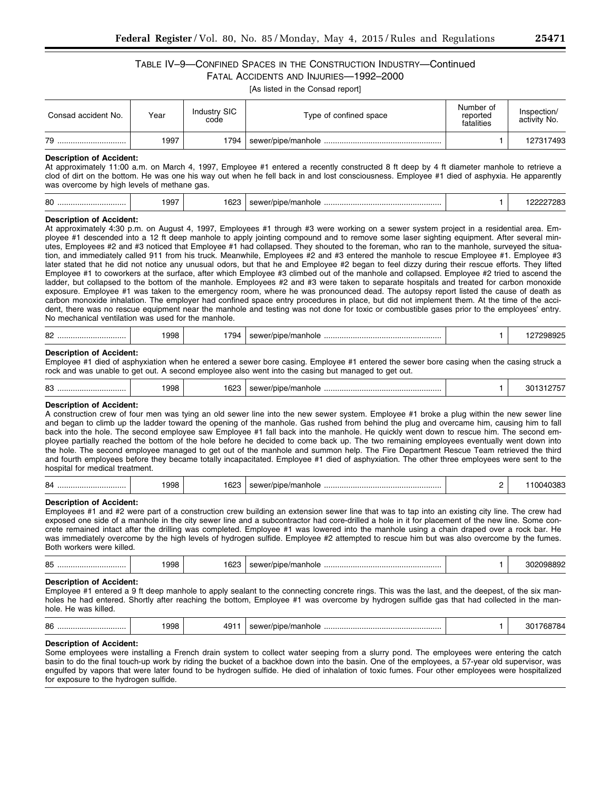[As listed in the Consad report]

| Consad accident No. | Year | Industry SIC<br>code | Type of confined space | Number of<br>reported<br>fatalities | Inspection/<br>activity No. |
|---------------------|------|----------------------|------------------------|-------------------------------------|-----------------------------|
| 79                  | 1997 | 1794                 |                        |                                     | 127317493                   |

## **Description of Accident:**

At approximately 11:00 a.m. on March 4, 1997, Employee #1 entered a recently constructed 8 ft deep by 4 ft diameter manhole to retrieve a clod of dirt on the bottom. He was one his way out when he fell back in and lost consciousness. Employee #1 died of asphyxia. He apparently was overcome by high levels of methane gas.

| 80 | 1997 | $\sim$<br>OZ. | 'uno.<br>nar |  |
|----|------|---------------|--------------|--|

## **Description of Accident:**

At approximately 4:30 p.m. on August 4, 1997, Employees #1 through #3 were working on a sewer system project in a residential area. Employee #1 descended into a 12 ft deep manhole to apply jointing compound and to remove some laser sighting equipment. After several minutes, Employees #2 and #3 noticed that Employee #1 had collapsed. They shouted to the foreman, who ran to the manhole, surveyed the situation, and immediately called 911 from his truck. Meanwhile, Employees #2 and #3 entered the manhole to rescue Employee #1. Employee #3 later stated that he did not notice any unusual odors, but that he and Employee #2 began to feel dizzy during their rescue efforts. They lifted Employee #1 to coworkers at the surface, after which Employee #3 climbed out of the manhole and collapsed. Employee #2 tried to ascend the ladder, but collapsed to the bottom of the manhole. Employees #2 and #3 were taken to separate hospitals and treated for carbon monoxide exposure. Employee #1 was taken to the emergency room, where he was pronounced dead. The autopsy report listed the cause of death as carbon monoxide inhalation. The employer had confined space entry procedures in place, but did not implement them. At the time of the accident, there was no rescue equipment near the manhole and testing was not done for toxic or combustible gases prior to the employees' entry. No mechanical ventilation was used for the manhole.

| 82 | 998<br>. | '794 | vanhole<br>20110 |  | - - - |
|----|----------|------|------------------|--|-------|
|----|----------|------|------------------|--|-------|

# **Description of Accident:**

Employee #1 died of asphyxiation when he entered a sewer bore casing. Employee #1 entered the sewer bore casing when the casing struck a rock and was unable to get out. A second employee also went into the casing but managed to get out.

| ດລ<br>ັບເ | 998 | 000<br>10Z | $-11800$<br>поњ |  |
|-----------|-----|------------|-----------------|--|
|           |     |            |                 |  |

## **Description of Accident:**

A construction crew of four men was tying an old sewer line into the new sewer system. Employee #1 broke a plug within the new sewer line and began to climb up the ladder toward the opening of the manhole. Gas rushed from behind the plug and overcame him, causing him to fall back into the hole. The second employee saw Employee #1 fall back into the manhole. He quickly went down to rescue him. The second employee partially reached the bottom of the hole before he decided to come back up. The two remaining employees eventually went down into the hole. The second employee managed to get out of the manhole and summon help. The Fire Department Rescue Team retrieved the third and fourth employees before they became totally incapacitated. Employee #1 died of asphyxiation. The other three employees were sent to the hospital for medical treatment.

| 84 | 998<br>. | coc<br>102 | າດໄ6<br>$\bigcirc$ MATC | _ | . |
|----|----------|------------|-------------------------|---|---|
|----|----------|------------|-------------------------|---|---|

### **Description of Accident:**

Employees #1 and #2 were part of a construction crew building an extension sewer line that was to tap into an existing city line. The crew had exposed one side of a manhole in the city sewer line and a subcontractor had core-drilled a hole in it for placement of the new line. Some concrete remained intact after the drilling was completed. Employee #1 was lowered into the manhole using a chain draped over a rock bar. He was immediately overcome by the high levels of hydrogen sulfide. Employee #2 attempted to rescue him but was also overcome by the fumes. Both workers were killed.

| 000<br>R <sub>5</sub><br>998<br>זונ<br>ס י<br>lole<br>ັບປ<br>__ | ^^ |
|-----------------------------------------------------------------|----|
|-----------------------------------------------------------------|----|

## **Description of Accident:**

Employee #1 entered a 9 ft deep manhole to apply sealant to the connecting concrete rings. This was the last, and the deepest, of the six manholes he had entered. Shortly after reaching the bottom, Employee #1 was overcome by hydrogen sulfide gas that had collected in the manhole. He was killed.

| 86 | 1998<br>$\cdot$ | ∗۵۵<br>י ש+<br>____ | . 10 116 |  | $ -$ |
|----|-----------------|---------------------|----------|--|------|
|----|-----------------|---------------------|----------|--|------|

#### **Description of Accident:**

Some employees were installing a French drain system to collect water seeping from a slurry pond. The employees were entering the catch basin to do the final touch-up work by riding the bucket of a backhoe down into the basin. One of the employees, a 57-year old supervisor, was engulfed by vapors that were later found to be hydrogen sulfide. He died of inhalation of toxic fumes. Four other employees were hospitalized for exposure to the hydrogen sulfide.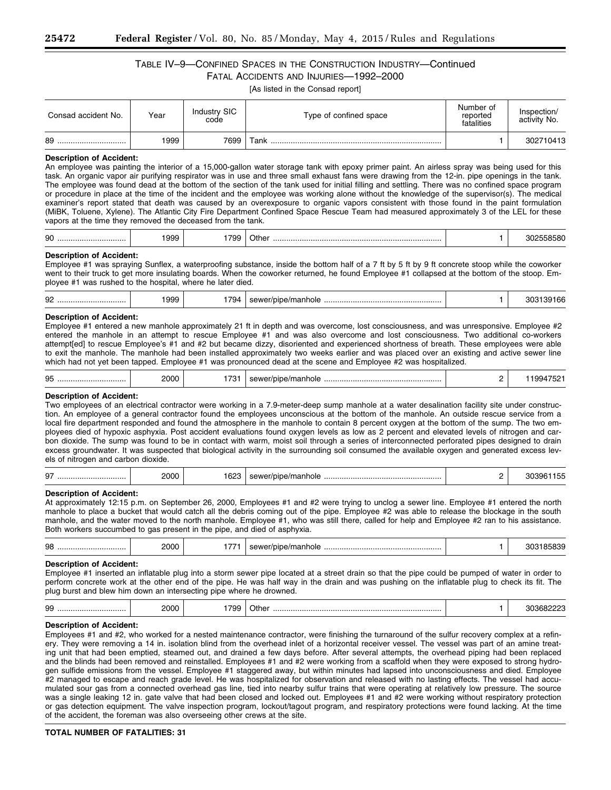[As listed in the Consad report]

| Consad accident No. | Year | Industry SIC<br>code | Type of confined space | Number of<br>reported<br>fatalities | Inspection/<br>activity No. |
|---------------------|------|----------------------|------------------------|-------------------------------------|-----------------------------|
| 89<br>              | 1999 | 7699                 | Tank                   |                                     | 302710413                   |

#### **Description of Accident:**

An employee was painting the interior of a 15,000-gallon water storage tank with epoxy primer paint. An airless spray was being used for this task. An organic vapor air purifying respirator was in use and three small exhaust fans were drawing from the 12-in. pipe openings in the tank. The employee was found dead at the bottom of the section of the tank used for initial filling and settling. There was no confined space program or procedure in place at the time of the incident and the employee was working alone without the knowledge of the supervisor(s). The medical examiner's report stated that death was caused by an overexposure to organic vapors consistent with those found in the paint formulation (MiBK, Toluene, Xylene). The Atlantic City Fire Department Confined Space Rescue Team had measured approximately 3 of the LEL for these vapors at the time they removed the deceased from the tank.

| 90 | . .<br>___ | $\cdots$<br>__ | ,, |  | . .<br>.<br>. |
|----|------------|----------------|----|--|---------------|
|----|------------|----------------|----|--|---------------|

#### **Description of Accident:**

Employee #1 was spraying Sunflex, a waterproofing substance, inside the bottom half of a 7 ft by 5 ft by 9 ft concrete stoop while the coworker went to their truck to get more insulating boards. When the coworker returned, he found Employee #1 collapsed at the bottom of the stoop. Employee #1 was rushed to the hospital, where he later died.

| 92<br>794<br>aaa<br>יי<br>זור<br>ЧΩ⊫<br>,,,,<br>. .<br>____<br>$  -$ |  |
|----------------------------------------------------------------------|--|
|----------------------------------------------------------------------|--|

# **Description of Accident:**

Employee #1 entered a new manhole approximately 21 ft in depth and was overcome, lost consciousness, and was unresponsive. Employee #2 entered the manhole in an attempt to rescue Employee #1 and was also overcome and lost consciousness. Two additional co-workers attempt[ed] to rescue Employee's #1 and #2 but became dizzy, disoriented and experienced shortness of breath. These employees were able to exit the manhole. The manhole had been installed approximately two weeks earlier and was placed over an existing and active sewer line which had not yet been tapped. Employee #1 was pronounced dead at the scene and Employee #2 was hospitalized.

| ΩE<br>ັ | <b>2000</b><br>$- - -$ | $-70-$<br>.<br>____ | 'nır |  | $ -$ |
|---------|------------------------|---------------------|------|--|------|
|---------|------------------------|---------------------|------|--|------|

# **Description of Accident:**

Two employees of an electrical contractor were working in a 7.9-meter-deep sump manhole at a water desalination facility site under construction. An employee of a general contractor found the employees unconscious at the bottom of the manhole. An outside rescue service from a local fire department responded and found the atmosphere in the manhole to contain 8 percent oxygen at the bottom of the sump. The two employees died of hypoxic asphyxia. Post accident evaluations found oxygen levels as low as 2 percent and elevated levels of nitrogen and carbon dioxide. The sump was found to be in contact with warm, moist soil through a series of interconnected perforated pipes designed to drain excess groundwater. It was suspected that biological activity in the surrounding soil consumed the available oxygen and generated excess levels of nitrogen and carbon dioxide.

| $\sim$<br>. .<br>ັບ | 2000 | 000 <sup>2</sup><br>102 | inole<br>מותום· | – | ,,,,<br>$\cdot$ |
|---------------------|------|-------------------------|-----------------|---|-----------------|
|---------------------|------|-------------------------|-----------------|---|-----------------|

# **Description of Accident:**

At approximately 12:15 p.m. on September 26, 2000, Employees #1 and #2 were trying to unclog a sewer line. Employee #1 entered the north manhole to place a bucket that would catch all the debris coming out of the pipe. Employee #2 was able to release the blockage in the south manhole, and the water moved to the north manhole. Employee #1, who was still there, called for help and Employee #2 ran to his assistance. Both workers succumbed to gas present in the pipe, and died of asphyxia.

| 98 | 2000<br>$-000$ | .<br>. . | inole |  |
|----|----------------|----------|-------|--|
|    |                |          |       |  |

# **Description of Accident:**

Employee #1 inserted an inflatable plug into a storm sewer pipe located at a street drain so that the pipe could be pumped of water in order to perform concrete work at the other end of the pipe. He was half way in the drain and was pushing on the inflatable plug to check its fit. The plug burst and blew him down an intersecting pipe where he drowned.

| 99 | 2000<br>. | 70 C | ∵лn∈ |  | `` |
|----|-----------|------|------|--|----|
|----|-----------|------|------|--|----|

# **Description of Accident:**

Employees #1 and #2, who worked for a nested maintenance contractor, were finishing the turnaround of the sulfur recovery complex at a refinery. They were removing a 14 in. isolation blind from the overhead inlet of a horizontal receiver vessel. The vessel was part of an amine treating unit that had been emptied, steamed out, and drained a few days before. After several attempts, the overhead piping had been replaced and the blinds had been removed and reinstalled. Employees #1 and #2 were working from a scaffold when they were exposed to strong hydrogen sulfide emissions from the vessel. Employee #1 staggered away, but within minutes had lapsed into unconsciousness and died. Employee #2 managed to escape and reach grade level. He was hospitalized for observation and released with no lasting effects. The vessel had accumulated sour gas from a connected overhead gas line, tied into nearby sulfur trains that were operating at relatively low pressure. The source was a single leaking 12 in. gate valve that had been closed and locked out. Employees #1 and #2 were working without respiratory protection or gas detection equipment. The valve inspection program, lockout/tagout program, and respiratory protections were found lacking. At the time of the accident, the foreman was also overseeing other crews at the site.

#### **TOTAL NUMBER OF FATALITIES: 31**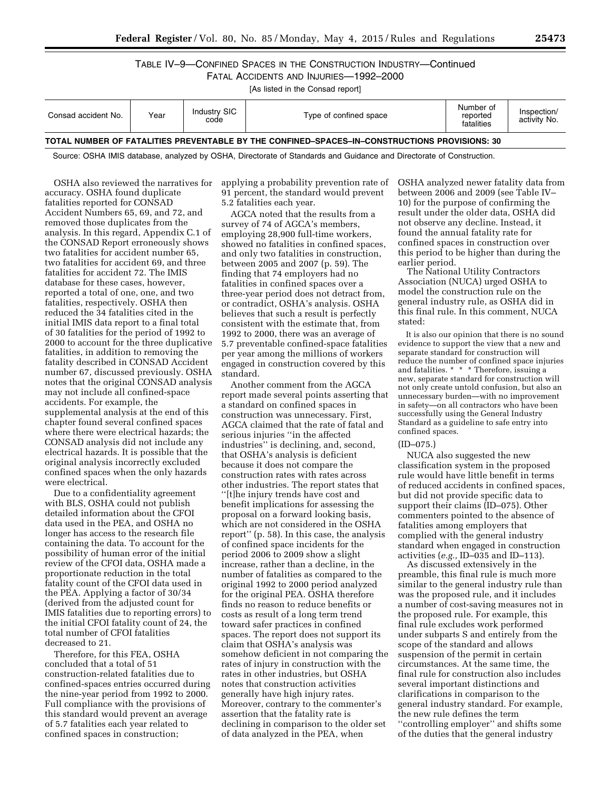[As listed in the Consad report]

| Consad accident No.                                                                           | Year | Industry SIC<br>code | Type of confined space | Number of<br>reported<br>fatalities | Inspection/<br>activity No. |  |  |
|-----------------------------------------------------------------------------------------------|------|----------------------|------------------------|-------------------------------------|-----------------------------|--|--|
| TOTAL NUMBER OF FATALITIES PREVENTABLE BY THE CONFINED–SPACES–IN–CONSTRUCTIONS PROVISIONS: 30 |      |                      |                        |                                     |                             |  |  |

Source: OSHA IMIS database, analyzed by OSHA, Directorate of Standards and Guidance and Directorate of Construction.

accuracy. OSHA found duplicate fatalities reported for CONSAD Accident Numbers 65, 69, and 72, and removed those duplicates from the analysis. In this regard, Appendix C.1 of the CONSAD Report erroneously shows two fatalities for accident number 65, two fatalities for accident 69, and three fatalities for accident 72. The IMIS database for these cases, however, reported a total of one, one, and two fatalities, respectively. OSHA then reduced the 34 fatalities cited in the initial IMIS data report to a final total of 30 fatalities for the period of 1992 to 2000 to account for the three duplicative fatalities, in addition to removing the fatality described in CONSAD Accident number 67, discussed previously. OSHA notes that the original CONSAD analysis may not include all confined-space accidents. For example, the supplemental analysis at the end of this chapter found several confined spaces where there were electrical hazards; the CONSAD analysis did not include any electrical hazards. It is possible that the original analysis incorrectly excluded confined spaces when the only hazards were electrical.

Due to a confidentiality agreement with BLS, OSHA could not publish detailed information about the CFOI data used in the PEA, and OSHA no longer has access to the research file containing the data. To account for the possibility of human error of the initial review of the CFOI data, OSHA made a proportionate reduction in the total fatality count of the CFOI data used in the PEA. Applying a factor of 30/34 (derived from the adjusted count for IMIS fatalities due to reporting errors) to the initial CFOI fatality count of 24, the total number of CFOI fatalities decreased to 21.

Therefore, for this FEA, OSHA concluded that a total of 51 construction-related fatalities due to confined-spaces entries occurred during the nine-year period from 1992 to 2000. Full compliance with the provisions of this standard would prevent an average of 5.7 fatalities each year related to confined spaces in construction;

OSHA also reviewed the narratives for applying a probability prevention rate of 91 percent, the standard would prevent 5.2 fatalities each year.

> AGCA noted that the results from a survey of 74 of AGCA's members, employing 28,900 full-time workers, showed no fatalities in confined spaces, and only two fatalities in construction, between 2005 and 2007 (p. 59). The finding that 74 employers had no fatalities in confined spaces over a three-year period does not detract from, or contradict, OSHA's analysis. OSHA believes that such a result is perfectly consistent with the estimate that, from 1992 to 2000, there was an average of 5.7 preventable confined-space fatalities per year among the millions of workers engaged in construction covered by this standard.

Another comment from the AGCA report made several points asserting that a standard on confined spaces in construction was unnecessary. First, AGCA claimed that the rate of fatal and serious injuries ''in the affected industries'' is declining, and, second, that OSHA's analysis is deficient because it does not compare the construction rates with rates across other industries. The report states that ''[t]he injury trends have cost and benefit implications for assessing the proposal on a forward looking basis, which are not considered in the OSHA report'' (p. 58). In this case, the analysis of confined space incidents for the period 2006 to 2009 show a slight increase, rather than a decline, in the number of fatalities as compared to the original 1992 to 2000 period analyzed for the original PEA. OSHA therefore finds no reason to reduce benefits or costs as result of a long term trend toward safer practices in confined spaces. The report does not support its claim that OSHA's analysis was somehow deficient in not comparing the rates of injury in construction with the rates in other industries, but OSHA notes that construction activities generally have high injury rates. Moreover, contrary to the commenter's assertion that the fatality rate is declining in comparison to the older set of data analyzed in the PEA, when

OSHA analyzed newer fatality data from between 2006 and 2009 (see Table IV– 10) for the purpose of confirming the result under the older data, OSHA did not observe any decline. Instead, it found the annual fatality rate for confined spaces in construction over this period to be higher than during the earlier period.

The National Utility Contractors Association (NUCA) urged OSHA to model the construction rule on the general industry rule, as OSHA did in this final rule. In this comment, NUCA stated:

It is also our opinion that there is no sound evidence to support the view that a new and separate standard for construction will reduce the number of confined space injuries and fatalities. \* \* \* Therefore, issuing a new, separate standard for construction will not only create untold confusion, but also an unnecessary burden—with no improvement in safety—on all contractors who have been successfully using the General Industry Standard as a guideline to safe entry into confined spaces.

#### (ID–075.)

NUCA also suggested the new classification system in the proposed rule would have little benefit in terms of reduced accidents in confined spaces, but did not provide specific data to support their claims (ID–075). Other commenters pointed to the absence of fatalities among employers that complied with the general industry standard when engaged in construction activities (*e.g.,* ID–035 and ID–113).

As discussed extensively in the preamble, this final rule is much more similar to the general industry rule than was the proposed rule, and it includes a number of cost-saving measures not in the proposed rule. For example, this final rule excludes work performed under subparts S and entirely from the scope of the standard and allows suspension of the permit in certain circumstances. At the same time, the final rule for construction also includes several important distinctions and clarifications in comparison to the general industry standard. For example, the new rule defines the term ''controlling employer'' and shifts some of the duties that the general industry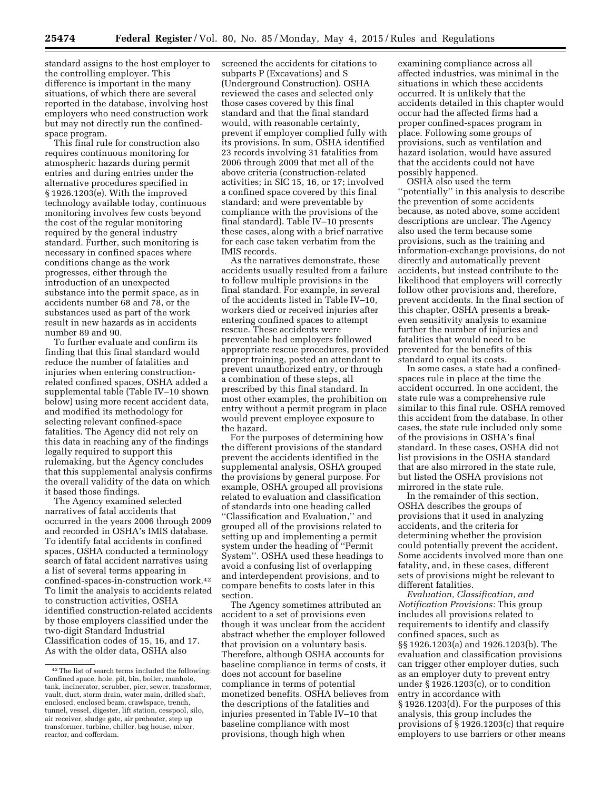standard assigns to the host employer to the controlling employer. This difference is important in the many situations, of which there are several reported in the database, involving host employers who need construction work but may not directly run the confinedspace program.

This final rule for construction also requires continuous monitoring for atmospheric hazards during permit entries and during entries under the alternative procedures specified in § 1926.1203(e). With the improved technology available today, continuous monitoring involves few costs beyond the cost of the regular monitoring required by the general industry standard. Further, such monitoring is necessary in confined spaces where conditions change as the work progresses, either through the introduction of an unexpected substance into the permit space, as in accidents number 68 and 78, or the substances used as part of the work result in new hazards as in accidents number 89 and 90.

To further evaluate and confirm its finding that this final standard would reduce the number of fatalities and injuries when entering constructionrelated confined spaces, OSHA added a supplemental table (Table IV–10 shown below) using more recent accident data, and modified its methodology for selecting relevant confined-space fatalities. The Agency did not rely on this data in reaching any of the findings legally required to support this rulemaking, but the Agency concludes that this supplemental analysis confirms the overall validity of the data on which it based those findings.

The Agency examined selected narratives of fatal accidents that occurred in the years 2006 through 2009 and recorded in OSHA's IMIS database. To identify fatal accidents in confined spaces, OSHA conducted a terminology search of fatal accident narratives using a list of several terms appearing in confined-spaces-in-construction work.42 To limit the analysis to accidents related to construction activities, OSHA identified construction-related accidents by those employers classified under the two-digit Standard Industrial Classification codes of 15, 16, and 17. As with the older data, OSHA also

screened the accidents for citations to subparts P (Excavations) and S (Underground Construction). OSHA reviewed the cases and selected only those cases covered by this final standard and that the final standard would, with reasonable certainty, prevent if employer complied fully with its provisions. In sum, OSHA identified 23 records involving 31 fatalities from 2006 through 2009 that met all of the above criteria (construction-related activities; in SIC 15, 16, or 17; involved a confined space covered by this final standard; and were preventable by compliance with the provisions of the final standard). Table IV–10 presents these cases, along with a brief narrative for each case taken verbatim from the IMIS records.

As the narratives demonstrate, these accidents usually resulted from a failure to follow multiple provisions in the final standard. For example, in several of the accidents listed in Table IV–10, workers died or received injuries after entering confined spaces to attempt rescue. These accidents were preventable had employers followed appropriate rescue procedures, provided proper training, posted an attendant to prevent unauthorized entry, or through a combination of these steps, all prescribed by this final standard. In most other examples, the prohibition on entry without a permit program in place would prevent employee exposure to the hazard.

For the purposes of determining how the different provisions of the standard prevent the accidents identified in the supplemental analysis, OSHA grouped the provisions by general purpose. For example, OSHA grouped all provisions related to evaluation and classification of standards into one heading called ''Classification and Evaluation,'' and grouped all of the provisions related to setting up and implementing a permit system under the heading of ''Permit System''. OSHA used these headings to avoid a confusing list of overlapping and interdependent provisions, and to compare benefits to costs later in this section.

The Agency sometimes attributed an accident to a set of provisions even though it was unclear from the accident abstract whether the employer followed that provision on a voluntary basis. Therefore, although OSHA accounts for baseline compliance in terms of costs, it does not account for baseline compliance in terms of potential monetized benefits. OSHA believes from the descriptions of the fatalities and injuries presented in Table IV–10 that baseline compliance with most provisions, though high when

examining compliance across all affected industries, was minimal in the situations in which these accidents occurred. It is unlikely that the accidents detailed in this chapter would occur had the affected firms had a proper confined-spaces program in place. Following some groups of provisions, such as ventilation and hazard isolation, would have assured that the accidents could not have possibly happened.

OSHA also used the term ''potentially'' in this analysis to describe the prevention of some accidents because, as noted above, some accident descriptions are unclear. The Agency also used the term because some provisions, such as the training and information-exchange provisions, do not directly and automatically prevent accidents, but instead contribute to the likelihood that employers will correctly follow other provisions and, therefore, prevent accidents. In the final section of this chapter, OSHA presents a breakeven sensitivity analysis to examine further the number of injuries and fatalities that would need to be prevented for the benefits of this standard to equal its costs.

In some cases, a state had a confinedspaces rule in place at the time the accident occurred. In one accident, the state rule was a comprehensive rule similar to this final rule. OSHA removed this accident from the database. In other cases, the state rule included only some of the provisions in OSHA's final standard. In these cases, OSHA did not list provisions in the OSHA standard that are also mirrored in the state rule, but listed the OSHA provisions not mirrored in the state rule.

In the remainder of this section, OSHA describes the groups of provisions that it used in analyzing accidents, and the criteria for determining whether the provision could potentially prevent the accident. Some accidents involved more than one fatality, and, in these cases, different sets of provisions might be relevant to different fatalities.

*Evaluation, Classification, and Notification Provisions:* This group includes all provisions related to requirements to identify and classify confined spaces, such as §§ 1926.1203(a) and 1926.1203(b). The evaluation and classification provisions can trigger other employer duties, such as an employer duty to prevent entry under § 1926.1203(c), or to condition entry in accordance with § 1926.1203(d). For the purposes of this analysis, this group includes the provisions of § 1926.1203(c) that require employers to use barriers or other means

<sup>42</sup>The list of search terms included the following: Confined space, hole, pit, bin, boiler, manhole, tank, incinerator, scrubber, pier, sewer, transformer, vault, duct, storm drain, water main, drilled shaft, enclosed, enclosed beam, crawlspace, trench, tunnel, vessel, digester, lift station, cesspool, silo, air receiver, sludge gate, air preheater, step up transformer, turbine, chiller, bag house, mixer, reactor, and cofferdam.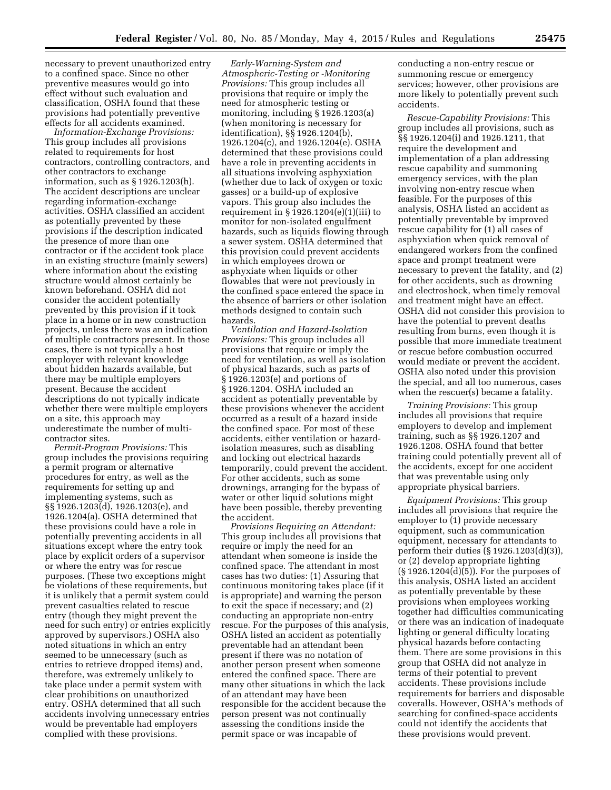necessary to prevent unauthorized entry to a confined space. Since no other preventive measures would go into effect without such evaluation and classification, OSHA found that these provisions had potentially preventive effects for all accidents examined.

*Information-Exchange Provisions:*  This group includes all provisions related to requirements for host contractors, controlling contractors, and other contractors to exchange information, such as § 1926.1203(h). The accident descriptions are unclear regarding information-exchange activities. OSHA classified an accident as potentially prevented by these provisions if the description indicated the presence of more than one contractor or if the accident took place in an existing structure (mainly sewers) where information about the existing structure would almost certainly be known beforehand. OSHA did not consider the accident potentially prevented by this provision if it took place in a home or in new construction projects, unless there was an indication of multiple contractors present. In those cases, there is not typically a host employer with relevant knowledge about hidden hazards available, but there may be multiple employers present. Because the accident descriptions do not typically indicate whether there were multiple employers on a site, this approach may underestimate the number of multicontractor sites.

*Permit-Program Provisions:* This group includes the provisions requiring a permit program or alternative procedures for entry, as well as the requirements for setting up and implementing systems, such as §§ 1926.1203(d), 1926.1203(e), and 1926.1204(a). OSHA determined that these provisions could have a role in potentially preventing accidents in all situations except where the entry took place by explicit orders of a supervisor or where the entry was for rescue purposes. (These two exceptions might be violations of these requirements, but it is unlikely that a permit system could prevent casualties related to rescue entry (though they might prevent the need for such entry) or entries explicitly approved by supervisors.) OSHA also noted situations in which an entry seemed to be unnecessary (such as entries to retrieve dropped items) and, therefore, was extremely unlikely to take place under a permit system with clear prohibitions on unauthorized entry. OSHA determined that all such accidents involving unnecessary entries would be preventable had employers complied with these provisions.

*Early-Warning-System and Atmospheric-Testing or -Monitoring Provisions:* This group includes all provisions that require or imply the need for atmospheric testing or monitoring, including § 1926.1203(a) (when monitoring is necessary for identification), §§ 1926.1204(b), 1926.1204(c), and 1926.1204(e). OSHA determined that these provisions could have a role in preventing accidents in all situations involving asphyxiation (whether due to lack of oxygen or toxic gasses) or a build-up of explosive vapors. This group also includes the requirement in  $\S 1926.1204(e)(1)(iii)$  to monitor for non-isolated engulfment hazards, such as liquids flowing through a sewer system. OSHA determined that this provision could prevent accidents in which employees drown or asphyxiate when liquids or other flowables that were not previously in the confined space entered the space in the absence of barriers or other isolation methods designed to contain such hazards.

*Ventilation and Hazard-Isolation Provisions:* This group includes all provisions that require or imply the need for ventilation, as well as isolation of physical hazards, such as parts of § 1926.1203(e) and portions of § 1926.1204. OSHA included an accident as potentially preventable by these provisions whenever the accident occurred as a result of a hazard inside the confined space. For most of these accidents, either ventilation or hazardisolation measures, such as disabling and locking out electrical hazards temporarily, could prevent the accident. For other accidents, such as some drownings, arranging for the bypass of water or other liquid solutions might have been possible, thereby preventing the accident.

*Provisions Requiring an Attendant:*  This group includes all provisions that require or imply the need for an attendant when someone is inside the confined space. The attendant in most cases has two duties: (1) Assuring that continuous monitoring takes place (if it is appropriate) and warning the person to exit the space if necessary; and (2) conducting an appropriate non-entry rescue. For the purposes of this analysis, OSHA listed an accident as potentially preventable had an attendant been present if there was no notation of another person present when someone entered the confined space. There are many other situations in which the lack of an attendant may have been responsible for the accident because the person present was not continually assessing the conditions inside the permit space or was incapable of

conducting a non-entry rescue or summoning rescue or emergency services; however, other provisions are more likely to potentially prevent such accidents.

*Rescue-Capability Provisions:* This group includes all provisions, such as §§ 1926.1204(i) and 1926.1211, that require the development and implementation of a plan addressing rescue capability and summoning emergency services, with the plan involving non-entry rescue when feasible. For the purposes of this analysis, OSHA listed an accident as potentially preventable by improved rescue capability for (1) all cases of asphyxiation when quick removal of endangered workers from the confined space and prompt treatment were necessary to prevent the fatality, and (2) for other accidents, such as drowning and electroshock, when timely removal and treatment might have an effect. OSHA did not consider this provision to have the potential to prevent deaths resulting from burns, even though it is possible that more immediate treatment or rescue before combustion occurred would mediate or prevent the accident. OSHA also noted under this provision the special, and all too numerous, cases when the rescuer(s) became a fatality.

*Training Provisions:* This group includes all provisions that require employers to develop and implement training, such as §§ 1926.1207 and 1926.1208. OSHA found that better training could potentially prevent all of the accidents, except for one accident that was preventable using only appropriate physical barriers.

*Equipment Provisions:* This group includes all provisions that require the employer to (1) provide necessary equipment, such as communication equipment, necessary for attendants to perform their duties (§ 1926.1203(d)(3)), or (2) develop appropriate lighting (§ 1926.1204(d)(5)). For the purposes of this analysis, OSHA listed an accident as potentially preventable by these provisions when employees working together had difficulties communicating or there was an indication of inadequate lighting or general difficulty locating physical hazards before contacting them. There are some provisions in this group that OSHA did not analyze in terms of their potential to prevent accidents. These provisions include requirements for barriers and disposable coveralls. However, OSHA's methods of searching for confined-space accidents could not identify the accidents that these provisions would prevent.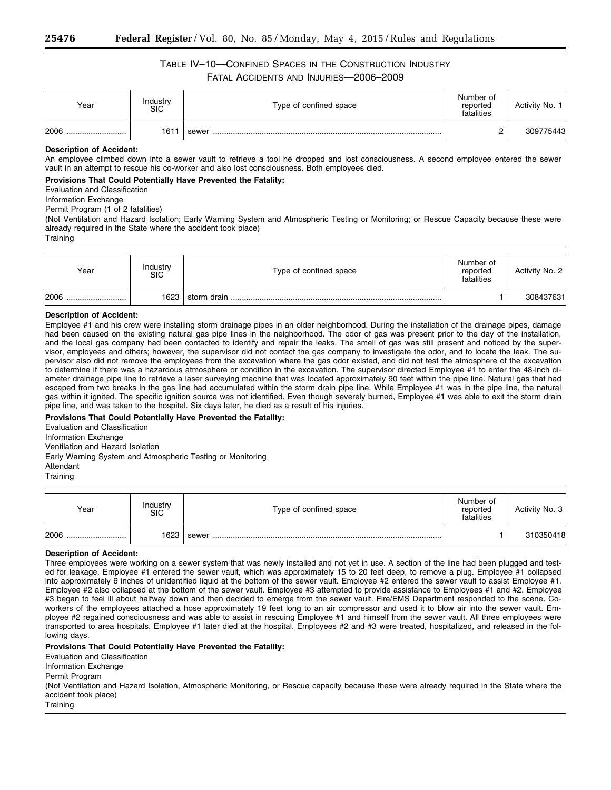# TABLE IV–10—CONFINED SPACES IN THE CONSTRUCTION INDUSTRY FATAL ACCIDENTS AND INJURIES—2006–2009

| Year     | Industry<br><b>SIC</b> | Type of confined space | Number of<br>reported<br>fatalities | Activity No. |
|----------|------------------------|------------------------|-------------------------------------|--------------|
| 2006<br> | 1611                   | sewer                  |                                     | 309775443    |

#### **Description of Accident:**

An employee climbed down into a sewer vault to retrieve a tool he dropped and lost consciousness. A second employee entered the sewer vault in an attempt to rescue his co-worker and also lost consciousness. Both employees died.

## **Provisions That Could Potentially Have Prevented the Fatality:**

# Evaluation and Classification

Information Exchange

Permit Program (1 of 2 fatalities)

(Not Ventilation and Hazard Isolation; Early Warning System and Atmospheric Testing or Monitoring; or Rescue Capacity because these were already required in the State where the accident took place)

**Training** 

| Year     | Industry<br><b>SIC</b> | Type of confined space | Number of<br>reported<br>fatalities | Activity No. 2 |
|----------|------------------------|------------------------|-------------------------------------|----------------|
| 2006<br> | 1623                   |                        |                                     | 308437631      |

#### **Description of Accident:**

Employee #1 and his crew were installing storm drainage pipes in an older neighborhood. During the installation of the drainage pipes, damage had been caused on the existing natural gas pipe lines in the neighborhood. The odor of gas was present prior to the day of the installation, and the local gas company had been contacted to identify and repair the leaks. The smell of gas was still present and noticed by the supervisor, employees and others; however, the supervisor did not contact the gas company to investigate the odor, and to locate the leak. The supervisor also did not remove the employees from the excavation where the gas odor existed, and did not test the atmosphere of the excavation to determine if there was a hazardous atmosphere or condition in the excavation. The supervisor directed Employee #1 to enter the 48-inch diameter drainage pipe line to retrieve a laser surveying machine that was located approximately 90 feet within the pipe line. Natural gas that had escaped from two breaks in the gas line had accumulated within the storm drain pipe line. While Employee #1 was in the pipe line, the natural gas within it ignited. The specific ignition source was not identified. Even though severely burned, Employee #1 was able to exit the storm drain pipe line, and was taken to the hospital. Six days later, he died as a result of his injuries.

### **Provisions That Could Potentially Have Prevented the Fatality:**

Evaluation and Classification Information Exchange Ventilation and Hazard Isolation

Early Warning System and Atmospheric Testing or Monitoring

Attendant

**Training** 

| Year     | Industry<br><b>SIC</b> | Type of confined space | Number of<br>reported<br>fatalities | Activity No. 3 |
|----------|------------------------|------------------------|-------------------------------------|----------------|
| 2006<br> | 1623                   |                        |                                     | 310350418      |

#### **Description of Accident:**

Three employees were working on a sewer system that was newly installed and not yet in use. A section of the line had been plugged and tested for leakage. Employee #1 entered the sewer vault, which was approximately 15 to 20 feet deep, to remove a plug. Employee #1 collapsed into approximately 6 inches of unidentified liquid at the bottom of the sewer vault. Employee #2 entered the sewer vault to assist Employee #1. Employee #2 also collapsed at the bottom of the sewer vault. Employee #3 attempted to provide assistance to Employees #1 and #2. Employee #3 began to feel ill about halfway down and then decided to emerge from the sewer vault. Fire/EMS Department responded to the scene. Coworkers of the employees attached a hose approximately 19 feet long to an air compressor and used it to blow air into the sewer vault. Employee #2 regained consciousness and was able to assist in rescuing Employee #1 and himself from the sewer vault. All three employees were transported to area hospitals. Employee #1 later died at the hospital. Employees #2 and #3 were treated, hospitalized, and released in the following days.

#### **Provisions That Could Potentially Have Prevented the Fatality:**

Evaluation and Classification Information Exchange Permit Program (Not Ventilation and Hazard Isolation, Atmospheric Monitoring, or Rescue capacity because these were already required in the State where the accident took place) **Training**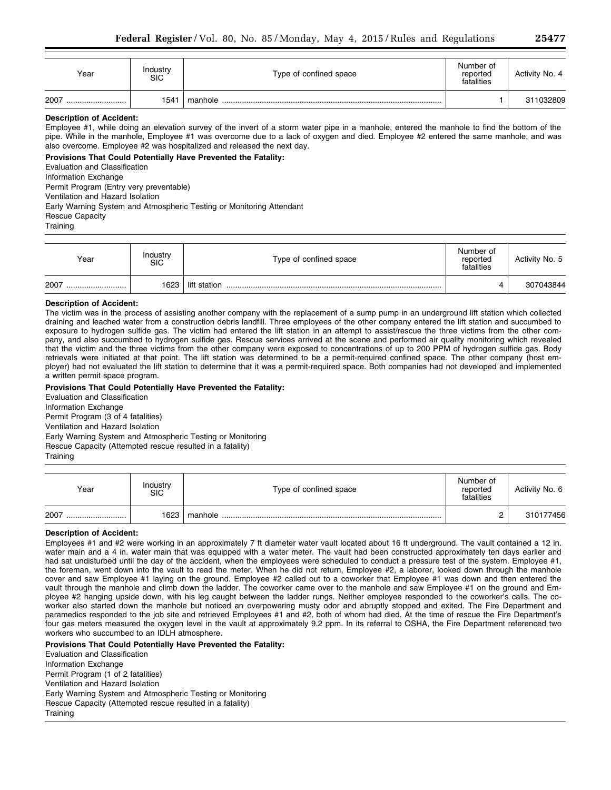| Year     | Industry<br><b>SIC</b> | Type of confined space | Number of<br>reported<br>fatalities | Activity No. 4 |
|----------|------------------------|------------------------|-------------------------------------|----------------|
| 2007<br> | 1541                   |                        |                                     | 311032809      |

#### **Description of Accident:**

Employee #1, while doing an elevation survey of the invert of a storm water pipe in a manhole, entered the manhole to find the bottom of the pipe. While in the manhole, Employee #1 was overcome due to a lack of oxygen and died. Employee #2 entered the same manhole, and was also overcome. Employee #2 was hospitalized and released the next day.

### **Provisions That Could Potentially Have Prevented the Fatality:**

Evaluation and Classification

Information Exchange

Permit Program (Entry very preventable)

Ventilation and Hazard Isolation

Early Warning System and Atmospheric Testing or Monitoring Attendant

Rescue Capacity

**Training** 

| Year     | Industry<br><b>SIC</b> | Type of confined space | Number of<br>reported<br>fatalities | Activity No. 5 |
|----------|------------------------|------------------------|-------------------------------------|----------------|
| 2007<br> | 1623                   | lift station           |                                     | 307043844      |

### **Description of Accident:**

The victim was in the process of assisting another company with the replacement of a sump pump in an underground lift station which collected draining and leached water from a construction debris landfill. Three employees of the other company entered the lift station and succumbed to exposure to hydrogen sulfide gas. The victim had entered the lift station in an attempt to assist/rescue the three victims from the other company, and also succumbed to hydrogen sulfide gas. Rescue services arrived at the scene and performed air quality monitoring which revealed that the victim and the three victims from the other company were exposed to concentrations of up to 200 PPM of hydrogen sulfide gas. Body retrievals were initiated at that point. The lift station was determined to be a permit-required confined space. The other company (host employer) had not evaluated the lift station to determine that it was a permit-required space. Both companies had not developed and implemented a written permit space program.

### **Provisions That Could Potentially Have Prevented the Fatality:**

Evaluation and Classification Information Exchange Permit Program (3 of 4 fatalities) Ventilation and Hazard Isolation Early Warning System and Atmospheric Testing or Monitoring Rescue Capacity (Attempted rescue resulted in a fatality) **Training** 

| Year     | Industry<br><b>SIC</b> | Type of confined space | Number of<br>reported<br>fatalities | Activity No. 6 |
|----------|------------------------|------------------------|-------------------------------------|----------------|
| 2007<br> | 1623                   |                        |                                     | 310177456      |

### **Description of Accident:**

Employees #1 and #2 were working in an approximately 7 ft diameter water vault located about 16 ft underground. The vault contained a 12 in. water main and a 4 in. water main that was equipped with a water meter. The vault had been constructed approximately ten days earlier and had sat undisturbed until the day of the accident, when the employees were scheduled to conduct a pressure test of the system. Employee #1, the foreman, went down into the vault to read the meter. When he did not return, Employee #2, a laborer, looked down through the manhole cover and saw Employee #1 laying on the ground. Employee #2 called out to a coworker that Employee #1 was down and then entered the vault through the manhole and climb down the ladder. The coworker came over to the manhole and saw Employee #1 on the ground and Employee #2 hanging upside down, with his leg caught between the ladder rungs. Neither employee responded to the coworker's calls. The coworker also started down the manhole but noticed an overpowering musty odor and abruptly stopped and exited. The Fire Department and paramedics responded to the job site and retrieved Employees #1 and #2, both of whom had died. At the time of rescue the Fire Department's four gas meters measured the oxygen level in the vault at approximately 9.2 ppm. In its referral to OSHA, the Fire Department referenced two workers who succumbed to an IDLH atmosphere.

### **Provisions That Could Potentially Have Prevented the Fatality:**

Evaluation and Classification Information Exchange Permit Program (1 of 2 fatalities) Ventilation and Hazard Isolation Early Warning System and Atmospheric Testing or Monitoring Rescue Capacity (Attempted rescue resulted in a fatality) **Training**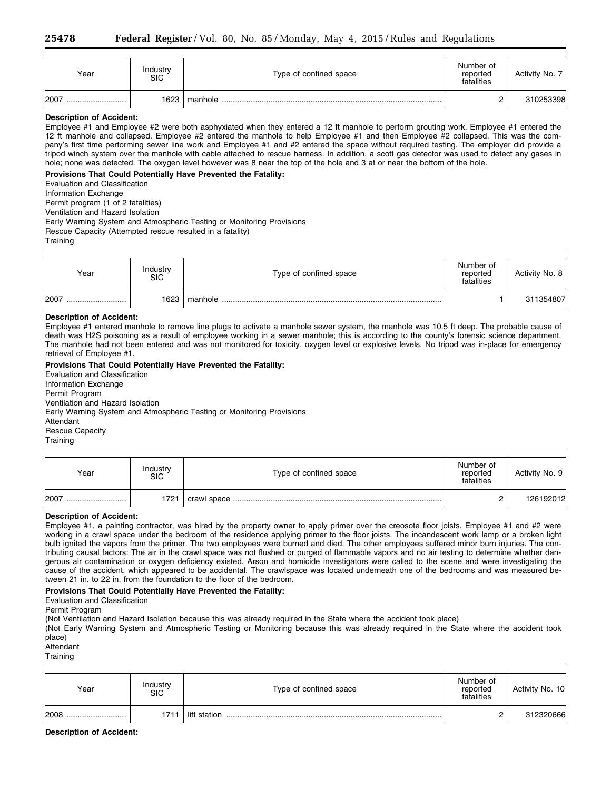| Year     | Industry<br><b>SIC</b> | Type of confined space | Number of<br>reported<br>fatalities | Activity No. 7 |
|----------|------------------------|------------------------|-------------------------------------|----------------|
| 2007<br> | 1623                   |                        |                                     | 310253398      |

#### **Description of Accident:**

Employee #1 and Employee #2 were both asphyxiated when they entered a 12 ft manhole to perform grouting work. Employee #1 entered the 12 ft manhole and collapsed. Employee #2 entered the manhole to help Employee #1 and then Employee #2 collapsed. This was the company's first time performing sewer line work and Employee #1 and #2 entered the space without required testing. The employer did provide a tripod winch system over the manhole with cable attached to rescue harness. In addition, a scott gas detector was used to detect any gases in hole; none was detected. The oxygen level however was 8 near the top of the hole and 3 at or near the bottom of the hole.

### **Provisions That Could Potentially Have Prevented the Fatality:**

Evaluation and Classification

Information Exchange

Permit program (1 of 2 fatalities)

Ventilation and Hazard Isolation

Early Warning System and Atmospheric Testing or Monitoring Provisions

Rescue Capacity (Attempted rescue resulted in a fatality)

**Training** 

| Year     | Industry<br><b>SIC</b> | Type of confined space | Number of<br>reported<br>fatalities | Activity No. 8 |
|----------|------------------------|------------------------|-------------------------------------|----------------|
| 2007<br> | 1623                   |                        |                                     | 311354807      |

### **Description of Accident:**

Employee #1 entered manhole to remove line plugs to activate a manhole sewer system, the manhole was 10.5 ft deep. The probable cause of death was H2S poisoning as a result of employee working in a sewer manhole; this is according to the county's forensic science department. The manhole had not been entered and was not monitored for toxicity, oxygen level or explosive levels. No tripod was in-place for emergency retrieval of Employee #1.

### **Provisions That Could Potentially Have Prevented the Fatality:**

Evaluation and Classification Information Exchange Permit Program Ventilation and Hazard Isolation Early Warning System and Atmospheric Testing or Monitoring Provisions Attendant Rescue Capacity **Training** 

| Year     | Industry<br>SIC | Type of confined space | Number of<br>reported<br>fatalities | Activity No. 9 |
|----------|-----------------|------------------------|-------------------------------------|----------------|
| 2007<br> | 1721            |                        |                                     | 126192012      |

### **Description of Accident:**

Employee #1, a painting contractor, was hired by the property owner to apply primer over the creosote floor joists. Employee #1 and #2 were working in a crawl space under the bedroom of the residence applying primer to the floor joists. The incandescent work lamp or a broken light bulb ignited the vapors from the primer. The two employees were burned and died. The other employees suffered minor burn injuries. The contributing causal factors: The air in the crawl space was not flushed or purged of flammable vapors and no air testing to determine whether dangerous air contamination or oxygen deficiency existed. Arson and homicide investigators were called to the scene and were investigating the cause of the accident, which appeared to be accidental. The crawlspace was located underneath one of the bedrooms and was measured between 21 in. to 22 in. from the foundation to the floor of the bedroom.

### **Provisions That Could Potentially Have Prevented the Fatality:**

Evaluation and Classification

Permit Program

(Not Ventilation and Hazard Isolation because this was already required in the State where the accident took place)

(Not Early Warning System and Atmospheric Testing or Monitoring because this was already required in the State where the accident took place)

Attendant

**Training** 

| Year | Industry<br>SIC | Type of confined space | Number of<br>reported<br>fatalities | Activity No. 10 |
|------|-----------------|------------------------|-------------------------------------|-----------------|
| 2008 | 1711            | lift station           |                                     | 312320666       |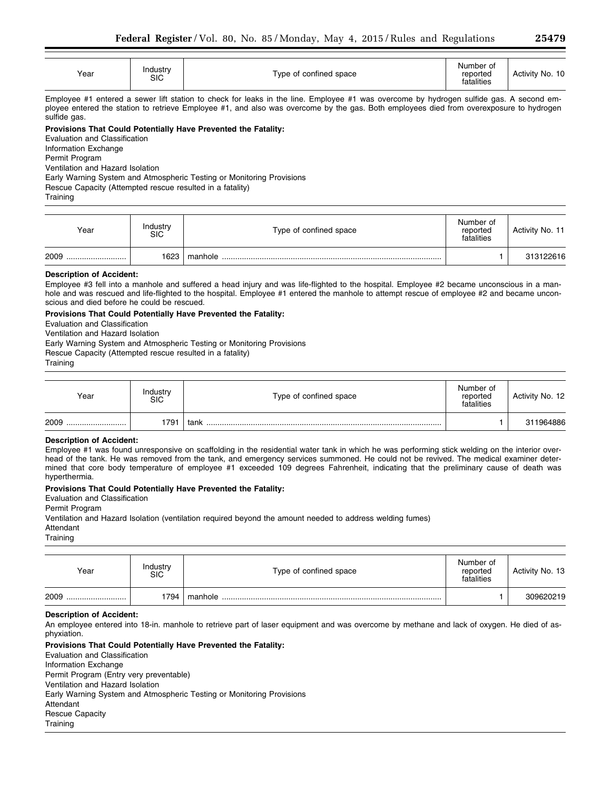Employee #1 entered a sewer lift station to check for leaks in the line. Employee #1 was overcome by hydrogen sulfide gas. A second employee entered the station to retrieve Employee #1, and also was overcome by the gas. Both employees died from overexposure to hydrogen sulfide gas.

## **Provisions That Could Potentially Have Prevented the Fatality:**

Evaluation and Classification Information Exchange

Permit Program

Ventilation and Hazard Isolation

Early Warning System and Atmospheric Testing or Monitoring Provisions

Rescue Capacity (Attempted rescue resulted in a fatality)

**Training** 

| Year     | Industry<br><b>SIC</b> | Type of confined space | Number of<br>reported<br>fatalities | Activity No. 11 |
|----------|------------------------|------------------------|-------------------------------------|-----------------|
| 2009<br> | 1623                   |                        |                                     | 313122616       |

### **Description of Accident:**

Employee #3 fell into a manhole and suffered a head injury and was life-flighted to the hospital. Employee #2 became unconscious in a manhole and was rescued and life-flighted to the hospital. Employee #1 entered the manhole to attempt rescue of employee #2 and became unconscious and died before he could be rescued.

### **Provisions That Could Potentially Have Prevented the Fatality:**

Evaluation and Classification

Ventilation and Hazard Isolation

Early Warning System and Atmospheric Testing or Monitoring Provisions

Rescue Capacity (Attempted rescue resulted in a fatality)

**Training** 

| Year     | Industry<br><b>SIC</b> | Type of confined space | Number of<br>reported<br>fatalities | Activity No. 12 |
|----------|------------------------|------------------------|-------------------------------------|-----------------|
| 2009<br> | 1791                   | tank                   |                                     | 311964886       |

#### **Description of Accident:**

Employee #1 was found unresponsive on scaffolding in the residential water tank in which he was performing stick welding on the interior overhead of the tank. He was removed from the tank, and emergency services summoned. He could not be revived. The medical examiner determined that core body temperature of employee #1 exceeded 109 degrees Fahrenheit, indicating that the preliminary cause of death was hyperthermia.

## **Provisions That Could Potentially Have Prevented the Fatality:**

Evaluation and Classification

Permit Program

Ventilation and Hazard Isolation (ventilation required beyond the amount needed to address welding fumes)

Attendant

**Training** 

| Year     | Industry<br><b>SIC</b> | Type of confined space | Number of<br>reported<br>fatalities | Activity No. 13 |
|----------|------------------------|------------------------|-------------------------------------|-----------------|
| 2009<br> | 1794                   |                        |                                     | 309620219       |

### **Description of Accident:**

An employee entered into 18-in. manhole to retrieve part of laser equipment and was overcome by methane and lack of oxygen. He died of asphyxiation.

### **Provisions That Could Potentially Have Prevented the Fatality:**

Evaluation and Classification Information Exchange Permit Program (Entry very preventable) Ventilation and Hazard Isolation Early Warning System and Atmospheric Testing or Monitoring Provisions Attendant Rescue Capacity **Training**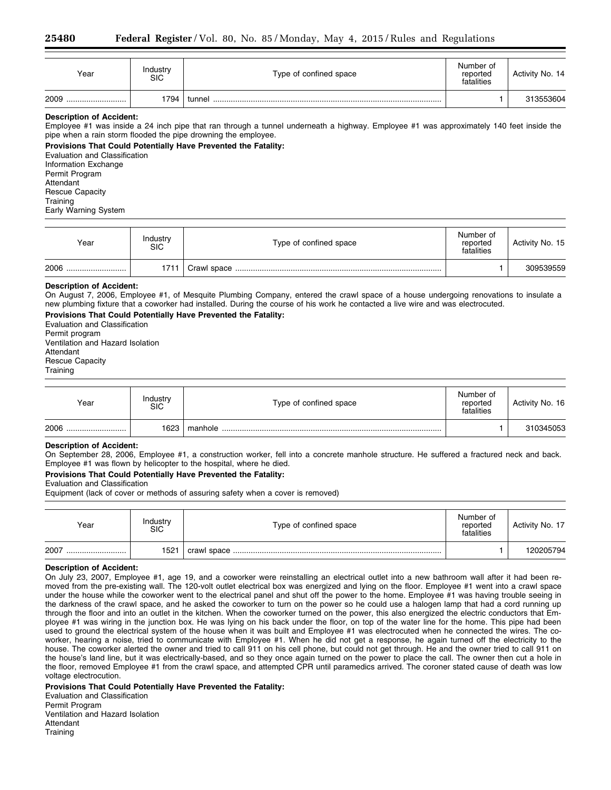| Year     | Industry<br>SIC | Type of confined space | Number of<br>reported<br>fatalities | Activity No. 14 |
|----------|-----------------|------------------------|-------------------------------------|-----------------|
| 2009<br> | 1794            | tunnel                 |                                     | 313553604       |

#### **Description of Accident:**

Employee #1 was inside a 24 inch pipe that ran through a tunnel underneath a highway. Employee #1 was approximately 140 feet inside the pipe when a rain storm flooded the pipe drowning the employee.

**Provisions That Could Potentially Have Prevented the Fatality:**  Evaluation and Classification Information Exchange Permit Program Attendant Rescue Capacity **Training** 

## Early Warning System

| Year     | Industry<br><b>SIC</b> | Type of confined space | Number of<br>reported<br>fatalities | Activity No. 15 |
|----------|------------------------|------------------------|-------------------------------------|-----------------|
| 2006<br> | 1711                   |                        |                                     | 309539559       |

### **Description of Accident:**

On August 7, 2006, Employee #1, of Mesquite Plumbing Company, entered the crawl space of a house undergoing renovations to insulate a new plumbing fixture that a coworker had installed. During the course of his work he contacted a live wire and was electrocuted.

### **Provisions That Could Potentially Have Prevented the Fatality:**

Evaluation and Classification Permit program Ventilation and Hazard Isolation Attendant Rescue Capacity **Training** 

| Year     | Industry<br>SIC | Type of confined space | Number of<br>reported<br>fatalities | Activity No. 16 |
|----------|-----------------|------------------------|-------------------------------------|-----------------|
| 2006<br> | 1623            |                        |                                     | 310345053       |

#### **Description of Accident:**

On September 28, 2006, Employee #1, a construction worker, fell into a concrete manhole structure. He suffered a fractured neck and back. Employee #1 was flown by helicopter to the hospital, where he died.

### **Provisions That Could Potentially Have Prevented the Fatality:**

#### Evaluation and Classification

Equipment (lack of cover or methods of assuring safety when a cover is removed)

| Year     | Industry<br><b>SIC</b> | Type of confined space | Number of<br>reported<br>fatalities | Activity No. 17 |
|----------|------------------------|------------------------|-------------------------------------|-----------------|
| 2007<br> | 1521                   |                        |                                     | 120205794       |

#### **Description of Accident:**

On July 23, 2007, Employee #1, age 19, and a coworker were reinstalling an electrical outlet into a new bathroom wall after it had been removed from the pre-existing wall. The 120-volt outlet electrical box was energized and lying on the floor. Employee #1 went into a crawl space under the house while the coworker went to the electrical panel and shut off the power to the home. Employee #1 was having trouble seeing in the darkness of the crawl space, and he asked the coworker to turn on the power so he could use a halogen lamp that had a cord running up through the floor and into an outlet in the kitchen. When the coworker turned on the power, this also energized the electric conductors that Employee #1 was wiring in the junction box. He was lying on his back under the floor, on top of the water line for the home. This pipe had been used to ground the electrical system of the house when it was built and Employee #1 was electrocuted when he connected the wires. The coworker, hearing a noise, tried to communicate with Employee #1. When he did not get a response, he again turned off the electricity to the house. The coworker alerted the owner and tried to call 911 on his cell phone, but could not get through. He and the owner tried to call 911 on the house's land line, but it was electrically-based, and so they once again turned on the power to place the call. The owner then cut a hole in the floor, removed Employee #1 from the crawl space, and attempted CPR until paramedics arrived. The coroner stated cause of death was low voltage electrocution.

#### **Provisions That Could Potentially Have Prevented the Fatality:**

Evaluation and Classification Permit Program Ventilation and Hazard Isolation Attendant Training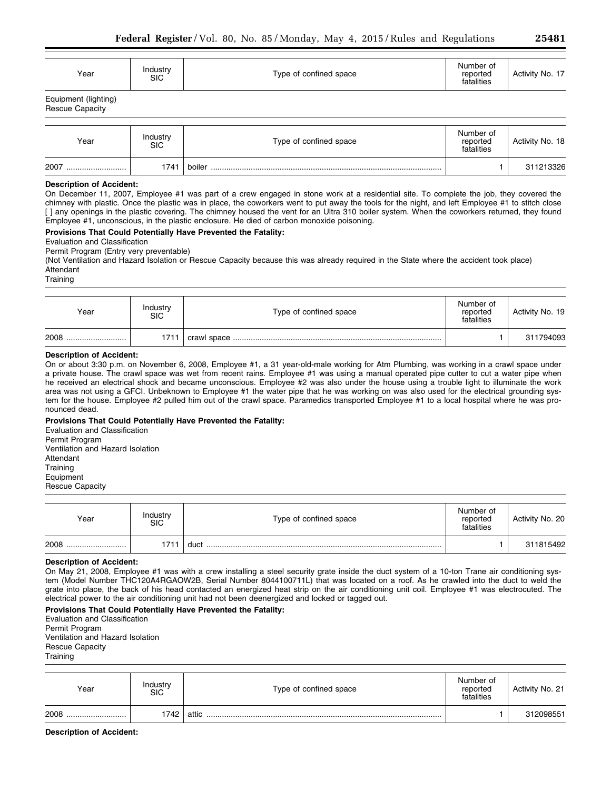| Year                                           | Industry<br><b>SIC</b> | Type of confined space | Number of<br>reported<br>fatalities | Activity No. 17 |
|------------------------------------------------|------------------------|------------------------|-------------------------------------|-----------------|
| Equipment (lighting)<br><b>Rescue Capacity</b> |                        |                        |                                     |                 |

| Year     | Industry<br><b>SIC</b> | Type of confined space | Number of<br>reported<br>fatalities | Activity No. 18 |
|----------|------------------------|------------------------|-------------------------------------|-----------------|
| 2007<br> | 1741                   | boiler                 |                                     | 311213326       |

#### **Description of Accident:**

On December 11, 2007, Employee #1 was part of a crew engaged in stone work at a residential site. To complete the job, they covered the chimney with plastic. Once the plastic was in place, the coworkers went to put away the tools for the night, and left Employee #1 to stitch close [ ] any openings in the plastic covering. The chimney housed the vent for an Ultra 310 boiler system. When the coworkers returned, they found Employee #1, unconscious, in the plastic enclosure. He died of carbon monoxide poisoning.

### **Provisions That Could Potentially Have Prevented the Fatality:**

Evaluation and Classification

Permit Program (Entry very preventable)

(Not Ventilation and Hazard Isolation or Rescue Capacity because this was already required in the State where the accident took place) Attendant

**Training** 

| Year | Industry<br><b>SIC</b> | Type of confined space | Number of<br>reported<br>fatalities | Activity No. 19 |
|------|------------------------|------------------------|-------------------------------------|-----------------|
| 2008 | 1711                   |                        |                                     | 311794093       |

### **Description of Accident:**

On or about 3:30 p.m. on November 6, 2008, Employee #1, a 31 year-old-male working for Atm Plumbing, was working in a crawl space under a private house. The crawl space was wet from recent rains. Employee #1 was using a manual operated pipe cutter to cut a water pipe when he received an electrical shock and became unconscious. Employee #2 was also under the house using a trouble light to illuminate the work area was not using a GFCI. Unbeknown to Employee #1 the water pipe that he was working on was also used for the electrical grounding system for the house. Employee #2 pulled him out of the crawl space. Paramedics transported Employee #1 to a local hospital where he was pronounced dead.

#### **Provisions That Could Potentially Have Prevented the Fatality:**

Evaluation and Classification Permit Program Ventilation and Hazard Isolation Attendant **Training** Equipment Rescue Capacity

| Year     | Industry<br><b>SIC</b> | Type of confined space | Number of<br>reported<br>fatalities | Activity No. 20 |
|----------|------------------------|------------------------|-------------------------------------|-----------------|
| 2008<br> | 1711                   | duct                   |                                     | 311815492       |

#### **Description of Accident:**

On May 21, 2008, Employee #1 was with a crew installing a steel security grate inside the duct system of a 10-ton Trane air conditioning system (Model Number THC120A4RGAOW2B, Serial Number 8044100711L) that was located on a roof. As he crawled into the duct to weld the grate into place, the back of his head contacted an energized heat strip on the air conditioning unit coil. Employee #1 was electrocuted. The electrical power to the air conditioning unit had not been deenergized and locked or tagged out.

### **Provisions That Could Potentially Have Prevented the Fatality:**

Evaluation and Classification Permit Program Ventilation and Hazard Isolation Rescue Capacity **Training** 

| Year     | Industry<br>SIC | Type of confined space | Number of<br>reported<br>fatalities | Activity No. 21 |
|----------|-----------------|------------------------|-------------------------------------|-----------------|
| 2008<br> | 1742            | attic                  |                                     | 312098551       |

**Description of Accident:**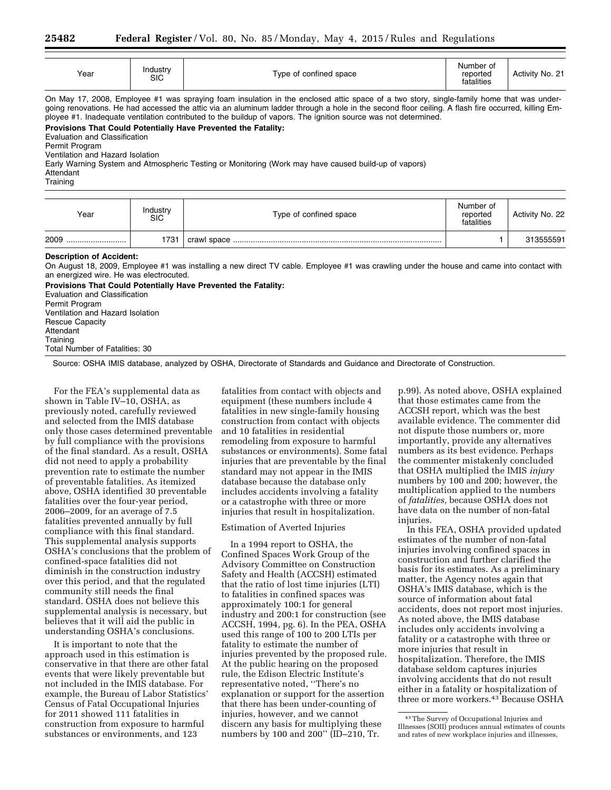| Year | Industry<br>SIC | Type of confined space | Number of<br>reported<br>fatalities | Activity No. 21 |
|------|-----------------|------------------------|-------------------------------------|-----------------|
|------|-----------------|------------------------|-------------------------------------|-----------------|

On May 17, 2008, Employee #1 was spraying foam insulation in the enclosed attic space of a two story, single-family home that was undergoing renovations. He had accessed the attic via an aluminum ladder through a hole in the second floor ceiling. A flash fire occurred, killing Employee #1. Inadequate ventilation contributed to the buildup of vapors. The ignition source was not determined.

## **Provisions That Could Potentially Have Prevented the Fatality:**

Evaluation and Classification

Permit Program

Ventilation and Hazard Isolation

Early Warning System and Atmospheric Testing or Monitoring (Work may have caused build-up of vapors) Attendant

**Training** 

| Year | Industry<br>SIC | Type of confined space | Number of<br>reported<br>fatalities | Activity No. 22 |
|------|-----------------|------------------------|-------------------------------------|-----------------|
| 2009 | 1731            |                        |                                     | 313555591       |

#### **Description of Accident:**

On August 18, 2009, Employee #1 was installing a new direct TV cable. Employee #1 was crawling under the house and came into contact with an energized wire. He was electrocuted.

**Provisions That Could Potentially Have Prevented the Fatality:**  Evaluation and Classification Permit Program Ventilation and Hazard Isolation Rescue Capacity Attendant **Training** Total Number of Fatalities: 30

Source: OSHA IMIS database, analyzed by OSHA, Directorate of Standards and Guidance and Directorate of Construction.

For the FEA's supplemental data as shown in Table IV–10, OSHA, as previously noted, carefully reviewed and selected from the IMIS database only those cases determined preventable by full compliance with the provisions of the final standard. As a result, OSHA did not need to apply a probability prevention rate to estimate the number of preventable fatalities. As itemized above, OSHA identified 30 preventable fatalities over the four-year period, 2006–2009, for an average of 7.5 fatalities prevented annually by full compliance with this final standard. This supplemental analysis supports OSHA's conclusions that the problem of confined-space fatalities did not diminish in the construction industry over this period, and that the regulated community still needs the final standard. OSHA does not believe this supplemental analysis is necessary, but believes that it will aid the public in understanding OSHA's conclusions.

It is important to note that the approach used in this estimation is conservative in that there are other fatal events that were likely preventable but not included in the IMIS database. For example, the Bureau of Labor Statistics' Census of Fatal Occupational Injuries for 2011 showed 111 fatalities in construction from exposure to harmful substances or environments, and 123

fatalities from contact with objects and equipment (these numbers include 4 fatalities in new single-family housing construction from contact with objects and 10 fatalities in residential remodeling from exposure to harmful substances or environments). Some fatal injuries that are preventable by the final standard may not appear in the IMIS database because the database only includes accidents involving a fatality or a catastrophe with three or more injuries that result in hospitalization.

#### Estimation of Averted Injuries

In a 1994 report to OSHA, the Confined Spaces Work Group of the Advisory Committee on Construction Safety and Health (ACCSH) estimated that the ratio of lost time injuries (LTI) to fatalities in confined spaces was approximately 100:1 for general industry and 200:1 for construction (see ACCSH, 1994, pg. 6). In the PEA, OSHA used this range of 100 to 200 LTIs per fatality to estimate the number of injuries prevented by the proposed rule. At the public hearing on the proposed rule, the Edison Electric Institute's representative noted, ''There's no explanation or support for the assertion that there has been under-counting of injuries, however, and we cannot discern any basis for multiplying these numbers by 100 and 200'' (ID–210, Tr.

p.99). As noted above, OSHA explained that those estimates came from the ACCSH report, which was the best available evidence. The commenter did not dispute those numbers or, more importantly, provide any alternatives numbers as its best evidence. Perhaps the commenter mistakenly concluded that OSHA multiplied the IMIS *injury*  numbers by 100 and 200; however, the multiplication applied to the numbers of *fatalities,* because OSHA does not have data on the number of non-fatal injuries.

In this FEA, OSHA provided updated estimates of the number of non-fatal injuries involving confined spaces in construction and further clarified the basis for its estimates. As a preliminary matter, the Agency notes again that OSHA's IMIS database, which is the source of information about fatal accidents, does not report most injuries. As noted above, the IMIS database includes only accidents involving a fatality or a catastrophe with three or more injuries that result in hospitalization. Therefore, the IMIS database seldom captures injuries involving accidents that do not result either in a fatality or hospitalization of three or more workers.43 Because OSHA

<sup>43</sup>The Survey of Occupational Injuries and Illnesses (SOII) produces annual estimates of counts and rates of new workplace injuries and illnesses,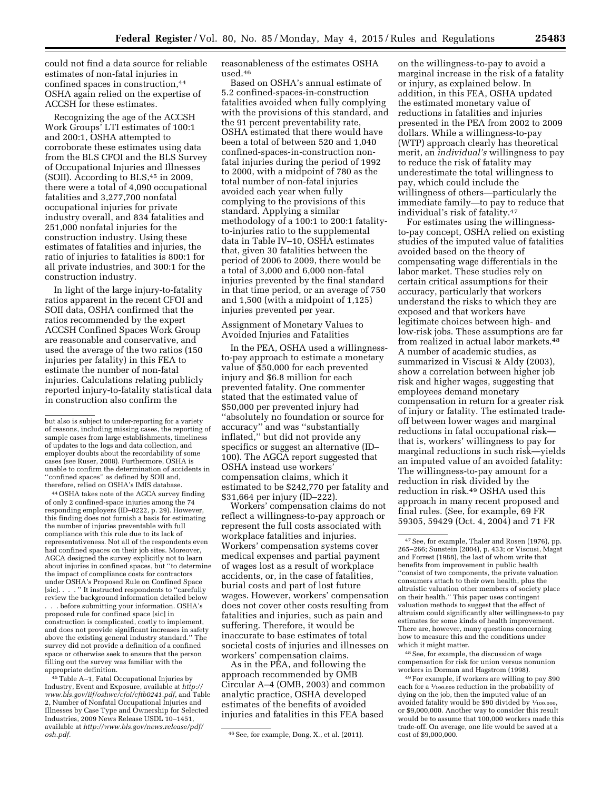could not find a data source for reliable estimates of non-fatal injuries in confined spaces in construction, 44 OSHA again relied on the expertise of ACCSH for these estimates.

Recognizing the age of the ACCSH Work Groups' LTI estimates of 100:1 and 200:1, OSHA attempted to corroborate these estimates using data from the BLS CFOI and the BLS Survey of Occupational Injuries and Illnesses (SOII). According to BLS,45 in 2009, there were a total of 4,090 occupational fatalities and 3,277,700 nonfatal occupational injuries for private industry overall, and 834 fatalities and 251,000 nonfatal injuries for the construction industry. Using these estimates of fatalities and injuries, the ratio of injuries to fatalities is 800:1 for all private industries, and 300:1 for the construction industry.

In light of the large injury-to-fatality ratios apparent in the recent CFOI and SOII data, OSHA confirmed that the ratios recommended by the expert ACCSH Confined Spaces Work Group are reasonable and conservative, and used the average of the two ratios (150 injuries per fatality) in this FEA to estimate the number of non-fatal injuries. Calculations relating publicly reported injury-to-fatality statistical data in construction also confirm the

44OSHA takes note of the AGCA survey finding of only 2 confined-space injuries among the 74 responding employers (ID–0222, p. 29). However, this finding does not furnish a basis for estimating the number of injuries preventable with full compliance with this rule due to its lack of representativeness. Not all of the respondents even had confined spaces on their job sites. Moreover, AGCA designed the survey explicitly not to learn about injuries in confined spaces, but ''to determine the impact of compliance costs for contractors under OSHA's Proposed Rule on Confined Space [sic]. . . . '' It instructed respondents to ''carefully review the background information detailed below . . . before submitting your information. OSHA's proposed rule for confined space [sic] in construction is complicated, costly to implement, and does not provide significant increases in safety above the existing general industry standard.'' The survey did not provide a definition of a confined space or otherwise seek to ensure that the person filling out the survey was familiar with the appropriate definition.

45Table A–1, Fatal Occupational Injuries by Industry, Event and Exposure, available at *[http://](http://www.bls.gov/iif/oshwc/cfoi/cftb0241.pdf) [www.bls.gov/iif/oshwc/cfoi/cftb0241.pdf](http://www.bls.gov/iif/oshwc/cfoi/cftb0241.pdf)*, and Table 2, Number of Nonfatal Occupational Injuries and Illnesses by Case Type and Ownership for Selected Industries, 2009 News Release USDL 10–1451, available at *[http://www.bls.gov/news.release/pdf/](http://www.bls.gov/news.release/pdf/osh.pdf)*

reasonableness of the estimates OSHA used.46

Based on OSHA's annual estimate of 5.2 confined-spaces-in-construction fatalities avoided when fully complying with the provisions of this standard, and the 91 percent preventability rate, OSHA estimated that there would have been a total of between 520 and 1,040 confined-spaces-in-construction nonfatal injuries during the period of 1992 to 2000, with a midpoint of 780 as the total number of non-fatal injuries avoided each year when fully complying to the provisions of this standard. Applying a similar methodology of a 100:1 to 200:1 fatalityto-injuries ratio to the supplemental data in Table IV–10, OSHA estimates that, given 30 fatalities between the period of 2006 to 2009, there would be a total of 3,000 and 6,000 non-fatal injuries prevented by the final standard in that time period, or an average of 750 and 1,500 (with a midpoint of 1,125) injuries prevented per year.

Assignment of Monetary Values to Avoided Injuries and Fatalities

In the PEA, OSHA used a willingnessto-pay approach to estimate a monetary value of \$50,000 for each prevented injury and \$6.8 million for each prevented fatality. One commenter stated that the estimated value of \$50,000 per prevented injury had ''absolutely no foundation or source for accuracy'' and was ''substantially inflated,'' but did not provide any specifics or suggest an alternative (ID– 100). The AGCA report suggested that OSHA instead use workers' compensation claims, which it estimated to be \$242,770 per fatality and \$31,664 per injury (ID–222).

Workers' compensation claims do not reflect a willingness-to-pay approach or represent the full costs associated with workplace fatalities and injuries. Workers' compensation systems cover medical expenses and partial payment of wages lost as a result of workplace accidents, or, in the case of fatalities, burial costs and part of lost future wages. However, workers' compensation does not cover other costs resulting from fatalities and injuries, such as pain and suffering. Therefore, it would be inaccurate to base estimates of total societal costs of injuries and illnesses on workers' compensation claims.

As in the PEA, and following the approach recommended by OMB Circular A–4 (OMB, 2003) and common analytic practice, OSHA developed estimates of the benefits of avoided injuries and fatalities in this FEA based

on the willingness-to-pay to avoid a marginal increase in the risk of a fatality or injury, as explained below. In addition, in this FEA, OSHA updated the estimated monetary value of reductions in fatalities and injuries presented in the PEA from 2002 to 2009 dollars. While a willingness-to-pay (WTP) approach clearly has theoretical merit, an *individual's* willingness to pay to reduce the risk of fatality may underestimate the total willingness to pay, which could include the willingness of others—particularly the immediate family—to pay to reduce that individual's risk of fatality.47

For estimates using the willingnessto-pay concept, OSHA relied on existing studies of the imputed value of fatalities avoided based on the theory of compensating wage differentials in the labor market. These studies rely on certain critical assumptions for their accuracy, particularly that workers understand the risks to which they are exposed and that workers have legitimate choices between high- and low-risk jobs. These assumptions are far from realized in actual labor markets.48 A number of academic studies, as summarized in Viscusi & Aldy (2003), show a correlation between higher job risk and higher wages, suggesting that employees demand monetary compensation in return for a greater risk of injury or fatality. The estimated tradeoff between lower wages and marginal reductions in fatal occupational risk that is, workers' willingness to pay for marginal reductions in such risk—yields an imputed value of an avoided fatality: The willingness-to-pay amount for a reduction in risk divided by the reduction in risk.49 OSHA used this approach in many recent proposed and final rules. (See, for example, 69 FR 59305, 59429 (Oct. 4, 2004) and 71 FR

48See, for example, the discussion of wage compensation for risk for union versus nonunion workers in Dorman and Hagstrom (1998).

49For example, if workers are willing to pay \$90 each for a  $\frac{1}{100,000}$  reduction in the probability of dying on the job, then the imputed value of an avoided fatality would be \$90 divided by 1⁄100,000, or \$9,000,000. Another way to consider this result would be to assume that 100,000 workers made this trade-off. On average, one life would be saved at a cost of \$9,000,000.

but also is subject to under-reporting for a variety of reasons, including missing cases, the reporting of sample cases from large establishments, timeliness of updates to the logs and data collection, and employer doubts about the recordability of some cases (see Ruser, 2008). Furthermore, OSHA is unable to confirm the determination of accidents in ''confined spaces'' as defined by SOII and, therefore, relied on OSHA's IMIS database.

<sup>46</sup> See, for example, Dong, X., et al. (2011).

<sup>47</sup>See, for example, Thaler and Rosen (1976), pp. 265–266; Sunstein (2004), p. 433; or Viscusi, Magat and Forrest (1988), the last of whom write that benefits from improvement in public health ''consist of two components, the private valuation consumers attach to their own health, plus the altruistic valuation other members of society place on their health.'' This paper uses contingent valuation methods to suggest that the effect of altruism could significantly alter willingness-to pay estimates for some kinds of health improvement. There are, however, many questions concerning how to measure this and the conditions under which it might matter.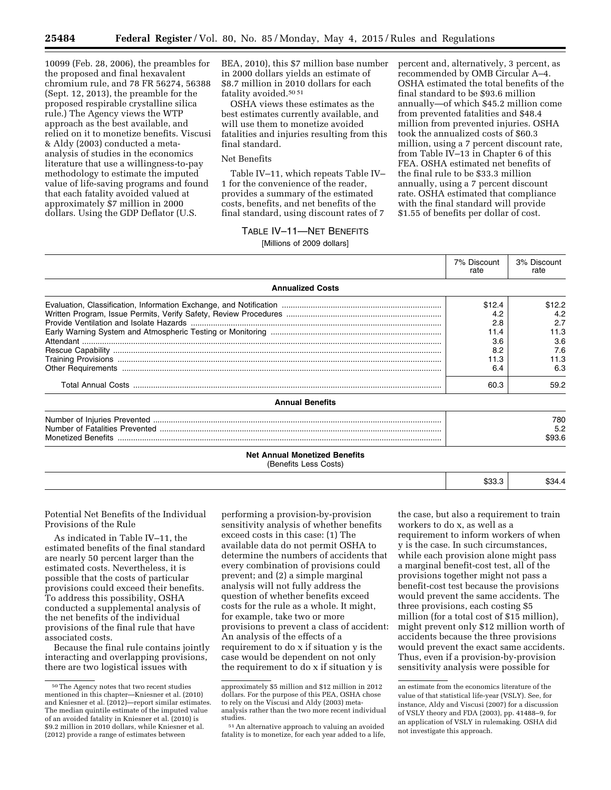10099 (Feb. 28, 2006), the preambles for the proposed and final hexavalent chromium rule, and 78 FR 56274, 56388 (Sept. 12, 2013), the preamble for the proposed respirable crystalline silica rule.) The Agency views the WTP approach as the best available, and relied on it to monetize benefits. Viscusi & Aldy (2003) conducted a metaanalysis of studies in the economics literature that use a willingness-to-pay methodology to estimate the imputed value of life-saving programs and found that each fatality avoided valued at approximately \$7 million in 2000 dollars. Using the GDP Deflator (U.S.

BEA, 2010), this \$7 million base number in 2000 dollars yields an estimate of \$8.7 million in 2010 dollars for each fatality avoided.<sup>50 51</sup>

OSHA views these estimates as the best estimates currently available, and will use them to monetize avoided fatalities and injuries resulting from this final standard.

### Net Benefits

Table IV–11, which repeats Table IV– 1 for the convenience of the reader, provides a summary of the estimated costs, benefits, and net benefits of the final standard, using discount rates of 7

## TABLE IV–11—NET BENEFITS

[Millions of 2009 dollars]

percent and, alternatively, 3 percent, as recommended by OMB Circular A–4. OSHA estimated the total benefits of the final standard to be \$93.6 million annually—of which \$45.2 million come from prevented fatalities and \$48.4 million from prevented injuries. OSHA took the annualized costs of \$60.3 million, using a 7 percent discount rate, from Table IV–13 in Chapter 6 of this FEA. OSHA estimated net benefits of the final rule to be \$33.3 million annually, using a 7 percent discount rate. OSHA estimated that compliance with the final standard will provide \$1.55 of benefits per dollar of cost.

|                                      | 7% Discount<br>rate | 3% Discount<br>rate |
|--------------------------------------|---------------------|---------------------|
| <b>Annualized Costs</b>              |                     |                     |
|                                      | \$12.4              | \$12.2              |
|                                      | 4.2<br>2.8          | 4.2<br>2.7          |
|                                      | 11.4                | 11.3                |
|                                      | 3.6                 | 3.6                 |
|                                      | 8.2                 | 7.6                 |
|                                      | 11.3                | 11.3                |
|                                      | 6.4                 | 6.3                 |
|                                      | 60.3                | 59.2                |
| <b>Annual Benefits</b>               |                     |                     |
|                                      |                     | 780                 |
|                                      |                     | 5.2                 |
| <b>Monetized Benefits</b>            |                     | \$93.6              |
| <b>Net Annual Monetized Benefits</b> |                     |                     |

(Benefits Less Costs)

 $$33.3$   $$34.4$ 

Potential Net Benefits of the Individual Provisions of the Rule

As indicated in Table IV–11, the estimated benefits of the final standard are nearly 50 percent larger than the estimated costs. Nevertheless, it is possible that the costs of particular provisions could exceed their benefits. To address this possibility, OSHA conducted a supplemental analysis of the net benefits of the individual provisions of the final rule that have associated costs.

Because the final rule contains jointly interacting and overlapping provisions, there are two logistical issues with

performing a provision-by-provision sensitivity analysis of whether benefits exceed costs in this case: (1) The available data do not permit OSHA to determine the numbers of accidents that every combination of provisions could prevent; and (2) a simple marginal analysis will not fully address the question of whether benefits exceed costs for the rule as a whole. It might, for example, take two or more provisions to prevent a class of accident: An analysis of the effects of a requirement to do x if situation y is the case would be dependent on not only the requirement to do x if situation y is

the case, but also a requirement to train workers to do x, as well as a requirement to inform workers of when y is the case. In such circumstances, while each provision alone might pass a marginal benefit-cost test, all of the provisions together might not pass a benefit-cost test because the provisions would prevent the same accidents. The three provisions, each costing \$5 million (for a total cost of \$15 million), might prevent only \$12 million worth of accidents because the three provisions would prevent the exact same accidents. Thus, even if a provision-by-provision sensitivity analysis were possible for

<sup>50</sup>The Agency notes that two recent studies mentioned in this chapter—Kniesner et al. (2010) and Kniesner et al. (2012)—report similar estimates. The median quintile estimate of the imputed value of an avoided fatality in Kniesner et al. (2010) is \$9.2 million in 2010 dollars, while Kniesner et al. (2012) provide a range of estimates between

approximately \$5 million and \$12 million in 2012 dollars. For the purpose of this PEA, OSHA chose to rely on the Viscusi and Aldy (2003) metaanalysis rather than the two more recent individual

<sup>51</sup> An alternative approach to valuing an avoided fatality is to monetize, for each year added to a life,

an estimate from the economics literature of the value of that statistical life-year (VSLY). See, for instance, Aldy and Viscusi (2007) for a discussion of VSLY theory and FDA (2003), pp. 41488–9, for an application of VSLY in rulemaking. OSHA did not investigate this approach.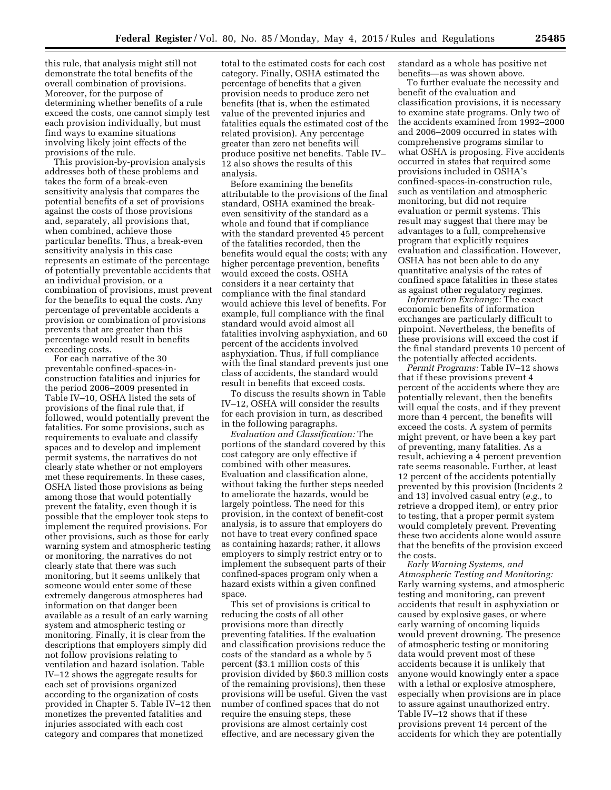this rule, that analysis might still not demonstrate the total benefits of the overall combination of provisions. Moreover, for the purpose of determining whether benefits of a rule exceed the costs, one cannot simply test each provision individually, but must find ways to examine situations involving likely joint effects of the provisions of the rule.

This provision-by-provision analysis addresses both of these problems and takes the form of a break-even sensitivity analysis that compares the potential benefits of a set of provisions against the costs of those provisions and, separately, all provisions that, when combined, achieve those particular benefits. Thus, a break-even sensitivity analysis in this case represents an estimate of the percentage of potentially preventable accidents that an individual provision, or a combination of provisions, must prevent for the benefits to equal the costs. Any percentage of preventable accidents a provision or combination of provisions prevents that are greater than this percentage would result in benefits exceeding costs.

For each narrative of the 30 preventable confined-spaces-inconstruction fatalities and injuries for the period 2006–2009 presented in Table IV–10, OSHA listed the sets of provisions of the final rule that, if followed, would potentially prevent the fatalities. For some provisions, such as requirements to evaluate and classify spaces and to develop and implement permit systems, the narratives do not clearly state whether or not employers met these requirements. In these cases, OSHA listed those provisions as being among those that would potentially prevent the fatality, even though it is possible that the employer took steps to implement the required provisions. For other provisions, such as those for early warning system and atmospheric testing or monitoring, the narratives do not clearly state that there was such monitoring, but it seems unlikely that someone would enter some of these extremely dangerous atmospheres had information on that danger been available as a result of an early warning system and atmospheric testing or monitoring. Finally, it is clear from the descriptions that employers simply did not follow provisions relating to ventilation and hazard isolation. Table IV–12 shows the aggregate results for each set of provisions organized according to the organization of costs provided in Chapter 5. Table IV–12 then monetizes the prevented fatalities and injuries associated with each cost category and compares that monetized

total to the estimated costs for each cost category. Finally, OSHA estimated the percentage of benefits that a given provision needs to produce zero net benefits (that is, when the estimated value of the prevented injuries and fatalities equals the estimated cost of the related provision). Any percentage greater than zero net benefits will produce positive net benefits. Table IV– 12 also shows the results of this analysis.

Before examining the benefits attributable to the provisions of the final standard, OSHA examined the breakeven sensitivity of the standard as a whole and found that if compliance with the standard prevented 45 percent of the fatalities recorded, then the benefits would equal the costs; with any higher percentage prevention, benefits would exceed the costs. OSHA considers it a near certainty that compliance with the final standard would achieve this level of benefits. For example, full compliance with the final standard would avoid almost all fatalities involving asphyxiation, and 60 percent of the accidents involved asphyxiation. Thus, if full compliance with the final standard prevents just one class of accidents, the standard would result in benefits that exceed costs.

To discuss the results shown in Table IV–12, OSHA will consider the results for each provision in turn, as described in the following paragraphs.

*Evaluation and Classification:* The portions of the standard covered by this cost category are only effective if combined with other measures. Evaluation and classification alone, without taking the further steps needed to ameliorate the hazards, would be largely pointless. The need for this provision, in the context of benefit-cost analysis, is to assure that employers do not have to treat every confined space as containing hazards; rather, it allows employers to simply restrict entry or to implement the subsequent parts of their confined-spaces program only when a hazard exists within a given confined space.

This set of provisions is critical to reducing the costs of all other provisions more than directly preventing fatalities. If the evaluation and classification provisions reduce the costs of the standard as a whole by 5 percent (\$3.1 million costs of this provision divided by \$60.3 million costs of the remaining provisions), then these provisions will be useful. Given the vast number of confined spaces that do not require the ensuing steps, these provisions are almost certainly cost effective, and are necessary given the

standard as a whole has positive net benefits—as was shown above.

To further evaluate the necessity and benefit of the evaluation and classification provisions, it is necessary to examine state programs. Only two of the accidents examined from 1992–2000 and 2006–2009 occurred in states with comprehensive programs similar to what OSHA is proposing. Five accidents occurred in states that required some provisions included in OSHA's confined-spaces-in-construction rule, such as ventilation and atmospheric monitoring, but did not require evaluation or permit systems. This result may suggest that there may be advantages to a full, comprehensive program that explicitly requires evaluation and classification. However, OSHA has not been able to do any quantitative analysis of the rates of confined space fatalities in these states as against other regulatory regimes.

*Information Exchange:* The exact economic benefits of information exchanges are particularly difficult to pinpoint. Nevertheless, the benefits of these provisions will exceed the cost if the final standard prevents 10 percent of the potentially affected accidents.

*Permit Programs:* Table IV–12 shows that if these provisions prevent 4 percent of the accidents where they are potentially relevant, then the benefits will equal the costs, and if they prevent more than 4 percent, the benefits will exceed the costs. A system of permits might prevent, or have been a key part of preventing, many fatalities. As a result, achieving a 4 percent prevention rate seems reasonable. Further, at least 12 percent of the accidents potentially prevented by this provision (Incidents 2 and 13) involved casual entry (*e.g.,* to retrieve a dropped item), or entry prior to testing, that a proper permit system would completely prevent. Preventing these two accidents alone would assure that the benefits of the provision exceed the costs.

*Early Warning Systems, and Atmospheric Testing and Monitoring:*  Early warning systems, and atmospheric testing and monitoring, can prevent accidents that result in asphyxiation or caused by explosive gases, or where early warning of oncoming liquids would prevent drowning. The presence of atmospheric testing or monitoring data would prevent most of these accidents because it is unlikely that anyone would knowingly enter a space with a lethal or explosive atmosphere, especially when provisions are in place to assure against unauthorized entry. Table IV–12 shows that if these provisions prevent 14 percent of the accidents for which they are potentially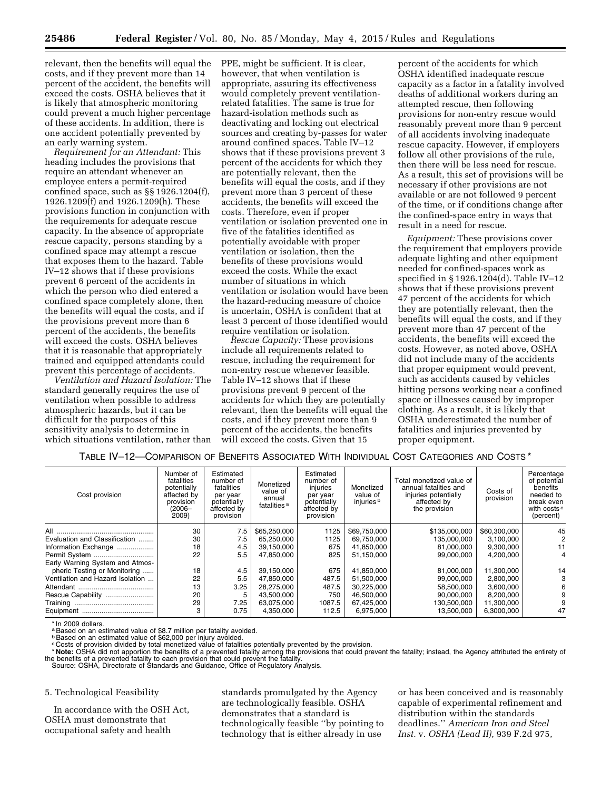relevant, then the benefits will equal the costs, and if they prevent more than 14 percent of the accident, the benefits will exceed the costs. OSHA believes that it is likely that atmospheric monitoring could prevent a much higher percentage of these accidents. In addition, there is one accident potentially prevented by an early warning system.

*Requirement for an Attendant:* This heading includes the provisions that require an attendant whenever an employee enters a permit-required confined space, such as §§ 1926.1204(f), 1926.1209(f) and 1926.1209(h). These provisions function in conjunction with the requirements for adequate rescue capacity. In the absence of appropriate rescue capacity, persons standing by a confined space may attempt a rescue that exposes them to the hazard. Table IV–12 shows that if these provisions prevent 6 percent of the accidents in which the person who died entered a confined space completely alone, then the benefits will equal the costs, and if the provisions prevent more than 6 percent of the accidents, the benefits will exceed the costs. OSHA believes that it is reasonable that appropriately trained and equipped attendants could prevent this percentage of accidents.

*Ventilation and Hazard Isolation:* The standard generally requires the use of ventilation when possible to address atmospheric hazards, but it can be difficult for the purposes of this sensitivity analysis to determine in which situations ventilation, rather than PPE, might be sufficient. It is clear, however, that when ventilation is appropriate, assuring its effectiveness would completely prevent ventilationrelated fatalities. The same is true for hazard-isolation methods such as deactivating and locking out electrical sources and creating by-passes for water around confined spaces. Table IV–12 shows that if these provisions prevent 3 percent of the accidents for which they are potentially relevant, then the benefits will equal the costs, and if they prevent more than 3 percent of these accidents, the benefits will exceed the costs. Therefore, even if proper ventilation or isolation prevented one in five of the fatalities identified as potentially avoidable with proper ventilation or isolation, then the benefits of these provisions would exceed the costs. While the exact number of situations in which ventilation or isolation would have been the hazard-reducing measure of choice is uncertain, OSHA is confident that at least 3 percent of those identified would require ventilation or isolation.

*Rescue Capacity:* These provisions include all requirements related to rescue, including the requirement for non-entry rescue whenever feasible. Table IV–12 shows that if these provisions prevent 9 percent of the accidents for which they are potentially relevant, then the benefits will equal the costs, and if they prevent more than 9 percent of the accidents, the benefits will exceed the costs. Given that 15

percent of the accidents for which OSHA identified inadequate rescue capacity as a factor in a fatality involved deaths of additional workers during an attempted rescue, then following provisions for non-entry rescue would reasonably prevent more than 9 percent of all accidents involving inadequate rescue capacity. However, if employers follow all other provisions of the rule, then there will be less need for rescue. As a result, this set of provisions will be necessary if other provisions are not available or are not followed 9 percent of the time, or if conditions change after the confined-space entry in ways that result in a need for rescue.

*Equipment:* These provisions cover the requirement that employers provide adequate lighting and other equipment needed for confined-spaces work as specified in § 1926.1204(d). Table IV–12 shows that if these provisions prevent 47 percent of the accidents for which they are potentially relevant, then the benefits will equal the costs, and if they prevent more than 47 percent of the accidents, the benefits will exceed the costs. However, as noted above, OSHA did not include many of the accidents that proper equipment would prevent, such as accidents caused by vehicles hitting persons working near a confined space or illnesses caused by improper clothing. As a result, it is likely that OSHA underestimated the number of fatalities and injuries prevented by proper equipment.

#### TABLE IV–12—COMPARISON OF BENEFITS ASSOCIATED WITH INDIVIDUAL COST CATEGORIES AND COSTS \*

| Cost provision                   | Number of<br>fatalities<br>potentially<br>affected by<br>provision<br>$(2006 -$<br>2009) | Estimated<br>number of<br>fatalities<br>per year<br>potentially<br>affected by<br>provision | Monetized<br>value of<br>annual<br>fatalities <sup>a</sup> | Estimated<br>number of<br>injuries<br>per year<br>potentially<br>affected by<br>provision | Monetized<br>value of<br>injuries <sup>b</sup> | Total monetized value of<br>annual fatalities and<br>injuries potentially<br>affected by<br>the provision | Costs of<br>provision | Percentage<br>of potential<br>benefits<br>needed to<br>break even<br>with costs <sup>c</sup><br>(percent) |
|----------------------------------|------------------------------------------------------------------------------------------|---------------------------------------------------------------------------------------------|------------------------------------------------------------|-------------------------------------------------------------------------------------------|------------------------------------------------|-----------------------------------------------------------------------------------------------------------|-----------------------|-----------------------------------------------------------------------------------------------------------|
| All                              | 30                                                                                       | 7.5                                                                                         | \$65,250,000                                               | 1125                                                                                      | \$69,750,000                                   | \$135,000,000                                                                                             | \$60,300,000          | 45                                                                                                        |
| Evaluation and Classification    | 30                                                                                       | 7.5                                                                                         | 65,250,000                                                 | 1125                                                                                      | 69,750,000                                     | 135,000,000                                                                                               | 3,100,000             |                                                                                                           |
| Information Exchange             | 18                                                                                       | 4.5                                                                                         | 39,150,000                                                 | 675                                                                                       | 41,850,000                                     | 81,000,000                                                                                                | 9,300,000             | 11                                                                                                        |
| Permit System                    | 22                                                                                       | 5.5                                                                                         | 47,850,000                                                 | 825                                                                                       | 51,150,000                                     | 99,000,000                                                                                                | 4,200,000             |                                                                                                           |
| Early Warning System and Atmos-  |                                                                                          |                                                                                             |                                                            |                                                                                           |                                                |                                                                                                           |                       |                                                                                                           |
| pheric Testing or Monitoring     | 18                                                                                       | 4.5                                                                                         | 39,150,000                                                 | 675                                                                                       | 41,850,000                                     | 81,000,000                                                                                                | 11,300,000            | 14                                                                                                        |
| Ventilation and Hazard Isolation | 22                                                                                       | 5.5                                                                                         | 47,850,000                                                 | 487.5                                                                                     | 51,500,000                                     | 99,000,000                                                                                                | 2,800,000             |                                                                                                           |
|                                  | 13                                                                                       | 3.25                                                                                        | 28,275,000                                                 | 487.5                                                                                     | 30,225,000                                     | 58.500.000                                                                                                | 3,600,000             |                                                                                                           |
| Rescue Capability                | 20                                                                                       | 5                                                                                           | 43.500.000                                                 | 750                                                                                       | 46,500,000                                     | 90.000.000                                                                                                | 8,200,000             |                                                                                                           |
|                                  | 29                                                                                       | 7.25                                                                                        | 63,075,000                                                 | 1087.5                                                                                    | 67,425,000                                     | 130,500,000                                                                                               | 11,300,000            |                                                                                                           |
|                                  | 3                                                                                        | 0.75                                                                                        | 4,350,000                                                  | 112.5                                                                                     | 6,975,000                                      | 13.500.000                                                                                                | 6,3000,000            | 47                                                                                                        |

\* In 2009 dollars.

a Based on an estimated value of \$8.7 million per fatality avoided.<br><sup>b</sup> Based on an estimated value of \$62,000 per injury avoided.<br>°Costs of provision divided by total monetized value of fatalities potentially prevented by

\* Note: OSHA did not apportion the benefits of a prevented fatality among the provisions that could prevent the fatality; instead, the Agency attributed the entirety of<br>the benefits of a prevented fatality to each provisio Source: OSHA, Directorate of Standards and Guidance, Office of Regulatory Analysis.

### 5. Technological Feasibility

In accordance with the OSH Act, OSHA must demonstrate that occupational safety and health

standards promulgated by the Agency are technologically feasible. OSHA demonstrates that a standard is technologically feasible ''by pointing to technology that is either already in use

or has been conceived and is reasonably capable of experimental refinement and distribution within the standards deadlines.'' *American Iron and Steel Inst.* v. *OSHA (Lead II),* 939 F.2d 975,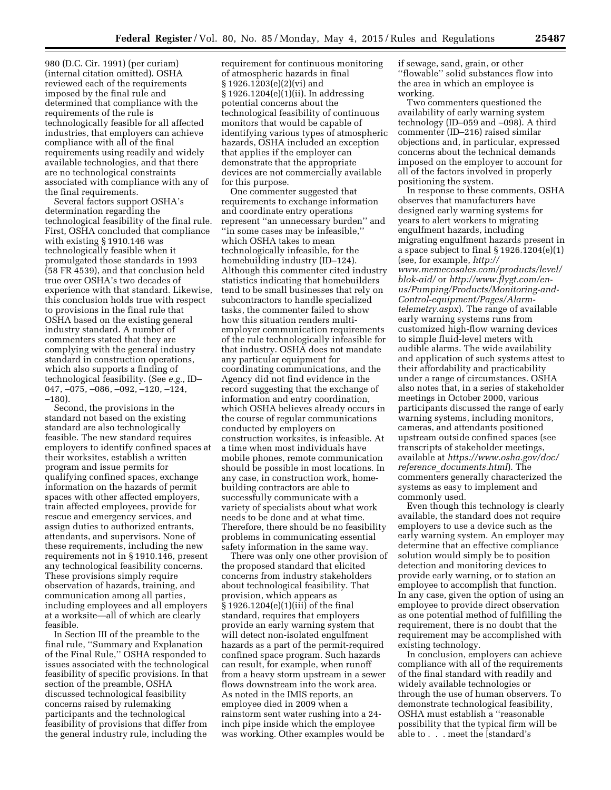980 (D.C. Cir. 1991) (per curiam) (internal citation omitted). OSHA reviewed each of the requirements imposed by the final rule and determined that compliance with the requirements of the rule is technologically feasible for all affected industries, that employers can achieve compliance with all of the final requirements using readily and widely available technologies, and that there are no technological constraints associated with compliance with any of the final requirements.

Several factors support OSHA's determination regarding the technological feasibility of the final rule. First, OSHA concluded that compliance with existing § 1910.146 was technologically feasible when it promulgated those standards in 1993 (58 FR 4539), and that conclusion held true over OSHA's two decades of experience with that standard. Likewise, this conclusion holds true with respect to provisions in the final rule that OSHA based on the existing general industry standard. A number of commenters stated that they are complying with the general industry standard in construction operations, which also supports a finding of technological feasibility. (See *e.g.,* ID– 047, –075, –086, –092, –120, –124, –180).

Second, the provisions in the standard not based on the existing standard are also technologically feasible. The new standard requires employers to identify confined spaces at their worksites, establish a written program and issue permits for qualifying confined spaces, exchange information on the hazards of permit spaces with other affected employers, train affected employees, provide for rescue and emergency services, and assign duties to authorized entrants, attendants, and supervisors. None of these requirements, including the new requirements not in § 1910.146, present any technological feasibility concerns. These provisions simply require observation of hazards, training, and communication among all parties, including employees and all employers at a worksite—all of which are clearly feasible.

In Section III of the preamble to the final rule, ''Summary and Explanation of the Final Rule,'' OSHA responded to issues associated with the technological feasibility of specific provisions. In that section of the preamble, OSHA discussed technological feasibility concerns raised by rulemaking participants and the technological feasibility of provisions that differ from the general industry rule, including the

requirement for continuous monitoring of atmospheric hazards in final § 1926.1203(e)(2)(vi) and § 1926.1204(e)(1)(ii). In addressing potential concerns about the technological feasibility of continuous monitors that would be capable of identifying various types of atmospheric hazards, OSHA included an exception that applies if the employer can demonstrate that the appropriate devices are not commercially available for this purpose.

One commenter suggested that requirements to exchange information and coordinate entry operations represent ''an unnecessary burden'' and ''in some cases may be infeasible,'' which OSHA takes to mean technologically infeasible, for the homebuilding industry (ID–124). Although this commenter cited industry statistics indicating that homebuilders tend to be small businesses that rely on subcontractors to handle specialized tasks, the commenter failed to show how this situation renders multiemployer communication requirements of the rule technologically infeasible for that industry. OSHA does not mandate any particular equipment for coordinating communications, and the Agency did not find evidence in the record suggesting that the exchange of information and entry coordination, which OSHA believes already occurs in the course of regular communications conducted by employers on construction worksites, is infeasible. At a time when most individuals have mobile phones, remote communication should be possible in most locations. In any case, in construction work, homebuilding contractors are able to successfully communicate with a variety of specialists about what work needs to be done and at what time. Therefore, there should be no feasibility problems in communicating essential safety information in the same way.

There was only one other provision of the proposed standard that elicited concerns from industry stakeholders about technological feasibility. That provision, which appears as § 1926.1204(e)(1)(iii) of the final standard, requires that employers provide an early warning system that will detect non-isolated engulfment hazards as a part of the permit-required confined space program. Such hazards can result, for example, when runoff from a heavy storm upstream in a sewer flows downstream into the work area. As noted in the IMIS reports, an employee died in 2009 when a rainstorm sent water rushing into a 24 inch pipe inside which the employee was working. Other examples would be

if sewage, sand, grain, or other ''flowable'' solid substances flow into the area in which an employee is working.

Two commenters questioned the availability of early warning system technology (ID–059 and –098). A third commenter (ID–216) raised similar objections and, in particular, expressed concerns about the technical demands imposed on the employer to account for all of the factors involved in properly positioning the system.

In response to these comments, OSHA observes that manufacturers have designed early warning systems for years to alert workers to migrating engulfment hazards, including migrating engulfment hazards present in a space subject to final § 1926.1204(e)(1) (see, for example, *[http://](http://www.memecosales.com/products/level/blok-aid/) [www.memecosales.com/products/level/](http://www.memecosales.com/products/level/blok-aid/) [blok-aid/](http://www.memecosales.com/products/level/blok-aid/)* or *[http://www.flygt.com/en](http://www.flygt.com/en-us/Pumping/Products/Monitoring-and-Control-equipment/Pages/Alarm-telemetry.aspx)[us/Pumping/Products/Monitoring-and-](http://www.flygt.com/en-us/Pumping/Products/Monitoring-and-Control-equipment/Pages/Alarm-telemetry.aspx)[Control-equipment/Pages/Alarm](http://www.flygt.com/en-us/Pumping/Products/Monitoring-and-Control-equipment/Pages/Alarm-telemetry.aspx)[telemetry.aspx](http://www.flygt.com/en-us/Pumping/Products/Monitoring-and-Control-equipment/Pages/Alarm-telemetry.aspx)*). The range of available early warning systems runs from customized high-flow warning devices to simple fluid-level meters with audible alarms. The wide availability and application of such systems attest to their affordability and practicability under a range of circumstances. OSHA also notes that, in a series of stakeholder meetings in October 2000, various participants discussed the range of early warning systems, including monitors, cameras, and attendants positioned upstream outside confined spaces (see transcripts of stakeholder meetings, available at *[https://www.osha.gov/doc/](https://www.osha.gov/doc/reference_documents.html) reference*\_*[documents.html](https://www.osha.gov/doc/reference_documents.html)*). The commenters generally characterized the systems as easy to implement and commonly used.

Even though this technology is clearly available, the standard does not require employers to use a device such as the early warning system. An employer may determine that an effective compliance solution would simply be to position detection and monitoring devices to provide early warning, or to station an employee to accomplish that function. In any case, given the option of using an employee to provide direct observation as one potential method of fulfilling the requirement, there is no doubt that the requirement may be accomplished with existing technology.

In conclusion, employers can achieve compliance with all of the requirements of the final standard with readily and widely available technologies or through the use of human observers. To demonstrate technological feasibility, OSHA must establish a ''reasonable possibility that the typical firm will be able to . . . meet the [standard's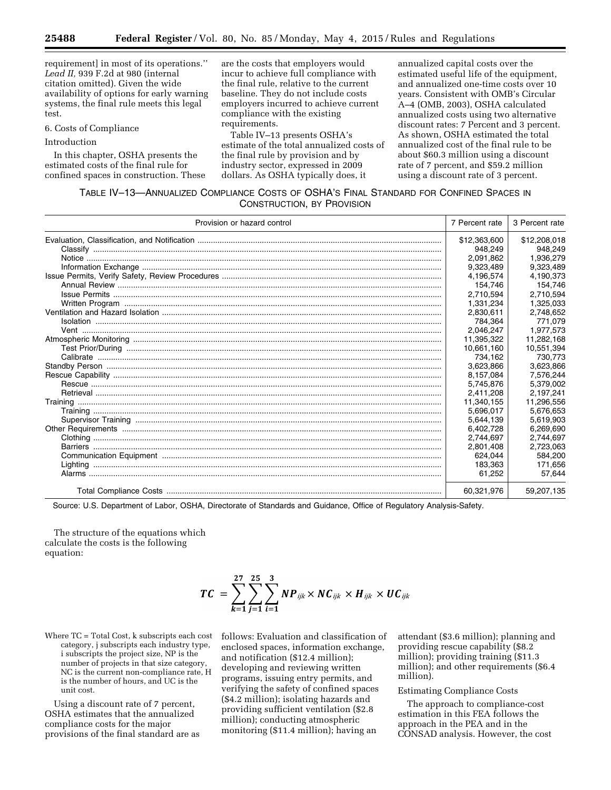requirement] in most of its operations.'' *Lead II,* 939 F.2d at 980 (internal citation omitted). Given the wide availability of options for early warning systems, the final rule meets this legal test.

6. Costs of Compliance

Introduction

In this chapter, OSHA presents the estimated costs of the final rule for confined spaces in construction. These

are the costs that employers would incur to achieve full compliance with the final rule, relative to the current baseline. They do not include costs employers incurred to achieve current compliance with the existing requirements.

Table IV–13 presents OSHA's estimate of the total annualized costs of the final rule by provision and by industry sector, expressed in 2009 dollars. As OSHA typically does, it

annualized capital costs over the estimated useful life of the equipment, and annualized one-time costs over 10 years. Consistent with OMB's Circular A–4 (OMB, 2003), OSHA calculated annualized costs using two alternative discount rates: 7 Percent and 3 percent. As shown, OSHA estimated the total annualized cost of the final rule to be about \$60.3 million using a discount rate of 7 percent, and \$59.2 million using a discount rate of 3 percent.

# TABLE IV–13—ANNUALIZED COMPLIANCE COSTS OF OSHA'S FINAL STANDARD FOR CONFINED SPACES IN CONSTRUCTION, BY PROVISION

| Provision or hazard control | 7 Percent rate | 3 Percent rate |
|-----------------------------|----------------|----------------|
|                             | \$12,363,600   | \$12,208,018   |
|                             | 948.249        | 948.249        |
|                             | 2,091,862      | 1,936,279      |
|                             | 9,323,489      | 9,323,489      |
|                             | 4.196.574      | 4,190,373      |
|                             | 154.746        | 154,746        |
|                             | 2,710,594      | 2,710,594      |
|                             | 1,331,234      | 1,325,033      |
|                             | 2.830.611      | 2.748.652      |
|                             | 784.364        | 771.079        |
|                             | 2,046,247      | 1,977,573      |
|                             | 11,395,322     | 11,282,168     |
|                             | 10,661,160     | 10,551,394     |
|                             | 734.162        | 730.773        |
|                             | 3,623,866      | 3,623,866      |
|                             | 8,157,084      | 7,576,244      |
|                             | 5,745,876      | 5,379,002      |
|                             | 2,411,208      | 2,197,241      |
|                             | 11,340,155     | 11,296,556     |
|                             | 5,696,017      | 5,676,653      |
|                             | 5,644,139      | 5,619,903      |
|                             | 6,402,728      | 6,269,690      |
|                             | 2,744,697      | 2,744,697      |
|                             | 2,801,408      | 2,723,063      |
|                             | 624.044        | 584.200        |
|                             | 183,363        | 171.656        |
|                             | 61,252         | 57.644         |
|                             | 60,321,976     | 59,207,135     |

Source: U.S. Department of Labor, OSHA, Directorate of Standards and Guidance, Office of Regulatory Analysis-Safety.

The structure of the equations which calculate the costs is the following equation:

$$
TC = \sum_{k=1}^{27} \sum_{j=1}^{25} \sum_{i=1}^{3} NP_{ijk} \times NC_{ijk} \times H_{ijk} \times UC_{ijk}
$$

Where TC = Total Cost, k subscripts each cost category, j subscripts each industry type, i subscripts the project size, NP is the number of projects in that size category, NC is the current non-compliance rate, H is the number of hours, and UC is the unit cost.

Using a discount rate of 7 percent, OSHA estimates that the annualized compliance costs for the major provisions of the final standard are as follows: Evaluation and classification of enclosed spaces, information exchange, and notification (\$12.4 million); developing and reviewing written programs, issuing entry permits, and verifying the safety of confined spaces (\$4.2 million); isolating hazards and providing sufficient ventilation (\$2.8 million); conducting atmospheric monitoring (\$11.4 million); having an

attendant (\$3.6 million); planning and providing rescue capability (\$8.2 million); providing training (\$11.3 million); and other requirements (\$6.4 million).

#### Estimating Compliance Costs

The approach to compliance-cost estimation in this FEA follows the approach in the PEA and in the CONSAD analysis. However, the cost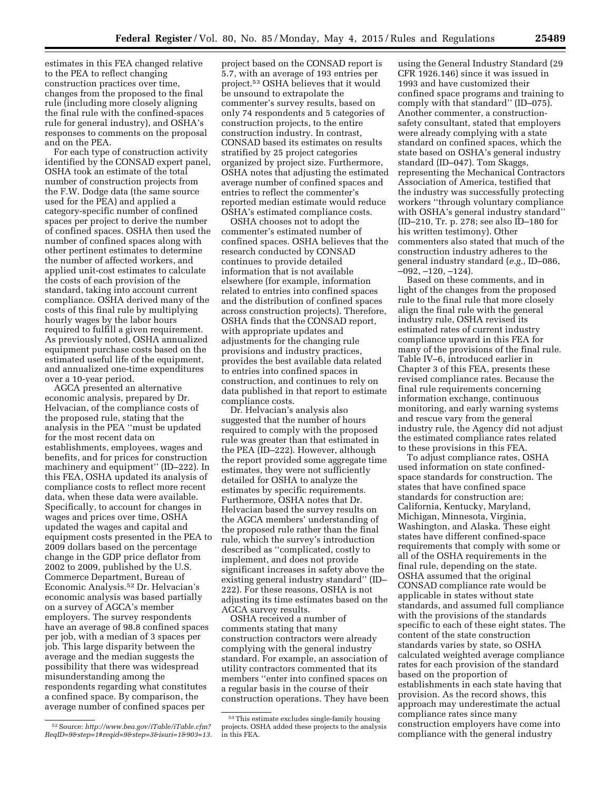estimates in this FEA changed relative to the PEA to reflect changing construction practices over time, changes from the proposed to the final rule (including more closely aligning the final rule with the confined-spaces rule for general industry), and OSHA's responses to comments on the proposal and on the PEA.

For each type of construction activity identified by the CONSAD expert panel, OSHA took an estimate of the total number of construction projects from the F.W. Dodge data (the same source used for the PEA) and applied a category-specific number of confined spaces per project to derive the number of confined spaces. OSHA then used the number of confined spaces along with other pertinent estimates to determine the number of affected workers, and applied unit-cost estimates to calculate the costs of each provision of the standard, taking into account current compliance. OSHA derived many of the costs of this final rule by multiplying hourly wages by the labor hours required to fulfill a given requirement. As previously noted, OSHA annualized equipment purchase costs based on the estimated useful life of the equipment, and annualized one-time expenditures over a 10-year period.

AGCA presented an alternative economic analysis, prepared by Dr. Helvacian, of the compliance costs of the proposed rule, stating that the analysis in the PEA ''must be updated for the most recent data on establishments, employees, wages and benefits, and for prices for construction machinery and equipment'' (ID–222). In this FEA, OSHA updated its analysis of compliance costs to reflect more recent data, when these data were available. Specifically, to account for changes in wages and prices over time, OSHA updated the wages and capital and equipment costs presented in the PEA to 2009 dollars based on the percentage change in the GDP price deflator from 2002 to 2009, published by the U.S. Commerce Department, Bureau of Economic Analysis.52 Dr. Helvacian's economic analysis was based partially on a survey of AGCA's member employers. The survey respondents have an average of 98.8 confined spaces per job, with a median of 3 spaces per job. This large disparity between the average and the median suggests the possibility that there was widespread misunderstanding among the respondents regarding what constitutes a confined space. By comparison, the average number of confined spaces per

project based on the CONSAD report is 5.7, with an average of 193 entries per project.53 OSHA believes that it would be unsound to extrapolate the commenter's survey results, based on only 74 respondents and 5 categories of construction projects, to the entire construction industry. In contrast, CONSAD based its estimates on results stratified by 25 project categories organized by project size. Furthermore, OSHA notes that adjusting the estimated average number of confined spaces and entries to reflect the commenter's reported median estimate would reduce OSHA's estimated compliance costs.

OSHA chooses not to adopt the commenter's estimated number of confined spaces. OSHA believes that the research conducted by CONSAD continues to provide detailed information that is not available elsewhere (for example, information related to entries into confined spaces and the distribution of confined spaces across construction projects). Therefore, OSHA finds that the CONSAD report, with appropriate updates and adjustments for the changing rule provisions and industry practices, provides the best available data related to entries into confined spaces in construction, and continues to rely on data published in that report to estimate compliance costs.

Dr. Helvacian's analysis also suggested that the number of hours required to comply with the proposed rule was greater than that estimated in the PEA (ID–222). However, although the report provided some aggregate time estimates, they were not sufficiently detailed for OSHA to analyze the estimates by specific requirements. Furthermore, OSHA notes that Dr. Helvacian based the survey results on the AGCA members' understanding of the proposed rule rather than the final rule, which the survey's introduction described as ''complicated, costly to implement, and does not provide significant increases in safety above the existing general industry standard'' (ID– 222). For these reasons, OSHA is not adjusting its time estimates based on the AGCA survey results.

OSHA received a number of comments stating that many construction contractors were already complying with the general industry standard. For example, an association of utility contractors commented that its members ''enter into confined spaces on a regular basis in the course of their construction operations. They have been

using the General Industry Standard (29 CFR 1926.146) since it was issued in 1993 and have customized their confined space programs and training to comply with that standard'' (ID–075). Another commenter, a constructionsafety consultant, stated that employers were already complying with a state standard on confined spaces, which the state based on OSHA's general industry standard (ID–047). Tom Skaggs, representing the Mechanical Contractors Association of America, testified that the industry was successfully protecting workers ''through voluntary compliance with OSHA's general industry standard'' (ID–210, Tr. p. 278; see also ID–180 for his written testimony). Other commenters also stated that much of the construction industry adheres to the general industry standard (*e.g.,* ID–086,  $-092, -120, -124$ 

Based on these comments, and in light of the changes from the proposed rule to the final rule that more closely align the final rule with the general industry rule, OSHA revised its estimated rates of current industry compliance upward in this FEA for many of the provisions of the final rule. Table IV–6, introduced earlier in Chapter 3 of this FEA, presents these revised compliance rates. Because the final rule requirements concerning information exchange, continuous monitoring, and early warning systems and rescue vary from the general industry rule, the Agency did not adjust the estimated compliance rates related to these provisions in this FEA.

To adjust compliance rates, OSHA used information on state confinedspace standards for construction. The states that have confined space standards for construction are: California, Kentucky, Maryland, Michigan, Minnesota, Virginia, Washington, and Alaska. These eight states have different confined-space requirements that comply with some or all of the OSHA requirements in the final rule, depending on the state. OSHA assumed that the original CONSAD compliance rate would be applicable in states without state standards, and assumed full compliance with the provisions of the standards specific to each of these eight states. The content of the state construction standards varies by state, so OSHA calculated weighted average compliance rates for each provision of the standard based on the proportion of establishments in each state having that provision. As the record shows, this approach may underestimate the actual compliance rates since many construction employers have come into compliance with the general industry

<sup>52</sup>Source: *[http://www.bea.gov/iTable/iTable.cfm?](http://www.bea.gov/iTable/iTable.cfm?ReqID=9&step=1#reqid=9&step=3&isuri=1&903=13) [ReqID=9&step=1#reqid=9&step=3&isuri=1&903=13.](http://www.bea.gov/iTable/iTable.cfm?ReqID=9&step=1#reqid=9&step=3&isuri=1&903=13)* 

<sup>53</sup>This estimate excludes single-family housing projects. OSHA added these projects to the analysis in this FEA.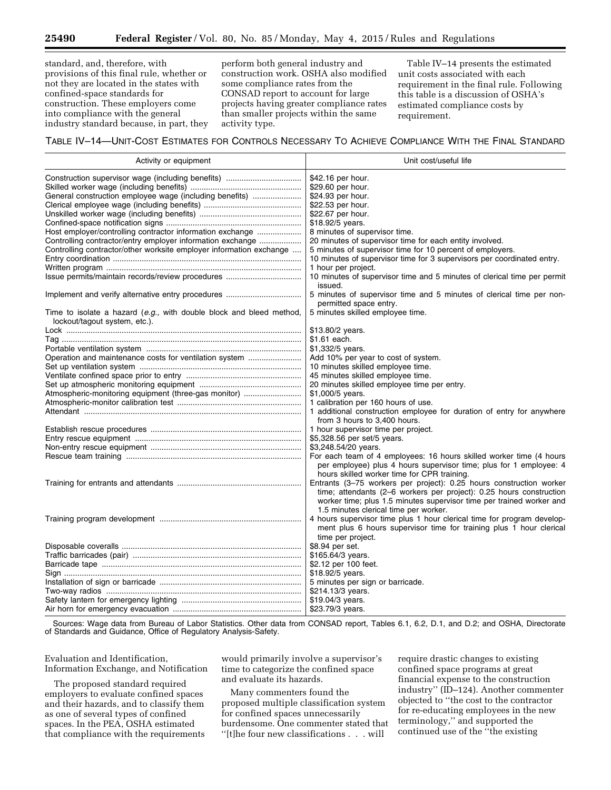standard, and, therefore, with provisions of this final rule, whether or not they are located in the states with confined-space standards for construction. These employers come into compliance with the general industry standard because, in part, they

perform both general industry and construction work. OSHA also modified some compliance rates from the CONSAD report to account for large projects having greater compliance rates than smaller projects within the same activity type.

Table IV–14 presents the estimated unit costs associated with each requirement in the final rule. Following this table is a discussion of OSHA's estimated compliance costs by requirement.

TABLE IV–14—UNIT-COST ESTIMATES FOR CONTROLS NECESSARY TO ACHIEVE COMPLIANCE WITH THE FINAL STANDARD

| Activity or equipment                                                                                                                                                                                                                                     | Unit cost/useful life                                                                                                                                                                                                                                                                                                                                                               |
|-----------------------------------------------------------------------------------------------------------------------------------------------------------------------------------------------------------------------------------------------------------|-------------------------------------------------------------------------------------------------------------------------------------------------------------------------------------------------------------------------------------------------------------------------------------------------------------------------------------------------------------------------------------|
| General construction employee wage (including benefits)<br>Host employer/controlling contractor information exchange<br>Controlling contractor/entry employer information exchange<br>Controlling contractor/other worksite employer information exchange | \$42.16 per hour.<br>\$29.60 per hour.<br>\$24.93 per hour.<br>\$22.53 per hour.<br>\$22.67 per hour.<br>\$18.92/5 years.<br>8 minutes of supervisor time.<br>20 minutes of supervisor time for each entity involved.<br>5 minutes of supervisor time for 10 percent of employers.<br>10 minutes of supervisor time for 3 supervisors per coordinated entry.<br>1 hour per project. |
| Issue permits/maintain records/review procedures<br>Time to isolate a hazard (e.g., with double block and bleed method,                                                                                                                                   | 10 minutes of supervisor time and 5 minutes of clerical time per permit<br>issued.<br>5 minutes of supervisor time and 5 minutes of clerical time per non-<br>permitted space entry.<br>5 minutes skilled employee time.                                                                                                                                                            |
| lockout/tagout system, etc.).<br>Operation and maintenance costs for ventilation system<br>Atmospheric-monitoring equipment (three-gas monitor)                                                                                                           | \$13.80/2 years.<br>\$1.61 each.<br>\$1,332/5 years.<br>Add 10% per year to cost of system.<br>10 minutes skilled employee time.<br>45 minutes skilled employee time.<br>20 minutes skilled employee time per entry.<br>\$1,000/5 years.<br>1 calibration per 160 hours of use.<br>1 additional construction employee for duration of entry for anywhere                            |
|                                                                                                                                                                                                                                                           | from 3 hours to 3,400 hours.<br>1 hour supervisor time per project.<br>\$5,328.56 per set/5 years.<br>\$3,248.54/20 years.<br>For each team of 4 employees: 16 hours skilled worker time (4 hours                                                                                                                                                                                   |
|                                                                                                                                                                                                                                                           | per employee) plus 4 hours supervisor time; plus for 1 employee: 4<br>hours skilled worker time for CPR training.<br>Entrants (3–75 workers per project): 0.25 hours construction worker<br>time; attendants (2–6 workers per project): 0.25 hours construction<br>worker time; plus 1.5 minutes supervisor time per trained worker and                                             |
|                                                                                                                                                                                                                                                           | 1.5 minutes clerical time per worker.<br>4 hours supervisor time plus 1 hour clerical time for program develop-<br>ment plus 6 hours supervisor time for training plus 1 hour clerical                                                                                                                                                                                              |
|                                                                                                                                                                                                                                                           | time per project.<br>\$8.94 per set.<br>\$165.64/3 years.<br>\$2.12 per 100 feet.<br>\$18.92/5 years.<br>5 minutes per sign or barricade.<br>\$214.13/3 years.<br>\$19.04/3 years.                                                                                                                                                                                                  |
|                                                                                                                                                                                                                                                           | \$23.79/3 years.                                                                                                                                                                                                                                                                                                                                                                    |

Sources: Wage data from Bureau of Labor Statistics. Other data from CONSAD report, Tables 6.1, 6.2, D.1, and D.2; and OSHA, Directorate of Standards and Guidance, Office of Regulatory Analysis-Safety.

Evaluation and Identification, Information Exchange, and Notification

The proposed standard required employers to evaluate confined spaces and their hazards, and to classify them as one of several types of confined spaces. In the PEA, OSHA estimated that compliance with the requirements

would primarily involve a supervisor's time to categorize the confined space and evaluate its hazards.

Many commenters found the proposed multiple classification system for confined spaces unnecessarily burdensome. One commenter stated that ''[t]he four new classifications . . . will

require drastic changes to existing confined space programs at great financial expense to the construction industry'' (ID–124). Another commenter objected to ''the cost to the contractor for re-educating employees in the new terminology,'' and supported the continued use of the ''the existing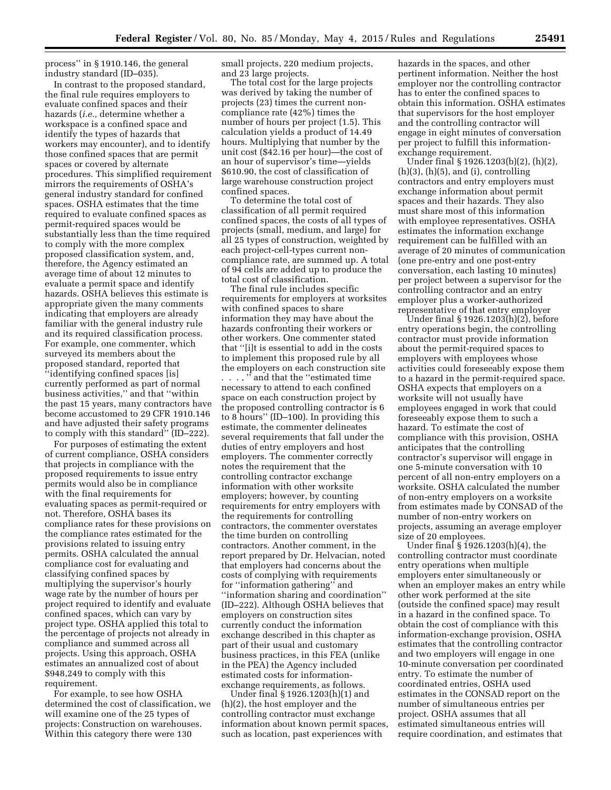process'' in § 1910.146, the general industry standard (ID–035).

In contrast to the proposed standard, the final rule requires employers to evaluate confined spaces and their hazards (*i.e.,* determine whether a workspace is a confined space and identify the types of hazards that workers may encounter), and to identify those confined spaces that are permit spaces or covered by alternate procedures. This simplified requirement mirrors the requirements of OSHA's general industry standard for confined spaces. OSHA estimates that the time required to evaluate confined spaces as permit-required spaces would be substantially less than the time required to comply with the more complex proposed classification system, and, therefore, the Agency estimated an average time of about 12 minutes to evaluate a permit space and identify hazards. OSHA believes this estimate is appropriate given the many comments indicating that employers are already familiar with the general industry rule and its required classification process. For example, one commenter, which surveyed its members about the proposed standard, reported that ''identifying confined spaces [is] currently performed as part of normal business activities,'' and that ''within the past 15 years, many contractors have become accustomed to 29 CFR 1910.146 and have adjusted their safety programs to comply with this standard'' (ID–222).

For purposes of estimating the extent of current compliance, OSHA considers that projects in compliance with the proposed requirements to issue entry permits would also be in compliance with the final requirements for evaluating spaces as permit-required or not. Therefore, OSHA bases its compliance rates for these provisions on the compliance rates estimated for the provisions related to issuing entry permits. OSHA calculated the annual compliance cost for evaluating and classifying confined spaces by multiplying the supervisor's hourly wage rate by the number of hours per project required to identify and evaluate confined spaces, which can vary by project type. OSHA applied this total to the percentage of projects not already in compliance and summed across all projects. Using this approach, OSHA estimates an annualized cost of about \$948,249 to comply with this requirement.

For example, to see how OSHA determined the cost of classification, we will examine one of the 25 types of projects: Construction on warehouses. Within this category there were 130

small projects, 220 medium projects, and 23 large projects.

The total cost for the large projects was derived by taking the number of projects (23) times the current noncompliance rate (42%) times the number of hours per project (1.5). This calculation yields a product of 14.49 hours. Multiplying that number by the unit cost (\$42.16 per hour)—the cost of an hour of supervisor's time—yields \$610.90, the cost of classification of large warehouse construction project confined spaces.

To determine the total cost of classification of all permit required confined spaces, the costs of all types of projects (small, medium, and large) for all 25 types of construction, weighted by each project-cell-types current noncompliance rate, are summed up. A total of 94 cells are added up to produce the total cost of classification.

The final rule includes specific requirements for employers at worksites with confined spaces to share information they may have about the hazards confronting their workers or other workers. One commenter stated that ''[i]t is essential to add in the costs to implement this proposed rule by all the employers on each construction site

. . . , '' and that the ''estimated time necessary to attend to each confined space on each construction project by the proposed controlling contractor is 6 to 8 hours'' (ID–100). In providing this estimate, the commenter delineates several requirements that fall under the duties of entry employers and host employers. The commenter correctly notes the requirement that the controlling contractor exchange information with other worksite employers; however, by counting requirements for entry employers with the requirements for controlling contractors, the commenter overstates the time burden on controlling contractors. Another comment, in the report prepared by Dr. Helvacian, noted that employers had concerns about the costs of complying with requirements for ''information gathering'' and ''information sharing and coordination'' (ID–222). Although OSHA believes that employers on construction sites currently conduct the information exchange described in this chapter as part of their usual and customary business practices, in this FEA (unlike in the PEA) the Agency included estimated costs for informationexchange requirements, as follows.

Under final § 1926.1203(h)(1) and (h)(2), the host employer and the controlling contractor must exchange information about known permit spaces, such as location, past experiences with

hazards in the spaces, and other pertinent information. Neither the host employer nor the controlling contractor has to enter the confined spaces to obtain this information. OSHA estimates that supervisors for the host employer and the controlling contractor will engage in eight minutes of conversation per project to fulfill this informationexchange requirement.

Under final § 1926.1203(b)(2), (h)(2),  $(h)(3)$ ,  $(h)(5)$ , and  $(i)$ , controlling contractors and entry employers must exchange information about permit spaces and their hazards. They also must share most of this information with employee representatives. OSHA estimates the information exchange requirement can be fulfilled with an average of 20 minutes of communication (one pre-entry and one post-entry conversation, each lasting 10 minutes) per project between a supervisor for the controlling contractor and an entry employer plus a worker-authorized representative of that entry employer

Under final § 1926.1203(h)(2), before entry operations begin, the controlling contractor must provide information about the permit-required spaces to employers with employees whose activities could foreseeably expose them to a hazard in the permit-required space. OSHA expects that employers on a worksite will not usually have employees engaged in work that could foreseeably expose them to such a hazard. To estimate the cost of compliance with this provision, OSHA anticipates that the controlling contractor's supervisor will engage in one 5-minute conversation with 10 percent of all non-entry employers on a worksite. OSHA calculated the number of non-entry employers on a worksite from estimates made by CONSAD of the number of non-entry workers on projects, assuming an average employer size of 20 employees.

Under final § 1926.1203(h)(4), the controlling contractor must coordinate entry operations when multiple employers enter simultaneously or when an employer makes an entry while other work performed at the site (outside the confined space) may result in a hazard in the confined space. To obtain the cost of compliance with this information-exchange provision, OSHA estimates that the controlling contractor and two employers will engage in one 10-minute conversation per coordinated entry. To estimate the number of coordinated entries, OSHA used estimates in the CONSAD report on the number of simultaneous entries per project. OSHA assumes that all estimated simultaneous entries will require coordination, and estimates that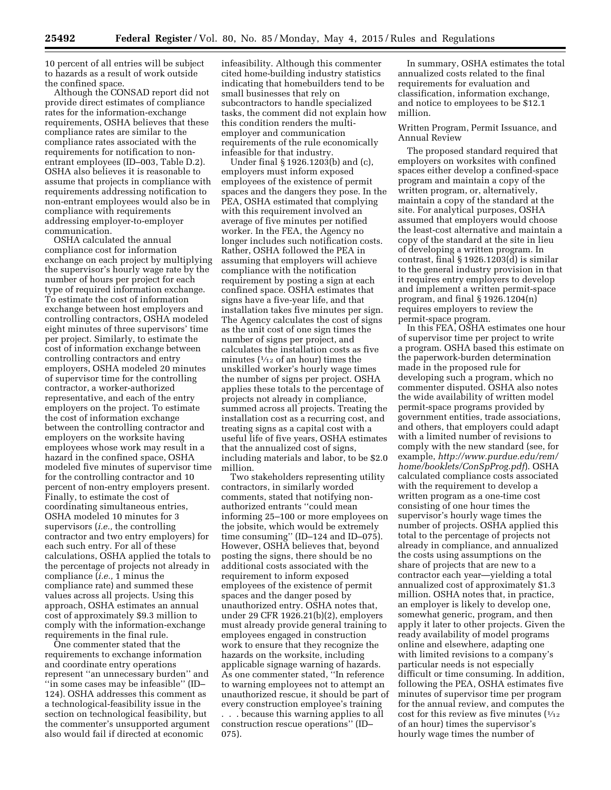10 percent of all entries will be subject to hazards as a result of work outside the confined space.

Although the CONSAD report did not provide direct estimates of compliance rates for the information-exchange requirements, OSHA believes that these compliance rates are similar to the compliance rates associated with the requirements for notification to nonentrant employees (ID–003, Table D.2). OSHA also believes it is reasonable to assume that projects in compliance with requirements addressing notification to non-entrant employees would also be in compliance with requirements addressing employer-to-employer communication.

OSHA calculated the annual compliance cost for information exchange on each project by multiplying the supervisor's hourly wage rate by the number of hours per project for each type of required information exchange. To estimate the cost of information exchange between host employers and controlling contractors, OSHA modeled eight minutes of three supervisors' time per project. Similarly, to estimate the cost of information exchange between controlling contractors and entry employers, OSHA modeled 20 minutes of supervisor time for the controlling contractor, a worker-authorized representative, and each of the entry employers on the project. To estimate the cost of information exchange between the controlling contractor and employers on the worksite having employees whose work may result in a hazard in the confined space, OSHA modeled five minutes of supervisor time for the controlling contractor and 10 percent of non-entry employers present. Finally, to estimate the cost of coordinating simultaneous entries, OSHA modeled 10 minutes for 3 supervisors (*i.e.,* the controlling contractor and two entry employers) for each such entry. For all of these calculations, OSHA applied the totals to the percentage of projects not already in compliance (*i.e.,* 1 minus the compliance rate) and summed these values across all projects. Using this approach, OSHA estimates an annual cost of approximately \$9.3 million to comply with the information-exchange requirements in the final rule.

One commenter stated that the requirements to exchange information and coordinate entry operations represent ''an unnecessary burden'' and ''in some cases may be infeasible'' (ID– 124). OSHA addresses this comment as a technological-feasibility issue in the section on technological feasibility, but the commenter's unsupported argument also would fail if directed at economic

infeasibility. Although this commenter cited home-building industry statistics indicating that homebuilders tend to be small businesses that rely on subcontractors to handle specialized tasks, the comment did not explain how this condition renders the multiemployer and communication requirements of the rule economically infeasible for that industry.

Under final § 1926.1203(b) and (c), employers must inform exposed employees of the existence of permit spaces and the dangers they pose. In the PEA, OSHA estimated that complying with this requirement involved an average of five minutes per notified worker. In the FEA, the Agency no longer includes such notification costs. Rather, OSHA followed the PEA in assuming that employers will achieve compliance with the notification requirement by posting a sign at each confined space. OSHA estimates that signs have a five-year life, and that installation takes five minutes per sign. The Agency calculates the cost of signs as the unit cost of one sign times the number of signs per project, and calculates the installation costs as five minutes  $(1/12)$  of an hour) times the unskilled worker's hourly wage times the number of signs per project. OSHA applies these totals to the percentage of projects not already in compliance, summed across all projects. Treating the installation cost as a recurring cost, and treating signs as a capital cost with a useful life of five years, OSHA estimates that the annualized cost of signs, including materials and labor, to be \$2.0 million.

Two stakeholders representing utility contractors, in similarly worded comments, stated that notifying nonauthorized entrants ''could mean informing 25–100 or more employees on the jobsite, which would be extremely time consuming'' (ID–124 and ID–075). However, OSHA believes that, beyond posting the signs, there should be no additional costs associated with the requirement to inform exposed employees of the existence of permit spaces and the danger posed by unauthorized entry. OSHA notes that, under 29 CFR 1926.21(b)(2), employers must already provide general training to employees engaged in construction work to ensure that they recognize the hazards on the worksite, including applicable signage warning of hazards. As one commenter stated, ''In reference to warning employees not to attempt an unauthorized rescue, it should be part of every construction employee's training

. . . because this warning applies to all construction rescue operations'' (ID– 075).

In summary, OSHA estimates the total annualized costs related to the final requirements for evaluation and classification, information exchange, and notice to employees to be \$12.1 million.

Written Program, Permit Issuance, and Annual Review

The proposed standard required that employers on worksites with confined spaces either develop a confined-space program and maintain a copy of the written program, or, alternatively, maintain a copy of the standard at the site. For analytical purposes, OSHA assumed that employers would choose the least-cost alternative and maintain a copy of the standard at the site in lieu of developing a written program. In contrast, final § 1926.1203(d) is similar to the general industry provision in that it requires entry employers to develop and implement a written permit-space program, and final § 1926.1204(n) requires employers to review the permit-space program.

In this FEA, OSHA estimates one hour of supervisor time per project to write a program. OSHA based this estimate on the paperwork-burden determination made in the proposed rule for developing such a program, which no commenter disputed. OSHA also notes the wide availability of written model permit-space programs provided by government entities, trade associations, and others, that employers could adapt with a limited number of revisions to comply with the new standard (see, for example, *[http://www.purdue.edu/rem/](http://www.purdue.edu/rem/home/booklets/ConSpProg.pdf) [home/booklets/ConSpProg.pdf](http://www.purdue.edu/rem/home/booklets/ConSpProg.pdf)*). OSHA calculated compliance costs associated with the requirement to develop a written program as a one-time cost consisting of one hour times the supervisor's hourly wage times the number of projects. OSHA applied this total to the percentage of projects not already in compliance, and annualized the costs using assumptions on the share of projects that are new to a contractor each year—yielding a total annualized cost of approximately \$1.3 million. OSHA notes that, in practice, an employer is likely to develop one, somewhat generic, program, and then apply it later to other projects. Given the ready availability of model programs online and elsewhere, adapting one with limited revisions to a company's particular needs is not especially difficult or time consuming. In addition, following the PEA, OSHA estimates five minutes of supervisor time per program for the annual review, and computes the cost for this review as five minutes  $(1/12)$ of an hour) times the supervisor's hourly wage times the number of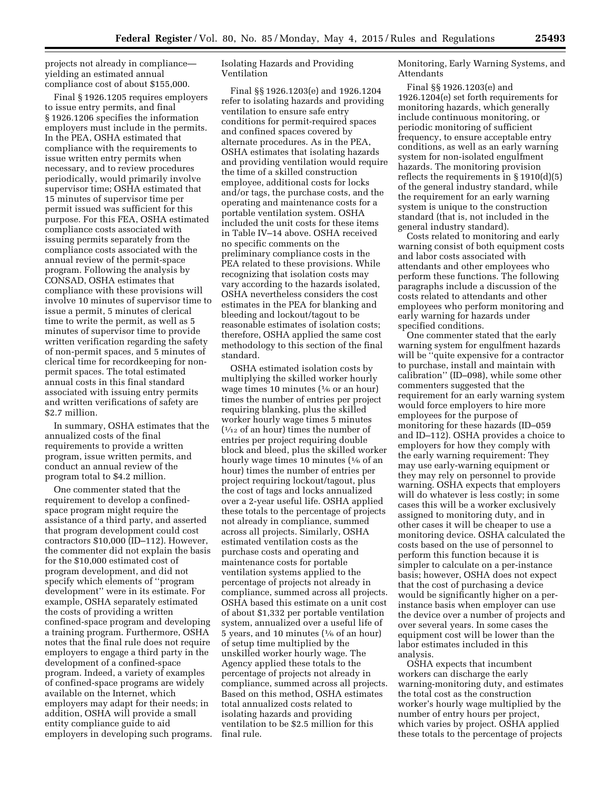projects not already in compliance yielding an estimated annual compliance cost of about \$155,000.

Final § 1926.1205 requires employers to issue entry permits, and final § 1926.1206 specifies the information employers must include in the permits. In the PEA, OSHA estimated that compliance with the requirements to issue written entry permits when necessary, and to review procedures periodically, would primarily involve supervisor time; OSHA estimated that 15 minutes of supervisor time per permit issued was sufficient for this purpose. For this FEA, OSHA estimated compliance costs associated with issuing permits separately from the compliance costs associated with the annual review of the permit-space program. Following the analysis by CONSAD, OSHA estimates that compliance with these provisions will involve 10 minutes of supervisor time to issue a permit, 5 minutes of clerical time to write the permit, as well as 5 minutes of supervisor time to provide written verification regarding the safety of non-permit spaces, and 5 minutes of clerical time for recordkeeping for nonpermit spaces. The total estimated annual costs in this final standard associated with issuing entry permits and written verifications of safety are \$2.7 million.

In summary, OSHA estimates that the annualized costs of the final requirements to provide a written program, issue written permits, and conduct an annual review of the program total to \$4.2 million.

One commenter stated that the requirement to develop a confinedspace program might require the assistance of a third party, and asserted that program development could cost contractors \$10,000 (ID–112). However, the commenter did not explain the basis for the \$10,000 estimated cost of program development, and did not specify which elements of ''program development'' were in its estimate. For example, OSHA separately estimated the costs of providing a written confined-space program and developing a training program. Furthermore, OSHA notes that the final rule does not require employers to engage a third party in the development of a confined-space program. Indeed, a variety of examples of confined-space programs are widely available on the Internet, which employers may adapt for their needs; in addition, OSHA will provide a small entity compliance guide to aid employers in developing such programs. Isolating Hazards and Providing Ventilation

Final §§ 1926.1203(e) and 1926.1204 refer to isolating hazards and providing ventilation to ensure safe entry conditions for permit-required spaces and confined spaces covered by alternate procedures. As in the PEA, OSHA estimates that isolating hazards and providing ventilation would require the time of a skilled construction employee, additional costs for locks and/or tags, the purchase costs, and the operating and maintenance costs for a portable ventilation system. OSHA included the unit costs for these items in Table IV–14 above. OSHA received no specific comments on the preliminary compliance costs in the PEA related to these provisions. While recognizing that isolation costs may vary according to the hazards isolated, OSHA nevertheless considers the cost estimates in the PEA for blanking and bleeding and lockout/tagout to be reasonable estimates of isolation costs; therefore, OSHA applied the same cost methodology to this section of the final standard.

OSHA estimated isolation costs by multiplying the skilled worker hourly wage times 10 minutes  $(1)$  or an hour) times the number of entries per project requiring blanking, plus the skilled worker hourly wage times 5 minutes  $(1/12)$  of an hour) times the number of entries per project requiring double block and bleed, plus the skilled worker hourly wage times 10 minutes ( $\frac{1}{6}$  of an hour) times the number of entries per project requiring lockout/tagout, plus the cost of tags and locks annualized over a 2-year useful life. OSHA applied these totals to the percentage of projects not already in compliance, summed across all projects. Similarly, OSHA estimated ventilation costs as the purchase costs and operating and maintenance costs for portable ventilation systems applied to the percentage of projects not already in compliance, summed across all projects. OSHA based this estimate on a unit cost of about \$1,332 per portable ventilation system, annualized over a useful life of 5 years, and 10 minutes (1⁄6 of an hour) of setup time multiplied by the unskilled worker hourly wage. The Agency applied these totals to the percentage of projects not already in compliance, summed across all projects. Based on this method, OSHA estimates total annualized costs related to isolating hazards and providing ventilation to be \$2.5 million for this final rule.

Monitoring, Early Warning Systems, and Attendants

Final §§ 1926.1203(e) and 1926.1204(e) set forth requirements for monitoring hazards, which generally include continuous monitoring, or periodic monitoring of sufficient frequency, to ensure acceptable entry conditions, as well as an early warning system for non-isolated engulfment hazards. The monitoring provision reflects the requirements in § 1910(d)(5) of the general industry standard, while the requirement for an early warning system is unique to the construction standard (that is, not included in the general industry standard).

Costs related to monitoring and early warning consist of both equipment costs and labor costs associated with attendants and other employees who perform these functions. The following paragraphs include a discussion of the costs related to attendants and other employees who perform monitoring and early warning for hazards under specified conditions.

One commenter stated that the early warning system for engulfment hazards will be ''quite expensive for a contractor to purchase, install and maintain with calibration'' (ID–098), while some other commenters suggested that the requirement for an early warning system would force employers to hire more employees for the purpose of monitoring for these hazards (ID–059 and ID–112). OSHA provides a choice to employers for how they comply with the early warning requirement: They may use early-warning equipment or they may rely on personnel to provide warning. OSHA expects that employers will do whatever is less costly; in some cases this will be a worker exclusively assigned to monitoring duty, and in other cases it will be cheaper to use a monitoring device. OSHA calculated the costs based on the use of personnel to perform this function because it is simpler to calculate on a per-instance basis; however, OSHA does not expect that the cost of purchasing a device would be significantly higher on a perinstance basis when employer can use the device over a number of projects and over several years. In some cases the equipment cost will be lower than the labor estimates included in this analysis.

OSHA expects that incumbent workers can discharge the early warning-monitoring duty, and estimates the total cost as the construction worker's hourly wage multiplied by the number of entry hours per project, which varies by project. OSHA applied these totals to the percentage of projects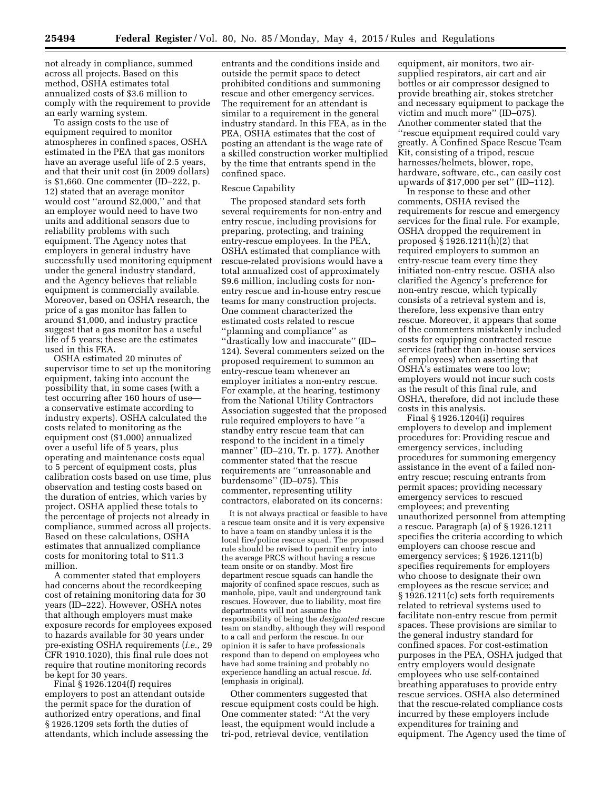not already in compliance, summed across all projects. Based on this method, OSHA estimates total annualized costs of \$3.6 million to comply with the requirement to provide an early warning system.

To assign costs to the use of equipment required to monitor atmospheres in confined spaces, OSHA estimated in the PEA that gas monitors have an average useful life of 2.5 years, and that their unit cost (in 2009 dollars) is \$1,660. One commenter (ID–222, p. 12) stated that an average monitor would cost ''around \$2,000,'' and that an employer would need to have two units and additional sensors due to reliability problems with such equipment. The Agency notes that employers in general industry have successfully used monitoring equipment under the general industry standard, and the Agency believes that reliable equipment is commercially available. Moreover, based on OSHA research, the price of a gas monitor has fallen to around \$1,000, and industry practice suggest that a gas monitor has a useful life of 5 years; these are the estimates used in this FEA.

OSHA estimated 20 minutes of supervisor time to set up the monitoring equipment, taking into account the possibility that, in some cases (with a test occurring after 160 hours of use a conservative estimate according to industry experts). OSHA calculated the costs related to monitoring as the equipment cost (\$1,000) annualized over a useful life of 5 years, plus operating and maintenance costs equal to 5 percent of equipment costs, plus calibration costs based on use time, plus observation and testing costs based on the duration of entries, which varies by project. OSHA applied these totals to the percentage of projects not already in compliance, summed across all projects. Based on these calculations, OSHA estimates that annualized compliance costs for monitoring total to \$11.3 million.

A commenter stated that employers had concerns about the recordkeeping cost of retaining monitoring data for 30 years (ID–222). However, OSHA notes that although employers must make exposure records for employees exposed to hazards available for 30 years under pre-existing OSHA requirements (*i.e.,* 29 CFR 1910.1020), this final rule does not require that routine monitoring records be kept for 30 years.

Final § 1926.1204(f) requires employers to post an attendant outside the permit space for the duration of authorized entry operations, and final § 1926.1209 sets forth the duties of attendants, which include assessing the

entrants and the conditions inside and outside the permit space to detect prohibited conditions and summoning rescue and other emergency services. The requirement for an attendant is similar to a requirement in the general industry standard. In this FEA, as in the PEA, OSHA estimates that the cost of posting an attendant is the wage rate of a skilled construction worker multiplied by the time that entrants spend in the confined space.

#### Rescue Capability

The proposed standard sets forth several requirements for non-entry and entry rescue, including provisions for preparing, protecting, and training entry-rescue employees. In the PEA, OSHA estimated that compliance with rescue-related provisions would have a total annualized cost of approximately \$9.6 million, including costs for nonentry rescue and in-house entry rescue teams for many construction projects. One comment characterized the estimated costs related to rescue ''planning and compliance'' as ''drastically low and inaccurate'' (ID– 124). Several commenters seized on the proposed requirement to summon an entry-rescue team whenever an employer initiates a non-entry rescue. For example, at the hearing, testimony from the National Utility Contractors Association suggested that the proposed rule required employers to have ''a standby entry rescue team that can respond to the incident in a timely manner'' (ID–210, Tr. p. 177). Another commenter stated that the rescue requirements are ''unreasonable and burdensome'' (ID–075). This commenter, representing utility contractors, elaborated on its concerns:

It is not always practical or feasible to have a rescue team onsite and it is very expensive to have a team on standby unless it is the local fire/police rescue squad. The proposed rule should be revised to permit entry into the average PRCS without having a rescue team onsite or on standby. Most fire department rescue squads can handle the majority of confined space rescues, such as manhole, pipe, vault and underground tank rescues. However, due to liability, most fire departments will not assume the responsibility of being the *designated* rescue team on standby, although they will respond to a call and perform the rescue. In our opinion it is safer to have professionals respond than to depend on employees who have had some training and probably no experience handling an actual rescue. *Id.*  (emphasis in original).

Other commenters suggested that rescue equipment costs could be high. One commenter stated: ''At the very least, the equipment would include a tri-pod, retrieval device, ventilation

equipment, air monitors, two airsupplied respirators, air cart and air bottles or air compressor designed to provide breathing air, stokes stretcher and necessary equipment to package the victim and much more'' (ID–075). Another commenter stated that the ''rescue equipment required could vary greatly. A Confined Space Rescue Team Kit, consisting of a tripod, rescue harnesses/helmets, blower, rope, hardware, software, etc., can easily cost upwards of \$17,000 per set'' (ID–112).

In response to these and other comments, OSHA revised the requirements for rescue and emergency services for the final rule. For example, OSHA dropped the requirement in proposed § 1926.1211(h)(2) that required employers to summon an entry-rescue team every time they initiated non-entry rescue. OSHA also clarified the Agency's preference for non-entry rescue, which typically consists of a retrieval system and is, therefore, less expensive than entry rescue. Moreover, it appears that some of the commenters mistakenly included costs for equipping contracted rescue services (rather than in-house services of employees) when asserting that OSHA's estimates were too low; employers would not incur such costs as the result of this final rule, and OSHA, therefore, did not include these costs in this analysis.

Final § 1926.1204(i) requires employers to develop and implement procedures for: Providing rescue and emergency services, including procedures for summoning emergency assistance in the event of a failed nonentry rescue; rescuing entrants from permit spaces; providing necessary emergency services to rescued employees; and preventing unauthorized personnel from attempting a rescue. Paragraph (a) of § 1926.1211 specifies the criteria according to which employers can choose rescue and emergency services; § 1926.1211(b) specifies requirements for employers who choose to designate their own employees as the rescue service; and § 1926.1211(c) sets forth requirements related to retrieval systems used to facilitate non-entry rescue from permit spaces. These provisions are similar to the general industry standard for confined spaces. For cost-estimation purposes in the PEA, OSHA judged that entry employers would designate employees who use self-contained breathing apparatuses to provide entry rescue services. OSHA also determined that the rescue-related compliance costs incurred by these employers include expenditures for training and equipment. The Agency used the time of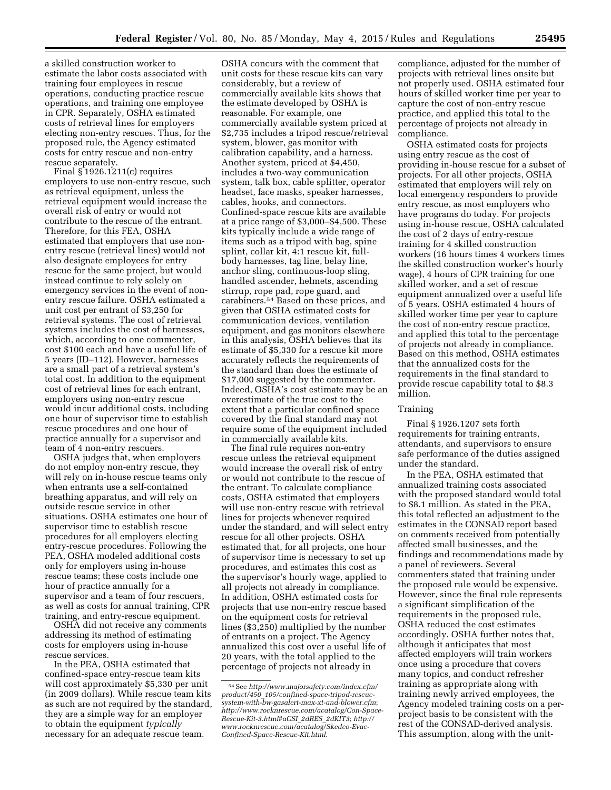a skilled construction worker to estimate the labor costs associated with training four employees in rescue operations, conducting practice rescue operations, and training one employee in CPR. Separately, OSHA estimated costs of retrieval lines for employers electing non-entry rescues. Thus, for the proposed rule, the Agency estimated costs for entry rescue and non-entry rescue separately.

Final § 1926.1211(c) requires employers to use non-entry rescue, such as retrieval equipment, unless the retrieval equipment would increase the overall risk of entry or would not contribute to the rescue of the entrant. Therefore, for this FEA, OSHA estimated that employers that use nonentry rescue (retrieval lines) would not also designate employees for entry rescue for the same project, but would instead continue to rely solely on emergency services in the event of nonentry rescue failure. OSHA estimated a unit cost per entrant of \$3,250 for retrieval systems. The cost of retrieval systems includes the cost of harnesses, which, according to one commenter, cost \$100 each and have a useful life of 5 years (ID–112). However, harnesses are a small part of a retrieval system's total cost. In addition to the equipment cost of retrieval lines for each entrant, employers using non-entry rescue would incur additional costs, including one hour of supervisor time to establish rescue procedures and one hour of practice annually for a supervisor and team of 4 non-entry rescuers.

OSHA judges that, when employers do not employ non-entry rescue, they will rely on in-house rescue teams only when entrants use a self-contained breathing apparatus, and will rely on outside rescue service in other situations. OSHA estimates one hour of supervisor time to establish rescue procedures for all employers electing entry-rescue procedures. Following the PEA, OSHA modeled additional costs only for employers using in-house rescue teams; these costs include one hour of practice annually for a supervisor and a team of four rescuers, as well as costs for annual training, CPR training, and entry-rescue equipment.

OSHA did not receive any comments addressing its method of estimating costs for employers using in-house rescue services.

In the PEA, OSHA estimated that confined-space entry-rescue team kits will cost approximately \$5,330 per unit (in 2009 dollars). While rescue team kits as such are not required by the standard, they are a simple way for an employer to obtain the equipment *typically*  necessary for an adequate rescue team.

OSHA concurs with the comment that unit costs for these rescue kits can vary considerably, but a review of commercially available kits shows that the estimate developed by OSHA is reasonable. For example, one commercially available system priced at \$2,735 includes a tripod rescue/retrieval system, blower, gas monitor with calibration capability, and a harness. Another system, priced at \$4,450, includes a two-way communication system, talk box, cable splitter, operator headset, face masks, speaker harnesses, cables, hooks, and connectors. Confined-space rescue kits are available at a price range of \$3,000–\$4,500. These kits typically include a wide range of items such as a tripod with bag, spine splint, collar kit, 4:1 rescue kit, fullbody harnesses, tag line, belay line, anchor sling, continuous-loop sling, handled ascender, helmets, ascending stirrup, rope pad, rope guard, and carabiners.54 Based on these prices, and given that OSHA estimated costs for communication devices, ventilation equipment, and gas monitors elsewhere in this analysis, OSHA believes that its estimate of \$5,330 for a rescue kit more accurately reflects the requirements of the standard than does the estimate of \$17,000 suggested by the commenter. Indeed, OSHA's cost estimate may be an overestimate of the true cost to the extent that a particular confined space covered by the final standard may not require some of the equipment included in commercially available kits.

The final rule requires non-entry rescue unless the retrieval equipment would increase the overall risk of entry or would not contribute to the rescue of the entrant. To calculate compliance costs, OSHA estimated that employers will use non-entry rescue with retrieval lines for projects whenever required under the standard, and will select entry rescue for all other projects. OSHA estimated that, for all projects, one hour of supervisor time is necessary to set up procedures, and estimates this cost as the supervisor's hourly wage, applied to all projects not already in compliance. In addition, OSHA estimated costs for projects that use non-entry rescue based on the equipment costs for retrieval lines (\$3,250) multiplied by the number of entrants on a project. The Agency annualized this cost over a useful life of 20 years, with the total applied to the percentage of projects not already in

compliance, adjusted for the number of projects with retrieval lines onsite but not properly used. OSHA estimated four hours of skilled worker time per year to capture the cost of non-entry rescue practice, and applied this total to the percentage of projects not already in compliance.

OSHA estimated costs for projects using entry rescue as the cost of providing in-house rescue for a subset of projects. For all other projects, OSHA estimated that employers will rely on local emergency responders to provide entry rescue, as most employers who have programs do today. For projects using in-house rescue, OSHA calculated the cost of 2 days of entry-rescue training for 4 skilled construction workers (16 hours times 4 workers times the skilled construction worker's hourly wage), 4 hours of CPR training for one skilled worker, and a set of rescue equipment annualized over a useful life of 5 years. OSHA estimated 4 hours of skilled worker time per year to capture the cost of non-entry rescue practice, and applied this total to the percentage of projects not already in compliance. Based on this method, OSHA estimates that the annualized costs for the requirements in the final standard to provide rescue capability total to \$8.3 million.

### Training

Final § 1926.1207 sets forth requirements for training entrants, attendants, and supervisors to ensure safe performance of the duties assigned under the standard.

In the PEA, OSHA estimated that annualized training costs associated with the proposed standard would total to \$8.1 million. As stated in the PEA, this total reflected an adjustment to the estimates in the CONSAD report based on comments received from potentially affected small businesses, and the findings and recommendations made by a panel of reviewers. Several commenters stated that training under the proposed rule would be expensive. However, since the final rule represents a significant simplification of the requirements in the proposed rule, OSHA reduced the cost estimates accordingly. OSHA further notes that, although it anticipates that most affected employers will train workers once using a procedure that covers many topics, and conduct refresher training as appropriate along with training newly arrived employees, the Agency modeled training costs on a perproject basis to be consistent with the rest of the CONSAD-derived analysis. This assumption, along with the unit-

<sup>54</sup>See *[http://www.majorsafety.com/index.cfm/](http://www.majorsafety.com/index.cfm/product/450_105/confined-space-tripod-rescue-system-with-bw-gasalert-max-xt-and-blower.cfm) product/450*\_*[105/confined-space-tripod-rescue](http://www.majorsafety.com/index.cfm/product/450_105/confined-space-tripod-rescue-system-with-bw-gasalert-max-xt-and-blower.cfm)[system-with-bw-gasalert-max-xt-and-blower.cfm](http://www.majorsafety.com/index.cfm/product/450_105/confined-space-tripod-rescue-system-with-bw-gasalert-max-xt-and-blower.cfm)*; *[http://www.rocknrescue.com/acatalog/Con-Space-](http://www.rocknrescue.com/acatalog/Con-Space-Rescue-Kit-3.html#aCSI_2dRES_2dKIT3)[Rescue-Kit-3.html#aCSI](http://www.rocknrescue.com/acatalog/Con-Space-Rescue-Kit-3.html#aCSI_2dRES_2dKIT3)*\_*2dRES*\_*2dKIT3*; *[http://](http://www.rocknrescue.com/acatalog/Skedco-Evac-Confined-Space-Rescue-Kit.html) [www.rocknrescue.com/acatalog/Skedco-Evac-](http://www.rocknrescue.com/acatalog/Skedco-Evac-Confined-Space-Rescue-Kit.html)[Confined-Space-Rescue-Kit.html](http://www.rocknrescue.com/acatalog/Skedco-Evac-Confined-Space-Rescue-Kit.html)*.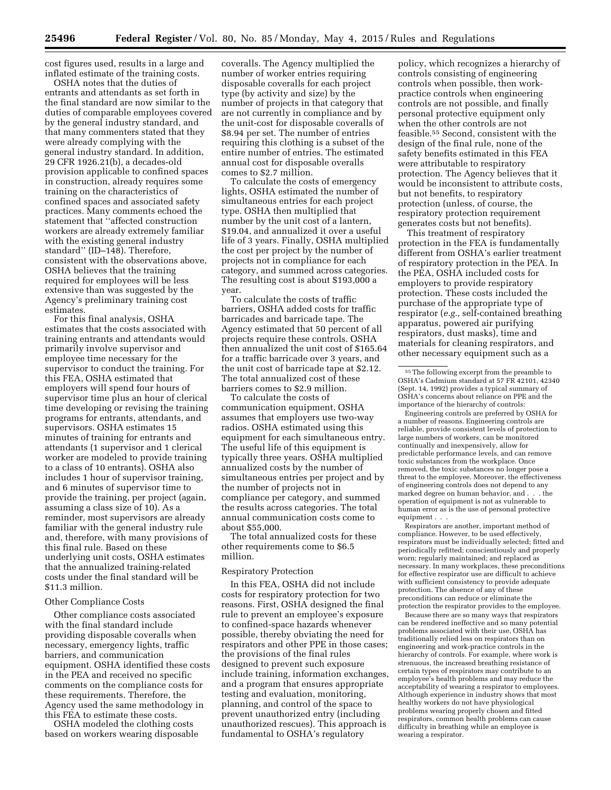cost figures used, results in a large and inflated estimate of the training costs.

OSHA notes that the duties of entrants and attendants as set forth in the final standard are now similar to the duties of comparable employees covered by the general industry standard, and that many commenters stated that they were already complying with the general industry standard. In addition, 29 CFR 1926.21(b), a decades-old provision applicable to confined spaces in construction, already requires some training on the characteristics of confined spaces and associated safety practices. Many comments echoed the statement that ''affected construction workers are already extremely familiar with the existing general industry standard'' (ID–148). Therefore, consistent with the observations above, OSHA believes that the training required for employees will be less extensive than was suggested by the Agency's preliminary training cost estimates.

For this final analysis, OSHA estimates that the costs associated with training entrants and attendants would primarily involve supervisor and employee time necessary for the supervisor to conduct the training. For this FEA, OSHA estimated that employers will spend four hours of supervisor time plus an hour of clerical time developing or revising the training programs for entrants, attendants, and supervisors. OSHA estimates 15 minutes of training for entrants and attendants (1 supervisor and 1 clerical worker are modeled to provide training to a class of 10 entrants). OSHA also includes 1 hour of supervisor training, and 6 minutes of supervisor time to provide the training, per project (again, assuming a class size of 10). As a reminder, most supervisors are already familiar with the general industry rule and, therefore, with many provisions of this final rule. Based on these underlying unit costs, OSHA estimates that the annualized training-related costs under the final standard will be \$11.3 million.

#### Other Compliance Costs

Other compliance costs associated with the final standard include providing disposable coveralls when necessary, emergency lights, traffic barriers, and communication equipment. OSHA identified these costs in the PEA and received no specific comments on the compliance costs for these requirements. Therefore, the Agency used the same methodology in this FEA to estimate these costs.

OSHA modeled the clothing costs based on workers wearing disposable

coveralls. The Agency multiplied the number of worker entries requiring disposable coveralls for each project type (by activity and size) by the number of projects in that category that are not currently in compliance and by the unit-cost for disposable coveralls of \$8.94 per set. The number of entries requiring this clothing is a subset of the entire number of entries. The estimated annual cost for disposable overalls comes to \$2.7 million.

To calculate the costs of emergency lights, OSHA estimated the number of simultaneous entries for each project type. OSHA then multiplied that number by the unit cost of a lantern, \$19.04, and annualized it over a useful life of 3 years. Finally, OSHA multiplied the cost per project by the number of projects not in compliance for each category, and summed across categories. The resulting cost is about \$193,000 a year.

To calculate the costs of traffic barriers, OSHA added costs for traffic barricades and barricade tape. The Agency estimated that 50 percent of all projects require these controls. OSHA then annualized the unit cost of \$165.64 for a traffic barricade over 3 years, and the unit cost of barricade tape at \$2.12. The total annualized cost of these barriers comes to \$2.9 million.

To calculate the costs of communication equipment, OSHA assumes that employers use two-way radios. OSHA estimated using this equipment for each simultaneous entry. The useful life of this equipment is typically three years. OSHA multiplied annualized costs by the number of simultaneous entries per project and by the number of projects not in compliance per category, and summed the results across categories. The total annual communication costs come to about \$55,000.

The total annualized costs for these other requirements come to \$6.5 million.

### Respiratory Protection

In this FEA, OSHA did not include costs for respiratory protection for two reasons. First, OSHA designed the final rule to prevent an employee's exposure to confined-space hazards whenever possible, thereby obviating the need for respirators and other PPE in those cases; the provisions of the final rules designed to prevent such exposure include training, information exchanges, and a program that ensures appropriate testing and evaluation, monitoring, planning, and control of the space to prevent unauthorized entry (including unauthorized rescues). This approach is fundamental to OSHA's regulatory

policy, which recognizes a hierarchy of controls consisting of engineering controls when possible, then workpractice controls when engineering controls are not possible, and finally personal protective equipment only when the other controls are not feasible.55 Second, consistent with the design of the final rule, none of the safety benefits estimated in this FEA were attributable to respiratory protection. The Agency believes that it would be inconsistent to attribute costs, but not benefits, to respiratory protection (unless, of course, the respiratory protection requirement generates costs but not benefits).

This treatment of respiratory protection in the FEA is fundamentally different from OSHA's earlier treatment of respiratory protection in the PEA. In the PEA, OSHA included costs for employers to provide respiratory protection. These costs included the purchase of the appropriate type of respirator (*e.g.,* self-contained breathing apparatus, powered air purifying respirators, dust masks), time and materials for cleaning respirators, and other necessary equipment such as a

Engineering controls are preferred by OSHA for a number of reasons. Engineering controls are reliable, provide consistent levels of protection to large numbers of workers, can be monitored continually and inexpensively, allow for predictable performance levels, and can remove toxic substances from the workplace. Once removed, the toxic substances no longer pose a threat to the employee. Moreover, the effectiveness of engineering controls does not depend to any marked degree on human behavior, and . . . the operation of equipment is not as vulnerable to human error as is the use of personal protective equipment . . .

Respirators are another, important method of compliance. However, to be used effectively, respirators must be individually selected; fitted and periodically refitted; conscientiously and properly worn; regularly maintained; and replaced as necessary. In many workplaces, these preconditions for effective respirator use are difficult to achieve with sufficient consistency to provide adequate protection. The absence of any of these preconditions can reduce or eliminate the protection the respirator provides to the employee.

Because there are so many ways that respirators can be rendered ineffective and so many potential problems associated with their use, OSHA has traditionally relied less on respirators than on engineering and work-practice controls in the hierarchy of controls. For example, where work is strenuous, the increased breathing resistance of certain types of respirators may contribute to an employee's health problems and may reduce the acceptability of wearing a respirator to employees. Although experience in industry shows that most healthy workers do not have physiological problems wearing properly chosen and fitted respirators, common health problems can cause difficulty in breathing while an employee is wearing a respirator.

<sup>55</sup>The following excerpt from the preamble to OSHA's Cadmium standard at 57 FR 42101, 42340 (Sept. 14, 1992) provides a typical summary of OSHA's concerns about reliance on PPE and the importance of the hierarchy of controls: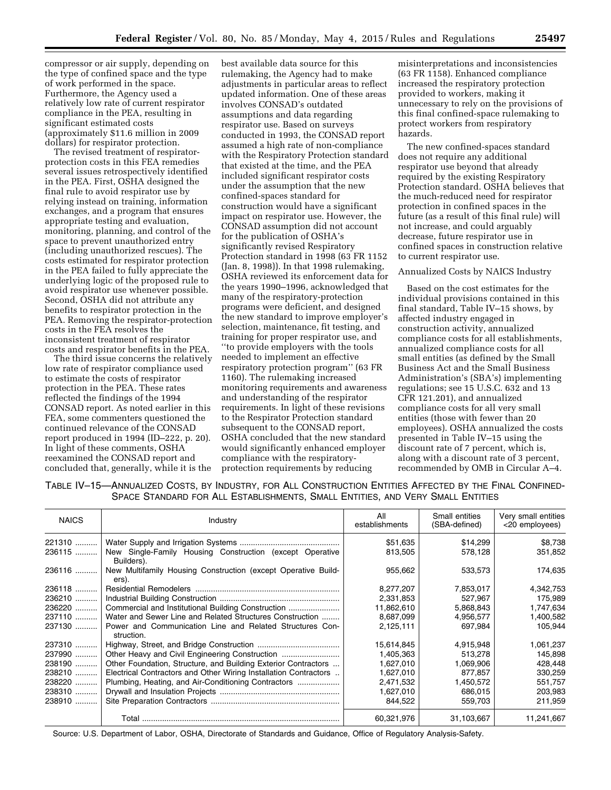compressor or air supply, depending on the type of confined space and the type of work performed in the space. Furthermore, the Agency used a relatively low rate of current respirator compliance in the PEA, resulting in significant estimated costs (approximately \$11.6 million in 2009 dollars) for respirator protection.

The revised treatment of respiratorprotection costs in this FEA remedies several issues retrospectively identified in the PEA. First, OSHA designed the final rule to avoid respirator use by relying instead on training, information exchanges, and a program that ensures appropriate testing and evaluation, monitoring, planning, and control of the space to prevent unauthorized entry (including unauthorized rescues). The costs estimated for respirator protection in the PEA failed to fully appreciate the underlying logic of the proposed rule to avoid respirator use whenever possible. Second, OSHA did not attribute any benefits to respirator protection in the PEA. Removing the respirator-protection costs in the FEA resolves the inconsistent treatment of respirator costs and respirator benefits in the PEA.

The third issue concerns the relatively low rate of respirator compliance used to estimate the costs of respirator protection in the PEA. These rates reflected the findings of the 1994 CONSAD report. As noted earlier in this FEA, some commenters questioned the continued relevance of the CONSAD report produced in 1994 (ID–222, p. 20). In light of these comments, OSHA reexamined the CONSAD report and concluded that, generally, while it is the

best available data source for this rulemaking, the Agency had to make adjustments in particular areas to reflect updated information. One of these areas involves CONSAD's outdated assumptions and data regarding respirator use. Based on surveys conducted in 1993, the CONSAD report assumed a high rate of non-compliance with the Respiratory Protection standard that existed at the time, and the PEA included significant respirator costs under the assumption that the new confined-spaces standard for construction would have a significant impact on respirator use. However, the CONSAD assumption did not account for the publication of OSHA's significantly revised Respiratory Protection standard in 1998 (63 FR 1152 (Jan. 8, 1998)). In that 1998 rulemaking, OSHA reviewed its enforcement data for the years 1990–1996, acknowledged that many of the respiratory-protection programs were deficient, and designed the new standard to improve employer's selection, maintenance, fit testing, and training for proper respirator use, and ''to provide employers with the tools needed to implement an effective respiratory protection program'' (63 FR 1160). The rulemaking increased monitoring requirements and awareness and understanding of the respirator requirements. In light of these revisions to the Respirator Protection standard subsequent to the CONSAD report, OSHA concluded that the new standard would significantly enhanced employer compliance with the respiratoryprotection requirements by reducing

misinterpretations and inconsistencies (63 FR 1158). Enhanced compliance increased the respiratory protection provided to workers, making it unnecessary to rely on the provisions of this final confined-space rulemaking to protect workers from respiratory hazards.

The new confined-spaces standard does not require any additional respirator use beyond that already required by the existing Respiratory Protection standard. OSHA believes that the much-reduced need for respirator protection in confined spaces in the future (as a result of this final rule) will not increase, and could arguably decrease, future respirator use in confined spaces in construction relative to current respirator use.

#### Annualized Costs by NAICS Industry

Based on the cost estimates for the individual provisions contained in this final standard, Table IV–15 shows, by affected industry engaged in construction activity, annualized compliance costs for all establishments, annualized compliance costs for all small entities (as defined by the Small Business Act and the Small Business Administration's (SBA's) implementing regulations; see 15 U.S.C. 632 and 13 CFR 121.201), and annualized compliance costs for all very small entities (those with fewer than 20 employees). OSHA annualized the costs presented in Table IV–15 using the discount rate of 7 percent, which is, along with a discount rate of 3 percent, recommended by OMB in Circular A–4.

| TABLE IV-15—ANNUALIZED COSTS, BY INDUSTRY, FOR ALL CONSTRUCTION ENTITIES AFFECTED BY THE FINAL CONFINED- |                                                                                |  |
|----------------------------------------------------------------------------------------------------------|--------------------------------------------------------------------------------|--|
|                                                                                                          | SPACE STANDARD FOR ALL ESTABLISHMENTS, SMALL ENTITIES, AND VERY SMALL ENTITIES |  |

| <b>NAICS</b> | Industry                                                               | All<br>establishments | Small entities<br>(SBA-defined) | Very small entities<br><20 employees) |
|--------------|------------------------------------------------------------------------|-----------------------|---------------------------------|---------------------------------------|
| 221310       |                                                                        | \$51,635              | \$14,299                        | \$8,738                               |
| 236115       | New Single-Family Housing Construction (except Operative<br>Builders). | 813,505               | 578,128                         | 351,852                               |
| 236116       | New Multifamily Housing Construction (except Operative Build-<br>ers). | 955,662               | 533,573                         | 174,635                               |
| 236118       |                                                                        | 8,277,207             | 7,853,017                       | 4,342,753                             |
| 236210       |                                                                        | 2,331,853             | 527,967                         | 175,989                               |
| 236220       |                                                                        | 11,862,610            | 5,868,843                       | 1,747,634                             |
| 237110       | Water and Sewer Line and Related Structures Construction               | 8,687,099             | 4,956,577                       | 1,400,582                             |
| 237130       | Power and Communication Line and Related Structures Con-<br>struction. | 2,125,111             | 697,984                         | 105,944                               |
| 237310       |                                                                        | 15,614,845            | 4,915,948                       | 1,061,237                             |
| 237990       |                                                                        | 1,405,363             | 513,278                         | 145,898                               |
| 238190       | Other Foundation, Structure, and Building Exterior Contractors         | 1,627,010             | 1,069,906                       | 428,448                               |
| 238210       | Electrical Contractors and Other Wiring Installation Contractors       | 1,627,010             | 877,857                         | 330,259                               |
| 238220       | Plumbing, Heating, and Air-Conditioning Contractors                    | 2,471,532             | 1,450,572                       | 551,757                               |
| 238310       |                                                                        | 1,627,010             | 686,015                         | 203,983                               |
| 238910       |                                                                        | 844,522               | 559,703                         | 211,959                               |
|              |                                                                        | 60,321,976            | 31,103,667                      | 11,241,667                            |

Source: U.S. Department of Labor, OSHA, Directorate of Standards and Guidance, Office of Regulatory Analysis-Safety.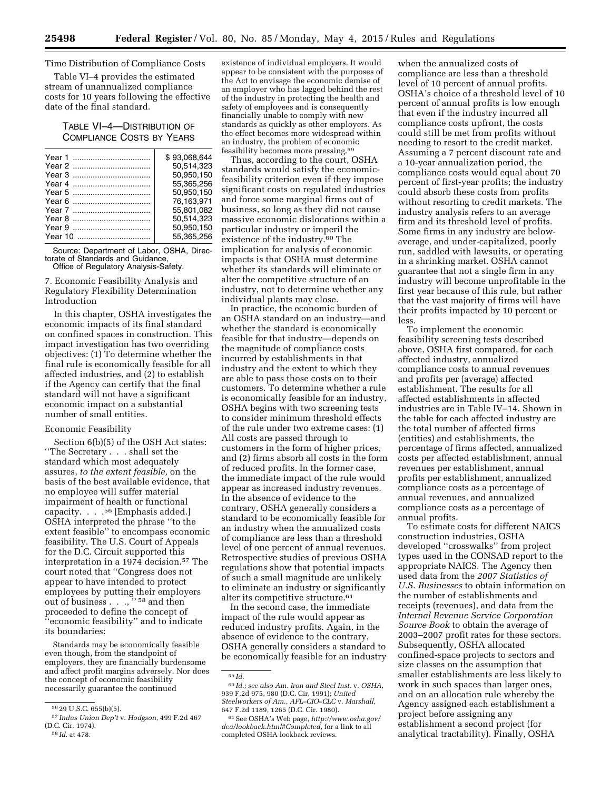Time Distribution of Compliance Costs

Table VI–4 provides the estimated stream of unannualized compliance costs for 10 years following the effective date of the final standard.

## TABLE VI–4—DISTRIBUTION OF COMPLIANCE COSTS BY YEARS

| \$93.068.644 |
|--------------|
| 50.514.323   |
| 50.950.150   |
| 55.365.256   |
| 50.950.150   |
| 76.163.971   |
| 55.801.082   |
| 50.514.323   |
| 50.950.150   |
| 55.365.256   |
|              |

Source: Department of Labor, OSHA, Directorate of Standards and Guidance, Office of Regulatory Analysis-Safety.

7. Economic Feasibility Analysis and Regulatory Flexibility Determination Introduction

In this chapter, OSHA investigates the economic impacts of its final standard on confined spaces in construction. This impact investigation has two overriding objectives: (1) To determine whether the final rule is economically feasible for all affected industries, and (2) to establish if the Agency can certify that the final standard will not have a significant economic impact on a substantial number of small entities.

### Economic Feasibility

Section 6(b)(5) of the OSH Act states: ''The Secretary . . . shall set the standard which most adequately assures, *to the extent feasible,* on the basis of the best available evidence, that no employee will suffer material impairment of health or functional capacity....56 [Emphasis added.] OSHA interpreted the phrase ''to the extent feasible'' to encompass economic feasibility. The U.S. Court of Appeals for the D.C. Circuit supported this interpretation in a 1974 decision.57 The court noted that ''Congress does not appear to have intended to protect employees by putting their employers out of business . . .,"<sup>58</sup> and then proceeded to define the concept of ''economic feasibility'' and to indicate its boundaries:

Standards may be economically feasible even though, from the standpoint of employers, they are financially burdensome and affect profit margins adversely. Nor does the concept of economic feasibility necessarily guarantee the continued

existence of individual employers. It would appear to be consistent with the purposes of the Act to envisage the economic demise of an employer who has lagged behind the rest of the industry in protecting the health and safety of employees and is consequently financially unable to comply with new standards as quickly as other employers. As the effect becomes more widespread within an industry, the problem of economic feasibility becomes more pressing.59

Thus, according to the court, OSHA standards would satisfy the economicfeasibility criterion even if they impose significant costs on regulated industries and force some marginal firms out of business, so long as they did not cause massive economic dislocations within a particular industry or imperil the existence of the industry.60 The implication for analysis of economic impacts is that OSHA must determine whether its standards will eliminate or alter the competitive structure of an industry, not to determine whether any individual plants may close.

In practice, the economic burden of an OSHA standard on an industry—and whether the standard is economically feasible for that industry—depends on the magnitude of compliance costs incurred by establishments in that industry and the extent to which they are able to pass those costs on to their customers. To determine whether a rule is economically feasible for an industry, OSHA begins with two screening tests to consider minimum threshold effects of the rule under two extreme cases: (1) All costs are passed through to customers in the form of higher prices, and (2) firms absorb all costs in the form of reduced profits. In the former case, the immediate impact of the rule would appear as increased industry revenues. In the absence of evidence to the contrary, OSHA generally considers a standard to be economically feasible for an industry when the annualized costs of compliance are less than a threshold level of one percent of annual revenues. Retrospective studies of previous OSHA regulations show that potential impacts of such a small magnitude are unlikely to eliminate an industry or significantly alter its competitive structure.61

In the second case, the immediate impact of the rule would appear as reduced industry profits. Again, in the absence of evidence to the contrary, OSHA generally considers a standard to be economically feasible for an industry

when the annualized costs of compliance are less than a threshold level of 10 percent of annual profits. OSHA's choice of a threshold level of 10 percent of annual profits is low enough that even if the industry incurred all compliance costs upfront, the costs could still be met from profits without needing to resort to the credit market. Assuming a 7 percent discount rate and a 10-year annualization period, the compliance costs would equal about 70 percent of first-year profits; the industry could absorb these costs from profits without resorting to credit markets. The industry analysis refers to an average firm and its threshold level of profits. Some firms in any industry are belowaverage, and under-capitalized, poorly run, saddled with lawsuits, or operating in a shrinking market. OSHA cannot guarantee that not a single firm in any industry will become unprofitable in the first year because of this rule, but rather that the vast majority of firms will have their profits impacted by 10 percent or less.

To implement the economic feasibility screening tests described above, OSHA first compared, for each affected industry, annualized compliance costs to annual revenues and profits per (average) affected establishment. The results for all affected establishments in affected industries are in Table IV–14. Shown in the table for each affected industry are the total number of affected firms (entities) and establishments, the percentage of firms affected, annualized costs per affected establishment, annual revenues per establishment, annual profits per establishment, annualized compliance costs as a percentage of annual revenues, and annualized compliance costs as a percentage of annual profits.

To estimate costs for different NAICS construction industries, OSHA developed ''crosswalks'' from project types used in the CONSAD report to the appropriate NAICS. The Agency then used data from the *2007 Statistics of U.S. Businesses* to obtain information on the number of establishments and receipts (revenues), and data from the *Internal Revenue Service Corporation Source Book* to obtain the average of 2003–2007 profit rates for these sectors. Subsequently, OSHA allocated confined-space projects to sectors and size classes on the assumption that smaller establishments are less likely to work in such spaces than larger ones, and on an allocation rule whereby the Agency assigned each establishment a project before assigning any establishment a second project (for analytical tractability). Finally, OSHA

<sup>56</sup> 29 U.S.C. 655(b)(5).

<sup>57</sup> *Indus Union Dep't* v. *Hodgson,* 499 F.2d 467 (D.C. Cir. 1974). 58 *Id.* at 478.

<sup>59</sup> *Id.* 

<sup>60</sup> *Id.; see also Am. Iron and Steel Inst.* v. *OSHA,*  939 F.2d 975, 980 (D.C. Cir. 1991); *United Steelworkers of Am., AFL–CIO–CLC* v. *Marshall,*  647 F.2d 1189, 1265 (D.C. Cir. 1980).

<sup>61</sup>See OSHA's Web page, *[http://www.osha.gov/](http://www.osha.gov/dea/lookback.html#Completed) [dea/lookback.html#Completed](http://www.osha.gov/dea/lookback.html#Completed)*, for a link to all completed OSHA lookback reviews.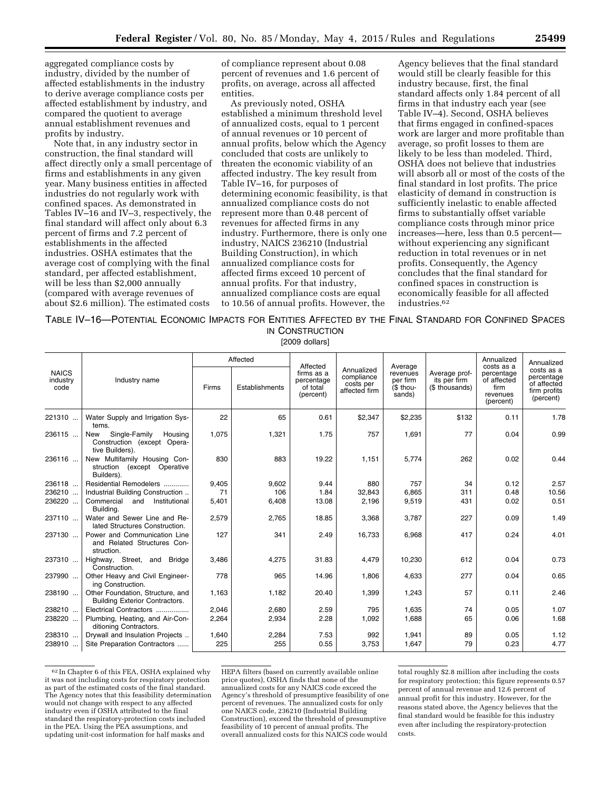aggregated compliance costs by industry, divided by the number of affected establishments in the industry to derive average compliance costs per affected establishment by industry, and compared the quotient to average annual establishment revenues and profits by industry.

Note that, in any industry sector in construction, the final standard will affect directly only a small percentage of firms and establishments in any given year. Many business entities in affected industries do not regularly work with confined spaces. As demonstrated in Tables IV–16 and IV–3, respectively, the final standard will affect only about 6.3 percent of firms and 7.2 percent of establishments in the affected industries. OSHA estimates that the average cost of complying with the final standard, per affected establishment, will be less than \$2,000 annually (compared with average revenues of about \$2.6 million). The estimated costs

of compliance represent about 0.08 percent of revenues and 1.6 percent of profits, on average, across all affected entities.

As previously noted, OSHA established a minimum threshold level of annualized costs, equal to 1 percent of annual revenues or 10 percent of annual profits, below which the Agency concluded that costs are unlikely to threaten the economic viability of an affected industry. The key result from Table IV–16, for purposes of determining economic feasibility, is that annualized compliance costs do not represent more than 0.48 percent of revenues for affected firms in any industry. Furthermore, there is only one industry, NAICS 236210 (Industrial Building Construction), in which annualized compliance costs for affected firms exceed 10 percent of annual profits. For that industry, annualized compliance costs are equal to 10.56 of annual profits. However, the

Agency believes that the final standard would still be clearly feasible for this industry because, first, the final standard affects only 1.84 percent of all firms in that industry each year (see Table IV–4). Second, OSHA believes that firms engaged in confined-spaces work are larger and more profitable than average, so profit losses to them are likely to be less than modeled. Third, OSHA does not believe that industries will absorb all or most of the costs of the final standard in lost profits. The price elasticity of demand in construction is sufficiently inelastic to enable affected firms to substantially offset variable compliance costs through minor price increases—here, less than 0.5 percent without experiencing any significant reduction in total revenues or in net profits. Consequently, the Agency concludes that the final standard for confined spaces in construction is economically feasible for all affected industries.62

TABLE IV–16—POTENTIAL ECONOMIC IMPACTS FOR ENTITIES AFFECTED BY THE FINAL STANDARD FOR CONFINED SPACES IN CONSTRUCTION

[2009 dollars]

|                                  |                                                                                   |       | Affected       | Affected                                          |                                                        | Average                                     |                                                 | Annualized<br>costs as a                                   | Annualized                                                           |
|----------------------------------|-----------------------------------------------------------------------------------|-------|----------------|---------------------------------------------------|--------------------------------------------------------|---------------------------------------------|-------------------------------------------------|------------------------------------------------------------|----------------------------------------------------------------------|
| <b>NAICS</b><br>industry<br>code | Industry name                                                                     | Firms | Establishments | firms as a<br>percentage<br>of total<br>(percent) | Annualized<br>compliance<br>costs per<br>affected firm | revenues<br>per firm<br>(\$ thou-<br>sands) | Average prof-<br>its per firm<br>(\$ thousands) | percentage<br>of affected<br>firm<br>revenues<br>(percent) | costs as a<br>percentage<br>of affected<br>firm profits<br>(percent) |
| 221310                           | Water Supply and Irrigation Sys-<br>tems.                                         | 22    | 65             | 0.61                                              | \$2,347                                                | \$2,235                                     | \$132                                           | 0.11                                                       | 1.78                                                                 |
| 236115                           | Single-Family<br>New<br>Housing<br>Construction (except Opera-<br>tive Builders). | 1,075 | 1,321          | 1.75                                              | 757                                                    | 1,691                                       | 77                                              | 0.04                                                       | 0.99                                                                 |
| 236116                           | New Multifamily Housing Con-<br>struction (except Operative<br>Builders).         | 830   | 883            | 19.22                                             | 1,151                                                  | 5,774                                       | 262                                             | 0.02                                                       | 0.44                                                                 |
| 236118                           | Residential Remodelers                                                            | 9,405 | 9,602          | 9.44                                              | 880                                                    | 757                                         | 34                                              | 0.12                                                       | 2.57                                                                 |
| 236210                           | Industrial Building Construction                                                  | 71    | 106            | 1.84                                              | 32,843                                                 | 6,865                                       | 311                                             | 0.48                                                       | 10.56                                                                |
| 236220                           | and Institutional<br>Commercial<br>Building.                                      | 5,401 | 6,408          | 13.08                                             | 2,196                                                  | 9,519                                       | 431                                             | 0.02                                                       | 0.51                                                                 |
| 237110                           | Water and Sewer Line and Re-<br>lated Structures Construction.                    | 2,579 | 2,765          | 18.85                                             | 3,368                                                  | 3,787                                       | 227                                             | 0.09                                                       | 1.49                                                                 |
| 237130                           | Power and Communication Line<br>and Related Structures Con-<br>struction.         | 127   | 341            | 2.49                                              | 16,733                                                 | 6,968                                       | 417                                             | 0.24                                                       | 4.01                                                                 |
| 237310                           | Highway, Street, and Bridge<br>Construction.                                      | 3,486 | 4,275          | 31.83                                             | 4,479                                                  | 10,230                                      | 612                                             | 0.04                                                       | 0.73                                                                 |
| 237990                           | Other Heavy and Civil Engineer-<br>ing Construction.                              | 778   | 965            | 14.96                                             | 1,806                                                  | 4,633                                       | 277                                             | 0.04                                                       | 0.65                                                                 |
| 238190                           | Other Foundation, Structure, and<br><b>Building Exterior Contractors.</b>         | 1,163 | 1,182          | 20.40                                             | 1,399                                                  | 1,243                                       | 57                                              | 0.11                                                       | 2.46                                                                 |
| 238210                           | Electrical Contractors                                                            | 2,046 | 2.680          | 2.59                                              | 795                                                    | 1.635                                       | 74                                              | 0.05                                                       | 1.07                                                                 |
| 238220                           | Plumbing, Heating, and Air-Con-<br>ditioning Contractors.                         | 2,264 | 2,934          | 2.28                                              | 1,092                                                  | 1,688                                       | 65                                              | 0.06                                                       | 1.68                                                                 |
| 238310                           | Drywall and Insulation Projects                                                   | 1,640 | 2,284          | 7.53                                              | 992                                                    | 1,941                                       | 89                                              | 0.05                                                       | 1.12                                                                 |
| 238910                           | Site Preparation Contractors                                                      | 225   | 255            | 0.55                                              | 3,753                                                  | 1,647                                       | 79                                              | 0.23                                                       | 4.77                                                                 |

<sup>62</sup> In Chapter 6 of this FEA, OSHA explained why it was not including costs for respiratory protection as part of the estimated costs of the final standard. The Agency notes that this feasibility determination would not change with respect to any affected industry even if OSHA attributed to the final standard the respiratory-protection costs included in the PEA. Using the PEA assumptions, and updating unit-cost information for half masks and

HEPA filters (based on currently available online price quotes), OSHA finds that none of the annualized costs for any NAICS code exceed the Agency's threshold of presumptive feasibility of one percent of revenues. The annualized costs for only one NAICS code, 236210 (Industrial Building Construction), exceed the threshold of presumptive feasibility of 10 percent of annual profits. The overall annualized costs for this NAICS code would

total roughly \$2.8 million after including the costs for respiratory protection; this figure represents 0.57 percent of annual revenue and 12.6 percent of annual profit for this industry. However, for the reasons stated above, the Agency believes that the final standard would be feasible for this industry even after including the respiratory-protection costs.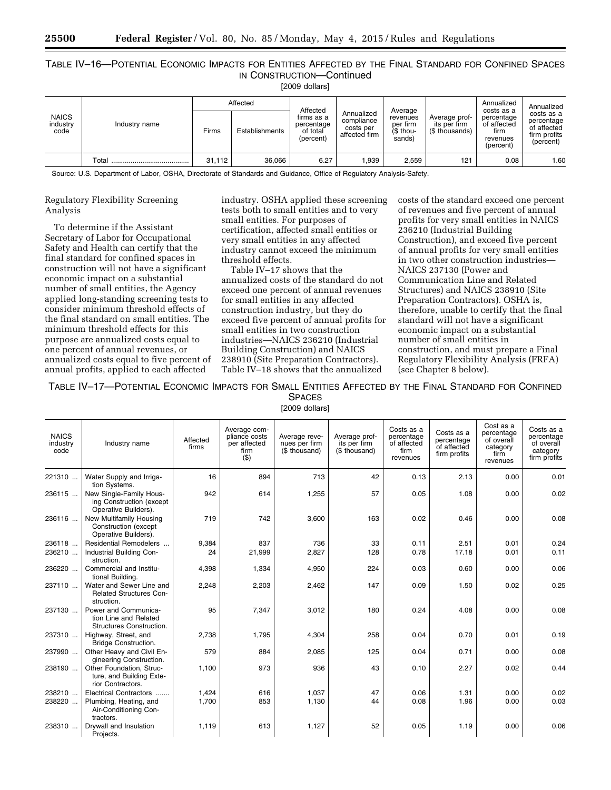# TABLE IV–16—POTENTIAL ECONOMIC IMPACTS FOR ENTITIES AFFECTED BY THE FINAL STANDARD FOR CONFINED SPACES IN CONSTRUCTION—Continued

| [2009 dollars] |  |  |
|----------------|--|--|
|----------------|--|--|

|                                  |               | Affected |                | Affected                                          |                                                        | Average                                     |                                                 | Annualized<br>costs as a                                   | Annualized                                                           |
|----------------------------------|---------------|----------|----------------|---------------------------------------------------|--------------------------------------------------------|---------------------------------------------|-------------------------------------------------|------------------------------------------------------------|----------------------------------------------------------------------|
| <b>NAICS</b><br>industry<br>code | Industry name | Firms    | Establishments | firms as a<br>percentage<br>of total<br>(percent) | Annualized<br>compliance<br>costs per<br>affected firm | revenues<br>per firm<br>(\$ thou-<br>sands) | Average prof-<br>its per firm<br>(\$ thousands) | percentage<br>of affected<br>firm<br>revenues<br>(percent) | costs as a<br>percentage<br>of affected<br>firm profits<br>(percent) |
|                                  | Total         | 31.112   | 36,066         | 6.27                                              | <b>939.</b>                                            | 2,559                                       | 121                                             | 0.08                                                       | 1.60                                                                 |

Source: U.S. Department of Labor, OSHA, Directorate of Standards and Guidance, Office of Regulatory Analysis-Safety.

### Regulatory Flexibility Screening Analysis

To determine if the Assistant Secretary of Labor for Occupational Safety and Health can certify that the final standard for confined spaces in construction will not have a significant economic impact on a substantial number of small entities, the Agency applied long-standing screening tests to consider minimum threshold effects of the final standard on small entities. The minimum threshold effects for this purpose are annualized costs equal to one percent of annual revenues, or annualized costs equal to five percent of annual profits, applied to each affected

industry. OSHA applied these screening tests both to small entities and to very small entities. For purposes of certification, affected small entities or very small entities in any affected industry cannot exceed the minimum threshold effects.

Table IV–17 shows that the annualized costs of the standard do not exceed one percent of annual revenues for small entities in any affected construction industry, but they do exceed five percent of annual profits for small entities in two construction industries—NAICS 236210 (Industrial Building Construction) and NAICS 238910 (Site Preparation Contractors). Table IV–18 shows that the annualized

costs of the standard exceed one percent of revenues and five percent of annual profits for very small entities in NAICS 236210 (Industrial Building Construction), and exceed five percent of annual profits for very small entities in two other construction industries— NAICS 237130 (Power and Communication Line and Related Structures) and NAICS 238910 (Site Preparation Contractors). OSHA is, therefore, unable to certify that the final standard will not have a significant economic impact on a substantial number of small entities in construction, and must prepare a Final Regulatory Flexibility Analysis (FRFA) (see Chapter 8 below).

TABLE IV–17—POTENTIAL ECONOMIC IMPACTS FOR SMALL ENTITIES AFFECTED BY THE FINAL STANDARD FOR CONFINED

**SPACES** [2009 dollars]

| <b>NAICS</b><br>industry<br>code | Industry name                                                               | Affected<br>firms | Average com-<br>pliance costs<br>per affected<br>firm<br>$($ \$) | Average reve-<br>nues per firm<br>(\$ thousand) | Average prof-<br>its per firm<br>(\$ thousand) | Costs as a<br>percentage<br>of affected<br>firm<br>revenues | Costs as a<br>percentage<br>of affected<br>firm profits | Cost as a<br>percentage<br>of overall<br>category<br>firm<br>revenues | Costs as a<br>percentage<br>of overall<br>category<br>firm profits |
|----------------------------------|-----------------------------------------------------------------------------|-------------------|------------------------------------------------------------------|-------------------------------------------------|------------------------------------------------|-------------------------------------------------------------|---------------------------------------------------------|-----------------------------------------------------------------------|--------------------------------------------------------------------|
| 221310                           | Water Supply and Irriga-<br>tion Systems.                                   | 16                | 894                                                              | 713                                             | 42                                             | 0.13                                                        | 2.13                                                    | 0.00                                                                  | 0.01                                                               |
| 236115                           | New Single-Family Hous-<br>ing Construction (except<br>Operative Builders). | 942               | 614                                                              | 1,255                                           | 57                                             | 0.05                                                        | 1.08                                                    | 0.00                                                                  | 0.02                                                               |
| 236116                           | New Multifamily Housing<br>Construction (except<br>Operative Builders).     | 719               | 742                                                              | 3,600                                           | 163                                            | 0.02                                                        | 0.46                                                    | 0.00                                                                  | 0.08                                                               |
| 236118                           | Residential Remodelers                                                      | 9,384             | 837                                                              | 736                                             | 33                                             | 0.11                                                        | 2.51                                                    | 0.01                                                                  | 0.24                                                               |
| 236210                           | Industrial Building Con-<br>struction.                                      | 24                | 21,999                                                           | 2,827                                           | 128                                            | 0.78                                                        | 17.18                                                   | 0.01                                                                  | 0.11                                                               |
| 236220                           | Commercial and Institu-<br>tional Building.                                 | 4,398             | 1,334                                                            | 4,950                                           | 224                                            | 0.03                                                        | 0.60                                                    | 0.00                                                                  | 0.06                                                               |
| 237110                           | Water and Sewer Line and<br><b>Related Structures Con-</b><br>struction.    | 2.248             | 2,203                                                            | 2,462                                           | 147                                            | 0.09                                                        | 1.50                                                    | 0.02                                                                  | 0.25                                                               |
| 237130                           | Power and Communica-<br>tion Line and Related<br>Structures Construction.   | 95                | 7,347                                                            | 3,012                                           | 180                                            | 0.24                                                        | 4.08                                                    | 0.00                                                                  | 0.08                                                               |
| 237310                           | Highway, Street, and<br><b>Bridge Construction.</b>                         | 2,738             | 1,795                                                            | 4,304                                           | 258                                            | 0.04                                                        | 0.70                                                    | 0.01                                                                  | 0.19                                                               |
| 237990                           | Other Heavy and Civil En-<br>gineering Construction.                        | 579               | 884                                                              | 2,085                                           | 125                                            | 0.04                                                        | 0.71                                                    | 0.00                                                                  | 0.08                                                               |
| 238190                           | Other Foundation, Struc-<br>ture, and Building Exte-<br>rior Contractors.   | 1,100             | 973                                                              | 936                                             | 43                                             | 0.10                                                        | 2.27                                                    | 0.02                                                                  | 0.44                                                               |
| 238210                           | Electrical Contractors                                                      | 1,424             | 616                                                              | 1,037                                           | 47                                             | 0.06                                                        | 1.31                                                    | 0.00                                                                  | 0.02                                                               |
| 238220                           | Plumbing, Heating, and<br>Air-Conditioning Con-<br>tractors.                | 1,700             | 853                                                              | 1,130                                           | 44                                             | 0.08                                                        | 1.96                                                    | 0.00                                                                  | 0.03                                                               |
| 238310                           | Drywall and Insulation<br>Projects.                                         | 1,119             | 613                                                              | 1,127                                           | 52                                             | 0.05                                                        | 1.19                                                    | 0.00                                                                  | 0.06                                                               |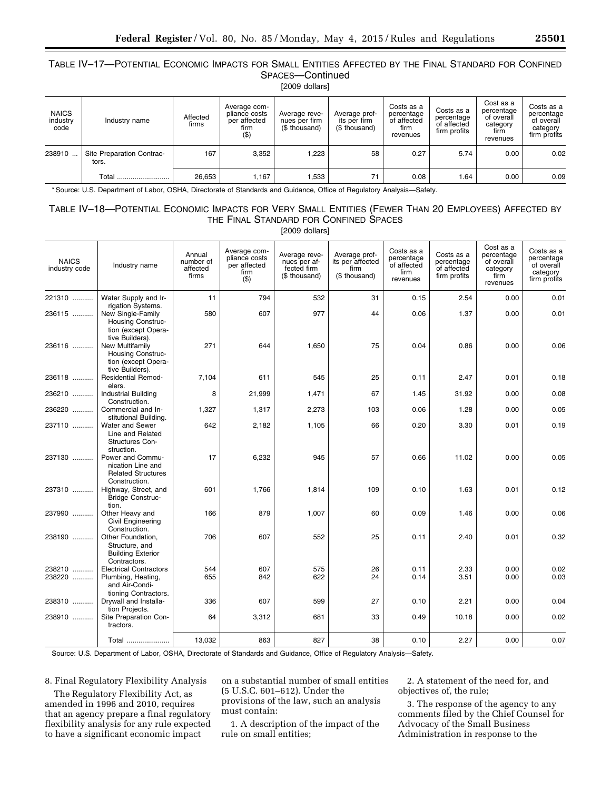## TABLE IV–17—POTENTIAL ECONOMIC IMPACTS FOR SMALL ENTITIES AFFECTED BY THE FINAL STANDARD FOR CONFINED SPACES—Continued [2009 dollars]

| <b>NAICS</b><br>industry<br>code | Industry name                      | Affected<br>firms | Average com-<br>pliance costs<br>per affected<br>firm<br>$($ \$) | Average reve-<br>nues per firm<br>(\$ thousand) | Average prof-<br>its per firm<br>(\$ thousand) | Costs as a<br>percentage<br>of affected<br>firm<br>revenues | Costs as a<br>percentage<br>of affected<br>firm profits | Cost as a<br>percentage<br>of overall<br>category<br>firm<br>revenues | Costs as a<br>percentage<br>of overall<br>category<br>firm profits |
|----------------------------------|------------------------------------|-------------------|------------------------------------------------------------------|-------------------------------------------------|------------------------------------------------|-------------------------------------------------------------|---------------------------------------------------------|-----------------------------------------------------------------------|--------------------------------------------------------------------|
| 238910                           | Site Preparation Contrac-<br>tors. | 167               | 3,352                                                            | 1,223                                           | 58                                             | 0.27                                                        | 5.74                                                    | 0.00                                                                  | 0.02                                                               |
|                                  | Total                              | 26,653            | 1,167                                                            | 1,533                                           | 71                                             | 0.08                                                        | 1.64                                                    | 0.00                                                                  | 0.09                                                               |

\* Source: U.S. Department of Labor, OSHA, Directorate of Standards and Guidance, Office of Regulatory Analysis—Safety.

# TABLE IV–18—POTENTIAL ECONOMIC IMPACTS FOR VERY SMALL ENTITIES (FEWER THAN 20 EMPLOYEES) AFFECTED BY THE FINAL STANDARD FOR CONFINED SPACES

[2009 dollars]

| <b>NAICS</b><br>industry code | Industry name                                                                                            | Annual<br>number of<br>affected<br>firms | Average com-<br>pliance costs<br>per affected<br>firm<br>(3) | Average reve-<br>nues per af-<br>fected firm<br>(\$ thousand) | Average prof-<br>its per affected<br>firm<br>(\$ thousand) | Costs as a<br>percentage<br>of affected<br>firm<br>revenues | Costs as a<br>percentage<br>of affected<br>firm profits | Cost as a<br>percentage<br>of overall<br>category<br>firm<br>revenues | Costs as a<br>percentage<br>of overall<br>category<br>firm profits |
|-------------------------------|----------------------------------------------------------------------------------------------------------|------------------------------------------|--------------------------------------------------------------|---------------------------------------------------------------|------------------------------------------------------------|-------------------------------------------------------------|---------------------------------------------------------|-----------------------------------------------------------------------|--------------------------------------------------------------------|
| 221310                        | Water Supply and Ir-                                                                                     | 11                                       | 794                                                          | 532                                                           | 31                                                         | 0.15                                                        | 2.54                                                    | 0.00                                                                  | 0.01                                                               |
| 236115                        | rigation Systems.<br>New Single-Family<br>Housing Construc-<br>tion (except Opera-                       | 580                                      | 607                                                          | 977                                                           | 44                                                         | 0.06                                                        | 1.37                                                    | 0.00                                                                  | 0.01                                                               |
| 236116                        | tive Builders).<br><b>New Multifamily</b><br>Housing Construc-<br>tion (except Opera-<br>tive Builders). | 271                                      | 644                                                          | 1,650                                                         | 75                                                         | 0.04                                                        | 0.86                                                    | 0.00                                                                  | 0.06                                                               |
| 236118                        | <b>Residential Remod-</b><br>elers.                                                                      | 7,104                                    | 611                                                          | 545                                                           | 25                                                         | 0.11                                                        | 2.47                                                    | 0.01                                                                  | 0.18                                                               |
| 236210                        | <b>Industrial Building</b>                                                                               | 8                                        | 21,999                                                       | 1,471                                                         | 67                                                         | 1.45                                                        | 31.92                                                   | 0.00                                                                  | 0.08                                                               |
| 236220                        | Construction.<br>Commercial and In-                                                                      | 1,327                                    | 1,317                                                        | 2,273                                                         | 103                                                        | 0.06                                                        | 1.28                                                    | 0.00                                                                  | 0.05                                                               |
| 237110                        | stitutional Building.<br>Water and Sewer<br>Line and Related<br>Structures Con-                          | 642                                      | 2,182                                                        | 1,105                                                         | 66                                                         | 0.20                                                        | 3.30                                                    | 0.01                                                                  | 0.19                                                               |
| 237130                        | struction.<br>Power and Commu-<br>nication Line and<br><b>Related Structures</b>                         | 17                                       | 6,232                                                        | 945                                                           | 57                                                         | 0.66                                                        | 11.02                                                   | 0.00                                                                  | 0.05                                                               |
| 237310                        | Construction.<br>Highway, Street, and<br><b>Bridge Construc-</b>                                         | 601                                      | 1.766                                                        | 1.814                                                         | 109                                                        | 0.10                                                        | 1.63                                                    | 0.01                                                                  | 0.12                                                               |
| 237990                        | tion.<br>Other Heavy and<br>Civil Engineering<br>Construction.                                           | 166                                      | 879                                                          | 1.007                                                         | 60                                                         | 0.09                                                        | 1.46                                                    | 0.00                                                                  | 0.06                                                               |
| 238190                        | Other Foundation,<br>Structure, and<br><b>Building Exterior</b><br>Contractors.                          | 706                                      | 607                                                          | 552                                                           | 25                                                         | 0.11                                                        | 2.40                                                    | 0.01                                                                  | 0.32                                                               |
| 238210<br>238220              | <b>Electrical Contractors</b><br>Plumbing, Heating,<br>and Air-Condi-                                    | 544<br>655                               | 607<br>842                                                   | 575<br>622                                                    | 26<br>24                                                   | 0.11<br>0.14                                                | 2.33<br>3.51                                            | 0.00<br>0.00                                                          | 0.02<br>0.03                                                       |
| 238310                        | tioning Contractors.<br>Drywall and Installa-                                                            | 336                                      | 607                                                          | 599                                                           | 27                                                         | 0.10                                                        | 2.21                                                    | 0.00                                                                  | 0.04                                                               |
| 238910                        | tion Projects.<br>Site Preparation Con-<br>tractors.                                                     | 64                                       | 3,312                                                        | 681                                                           | 33                                                         | 0.49                                                        | 10.18                                                   | 0.00                                                                  | 0.02                                                               |
|                               | Total                                                                                                    | 13,032                                   | 863                                                          | 827                                                           | 38                                                         | 0.10                                                        | 2.27                                                    | 0.00                                                                  | 0.07                                                               |

Source: U.S. Department of Labor, OSHA, Directorate of Standards and Guidance, Office of Regulatory Analysis—Safety.

#### 8. Final Regulatory Flexibility Analysis

The Regulatory Flexibility Act, as amended in 1996 and 2010, requires that an agency prepare a final regulatory flexibility analysis for any rule expected to have a significant economic impact

on a substantial number of small entities (5 U.S.C. 601–612). Under the provisions of the law, such an analysis must contain:

1. A description of the impact of the rule on small entities;

2. A statement of the need for, and objectives of, the rule;

3. The response of the agency to any comments filed by the Chief Counsel for Advocacy of the Small Business Administration in response to the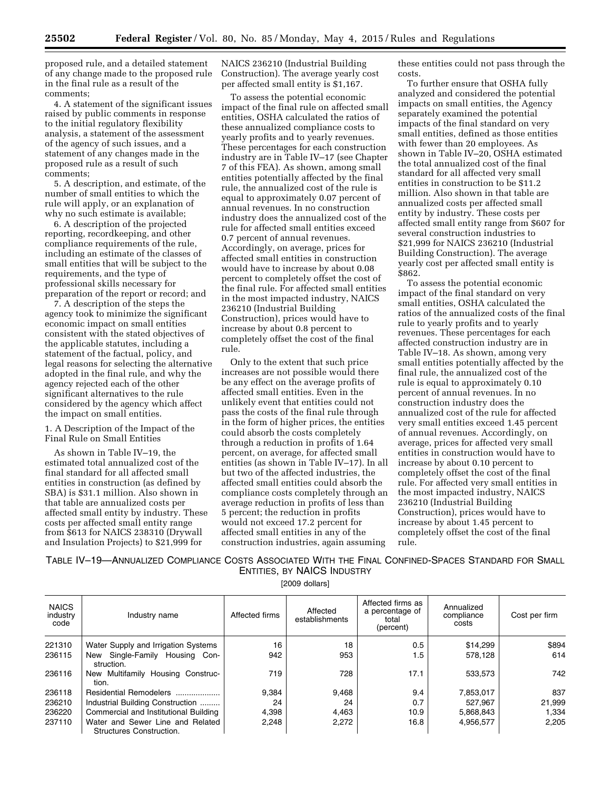proposed rule, and a detailed statement of any change made to the proposed rule in the final rule as a result of the comments;

4. A statement of the significant issues raised by public comments in response to the initial regulatory flexibility analysis, a statement of the assessment of the agency of such issues, and a statement of any changes made in the proposed rule as a result of such comments;

5. A description, and estimate, of the number of small entities to which the rule will apply, or an explanation of why no such estimate is available;

6. A description of the projected reporting, recordkeeping, and other compliance requirements of the rule, including an estimate of the classes of small entities that will be subject to the requirements, and the type of professional skills necessary for preparation of the report or record; and

7. A description of the steps the agency took to minimize the significant economic impact on small entities consistent with the stated objectives of the applicable statutes, including a statement of the factual, policy, and legal reasons for selecting the alternative adopted in the final rule, and why the agency rejected each of the other significant alternatives to the rule considered by the agency which affect the impact on small entities.

1. A Description of the Impact of the Final Rule on Small Entities

As shown in Table IV–19, the estimated total annualized cost of the final standard for all affected small entities in construction (as defined by SBA) is \$31.1 million. Also shown in that table are annualized costs per affected small entity by industry. These costs per affected small entity range from \$613 for NAICS 238310 (Drywall and Insulation Projects) to \$21,999 for

NAICS 236210 (Industrial Building Construction). The average yearly cost per affected small entity is \$1,167.

To assess the potential economic impact of the final rule on affected small entities, OSHA calculated the ratios of these annualized compliance costs to yearly profits and to yearly revenues. These percentages for each construction industry are in Table IV–17 (see Chapter 7 of this FEA). As shown, among small entities potentially affected by the final rule, the annualized cost of the rule is equal to approximately 0.07 percent of annual revenues. In no construction industry does the annualized cost of the rule for affected small entities exceed 0.7 percent of annual revenues. Accordingly, on average, prices for affected small entities in construction would have to increase by about 0.08 percent to completely offset the cost of the final rule. For affected small entities in the most impacted industry, NAICS 236210 (Industrial Building Construction), prices would have to increase by about 0.8 percent to completely offset the cost of the final rule.

Only to the extent that such price increases are not possible would there be any effect on the average profits of affected small entities. Even in the unlikely event that entities could not pass the costs of the final rule through in the form of higher prices, the entities could absorb the costs completely through a reduction in profits of 1.64 percent, on average, for affected small entities (as shown in Table IV–17). In all but two of the affected industries, the affected small entities could absorb the compliance costs completely through an average reduction in profits of less than 5 percent; the reduction in profits would not exceed 17.2 percent for affected small entities in any of the construction industries, again assuming

these entities could not pass through the costs.

To further ensure that OSHA fully analyzed and considered the potential impacts on small entities, the Agency separately examined the potential impacts of the final standard on very small entities, defined as those entities with fewer than 20 employees. As shown in Table IV–20, OSHA estimated the total annualized cost of the final standard for all affected very small entities in construction to be \$11.2 million. Also shown in that table are annualized costs per affected small entity by industry. These costs per affected small entity range from \$607 for several construction industries to \$21,999 for NAICS 236210 (Industrial Building Construction). The average yearly cost per affected small entity is \$862.

To assess the potential economic impact of the final standard on very small entities, OSHA calculated the ratios of the annualized costs of the final rule to yearly profits and to yearly revenues. These percentages for each affected construction industry are in Table IV–18. As shown, among very small entities potentially affected by the final rule, the annualized cost of the rule is equal to approximately 0.10 percent of annual revenues. In no construction industry does the annualized cost of the rule for affected very small entities exceed 1.45 percent of annual revenues. Accordingly, on average, prices for affected very small entities in construction would have to increase by about 0.10 percent to completely offset the cost of the final rule. For affected very small entities in the most impacted industry, NAICS 236210 (Industrial Building Construction), prices would have to increase by about 1.45 percent to completely offset the cost of the final rule.

TABLE IV–19—ANNUALIZED COMPLIANCE COSTS ASSOCIATED WITH THE FINAL CONFINED-SPACES STANDARD FOR SMALL ENTITIES, BY NAICS INDUSTRY

[2009 dollars]

| <b>NAICS</b><br>industry<br>code | Industry name                                                | Affected firms | Affected<br>establishments | Affected firms as<br>a percentage of<br>total<br>(percent) | Annualized<br>compliance<br>costs | Cost per firm |
|----------------------------------|--------------------------------------------------------------|----------------|----------------------------|------------------------------------------------------------|-----------------------------------|---------------|
| 221310                           | Water Supply and Irrigation Systems                          | 16             | 18                         | 0.5                                                        | \$14,299                          | \$894         |
| 236115                           | New Single-Family Housing Con-<br>struction.                 | 942            | 953                        | 1.5                                                        | 578,128                           | 614           |
| 236116                           | New Multifamily Housing Construc-<br>tion.                   | 719            | 728                        | 17.1                                                       | 533.573                           | 742           |
| 236118                           | Residential Remodelers                                       | 9.384          | 9,468                      | 9.4                                                        | 7.853.017                         | 837           |
| 236210                           | Industrial Building Construction                             | 24             | 24                         | 0.7                                                        | 527.967                           | 21,999        |
| 236220                           | Commercial and Institutional Building                        | 4.398          | 4,463                      | 10.9                                                       | 5,868,843                         | 1.334         |
| 237110                           | Water and Sewer Line and Related<br>Structures Construction. | 2,248          | 2,272                      | 16.8                                                       | 4,956,577                         | 2,205         |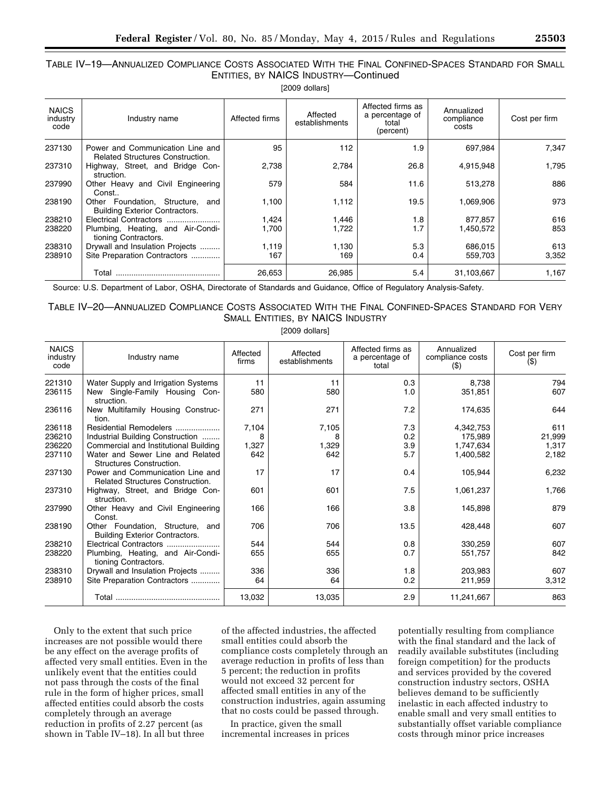## TABLE IV–19—ANNUALIZED COMPLIANCE COSTS ASSOCIATED WITH THE FINAL CONFINED-SPACES STANDARD FOR SMALL ENTITIES, BY NAICS INDUSTRY—Continued [2009 dollars]

| <b>NAICS</b><br>industry<br>code | Industry name                                                               | Affected firms | Affected<br>establishments | Affected firms as<br>a percentage of<br>total<br>(percent) | Annualized<br>compliance<br>costs | Cost per firm |
|----------------------------------|-----------------------------------------------------------------------------|----------------|----------------------------|------------------------------------------------------------|-----------------------------------|---------------|
| 237130                           | Power and Communication Line and<br><b>Related Structures Construction.</b> | 95             | 112                        | 1.9                                                        | 697,984                           | 7,347         |
| 237310                           | Highway, Street, and Bridge Con-<br>struction.                              | 2,738          | 2,784                      | 26.8                                                       | 4,915,948                         | 1,795         |
| 237990                           | Other Heavy and Civil Engineering<br>Const                                  | 579            | 584                        | 11.6                                                       | 513,278                           | 886           |
| 238190                           | Other Foundation, Structure, and<br><b>Building Exterior Contractors.</b>   | 1,100          | 1,112                      | 19.5                                                       | 1,069,906                         | 973           |
| 238210                           | Electrical Contractors                                                      | 1,424          | 1,446                      | 1.8                                                        | 877,857                           | 616           |
| 238220                           | Plumbing, Heating, and Air-Condi-<br>tioning Contractors.                   | 1,700          | 1,722                      | 1.7                                                        | 1,450,572                         | 853           |
| 238310                           | Drywall and Insulation Projects                                             | 1,119          | 1,130                      | 5.3                                                        | 686,015                           | 613           |
| 238910                           | Site Preparation Contractors                                                | 167            | 169                        | 0.4                                                        | 559,703                           | 3,352         |
|                                  |                                                                             | 26,653         | 26,985                     | 5.4                                                        | 31,103,667                        | 1,167         |

Source: U.S. Department of Labor, OSHA, Directorate of Standards and Guidance, Office of Regulatory Analysis-Safety.

# TABLE IV–20—ANNUALIZED COMPLIANCE COSTS ASSOCIATED WITH THE FINAL CONFINED-SPACES STANDARD FOR VERY SMALL ENTITIES, BY NAICS INDUSTRY

[2009 dollars]

| <b>NAICS</b><br>industry<br>code | Industry name                                                             | Affected<br>firms | Affected<br>establishments | Affected firms as<br>a percentage of<br>total | Annualized<br>compliance costs<br>$($ \$) | Cost per firm<br>(S) |
|----------------------------------|---------------------------------------------------------------------------|-------------------|----------------------------|-----------------------------------------------|-------------------------------------------|----------------------|
| 221310                           | Water Supply and Irrigation Systems                                       | 11                | 11                         | 0.3                                           | 8,738                                     | 794                  |
| 236115                           | New Single-Family Housing Con-<br>struction.                              | 580               | 580                        | 1.0                                           | 351,851                                   | 607                  |
| 236116                           | New Multifamily Housing Construc-<br>tion.                                | 271               | 271                        | 7.2                                           | 174,635                                   | 644                  |
| 236118                           | Residential Remodelers                                                    | 7,104             | 7,105                      | 7.3                                           | 4,342,753                                 | 611                  |
| 236210                           | Industrial Building Construction                                          | 8                 | 8                          | 0.2                                           | 175,989                                   | 21,999               |
| 236220                           | Commercial and Institutional Building                                     | 1,327             | 1,329                      | 3.9                                           | 1,747,634                                 | 1,317                |
| 237110                           | Water and Sewer Line and Related<br>Structures Construction.              | 642               | 642                        | 5.7                                           | 1,400,582                                 | 2,182                |
| 237130                           | Power and Communication Line and<br>Related Structures Construction.      | 17                | 17                         | 0.4                                           | 105,944                                   | 6,232                |
| 237310                           | Highway, Street, and Bridge Con-<br>struction.                            | 601               | 601                        | 7.5                                           | 1,061,237                                 | 1,766                |
| 237990                           | Other Heavy and Civil Engineering<br>Const.                               | 166               | 166                        | 3.8                                           | 145,898                                   | 879                  |
| 238190                           | Other Foundation, Structure, and<br><b>Building Exterior Contractors.</b> | 706               | 706                        | 13.5                                          | 428,448                                   | 607                  |
| 238210                           | Electrical Contractors                                                    | 544               | 544                        | 0.8                                           | 330.259                                   | 607                  |
| 238220                           | Plumbing, Heating, and Air-Condi-<br>tioning Contractors.                 | 655               | 655                        | 0.7                                           | 551,757                                   | 842                  |
| 238310                           | Drywall and Insulation Projects                                           | 336               | 336                        | 1.8                                           | 203,983                                   | 607                  |
| 238910                           | Site Preparation Contractors                                              | 64                | 64                         | 0.2                                           | 211,959                                   | 3,312                |
|                                  |                                                                           | 13,032            | 13,035                     | 2.9                                           | 11,241,667                                | 863                  |

Only to the extent that such price increases are not possible would there be any effect on the average profits of affected very small entities. Even in the unlikely event that the entities could not pass through the costs of the final rule in the form of higher prices, small affected entities could absorb the costs completely through an average reduction in profits of 2.27 percent (as shown in Table IV–18). In all but three

of the affected industries, the affected small entities could absorb the compliance costs completely through an average reduction in profits of less than 5 percent; the reduction in profits would not exceed 32 percent for affected small entities in any of the construction industries, again assuming that no costs could be passed through.

In practice, given the small incremental increases in prices

potentially resulting from compliance with the final standard and the lack of readily available substitutes (including foreign competition) for the products and services provided by the covered construction industry sectors, OSHA believes demand to be sufficiently inelastic in each affected industry to enable small and very small entities to substantially offset variable compliance costs through minor price increases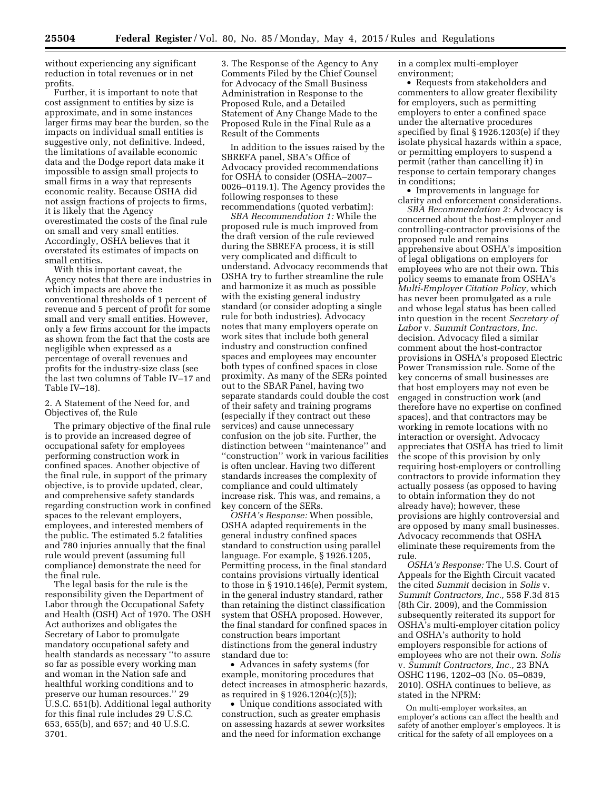without experiencing any significant reduction in total revenues or in net profits.

Further, it is important to note that cost assignment to entities by size is approximate, and in some instances larger firms may bear the burden, so the impacts on individual small entities is suggestive only, not definitive. Indeed, the limitations of available economic data and the Dodge report data make it impossible to assign small projects to small firms in a way that represents economic reality. Because OSHA did not assign fractions of projects to firms, it is likely that the Agency overestimated the costs of the final rule on small and very small entities. Accordingly, OSHA believes that it overstated its estimates of impacts on small entities.

With this important caveat, the Agency notes that there are industries in which impacts are above the conventional thresholds of 1 percent of revenue and 5 percent of profit for some small and very small entities. However, only a few firms account for the impacts as shown from the fact that the costs are negligible when expressed as a percentage of overall revenues and profits for the industry-size class (see the last two columns of Table IV–17 and Table IV–18).

### 2. A Statement of the Need for, and Objectives of, the Rule

The primary objective of the final rule is to provide an increased degree of occupational safety for employees performing construction work in confined spaces. Another objective of the final rule, in support of the primary objective, is to provide updated, clear, and comprehensive safety standards regarding construction work in confined spaces to the relevant employers, employees, and interested members of the public. The estimated 5.2 fatalities and 780 injuries annually that the final rule would prevent (assuming full compliance) demonstrate the need for the final rule.

The legal basis for the rule is the responsibility given the Department of Labor through the Occupational Safety and Health (OSH) Act of 1970. The OSH Act authorizes and obligates the Secretary of Labor to promulgate mandatory occupational safety and health standards as necessary ''to assure so far as possible every working man and woman in the Nation safe and healthful working conditions and to preserve our human resources.'' 29 U.S.C. 651(b). Additional legal authority for this final rule includes 29 U.S.C. 653, 655(b), and 657; and 40 U.S.C. 3701.

3. The Response of the Agency to Any Comments Filed by the Chief Counsel for Advocacy of the Small Business Administration in Response to the Proposed Rule, and a Detailed Statement of Any Change Made to the Proposed Rule in the Final Rule as a Result of the Comments

In addition to the issues raised by the SBREFA panel, SBA's Office of Advocacy provided recommendations for OSHA to consider (OSHA–2007– 0026–0119.1). The Agency provides the following responses to these recommendations (quoted verbatim):

*SBA Recommendation 1:* While the proposed rule is much improved from the draft version of the rule reviewed during the SBREFA process, it is still very complicated and difficult to understand. Advocacy recommends that OSHA try to further streamline the rule and harmonize it as much as possible with the existing general industry standard (or consider adopting a single rule for both industries). Advocacy notes that many employers operate on work sites that include both general industry and construction confined spaces and employees may encounter both types of confined spaces in close proximity. As many of the SERs pointed out to the SBAR Panel, having two separate standards could double the cost of their safety and training programs (especially if they contract out these services) and cause unnecessary confusion on the job site. Further, the distinction between ''maintenance'' and ''construction'' work in various facilities is often unclear. Having two different standards increases the complexity of compliance and could ultimately increase risk. This was, and remains, a key concern of the SERs.

*OSHA's Response:* When possible, OSHA adapted requirements in the general industry confined spaces standard to construction using parallel language. For example, § 1926.1205, Permitting process, in the final standard contains provisions virtually identical to those in § 1910.146(e), Permit system, in the general industry standard, rather than retaining the distinct classification system that OSHA proposed. However, the final standard for confined spaces in construction bears important distinctions from the general industry standard due to:

• Advances in safety systems (for example, monitoring procedures that detect increases in atmospheric hazards, as required in § 1926.1204(c)(5));

• Unique conditions associated with construction, such as greater emphasis on assessing hazards at sewer worksites and the need for information exchange

in a complex multi-employer environment;

• Requests from stakeholders and commenters to allow greater flexibility for employers, such as permitting employers to enter a confined space under the alternative procedures specified by final § 1926.1203(e) if they isolate physical hazards within a space, or permitting employers to suspend a permit (rather than cancelling it) in response to certain temporary changes in conditions;

• Improvements in language for clarity and enforcement considerations.

*SBA Recommendation 2:* Advocacy is concerned about the host-employer and controlling-contractor provisions of the proposed rule and remains apprehensive about OSHA's imposition of legal obligations on employers for employees who are not their own. This policy seems to emanate from OSHA's *Multi-Employer Citation Policy,* which has never been promulgated as a rule and whose legal status has been called into question in the recent *Secretary of Labor* v. *Summit Contractors, Inc.*  decision. Advocacy filed a similar comment about the host-contractor provisions in OSHA's proposed Electric Power Transmission rule. Some of the key concerns of small businesses are that host employers may not even be engaged in construction work (and therefore have no expertise on confined spaces), and that contractors may be working in remote locations with no interaction or oversight. Advocacy appreciates that OSHA has tried to limit the scope of this provision by only requiring host-employers or controlling contractors to provide information they actually possess (as opposed to having to obtain information they do not already have); however, these provisions are highly controversial and are opposed by many small businesses. Advocacy recommends that OSHA eliminate these requirements from the rule.

*OSHA's Response:* The U.S. Court of Appeals for the Eighth Circuit vacated the cited *Summit* decision in *Solis* v. *Summit Contractors, Inc.,* 558 F.3d 815 (8th Cir. 2009), and the Commission subsequently reiterated its support for OSHA's multi-employer citation policy and OSHA's authority to hold employers responsible for actions of employees who are not their own. *Solis*  v. *Summit Contractors, Inc.,* 23 BNA OSHC 1196, 1202–03 (No. 05–0839, 2010). OSHA continues to believe, as stated in the NPRM:

On multi-employer worksites, an employer's actions can affect the health and safety of another employer's employees. It is critical for the safety of all employees on a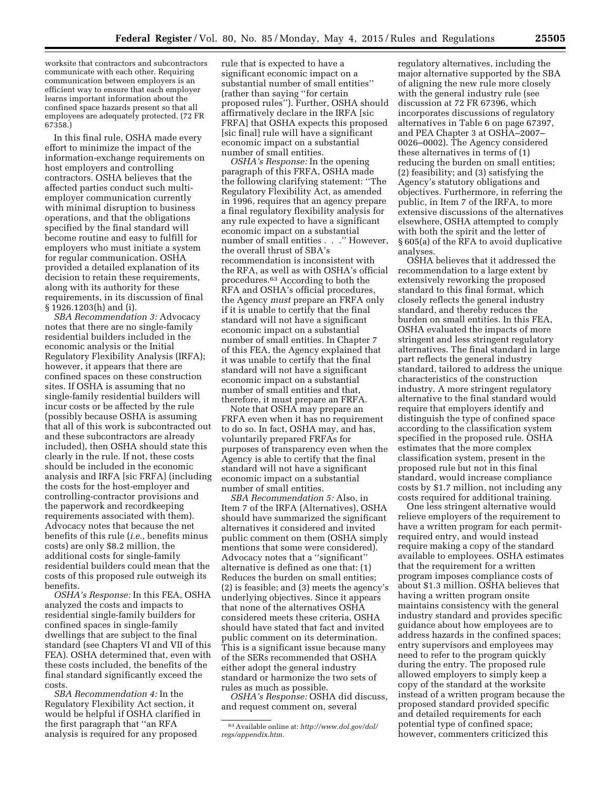worksite that contractors and subcontractors communicate with each other. Requiring communication between employers is an efficient way to ensure that each employer learns important information about the confined space hazards present so that all employees are adequately protected. (72 FR 67358.)

In this final rule, OSHA made every effort to minimize the impact of the information-exchange requirements on host employers and controlling contractors. OSHA believes that the affected parties conduct such multiemployer communication currently with minimal disruption to business operations, and that the obligations specified by the final standard will become routine and easy to fulfill for employers who must initiate a system for regular communication. OSHA provided a detailed explanation of its decision to retain these requirements, along with its authority for these requirements, in its discussion of final § 1926.1203(h) and (i).

*SBA Recommendation 3:* Advocacy notes that there are no single-family residential builders included in the economic analysis or the Initial Regulatory Flexibility Analysis (IRFA); however, it appears that there are confined spaces on these construction sites. If OSHA is assuming that no single-family residential builders will incur costs or be affected by the rule (possibly because OSHA is assuming that all of this work is subcontracted out and these subcontractors are already included), then OSHA should state this clearly in the rule. If not, these costs should be included in the economic analysis and IRFA [sic FRFA] (including the costs for the host-employer and controlling-contractor provisions and the paperwork and recordkeeping requirements associated with them). Advocacy notes that because the net benefits of this rule (*i.e.,* benefits minus costs) are only \$8.2 million, the additional costs for single-family residential builders could mean that the costs of this proposed rule outweigh its benefits.

*OSHA's Response:* In this FEA, OSHA analyzed the costs and impacts to residential single-family builders for confined spaces in single-family dwellings that are subject to the final standard (see Chapters VI and VII of this FEA). OSHA determined that, even with these costs included, the benefits of the final standard significantly exceed the costs.

*SBA Recommendation 4:* In the Regulatory Flexibility Act section, it would be helpful if OSHA clarified in the first paragraph that ''an RFA analysis is required for any proposed

rule that is expected to have a significant economic impact on a substantial number of small entities'' (rather than saying ''for certain proposed rules''). Further, OSHA should affirmatively declare in the IRFA [sic FRFA] that OSHA expects this proposed [sic final] rule will have a significant economic impact on a substantial number of small entities.

*OSHA's Response:* In the opening paragraph of this FRFA, OSHA made the following clarifying statement: ''The Regulatory Flexibility Act, as amended in 1996, requires that an agency prepare a final regulatory flexibility analysis for any rule expected to have a significant economic impact on a substantial number of small entities . . .'' However, the overall thrust of SBA's recommendation is inconsistent with the RFA, as well as with OSHA's official procedures.63 According to both the RFA and OSHA's official procedures, the Agency *must* prepare an FRFA only if it is unable to certify that the final standard will not have a significant economic impact on a substantial number of small entities. In Chapter 7 of this FEA, the Agency explained that it was unable to certify that the final standard will not have a significant economic impact on a substantial number of small entities and that, therefore, it must prepare an FRFA.

Note that OSHA may prepare an FRFA even when it has no requirement to do so. In fact, OSHA may, and has, voluntarily prepared FRFAs for purposes of transparency even when the Agency is able to certify that the final standard will not have a significant economic impact on a substantial number of small entities.

*SBA Recommendation 5:* Also, in Item 7 of the IRFA (Alternatives), OSHA should have summarized the significant alternatives it considered and invited public comment on them (OSHA simply mentions that some were considered). Advocacy notes that a ''significant'' alternative is defined as one that: (1) Reduces the burden on small entities; (2) is feasible; and (3) meets the agency's underlying objectives. Since it appears that none of the alternatives OSHA considered meets these criteria, OSHA should have stated that fact and invited public comment on its determination. This is a significant issue because many of the SERs recommended that OSHA either adopt the general industry standard or harmonize the two sets of rules as much as possible.

*OSHA's Response:* OSHA did discuss, and request comment on, several

regulatory alternatives, including the major alternative supported by the SBA of aligning the new rule more closely with the general industry rule (see discussion at 72 FR 67396, which incorporates discussions of regulatory alternatives in Table 6 on page 67397, and PEA Chapter 3 at OSHA–2007– 0026–0002). The Agency considered these alternatives in terms of (1) reducing the burden on small entities; (2) feasibility; and (3) satisfying the Agency's statutory obligations and objectives. Furthermore, in referring the public, in Item 7 of the IRFA, to more extensive discussions of the alternatives elsewhere, OSHA attempted to comply with both the spirit and the letter of § 605(a) of the RFA to avoid duplicative analyses.

OSHA believes that it addressed the recommendation to a large extent by extensively reworking the proposed standard to this final format, which closely reflects the general industry standard, and thereby reduces the burden on small entities. In this FEA, OSHA evaluated the impacts of more stringent and less stringent regulatory alternatives. The final standard in large part reflects the general industry standard, tailored to address the unique characteristics of the construction industry. A more stringent regulatory alternative to the final standard would require that employers identify and distinguish the type of confined space according to the classification system specified in the proposed rule. OSHA estimates that the more complex classification system, present in the proposed rule but not in this final standard, would increase compliance costs by \$1.7 million, not including any costs required for additional training.

One less stringent alternative would relieve employers of the requirement to have a written program for each permitrequired entry, and would instead require making a copy of the standard available to employees. OSHA estimates that the requirement for a written program imposes compliance costs of about \$1.3 million. OSHA believes that having a written program onsite maintains consistency with the general industry standard and provides specific guidance about how employees are to address hazards in the confined spaces; entry supervisors and employees may need to refer to the program quickly during the entry. The proposed rule allowed employers to simply keep a copy of the standard at the worksite instead of a written program because the proposed standard provided specific and detailed requirements for each potential type of confined space; however, commenters criticized this

<sup>63</sup>Available online at: *[http://www.dol.gov/dol/](http://www.dol.gov/dol/regs/appendix.htm) [regs/appendix.htm.](http://www.dol.gov/dol/regs/appendix.htm)*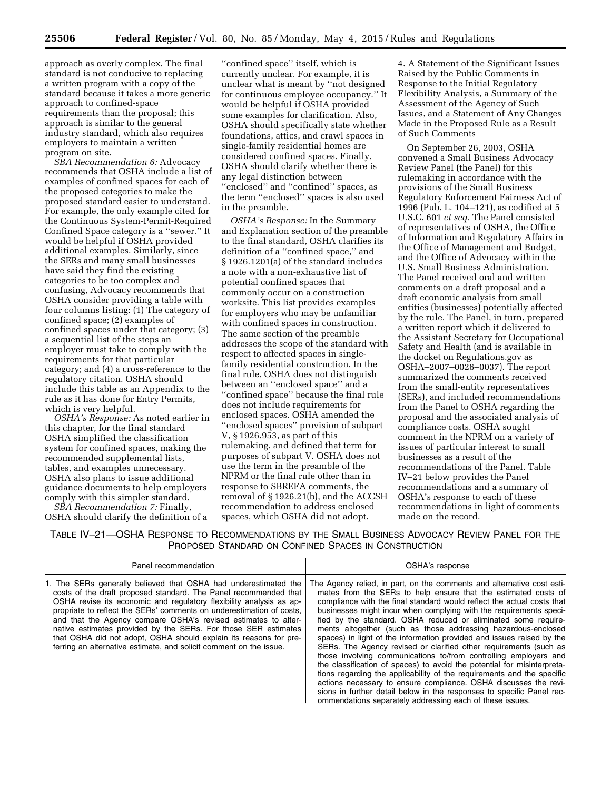approach as overly complex. The final standard is not conducive to replacing a written program with a copy of the standard because it takes a more generic approach to confined-space requirements than the proposal; this approach is similar to the general industry standard, which also requires employers to maintain a written program on site.

*SBA Recommendation 6:* Advocacy recommends that OSHA include a list of examples of confined spaces for each of the proposed categories to make the proposed standard easier to understand. For example, the only example cited for the Continuous System-Permit-Required Confined Space category is a ''sewer.'' It would be helpful if OSHA provided additional examples. Similarly, since the SERs and many small businesses have said they find the existing categories to be too complex and confusing, Advocacy recommends that OSHA consider providing a table with four columns listing: (1) The category of confined space; (2) examples of confined spaces under that category; (3) a sequential list of the steps an employer must take to comply with the requirements for that particular category; and (4) a cross-reference to the regulatory citation. OSHA should include this table as an Appendix to the rule as it has done for Entry Permits, which is very helpful.

*OSHA's Response:* As noted earlier in this chapter, for the final standard OSHA simplified the classification system for confined spaces, making the recommended supplemental lists, tables, and examples unnecessary. OSHA also plans to issue additional guidance documents to help employers comply with this simpler standard.

*SBA Recommendation 7:* Finally, OSHA should clarify the definition of a ''confined space'' itself, which is currently unclear. For example, it is unclear what is meant by ''not designed for continuous employee occupancy.'' It would be helpful if OSHA provided some examples for clarification. Also, OSHA should specifically state whether foundations, attics, and crawl spaces in single-family residential homes are considered confined spaces. Finally, OSHA should clarify whether there is any legal distinction between ''enclosed'' and ''confined'' spaces, as the term ''enclosed'' spaces is also used in the preamble.

*OSHA's Response:* In the Summary and Explanation section of the preamble to the final standard, OSHA clarifies its definition of a ''confined space,'' and § 1926.1201(a) of the standard includes a note with a non-exhaustive list of potential confined spaces that commonly occur on a construction worksite. This list provides examples for employers who may be unfamiliar with confined spaces in construction. The same section of the preamble addresses the scope of the standard with respect to affected spaces in singlefamily residential construction. In the final rule, OSHA does not distinguish between an ''enclosed space'' and a ''confined space'' because the final rule does not include requirements for enclosed spaces. OSHA amended the ''enclosed spaces'' provision of subpart V, § 1926.953, as part of this rulemaking, and defined that term for purposes of subpart V. OSHA does not use the term in the preamble of the NPRM or the final rule other than in response to SBREFA comments, the removal of § 1926.21(b), and the ACCSH recommendation to address enclosed spaces, which OSHA did not adopt.

4. A Statement of the Significant Issues Raised by the Public Comments in Response to the Initial Regulatory Flexibility Analysis, a Summary of the Assessment of the Agency of Such Issues, and a Statement of Any Changes Made in the Proposed Rule as a Result of Such Comments

On September 26, 2003, OSHA convened a Small Business Advocacy Review Panel (the Panel) for this rulemaking in accordance with the provisions of the Small Business Regulatory Enforcement Fairness Act of 1996 (Pub. L. 104–121), as codified at 5 U.S.C. 601 *et seq.* The Panel consisted of representatives of OSHA, the Office of Information and Regulatory Affairs in the Office of Management and Budget, and the Office of Advocacy within the U.S. Small Business Administration. The Panel received oral and written comments on a draft proposal and a draft economic analysis from small entities (businesses) potentially affected by the rule. The Panel, in turn, prepared a written report which it delivered to the Assistant Secretary for Occupational Safety and Health (and is available in the docket on Regulations.gov as OSHA–2007–0026–0037). The report summarized the comments received from the small-entity representatives (SERs), and included recommendations from the Panel to OSHA regarding the proposal and the associated analysis of compliance costs. OSHA sought comment in the NPRM on a variety of issues of particular interest to small businesses as a result of the recommendations of the Panel. Table IV–21 below provides the Panel recommendations and a summary of OSHA's response to each of these recommendations in light of comments made on the record.

TABLE IV–21—OSHA RESPONSE TO RECOMMENDATIONS BY THE SMALL BUSINESS ADVOCACY REVIEW PANEL FOR THE PROPOSED STANDARD ON CONFINED SPACES IN CONSTRUCTION

| Panel recommendation                                                                                                                                                                                                                                                                                                                                                                                                                                                                                                                                              | OSHA's response                                                                                                                                                                                                                                                                                                                                                                                                                                                                                                                                                                                                                                                                                                                                                                                                                                                                                                                                                                                             |
|-------------------------------------------------------------------------------------------------------------------------------------------------------------------------------------------------------------------------------------------------------------------------------------------------------------------------------------------------------------------------------------------------------------------------------------------------------------------------------------------------------------------------------------------------------------------|-------------------------------------------------------------------------------------------------------------------------------------------------------------------------------------------------------------------------------------------------------------------------------------------------------------------------------------------------------------------------------------------------------------------------------------------------------------------------------------------------------------------------------------------------------------------------------------------------------------------------------------------------------------------------------------------------------------------------------------------------------------------------------------------------------------------------------------------------------------------------------------------------------------------------------------------------------------------------------------------------------------|
| 1. The SERs generally believed that OSHA had underestimated the<br>costs of the draft proposed standard. The Panel recommended that<br>OSHA revise its economic and regulatory flexibility analysis as ap-<br>propriate to reflect the SERs' comments on underestimation of costs,<br>and that the Agency compare OSHA's revised estimates to alter-<br>native estimates provided by the SERs. For those SER estimates<br>that OSHA did not adopt, OSHA should explain its reasons for pre-<br>ferring an alternative estimate, and solicit comment on the issue. | The Agency relied, in part, on the comments and alternative cost esti-<br>mates from the SERs to help ensure that the estimated costs of<br>compliance with the final standard would reflect the actual costs that<br>businesses might incur when complying with the requirements speci-<br>fied by the standard. OSHA reduced or eliminated some require-<br>ments altogether (such as those addressing hazardous-enclosed<br>spaces) in light of the information provided and issues raised by the<br>SERs. The Agency revised or clarified other requirements (such as<br>those involving communications to/from controlling employers and<br>the classification of spaces) to avoid the potential for misinterpreta-<br>tions regarding the applicability of the requirements and the specific<br>actions necessary to ensure compliance. OSHA discusses the revi-<br>sions in further detail below in the responses to specific Panel rec-<br>ommendations separately addressing each of these issues. |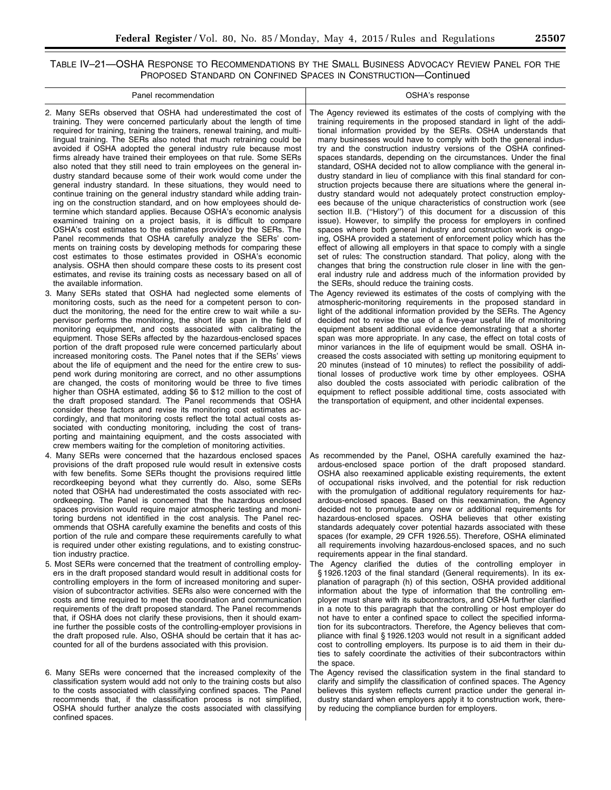TABLE IV–21—OSHA RESPONSE TO RECOMMENDATIONS BY THE SMALL BUSINESS ADVOCACY REVIEW PANEL FOR THE PROPOSED STANDARD ON CONFINED SPACES IN CONSTRUCTION—Continued

| Panel recommendation                                                                                                                                                                                                                                                                                                                                                                                                                                                                                                                                                                                                                                                                                                                                                                                                                                                                                                                                                                                                                                                                                                                                                                                                                                                                                                                                                                                                                                                                                                                                                                                                                                                                                                                                                                                                                                                                                                                                                                                                                                                                                                                                                                                                                                                                                                                                                                                                                                                                                                                                                                                                               | OSHA's response                                                                                                                                                                                                                                                                                                                                                                                                                                                                                                                                                                                                                                                                                                                                                                                                                                                                                                                                                                                                                                                                                                                                                                                                                                                                                                                                                                                                                                                                                                                                                                                                                                                                                                                                                                                                                                                                                                                                                                                                                                                                                                                                                                                                                                                                                                                                                                                 |
|------------------------------------------------------------------------------------------------------------------------------------------------------------------------------------------------------------------------------------------------------------------------------------------------------------------------------------------------------------------------------------------------------------------------------------------------------------------------------------------------------------------------------------------------------------------------------------------------------------------------------------------------------------------------------------------------------------------------------------------------------------------------------------------------------------------------------------------------------------------------------------------------------------------------------------------------------------------------------------------------------------------------------------------------------------------------------------------------------------------------------------------------------------------------------------------------------------------------------------------------------------------------------------------------------------------------------------------------------------------------------------------------------------------------------------------------------------------------------------------------------------------------------------------------------------------------------------------------------------------------------------------------------------------------------------------------------------------------------------------------------------------------------------------------------------------------------------------------------------------------------------------------------------------------------------------------------------------------------------------------------------------------------------------------------------------------------------------------------------------------------------------------------------------------------------------------------------------------------------------------------------------------------------------------------------------------------------------------------------------------------------------------------------------------------------------------------------------------------------------------------------------------------------------------------------------------------------------------------------------------------------|-------------------------------------------------------------------------------------------------------------------------------------------------------------------------------------------------------------------------------------------------------------------------------------------------------------------------------------------------------------------------------------------------------------------------------------------------------------------------------------------------------------------------------------------------------------------------------------------------------------------------------------------------------------------------------------------------------------------------------------------------------------------------------------------------------------------------------------------------------------------------------------------------------------------------------------------------------------------------------------------------------------------------------------------------------------------------------------------------------------------------------------------------------------------------------------------------------------------------------------------------------------------------------------------------------------------------------------------------------------------------------------------------------------------------------------------------------------------------------------------------------------------------------------------------------------------------------------------------------------------------------------------------------------------------------------------------------------------------------------------------------------------------------------------------------------------------------------------------------------------------------------------------------------------------------------------------------------------------------------------------------------------------------------------------------------------------------------------------------------------------------------------------------------------------------------------------------------------------------------------------------------------------------------------------------------------------------------------------------------------------------------------------|
| 2. Many SERs observed that OSHA had underestimated the cost of<br>training. They were concerned particularly about the length of time<br>required for training, training the trainers, renewal training, and multi-<br>lingual training. The SERs also noted that much retraining could be<br>avoided if OSHA adopted the general industry rule because most<br>firms already have trained their employees on that rule. Some SERs<br>also noted that they still need to train employees on the general in-<br>dustry standard because some of their work would come under the<br>general industry standard. In these situations, they would need to<br>continue training on the general industry standard while adding train-<br>ing on the construction standard, and on how employees should de-<br>termine which standard applies. Because OSHA's economic analysis<br>examined training on a project basis, it is difficult to compare<br>OSHA's cost estimates to the estimates provided by the SERs. The<br>Panel recommends that OSHA carefully analyze the SERs' com-<br>ments on training costs by developing methods for comparing these<br>cost estimates to those estimates provided in OSHA's economic<br>analysis. OSHA then should compare these costs to its present cost<br>estimates, and revise its training costs as necessary based on all of<br>the available information.<br>3. Many SERs stated that OSHA had neglected some elements of<br>monitoring costs, such as the need for a competent person to con-<br>duct the monitoring, the need for the entire crew to wait while a su-<br>pervisor performs the monitoring, the short life span in the field of<br>monitoring equipment, and costs associated with calibrating the<br>equipment. Those SERs affected by the hazardous-enclosed spaces<br>portion of the draft proposed rule were concerned particularly about<br>increased monitoring costs. The Panel notes that if the SERs' views<br>about the life of equipment and the need for the entire crew to sus-<br>pend work during monitoring are correct, and no other assumptions<br>are changed, the costs of monitoring would be three to five times<br>higher than OSHA estimated, adding \$6 to \$12 million to the cost of<br>the draft proposed standard. The Panel recommends that OSHA<br>consider these factors and revise its monitoring cost estimates ac-<br>cordingly, and that monitoring costs reflect the total actual costs as-<br>sociated with conducting monitoring, including the cost of trans-<br>porting and maintaining equipment, and the costs associated with | The Agency reviewed its estimates of the costs of complying with the<br>training requirements in the proposed standard in light of the addi-<br>tional information provided by the SERs. OSHA understands that<br>many businesses would have to comply with both the general indus-<br>try and the construction industry versions of the OSHA confined-<br>spaces standards, depending on the circumstances. Under the final<br>standard, OSHA decided not to allow compliance with the general in-<br>dustry standard in lieu of compliance with this final standard for con-<br>struction projects because there are situations where the general in-<br>dustry standard would not adequately protect construction employ-<br>ees because of the unique characteristics of construction work (see<br>section II.B. ("History") of this document for a discussion of this<br>issue). However, to simplify the process for employers in confined<br>spaces where both general industry and construction work is ongo-<br>ing, OSHA provided a statement of enforcement policy which has the<br>effect of allowing all employers in that space to comply with a single<br>set of rules: The construction standard. That policy, along with the<br>changes that bring the construction rule closer in line with the gen-<br>eral industry rule and address much of the information provided by<br>the SERs, should reduce the training costs.<br>The Agency reviewed its estimates of the costs of complying with the<br>atmospheric-monitoring requirements in the proposed standard in<br>light of the additional information provided by the SERs. The Agency<br>decided not to revise the use of a five-year useful life of monitoring<br>equipment absent additional evidence demonstrating that a shorter<br>span was more appropriate. In any case, the effect on total costs of<br>minor variances in the life of equipment would be small. OSHA in-<br>creased the costs associated with setting up monitoring equipment to<br>20 minutes (instead of 10 minutes) to reflect the possibility of addi-<br>tional losses of productive work time by other employees. OSHA<br>also doubled the costs associated with periodic calibration of the<br>equipment to reflect possible additional time, costs associated with<br>the transportation of equipment, and other incidental expenses. |
| crew members waiting for the completion of monitoring activities.<br>4. Many SERs were concerned that the hazardous enclosed spaces<br>provisions of the draft proposed rule would result in extensive costs<br>with few benefits. Some SERs thought the provisions required little<br>recordkeeping beyond what they currently do. Also, some SERs<br>noted that OSHA had underestimated the costs associated with rec-<br>ordkeeping. The Panel is concerned that the hazardous enclosed<br>spaces provision would require major atmospheric testing and moni-<br>toring burdens not identified in the cost analysis. The Panel rec-<br>ommends that OSHA carefully examine the benefits and costs of this<br>portion of the rule and compare these requirements carefully to what<br>is required under other existing regulations, and to existing construc-<br>tion industry practice.<br>5. Most SERs were concerned that the treatment of controlling employ-<br>ers in the draft proposed standard would result in additional costs for<br>controlling employers in the form of increased monitoring and super-<br>vision of subcontractor activities. SERs also were concerned with the<br>costs and time required to meet the coordination and communication<br>requirements of the draft proposed standard. The Panel recommends<br>that, if OSHA does not clarify these provisions, then it should exam-<br>ine further the possible costs of the controlling-employer provisions in<br>the draft proposed rule. Also, OSHA should be certain that it has ac-<br>counted for all of the burdens associated with this provision.                                                                                                                                                                                                                                                                                                                                                                                                                                                                                                                                                                                                                                                                                                                                                                                                                                                                                                                                                                                         | As recommended by the Panel, OSHA carefully examined the haz-<br>ardous-enclosed space portion of the draft proposed standard.<br>OSHA also reexamined applicable existing requirements, the extent<br>of occupational risks involved, and the potential for risk reduction<br>with the promulgation of additional regulatory requirements for haz-<br>ardous-enclosed spaces. Based on this reexamination, the Agency<br>decided not to promulgate any new or additional requirements for<br>hazardous-enclosed spaces. OSHA believes that other existing<br>standards adequately cover potential hazards associated with these<br>spaces (for example, 29 CFR 1926.55). Therefore, OSHA eliminated<br>all requirements involving hazardous-enclosed spaces, and no such<br>requirements appear in the final standard.<br>The Agency clarified the duties of the controlling employer in<br>§ 1926.1203 of the final standard (General requirements). In its ex-<br>planation of paragraph (h) of this section, OSHA provided additional<br>information about the type of information that the controlling em-<br>ployer must share with its subcontractors, and OSHA further clarified<br>in a note to this paragraph that the controlling or host employer do<br>not have to enter a confined space to collect the specified informa-<br>tion for its subcontractors. Therefore, the Agency believes that com-<br>pliance with final § 1926.1203 would not result in a significant added<br>cost to controlling employers. Its purpose is to aid them in their du-<br>ties to safely coordinate the activities of their subcontractors within<br>the space.                                                                                                                                                                                                                                                                                                                                                                                                                                                                                                                                                                                                                                                                                                                                  |
| 6. Many SERs were concerned that the increased complexity of the<br>classification system would add not only to the training costs but also<br>to the costs associated with classifying confined spaces. The Panel<br>recommends that, if the classification process is not simplified,<br>OSHA should further analyze the costs associated with classifying                                                                                                                                                                                                                                                                                                                                                                                                                                                                                                                                                                                                                                                                                                                                                                                                                                                                                                                                                                                                                                                                                                                                                                                                                                                                                                                                                                                                                                                                                                                                                                                                                                                                                                                                                                                                                                                                                                                                                                                                                                                                                                                                                                                                                                                                       | The Agency revised the classification system in the final standard to<br>clarify and simplify the classification of confined spaces. The Agency<br>believes this system reflects current practice under the general in-<br>dustry standard when employers apply it to construction work, there-<br>by reducing the compliance burden for employers.                                                                                                                                                                                                                                                                                                                                                                                                                                                                                                                                                                                                                                                                                                                                                                                                                                                                                                                                                                                                                                                                                                                                                                                                                                                                                                                                                                                                                                                                                                                                                                                                                                                                                                                                                                                                                                                                                                                                                                                                                                             |

confined spaces.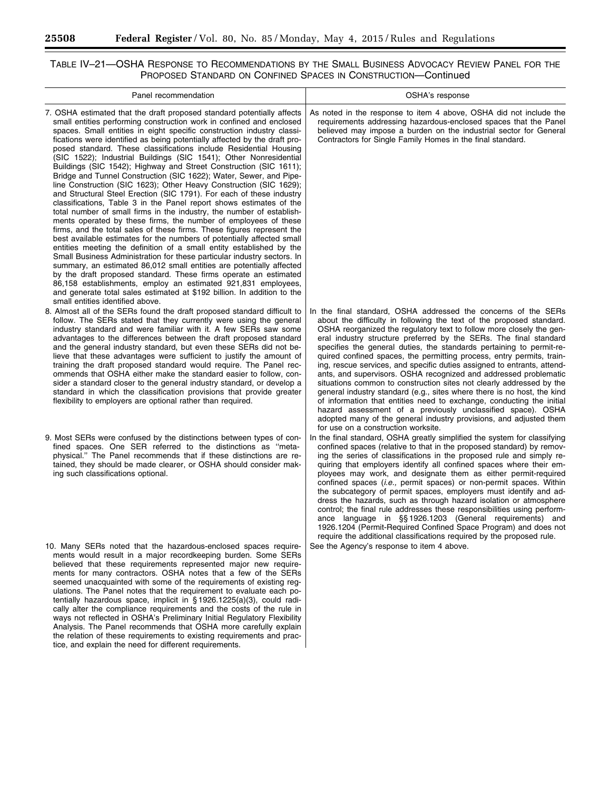$\equiv$ 

۰

# TABLE IV–21—OSHA RESPONSE TO RECOMMENDATIONS BY THE SMALL BUSINESS ADVOCACY REVIEW PANEL FOR THE PROPOSED STANDARD ON CONFINED SPACES IN CONSTRUCTION—Continued

| Panel recommendation                                                                                                                                                                                                                                                                                                                                                                                                                                                                                                                                                                                                                                                                                                                                                                                                                                                                                                                                                                                                                                                                                                                                                                                                                                                                                                                                                                                                                                                                                                                                                                           | OSHA's response                                                                                                                                                                                                                                                                                                                                                                                                                                                                                                                                                                                                                                                                                                                                                                                                                                                                                                                                                                             |
|------------------------------------------------------------------------------------------------------------------------------------------------------------------------------------------------------------------------------------------------------------------------------------------------------------------------------------------------------------------------------------------------------------------------------------------------------------------------------------------------------------------------------------------------------------------------------------------------------------------------------------------------------------------------------------------------------------------------------------------------------------------------------------------------------------------------------------------------------------------------------------------------------------------------------------------------------------------------------------------------------------------------------------------------------------------------------------------------------------------------------------------------------------------------------------------------------------------------------------------------------------------------------------------------------------------------------------------------------------------------------------------------------------------------------------------------------------------------------------------------------------------------------------------------------------------------------------------------|---------------------------------------------------------------------------------------------------------------------------------------------------------------------------------------------------------------------------------------------------------------------------------------------------------------------------------------------------------------------------------------------------------------------------------------------------------------------------------------------------------------------------------------------------------------------------------------------------------------------------------------------------------------------------------------------------------------------------------------------------------------------------------------------------------------------------------------------------------------------------------------------------------------------------------------------------------------------------------------------|
| 7. OSHA estimated that the draft proposed standard potentially affects<br>small entities performing construction work in confined and enclosed<br>spaces. Small entities in eight specific construction industry classi-<br>fications were identified as being potentially affected by the draft pro-<br>posed standard. These classifications include Residential Housing<br>(SIC 1522); Industrial Buildings (SIC 1541); Other Nonresidential<br>Buildings (SIC 1542); Highway and Street Construction (SIC 1611);<br>Bridge and Tunnel Construction (SIC 1622); Water, Sewer, and Pipe-<br>line Construction (SIC 1623); Other Heavy Construction (SIC 1629);<br>and Structural Steel Erection (SIC 1791). For each of these industry<br>classifications, Table 3 in the Panel report shows estimates of the<br>total number of small firms in the industry, the number of establish-<br>ments operated by these firms, the number of employees of these<br>firms, and the total sales of these firms. These figures represent the<br>best available estimates for the numbers of potentially affected small<br>entities meeting the definition of a small entity established by the<br>Small Business Administration for these particular industry sectors. In<br>summary, an estimated 86,012 small entities are potentially affected<br>by the draft proposed standard. These firms operate an estimated<br>86,158 establishments, employ an estimated 921,831 employees,<br>and generate total sales estimated at \$192 billion. In addition to the<br>small entities identified above. | As noted in the response to item 4 above, OSHA did not include the<br>requirements addressing hazardous-enclosed spaces that the Panel<br>believed may impose a burden on the industrial sector for General<br>Contractors for Single Family Homes in the final standard.                                                                                                                                                                                                                                                                                                                                                                                                                                                                                                                                                                                                                                                                                                                   |
| 8. Almost all of the SERs found the draft proposed standard difficult to<br>follow. The SERs stated that they currently were using the general<br>industry standard and were familiar with it. A few SERs saw some<br>advantages to the differences between the draft proposed standard<br>and the general industry standard, but even these SERs did not be-<br>lieve that these advantages were sufficient to justify the amount of<br>training the draft proposed standard would require. The Panel rec-<br>ommends that OSHA either make the standard easier to follow, con-<br>sider a standard closer to the general industry standard, or develop a<br>standard in which the classification provisions that provide greater<br>flexibility to employers are optional rather than required.                                                                                                                                                                                                                                                                                                                                                                                                                                                                                                                                                                                                                                                                                                                                                                                              | In the final standard, OSHA addressed the concerns of the SERs<br>about the difficulty in following the text of the proposed standard.<br>OSHA reorganized the regulatory text to follow more closely the gen-<br>eral industry structure preferred by the SERs. The final standard<br>specifies the general duties, the standards pertaining to permit-re-<br>quired confined spaces, the permitting process, entry permits, train-<br>ing, rescue services, and specific duties assigned to entrants, attend-<br>ants, and supervisors. OSHA recognized and addressed problematic<br>situations common to construction sites not clearly addressed by the<br>general industry standard (e.g., sites where there is no host, the kind<br>of information that entities need to exchange, conducting the initial<br>hazard assessment of a previously unclassified space). OSHA<br>adopted many of the general industry provisions, and adjusted them<br>for use on a construction worksite. |
| 9. Most SERs were confused by the distinctions between types of con-<br>fined spaces. One SER referred to the distinctions as "meta-<br>physical." The Panel recommends that if these distinctions are re-<br>tained, they should be made clearer, or OSHA should consider mak-<br>ing such classifications optional.                                                                                                                                                                                                                                                                                                                                                                                                                                                                                                                                                                                                                                                                                                                                                                                                                                                                                                                                                                                                                                                                                                                                                                                                                                                                          | In the final standard, OSHA greatly simplified the system for classifying<br>confined spaces (relative to that in the proposed standard) by remov-<br>ing the series of classifications in the proposed rule and simply re-<br>quiring that employers identify all confined spaces where their em-<br>ployees may work, and designate them as either permit-required<br>confined spaces (i.e., permit spaces) or non-permit spaces. Within<br>the subcategory of permit spaces, employers must identify and ad-<br>dress the hazards, such as through hazard isolation or atmosphere<br>control; the final rule addresses these responsibilities using perform-<br>language in §§1926.1203 (General requirements) and<br>ance<br>1926.1204 (Permit-Required Confined Space Program) and does not<br>require the additional classifications required by the proposed rule.                                                                                                                   |
| 10. Many SERs noted that the hazardous-enclosed spaces require-<br>ments would result in a major recordkeeping burden. Some SERs<br>believed that these requirements represented major new require-<br>ments for many contractors. OSHA notes that a few of the SERs<br>seemed unacquainted with some of the requirements of existing reg-<br>ulations. The Panel notes that the requirement to evaluate each po-<br>tentially hazardous space, implicit in $\S 1926.1225(a)(3)$ , could radi-<br>cally alter the compliance requirements and the costs of the rule in<br>ways not reflected in OSHA's Preliminary Initial Regulatory Flexibility<br>Analysis. The Panel recommends that OSHA more carefully explain<br>the relation of these requirements to existing requirements and prac-<br>tice, and explain the need for different requirements.                                                                                                                                                                                                                                                                                                                                                                                                                                                                                                                                                                                                                                                                                                                                        | See the Agency's response to item 4 above.                                                                                                                                                                                                                                                                                                                                                                                                                                                                                                                                                                                                                                                                                                                                                                                                                                                                                                                                                  |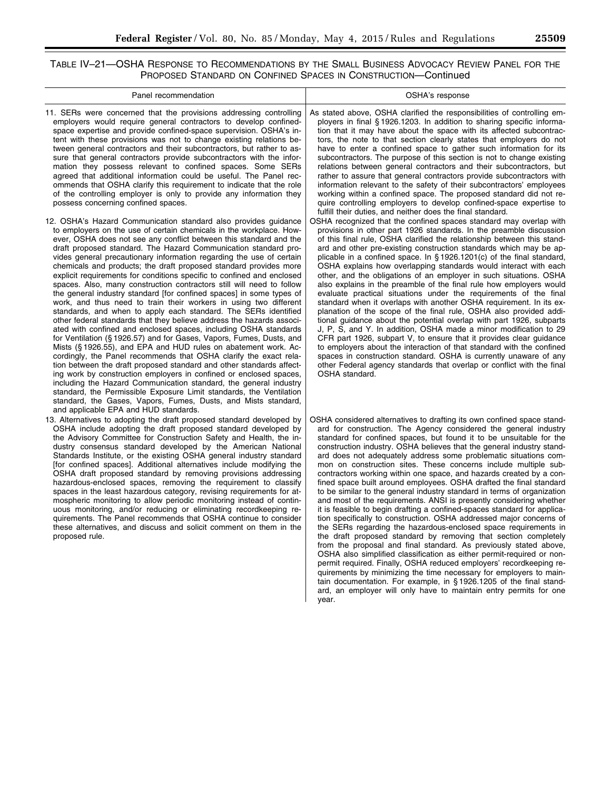$\equiv$ 

TABLE IV–21—OSHA RESPONSE TO RECOMMENDATIONS BY THE SMALL BUSINESS ADVOCACY REVIEW PANEL FOR THE PROPOSED STANDARD ON CONFINED SPACES IN CONSTRUCTION—Continued

| Panel recommendation                                                                                                                                                                                                                                                                                                                                                                                                                                                                                                                                                                                                                                                                                                                                                                                                                                                                                                                                                                                                                                                                                                                                                                                                                                                                                                                                                                                                                                                                                                                                            | OSHA's response                                                                                                                                                                                                                                                                                                                                                                                                                                                                                                                                                                                                                                                                                                                                                                                                                                                                                                                                                                                                                                                                                                                                                                                                                                                                                                                                                                                                                                                               |
|-----------------------------------------------------------------------------------------------------------------------------------------------------------------------------------------------------------------------------------------------------------------------------------------------------------------------------------------------------------------------------------------------------------------------------------------------------------------------------------------------------------------------------------------------------------------------------------------------------------------------------------------------------------------------------------------------------------------------------------------------------------------------------------------------------------------------------------------------------------------------------------------------------------------------------------------------------------------------------------------------------------------------------------------------------------------------------------------------------------------------------------------------------------------------------------------------------------------------------------------------------------------------------------------------------------------------------------------------------------------------------------------------------------------------------------------------------------------------------------------------------------------------------------------------------------------|-------------------------------------------------------------------------------------------------------------------------------------------------------------------------------------------------------------------------------------------------------------------------------------------------------------------------------------------------------------------------------------------------------------------------------------------------------------------------------------------------------------------------------------------------------------------------------------------------------------------------------------------------------------------------------------------------------------------------------------------------------------------------------------------------------------------------------------------------------------------------------------------------------------------------------------------------------------------------------------------------------------------------------------------------------------------------------------------------------------------------------------------------------------------------------------------------------------------------------------------------------------------------------------------------------------------------------------------------------------------------------------------------------------------------------------------------------------------------------|
| 11. SERs were concerned that the provisions addressing controlling<br>employers would require general contractors to develop confined-<br>space expertise and provide confined-space supervision. OSHA's in-<br>tent with these provisions was not to change existing relations be-<br>tween general contractors and their subcontractors, but rather to as-<br>sure that general contractors provide subcontractors with the infor-<br>mation they possess relevant to confined spaces. Some SERs<br>agreed that additional information could be useful. The Panel rec-<br>ommends that OSHA clarify this requirement to indicate that the role<br>of the controlling employer is only to provide any information they<br>possess concerning confined spaces.                                                                                                                                                                                                                                                                                                                                                                                                                                                                                                                                                                                                                                                                                                                                                                                                  | As stated above, OSHA clarified the responsibilities of controlling em-<br>ployers in final §1926.1203. In addition to sharing specific informa-<br>tion that it may have about the space with its affected subcontrac-<br>tors, the note to that section clearly states that employers do not<br>have to enter a confined space to gather such information for its<br>subcontractors. The purpose of this section is not to change existing<br>relations between general contractors and their subcontractors, but<br>rather to assure that general contractors provide subcontractors with<br>information relevant to the safety of their subcontractors' employees<br>working within a confined space. The proposed standard did not re-<br>quire controlling employers to develop confined-space expertise to<br>fulfill their duties, and neither does the final standard.                                                                                                                                                                                                                                                                                                                                                                                                                                                                                                                                                                                               |
| 12. OSHA's Hazard Communication standard also provides guidance<br>to employers on the use of certain chemicals in the workplace. How-<br>ever, OSHA does not see any conflict between this standard and the<br>draft proposed standard. The Hazard Communication standard pro-<br>vides general precautionary information regarding the use of certain<br>chemicals and products; the draft proposed standard provides more<br>explicit requirements for conditions specific to confined and enclosed<br>spaces. Also, many construction contractors still will need to follow<br>the general industry standard for confined spaces in some types of<br>work, and thus need to train their workers in using two different<br>standards, and when to apply each standard. The SERs identified<br>other federal standards that they believe address the hazards associ-<br>ated with confined and enclosed spaces, including OSHA standards<br>for Ventilation (§ 1926.57) and for Gases, Vapors, Fumes, Dusts, and<br>Mists (§ 1926.55), and EPA and HUD rules on abatement work. Ac-<br>cordingly, the Panel recommends that OSHA clarify the exact rela-<br>tion between the draft proposed standard and other standards affect-<br>ing work by construction employers in confined or enclosed spaces,<br>including the Hazard Communication standard, the general industry<br>standard, the Permissible Exposure Limit standards, the Ventilation<br>standard, the Gases, Vapors, Fumes, Dusts, and Mists standard,<br>and applicable EPA and HUD standards. | OSHA recognized that the confined spaces standard may overlap with<br>provisions in other part 1926 standards. In the preamble discussion<br>of this final rule, OSHA clarified the relationship between this stand-<br>ard and other pre-existing construction standards which may be ap-<br>plicable in a confined space. In $\S 1926.1201(c)$ of the final standard,<br>OSHA explains how overlapping standards would interact with each<br>other, and the obligations of an employer in such situations. OSHA<br>also explains in the preamble of the final rule how employers would<br>evaluate practical situations under the requirements of the final<br>standard when it overlaps with another OSHA requirement. In its ex-<br>planation of the scope of the final rule, OSHA also provided addi-<br>tional guidance about the potential overlap with part 1926, subparts<br>J, P, S, and Y. In addition, OSHA made a minor modification to 29<br>CFR part 1926, subpart V, to ensure that it provides clear guidance<br>to employers about the interaction of that standard with the confined<br>spaces in construction standard. OSHA is currently unaware of any<br>other Federal agency standards that overlap or conflict with the final<br>OSHA standard.                                                                                                                                                                                                      |
| 13. Alternatives to adopting the draft proposed standard developed by<br>OSHA include adopting the draft proposed standard developed by<br>the Advisory Committee for Construction Safety and Health, the in-<br>dustry consensus standard developed by the American National<br>Standards Institute, or the existing OSHA general industry standard<br>[for confined spaces]. Additional alternatives include modifying the<br>OSHA draft proposed standard by removing provisions addressing<br>hazardous-enclosed spaces, removing the requirement to classify<br>spaces in the least hazardous category, revising requirements for at-<br>mospheric monitoring to allow periodic monitoring instead of contin-<br>uous monitoring, and/or reducing or eliminating recordkeeping re-<br>quirements. The Panel recommends that OSHA continue to consider<br>these alternatives, and discuss and solicit comment on them in the<br>proposed rule.                                                                                                                                                                                                                                                                                                                                                                                                                                                                                                                                                                                                              | OSHA considered alternatives to drafting its own confined space stand-<br>ard for construction. The Agency considered the general industry<br>standard for confined spaces, but found it to be unsuitable for the<br>construction industry. OSHA believes that the general industry stand-<br>ard does not adequately address some problematic situations com-<br>mon on construction sites. These concerns include multiple sub-<br>contractors working within one space, and hazards created by a con-<br>fined space built around employees. OSHA drafted the final standard<br>to be similar to the general industry standard in terms of organization<br>and most of the requirements. ANSI is presently considering whether<br>it is feasible to begin drafting a confined-spaces standard for applica-<br>tion specifically to construction. OSHA addressed major concerns of<br>the SERs regarding the hazardous-enclosed space requirements in<br>the draft proposed standard by removing that section completely<br>from the proposal and final standard. As previously stated above,<br>OSHA also simplified classification as either permit-required or non-<br>permit required. Finally, OSHA reduced employers' recordkeeping re-<br>quirements by minimizing the time necessary for employers to main-<br>tain documentation. For example, in $\S$ 1926.1205 of the final stand-<br>ard, an employer will only have to maintain entry permits for one<br>year. |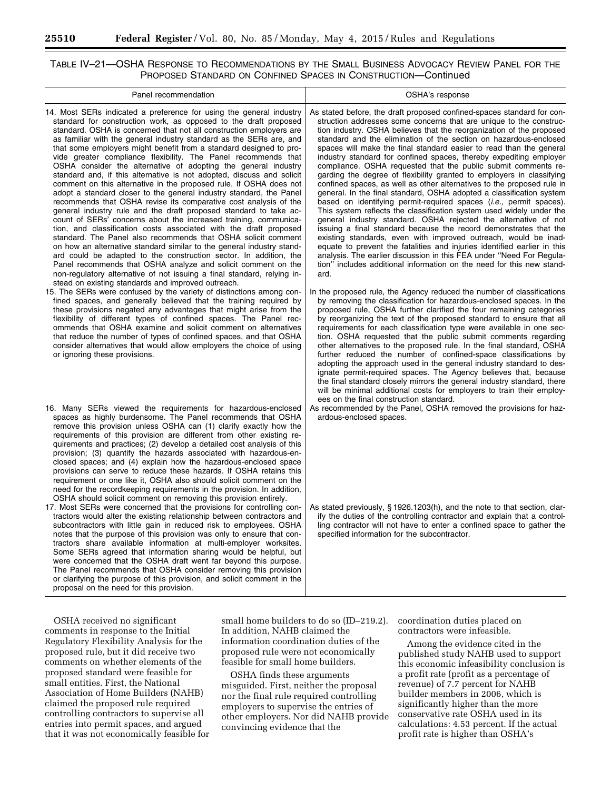# TABLE IV–21—OSHA RESPONSE TO RECOMMENDATIONS BY THE SMALL BUSINESS ADVOCACY REVIEW PANEL FOR THE PROPOSED STANDARD ON CONFINED SPACES IN CONSTRUCTION—Continued

| Panel recommendation                                                                                                                                                                                                                                                                                                                                                                                                                                                                                                                                                                                                                                                                                                                                                                                                                                                                                                                                                                                                                                                                                                                                                                                                                                                                                                                                                                                                                                                                                                                                                                                                                                                                                                                                                                                                                                                                                                                                            | OSHA's response                                                                                                                                                                                                                                                                                                                                                                                                                                                                                                                                                                                                                                                                                                                                                                                                                                                                                                                                                                                                                                                                                                                                                                                                                                                                                                                                                                                                                                                                                                                                                                                                                                                                                                                                                                                                                                                                                                                                                                                                                                                                                                                                                                                                               |
|-----------------------------------------------------------------------------------------------------------------------------------------------------------------------------------------------------------------------------------------------------------------------------------------------------------------------------------------------------------------------------------------------------------------------------------------------------------------------------------------------------------------------------------------------------------------------------------------------------------------------------------------------------------------------------------------------------------------------------------------------------------------------------------------------------------------------------------------------------------------------------------------------------------------------------------------------------------------------------------------------------------------------------------------------------------------------------------------------------------------------------------------------------------------------------------------------------------------------------------------------------------------------------------------------------------------------------------------------------------------------------------------------------------------------------------------------------------------------------------------------------------------------------------------------------------------------------------------------------------------------------------------------------------------------------------------------------------------------------------------------------------------------------------------------------------------------------------------------------------------------------------------------------------------------------------------------------------------|-------------------------------------------------------------------------------------------------------------------------------------------------------------------------------------------------------------------------------------------------------------------------------------------------------------------------------------------------------------------------------------------------------------------------------------------------------------------------------------------------------------------------------------------------------------------------------------------------------------------------------------------------------------------------------------------------------------------------------------------------------------------------------------------------------------------------------------------------------------------------------------------------------------------------------------------------------------------------------------------------------------------------------------------------------------------------------------------------------------------------------------------------------------------------------------------------------------------------------------------------------------------------------------------------------------------------------------------------------------------------------------------------------------------------------------------------------------------------------------------------------------------------------------------------------------------------------------------------------------------------------------------------------------------------------------------------------------------------------------------------------------------------------------------------------------------------------------------------------------------------------------------------------------------------------------------------------------------------------------------------------------------------------------------------------------------------------------------------------------------------------------------------------------------------------------------------------------------------------|
| 14. Most SERs indicated a preference for using the general industry<br>standard for construction work, as opposed to the draft proposed<br>standard. OSHA is concerned that not all construction employers are<br>as familiar with the general industry standard as the SERs are, and<br>that some employers might benefit from a standard designed to pro-<br>vide greater compliance flexibility. The Panel recommends that<br>OSHA consider the alternative of adopting the general industry<br>standard and, if this alternative is not adopted, discuss and solicit<br>comment on this alternative in the proposed rule. If OSHA does not<br>adopt a standard closer to the general industry standard, the Panel<br>recommends that OSHA revise its comparative cost analysis of the<br>general industry rule and the draft proposed standard to take ac-<br>count of SERs' concerns about the increased training, communica-<br>tion, and classification costs associated with the draft proposed<br>standard. The Panel also recommends that OSHA solicit comment<br>on how an alternative standard similar to the general industry stand-<br>ard could be adapted to the construction sector. In addition, the<br>Panel recommends that OSHA analyze and solicit comment on the<br>non-regulatory alternative of not issuing a final standard, relying in-<br>stead on existing standards and improved outreach.<br>15. The SERs were confused by the variety of distinctions among con-<br>fined spaces, and generally believed that the training required by<br>these provisions negated any advantages that might arise from the<br>flexibility of different types of confined spaces. The Panel rec-<br>ommends that OSHA examine and solicit comment on alternatives<br>that reduce the number of types of confined spaces, and that OSHA<br>consider alternatives that would allow employers the choice of using<br>or ignoring these provisions. | As stated before, the draft proposed confined-spaces standard for con-<br>struction addresses some concerns that are unique to the construc-<br>tion industry. OSHA believes that the reorganization of the proposed<br>standard and the elimination of the section on hazardous-enclosed<br>spaces will make the final standard easier to read than the general<br>industry standard for confined spaces, thereby expediting employer<br>compliance. OSHA requested that the public submit comments re-<br>garding the degree of flexibility granted to employers in classifying<br>confined spaces, as well as other alternatives to the proposed rule in<br>general. In the final standard, OSHA adopted a classification system<br>based on identifying permit-required spaces <i>(i.e.,</i> permit spaces).<br>This system reflects the classification system used widely under the<br>general industry standard. OSHA rejected the alternative of not<br>issuing a final standard because the record demonstrates that the<br>existing standards, even with improved outreach, would be inad-<br>equate to prevent the fatalities and injuries identified earlier in this<br>analysis. The earlier discussion in this FEA under "Need For Regula-<br>tion" includes additional information on the need for this new stand-<br>ard.<br>In the proposed rule, the Agency reduced the number of classifications<br>by removing the classification for hazardous-enclosed spaces. In the<br>proposed rule, OSHA further clarified the four remaining categories<br>by reorganizing the text of the proposed standard to ensure that all<br>requirements for each classification type were available in one sec-<br>tion. OSHA requested that the public submit comments regarding<br>other alternatives to the proposed rule. In the final standard, OSHA<br>further reduced the number of confined-space classifications by<br>adopting the approach used in the general industry standard to des-<br>ignate permit-required spaces. The Agency believes that, because<br>the final standard closely mirrors the general industry standard, there<br>will be minimal additional costs for employers to train their employ- |
| 16. Many SERs viewed the requirements for hazardous-enclosed<br>spaces as highly burdensome. The Panel recommends that OSHA<br>remove this provision unless OSHA can (1) clarify exactly how the<br>requirements of this provision are different from other existing re-<br>quirements and practices; (2) develop a detailed cost analysis of this<br>provision; (3) quantify the hazards associated with hazardous-en-<br>closed spaces; and (4) explain how the hazardous-enclosed space<br>provisions can serve to reduce these hazards. If OSHA retains this<br>requirement or one like it, OSHA also should solicit comment on the<br>need for the recordkeeping requirements in the provision. In addition,<br>OSHA should solicit comment on removing this provision entirely.<br>17. Most SERs were concerned that the provisions for controlling con-<br>tractors would alter the existing relationship between contractors and<br>subcontractors with little gain in reduced risk to employees. OSHA<br>notes that the purpose of this provision was only to ensure that con-<br>tractors share available information at multi-employer worksites.<br>Some SERs agreed that information sharing would be helpful, but<br>were concerned that the OSHA draft went far beyond this purpose.<br>The Panel recommends that OSHA consider removing this provision<br>or clarifying the purpose of this provision, and solicit comment in the<br>proposal on the need for this provision.                                                                                                                                                                                                                                                                                                                                                                                                                                                                   | ees on the final construction standard.<br>As recommended by the Panel, OSHA removed the provisions for haz-<br>ardous-enclosed spaces.<br>As stated previously, $\S 1926.1203(h)$ , and the note to that section, clar-<br>ify the duties of the controlling contractor and explain that a control-<br>ling contractor will not have to enter a confined space to gather the<br>specified information for the subcontractor.                                                                                                                                                                                                                                                                                                                                                                                                                                                                                                                                                                                                                                                                                                                                                                                                                                                                                                                                                                                                                                                                                                                                                                                                                                                                                                                                                                                                                                                                                                                                                                                                                                                                                                                                                                                                 |

OSHA received no significant comments in response to the Initial Regulatory Flexibility Analysis for the proposed rule, but it did receive two comments on whether elements of the proposed standard were feasible for small entities. First, the National Association of Home Builders (NAHB) claimed the proposed rule required controlling contractors to supervise all entries into permit spaces, and argued that it was not economically feasible for small home builders to do so (ID–219.2). In addition, NAHB claimed the information coordination duties of the proposed rule were not economically feasible for small home builders.

OSHA finds these arguments misguided. First, neither the proposal nor the final rule required controlling employers to supervise the entries of other employers. Nor did NAHB provide convincing evidence that the

coordination duties placed on contractors were infeasible.

Among the evidence cited in the published study NAHB used to support this economic infeasibility conclusion is a profit rate (profit as a percentage of revenue) of 7.7 percent for NAHB builder members in 2006, which is significantly higher than the more conservative rate OSHA used in its calculations: 4.53 percent. If the actual profit rate is higher than OSHA's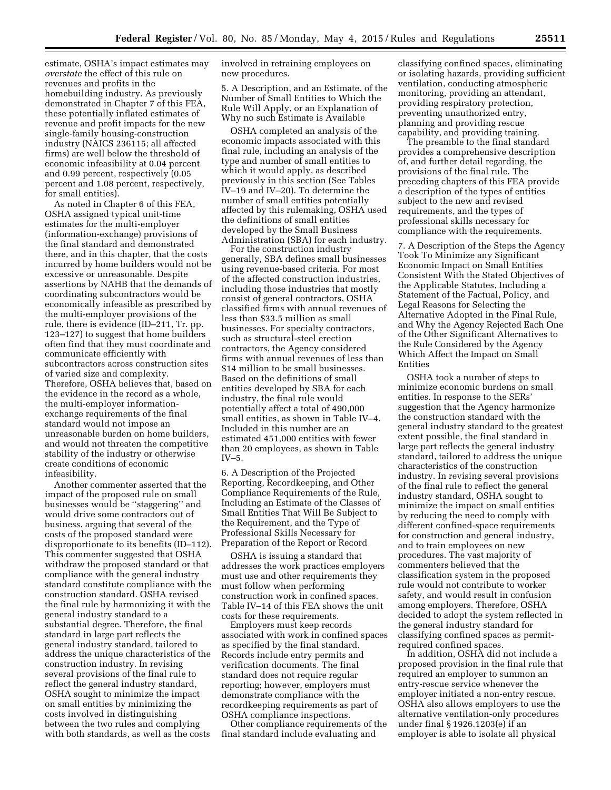estimate, OSHA's impact estimates may *overstate* the effect of this rule on revenues and profits in the homebuilding industry. As previously demonstrated in Chapter 7 of this FEA, these potentially inflated estimates of revenue and profit impacts for the new single-family housing-construction industry (NAICS 236115; all affected firms) are well below the threshold of economic infeasibility at 0.04 percent and 0.99 percent, respectively (0.05 percent and 1.08 percent, respectively, for small entities).

As noted in Chapter 6 of this FEA, OSHA assigned typical unit-time estimates for the multi-employer (information-exchange) provisions of the final standard and demonstrated there, and in this chapter, that the costs incurred by home builders would not be excessive or unreasonable. Despite assertions by NAHB that the demands of coordinating subcontractors would be economically infeasible as prescribed by the multi-employer provisions of the rule, there is evidence (ID–211, Tr. pp. 123–127) to suggest that home builders often find that they must coordinate and communicate efficiently with subcontractors across construction sites of varied size and complexity. Therefore, OSHA believes that, based on the evidence in the record as a whole, the multi-employer informationexchange requirements of the final standard would not impose an unreasonable burden on home builders, and would not threaten the competitive stability of the industry or otherwise create conditions of economic infeasibility.

Another commenter asserted that the impact of the proposed rule on small businesses would be ''staggering'' and would drive some contractors out of business, arguing that several of the costs of the proposed standard were disproportionate to its benefits (ID–112). This commenter suggested that OSHA withdraw the proposed standard or that compliance with the general industry standard constitute compliance with the construction standard. OSHA revised the final rule by harmonizing it with the general industry standard to a substantial degree. Therefore, the final standard in large part reflects the general industry standard, tailored to address the unique characteristics of the construction industry. In revising several provisions of the final rule to reflect the general industry standard, OSHA sought to minimize the impact on small entities by minimizing the costs involved in distinguishing between the two rules and complying with both standards, as well as the costs

involved in retraining employees on new procedures.

5. A Description, and an Estimate, of the Number of Small Entities to Which the Rule Will Apply, or an Explanation of Why no such Estimate is Available

OSHA completed an analysis of the economic impacts associated with this final rule, including an analysis of the type and number of small entities to which it would apply, as described previously in this section (See Tables IV–19 and IV–20). To determine the number of small entities potentially affected by this rulemaking, OSHA used the definitions of small entities developed by the Small Business Administration (SBA) for each industry.

For the construction industry generally, SBA defines small businesses using revenue-based criteria. For most of the affected construction industries, including those industries that mostly consist of general contractors, OSHA classified firms with annual revenues of less than \$33.5 million as small businesses. For specialty contractors, such as structural-steel erection contractors, the Agency considered firms with annual revenues of less than \$14 million to be small businesses. Based on the definitions of small entities developed by SBA for each industry, the final rule would potentially affect a total of 490,000 small entities, as shown in Table IV–4. Included in this number are an estimated 451,000 entities with fewer than 20 employees, as shown in Table IV–5.

6. A Description of the Projected Reporting, Recordkeeping, and Other Compliance Requirements of the Rule, Including an Estimate of the Classes of Small Entities That Will Be Subject to the Requirement, and the Type of Professional Skills Necessary for Preparation of the Report or Record

OSHA is issuing a standard that addresses the work practices employers must use and other requirements they must follow when performing construction work in confined spaces. Table IV–14 of this FEA shows the unit costs for these requirements.

Employers must keep records associated with work in confined spaces as specified by the final standard. Records include entry permits and verification documents. The final standard does not require regular reporting; however, employers must demonstrate compliance with the recordkeeping requirements as part of OSHA compliance inspections.

Other compliance requirements of the final standard include evaluating and

classifying confined spaces, eliminating or isolating hazards, providing sufficient ventilation, conducting atmospheric monitoring, providing an attendant, providing respiratory protection, preventing unauthorized entry, planning and providing rescue capability, and providing training.

The preamble to the final standard provides a comprehensive description of, and further detail regarding, the provisions of the final rule. The preceding chapters of this FEA provide a description of the types of entities subject to the new and revised requirements, and the types of professional skills necessary for compliance with the requirements.

7. A Description of the Steps the Agency Took To Minimize any Significant Economic Impact on Small Entities Consistent With the Stated Objectives of the Applicable Statutes, Including a Statement of the Factual, Policy, and Legal Reasons for Selecting the Alternative Adopted in the Final Rule, and Why the Agency Rejected Each One of the Other Significant Alternatives to the Rule Considered by the Agency Which Affect the Impact on Small Entities

OSHA took a number of steps to minimize economic burdens on small entities. In response to the SERs' suggestion that the Agency harmonize the construction standard with the general industry standard to the greatest extent possible, the final standard in large part reflects the general industry standard, tailored to address the unique characteristics of the construction industry. In revising several provisions of the final rule to reflect the general industry standard, OSHA sought to minimize the impact on small entities by reducing the need to comply with different confined-space requirements for construction and general industry, and to train employees on new procedures. The vast majority of commenters believed that the classification system in the proposed rule would not contribute to worker safety, and would result in confusion among employers. Therefore, OSHA decided to adopt the system reflected in the general industry standard for classifying confined spaces as permitrequired confined spaces.

In addition, OSHA did not include a proposed provision in the final rule that required an employer to summon an entry-rescue service whenever the employer initiated a non-entry rescue. OSHA also allows employers to use the alternative ventilation-only procedures under final § 1926.1203(e) if an employer is able to isolate all physical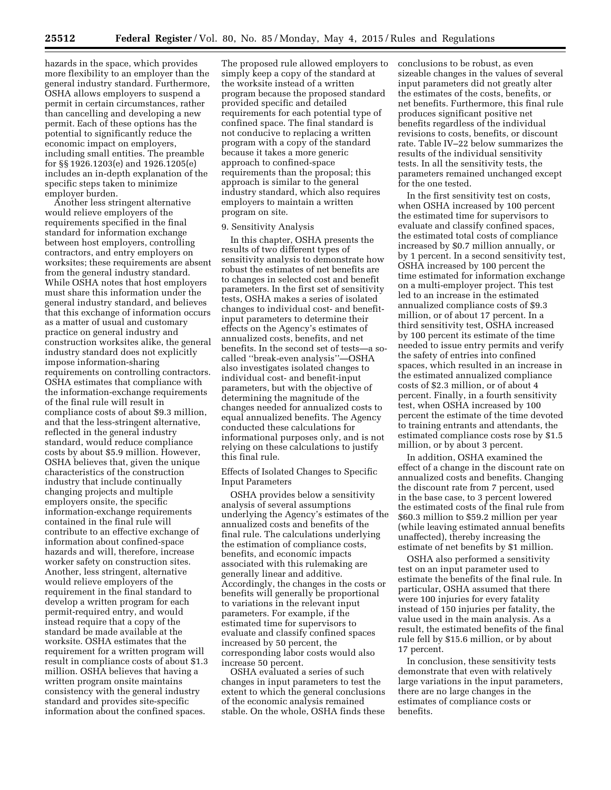hazards in the space, which provides more flexibility to an employer than the general industry standard. Furthermore, OSHA allows employers to suspend a permit in certain circumstances, rather than cancelling and developing a new permit. Each of these options has the potential to significantly reduce the economic impact on employers, including small entities. The preamble for §§ 1926.1203(e) and 1926.1205(e) includes an in-depth explanation of the specific steps taken to minimize employer burden.

Another less stringent alternative would relieve employers of the requirements specified in the final standard for information exchange between host employers, controlling contractors, and entry employers on worksites; these requirements are absent from the general industry standard. While OSHA notes that host employers must share this information under the general industry standard, and believes that this exchange of information occurs as a matter of usual and customary practice on general industry and construction worksites alike, the general industry standard does not explicitly impose information-sharing requirements on controlling contractors. OSHA estimates that compliance with the information-exchange requirements of the final rule will result in compliance costs of about \$9.3 million, and that the less-stringent alternative, reflected in the general industry standard, would reduce compliance costs by about \$5.9 million. However, OSHA believes that, given the unique characteristics of the construction industry that include continually changing projects and multiple employers onsite, the specific information-exchange requirements contained in the final rule will contribute to an effective exchange of information about confined-space hazards and will, therefore, increase worker safety on construction sites. Another, less stringent, alternative would relieve employers of the requirement in the final standard to develop a written program for each permit-required entry, and would instead require that a copy of the standard be made available at the worksite. OSHA estimates that the requirement for a written program will result in compliance costs of about \$1.3 million. OSHA believes that having a written program onsite maintains consistency with the general industry standard and provides site-specific information about the confined spaces.

The proposed rule allowed employers to simply keep a copy of the standard at the worksite instead of a written program because the proposed standard provided specific and detailed requirements for each potential type of confined space. The final standard is not conducive to replacing a written program with a copy of the standard because it takes a more generic approach to confined-space requirements than the proposal; this approach is similar to the general industry standard, which also requires employers to maintain a written program on site.

### 9. Sensitivity Analysis

In this chapter, OSHA presents the results of two different types of sensitivity analysis to demonstrate how robust the estimates of net benefits are to changes in selected cost and benefit parameters. In the first set of sensitivity tests, OSHA makes a series of isolated changes to individual cost- and benefitinput parameters to determine their effects on the Agency's estimates of annualized costs, benefits, and net benefits. In the second set of tests—a socalled ''break-even analysis''—OSHA also investigates isolated changes to individual cost- and benefit-input parameters, but with the objective of determining the magnitude of the changes needed for annualized costs to equal annualized benefits. The Agency conducted these calculations for informational purposes only, and is not relying on these calculations to justify this final rule.

Effects of Isolated Changes to Specific Input Parameters

OSHA provides below a sensitivity analysis of several assumptions underlying the Agency's estimates of the annualized costs and benefits of the final rule. The calculations underlying the estimation of compliance costs, benefits, and economic impacts associated with this rulemaking are generally linear and additive. Accordingly, the changes in the costs or benefits will generally be proportional to variations in the relevant input parameters. For example, if the estimated time for supervisors to evaluate and classify confined spaces increased by 50 percent, the corresponding labor costs would also increase 50 percent.

OSHA evaluated a series of such changes in input parameters to test the extent to which the general conclusions of the economic analysis remained stable. On the whole, OSHA finds these conclusions to be robust, as even sizeable changes in the values of several input parameters did not greatly alter the estimates of the costs, benefits, or net benefits. Furthermore, this final rule produces significant positive net benefits regardless of the individual revisions to costs, benefits, or discount rate. Table IV–22 below summarizes the results of the individual sensitivity tests. In all the sensitivity tests, the parameters remained unchanged except for the one tested.

In the first sensitivity test on costs, when OSHA increased by 100 percent the estimated time for supervisors to evaluate and classify confined spaces, the estimated total costs of compliance increased by \$0.7 million annually, or by 1 percent. In a second sensitivity test, OSHA increased by 100 percent the time estimated for information exchange on a multi-employer project. This test led to an increase in the estimated annualized compliance costs of \$9.3 million, or of about 17 percent. In a third sensitivity test, OSHA increased by 100 percent its estimate of the time needed to issue entry permits and verify the safety of entries into confined spaces, which resulted in an increase in the estimated annualized compliance costs of \$2.3 million, or of about 4 percent. Finally, in a fourth sensitivity test, when OSHA increased by 100 percent the estimate of the time devoted to training entrants and attendants, the estimated compliance costs rose by \$1.5 million, or by about 3 percent.

In addition, OSHA examined the effect of a change in the discount rate on annualized costs and benefits. Changing the discount rate from 7 percent, used in the base case, to 3 percent lowered the estimated costs of the final rule from \$60.3 million to \$59.2 million per year (while leaving estimated annual benefits unaffected), thereby increasing the estimate of net benefits by \$1 million.

OSHA also performed a sensitivity test on an input parameter used to estimate the benefits of the final rule. In particular, OSHA assumed that there were 100 injuries for every fatality instead of 150 injuries per fatality, the value used in the main analysis. As a result, the estimated benefits of the final rule fell by \$15.6 million, or by about 17 percent.

In conclusion, these sensitivity tests demonstrate that even with relatively large variations in the input parameters, there are no large changes in the estimates of compliance costs or benefits.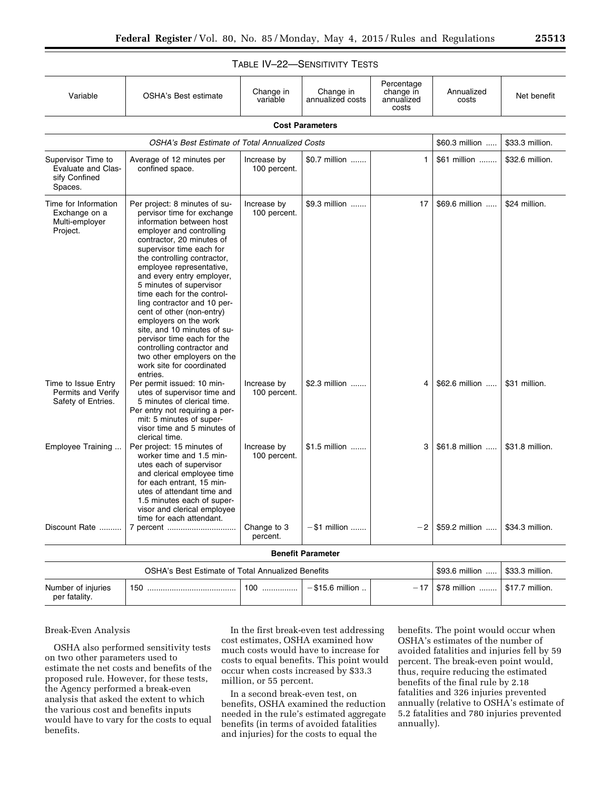|                                                                      |                                                                                                                                                                                                                                                                                                                                                                                                                                                                                                                                                                                      |                             | TABLE IV-22-SENSITIVITY TESTS |                                                |                     |                 |
|----------------------------------------------------------------------|--------------------------------------------------------------------------------------------------------------------------------------------------------------------------------------------------------------------------------------------------------------------------------------------------------------------------------------------------------------------------------------------------------------------------------------------------------------------------------------------------------------------------------------------------------------------------------------|-----------------------------|-------------------------------|------------------------------------------------|---------------------|-----------------|
| Variable                                                             | OSHA's Best estimate                                                                                                                                                                                                                                                                                                                                                                                                                                                                                                                                                                 | Change in<br>variable       | Change in<br>annualized costs | Percentage<br>change in<br>annualized<br>costs | Annualized<br>costs | Net benefit     |
|                                                                      |                                                                                                                                                                                                                                                                                                                                                                                                                                                                                                                                                                                      |                             | <b>Cost Parameters</b>        |                                                |                     |                 |
|                                                                      | <b>OSHA's Best Estimate of Total Annualized Costs</b>                                                                                                                                                                                                                                                                                                                                                                                                                                                                                                                                |                             |                               |                                                | \$60.3 million      | \$33.3 million. |
| Supervisor Time to<br>Evaluate and Clas-<br>sify Confined<br>Spaces. | Average of 12 minutes per<br>confined space.                                                                                                                                                                                                                                                                                                                                                                                                                                                                                                                                         | Increase by<br>100 percent. | \$0.7 million                 | 1                                              | \$61 million        | \$32.6 million. |
| Time for Information<br>Exchange on a<br>Multi-employer<br>Project.  | Per project: 8 minutes of su-<br>pervisor time for exchange<br>information between host<br>employer and controlling<br>contractor, 20 minutes of<br>supervisor time each for<br>the controlling contractor,<br>employee representative,<br>and every entry employer,<br>5 minutes of supervisor<br>time each for the control-<br>ling contractor and 10 per-<br>cent of other (non-entry)<br>employers on the work<br>site, and 10 minutes of su-<br>pervisor time each for the<br>controlling contractor and<br>two other employers on the<br>work site for coordinated<br>entries. | Increase by<br>100 percent. | \$9.3 million                 | 17                                             | \$69.6 million      | \$24 million.   |
| Time to Issue Entry<br>Permits and Verify<br>Safety of Entries.      | Per permit issued: 10 min-<br>utes of supervisor time and<br>5 minutes of clerical time.<br>Per entry not requiring a per-<br>mit: 5 minutes of super-<br>visor time and 5 minutes of<br>clerical time.                                                                                                                                                                                                                                                                                                                                                                              | Increase by<br>100 percent. | \$2.3 million                 | 4                                              | \$62.6 million      | \$31 million.   |
| Employee Training                                                    | Per project: 15 minutes of<br>worker time and 1.5 min-<br>utes each of supervisor<br>and clerical employee time<br>for each entrant, 15 min-<br>utes of attendant time and<br>1.5 minutes each of super-<br>visor and clerical employee<br>time for each attendant.                                                                                                                                                                                                                                                                                                                  | Increase by<br>100 percent. | \$1.5 million                 | 3                                              | \$61.8 million      | \$31.8 million. |
| Discount Rate                                                        | 7 percent                                                                                                                                                                                                                                                                                                                                                                                                                                                                                                                                                                            | Change to 3<br>percent.     | -\$1 million                  | -2                                             | \$59.2 million      | \$34.3 million. |
|                                                                      |                                                                                                                                                                                                                                                                                                                                                                                                                                                                                                                                                                                      |                             | <b>Benefit Parameter</b>      |                                                |                     |                 |
| <b>OSHA's Best Estimate of Total Annualized Benefits</b>             |                                                                                                                                                                                                                                                                                                                                                                                                                                                                                                                                                                                      |                             |                               |                                                | \$93.6 million      | \$33.3 million. |
| Number of injuries<br>per fatality.                                  |                                                                                                                                                                                                                                                                                                                                                                                                                                                                                                                                                                                      | 100                         | $-$ \$15.6 million            | $-17$                                          | \$78 million        | \$17.7 million. |

# $T_{ADL} = 11/22$  CENOTIVITY  $T_{EQ}$

# Break-Even Analysis

OSHA also performed sensitivity tests on two other parameters used to estimate the net costs and benefits of the proposed rule. However, for these tests, the Agency performed a break-even analysis that asked the extent to which the various cost and benefits inputs would have to vary for the costs to equal benefits.

In the first break-even test addressing cost estimates, OSHA examined how much costs would have to increase for costs to equal benefits. This point would occur when costs increased by \$33.3 million, or 55 percent.

In a second break-even test, on benefits, OSHA examined the reduction needed in the rule's estimated aggregate benefits (in terms of avoided fatalities and injuries) for the costs to equal the

benefits. The point would occur when OSHA's estimates of the number of avoided fatalities and injuries fell by 59 percent. The break-even point would, thus, require reducing the estimated benefits of the final rule by 2.18 fatalities and 326 injuries prevented annually (relative to OSHA's estimate of 5.2 fatalities and 780 injuries prevented annually).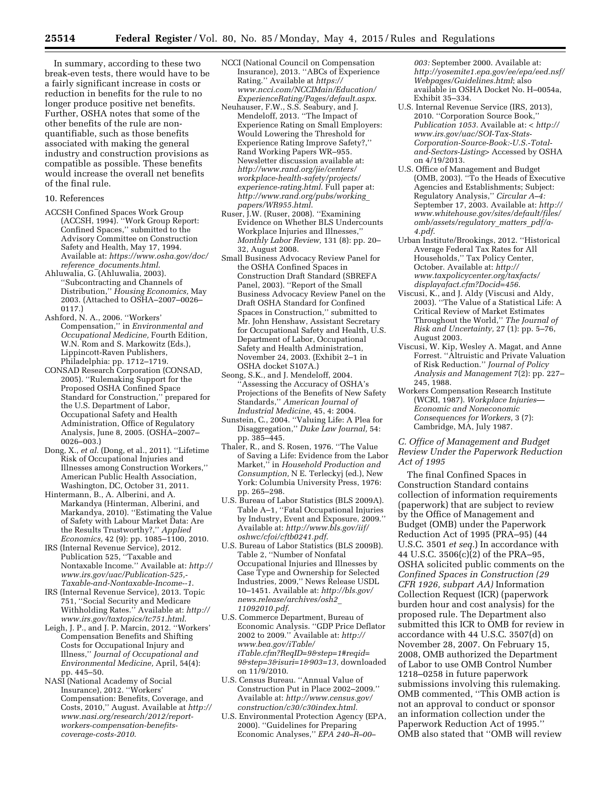In summary, according to these two break-even tests, there would have to be a fairly significant increase in costs or reduction in benefits for the rule to no longer produce positive net benefits. Further, OSHA notes that some of the other benefits of the rule are nonquantifiable, such as those benefits associated with making the general industry and construction provisions as compatible as possible. These benefits would increase the overall net benefits of the final rule.

# 10. References

- ACCSH Confined Spaces Work Group (ACCSH, 1994). ''Work Group Report: Confined Spaces,'' submitted to the Advisory Committee on Construction Safety and Health, May 17, 1994. Available at: *[https://www.osha.gov/doc/](https://www.osha.gov/doc/reference_documents.html) reference*\_*[documents.html](https://www.osha.gov/doc/reference_documents.html)*.
- Ahluwalia, G. (Ahluwalia, 2003). ''Subcontracting and Channels of Distribution,'' *Housing Economics,* May 2003. (Attached to OSHA–2007–0026– 0117.)
- Ashford, N. A., 2006. ''Workers' Compensation,'' in *Environmental and Occupational Medicine,* Fourth Edition, W.N. Rom and S. Markowitz (Eds.), Lippincott-Raven Publishers, Philadelphia: pp. 1712–1719.
- CONSAD Research Corporation (CONSAD, 2005). ''Rulemaking Support for the Proposed OSHA Confined Space Standard for Construction,'' prepared for the U.S. Department of Labor, Occupational Safety and Health Administration, Office of Regulatory Analysis, June 8, 2005. (OSHA–2007– 0026–003.)
- Dong, X., *et al.* (Dong, et al., 2011). ''Lifetime Risk of Occupational Injuries and Illnesses among Construction Workers,'' American Public Health Association, Washington, DC, October 31, 2011.
- Hintermann, B., A. Alberini, and A. Markandya (Hinterman, Alberini, and Markandya, 2010). ''Estimating the Value of Safety with Labour Market Data: Are the Results Trustworthy?,'' *Applied Economics,* 42 (9): pp. 1085–1100, 2010.
- IRS (Internal Revenue Service), 2012. Publication 525, ''Taxable and Nontaxable Income.'' Available at: *[http://](http://www.irs.gov/uac/Publication-525,-Taxable-and-Nontaxable-Income--1)  [www.irs.gov/uac/Publication-525,-](http://www.irs.gov/uac/Publication-525,-Taxable-and-Nontaxable-Income--1)  [Taxable-and-Nontaxable-Income--1](http://www.irs.gov/uac/Publication-525,-Taxable-and-Nontaxable-Income--1)*.
- IRS (Internal Revenue Service), 2013. Topic 751, ''Social Security and Medicare Withholding Rates.'' Available at: *[http://](http://www.irs.gov/taxtopics/tc751.html) [www.irs.gov/taxtopics/tc751.html](http://www.irs.gov/taxtopics/tc751.html)*.
- Leigh, J. P., and J. P. Marcin, 2012. ''Workers' Compensation Benefits and Shifting Costs for Occupational Injury and Illness,'' *Journal of Occupational and Environmental Medicine,* April, 54(4): pp. 445–50.
- NASI (National Academy of Social Insurance), 2012. ''Workers' Compensation: Benefits, Coverage, and Costs, 2010,'' August. Available at *[http://](http://www.nasi.org/research/2012/report-workers-compensation-benefits-coverage-costs-2010)  [www.nasi.org/research/2012/report](http://www.nasi.org/research/2012/report-workers-compensation-benefits-coverage-costs-2010)[workers-compensation-benefits](http://www.nasi.org/research/2012/report-workers-compensation-benefits-coverage-costs-2010)[coverage-costs-2010](http://www.nasi.org/research/2012/report-workers-compensation-benefits-coverage-costs-2010)*.
- NCCI (National Council on Compensation Insurance), 2013. ''ABCs of Experience Rating.'' Available at *[https://](https://www.ncci.com/NCCIMain/Education/ExperienceRating/Pages/default.aspx) [www.ncci.com/NCCIMain/Education/](https://www.ncci.com/NCCIMain/Education/ExperienceRating/Pages/default.aspx) [ExperienceRating/Pages/default.aspx](https://www.ncci.com/NCCIMain/Education/ExperienceRating/Pages/default.aspx)*.
- Neuhauser, F.W., S.S. Seabury, and J. Mendeloff, 2013. ''The Impact of Experience Rating on Small Employers: Would Lowering the Threshold for Experience Rating Improve Safety?,'' Rand Working Papers WR–955. Newsletter discussion available at: *[http://www.rand.org/jie/centers/](http://www.rand.org/jie/centers/workplace-health-safety/projects/experience-rating.html) [workplace-health-safety/projects/](http://www.rand.org/jie/centers/workplace-health-safety/projects/experience-rating.html) [experience-rating.html](http://www.rand.org/jie/centers/workplace-health-safety/projects/experience-rating.html)*. Full paper at: *[http://www.rand.org/pubs/working](http://www.rand.org/pubs/working_papers/WR955.html)*\_ *[papers/WR955.html](http://www.rand.org/pubs/working_papers/WR955.html)*.
- Ruser, J.W. (Ruser, 2008). ''Examining Evidence on Whether BLS Undercounts Workplace Injuries and Illnesses,'' *Monthly Labor Review,* 131 (8): pp. 20– 32, August 2008.
- Small Business Advocacy Review Panel for the OSHA Confined Spaces in Construction Draft Standard (SBREFA Panel, 2003). ''Report of the Small Business Advocacy Review Panel on the Draft OSHA Standard for Confined Spaces in Construction,'' submitted to Mr. John Henshaw, Assistant Secretary for Occupational Safety and Health, U.S. Department of Labor, Occupational Safety and Health Administration, November 24, 2003. (Exhibit 2–1 in OSHA docket S107A.)
- Seong, S.K., and J. Mendeloff, 2004. ''Assessing the Accuracy of OSHA's Projections of the Benefits of New Safety Standards,'' *American Journal of Industrial Medicine,* 45, 4: 2004.
- Sunstein, C., 2004. ''Valuing Life: A Plea for Disaggregation,'' *Duke Law Journal,* 54: pp. 385–445.
- Thaler, R., and S. Rosen, 1976. ''The Value of Saving a Life: Evidence from the Labor Market,'' in *Household Production and Consumption,* N E. Terleckyj (ed.), New York: Columbia University Press, 1976: pp. 265–298.
- U.S. Bureau of Labor Statistics (BLS 2009A). Table A–1, ''Fatal Occupational Injuries by Industry, Event and Exposure, 2009.'' Available at: *[http://www.bls.gov/iif/](http://www.bls.gov/iif/oshwc/cfoi/cftb0241.pdf) [oshwc/cfoi/cftb0241.pdf](http://www.bls.gov/iif/oshwc/cfoi/cftb0241.pdf)*.
- U.S. Bureau of Labor Statistics (BLS 2009B). Table 2, ''Number of Nonfatal Occupational Injuries and Illnesses by Case Type and Ownership for Selected Industries, 2009,'' News Release USDL 10–1451. Available at: *[http://bls.gov/](http://bls.gov/news.release/archives/osh2_11092010.pdf) [news.release/archives/osh2](http://bls.gov/news.release/archives/osh2_11092010.pdf)*\_ *[11092010.pdf](http://bls.gov/news.release/archives/osh2_11092010.pdf)*.
- U.S. Commerce Department, Bureau of Economic Analysis. ''GDP Price Deflator 2002 to 2009.'' Available at: *[http://](http://www.bea.gov/iTable/iTable.cfm?ReqID=9&step=1#reqid=9&step=3&isuri=1&903=13) [www.bea.gov/iTable/](http://www.bea.gov/iTable/iTable.cfm?ReqID=9&step=1#reqid=9&step=3&isuri=1&903=13) [iTable.cfm?ReqID=9&step=1#reqid=](http://www.bea.gov/iTable/iTable.cfm?ReqID=9&step=1#reqid=9&step=3&isuri=1&903=13) [9&step=3&isuri=1&903=13](http://www.bea.gov/iTable/iTable.cfm?ReqID=9&step=1#reqid=9&step=3&isuri=1&903=13)*, downloaded on 11/9/2010.
- U.S. Census Bureau. ''Annual Value of Construction Put in Place 2002–2009.'' Available at: *[http://www.census.gov/](http://www.census.gov/construction/c30/c30index.html) [construction/c30/c30index.html.](http://www.census.gov/construction/c30/c30index.html)*
- U.S. Environmental Protection Agency (EPA, 2000). ''Guidelines for Preparing Economic Analyses,'' *EPA 240–R–00–*

*003:* September 2000. Available at: *[http://yosemite1.epa.gov/ee/epa/eed.nsf/](http://yosemite1.epa.gov/ee/epa/eed.nsf/Webpages/Guidelines.html) [Webpages/Guidelines.html](http://yosemite1.epa.gov/ee/epa/eed.nsf/Webpages/Guidelines.html)*; also available in OSHA Docket No. H–0054a, Exhibit 35–334.

- U.S. Internal Revenue Service (IRS, 2013), 2010. ''Corporation Source Book,'' *Publication 1053.* Available at: < *[http://](http://www.irs.gov/uac/SOI-Tax-Stats-Corporation-Source-Book:-U.S.-Total-and-Sectors-Listing)  [www.irs.gov/uac/SOI-Tax-Stats-](http://www.irs.gov/uac/SOI-Tax-Stats-Corporation-Source-Book:-U.S.-Total-and-Sectors-Listing)[Corporation-Source-Book:-U.S.-Total](http://www.irs.gov/uac/SOI-Tax-Stats-Corporation-Source-Book:-U.S.-Total-and-Sectors-Listing)[and-Sectors-Listing](http://www.irs.gov/uac/SOI-Tax-Stats-Corporation-Source-Book:-U.S.-Total-and-Sectors-Listing)*> Accessed by OSHA on 4/19/2013.
- U.S. Office of Management and Budget (OMB, 2003). ''To the Heads of Executive Agencies and Establishments; Subject: Regulatory Analysis,'' *Circular A–4:*  September 17, 2003. Available at: *[http://](http://www.whitehouse.gov/sites/default/files/omb/assets/regulatory_matters_pdf/a-4.pdf)  [www.whitehouse.gov/sites/default/files/](http://www.whitehouse.gov/sites/default/files/omb/assets/regulatory_matters_pdf/a-4.pdf) [omb/assets/regulatory](http://www.whitehouse.gov/sites/default/files/omb/assets/regulatory_matters_pdf/a-4.pdf)*\_*matters*\_*pdf/a-[4.pdf](http://www.whitehouse.gov/sites/default/files/omb/assets/regulatory_matters_pdf/a-4.pdf)*.
- Urban Institute/Brookings, 2012. ''Historical Average Federal Tax Rates for All Households,'' Tax Policy Center, October. Available at: *[http://](http://www.taxpolicycenter.org/taxfacts/displayafact.cfm?Docid=456) [www.taxpolicycenter.org/taxfacts/](http://www.taxpolicycenter.org/taxfacts/displayafact.cfm?Docid=456) [displayafact.cfm?Docid=456](http://www.taxpolicycenter.org/taxfacts/displayafact.cfm?Docid=456)*.
- Viscusi, K., and J. Aldy (Viscusi and Aldy, 2003). ''The Value of a Statistical Life: A Critical Review of Market Estimates Throughout the World,'' *The Journal of Risk and Uncertainty,* 27 (1): pp. 5–76, August 2003.
- Viscusi, W. Kip, Wesley A. Magat, and Anne Forrest. ''Altruistic and Private Valuation of Risk Reduction.'' *Journal of Policy Analysis and Management* 7(2): pp. 227– 245, 1988.
- Workers Compensation Research Institute (WCRI, 1987). *Workplace Injuries— Economic and Noneconomic Consequences for Workers,* 3 (7): Cambridge, MA, July 1987.

# *C. Office of Management and Budget Review Under the Paperwork Reduction Act of 1995*

The final Confined Spaces in Construction Standard contains collection of information requirements (paperwork) that are subject to review by the Office of Management and Budget (OMB) under the Paperwork Reduction Act of 1995 (PRA–95) (44 U.S.C. 3501 *et seq.*) In accordance with 44 U.S.C. 3506(c)(2) of the PRA–95, OSHA solicited public comments on the *Confined Spaces in Construction (29 CFR 1926, subpart AA)* Information Collection Request (ICR) (paperwork burden hour and cost analysis) for the proposed rule. The Department also submitted this ICR to OMB for review in accordance with 44 U.S.C. 3507(d) on November 28, 2007. On February 15, 2008, OMB authorized the Department of Labor to use OMB Control Number 1218–0258 in future paperwork submissions involving this rulemaking. OMB commented, ''This OMB action is not an approval to conduct or sponsor an information collection under the Paperwork Reduction Act of 1995.'' OMB also stated that ''OMB will review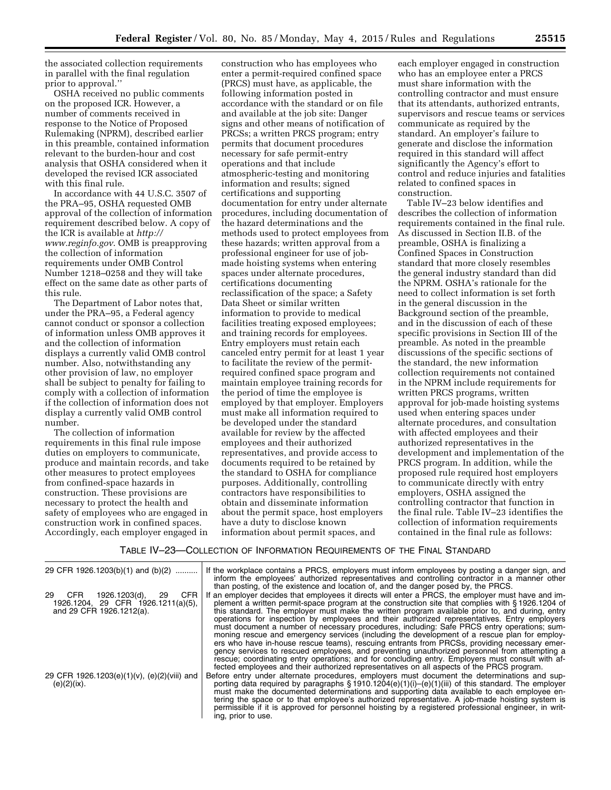the associated collection requirements in parallel with the final regulation prior to approval.''

OSHA received no public comments on the proposed ICR. However, a number of comments received in response to the Notice of Proposed Rulemaking (NPRM), described earlier in this preamble, contained information relevant to the burden-hour and cost analysis that OSHA considered when it developed the revised ICR associated with this final rule.

In accordance with 44 U.S.C. 3507 of the PRA–95, OSHA requested OMB approval of the collection of information requirement described below. A copy of the ICR is available at *[http://](http://www.reginfo.gov) [www.reginfo.gov](http://www.reginfo.gov)*. OMB is preapproving the collection of information requirements under OMB Control Number 1218–0258 and they will take effect on the same date as other parts of this rule.

The Department of Labor notes that, under the PRA–95, a Federal agency cannot conduct or sponsor a collection of information unless OMB approves it and the collection of information displays a currently valid OMB control number. Also, notwithstanding any other provision of law, no employer shall be subject to penalty for failing to comply with a collection of information if the collection of information does not display a currently valid OMB control number.

The collection of information requirements in this final rule impose duties on employers to communicate, produce and maintain records, and take other measures to protect employees from confined-space hazards in construction. These provisions are necessary to protect the health and safety of employees who are engaged in construction work in confined spaces. Accordingly, each employer engaged in

construction who has employees who enter a permit-required confined space (PRCS) must have, as applicable, the following information posted in accordance with the standard or on file and available at the job site: Danger signs and other means of notification of PRCSs; a written PRCS program; entry permits that document procedures necessary for safe permit-entry operations and that include atmospheric-testing and monitoring information and results; signed certifications and supporting documentation for entry under alternate procedures, including documentation of the hazard determinations and the methods used to protect employees from these hazards; written approval from a professional engineer for use of jobmade hoisting systems when entering spaces under alternate procedures, certifications documenting reclassification of the space; a Safety Data Sheet or similar written information to provide to medical facilities treating exposed employees; and training records for employees. Entry employers must retain each canceled entry permit for at least 1 year to facilitate the review of the permitrequired confined space program and maintain employee training records for the period of time the employee is employed by that employer. Employers must make all information required to be developed under the standard available for review by the affected employees and their authorized representatives, and provide access to documents required to be retained by the standard to OSHA for compliance purposes. Additionally, controlling contractors have responsibilities to obtain and disseminate information about the permit space, host employers have a duty to disclose known information about permit spaces, and

each employer engaged in construction who has an employee enter a PRCS must share information with the controlling contractor and must ensure that its attendants, authorized entrants, supervisors and rescue teams or services communicate as required by the standard. An employer's failure to generate and disclose the information required in this standard will affect significantly the Agency's effort to control and reduce injuries and fatalities related to confined spaces in construction.

Table IV–23 below identifies and describes the collection of information requirements contained in the final rule. As discussed in Section II.B. of the preamble, OSHA is finalizing a Confined Spaces in Construction standard that more closely resembles the general industry standard than did the NPRM. OSHA's rationale for the need to collect information is set forth in the general discussion in the Background section of the preamble, and in the discussion of each of these specific provisions in Section III of the preamble. As noted in the preamble discussions of the specific sections of the standard, the new information collection requirements not contained in the NPRM include requirements for written PRCS programs, written approval for job-made hoisting systems used when entering spaces under alternate procedures, and consultation with affected employees and their authorized representatives in the development and implementation of the PRCS program. In addition, while the proposed rule required host employers to communicate directly with entry employers, OSHA assigned the controlling contractor that function in the final rule. Table IV–23 identifies the collection of information requirements contained in the final rule as follows:

# TABLE IV–23—COLLECTION OF INFORMATION REQUIREMENTS OF THE FINAL STANDARD

| 29 CFR 1926.1203(b)(1) and (b)(2)                                                                          | If the workplace contains a PRCS, employers must inform employees by posting a danger sign, and<br>inform the employees' authorized representatives and controlling contractor in a manner other<br>than posting, of the existence and location of, and the danger posed by, the PRCS.                                                                                                                                                                                                                                                                                                                                                                                                                                                                                                                                                                                                                                                                                                                    |
|------------------------------------------------------------------------------------------------------------|-----------------------------------------------------------------------------------------------------------------------------------------------------------------------------------------------------------------------------------------------------------------------------------------------------------------------------------------------------------------------------------------------------------------------------------------------------------------------------------------------------------------------------------------------------------------------------------------------------------------------------------------------------------------------------------------------------------------------------------------------------------------------------------------------------------------------------------------------------------------------------------------------------------------------------------------------------------------------------------------------------------|
| CFR<br>1926.1203(d),<br>CFR.<br>29<br>29<br>1926.1204, 29 CFR 1926.1211(a)(5),<br>and 29 CFR 1926.1212(a). | If an employer decides that employees it directs will enter a PRCS, the employer must have and im-<br>plement a written permit-space program at the construction site that complies with §1926.1204 of<br>this standard. The employer must make the written program available prior to, and during, entry<br>operations for inspection by employees and their authorized representatives. Entry employers<br>must document a number of necessary procedures, including: Safe PRCS entry operations; sum-<br>moning rescue and emergency services (including the development of a rescue plan for employ-<br>ers who have in-house rescue teams), rescuing entrants from PRCSs, providing necessary emer-<br>gency services to rescued employees, and preventing unauthorized personnel from attempting a<br>rescue; coordinating entry operations; and for concluding entry. Employers must consult with af-<br>fected employees and their authorized representatives on all aspects of the PRCS program. |
| 29 CFR 1926.1203(e)(1)(v), (e)(2)(viii) and<br>(e)(2)(ix).                                                 | Before entry under alternate procedures, employers must document the determinations and sup-<br>porting data required by paragraphs $\S 1910.1204(e)(1)(i)-(e)(1)(iii)$ of this standard. The employer<br>must make the documented determinations and supporting data available to each employee en-<br>tering the space or to that employee's authorized representative. A job-made hoisting system is<br>permissible if it is approved for personnel hoisting by a registered professional engineer, in writ-<br>ing, prior to use.                                                                                                                                                                                                                                                                                                                                                                                                                                                                     |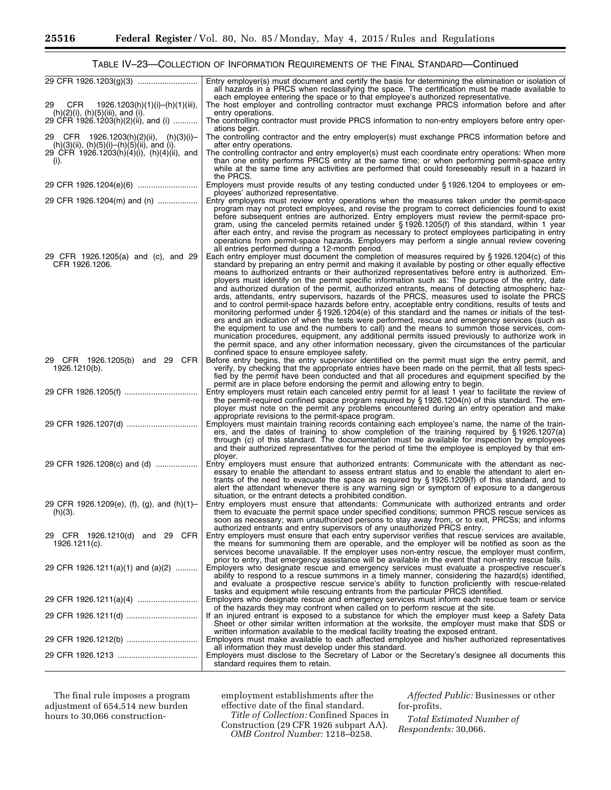۳

# TABLE IV–23—COLLECTION OF INFORMATION REQUIREMENTS OF THE FINAL STANDARD—Continued

| 29 CFR 1926.1203(g)(3)                                                                            | Entry employer(s) must document and certify the basis for determining the elimination or isolation of<br>all hazards in a PRCS when reclassifying the space. The certification must be made available to     |
|---------------------------------------------------------------------------------------------------|--------------------------------------------------------------------------------------------------------------------------------------------------------------------------------------------------------------|
| 29<br>CFR<br>1926.1203(h)(1)(i)–(h)(1)(iii),                                                      | each employee entering the space or to that employee's authorized representative.<br>The host employer and controlling contractor must exchange PRCS information before and after                            |
| $(h)(2)(i)$ , $(h)(5)(iii)$ , and $(i)$ .                                                         | entry operations.                                                                                                                                                                                            |
| 29 CFR 1926.1203(h)(2)(ii), and (i)                                                               | The controlling contractor must provide PRCS information to non-entry employers before entry oper-<br>ations begin.                                                                                          |
| 29 CFR 1926.1203(h)(2)(ii), (h)(3)(i)-<br>$(h)(3)(ii)$ , $(h)(5)(i)$ – $(h)(5)(ii)$ , and $(i)$ . | The controlling contractor and the entry employer(s) must exchange PRCS information before and<br>after entry operations.                                                                                    |
| 29 CFR 1926.1203(h)(4)(l), (h)(4)(li), and                                                        | The controlling contractor and entry employer(s) must each coordinate entry operations: When more                                                                                                            |
| $(1)$ .                                                                                           | than one entity performs PRCS entry at the same time; or when performing permit-space entry<br>while at the same time any activities are performed that could foreseeably result in a hazard in<br>the PRCS. |
| 29 CFR 1926.1204(e)(6)                                                                            | Employers must provide results of any testing conducted under §1926.1204 to employees or em-<br>ployees' authorized representative.                                                                          |
| 29 CFR 1926.1204(m) and (n)                                                                       | Entry employers must review entry operations when the measures taken under the permit-space                                                                                                                  |
|                                                                                                   | program may not protect employees, and revise the program to correct deficiencies found to exist<br>before subsequent entries are authorized. Entry employers must review the permit-space pro-              |
|                                                                                                   | gram, using the canceled permits retained under $\S 1926.1205(f)$ of this standard, within 1 year                                                                                                            |
|                                                                                                   | after each entry, and revise the program as necessary to protect employees participating in entry<br>operations from permit-space hazards. Employers may perform a single annual review covering             |
|                                                                                                   | all entries performed during a 12-month period.                                                                                                                                                              |
| 29 CFR 1926.1205(a) and (c), and 29<br>CFR 1926.1206.                                             | Each entry employer must document the completion of measures required by § 1926.1204(c) of this<br>standard by preparing an entry permit and making it available by posting or other equally effective       |
|                                                                                                   | means to authorized entrants or their authorized representatives before entry is authorized. Em-<br>ployers must identify on the permit specific information such as: The purpose of the entry, date         |
|                                                                                                   | and authorized duration of the permit, authorized entrants, means of detecting atmospheric haz-                                                                                                              |
|                                                                                                   | ards, attendants, entry supervisors, hazards of the PRCS, measures used to isolate the PRCS<br>and to control permit-space hazards before entry, acceptable entry conditions, results of tests and           |
|                                                                                                   | monitoring performed under § 1926.1204(e) of this standard and the names or initials of the test-                                                                                                            |
|                                                                                                   | ers and an indication of when the tests were performed, rescue and emergency services (such as<br>the equipment to use and the numbers to call) and the means to summon those services, com-                 |
|                                                                                                   | munication procedures, equipment, any additional permits issued previously to authorize work in<br>the permit space, and any other information necessary, given the circumstances of the particular          |
|                                                                                                   | confined space to ensure employee safety.                                                                                                                                                                    |
| 29 CFR 1926.1205(b) and 29 CFR<br>1926.1210(b).                                                   | Before entry begins, the entry supervisor identified on the permit must sign the entry permit, and<br>verify, by checking that the appropriate entries have been made on the permit, that all tests speci-   |
|                                                                                                   | fied by the permit have been conducted and that all procedures and equipment specified by the                                                                                                                |
|                                                                                                   | permit are in place before endorsing the permit and allowing entry to begin.<br>Entry employers must retain each canceled entry permit for at least 1 year to facilitate the review of                       |
|                                                                                                   | the permit-required confined space program required by $\S 1926.1204(n)$ of this standard. The em-<br>ployer must note on the permit any problems encountered during an entry operation and make             |
|                                                                                                   | appropriate revisions to the permit-space program.                                                                                                                                                           |
|                                                                                                   | Employers must maintain training records containing each employee's name, the name of the train-<br>ers, and the dates of training to show completion of the training required by $\S 1926.1207(a)$          |
|                                                                                                   | through (c) of this standard. The documentation must be available for inspection by employees                                                                                                                |
|                                                                                                   | and their authorized representatives for the period of time the employee is employed by that em-<br>ployer.                                                                                                  |
| 29 CFR 1926.1208(c) and (d)                                                                       | Entry employers must ensure that authorized entrants: Communicate with the attendant as nec-<br>essary to enable the attendant to assess entrant status and to enable the attendant to alert en-             |
|                                                                                                   | trants of the need to evacuate the space as required by $\S$ 1926.1209(f) of this standard, and to                                                                                                           |
|                                                                                                   | alert the attendant whenever there is any warning sign or symptom of exposure to a dangerous<br>situation, or the entrant detects a prohibited condition.                                                    |
| 29 CFR 1926.1209(e), (f), (g), and (h)(1)-<br>$(h)(3)$ .                                          | Entry employers must ensure that attendants: Communicate with authorized entrants and order<br>them to evacuate the permit space under specified conditions; summon PRCS rescue services as                  |
|                                                                                                   | soon as necessary; warn unauthorized persons to stay away from, or to exit, PRCSs; and informs                                                                                                               |
| 29 CFR 1926.1210(d) and 29 CFR                                                                    | authorized entrants and entry supervisors of any unauthorized PRCS entry.<br>Entry employers must ensure that each entry supervisor verifies that rescue services are available,                             |
| 1926.1211(c).                                                                                     | the means for summoning them are operable, and the employer will be notified as soon as the                                                                                                                  |
|                                                                                                   | services become unavailable. If the employer uses non-entry rescue, the employer must confirm,<br>prior to entry, that emergency assistance will be available in the event that non-entry rescue fails.      |
| 29 CFR 1926.1211(a)(1) and (a)(2)                                                                 | Employers who designate rescue and emergency services must evaluate a prospective rescuer's<br>ability to respond to a rescue summons in a timely manner, considering the hazard(s) identified,              |
|                                                                                                   | and evaluate a prospective rescue service's ability to function proficiently with rescue-related                                                                                                             |
|                                                                                                   | tasks and equipment while rescuing entrants from the particular PRCS identified.<br>Employers who designate rescue and emergency services must inform each rescue team or service                            |
|                                                                                                   | of the hazards they may confront when called on to perform rescue at the site.                                                                                                                               |
|                                                                                                   | If an injured entrant is exposed to a substance for which the employer must keep a Safety Data<br>Sheet or other similar written information at the worksite, the employer must make that SDS or             |
|                                                                                                   | written information available to the medical facility treating the exposed entrant.<br>Employers must make available to each affected employee and his/her authorized representatives                        |
|                                                                                                   | all information they must develop under this standard.                                                                                                                                                       |
|                                                                                                   | Employers must disclose to the Secretary of Labor or the Secretary's designee all documents this<br>standard requires them to retain.                                                                        |

The final rule imposes a program adjustment of 654,514 new burden hours to 30,066 constructionemployment establishments after the effective date of the final standard.

*Title of Collection:* Confined Spaces in Construction (29 CFR 1926 subpart AA). *OMB Control Number:* 1218–0258.

*Affected Public:* Businesses or other for-profits.

*Total Estimated Number of Respondents:* 30,066.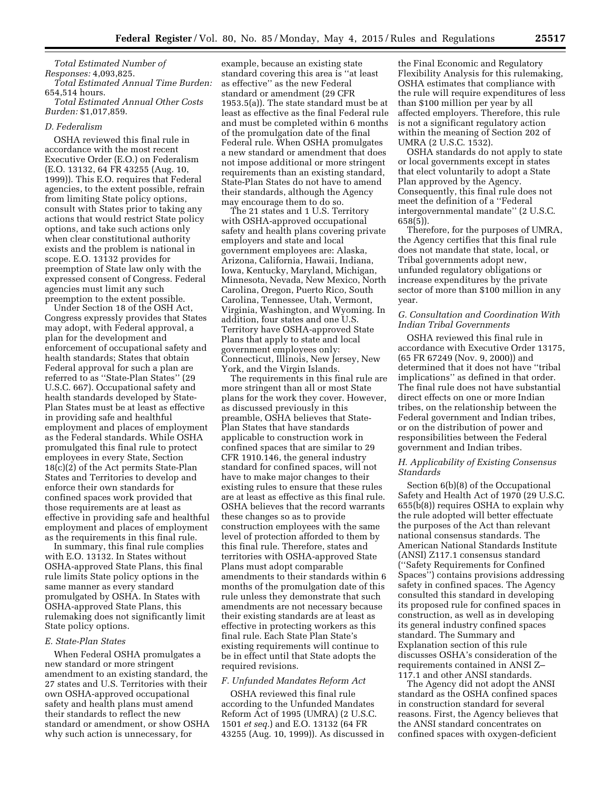*Total Estimated Number of Responses:* 4,093,825. *Total Estimated Annual Time Burden:* 

654,514 hours.

*Total Estimated Annual Other Costs Burden:* \$1,017,859.

# *D. Federalism*

OSHA reviewed this final rule in accordance with the most recent Executive Order (E.O.) on Federalism (E.O. 13132, 64 FR 43255 (Aug. 10, 1999)). This E.O. requires that Federal agencies, to the extent possible, refrain from limiting State policy options, consult with States prior to taking any actions that would restrict State policy options, and take such actions only when clear constitutional authority exists and the problem is national in scope. E.O. 13132 provides for preemption of State law only with the expressed consent of Congress. Federal agencies must limit any such preemption to the extent possible.

Under Section 18 of the OSH Act, Congress expressly provides that States may adopt, with Federal approval, a plan for the development and enforcement of occupational safety and health standards; States that obtain Federal approval for such a plan are referred to as ''State-Plan States'' (29 U.S.C. 667). Occupational safety and health standards developed by State-Plan States must be at least as effective in providing safe and healthful employment and places of employment as the Federal standards. While OSHA promulgated this final rule to protect employees in every State, Section 18(c)(2) of the Act permits State-Plan States and Territories to develop and enforce their own standards for confined spaces work provided that those requirements are at least as effective in providing safe and healthful employment and places of employment as the requirements in this final rule.

In summary, this final rule complies with E.O. 13132. In States without OSHA-approved State Plans, this final rule limits State policy options in the same manner as every standard promulgated by OSHA. In States with OSHA-approved State Plans, this rulemaking does not significantly limit State policy options.

## *E. State-Plan States*

When Federal OSHA promulgates a new standard or more stringent amendment to an existing standard, the 27 states and U.S. Territories with their own OSHA-approved occupational safety and health plans must amend their standards to reflect the new standard or amendment, or show OSHA why such action is unnecessary, for

example, because an existing state standard covering this area is ''at least as effective'' as the new Federal standard or amendment (29 CFR 1953.5(a)). The state standard must be at least as effective as the final Federal rule and must be completed within 6 months of the promulgation date of the final Federal rule. When OSHA promulgates a new standard or amendment that does not impose additional or more stringent requirements than an existing standard, State-Plan States do not have to amend their standards, although the Agency may encourage them to do so.

The 21 states and 1 U.S. Territory with OSHA-approved occupational safety and health plans covering private employers and state and local government employees are: Alaska, Arizona, California, Hawaii, Indiana, Iowa, Kentucky, Maryland, Michigan, Minnesota, Nevada, New Mexico, North Carolina, Oregon, Puerto Rico, South Carolina, Tennessee, Utah, Vermont, Virginia, Washington, and Wyoming. In addition, four states and one U.S. Territory have OSHA-approved State Plans that apply to state and local government employees only: Connecticut, Illinois, New Jersey, New York, and the Virgin Islands.

The requirements in this final rule are more stringent than all or most State plans for the work they cover. However, as discussed previously in this preamble, OSHA believes that State-Plan States that have standards applicable to construction work in confined spaces that are similar to 29 CFR 1910.146, the general industry standard for confined spaces, will not have to make major changes to their existing rules to ensure that these rules are at least as effective as this final rule. OSHA believes that the record warrants these changes so as to provide construction employees with the same level of protection afforded to them by this final rule. Therefore, states and territories with OSHA-approved State Plans must adopt comparable amendments to their standards within 6 months of the promulgation date of this rule unless they demonstrate that such amendments are not necessary because their existing standards are at least as effective in protecting workers as this final rule. Each State Plan State's existing requirements will continue to be in effect until that State adopts the required revisions.

#### *F. Unfunded Mandates Reform Act*

OSHA reviewed this final rule according to the Unfunded Mandates Reform Act of 1995 (UMRA) (2 U.S.C. 1501 *et seq.*) and E.O. 13132 (64 FR 43255 (Aug. 10, 1999)). As discussed in

the Final Economic and Regulatory Flexibility Analysis for this rulemaking, OSHA estimates that compliance with the rule will require expenditures of less than \$100 million per year by all affected employers. Therefore, this rule is not a significant regulatory action within the meaning of Section 202 of UMRA (2 U.S.C. 1532).

OSHA standards do not apply to state or local governments except in states that elect voluntarily to adopt a State Plan approved by the Agency. Consequently, this final rule does not meet the definition of a ''Federal intergovernmental mandate'' (2 U.S.C.  $658(5)$ ).

Therefore, for the purposes of UMRA, the Agency certifies that this final rule does not mandate that state, local, or Tribal governments adopt new, unfunded regulatory obligations or increase expenditures by the private sector of more than \$100 million in any year.

## *G. Consultation and Coordination With Indian Tribal Governments*

OSHA reviewed this final rule in accordance with Executive Order 13175, (65 FR 67249 (Nov. 9, 2000)) and determined that it does not have ''tribal implications'' as defined in that order. The final rule does not have substantial direct effects on one or more Indian tribes, on the relationship between the Federal government and Indian tribes, or on the distribution of power and responsibilities between the Federal government and Indian tribes.

### *H. Applicability of Existing Consensus Standards*

Section 6(b)(8) of the Occupational Safety and Health Act of 1970 (29 U.S.C. 655(b(8)) requires OSHA to explain why the rule adopted will better effectuate the purposes of the Act than relevant national consensus standards. The American National Standards Institute (ANSI) Z117.1 consensus standard (''Safety Requirements for Confined Spaces'') contains provisions addressing safety in confined spaces. The Agency consulted this standard in developing its proposed rule for confined spaces in construction, as well as in developing its general industry confined spaces standard. The Summary and Explanation section of this rule discusses OSHA's consideration of the requirements contained in ANSI Z– 117.1 and other ANSI standards.

The Agency did not adopt the ANSI standard as the OSHA confined spaces in construction standard for several reasons. First, the Agency believes that the ANSI standard concentrates on confined spaces with oxygen-deficient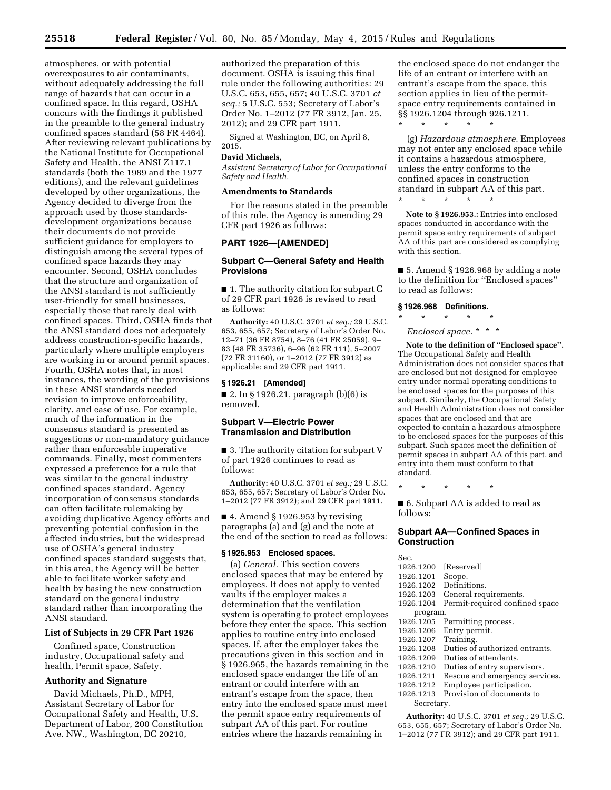atmospheres, or with potential overexposures to air contaminants, without adequately addressing the full range of hazards that can occur in a confined space. In this regard, OSHA concurs with the findings it published in the preamble to the general industry confined spaces standard (58 FR 4464). After reviewing relevant publications by the National Institute for Occupational Safety and Health, the ANSI Z117.1 standards (both the 1989 and the 1977 editions), and the relevant guidelines developed by other organizations, the Agency decided to diverge from the approach used by those standardsdevelopment organizations because their documents do not provide sufficient guidance for employers to distinguish among the several types of confined space hazards they may encounter. Second, OSHA concludes that the structure and organization of the ANSI standard is not sufficiently user-friendly for small businesses, especially those that rarely deal with confined spaces. Third, OSHA finds that the ANSI standard does not adequately address construction-specific hazards, particularly where multiple employers are working in or around permit spaces. Fourth, OSHA notes that, in most instances, the wording of the provisions in these ANSI standards needed revision to improve enforceability, clarity, and ease of use. For example, much of the information in the consensus standard is presented as suggestions or non-mandatory guidance rather than enforceable imperative commands. Finally, most commenters expressed a preference for a rule that was similar to the general industry confined spaces standard. Agency incorporation of consensus standards can often facilitate rulemaking by avoiding duplicative Agency efforts and preventing potential confusion in the affected industries, but the widespread use of OSHA's general industry confined spaces standard suggests that, in this area, the Agency will be better able to facilitate worker safety and health by basing the new construction standard on the general industry standard rather than incorporating the ANSI standard.

#### **List of Subjects in 29 CFR Part 1926**

Confined space, Construction industry, Occupational safety and health, Permit space, Safety.

#### **Authority and Signature**

David Michaels, Ph.D., MPH, Assistant Secretary of Labor for Occupational Safety and Health, U.S. Department of Labor, 200 Constitution Ave. NW., Washington, DC 20210,

authorized the preparation of this document. OSHA is issuing this final rule under the following authorities: 29 U.S.C. 653, 655, 657; 40 U.S.C. 3701 *et seq.;* 5 U.S.C. 553; Secretary of Labor's Order No. 1–2012 (77 FR 3912, Jan. 25, 2012); and 29 CFR part 1911.

Signed at Washington, DC, on April 8, 2015.

#### **David Michaels,**

*Assistant Secretary of Labor for Occupational Safety and Health.* 

#### **Amendments to Standards**

For the reasons stated in the preamble of this rule, the Agency is amending 29 CFR part 1926 as follows:

### **PART 1926—[AMENDED]**

# **Subpart C—General Safety and Health Provisions**

■ 1. The authority citation for subpart C of 29 CFR part 1926 is revised to read as follows:

**Authority:** 40 U.S.C. 3701 *et seq.;* 29 U.S.C. 653, 655, 657; Secretary of Labor's Order No. 12–71 (36 FR 8754), 8–76 (41 FR 25059), 9– 83 (48 FR 35736), 6–96 (62 FR 111), 5–2007 (72 FR 31160), or 1–2012 (77 FR 3912) as applicable; and 29 CFR part 1911.

### **§ 1926.21 [Amended]**

■ 2. In § 1926.21, paragraph (b)(6) is removed.

# **Subpart V—Electric Power Transmission and Distribution**

■ 3. The authority citation for subpart V of part 1926 continues to read as follows:

**Authority:** 40 U.S.C. 3701 *et seq.;* 29 U.S.C. 653, 655, 657; Secretary of Labor's Order No. 1–2012 (77 FR 3912); and 29 CFR part 1911.

 $\blacksquare$  4. Amend § 1926.953 by revising paragraphs (a) and (g) and the note at the end of the section to read as follows:

# **§ 1926.953 Enclosed spaces.**

(a) *General.* This section covers enclosed spaces that may be entered by employees. It does not apply to vented vaults if the employer makes a determination that the ventilation system is operating to protect employees before they enter the space. This section applies to routine entry into enclosed spaces. If, after the employer takes the precautions given in this section and in § 1926.965, the hazards remaining in the enclosed space endanger the life of an entrant or could interfere with an entrant's escape from the space, then entry into the enclosed space must meet the permit space entry requirements of subpart AA of this part. For routine entries where the hazards remaining in

the enclosed space do not endanger the life of an entrant or interfere with an entrant's escape from the space, this section applies in lieu of the permitspace entry requirements contained in §§ 1926.1204 through 926.1211. \* \* \* \* \*

(g) *Hazardous atmosphere.* Employees may not enter any enclosed space while it contains a hazardous atmosphere, unless the entry conforms to the confined spaces in construction standard in subpart AA of this part.

\* \* \* \* \*

**Note to § 1926.953.:** Entries into enclosed spaces conducted in accordance with the permit space entry requirements of subpart AA of this part are considered as complying with this section.

 $\blacksquare$  5. Amend § 1926.968 by adding a note to the definition for ''Enclosed spaces'' to read as follows:

# **§ 1926.968 Definitions.**

\* \* \* \* \*

*Enclosed space.* \* \* \*

**Note to the definition of ''Enclosed space''.**  The Occupational Safety and Health Administration does not consider spaces that are enclosed but not designed for employee entry under normal operating conditions to be enclosed spaces for the purposes of this subpart. Similarly, the Occupational Safety and Health Administration does not consider spaces that are enclosed and that are expected to contain a hazardous atmosphere to be enclosed spaces for the purposes of this subpart. Such spaces meet the definition of permit spaces in subpart AA of this part, and entry into them must conform to that standard.

\* \* \* \* \*

■ 6. Subpart AA is added to read as follows:

# **Subpart AA—Confined Spaces in Construction**

Sec.

| 1926.1200 | [Reserved]                     |
|-----------|--------------------------------|
| 1926.1201 | Scope.                         |
| 1926.1202 | Definitions.                   |
| 1926.1203 | General requirements.          |
| 1926.1204 | Permit-required confined space |
| program.  |                                |
| 1926.1205 | Permitting process.            |
| 1926.1206 | Entry permit.                  |
| 1926.1207 | Training.                      |
| 1926.1208 | Duties of authorized entrants. |
| 1926.1209 | Duties of attendants.          |
| 1926.1210 | Duties of entry supervisors.   |

- 
- 1926.1211 Rescue and emergency services.<br>1926.1212 Emplovee participation. Employee participation.
- 1926.1213 Provision of documents to Secretary.

**Authority:** 40 U.S.C. 3701 *et seq.;* 29 U.S.C. 653, 655, 657; Secretary of Labor's Order No. 1–2012 (77 FR 3912); and 29 CFR part 1911.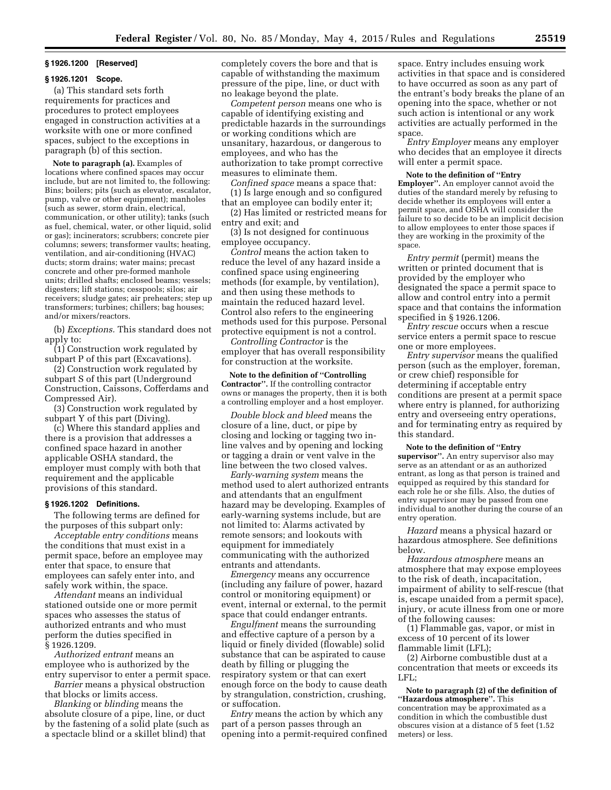#### **§ 1926.1200 [Reserved]**

#### **§ 1926.1201 Scope.**

(a) This standard sets forth requirements for practices and procedures to protect employees engaged in construction activities at a worksite with one or more confined spaces, subject to the exceptions in paragraph (b) of this section.

**Note to paragraph (a).** Examples of locations where confined spaces may occur include, but are not limited to, the following: Bins; boilers; pits (such as elevator, escalator, pump, valve or other equipment); manholes (such as sewer, storm drain, electrical, communication, or other utility); tanks (such as fuel, chemical, water, or other liquid, solid or gas); incinerators; scrubbers; concrete pier columns; sewers; transformer vaults; heating, ventilation, and air-conditioning (HVAC) ducts; storm drains; water mains; precast concrete and other pre-formed manhole units; drilled shafts; enclosed beams; vessels; digesters; lift stations; cesspools; silos; air receivers; sludge gates; air preheaters; step up transformers; turbines; chillers; bag houses; and/or mixers/reactors.

(b) *Exceptions.* This standard does not apply to:

(1) Construction work regulated by subpart P of this part (Excavations).

(2) Construction work regulated by subpart S of this part (Underground Construction, Caissons, Cofferdams and Compressed Air).

(3) Construction work regulated by subpart Y of this part (Diving).

(c) Where this standard applies and there is a provision that addresses a confined space hazard in another applicable OSHA standard, the employer must comply with both that requirement and the applicable provisions of this standard.

#### **§ 1926.1202 Definitions.**

The following terms are defined for the purposes of this subpart only:

*Acceptable entry conditions* means the conditions that must exist in a permit space, before an employee may enter that space, to ensure that employees can safely enter into, and safely work within, the space.

*Attendant* means an individual stationed outside one or more permit spaces who assesses the status of authorized entrants and who must perform the duties specified in § 1926.1209.

*Authorized entrant* means an employee who is authorized by the entry supervisor to enter a permit space.

*Barrier* means a physical obstruction that blocks or limits access.

*Blanking* or *blinding* means the absolute closure of a pipe, line, or duct by the fastening of a solid plate (such as a spectacle blind or a skillet blind) that

completely covers the bore and that is capable of withstanding the maximum pressure of the pipe, line, or duct with no leakage beyond the plate.

*Competent person* means one who is capable of identifying existing and predictable hazards in the surroundings or working conditions which are unsanitary, hazardous, or dangerous to employees, and who has the authorization to take prompt corrective measures to eliminate them.

*Confined space* means a space that: (1) Is large enough and so configured

that an employee can bodily enter it; (2) Has limited or restricted means for

entry and exit; and

(3) Is not designed for continuous employee occupancy.

*Control* means the action taken to reduce the level of any hazard inside a confined space using engineering methods (for example, by ventilation), and then using these methods to maintain the reduced hazard level. Control also refers to the engineering methods used for this purpose. Personal protective equipment is not a control.

*Controlling Contractor* is the employer that has overall responsibility for construction at the worksite.

**Note to the definition of ''Controlling Contractor''.** If the controlling contractor owns or manages the property, then it is both a controlling employer and a host employer.

*Double block and bleed* means the closure of a line, duct, or pipe by closing and locking or tagging two inline valves and by opening and locking or tagging a drain or vent valve in the line between the two closed valves.

*Early-warning system* means the method used to alert authorized entrants and attendants that an engulfment hazard may be developing. Examples of early-warning systems include, but are not limited to: Alarms activated by remote sensors; and lookouts with equipment for immediately communicating with the authorized entrants and attendants.

*Emergency* means any occurrence (including any failure of power, hazard control or monitoring equipment) or event, internal or external, to the permit space that could endanger entrants.

*Engulfment* means the surrounding and effective capture of a person by a liquid or finely divided (flowable) solid substance that can be aspirated to cause death by filling or plugging the respiratory system or that can exert enough force on the body to cause death by strangulation, constriction, crushing, or suffocation.

*Entry* means the action by which any part of a person passes through an opening into a permit-required confined

space. Entry includes ensuing work activities in that space and is considered to have occurred as soon as any part of the entrant's body breaks the plane of an opening into the space, whether or not such action is intentional or any work activities are actually performed in the space.

*Entry Employer* means any employer who decides that an employee it directs will enter a permit space.

#### **Note to the definition of ''Entry**

**Employer''.** An employer cannot avoid the duties of the standard merely by refusing to decide whether its employees will enter a permit space, and OSHA will consider the failure to so decide to be an implicit decision to allow employees to enter those spaces if they are working in the proximity of the space.

*Entry permit* (permit) means the written or printed document that is provided by the employer who designated the space a permit space to allow and control entry into a permit space and that contains the information specified in § 1926.1206.

*Entry rescue* occurs when a rescue service enters a permit space to rescue one or more employees.

*Entry supervisor* means the qualified person (such as the employer, foreman, or crew chief) responsible for determining if acceptable entry conditions are present at a permit space where entry is planned, for authorizing entry and overseeing entry operations, and for terminating entry as required by this standard.

#### **Note to the definition of ''Entry**

**supervisor''.** An entry supervisor also may serve as an attendant or as an authorized entrant, as long as that person is trained and equipped as required by this standard for each role he or she fills. Also, the duties of entry supervisor may be passed from one individual to another during the course of an entry operation.

*Hazard* means a physical hazard or hazardous atmosphere. See definitions below.

*Hazardous atmosphere* means an atmosphere that may expose employees to the risk of death, incapacitation, impairment of ability to self-rescue (that is, escape unaided from a permit space), injury, or acute illness from one or more of the following causes:

(1) Flammable gas, vapor, or mist in excess of 10 percent of its lower flammable limit (LFL);

(2) Airborne combustible dust at a concentration that meets or exceeds its LFL;

**Note to paragraph (2) of the definition of ''Hazardous atmosphere''.** This concentration may be approximated as a condition in which the combustible dust obscures vision at a distance of 5 feet (1.52 meters) or less.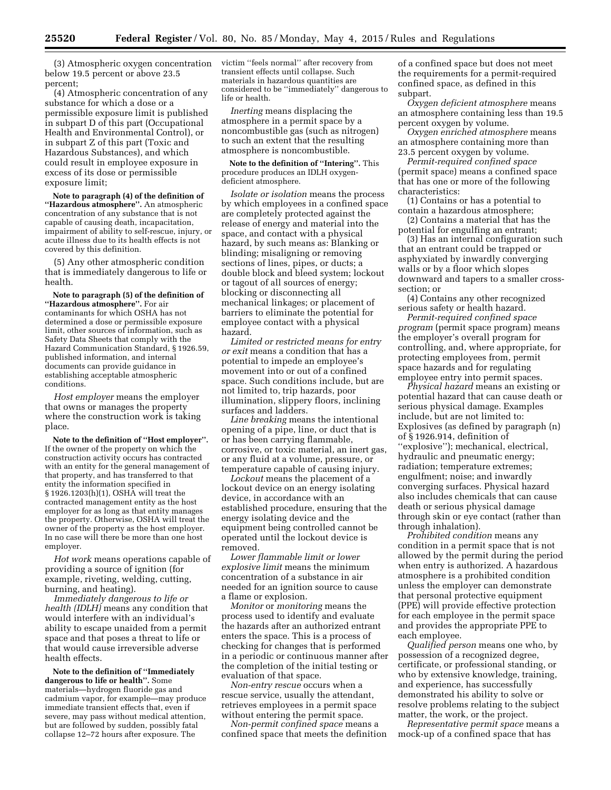(3) Atmospheric oxygen concentration below 19.5 percent or above 23.5 percent;

(4) Atmospheric concentration of any substance for which a dose or a permissible exposure limit is published in subpart D of this part (Occupational Health and Environmental Control), or in subpart Z of this part (Toxic and Hazardous Substances), and which could result in employee exposure in excess of its dose or permissible exposure limit;

**Note to paragraph (4) of the definition of ''Hazardous atmosphere''.** An atmospheric concentration of any substance that is not capable of causing death, incapacitation, impairment of ability to self-rescue, injury, or acute illness due to its health effects is not covered by this definition.

(5) Any other atmospheric condition that is immediately dangerous to life or health.

**Note to paragraph (5) of the definition of ''Hazardous atmosphere''.** For air contaminants for which OSHA has not determined a dose or permissible exposure limit, other sources of information, such as Safety Data Sheets that comply with the Hazard Communication Standard, § 1926.59, published information, and internal documents can provide guidance in establishing acceptable atmospheric conditions.

*Host employer* means the employer that owns or manages the property where the construction work is taking place.

**Note to the definition of ''Host employer''.**  If the owner of the property on which the construction activity occurs has contracted with an entity for the general management of that property, and has transferred to that entity the information specified in § 1926.1203(h)(1), OSHA will treat the contracted management entity as the host employer for as long as that entity manages the property. Otherwise, OSHA will treat the owner of the property as the host employer. In no case will there be more than one host employer.

*Hot work* means operations capable of providing a source of ignition (for example, riveting, welding, cutting, burning, and heating).

*Immediately dangerous to life or health (IDLH)* means any condition that would interfere with an individual's ability to escape unaided from a permit space and that poses a threat to life or that would cause irreversible adverse health effects.

**Note to the definition of ''Immediately dangerous to life or health''.** Some materials—hydrogen fluoride gas and cadmium vapor, for example—may produce immediate transient effects that, even if severe, may pass without medical attention, but are followed by sudden, possibly fatal collapse 12–72 hours after exposure. The

victim ''feels normal'' after recovery from transient effects until collapse. Such materials in hazardous quantities are considered to be ''immediately'' dangerous to life or health.

*Inerting* means displacing the atmosphere in a permit space by a noncombustible gas (such as nitrogen) to such an extent that the resulting atmosphere is noncombustible.

**Note to the definition of ''Intering''.** This procedure produces an IDLH oxygendeficient atmosphere.

*Isolate or isolation* means the process by which employees in a confined space are completely protected against the release of energy and material into the space, and contact with a physical hazard, by such means as: Blanking or blinding; misaligning or removing sections of lines, pipes, or ducts; a double block and bleed system; lockout or tagout of all sources of energy; blocking or disconnecting all mechanical linkages; or placement of barriers to eliminate the potential for employee contact with a physical hazard.

*Limited or restricted means for entry or exit* means a condition that has a potential to impede an employee's movement into or out of a confined space. Such conditions include, but are not limited to, trip hazards, poor illumination, slippery floors, inclining surfaces and ladders.

*Line breaking* means the intentional opening of a pipe, line, or duct that is or has been carrying flammable, corrosive, or toxic material, an inert gas, or any fluid at a volume, pressure, or temperature capable of causing injury.

*Lockout* means the placement of a lockout device on an energy isolating device, in accordance with an established procedure, ensuring that the energy isolating device and the equipment being controlled cannot be operated until the lockout device is removed.

*Lower flammable limit or lower explosive limit* means the minimum concentration of a substance in air needed for an ignition source to cause a flame or explosion.

*Monitor* or *monitoring* means the process used to identify and evaluate the hazards after an authorized entrant enters the space. This is a process of checking for changes that is performed in a periodic or continuous manner after the completion of the initial testing or evaluation of that space.

*Non-entry rescue* occurs when a rescue service, usually the attendant, retrieves employees in a permit space without entering the permit space.

*Non-permit confined space* means a confined space that meets the definition of a confined space but does not meet the requirements for a permit-required confined space, as defined in this subpart.

*Oxygen deficient atmosphere* means an atmosphere containing less than 19.5 percent oxygen by volume.

*Oxygen enriched atmosphere* means an atmosphere containing more than 23.5 percent oxygen by volume.

*Permit-required confined space*  (permit space) means a confined space that has one or more of the following characteristics:

(1) Contains or has a potential to contain a hazardous atmosphere;

(2) Contains a material that has the potential for engulfing an entrant;

(3) Has an internal configuration such that an entrant could be trapped or asphyxiated by inwardly converging walls or by a floor which slopes downward and tapers to a smaller crosssection; or

(4) Contains any other recognized serious safety or health hazard.

*Permit-required confined space program* (permit space program) means the employer's overall program for controlling, and, where appropriate, for protecting employees from, permit space hazards and for regulating employee entry into permit spaces.

*Physical hazard* means an existing or potential hazard that can cause death or serious physical damage. Examples include, but are not limited to: Explosives (as defined by paragraph (n) of § 1926.914, definition of ''explosive''); mechanical, electrical, hydraulic and pneumatic energy; radiation; temperature extremes; engulfment; noise; and inwardly converging surfaces. Physical hazard also includes chemicals that can cause death or serious physical damage through skin or eye contact (rather than through inhalation).

*Prohibited condition* means any condition in a permit space that is not allowed by the permit during the period when entry is authorized. A hazardous atmosphere is a prohibited condition unless the employer can demonstrate that personal protective equipment (PPE) will provide effective protection for each employee in the permit space and provides the appropriate PPE to each employee.

*Qualified person* means one who, by possession of a recognized degree, certificate, or professional standing, or who by extensive knowledge, training, and experience, has successfully demonstrated his ability to solve or resolve problems relating to the subject matter, the work, or the project.

*Representative permit space* means a mock-up of a confined space that has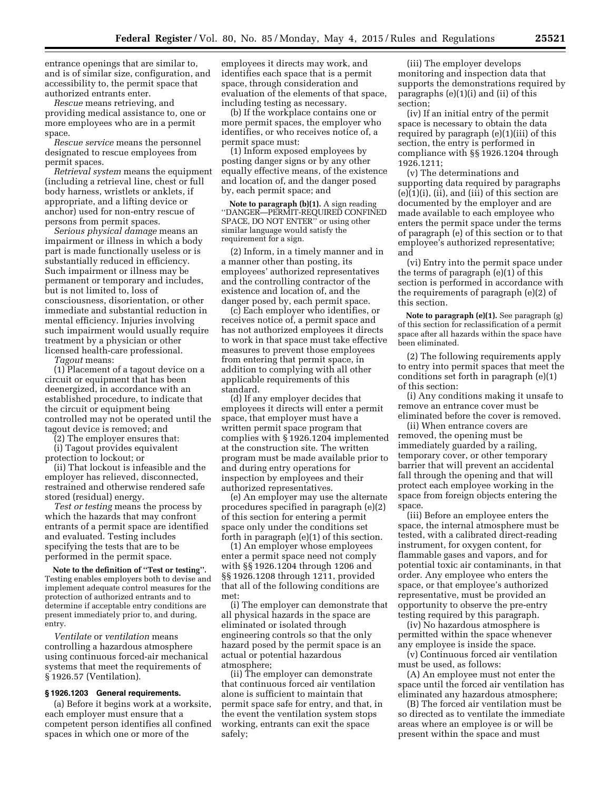entrance openings that are similar to, and is of similar size, configuration, and accessibility to, the permit space that authorized entrants enter.

*Rescue* means retrieving, and providing medical assistance to, one or more employees who are in a permit space.

*Rescue service* means the personnel designated to rescue employees from permit spaces.

*Retrieval system* means the equipment (including a retrieval line, chest or full body harness, wristlets or anklets, if appropriate, and a lifting device or anchor) used for non-entry rescue of persons from permit spaces.

*Serious physical damage* means an impairment or illness in which a body part is made functionally useless or is substantially reduced in efficiency. Such impairment or illness may be permanent or temporary and includes, but is not limited to, loss of consciousness, disorientation, or other immediate and substantial reduction in mental efficiency. Injuries involving such impairment would usually require treatment by a physician or other licensed health-care professional.

*Tagout* means:

(1) Placement of a tagout device on a circuit or equipment that has been deenergized, in accordance with an established procedure, to indicate that the circuit or equipment being controlled may not be operated until the tagout device is removed; and

(2) The employer ensures that:

(i) Tagout provides equivalent protection to lockout; or

(ii) That lockout is infeasible and the employer has relieved, disconnected, restrained and otherwise rendered safe stored (residual) energy.

*Test or testing* means the process by which the hazards that may confront entrants of a permit space are identified and evaluated. Testing includes specifying the tests that are to be performed in the permit space.

**Note to the definition of ''Test or testing''.**  Testing enables employers both to devise and implement adequate control measures for the protection of authorized entrants and to determine if acceptable entry conditions are present immediately prior to, and during, entry.

*Ventilate* or *ventilation* means controlling a hazardous atmosphere using continuous forced-air mechanical systems that meet the requirements of § 1926.57 (Ventilation).

### **§ 1926.1203 General requirements.**

(a) Before it begins work at a worksite, each employer must ensure that a competent person identifies all confined spaces in which one or more of the

employees it directs may work, and identifies each space that is a permit space, through consideration and evaluation of the elements of that space, including testing as necessary.

(b) If the workplace contains one or more permit spaces, the employer who identifies, or who receives notice of, a permit space must:

(1) Inform exposed employees by posting danger signs or by any other equally effective means, of the existence and location of, and the danger posed by, each permit space; and

**Note to paragraph (b)(1).** A sign reading ''DANGER—PERMIT-REQUIRED CONFINED SPACE, DO NOT ENTER'' or using other similar language would satisfy the requirement for a sign.

(2) Inform, in a timely manner and in a manner other than posting, its employees' authorized representatives and the controlling contractor of the existence and location of, and the danger posed by, each permit space.

(c) Each employer who identifies, or receives notice of, a permit space and has not authorized employees it directs to work in that space must take effective measures to prevent those employees from entering that permit space, in addition to complying with all other applicable requirements of this standard.

(d) If any employer decides that employees it directs will enter a permit space, that employer must have a written permit space program that complies with § 1926.1204 implemented at the construction site. The written program must be made available prior to and during entry operations for inspection by employees and their authorized representatives.

(e) An employer may use the alternate procedures specified in paragraph (e)(2) of this section for entering a permit space only under the conditions set forth in paragraph (e)(1) of this section.

(1) An employer whose employees enter a permit space need not comply with §§ 1926.1204 through 1206 and §§ 1926.1208 through 1211, provided that all of the following conditions are met:

(i) The employer can demonstrate that all physical hazards in the space are eliminated or isolated through engineering controls so that the only hazard posed by the permit space is an actual or potential hazardous atmosphere;

(ii) The employer can demonstrate that continuous forced air ventilation alone is sufficient to maintain that permit space safe for entry, and that, in the event the ventilation system stops working, entrants can exit the space safely;

(iii) The employer develops monitoring and inspection data that supports the demonstrations required by paragraphs (e)(1)(i) and (ii) of this section;

(iv) If an initial entry of the permit space is necessary to obtain the data required by paragraph (e)(1)(iii) of this section, the entry is performed in compliance with §§ 1926.1204 through 1926.1211;

(v) The determinations and supporting data required by paragraphs (e)(1)(i), (ii), and (iii) of this section are documented by the employer and are made available to each employee who enters the permit space under the terms of paragraph (e) of this section or to that employee's authorized representative; and

(vi) Entry into the permit space under the terms of paragraph (e)(1) of this section is performed in accordance with the requirements of paragraph (e)(2) of this section.

**Note to paragraph (e)(1).** See paragraph (g) of this section for reclassification of a permit space after all hazards within the space have been eliminated.

(2) The following requirements apply to entry into permit spaces that meet the conditions set forth in paragraph (e)(1) of this section:

(i) Any conditions making it unsafe to remove an entrance cover must be eliminated before the cover is removed.

(ii) When entrance covers are removed, the opening must be immediately guarded by a railing, temporary cover, or other temporary barrier that will prevent an accidental fall through the opening and that will protect each employee working in the space from foreign objects entering the space.

(iii) Before an employee enters the space, the internal atmosphere must be tested, with a calibrated direct-reading instrument, for oxygen content, for flammable gases and vapors, and for potential toxic air contaminants, in that order. Any employee who enters the space, or that employee's authorized representative, must be provided an opportunity to observe the pre-entry testing required by this paragraph.

(iv) No hazardous atmosphere is permitted within the space whenever any employee is inside the space.

(v) Continuous forced air ventilation must be used, as follows:

(A) An employee must not enter the space until the forced air ventilation has eliminated any hazardous atmosphere;

(B) The forced air ventilation must be so directed as to ventilate the immediate areas where an employee is or will be present within the space and must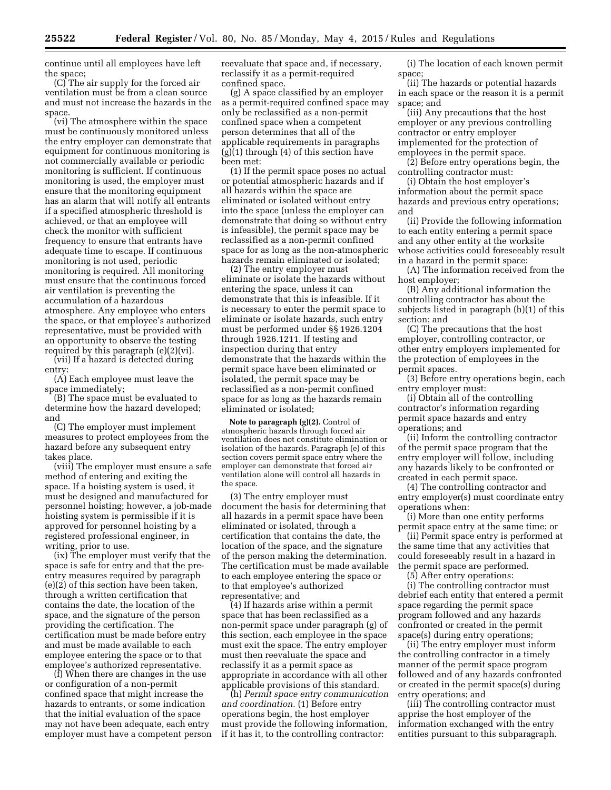continue until all employees have left the space;

(C) The air supply for the forced air ventilation must be from a clean source and must not increase the hazards in the space.

(vi) The atmosphere within the space must be continuously monitored unless the entry employer can demonstrate that equipment for continuous monitoring is not commercially available or periodic monitoring is sufficient. If continuous monitoring is used, the employer must ensure that the monitoring equipment has an alarm that will notify all entrants if a specified atmospheric threshold is achieved, or that an employee will check the monitor with sufficient frequency to ensure that entrants have adequate time to escape. If continuous monitoring is not used, periodic monitoring is required. All monitoring must ensure that the continuous forced air ventilation is preventing the accumulation of a hazardous atmosphere. Any employee who enters the space, or that employee's authorized representative, must be provided with an opportunity to observe the testing required by this paragraph (e)(2)(vi).

(vii) If a hazard is detected during entry:

(A) Each employee must leave the space immediately;

(B) The space must be evaluated to determine how the hazard developed; and

(C) The employer must implement measures to protect employees from the hazard before any subsequent entry takes place.

(viii) The employer must ensure a safe method of entering and exiting the space. If a hoisting system is used, it must be designed and manufactured for personnel hoisting; however, a job-made hoisting system is permissible if it is approved for personnel hoisting by a registered professional engineer, in writing, prior to use.

(ix) The employer must verify that the space is safe for entry and that the preentry measures required by paragraph (e)(2) of this section have been taken, through a written certification that contains the date, the location of the space, and the signature of the person providing the certification. The certification must be made before entry and must be made available to each employee entering the space or to that employee's authorized representative.

(f) When there are changes in the use or configuration of a non-permit confined space that might increase the hazards to entrants, or some indication that the initial evaluation of the space may not have been adequate, each entry employer must have a competent person reevaluate that space and, if necessary, reclassify it as a permit-required confined space.

(g) A space classified by an employer as a permit-required confined space may only be reclassified as a non-permit confined space when a competent person determines that all of the applicable requirements in paragraphs (g)(1) through (4) of this section have been met:

(1) If the permit space poses no actual or potential atmospheric hazards and if all hazards within the space are eliminated or isolated without entry into the space (unless the employer can demonstrate that doing so without entry is infeasible), the permit space may be reclassified as a non-permit confined space for as long as the non-atmospheric hazards remain eliminated or isolated;

(2) The entry employer must eliminate or isolate the hazards without entering the space, unless it can demonstrate that this is infeasible. If it is necessary to enter the permit space to eliminate or isolate hazards, such entry must be performed under §§ 1926.1204 through 1926.1211. If testing and inspection during that entry demonstrate that the hazards within the permit space have been eliminated or isolated, the permit space may be reclassified as a non-permit confined space for as long as the hazards remain eliminated or isolated;

**Note to paragraph (g)(2).** Control of atmospheric hazards through forced air ventilation does not constitute elimination or isolation of the hazards. Paragraph (e) of this section covers permit space entry where the employer can demonstrate that forced air ventilation alone will control all hazards in the space.

(3) The entry employer must document the basis for determining that all hazards in a permit space have been eliminated or isolated, through a certification that contains the date, the location of the space, and the signature of the person making the determination. The certification must be made available to each employee entering the space or to that employee's authorized representative; and

(4) If hazards arise within a permit space that has been reclassified as a non-permit space under paragraph (g) of this section, each employee in the space must exit the space. The entry employer must then reevaluate the space and reclassify it as a permit space as appropriate in accordance with all other applicable provisions of this standard.

(h) *Permit space entry communication and coordination.* (1) Before entry operations begin, the host employer must provide the following information, if it has it, to the controlling contractor:

(i) The location of each known permit space;

(ii) The hazards or potential hazards in each space or the reason it is a permit space; and

(iii) Any precautions that the host employer or any previous controlling contractor or entry employer implemented for the protection of employees in the permit space.

(2) Before entry operations begin, the controlling contractor must:

(i) Obtain the host employer's information about the permit space hazards and previous entry operations; and

(ii) Provide the following information to each entity entering a permit space and any other entity at the worksite whose activities could foreseeably result in a hazard in the permit space:

(A) The information received from the host employer;

(B) Any additional information the controlling contractor has about the subjects listed in paragraph (h)(1) of this section; and

(C) The precautions that the host employer, controlling contractor, or other entry employers implemented for the protection of employees in the permit spaces.

(3) Before entry operations begin, each entry employer must:

(i) Obtain all of the controlling contractor's information regarding permit space hazards and entry operations; and

(ii) Inform the controlling contractor of the permit space program that the entry employer will follow, including any hazards likely to be confronted or created in each permit space.

(4) The controlling contractor and entry employer(s) must coordinate entry operations when:

(i) More than one entity performs permit space entry at the same time; or

(ii) Permit space entry is performed at the same time that any activities that could foreseeably result in a hazard in the permit space are performed.

(5) After entry operations:

(i) The controlling contractor must debrief each entity that entered a permit space regarding the permit space program followed and any hazards confronted or created in the permit space(s) during entry operations;

(ii) The entry employer must inform the controlling contractor in a timely manner of the permit space program followed and of any hazards confronted or created in the permit space(s) during entry operations; and

(iii) The controlling contractor must apprise the host employer of the information exchanged with the entry entities pursuant to this subparagraph.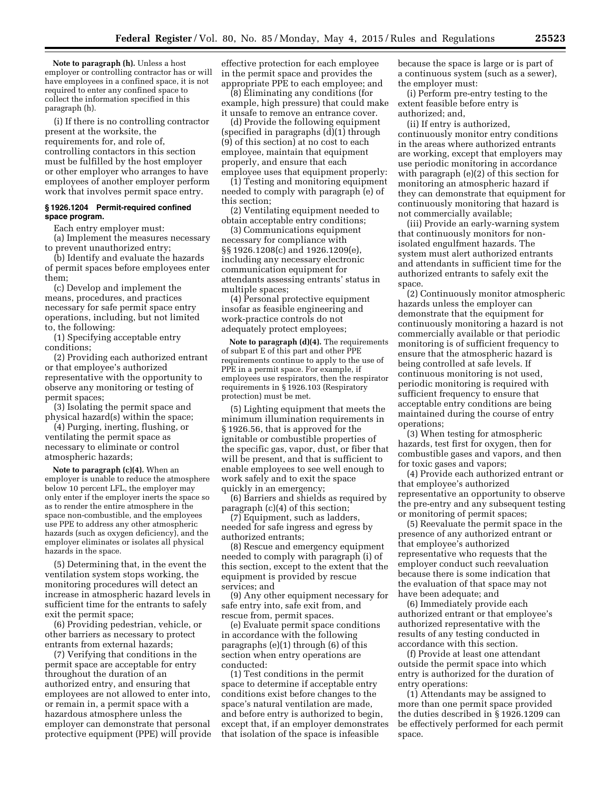**Note to paragraph (h).** Unless a host employer or controlling contractor has or will have employees in a confined space, it is not required to enter any confined space to collect the information specified in this paragraph (h).

(i) If there is no controlling contractor present at the worksite, the requirements for, and role of, controlling contactors in this section must be fulfilled by the host employer or other employer who arranges to have employees of another employer perform work that involves permit space entry.

### **§ 1926.1204 Permit-required confined space program.**

Each entry employer must:

(a) Implement the measures necessary to prevent unauthorized entry;

(b) Identify and evaluate the hazards of permit spaces before employees enter them;

(c) Develop and implement the means, procedures, and practices necessary for safe permit space entry operations, including, but not limited to, the following:

(1) Specifying acceptable entry conditions;

(2) Providing each authorized entrant or that employee's authorized representative with the opportunity to observe any monitoring or testing of permit spaces;

(3) Isolating the permit space and physical hazard(s) within the space;

(4) Purging, inerting, flushing, or ventilating the permit space as necessary to eliminate or control atmospheric hazards;

**Note to paragraph (c)(4).** When an employer is unable to reduce the atmosphere below 10 percent LFL, the employer may only enter if the employer inerts the space so as to render the entire atmosphere in the space non-combustible, and the employees use PPE to address any other atmospheric hazards (such as oxygen deficiency), and the employer eliminates or isolates all physical hazards in the space.

(5) Determining that, in the event the ventilation system stops working, the monitoring procedures will detect an increase in atmospheric hazard levels in sufficient time for the entrants to safely exit the permit space;

(6) Providing pedestrian, vehicle, or other barriers as necessary to protect entrants from external hazards;

(7) Verifying that conditions in the permit space are acceptable for entry throughout the duration of an authorized entry, and ensuring that employees are not allowed to enter into, or remain in, a permit space with a hazardous atmosphere unless the employer can demonstrate that personal protective equipment (PPE) will provide effective protection for each employee in the permit space and provides the appropriate PPE to each employee; and

(8) Eliminating any conditions (for example, high pressure) that could make it unsafe to remove an entrance cover.

(d) Provide the following equipment (specified in paragraphs (d)(1) through (9) of this section) at no cost to each employee, maintain that equipment properly, and ensure that each employee uses that equipment properly:

(1) Testing and monitoring equipment needed to comply with paragraph (e) of this section;

(2) Ventilating equipment needed to obtain acceptable entry conditions;

(3) Communications equipment necessary for compliance with §§ 1926.1208(c) and 1926.1209(e), including any necessary electronic communication equipment for attendants assessing entrants' status in multiple spaces;

(4) Personal protective equipment insofar as feasible engineering and work-practice controls do not adequately protect employees;

**Note to paragraph (d)(4).** The requirements of subpart E of this part and other PPE requirements continue to apply to the use of PPE in a permit space. For example, if employees use respirators, then the respirator requirements in § 1926.103 (Respiratory protection) must be met.

(5) Lighting equipment that meets the minimum illumination requirements in § 1926.56, that is approved for the ignitable or combustible properties of the specific gas, vapor, dust, or fiber that will be present, and that is sufficient to enable employees to see well enough to work safely and to exit the space quickly in an emergency;

(6) Barriers and shields as required by paragraph (c)(4) of this section;

(7) Equipment, such as ladders, needed for safe ingress and egress by authorized entrants;

(8) Rescue and emergency equipment needed to comply with paragraph (i) of this section, except to the extent that the equipment is provided by rescue services; and

(9) Any other equipment necessary for safe entry into, safe exit from, and rescue from, permit spaces.

(e) Evaluate permit space conditions in accordance with the following paragraphs (e)(1) through (6) of this section when entry operations are conducted:

(1) Test conditions in the permit space to determine if acceptable entry conditions exist before changes to the space's natural ventilation are made, and before entry is authorized to begin, except that, if an employer demonstrates that isolation of the space is infeasible

because the space is large or is part of a continuous system (such as a sewer), the employer must:

(i) Perform pre-entry testing to the extent feasible before entry is authorized; and,

(ii) If entry is authorized, continuously monitor entry conditions in the areas where authorized entrants are working, except that employers may use periodic monitoring in accordance with paragraph (e)(2) of this section for monitoring an atmospheric hazard if they can demonstrate that equipment for continuously monitoring that hazard is not commercially available;

(iii) Provide an early-warning system that continuously monitors for nonisolated engulfment hazards. The system must alert authorized entrants and attendants in sufficient time for the authorized entrants to safely exit the space.

(2) Continuously monitor atmospheric hazards unless the employer can demonstrate that the equipment for continuously monitoring a hazard is not commercially available or that periodic monitoring is of sufficient frequency to ensure that the atmospheric hazard is being controlled at safe levels. If continuous monitoring is not used, periodic monitoring is required with sufficient frequency to ensure that acceptable entry conditions are being maintained during the course of entry operations;

(3) When testing for atmospheric hazards, test first for oxygen, then for combustible gases and vapors, and then for toxic gases and vapors;

(4) Provide each authorized entrant or that employee's authorized representative an opportunity to observe the pre-entry and any subsequent testing or monitoring of permit spaces;

(5) Reevaluate the permit space in the presence of any authorized entrant or that employee's authorized representative who requests that the employer conduct such reevaluation because there is some indication that the evaluation of that space may not have been adequate; and

(6) Immediately provide each authorized entrant or that employee's authorized representative with the results of any testing conducted in accordance with this section.

(f) Provide at least one attendant outside the permit space into which entry is authorized for the duration of entry operations:

(1) Attendants may be assigned to more than one permit space provided the duties described in § 1926.1209 can be effectively performed for each permit space.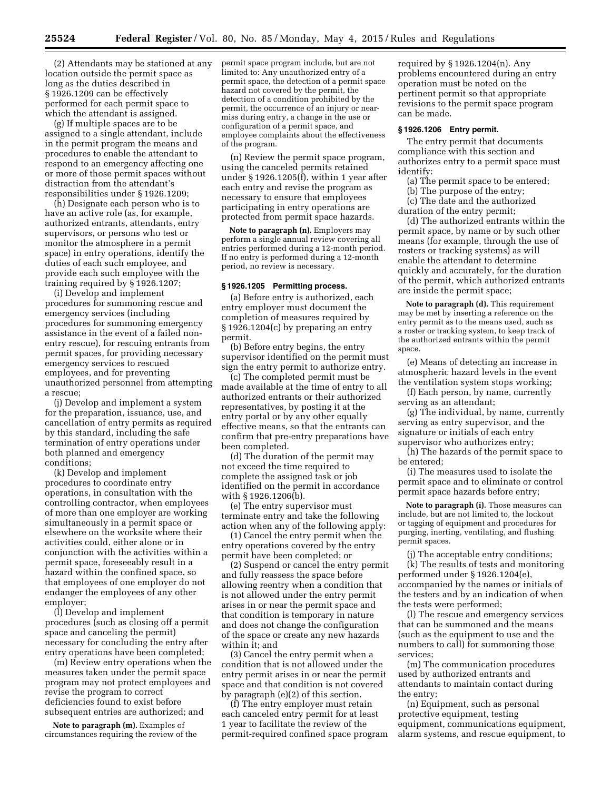(2) Attendants may be stationed at any location outside the permit space as long as the duties described in § 1926.1209 can be effectively performed for each permit space to which the attendant is assigned.

(g) If multiple spaces are to be assigned to a single attendant, include in the permit program the means and procedures to enable the attendant to respond to an emergency affecting one or more of those permit spaces without distraction from the attendant's responsibilities under § 1926.1209;

(h) Designate each person who is to have an active role (as, for example, authorized entrants, attendants, entry supervisors, or persons who test or monitor the atmosphere in a permit space) in entry operations, identify the duties of each such employee, and provide each such employee with the training required by § 1926.1207;

(i) Develop and implement procedures for summoning rescue and emergency services (including procedures for summoning emergency assistance in the event of a failed nonentry rescue), for rescuing entrants from permit spaces, for providing necessary emergency services to rescued employees, and for preventing unauthorized personnel from attempting a rescue;

(j) Develop and implement a system for the preparation, issuance, use, and cancellation of entry permits as required by this standard, including the safe termination of entry operations under both planned and emergency conditions;

(k) Develop and implement procedures to coordinate entry operations, in consultation with the controlling contractor, when employees of more than one employer are working simultaneously in a permit space or elsewhere on the worksite where their activities could, either alone or in conjunction with the activities within a permit space, foreseeably result in a hazard within the confined space, so that employees of one employer do not endanger the employees of any other employer;

(l) Develop and implement procedures (such as closing off a permit space and canceling the permit) necessary for concluding the entry after entry operations have been completed;

(m) Review entry operations when the measures taken under the permit space program may not protect employees and revise the program to correct deficiencies found to exist before subsequent entries are authorized; and

**Note to paragraph (m).** Examples of circumstances requiring the review of the permit space program include, but are not limited to: Any unauthorized entry of a permit space, the detection of a permit space hazard not covered by the permit, the detection of a condition prohibited by the permit, the occurrence of an injury or nearmiss during entry, a change in the use or configuration of a permit space, and employee complaints about the effectiveness of the program.

(n) Review the permit space program, using the canceled permits retained under § 1926.1205(f), within 1 year after each entry and revise the program as necessary to ensure that employees participating in entry operations are protected from permit space hazards.

**Note to paragraph (n).** Employers may perform a single annual review covering all entries performed during a 12-month period. If no entry is performed during a 12-month period, no review is necessary.

#### **§ 1926.1205 Permitting process.**

(a) Before entry is authorized, each entry employer must document the completion of measures required by § 1926.1204(c) by preparing an entry permit.

(b) Before entry begins, the entry supervisor identified on the permit must sign the entry permit to authorize entry.

(c) The completed permit must be made available at the time of entry to all authorized entrants or their authorized representatives, by posting it at the entry portal or by any other equally effective means, so that the entrants can confirm that pre-entry preparations have been completed.

(d) The duration of the permit may not exceed the time required to complete the assigned task or job identified on the permit in accordance with § 1926.1206(b).

(e) The entry supervisor must terminate entry and take the following action when any of the following apply:

(1) Cancel the entry permit when the entry operations covered by the entry permit have been completed; or

(2) Suspend or cancel the entry permit and fully reassess the space before allowing reentry when a condition that is not allowed under the entry permit arises in or near the permit space and that condition is temporary in nature and does not change the configuration of the space or create any new hazards within it; and

(3) Cancel the entry permit when a condition that is not allowed under the entry permit arises in or near the permit space and that condition is not covered by paragraph (e)(2) of this section.

(f) The entry employer must retain each canceled entry permit for at least 1 year to facilitate the review of the permit-required confined space program required by § 1926.1204(n). Any problems encountered during an entry operation must be noted on the pertinent permit so that appropriate revisions to the permit space program can be made.

# **§ 1926.1206 Entry permit.**

The entry permit that documents compliance with this section and authorizes entry to a permit space must identify:

- (a) The permit space to be entered;
- (b) The purpose of the entry;
- (c) The date and the authorized duration of the entry permit;

(d) The authorized entrants within the permit space, by name or by such other means (for example, through the use of rosters or tracking systems) as will enable the attendant to determine quickly and accurately, for the duration of the permit, which authorized entrants are inside the permit space;

**Note to paragraph (d).** This requirement may be met by inserting a reference on the entry permit as to the means used, such as a roster or tracking system, to keep track of the authorized entrants within the permit space.

(e) Means of detecting an increase in atmospheric hazard levels in the event the ventilation system stops working;

(f) Each person, by name, currently serving as an attendant;

(g) The individual, by name, currently serving as entry supervisor, and the signature or initials of each entry supervisor who authorizes entry;

(h) The hazards of the permit space to be entered;

(i) The measures used to isolate the permit space and to eliminate or control permit space hazards before entry;

**Note to paragraph (i).** Those measures can include, but are not limited to, the lockout or tagging of equipment and procedures for purging, inerting, ventilating, and flushing permit spaces.

(j) The acceptable entry conditions;

(k) The results of tests and monitoring performed under § 1926.1204(e), accompanied by the names or initials of the testers and by an indication of when the tests were performed;

(l) The rescue and emergency services that can be summoned and the means (such as the equipment to use and the numbers to call) for summoning those services;

(m) The communication procedures used by authorized entrants and attendants to maintain contact during the entry;

(n) Equipment, such as personal protective equipment, testing equipment, communications equipment, alarm systems, and rescue equipment, to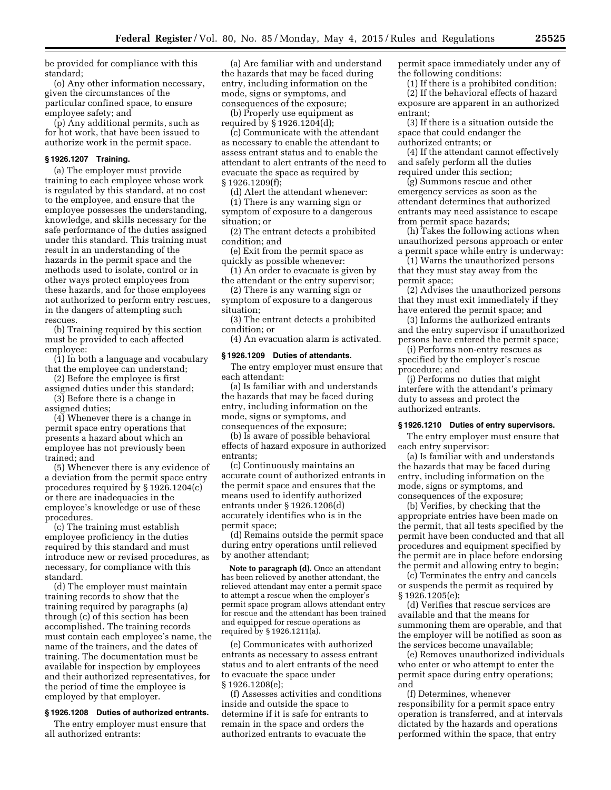be provided for compliance with this standard;

(o) Any other information necessary, given the circumstances of the particular confined space, to ensure employee safety; and

(p) Any additional permits, such as for hot work, that have been issued to authorize work in the permit space.

### **§ 1926.1207 Training.**

(a) The employer must provide training to each employee whose work is regulated by this standard, at no cost to the employee, and ensure that the employee possesses the understanding, knowledge, and skills necessary for the safe performance of the duties assigned under this standard. This training must result in an understanding of the hazards in the permit space and the methods used to isolate, control or in other ways protect employees from these hazards, and for those employees not authorized to perform entry rescues, in the dangers of attempting such rescues.

(b) Training required by this section must be provided to each affected employee:

(1) In both a language and vocabulary that the employee can understand;

(2) Before the employee is first assigned duties under this standard;

(3) Before there is a change in assigned duties;

(4) Whenever there is a change in permit space entry operations that presents a hazard about which an employee has not previously been trained; and

(5) Whenever there is any evidence of a deviation from the permit space entry procedures required by § 1926.1204(c) or there are inadequacies in the employee's knowledge or use of these procedures.

(c) The training must establish employee proficiency in the duties required by this standard and must introduce new or revised procedures, as necessary, for compliance with this standard.

(d) The employer must maintain training records to show that the training required by paragraphs (a) through (c) of this section has been accomplished. The training records must contain each employee's name, the name of the trainers, and the dates of training. The documentation must be available for inspection by employees and their authorized representatives, for the period of time the employee is employed by that employer.

#### **§ 1926.1208 Duties of authorized entrants.**

The entry employer must ensure that all authorized entrants:

(a) Are familiar with and understand the hazards that may be faced during entry, including information on the mode, signs or symptoms, and consequences of the exposure;

(b) Properly use equipment as required by § 1926.1204(d);

(c) Communicate with the attendant as necessary to enable the attendant to assess entrant status and to enable the attendant to alert entrants of the need to evacuate the space as required by § 1926.1209(f);

(d) Alert the attendant whenever:

(1) There is any warning sign or symptom of exposure to a dangerous situation; or

(2) The entrant detects a prohibited condition; and

(e) Exit from the permit space as quickly as possible whenever:

(1) An order to evacuate is given by the attendant or the entry supervisor;

(2) There is any warning sign or symptom of exposure to a dangerous situation;

(3) The entrant detects a prohibited condition; or

(4) An evacuation alarm is activated.

# **§ 1926.1209 Duties of attendants.**

The entry employer must ensure that each attendant:

(a) Is familiar with and understands the hazards that may be faced during entry, including information on the mode, signs or symptoms, and consequences of the exposure;

(b) Is aware of possible behavioral effects of hazard exposure in authorized entrants;

(c) Continuously maintains an accurate count of authorized entrants in the permit space and ensures that the means used to identify authorized entrants under § 1926.1206(d) accurately identifies who is in the permit space;

(d) Remains outside the permit space during entry operations until relieved by another attendant;

**Note to paragraph (d).** Once an attendant has been relieved by another attendant, the relieved attendant may enter a permit space to attempt a rescue when the employer's permit space program allows attendant entry for rescue and the attendant has been trained and equipped for rescue operations as required by § 1926.1211(a).

(e) Communicates with authorized entrants as necessary to assess entrant status and to alert entrants of the need to evacuate the space under § 1926.1208(e);

(f) Assesses activities and conditions inside and outside the space to determine if it is safe for entrants to remain in the space and orders the authorized entrants to evacuate the

permit space immediately under any of the following conditions:

(1) If there is a prohibited condition;

(2) If the behavioral effects of hazard exposure are apparent in an authorized entrant;

(3) If there is a situation outside the space that could endanger the authorized entrants; or

(4) If the attendant cannot effectively and safely perform all the duties required under this section;

(g) Summons rescue and other emergency services as soon as the attendant determines that authorized entrants may need assistance to escape from permit space hazards;

(h) Takes the following actions when unauthorized persons approach or enter a permit space while entry is underway:

(1) Warns the unauthorized persons that they must stay away from the permit space;

(2) Advises the unauthorized persons that they must exit immediately if they have entered the permit space; and

(3) Informs the authorized entrants and the entry supervisor if unauthorized persons have entered the permit space;

(i) Performs non-entry rescues as specified by the employer's rescue procedure; and

(j) Performs no duties that might interfere with the attendant's primary duty to assess and protect the authorized entrants.

#### **§ 1926.1210 Duties of entry supervisors.**

The entry employer must ensure that each entry supervisor:

(a) Is familiar with and understands the hazards that may be faced during entry, including information on the mode, signs or symptoms, and consequences of the exposure;

(b) Verifies, by checking that the appropriate entries have been made on the permit, that all tests specified by the permit have been conducted and that all procedures and equipment specified by the permit are in place before endorsing the permit and allowing entry to begin;

(c) Terminates the entry and cancels or suspends the permit as required by § 1926.1205(e);

(d) Verifies that rescue services are available and that the means for summoning them are operable, and that the employer will be notified as soon as the services become unavailable;

(e) Removes unauthorized individuals who enter or who attempt to enter the permit space during entry operations; and

(f) Determines, whenever responsibility for a permit space entry operation is transferred, and at intervals dictated by the hazards and operations performed within the space, that entry